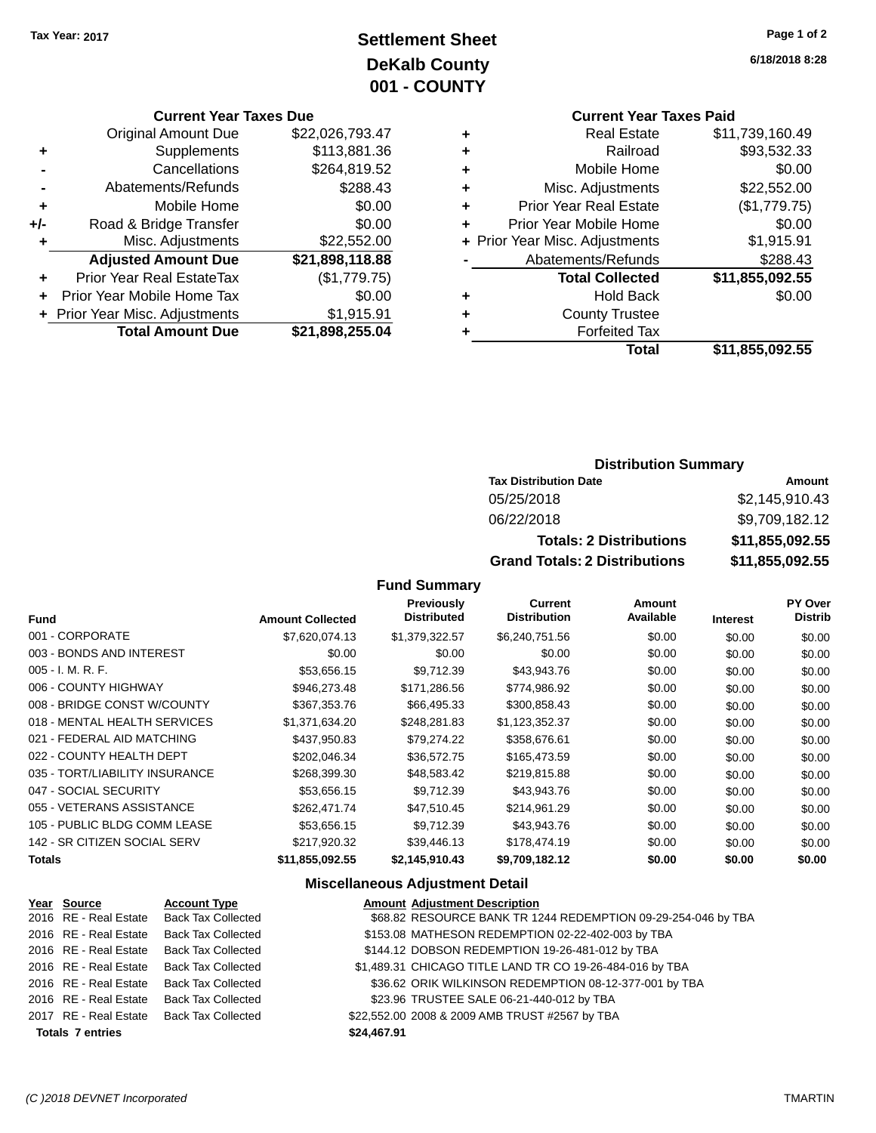## **Settlement Sheet Tax Year: 2017 Page 1 of 2 DeKalb County 001 - COUNTY**

**Current Year Taxes Due**

|       | <b>Original Amount Due</b>     | \$22,026,793.47 |
|-------|--------------------------------|-----------------|
| ٠     | Supplements                    | \$113,881.36    |
|       | Cancellations                  | \$264,819.52    |
|       | Abatements/Refunds             | \$288.43        |
| ٠     | Mobile Home                    | \$0.00          |
| $+/-$ | Road & Bridge Transfer         | \$0.00          |
| ٠     | Misc. Adjustments              | \$22,552.00     |
|       | <b>Adjusted Amount Due</b>     | \$21,898,118.88 |
|       | Prior Year Real EstateTax      | (\$1,779.75)    |
|       | Prior Year Mobile Home Tax     | \$0.00          |
|       | + Prior Year Misc. Adjustments | \$1,915.91      |
|       | <b>Total Amount Due</b>        | \$21,898,255.04 |

**6/18/2018 8:28**

## **Current Year Taxes Paid**

|   | <b>Real Estate</b>             | \$11,739,160.49 |
|---|--------------------------------|-----------------|
| ٠ | Railroad                       | \$93,532.33     |
| ÷ | Mobile Home                    | \$0.00          |
| ٠ | Misc. Adjustments              | \$22,552.00     |
| ٠ | <b>Prior Year Real Estate</b>  | (\$1,779.75)    |
| ٠ | Prior Year Mobile Home         | \$0.00          |
|   | + Prior Year Misc. Adjustments | \$1,915.91      |
|   | Abatements/Refunds             | \$288.43        |
|   | <b>Total Collected</b>         | \$11,855,092.55 |
| ٠ | <b>Hold Back</b>               | \$0.00          |
| ٠ | <b>County Trustee</b>          |                 |
| ٠ | <b>Forfeited Tax</b>           |                 |
|   | Total                          | \$11,855,092.55 |
|   |                                |                 |

### **Distribution Summary**

| <b>Tax Distribution Date</b>         | Amount          |
|--------------------------------------|-----------------|
| 05/25/2018                           | \$2.145.910.43  |
| 06/22/2018                           | \$9,709,182.12  |
| <b>Totals: 2 Distributions</b>       | \$11,855,092.55 |
| <b>Grand Totals: 2 Distributions</b> | \$11,855,092.55 |

### **Fund Summary**

| <b>Fund</b>                    | <b>Amount Collected</b> | <b>Previously</b><br><b>Distributed</b> | <b>Current</b><br><b>Distribution</b> | Amount<br>Available | <b>Interest</b> | PY Over<br><b>Distrib</b> |
|--------------------------------|-------------------------|-----------------------------------------|---------------------------------------|---------------------|-----------------|---------------------------|
|                                |                         |                                         |                                       |                     |                 |                           |
| 001 - CORPORATE                | \$7,620,074.13          | \$1,379,322.57                          | \$6,240,751.56                        | \$0.00              | \$0.00          | \$0.00                    |
| 003 - BONDS AND INTEREST       | \$0.00                  | \$0.00                                  | \$0.00                                | \$0.00              | \$0.00          | \$0.00                    |
| $005 - I. M. R. F.$            | \$53,656.15             | \$9,712.39                              | \$43,943.76                           | \$0.00              | \$0.00          | \$0.00                    |
| 006 - COUNTY HIGHWAY           | \$946,273.48            | \$171,286.56                            | \$774,986.92                          | \$0.00              | \$0.00          | \$0.00                    |
| 008 - BRIDGE CONST W/COUNTY    | \$367,353.76            | \$66,495.33                             | \$300,858.43                          | \$0.00              | \$0.00          | \$0.00                    |
| 018 - MENTAL HEALTH SERVICES   | \$1.371.634.20          | \$248.281.83                            | \$1,123,352.37                        | \$0.00              | \$0.00          | \$0.00                    |
| 021 - FEDERAL AID MATCHING     | \$437,950.83            | \$79,274.22                             | \$358,676.61                          | \$0.00              | \$0.00          | \$0.00                    |
| 022 - COUNTY HEALTH DEPT       | \$202.046.34            | \$36.572.75                             | \$165,473.59                          | \$0.00              | \$0.00          | \$0.00                    |
| 035 - TORT/LIABILITY INSURANCE | \$268,399,30            | \$48.583.42                             | \$219,815.88                          | \$0.00              | \$0.00          | \$0.00                    |
| 047 - SOCIAL SECURITY          | \$53,656.15             | \$9,712.39                              | \$43,943.76                           | \$0.00              | \$0.00          | \$0.00                    |
| 055 - VETERANS ASSISTANCE      | \$262,471.74            | \$47,510.45                             | \$214,961.29                          | \$0.00              | \$0.00          | \$0.00                    |
| 105 - PUBLIC BLDG COMM LEASE   | \$53,656.15             | \$9,712.39                              | \$43,943.76                           | \$0.00              | \$0.00          | \$0.00                    |
| 142 - SR CITIZEN SOCIAL SERV   | \$217,920.32            | \$39.446.13                             | \$178,474.19                          | \$0.00              | \$0.00          | \$0.00                    |
| <b>Totals</b>                  | \$11,855,092.55         | \$2,145,910.43                          | \$9,709,182.12                        | \$0.00              | \$0.00          | \$0.00                    |

### **Miscellaneous Adjustment Detail**

| Year Source | <b>Account Type</b>                                                                                                                                                                                    | <b>Amount Adjustment Description</b>                                                                                                                                                      |
|-------------|--------------------------------------------------------------------------------------------------------------------------------------------------------------------------------------------------------|-------------------------------------------------------------------------------------------------------------------------------------------------------------------------------------------|
|             |                                                                                                                                                                                                        | \$68.82 RESOURCE BANK TR 1244 REDEMPTION 09-29-254-046 by TBA                                                                                                                             |
|             |                                                                                                                                                                                                        | \$153.08 MATHESON REDEMPTION 02-22-402-003 by TBA                                                                                                                                         |
|             |                                                                                                                                                                                                        | \$144.12 DOBSON REDEMPTION 19-26-481-012 by TBA                                                                                                                                           |
|             |                                                                                                                                                                                                        | \$1,489.31 CHICAGO TITLE LAND TR CO 19-26-484-016 by TBA                                                                                                                                  |
|             |                                                                                                                                                                                                        | \$36.62 ORIK WILKINSON REDEMPTION 08-12-377-001 by TBA                                                                                                                                    |
|             |                                                                                                                                                                                                        | \$23.96 TRUSTEE SALE 06-21-440-012 by TBA                                                                                                                                                 |
|             |                                                                                                                                                                                                        | \$22,552.00 2008 & 2009 AMB TRUST #2567 by TBA                                                                                                                                            |
|             |                                                                                                                                                                                                        | \$24,467.91                                                                                                                                                                               |
|             | 2016 RE - Real Estate<br>2016 RE - Real Estate<br>2016 RE - Real Estate<br>2016 RE - Real Estate<br>2016 RE - Real Estate<br>2016 RE - Real Estate<br>2017 RE - Real Estate<br><b>Totals 7 entries</b> | <b>Back Tax Collected</b><br><b>Back Tax Collected</b><br><b>Back Tax Collected</b><br>Back Tax Collected<br><b>Back Tax Collected</b><br><b>Back Tax Collected</b><br>Back Tax Collected |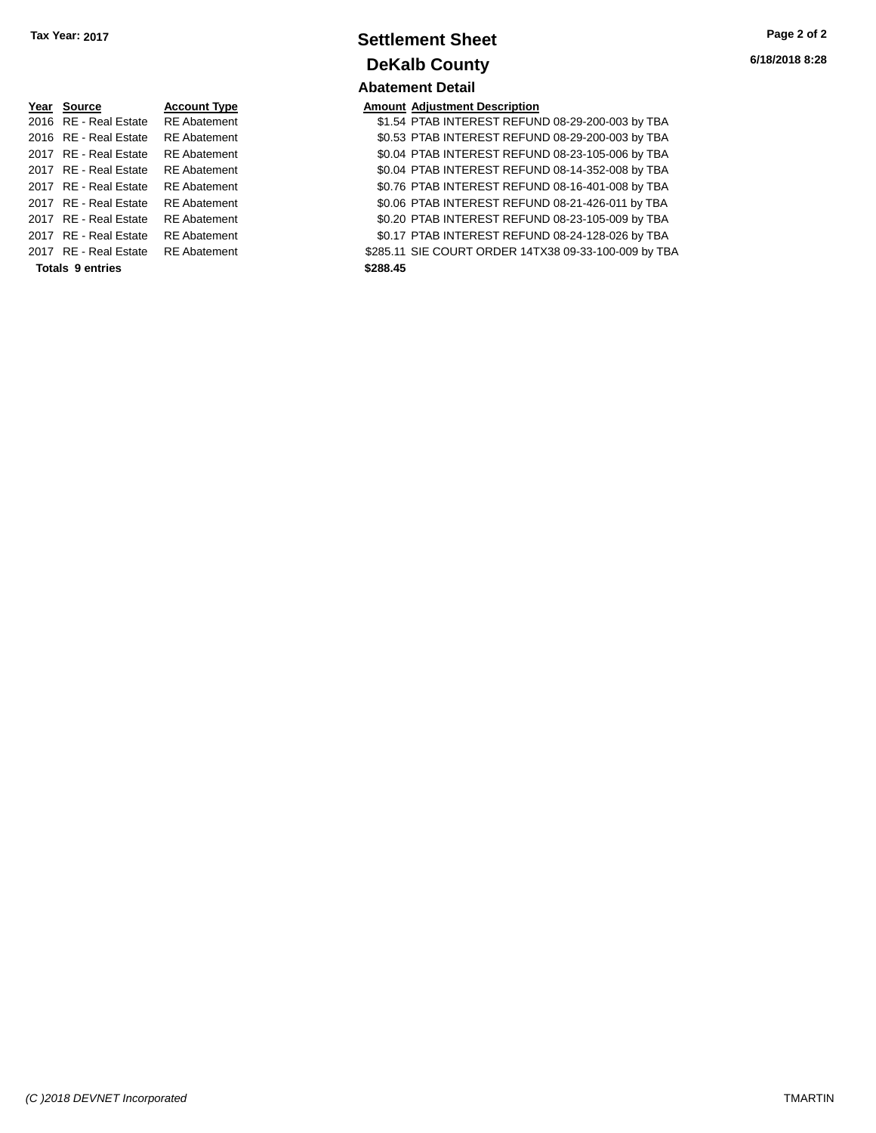| Year | <b>Source</b>           | <b>Account Type</b> | Amount   |
|------|-------------------------|---------------------|----------|
|      | 2016 RE - Real Estate   | <b>RE</b> Abatement | \$1.54   |
|      | 2016 RE - Real Estate   | <b>RE</b> Abatement | \$0.53   |
|      | 2017 RE - Real Estate   | <b>RE</b> Abatement | \$0.04   |
|      | 2017 RE - Real Estate   | <b>RE</b> Abatement | \$0.04   |
|      | 2017 RE - Real Estate   | <b>RE</b> Abatement | \$0.76   |
|      | 2017 RE - Real Estate   | <b>RE</b> Abatement | \$0.06   |
|      | 2017 RE - Real Estate   | <b>RE</b> Abatement | \$0.20   |
|      | 2017 RE - Real Estate   | <b>RE</b> Abatement | \$0.17   |
|      | 2017 RE - Real Estate   | <b>RE</b> Abatement | \$285.11 |
|      | <b>Totals 9 entries</b> |                     | \$288.45 |

## **Settlement Sheet Tax Year: 2017 Page 2 of 2 DeKalb County Abatement Detail**

#### **Amount Adjustment Description**

\$1.54 PTAB INTEREST REFUND 08-29-200-003 by TBA \$0.53 PTAB INTEREST REFUND 08-29-200-003 by TBA \$0.04 PTAB INTEREST REFUND 08-23-105-006 by TBA \$0.04 PTAB INTEREST REFUND 08-14-352-008 by TBA \$0.76 PTAB INTEREST REFUND 08-16-401-008 by TBA \$0.06 PTAB INTEREST REFUND 08-21-426-011 by TBA \$0.20 PTAB INTEREST REFUND 08-23-105-009 by TBA \$0.17 PTAB INTEREST REFUND 08-24-128-026 by TBA \$285.11 SIE COURT ORDER 14TX38 09-33-100-009 by TBA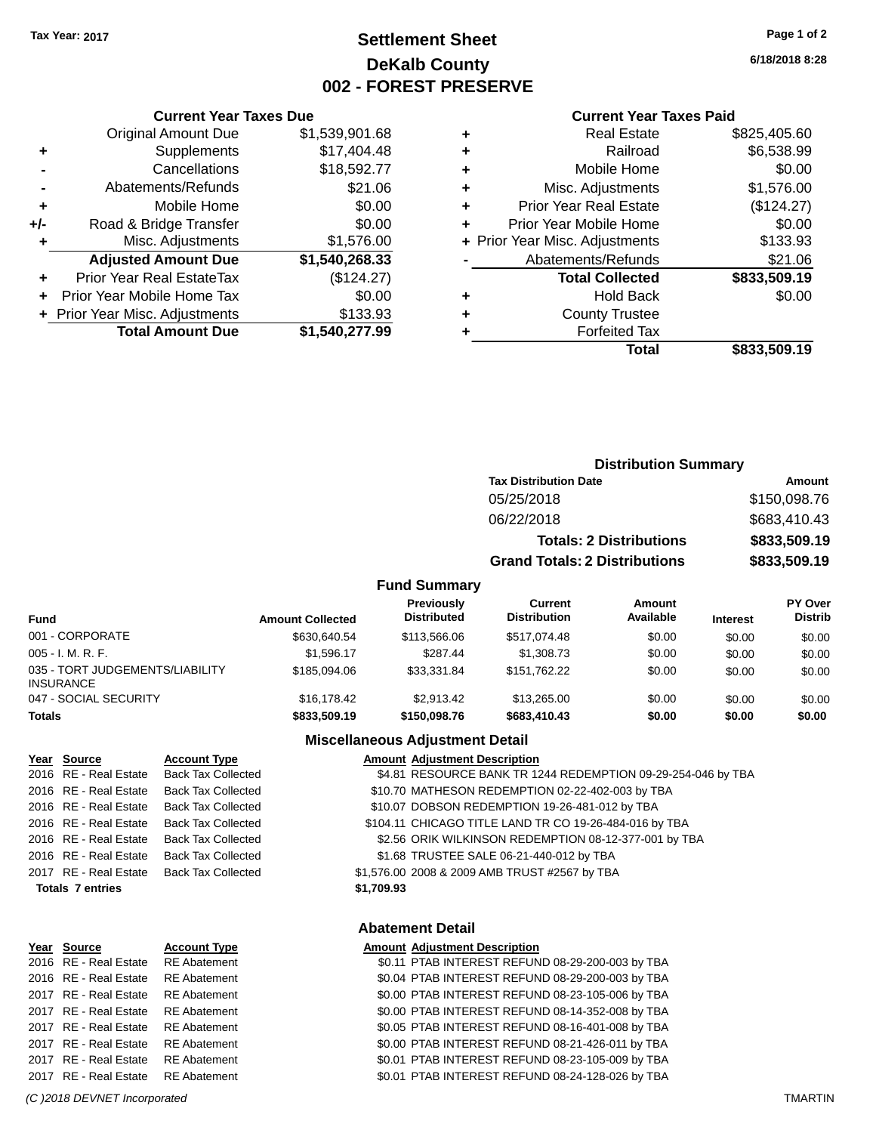**Current Year Taxes Due**

## **Settlement Sheet Tax Year: 2017 Page 1 of 2 DeKalb County 002 - FOREST PRESERVE**

**6/18/2018 8:28**

#### **Current Year Taxes Paid**

|                |                                |                |   | Total                          | \$833,509.19 |
|----------------|--------------------------------|----------------|---|--------------------------------|--------------|
|                | <b>Total Amount Due</b>        | \$1,540,277.99 |   | <b>Forfeited Tax</b>           |              |
|                | + Prior Year Misc. Adjustments | \$133.93       | ٠ | <b>County Trustee</b>          |              |
|                | + Prior Year Mobile Home Tax   | \$0.00         | ٠ | <b>Hold Back</b>               | \$0.00       |
| ÷              | Prior Year Real EstateTax      | (\$124.27)     |   | <b>Total Collected</b>         | \$833,509.19 |
|                | <b>Adjusted Amount Due</b>     | \$1,540,268.33 |   | Abatements/Refunds             | \$21.06      |
| ٠              | Misc. Adjustments              | \$1,576.00     |   | + Prior Year Misc. Adjustments | \$133.93     |
| I-             | Road & Bridge Transfer         | \$0.00         | ٠ | Prior Year Mobile Home         | \$0.00       |
| ٠              | Mobile Home                    | \$0.00         | ٠ | <b>Prior Year Real Estate</b>  | (\$124.27)   |
| $\blacksquare$ | Abatements/Refunds             | \$21.06        | ٠ | Misc. Adjustments              | \$1,576.00   |
|                | Cancellations                  | \$18,592.77    | ٠ | Mobile Home                    | \$0.00       |
| ٠              | Supplements                    | \$17,404.48    | ٠ | Railroad                       | \$6,538.99   |
|                | <b>Original Amount Due</b>     | \$1,539,901.68 | ٠ | <b>Real Estate</b>             | \$825,405.60 |
|                |                                |                |   |                                |              |

|             | <b>Total</b>                | \$833,509.19   |
|-------------|-----------------------------|----------------|
|             |                             |                |
|             |                             |                |
|             |                             |                |
|             | <b>Distribution Summary</b> |                |
| _ _ _ _ _ _ |                             | $\blacksquare$ |

#### **Fund Summary**

| <b>Fund</b>                                         | <b>Amount Collected</b> | <b>Previously</b><br><b>Distributed</b> | Current<br><b>Distribution</b> | Amount<br>Available | <b>Interest</b> | PY Over<br><b>Distrib</b> |
|-----------------------------------------------------|-------------------------|-----------------------------------------|--------------------------------|---------------------|-----------------|---------------------------|
| 001 - CORPORATE                                     | \$630,640.54            | \$113,566,06                            | \$517.074.48                   | \$0.00              | \$0.00          | \$0.00                    |
| $005 - I. M. R. F.$                                 | \$1,596.17              | \$287.44                                | \$1,308.73                     | \$0.00              | \$0.00          | \$0.00                    |
| 035 - TORT JUDGEMENTS/LIABILITY<br><b>INSURANCE</b> | \$185,094.06            | \$33,331.84                             | \$151.762.22                   | \$0.00              | \$0.00          | \$0.00                    |
| 047 - SOCIAL SECURITY                               | \$16,178,42             | \$2.913.42                              | \$13,265,00                    | \$0.00              | \$0.00          | \$0.00                    |
| <b>Totals</b>                                       | \$833,509.19            | \$150,098.76                            | \$683,410,43                   | \$0.00              | \$0.00          | \$0.00                    |

#### **Miscellaneous Adjustment Detail**

| Year Source             | <b>Account Type</b>       |            | <b>Amount Adjustment Description</b>                         |
|-------------------------|---------------------------|------------|--------------------------------------------------------------|
| 2016 RE - Real Estate   | Back Tax Collected        |            | \$4.81 RESOURCE BANK TR 1244 REDEMPTION 09-29-254-046 by TBA |
| 2016 RE - Real Estate   | <b>Back Tax Collected</b> |            | \$10.70 MATHESON REDEMPTION 02-22-402-003 by TBA             |
| 2016 RE - Real Estate   | Back Tax Collected        |            | \$10.07 DOBSON REDEMPTION 19-26-481-012 by TBA               |
| 2016 RE - Real Estate   | <b>Back Tax Collected</b> |            | \$104.11 CHICAGO TITLE LAND TR CO 19-26-484-016 by TBA       |
| 2016 RE - Real Estate   | <b>Back Tax Collected</b> |            | \$2.56 ORIK WILKINSON REDEMPTION 08-12-377-001 by TBA        |
| 2016 RE - Real Estate   | <b>Back Tax Collected</b> |            | \$1.68 TRUSTEE SALE 06-21-440-012 by TBA                     |
| 2017 RE - Real Estate   | <b>Back Tax Collected</b> |            | \$1,576.00 2008 & 2009 AMB TRUST #2567 by TBA                |
| <b>Totals 7 entries</b> |                           | \$1,709.93 |                                                              |
|                         |                           |            | <b>Abatement Detail</b>                                      |

### **Year Source Account Type Amount Adjustment Description**

| Allivulli Aujustinent Description                |
|--------------------------------------------------|
| \$0.11 PTAB INTEREST REFUND 08-29-200-003 by TBA |
| \$0.04 PTAB INTEREST REFUND 08-29-200-003 by TBA |
| \$0.00 PTAB INTEREST REFUND 08-23-105-006 by TBA |
| \$0.00 PTAB INTEREST REFUND 08-14-352-008 by TBA |
| \$0.05 PTAB INTEREST REFUND 08-16-401-008 by TBA |
| \$0.00 PTAB INTEREST REFUND 08-21-426-011 by TBA |
| \$0.01 PTAB INTEREST REFUND 08-23-105-009 by TBA |
| \$0.01 PTAB INTEREST REFUND 08-24-128-026 by TBA |
|                                                  |

#### *(C )2018 DEVNET Incorporated* TMARTIN

2016 RE - Real Estate RE Abatement 2016 RE - Real Estate RE Abatement 2017 RE - Real Estate RE Abatement 2017 RE - Real Estate RE Abatement 2017 RE - Real Estate RE Abatement 2017 RE - Real Estate RE Abatement 2017 RE - Real Estate RE Abatement 2017 RE - Real Estate RE Abatement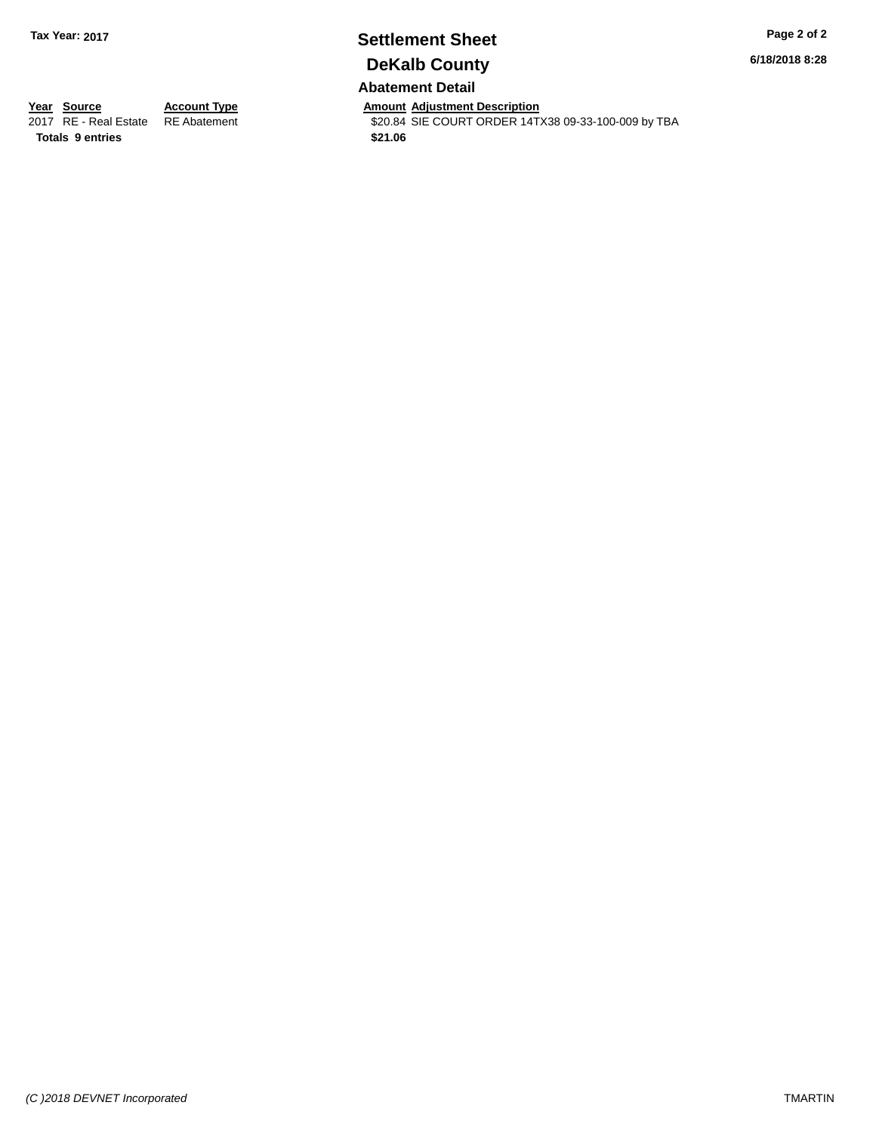## **Settlement Sheet Tax Year: 2017 Page 2 of 2 DeKalb County**

**6/18/2018 8:28**

### **Abatement Detail**

\$20.84 SIE COURT ORDER 14TX38 09-33-100-009 by TBA

**Year Source Account Type Anneurs Amount Adjustment Description**<br>
2017 RE - Real Estate RE Abatement \$20.84 SIE COURT ORDER 14T. **Totals 9 entries \$21.06**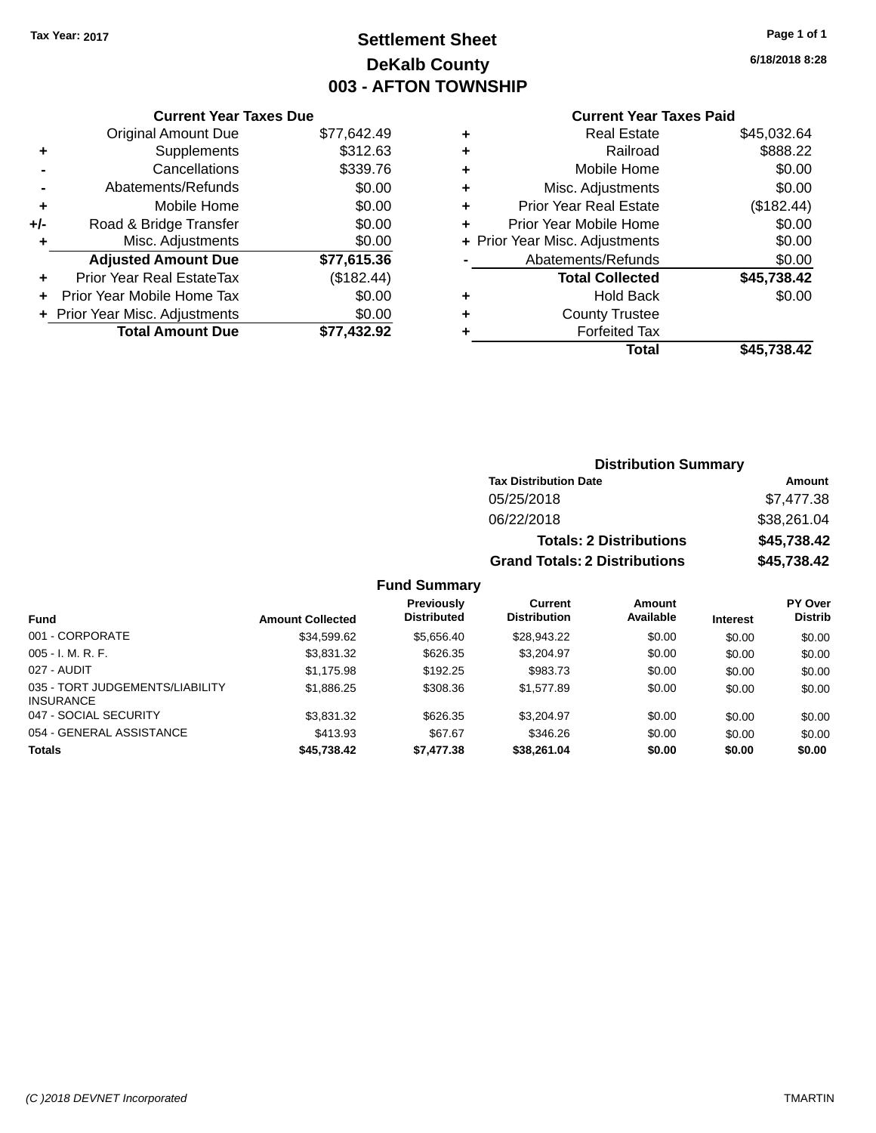## **Settlement Sheet Tax Year: 2017 Page 1 of 1 DeKalb County 003 - AFTON TOWNSHIP**

**6/18/2018 8:28**

### **Current Year Taxes Paid**

|     | <b>Current Year Taxes Due</b>            |             |  |  |  |
|-----|------------------------------------------|-------------|--|--|--|
|     | <b>Original Amount Due</b>               | \$77,642.49 |  |  |  |
| ٠   | Supplements                              | \$312.63    |  |  |  |
|     | Cancellations                            | \$339.76    |  |  |  |
|     | Abatements/Refunds                       | \$0.00      |  |  |  |
| ٠   | \$0.00<br>Mobile Home                    |             |  |  |  |
| +/- | Road & Bridge Transfer                   | \$0.00      |  |  |  |
|     | Misc. Adjustments                        | \$0.00      |  |  |  |
|     | <b>Adjusted Amount Due</b>               | \$77,615.36 |  |  |  |
| ÷   | Prior Year Real EstateTax                | (\$182.44)  |  |  |  |
| ÷   | Prior Year Mobile Home Tax               | \$0.00      |  |  |  |
|     | \$0.00<br>+ Prior Year Misc. Adjustments |             |  |  |  |
|     | <b>Total Amount Due</b>                  | \$77,432.92 |  |  |  |

| ٠ | <b>Real Estate</b>             | \$45,032.64 |
|---|--------------------------------|-------------|
| ٠ | Railroad                       | \$888.22    |
| ٠ | Mobile Home                    | \$0.00      |
| ٠ | Misc. Adjustments              | \$0.00      |
| ٠ | <b>Prior Year Real Estate</b>  | (\$182.44)  |
| ٠ | Prior Year Mobile Home         | \$0.00      |
|   | + Prior Year Misc. Adjustments | \$0.00      |
|   | Abatements/Refunds             | \$0.00      |
|   | <b>Total Collected</b>         | \$45,738.42 |
| ٠ | <b>Hold Back</b>               | \$0.00      |
| ٠ | <b>County Trustee</b>          |             |
| ٠ | <b>Forfeited Tax</b>           |             |
|   | Total                          | \$45.738.42 |
|   |                                |             |

### **Distribution Summary Tax Distribution Date Amount** 05/25/2018 \$7,477.38 06/22/2018 \$38,261.04 **Totals: 2 Distributions \$45,738.42 Grand Totals: 2 Distributions \$45,738.42**

| <b>Fund</b>                                         | <b>Amount Collected</b> | <b>Previously</b><br><b>Distributed</b> | Current<br><b>Distribution</b> | Amount<br>Available | <b>Interest</b> | PY Over<br><b>Distrib</b> |
|-----------------------------------------------------|-------------------------|-----------------------------------------|--------------------------------|---------------------|-----------------|---------------------------|
| 001 - CORPORATE                                     | \$34,599.62             | \$5.656.40                              | \$28,943.22                    | \$0.00              | \$0.00          | \$0.00                    |
| $005 - I. M. R. F.$                                 | \$3,831.32              | \$626.35                                | \$3,204.97                     | \$0.00              | \$0.00          | \$0.00                    |
| 027 - AUDIT                                         | \$1,175.98              | \$192.25                                | \$983.73                       | \$0.00              | \$0.00          | \$0.00                    |
| 035 - TORT JUDGEMENTS/LIABILITY<br><b>INSURANCE</b> | \$1,886.25              | \$308.36                                | \$1,577.89                     | \$0.00              | \$0.00          | \$0.00                    |
| 047 - SOCIAL SECURITY                               | \$3,831.32              | \$626.35                                | \$3,204.97                     | \$0.00              | \$0.00          | \$0.00                    |
| 054 - GENERAL ASSISTANCE                            | \$413.93                | \$67.67                                 | \$346.26                       | \$0.00              | \$0.00          | \$0.00                    |
| <b>Totals</b>                                       | \$45,738.42             | \$7,477.38                              | \$38,261.04                    | \$0.00              | \$0.00          | \$0.00                    |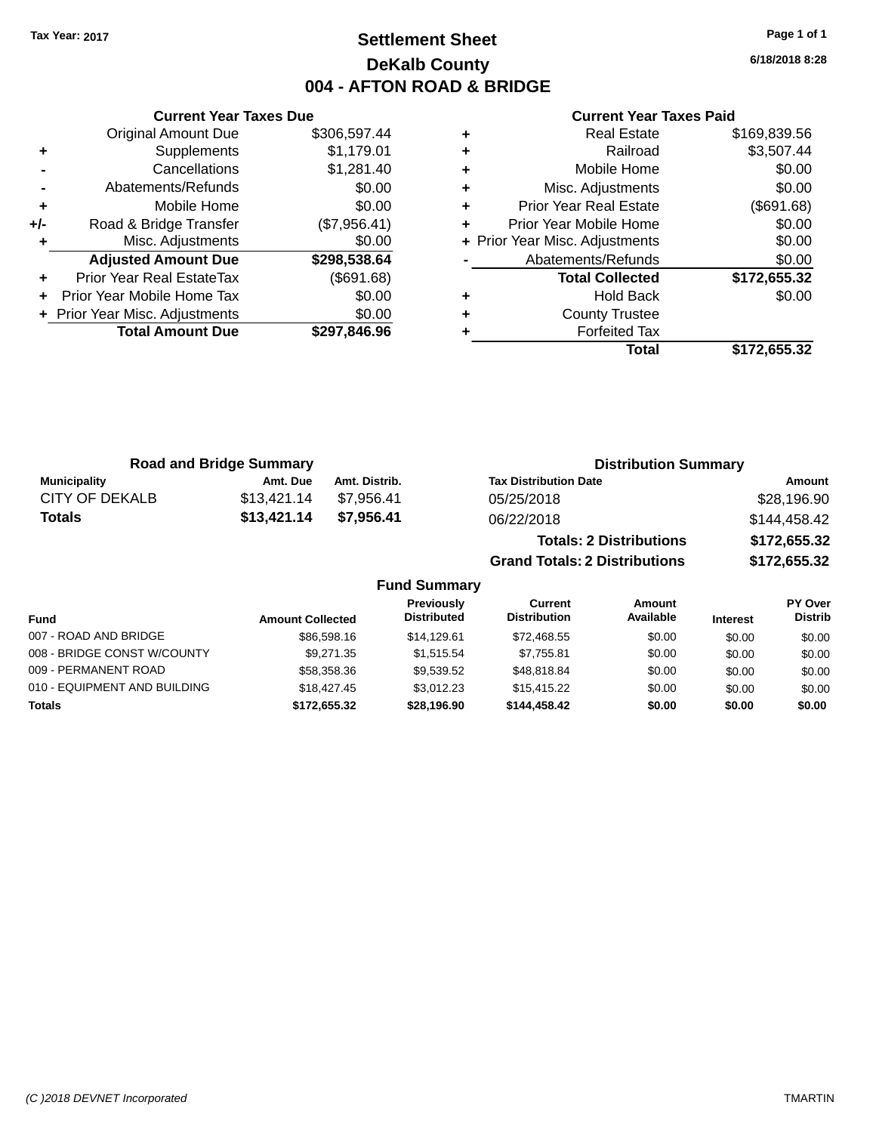## **Settlement Sheet Tax Year: 2017 Page 1 of 1 DeKalb County 004 - AFTON ROAD & BRIDGE**

**6/18/2018 8:28**

#### **Current Year Taxes Paid**

|     | <b>Original Amount Due</b>     | \$306,597.44 |
|-----|--------------------------------|--------------|
| ٠   | Supplements                    | \$1,179.01   |
|     | Cancellations                  | \$1,281.40   |
|     | Abatements/Refunds             | \$0.00       |
| ٠   | Mobile Home                    | \$0.00       |
| +/- | Road & Bridge Transfer         | (\$7,956.41) |
|     | Misc. Adjustments              | \$0.00       |
|     | <b>Adjusted Amount Due</b>     | \$298,538.64 |
|     | Prior Year Real EstateTax      | (\$691.68)   |
|     | Prior Year Mobile Home Tax     | \$0.00       |
|     | + Prior Year Misc. Adjustments | \$0.00       |
|     | <b>Total Amount Due</b>        | \$297,846.96 |
|     |                                |              |

**Current Year Taxes Due**

| ٠ | <b>Real Estate</b>             | \$169,839.56 |
|---|--------------------------------|--------------|
| ٠ | Railroad                       | \$3,507.44   |
| ٠ | Mobile Home                    | \$0.00       |
| ٠ | Misc. Adjustments              | \$0.00       |
| ٠ | <b>Prior Year Real Estate</b>  | (\$691.68)   |
| ٠ | Prior Year Mobile Home         | \$0.00       |
|   | + Prior Year Misc. Adjustments | \$0.00       |
|   | Abatements/Refunds             | \$0.00       |
|   | <b>Total Collected</b>         | \$172,655.32 |
| ٠ | <b>Hold Back</b>               | \$0.00       |
| ٠ | <b>County Trustee</b>          |              |
| ٠ | <b>Forfeited Tax</b>           |              |
|   | Total                          | \$172,655.32 |
|   |                                |              |

**Grand Totals: 2 Distributions \$172,655.32**

|                | <b>Road and Bridge Summary</b> |               | <b>Distribution Summary</b>    |              |
|----------------|--------------------------------|---------------|--------------------------------|--------------|
| Municipality   | Amt. Due                       | Amt. Distrib. | <b>Tax Distribution Date</b>   | Amount       |
| CITY OF DEKALB | \$13.421.14                    | \$7.956.41    | 05/25/2018                     | \$28,196.90  |
| Totals         | \$13,421.14                    | \$7.956.41    | 06/22/2018                     | \$144.458.42 |
|                |                                |               | <b>Totals: 2 Distributions</b> | \$172,655.32 |

**Fund Summary Fund Interest Amount Collected Distributed PY Over Distrib Amount Available Current Distribution Previously** 007 - ROAD AND BRIDGE 60.00 \$86,598.16 \$14,129.61 \$72,468.55 \$0.00 \$0.00 \$0.00 \$0.00 008 - BRIDGE CONST W/COUNTY  $$9,271.35$   $$1,515.54$   $$7,755.81$   $$0.00$   $$0.00$   $$0.00$ 009 - PERMANENT ROAD \$58,358.36 \$9,539.52 \$48,818.84 \$0.00 \$0.00 \$0.00 010 - EQUIPMENT AND BUILDING \$18,427.45 \$3,012.23 \$15,415.22 \$0.00 \$0.00 \$0.00 **Totals \$172,655.32 \$28,196.90 \$144,458.42 \$0.00 \$0.00 \$0.00**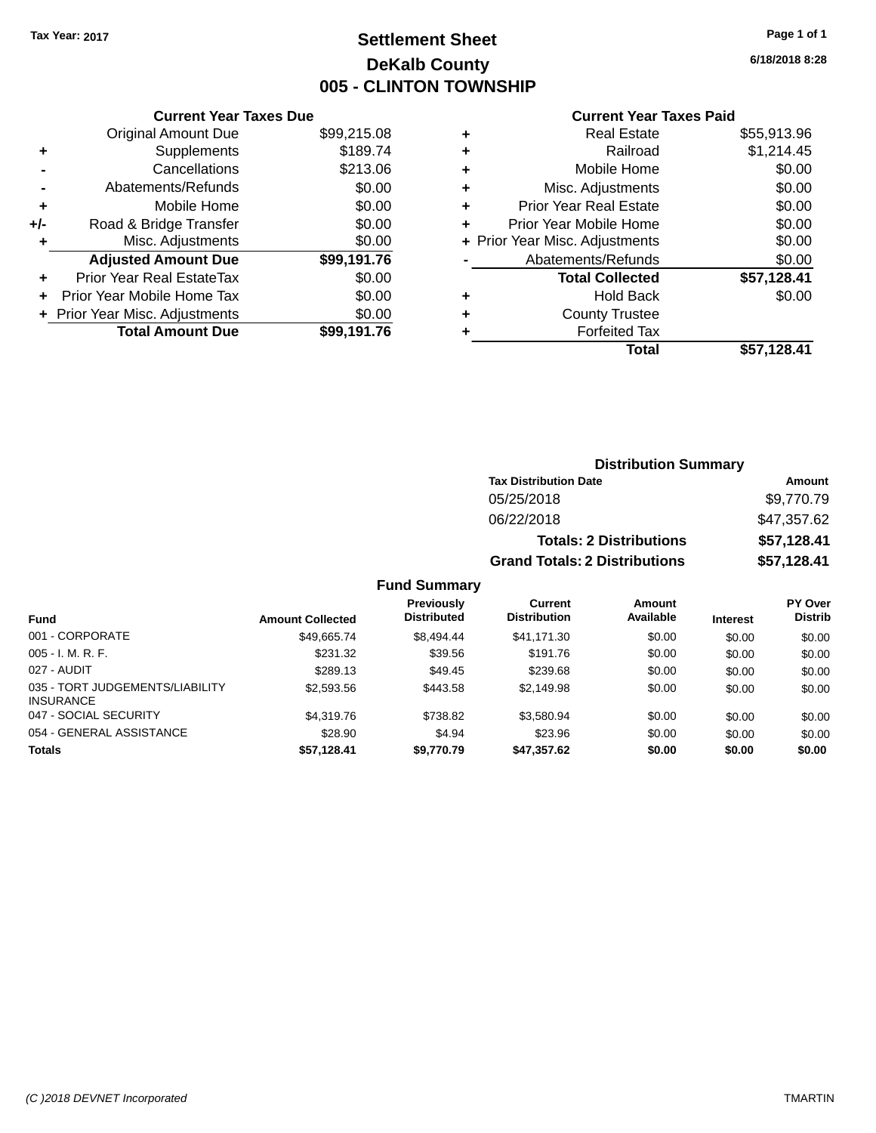## **Settlement Sheet Tax Year: 2017 Page 1 of 1 DeKalb County 005 - CLINTON TOWNSHIP**

**6/18/2018 8:28**

| <b>Current Year Taxes Paid</b> |  |  |  |
|--------------------------------|--|--|--|
|--------------------------------|--|--|--|

| <b>Current Year Taxes Due</b> |             |  |  |  |
|-------------------------------|-------------|--|--|--|
| <b>Original Amount Due</b>    | \$99,215.08 |  |  |  |
| Supplements                   | \$189.74    |  |  |  |
| Cancellations                 | \$213.06    |  |  |  |
| Abatements/Refunds            | \$0.00      |  |  |  |
| Mobile Home                   | \$0.00      |  |  |  |
| Road & Bridge Transfer        | \$0.00      |  |  |  |
| Misc. Adjustments             | \$0.00      |  |  |  |
| <b>Adjusted Amount Due</b>    | \$99,191.76 |  |  |  |
| Prior Year Real EstateTax     | \$0.00      |  |  |  |
| Prior Year Mobile Home Tax    | \$0.00      |  |  |  |
| Prior Year Misc. Adjustments  | \$0.00      |  |  |  |
| <b>Total Amount Due</b>       | \$99.191.76 |  |  |  |
|                               |             |  |  |  |

| ٠ | <b>Real Estate</b>             | \$55,913.96 |
|---|--------------------------------|-------------|
| ٠ | Railroad                       | \$1,214.45  |
| ٠ | Mobile Home                    | \$0.00      |
| ٠ | Misc. Adjustments              | \$0.00      |
| ٠ | <b>Prior Year Real Estate</b>  | \$0.00      |
| ÷ | Prior Year Mobile Home         | \$0.00      |
|   | + Prior Year Misc. Adjustments | \$0.00      |
|   | Abatements/Refunds             | \$0.00      |
|   | <b>Total Collected</b>         | \$57,128.41 |
| ٠ | <b>Hold Back</b>               | \$0.00      |
| ٠ | <b>County Trustee</b>          |             |
| ٠ | <b>Forfeited Tax</b>           |             |
|   | Total                          | \$57.128.41 |
|   |                                |             |

| <b>Distribution Summary</b>          |             |  |  |  |
|--------------------------------------|-------------|--|--|--|
| <b>Tax Distribution Date</b>         | Amount      |  |  |  |
| 05/25/2018                           | \$9,770.79  |  |  |  |
| 06/22/2018                           | \$47,357.62 |  |  |  |
| <b>Totals: 2 Distributions</b>       | \$57,128.41 |  |  |  |
| <b>Grand Totals: 2 Distributions</b> | \$57,128.41 |  |  |  |

| <b>Fund</b>                                         | <b>Amount Collected</b> | <b>Previously</b><br><b>Distributed</b> | Current<br><b>Distribution</b> | Amount<br>Available | <b>Interest</b> | <b>PY Over</b><br><b>Distrib</b> |
|-----------------------------------------------------|-------------------------|-----------------------------------------|--------------------------------|---------------------|-----------------|----------------------------------|
| 001 - CORPORATE                                     | \$49.665.74             | \$8,494,44                              | \$41.171.30                    | \$0.00              | \$0.00          | \$0.00                           |
| $005 - I. M. R. F.$                                 | \$231.32                | \$39.56                                 | \$191.76                       | \$0.00              | \$0.00          | \$0.00                           |
| 027 - AUDIT                                         | \$289.13                | \$49.45                                 | \$239.68                       | \$0.00              | \$0.00          | \$0.00                           |
| 035 - TORT JUDGEMENTS/LIABILITY<br><b>INSURANCE</b> | \$2,593.56              | \$443.58                                | \$2,149.98                     | \$0.00              | \$0.00          | \$0.00                           |
| 047 - SOCIAL SECURITY                               | \$4.319.76              | \$738.82                                | \$3,580.94                     | \$0.00              | \$0.00          | \$0.00                           |
| 054 - GENERAL ASSISTANCE                            | \$28.90                 | \$4.94                                  | \$23.96                        | \$0.00              | \$0.00          | \$0.00                           |
| <b>Totals</b>                                       | \$57,128.41             | \$9,770.79                              | \$47,357.62                    | \$0.00              | \$0.00          | \$0.00                           |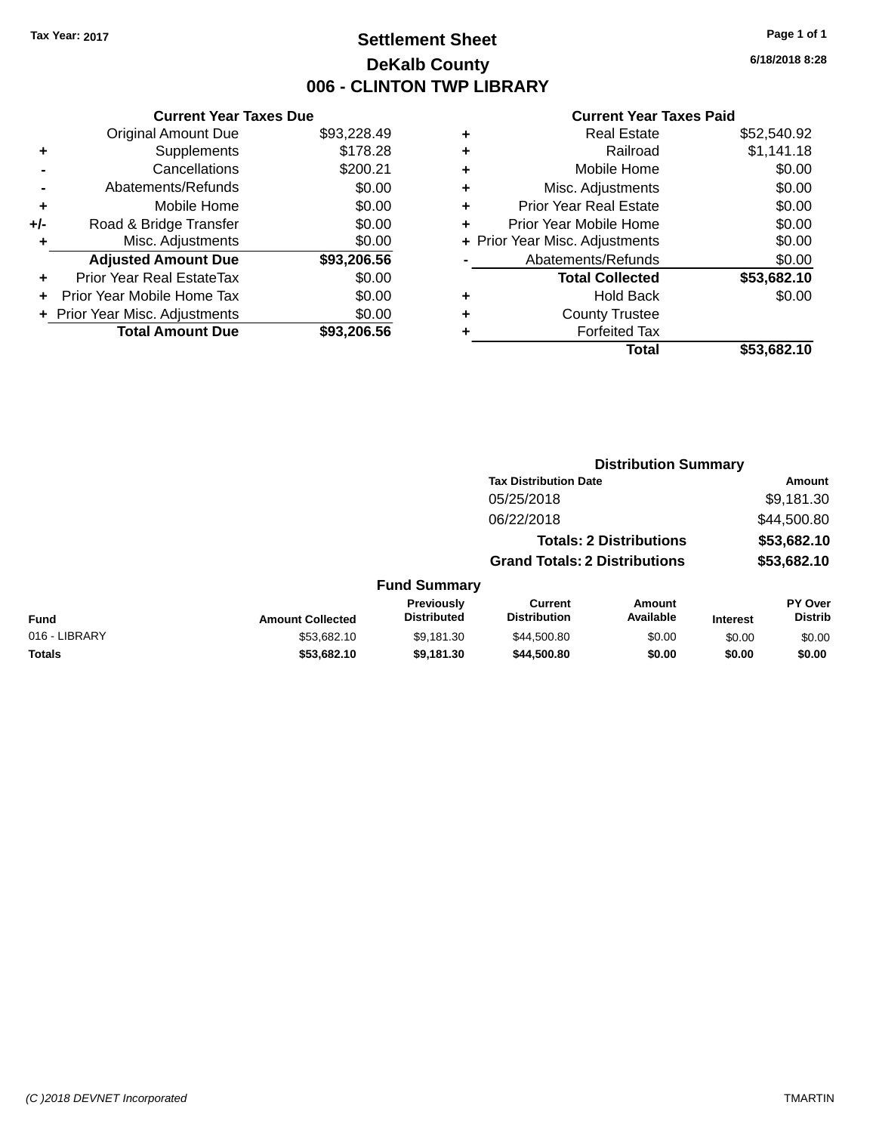## **Settlement Sheet Tax Year: 2017 Page 1 of 1 DeKalb County 006 - CLINTON TWP LIBRARY**

**6/18/2018 8:28**

| <b>Current Year Taxes Due</b>            |             |  |  |
|------------------------------------------|-------------|--|--|
| <b>Original Amount Due</b>               | \$93,228.49 |  |  |
| Supplements                              | \$178.28    |  |  |
| Cancellations                            | \$200.21    |  |  |
| Abatements/Refunds                       | \$0.00      |  |  |
| \$0.00<br>Mobile Home<br>٠               |             |  |  |
| Road & Bridge Transfer                   | \$0.00      |  |  |
| Misc. Adjustments<br>\$0.00              |             |  |  |
| <b>Adjusted Amount Due</b>               | \$93,206.56 |  |  |
| Prior Year Real EstateTax                | \$0.00      |  |  |
| Prior Year Mobile Home Tax               | \$0.00      |  |  |
| \$0.00<br>+ Prior Year Misc. Adjustments |             |  |  |
| <b>Total Amount Due</b>                  | \$93,206,56 |  |  |
|                                          |             |  |  |

|   | <b>Real Estate</b>             | \$52,540.92 |
|---|--------------------------------|-------------|
| ٠ | Railroad                       | \$1,141.18  |
| ٠ | Mobile Home                    | \$0.00      |
| ٠ | Misc. Adjustments              | \$0.00      |
| ٠ | <b>Prior Year Real Estate</b>  | \$0.00      |
| ٠ | Prior Year Mobile Home         | \$0.00      |
|   | + Prior Year Misc. Adjustments | \$0.00      |
|   | Abatements/Refunds             | \$0.00      |
|   | <b>Total Collected</b>         | \$53,682.10 |
|   | <b>Hold Back</b>               | \$0.00      |
| ٠ | <b>County Trustee</b>          |             |
|   | <b>Forfeited Tax</b>           |             |
|   | Total                          | \$53,682.10 |
|   |                                |             |

|               |                         |                                  | <b>Distribution Summary</b>           |                                |                 |                                  |
|---------------|-------------------------|----------------------------------|---------------------------------------|--------------------------------|-----------------|----------------------------------|
|               |                         |                                  | <b>Tax Distribution Date</b>          |                                |                 | Amount                           |
|               |                         |                                  | 05/25/2018                            |                                |                 | \$9,181.30                       |
|               |                         |                                  | 06/22/2018                            |                                |                 | \$44,500.80                      |
|               |                         |                                  |                                       | <b>Totals: 2 Distributions</b> |                 | \$53,682.10                      |
|               |                         |                                  | <b>Grand Totals: 2 Distributions</b>  |                                |                 | \$53,682.10                      |
|               |                         | <b>Fund Summary</b>              |                                       |                                |                 |                                  |
| <b>Fund</b>   | <b>Amount Collected</b> | Previously<br><b>Distributed</b> | <b>Current</b><br><b>Distribution</b> | Amount<br>Available            | <b>Interest</b> | <b>PY Over</b><br><b>Distrib</b> |
| 016 - LIBRARY | \$53,682.10             | \$9,181.30                       | \$44,500.80                           | \$0.00                         | \$0.00          | \$0.00                           |
| <b>Totals</b> | \$53,682.10             | \$9,181.30                       | \$44,500.80                           | \$0.00                         | \$0.00          | \$0.00                           |
|               |                         |                                  |                                       |                                |                 |                                  |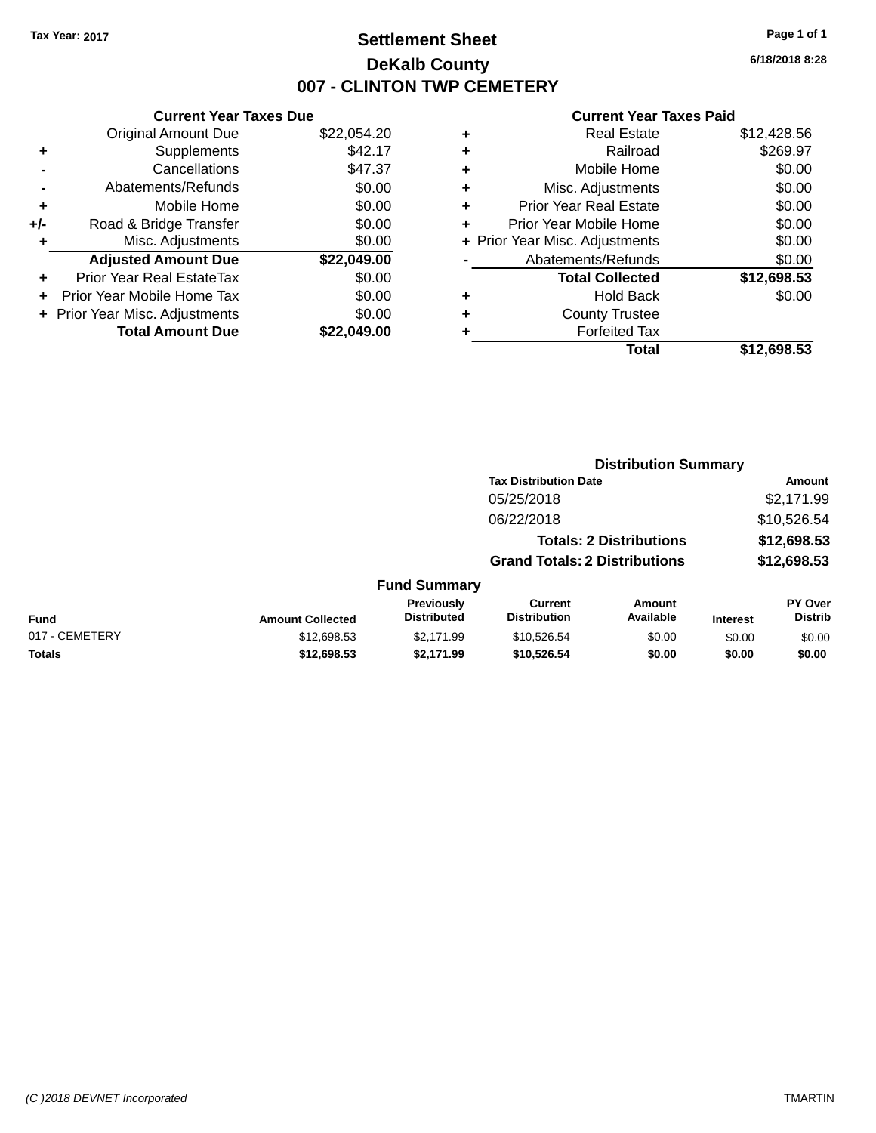## **Settlement Sheet Tax Year: 2017 Page 1 of 1 DeKalb County 007 - CLINTON TWP CEMETERY**

**6/18/2018 8:28**

| <b>Current Year Taxes Due</b> |                              |  |  |  |  |  |  |
|-------------------------------|------------------------------|--|--|--|--|--|--|
| <b>Original Amount Due</b>    | \$22,054.20                  |  |  |  |  |  |  |
| Supplements                   | \$42.17                      |  |  |  |  |  |  |
| Cancellations                 | \$47.37                      |  |  |  |  |  |  |
| Abatements/Refunds            | \$0.00                       |  |  |  |  |  |  |
| Mobile Home                   | \$0.00                       |  |  |  |  |  |  |
| Road & Bridge Transfer        | \$0.00                       |  |  |  |  |  |  |
| Misc. Adjustments             | \$0.00                       |  |  |  |  |  |  |
| <b>Adjusted Amount Due</b>    | \$22,049.00                  |  |  |  |  |  |  |
| Prior Year Real EstateTax     | \$0.00                       |  |  |  |  |  |  |
| Prior Year Mobile Home Tax    | \$0.00                       |  |  |  |  |  |  |
|                               | \$0.00                       |  |  |  |  |  |  |
| <b>Total Amount Due</b>       | \$22.049.00                  |  |  |  |  |  |  |
|                               | Prior Year Misc. Adjustments |  |  |  |  |  |  |

| ٠ | <b>Real Estate</b>             | \$12,428.56 |
|---|--------------------------------|-------------|
| ٠ | Railroad                       | \$269.97    |
| ٠ | Mobile Home                    | \$0.00      |
| ٠ | Misc. Adjustments              | \$0.00      |
| ٠ | <b>Prior Year Real Estate</b>  | \$0.00      |
|   | Prior Year Mobile Home         | \$0.00      |
|   | + Prior Year Misc. Adjustments | \$0.00      |
|   | Abatements/Refunds             | \$0.00      |
|   | <b>Total Collected</b>         | \$12,698.53 |
| ٠ | Hold Back                      | \$0.00      |
| ٠ | <b>County Trustee</b>          |             |
| ٠ | <b>Forfeited Tax</b>           |             |
|   | Total                          | \$12,698,53 |
|   |                                |             |

|                |                         |                                         | <b>Distribution Summary</b>           |                                |                 |                           |
|----------------|-------------------------|-----------------------------------------|---------------------------------------|--------------------------------|-----------------|---------------------------|
|                |                         |                                         | <b>Tax Distribution Date</b>          |                                |                 | Amount                    |
|                |                         |                                         | 05/25/2018                            |                                |                 | \$2,171.99                |
|                |                         |                                         | 06/22/2018                            |                                |                 | \$10,526.54               |
|                |                         |                                         |                                       | <b>Totals: 2 Distributions</b> |                 | \$12,698.53               |
|                |                         |                                         | <b>Grand Totals: 2 Distributions</b>  |                                |                 | \$12,698.53               |
|                |                         | <b>Fund Summary</b>                     |                                       |                                |                 |                           |
| <b>Fund</b>    | <b>Amount Collected</b> | <b>Previously</b><br><b>Distributed</b> | <b>Current</b><br><b>Distribution</b> | Amount<br>Available            | <b>Interest</b> | PY Over<br><b>Distrib</b> |
| 017 - CEMETERY | \$12,698.53             | \$2.171.99                              | \$10,526.54                           | \$0.00                         | \$0.00          | \$0.00                    |
| <b>Totals</b>  | \$12,698.53             | \$2,171.99                              | \$10,526.54                           | \$0.00                         | \$0.00          | \$0.00                    |
|                |                         |                                         |                                       |                                |                 |                           |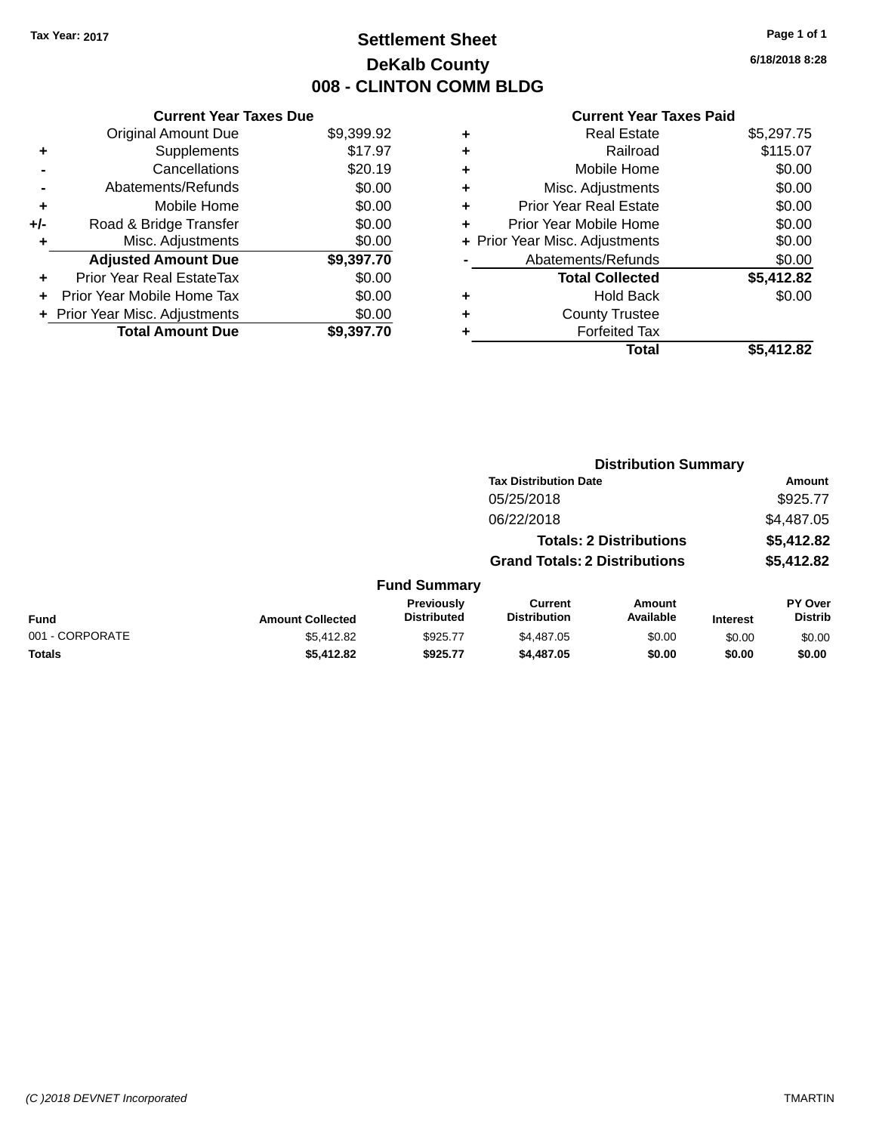## **Settlement Sheet Tax Year: 2017 Page 1 of 1 DeKalb County 008 - CLINTON COMM BLDG**

**6/18/2018 8:28**

|     | <b>Current Year Taxes Due</b>  |            |
|-----|--------------------------------|------------|
|     | <b>Original Amount Due</b>     | \$9,399.92 |
| ٠   | Supplements                    | \$17.97    |
|     | Cancellations                  | \$20.19    |
|     | Abatements/Refunds             | \$0.00     |
| ٠   | Mobile Home                    | \$0.00     |
| +/- | Road & Bridge Transfer         | \$0.00     |
| ٠   | Misc. Adjustments              | \$0.00     |
|     | <b>Adjusted Amount Due</b>     | \$9,397.70 |
| ÷   | Prior Year Real EstateTax      | \$0.00     |
| ÷   | Prior Year Mobile Home Tax     | \$0.00     |
|     | + Prior Year Misc. Adjustments | \$0.00     |
|     | <b>Total Amount Due</b>        | \$9,397.70 |

| ٠ | <b>Real Estate</b>             | \$5,297.75 |
|---|--------------------------------|------------|
| ٠ | Railroad                       | \$115.07   |
| ٠ | Mobile Home                    | \$0.00     |
| ٠ | Misc. Adjustments              | \$0.00     |
| ٠ | <b>Prior Year Real Estate</b>  | \$0.00     |
| ٠ | Prior Year Mobile Home         | \$0.00     |
|   | + Prior Year Misc. Adjustments | \$0.00     |
|   | Abatements/Refunds             | \$0.00     |
|   | <b>Total Collected</b>         | \$5,412.82 |
| ٠ | <b>Hold Back</b>               | \$0.00     |
| ٠ | <b>County Trustee</b>          |            |
| ٠ | <b>Forfeited Tax</b>           |            |
|   | Total                          | \$5,412.82 |
|   |                                |            |

|                 | <b>Distribution Summary</b> |                                  |                                       |                                |                 |                           |  |
|-----------------|-----------------------------|----------------------------------|---------------------------------------|--------------------------------|-----------------|---------------------------|--|
|                 |                             |                                  | <b>Tax Distribution Date</b>          |                                |                 | Amount                    |  |
|                 |                             |                                  | 05/25/2018                            |                                |                 | \$925.77                  |  |
|                 |                             |                                  | 06/22/2018                            |                                |                 | \$4,487.05                |  |
|                 |                             |                                  |                                       | <b>Totals: 2 Distributions</b> |                 | \$5,412.82                |  |
|                 |                             |                                  | <b>Grand Totals: 2 Distributions</b>  |                                |                 | \$5,412.82                |  |
|                 |                             | <b>Fund Summary</b>              |                                       |                                |                 |                           |  |
| <b>Fund</b>     | <b>Amount Collected</b>     | Previously<br><b>Distributed</b> | <b>Current</b><br><b>Distribution</b> | Amount<br>Available            | <b>Interest</b> | PY Over<br><b>Distrib</b> |  |
| 001 - CORPORATE | \$5,412.82                  | \$925.77                         | \$4,487.05                            | \$0.00                         | \$0.00          | \$0.00                    |  |
| <b>Totals</b>   | \$5,412.82                  | \$925.77                         | \$4,487.05                            | \$0.00                         | \$0.00          | \$0.00                    |  |
|                 |                             |                                  |                                       |                                |                 |                           |  |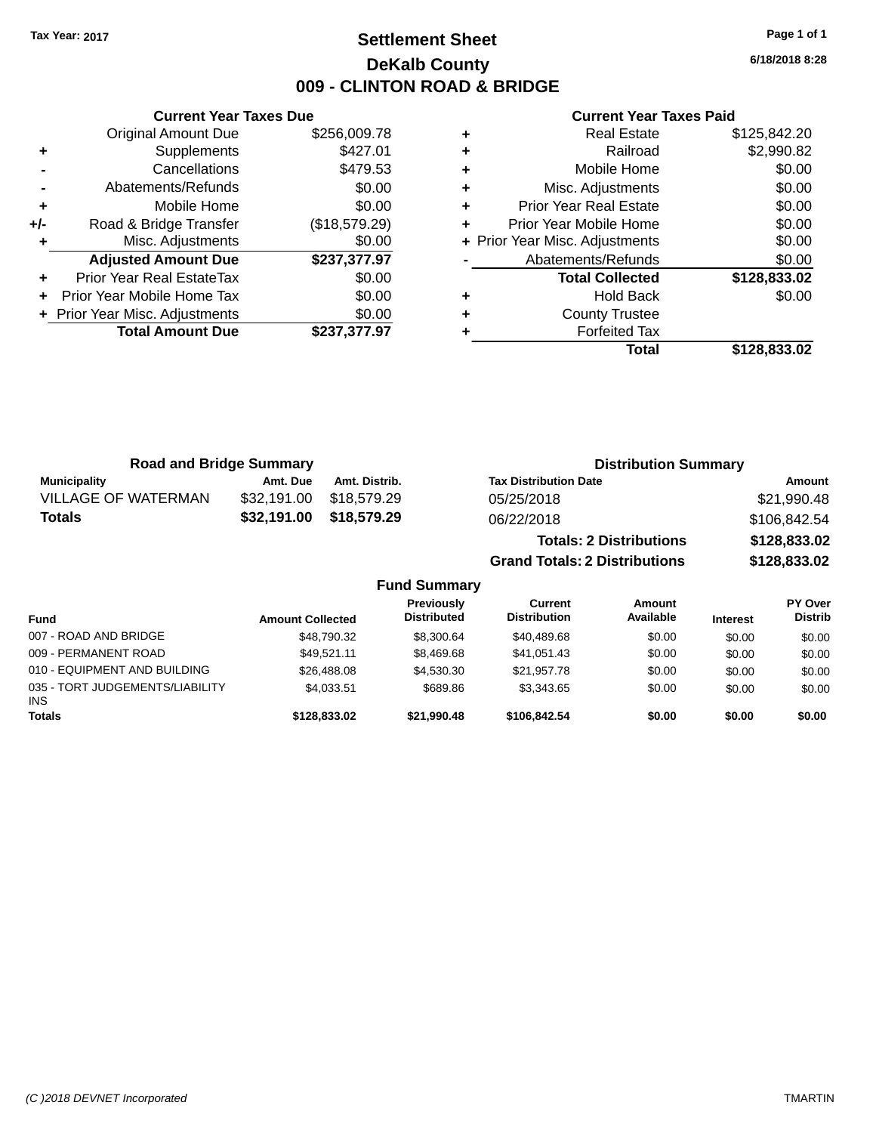## **Settlement Sheet Tax Year: 2017 Page 1 of 1 DeKalb County 009 - CLINTON ROAD & BRIDGE**

**6/18/2018 8:28**

#### **Current Year Taxes Paid**

|     | <b>Current Year Taxes Due</b>              |               |  |  |  |  |  |  |  |
|-----|--------------------------------------------|---------------|--|--|--|--|--|--|--|
|     | <b>Original Amount Due</b><br>\$256,009.78 |               |  |  |  |  |  |  |  |
| ٠   | Supplements                                | \$427.01      |  |  |  |  |  |  |  |
|     | Cancellations                              | \$479.53      |  |  |  |  |  |  |  |
|     | Abatements/Refunds                         | \$0.00        |  |  |  |  |  |  |  |
| ٠   | \$0.00<br>Mobile Home                      |               |  |  |  |  |  |  |  |
| +/- | Road & Bridge Transfer                     | (\$18,579.29) |  |  |  |  |  |  |  |
|     | Misc. Adjustments                          | \$0.00        |  |  |  |  |  |  |  |
|     | <b>Adjusted Amount Due</b>                 | \$237,377.97  |  |  |  |  |  |  |  |
| ٠   | Prior Year Real EstateTax                  | \$0.00        |  |  |  |  |  |  |  |
|     | Prior Year Mobile Home Tax                 | \$0.00        |  |  |  |  |  |  |  |
|     | + Prior Year Misc. Adjustments             | \$0.00        |  |  |  |  |  |  |  |
|     | <b>Total Amount Due</b>                    | \$237,377.97  |  |  |  |  |  |  |  |
|     |                                            |               |  |  |  |  |  |  |  |

|   | <b>Real Estate</b>             | \$125,842.20 |
|---|--------------------------------|--------------|
| ٠ | Railroad                       | \$2,990.82   |
| ٠ | Mobile Home                    | \$0.00       |
| ٠ | Misc. Adjustments              | \$0.00       |
| ٠ | <b>Prior Year Real Estate</b>  | \$0.00       |
| ٠ | Prior Year Mobile Home         | \$0.00       |
|   | + Prior Year Misc. Adjustments | \$0.00       |
|   | Abatements/Refunds             | \$0.00       |
|   | <b>Total Collected</b>         | \$128,833.02 |
| ٠ | <b>Hold Back</b>               | \$0.00       |
| ٠ | <b>County Trustee</b>          |              |
|   | <b>Forfeited Tax</b>           |              |
|   | Total                          | \$128,833.02 |

| <b>Road and Bridge Summary</b> |             |               | <b>Distribution Summary</b>          |              |  |  |
|--------------------------------|-------------|---------------|--------------------------------------|--------------|--|--|
| <b>Municipality</b>            | Amt. Due    | Amt. Distrib. | <b>Tax Distribution Date</b>         | Amount       |  |  |
| <b>VILLAGE OF WATERMAN</b>     | \$32,191.00 | \$18.579.29   | 05/25/2018                           | \$21,990.48  |  |  |
| Totals                         | \$32,191.00 | \$18,579.29   | 06/22/2018                           | \$106,842.54 |  |  |
|                                |             |               | <b>Totals: 2 Distributions</b>       | \$128,833.02 |  |  |
|                                |             |               | <b>Grand Totals: 2 Distributions</b> | \$128,833.02 |  |  |

| <b>Fund</b>                                   | <b>Amount Collected</b> | <b>Previously</b><br><b>Distributed</b> | Current<br><b>Distribution</b> | Amount<br>Available | <b>Interest</b> | PY Over<br><b>Distrib</b> |
|-----------------------------------------------|-------------------------|-----------------------------------------|--------------------------------|---------------------|-----------------|---------------------------|
| 007 - ROAD AND BRIDGE                         | \$48,790.32             | \$8,300.64                              | \$40,489.68                    | \$0.00              | \$0.00          | \$0.00                    |
| 009 - PERMANENT ROAD                          | \$49.521.11             | \$8,469.68                              | \$41,051.43                    | \$0.00              | \$0.00          | \$0.00                    |
| 010 - EQUIPMENT AND BUILDING                  | \$26,488,08             | \$4,530,30                              | \$21.957.78                    | \$0.00              | \$0.00          | \$0.00                    |
| 035 - TORT JUDGEMENTS/LIABILITY<br><b>INS</b> | \$4,033.51              | \$689.86                                | \$3.343.65                     | \$0.00              | \$0.00          | \$0.00                    |
| <b>Totals</b>                                 | \$128,833,02            | \$21.990.48                             | \$106,842,54                   | \$0.00              | \$0.00          | \$0.00                    |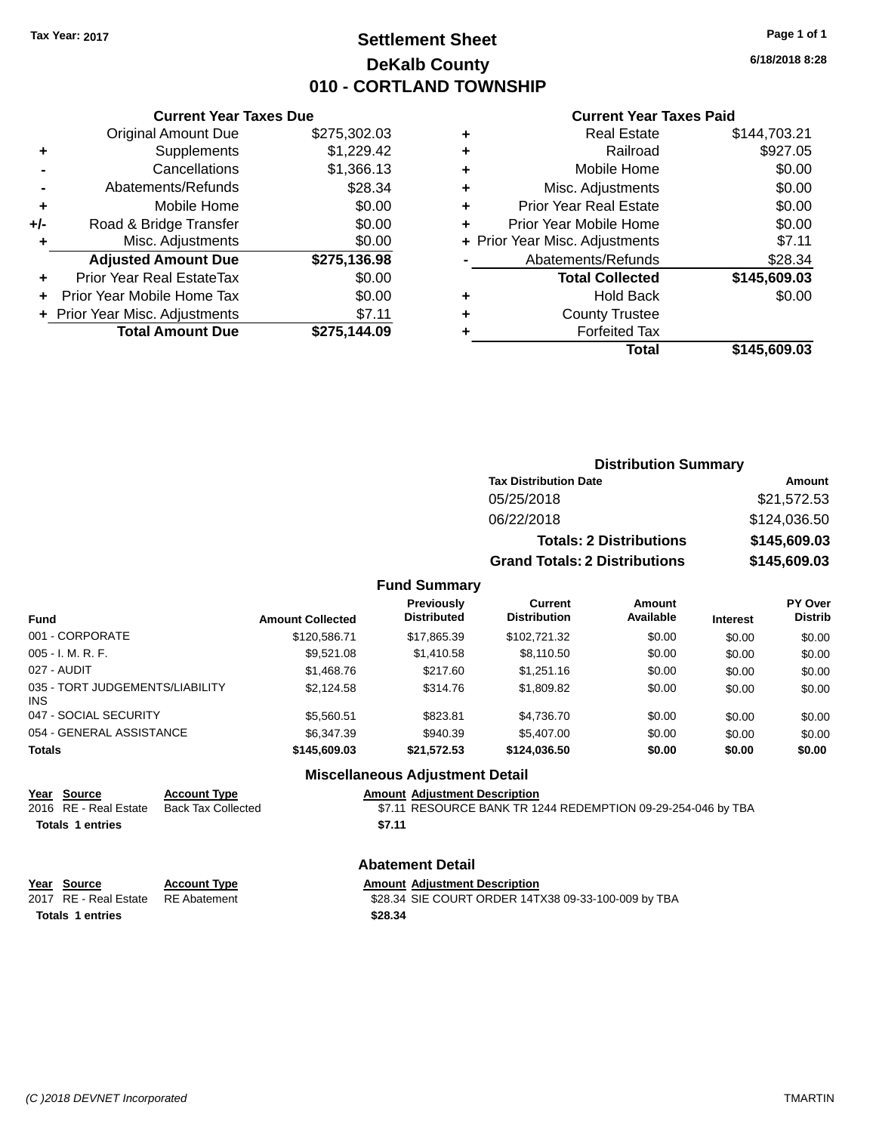## **Settlement Sheet Tax Year: 2017 Page 1 of 1 DeKalb County 010 - CORTLAND TOWNSHIP**

**Current Year Taxes Due**

|     | <b>Original Amount Due</b>     | \$275,302.03 |
|-----|--------------------------------|--------------|
| ٠   | Supplements                    | \$1,229.42   |
|     | Cancellations                  | \$1,366.13   |
|     | Abatements/Refunds             | \$28.34      |
| ٠   | Mobile Home                    | \$0.00       |
| +/- | Road & Bridge Transfer         | \$0.00       |
| ٠   | Misc. Adjustments              | \$0.00       |
|     | <b>Adjusted Amount Due</b>     | \$275,136.98 |
| ÷   | Prior Year Real EstateTax      | \$0.00       |
|     | Prior Year Mobile Home Tax     | \$0.00       |
|     | + Prior Year Misc. Adjustments | \$7.11       |
|     | <b>Total Amount Due</b>        | \$275,144.09 |

#### **Current Year Taxes Paid**

| ٠ | <b>Real Estate</b>             | \$144,703.21 |
|---|--------------------------------|--------------|
| ٠ | Railroad                       | \$927.05     |
| ٠ | Mobile Home                    | \$0.00       |
| ٠ | Misc. Adjustments              | \$0.00       |
| ٠ | <b>Prior Year Real Estate</b>  | \$0.00       |
| ٠ | Prior Year Mobile Home         | \$0.00       |
|   | + Prior Year Misc. Adjustments | \$7.11       |
|   | Abatements/Refunds             | \$28.34      |
|   | <b>Total Collected</b>         | \$145,609.03 |
| ٠ | <b>Hold Back</b>               | \$0.00       |
| ٠ | <b>County Trustee</b>          |              |
| ٠ | <b>Forfeited Tax</b>           |              |
|   | Total                          | \$145,609.03 |
|   |                                |              |

**6/18/2018 8:28**

| <b>Distribution Summary</b>          |              |
|--------------------------------------|--------------|
| <b>Tax Distribution Date</b>         | Amount       |
| 05/25/2018                           | \$21,572.53  |
| 06/22/2018                           | \$124,036.50 |
| <b>Totals: 2 Distributions</b>       | \$145,609.03 |
| <b>Grand Totals: 2 Distributions</b> | \$145,609.03 |

#### **Fund Summary**

| <b>Fund</b>                             | <b>Amount Collected</b> | <b>Previously</b><br><b>Distributed</b> | Current<br><b>Distribution</b> | Amount<br>Available | <b>Interest</b> | PY Over<br><b>Distrib</b> |
|-----------------------------------------|-------------------------|-----------------------------------------|--------------------------------|---------------------|-----------------|---------------------------|
| 001 - CORPORATE                         | \$120,586.71            | \$17,865.39                             | \$102,721.32                   | \$0.00              | \$0.00          | \$0.00                    |
| $005 - I. M. R. F.$                     | \$9,521.08              | \$1,410.58                              | \$8,110.50                     | \$0.00              | \$0.00          | \$0.00                    |
| 027 - AUDIT                             | \$1,468.76              | \$217.60                                | \$1,251.16                     | \$0.00              | \$0.00          | \$0.00                    |
| 035 - TORT JUDGEMENTS/LIABILITY<br>INS. | \$2.124.58              | \$314.76                                | \$1,809.82                     | \$0.00              | \$0.00          | \$0.00                    |
| 047 - SOCIAL SECURITY                   | \$5,560.51              | \$823.81                                | \$4.736.70                     | \$0.00              | \$0.00          | \$0.00                    |
| 054 - GENERAL ASSISTANCE                | \$6,347.39              | \$940.39                                | \$5,407.00                     | \$0.00              | \$0.00          | \$0.00                    |
| <b>Totals</b>                           | \$145,609.03            | \$21.572.53                             | \$124,036.50                   | \$0.00              | \$0.00          | \$0.00                    |

### **Miscellaneous Adjustment Detail**

# **Year Source Account Type**<br>
2016 RE - Real Estate Back Tax Collected **Amount Adjustment Description**<br>
\$7.11 RESOURCE BANK TR 12

\$7.11 RESOURCE BANK TR 1244 REDEMPTION 09-29-254-046 by TBA **Totals 1 entries \$7.11**

## **Abatement Detail**

|                         | Year Source                        | <b>Account Type</b> | <b>Amount Adjustment Description</b>                |
|-------------------------|------------------------------------|---------------------|-----------------------------------------------------|
|                         | 2017 RE - Real Estate RE Abatement |                     | \$28.34 SIE COURT ORDER 14TX38 09-33-100-009 by TBA |
| <b>Totals 1 entries</b> |                                    |                     | \$28.34                                             |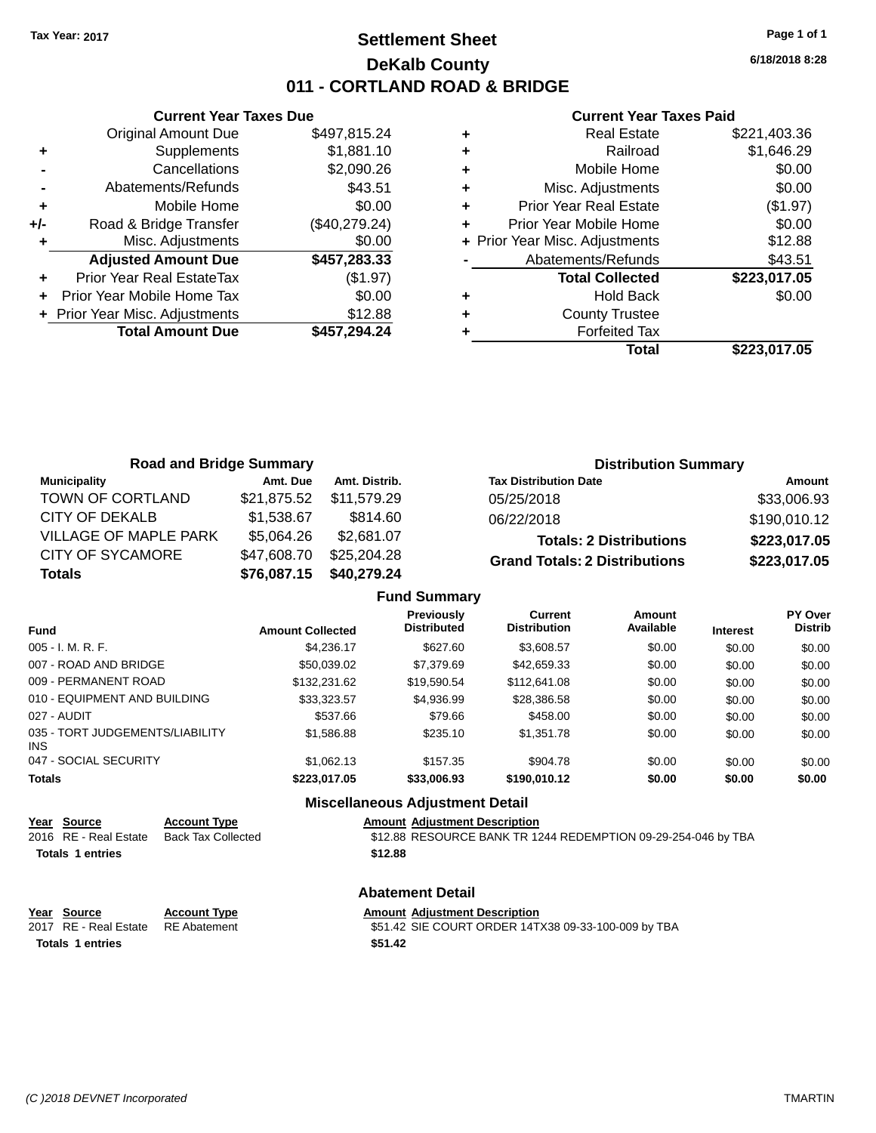## **Settlement Sheet Tax Year: 2017 Page 1 of 1 DeKalb County 011 - CORTLAND ROAD & BRIDGE**

**Current Year Taxes Due** Original Amount Due \$497,815.24 **+** Supplements \$1,881.10 **-** Cancellations \$2,090.26 **-** Abatements/Refunds \$43.51 **+** Mobile Home \$0.00 **+/-** Road & Bridge Transfer (\$40,279.24) **+** Misc. Adjustments \$0.00 **Adjusted Amount Due \$457,283.33 +** Prior Year Real EstateTax (\$1.97) **+** Prior Year Mobile Home Tax \$0.00 **+** Prior Year Misc. Adjustments \$12.88 **Total Amount Due \$457,294.24**

#### **Current Year Taxes Paid**

|   | <b>Real Estate</b>             | \$221,403.36 |
|---|--------------------------------|--------------|
| ٠ | Railroad                       | \$1,646.29   |
| ٠ | Mobile Home                    | \$0.00       |
| ٠ | Misc. Adjustments              | \$0.00       |
| ٠ | <b>Prior Year Real Estate</b>  | (\$1.97)     |
|   | Prior Year Mobile Home         | \$0.00       |
|   | + Prior Year Misc. Adjustments | \$12.88      |
|   | Abatements/Refunds             | \$43.51      |
|   | <b>Total Collected</b>         | \$223,017.05 |
| ٠ | <b>Hold Back</b>               | \$0.00       |
|   | <b>County Trustee</b>          |              |
|   | <b>Forfeited Tax</b>           |              |
|   | Total                          | \$223,017.05 |
|   |                                |              |

| <b>Road and Bridge Summary</b> |             |               | <b>Distribution Summary</b>          |              |
|--------------------------------|-------------|---------------|--------------------------------------|--------------|
| Municipality                   | Amt. Due    | Amt. Distrib. | <b>Tax Distribution Date</b>         | Amount       |
| TOWN OF CORTLAND               | \$21,875.52 | \$11,579.29   | 05/25/2018                           | \$33,006.93  |
| CITY OF DEKALB                 | \$1,538.67  | \$814.60      | 06/22/2018                           | \$190,010.12 |
| <b>VILLAGE OF MAPLE PARK</b>   | \$5,064.26  | \$2,681.07    | <b>Totals: 2 Distributions</b>       | \$223,017.05 |
| <b>CITY OF SYCAMORE</b>        | \$47,608.70 | \$25,204.28   | <b>Grand Totals: 2 Distributions</b> | \$223,017.05 |
| <b>Totals</b>                  | \$76,087.15 | \$40,279.24   |                                      |              |

|  | <b>Fund Summary</b> |
|--|---------------------|
|--|---------------------|

| <b>Fund</b>                             | <b>Amount Collected</b> | <b>Previously</b><br><b>Distributed</b> | <b>Current</b><br><b>Distribution</b> | Amount<br>Available | <b>Interest</b> | PY Over<br><b>Distrib</b> |
|-----------------------------------------|-------------------------|-----------------------------------------|---------------------------------------|---------------------|-----------------|---------------------------|
| $005 - I. M. R. F.$                     | \$4.236.17              | \$627.60                                | \$3.608.57                            | \$0.00              | \$0.00          | \$0.00                    |
| 007 - ROAD AND BRIDGE                   | \$50,039.02             | \$7,379.69                              | \$42,659.33                           | \$0.00              | \$0.00          | \$0.00                    |
| 009 - PERMANENT ROAD                    | \$132,231.62            | \$19.590.54                             | \$112,641.08                          | \$0.00              | \$0.00          | \$0.00                    |
| 010 - EQUIPMENT AND BUILDING            | \$33,323.57             | \$4,936.99                              | \$28,386.58                           | \$0.00              | \$0.00          | \$0.00                    |
| 027 - AUDIT                             | \$537.66                | \$79.66                                 | \$458.00                              | \$0.00              | \$0.00          | \$0.00                    |
| 035 - TORT JUDGEMENTS/LIABILITY<br>INS. | \$1,586.88              | \$235.10                                | \$1,351.78                            | \$0.00              | \$0.00          | \$0.00                    |
| 047 - SOCIAL SECURITY                   | \$1.062.13              | \$157.35                                | \$904.78                              | \$0.00              | \$0.00          | \$0.00                    |
| <b>Totals</b>                           | \$223,017.05            | \$33,006.93                             | \$190,010.12                          | \$0.00              | \$0.00          | \$0.00                    |

### **Miscellaneous Adjustment Detail**

# **<u>Year Source</u> <b>Account Type Amount Adjustment Description**<br>2016 RE - Real Estate Back Tax Collected \$12.88 RESOURCE BANK TR 12

\$12.88 RESOURCE BANK TR 1244 REDEMPTION 09-29-254-046 by TBA **Totals 1 entries \$12.88**

#### **Abatement Detail**

**Year** Source **Account Type Account Type Amount Adjustment Description** 

2017 RE - Real Estate RE Abatement \$51.42 SIE COURT ORDER 14TX38 09-33-100-009 by TBA **Totals 1 entries \$51.42**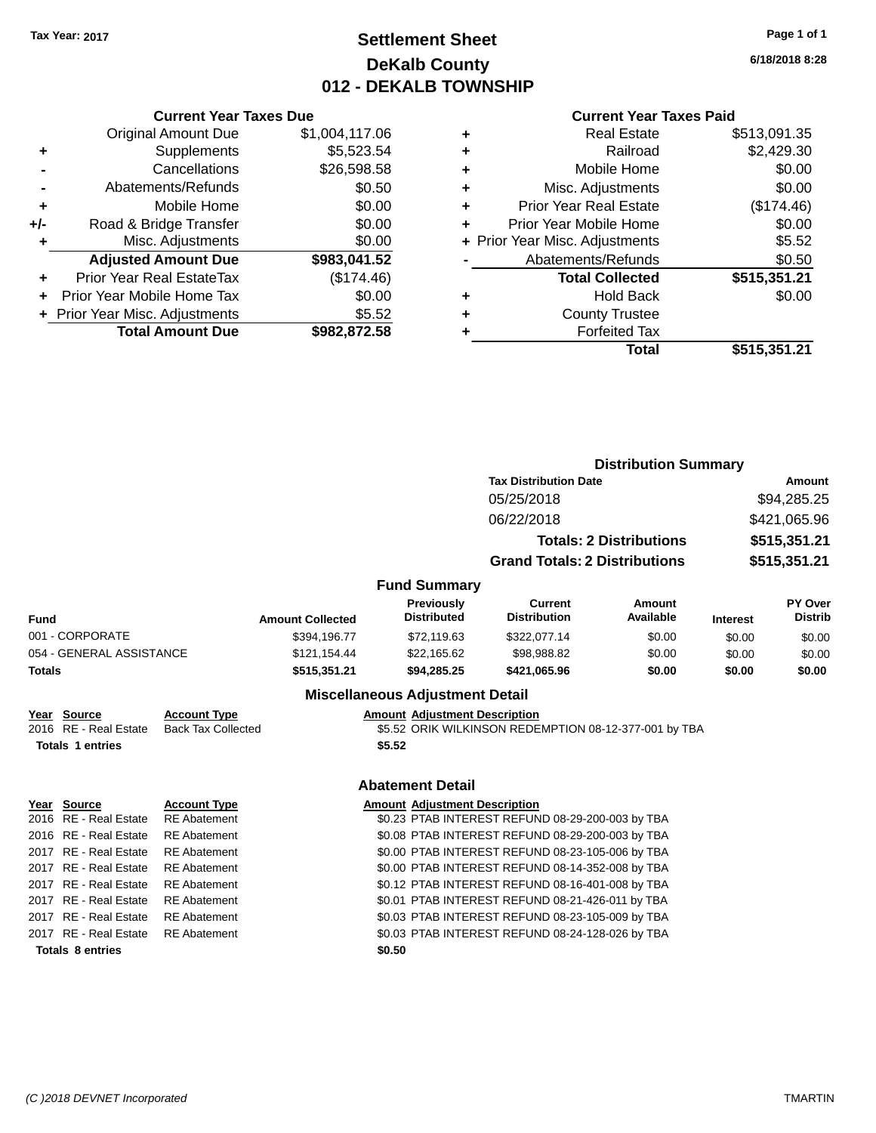## **Settlement Sheet Tax Year: 2017 Page 1 of 1 DeKalb County 012 - DEKALB TOWNSHIP**

**6/18/2018 8:28**

| <b>Current Year Taxes Paid</b> |  |  |  |
|--------------------------------|--|--|--|
|--------------------------------|--|--|--|

| <b>Current Year Taxes Due</b>    |                |
|----------------------------------|----------------|
| <b>Original Amount Due</b>       | \$1,004,117.06 |
| Supplements                      | \$5,523.54     |
| Cancellations                    | \$26,598.58    |
| Abatements/Refunds               | \$0.50         |
| Mobile Home                      | \$0.00         |
| Road & Bridge Transfer           | \$0.00         |
| Misc. Adjustments                | \$0.00         |
| <b>Adjusted Amount Due</b>       | \$983,041.52   |
| <b>Prior Year Real EstateTax</b> | (\$174.46)     |
| Prior Year Mobile Home Tax       | \$0.00         |
| + Prior Year Misc. Adjustments   | \$5.52         |
| <b>Total Amount Due</b>          | \$982.872.58   |
|                                  |                |

|   | <b>Real Estate</b>             | \$513,091.35 |
|---|--------------------------------|--------------|
| ٠ | Railroad                       | \$2,429.30   |
| ٠ | Mobile Home                    | \$0.00       |
| ٠ | Misc. Adjustments              | \$0.00       |
| ٠ | <b>Prior Year Real Estate</b>  | (\$174.46)   |
|   | Prior Year Mobile Home         | \$0.00       |
|   | + Prior Year Misc. Adjustments | \$5.52       |
|   | Abatements/Refunds             | \$0.50       |
|   | <b>Total Collected</b>         | \$515,351.21 |
| ٠ | <b>Hold Back</b>               | \$0.00       |
| ٠ | <b>County Trustee</b>          |              |
|   | <b>Forfeited Tax</b>           |              |
|   | Total                          | \$515,351.21 |
|   |                                |              |

|                              |                              |                         |                                         |                                                       | <b>Distribution Summary</b>    |                 |                           |  |
|------------------------------|------------------------------|-------------------------|-----------------------------------------|-------------------------------------------------------|--------------------------------|-----------------|---------------------------|--|
|                              | <b>Tax Distribution Date</b> |                         |                                         | Amount                                                |                                |                 |                           |  |
|                              |                              |                         |                                         | 05/25/2018                                            |                                |                 | \$94,285.25               |  |
|                              |                              |                         |                                         | 06/22/2018                                            |                                | \$421,065.96    |                           |  |
|                              |                              |                         |                                         |                                                       | <b>Totals: 2 Distributions</b> | \$515,351.21    |                           |  |
|                              |                              |                         |                                         | <b>Grand Totals: 2 Distributions</b>                  |                                |                 | \$515,351.21              |  |
|                              |                              |                         | <b>Fund Summary</b>                     |                                                       |                                |                 |                           |  |
| Fund                         |                              | <b>Amount Collected</b> | <b>Previously</b><br><b>Distributed</b> | Current<br><b>Distribution</b>                        | Amount<br>Available            | <b>Interest</b> | PY Over<br><b>Distrib</b> |  |
| 001 - CORPORATE              |                              | \$394,196.77            | \$72,119.63                             | \$322,077.14                                          | \$0.00                         | \$0.00          | \$0.00                    |  |
| 054 - GENERAL ASSISTANCE     |                              | \$121,154.44            | \$22,165.62                             | \$98,988.82                                           | \$0.00                         | \$0.00          | \$0.00                    |  |
| <b>Totals</b>                |                              | \$515,351.21            | \$94,285.25                             | \$421,065.96                                          | \$0.00                         | \$0.00          | \$0.00                    |  |
|                              |                              |                         | <b>Miscellaneous Adjustment Detail</b>  |                                                       |                                |                 |                           |  |
| <u>Year</u><br><b>Source</b> | <b>Account Type</b>          |                         | <b>Amount Adjustment Description</b>    |                                                       |                                |                 |                           |  |
| 2016 RE - Real Estate        | <b>Back Tax Collected</b>    |                         |                                         | \$5.52 ORIK WILKINSON REDEMPTION 08-12-377-001 by TBA |                                |                 |                           |  |
| <b>Totals 1 entries</b>      |                              |                         | \$5.52                                  |                                                       |                                |                 |                           |  |
|                              |                              |                         | <b>Abatement Detail</b>                 |                                                       |                                |                 |                           |  |
| Year Source                  | <b>Account Type</b>          |                         | <b>Amount Adjustment Description</b>    |                                                       |                                |                 |                           |  |

| rear source                        | ACCOUNT TYPE        |        | AINQUIR AGJUSTINENT DESCRIPTION                  |
|------------------------------------|---------------------|--------|--------------------------------------------------|
| 2016 RE - Real Estate RE Abatement |                     |        | \$0.23 PTAB INTEREST REFUND 08-29-200-003 by TBA |
| 2016 RE - Real Estate              | RE Abatement        |        | \$0.08 PTAB INTEREST REFUND 08-29-200-003 by TBA |
| 2017 RE - Real Estate              | <b>RE</b> Abatement |        | \$0.00 PTAB INTEREST REFUND 08-23-105-006 by TBA |
| 2017 RE - Real Estate              | RE Abatement        |        | \$0.00 PTAB INTEREST REFUND 08-14-352-008 by TBA |
| 2017 RE - Real Estate              | <b>RE Abatement</b> |        | \$0.12 PTAB INTEREST REFUND 08-16-401-008 by TBA |
| 2017 RE - Real Estate              | <b>RE</b> Abatement |        | \$0.01 PTAB INTEREST REFUND 08-21-426-011 by TBA |
| 2017 RE - Real Estate              | <b>RE</b> Abatement |        | \$0.03 PTAB INTEREST REFUND 08-23-105-009 by TBA |
| 2017 RE - Real Estate RE Abatement |                     |        | \$0.03 PTAB INTEREST REFUND 08-24-128-026 by TBA |
| <b>Totals 8 entries</b>            |                     | \$0.50 |                                                  |
|                                    |                     |        |                                                  |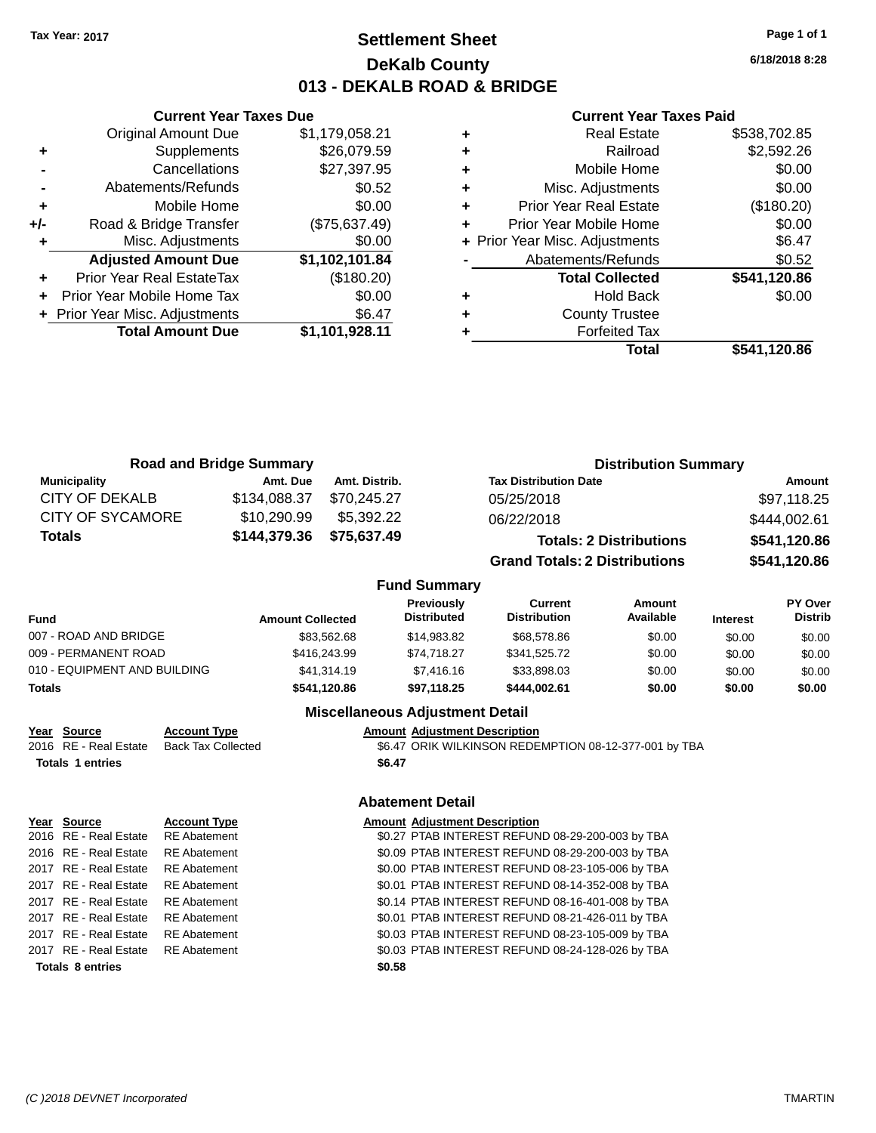## **Settlement Sheet Tax Year: 2017 Page 1 of 1 DeKalb County 013 - DEKALB ROAD & BRIDGE**

**6/18/2018 8:28**

#### **Current Year Taxes Paid**

|       | <b>Total Amount Due</b>        | \$1,101,928.11 |
|-------|--------------------------------|----------------|
|       | + Prior Year Misc. Adjustments | \$6.47         |
| ÷     | Prior Year Mobile Home Tax     | \$0.00         |
| ٠     | Prior Year Real EstateTax      | (\$180.20)     |
|       | <b>Adjusted Amount Due</b>     | \$1,102,101.84 |
| ٠     | Misc. Adjustments              | \$0.00         |
| $+/-$ | Road & Bridge Transfer         | (\$75,637.49)  |
| ٠     | Mobile Home                    | \$0.00         |
|       | Abatements/Refunds             | \$0.52         |
|       | Cancellations                  | \$27,397.95    |
| ٠     | Supplements                    | \$26,079.59    |
|       | <b>Original Amount Due</b>     | \$1,179,058.21 |
|       |                                |                |

**Current Year Taxes Due**

|   | <b>Real Estate</b>             | \$538,702.85 |
|---|--------------------------------|--------------|
| ٠ | Railroad                       | \$2,592.26   |
| ٠ | Mobile Home                    | \$0.00       |
| ٠ | Misc. Adjustments              | \$0.00       |
| ٠ | <b>Prior Year Real Estate</b>  | (\$180.20)   |
|   | Prior Year Mobile Home         | \$0.00       |
|   | + Prior Year Misc. Adjustments | \$6.47       |
|   | Abatements/Refunds             | \$0.52       |
|   | <b>Total Collected</b>         | \$541,120.86 |
| ٠ | <b>Hold Back</b>               | \$0.00       |
| ٠ | <b>County Trustee</b>          |              |
|   | <b>Forfeited Tax</b>           |              |
|   | Total                          | \$541,120.86 |
|   |                                |              |

|                         | <b>Road and Bridge Summary</b> |               | <b>Distribution Summary</b>          |              |
|-------------------------|--------------------------------|---------------|--------------------------------------|--------------|
| <b>Municipality</b>     | Amt. Due                       | Amt. Distrib. | <b>Tax Distribution Date</b>         | Amount       |
| CITY OF DEKALB          | \$134,088.37                   | \$70.245.27   | 05/25/2018                           | \$97,118.25  |
| <b>CITY OF SYCAMORE</b> | \$10,290.99                    | \$5,392.22    | 06/22/2018                           | \$444,002.61 |
| Totals                  | \$144,379.36                   | \$75,637.49   | <b>Totals: 2 Distributions</b>       | \$541,120.86 |
|                         |                                |               | <b>Grand Totals: 2 Distributions</b> | \$541,120.86 |

### **Fund Summary**

| <b>Fund</b>                  | <b>Amount Collected</b> | <b>Previously</b><br><b>Distributed</b> | Current<br><b>Distribution</b> | Amount<br>Available | <b>Interest</b> | <b>PY Over</b><br><b>Distrib</b> |
|------------------------------|-------------------------|-----------------------------------------|--------------------------------|---------------------|-----------------|----------------------------------|
| 007 - ROAD AND BRIDGE        | \$83.562.68             | \$14,983.82                             | \$68,578.86                    | \$0.00              | \$0.00          | \$0.00                           |
| 009 - PERMANENT ROAD         | \$416,243.99            | \$74.718.27                             | \$341.525.72                   | \$0.00              | \$0.00          | \$0.00                           |
| 010 - EQUIPMENT AND BUILDING | \$41,314.19             | \$7,416.16                              | \$33,898,03                    | \$0.00              | \$0.00          | \$0.00                           |
| <b>Totals</b>                | \$541,120.86            | \$97,118.25                             | \$444.002.61                   | \$0.00              | \$0.00          | \$0.00                           |

### **Miscellaneous Adjustment Detail**

| Year Source             | <b>Account Type</b>       | <b>Amount Adjustment Description</b>                  |
|-------------------------|---------------------------|-------------------------------------------------------|
| 2016 RE - Real Estate   | <b>Back Tax Collected</b> | \$6.47 ORIK WILKINSON REDEMPTION 08-12-377-001 by TBA |
| <b>Totals 1 entries</b> |                           | \$6.47                                                |
|                         |                           | <b>Abatement Detail</b>                               |
| Year Source             | <b>Account Type</b>       | <b>Amount Adjustment Description</b>                  |
| 2016 RE - Real Estate   | <b>RE</b> Abatement       | \$0.27 PTAB INTEREST REFUND 08-29-200-003 by TBA      |
| 2016 RE - Real Estate   | <b>RE</b> Abatement       | \$0.09 PTAB INTEREST REFUND 08-29-200-003 by TBA      |
| 2017 RE - Real Estate   | <b>RE</b> Abatement       | \$0.00 PTAB INTEREST REFUND 08-23-105-006 by TBA      |
| 2017 RE - Real Estate   | <b>RE</b> Abatement       | \$0.01 PTAB INTEREST REFUND 08-14-352-008 by TBA      |
| 2017 RE - Real Estate   | <b>RE</b> Abatement       | \$0.14 PTAB INTEREST REFUND 08-16-401-008 by TBA      |
| 2017 RE - Real Estate   | <b>RE</b> Abatement       | \$0.01 PTAB INTEREST REFUND 08-21-426-011 by TBA      |

2017 RE - Real Estate RE Abatement \$0.03 PTAB INTEREST REFUND 08-23-105-009 by TBA

**Totals 8 entries \$0.58**

2017 RE - Real Estate RE Abatement \$0.03 PTAB INTEREST REFUND 08-24-128-026 by TBA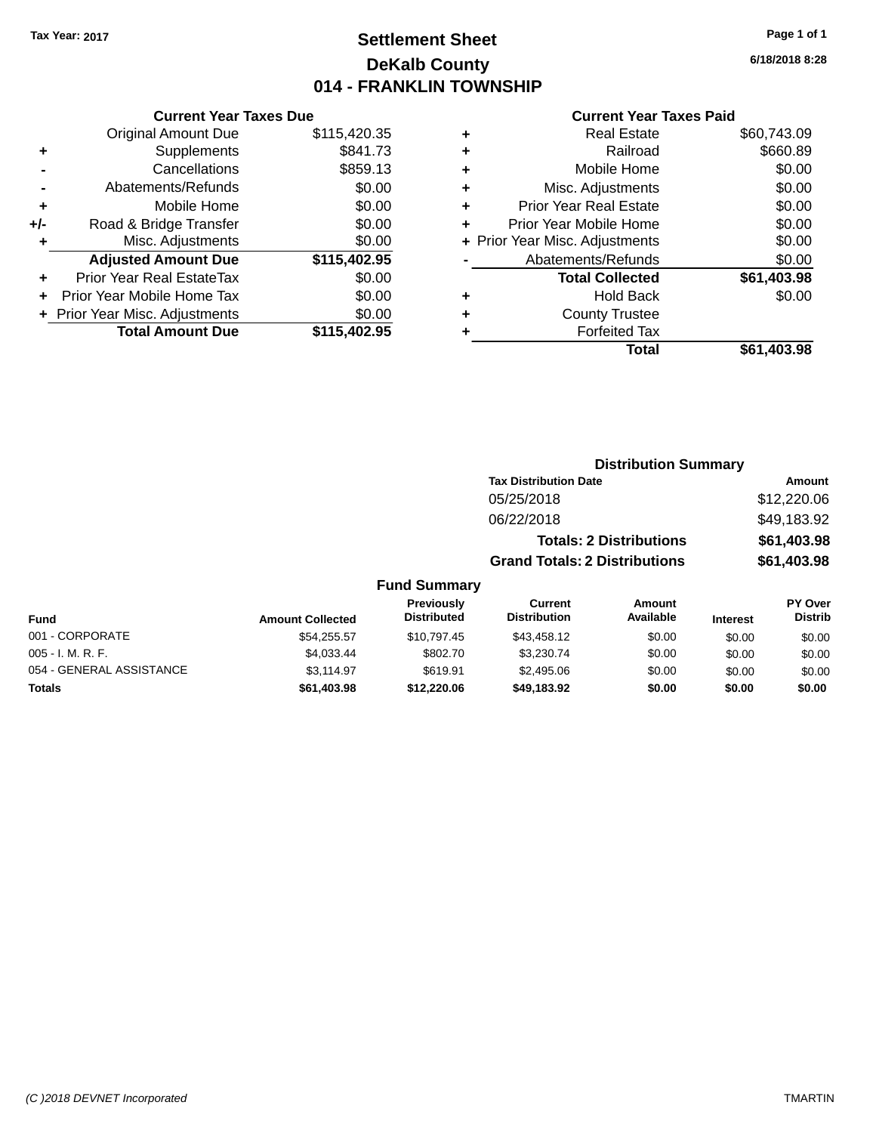## **Settlement Sheet Tax Year: 2017 Page 1 of 1 DeKalb County 014 - FRANKLIN TOWNSHIP**

**6/18/2018 8:28**

#### **Current Year Taxes Paid**

|     | <b>Current Year Taxes Due</b>  |              |
|-----|--------------------------------|--------------|
|     | <b>Original Amount Due</b>     | \$115,420.35 |
| ٠   | Supplements                    | \$841.73     |
|     | Cancellations                  | \$859.13     |
|     | Abatements/Refunds             | \$0.00       |
| ٠   | Mobile Home                    | \$0.00       |
| +/- | Road & Bridge Transfer         | \$0.00       |
| ٠   | Misc. Adjustments              | \$0.00       |
|     | <b>Adjusted Amount Due</b>     | \$115,402.95 |
| ٠   | Prior Year Real EstateTax      | \$0.00       |
| ÷   | Prior Year Mobile Home Tax     | \$0.00       |
|     | + Prior Year Misc. Adjustments | \$0.00       |
|     | <b>Total Amount Due</b>        | \$115,402.95 |
|     |                                |              |

| ٠ | <b>Real Estate</b>             | \$60,743.09 |
|---|--------------------------------|-------------|
| ٠ | Railroad                       | \$660.89    |
| ٠ | Mobile Home                    | \$0.00      |
| ٠ | Misc. Adjustments              | \$0.00      |
| ٠ | <b>Prior Year Real Estate</b>  | \$0.00      |
| ٠ | Prior Year Mobile Home         | \$0.00      |
|   | + Prior Year Misc. Adjustments | \$0.00      |
|   | Abatements/Refunds             | \$0.00      |
|   | <b>Total Collected</b>         | \$61,403.98 |
| ٠ | <b>Hold Back</b>               | \$0.00      |
| ٠ | <b>County Trustee</b>          |             |
| ٠ | <b>Forfeited Tax</b>           |             |
|   | Total                          | \$61,403.98 |
|   |                                |             |

| <b>Distribution Summary</b>          |             |
|--------------------------------------|-------------|
| <b>Tax Distribution Date</b>         | Amount      |
| 05/25/2018                           | \$12,220.06 |
| 06/22/2018                           | \$49,183.92 |
| <b>Totals: 2 Distributions</b>       | \$61,403.98 |
| <b>Grand Totals: 2 Distributions</b> | \$61,403.98 |

| <b>Fund</b>              | <b>Amount Collected</b> | <b>Previously</b><br><b>Distributed</b> | Current<br><b>Distribution</b> | Amount<br>Available | <b>Interest</b> | <b>PY Over</b><br><b>Distrib</b> |
|--------------------------|-------------------------|-----------------------------------------|--------------------------------|---------------------|-----------------|----------------------------------|
| 001 - CORPORATE          | \$54,255.57             | \$10.797.45                             | \$43,458.12                    | \$0.00              | \$0.00          | \$0.00                           |
| $005 - I. M. R. F.$      | \$4.033.44              | \$802.70                                | \$3.230.74                     | \$0.00              | \$0.00          | \$0.00                           |
| 054 - GENERAL ASSISTANCE | \$3.114.97              | \$619.91                                | \$2,495.06                     | \$0.00              | \$0.00          | \$0.00                           |
| Totals                   | \$61,403.98             | \$12,220.06                             | \$49,183.92                    | \$0.00              | \$0.00          | \$0.00                           |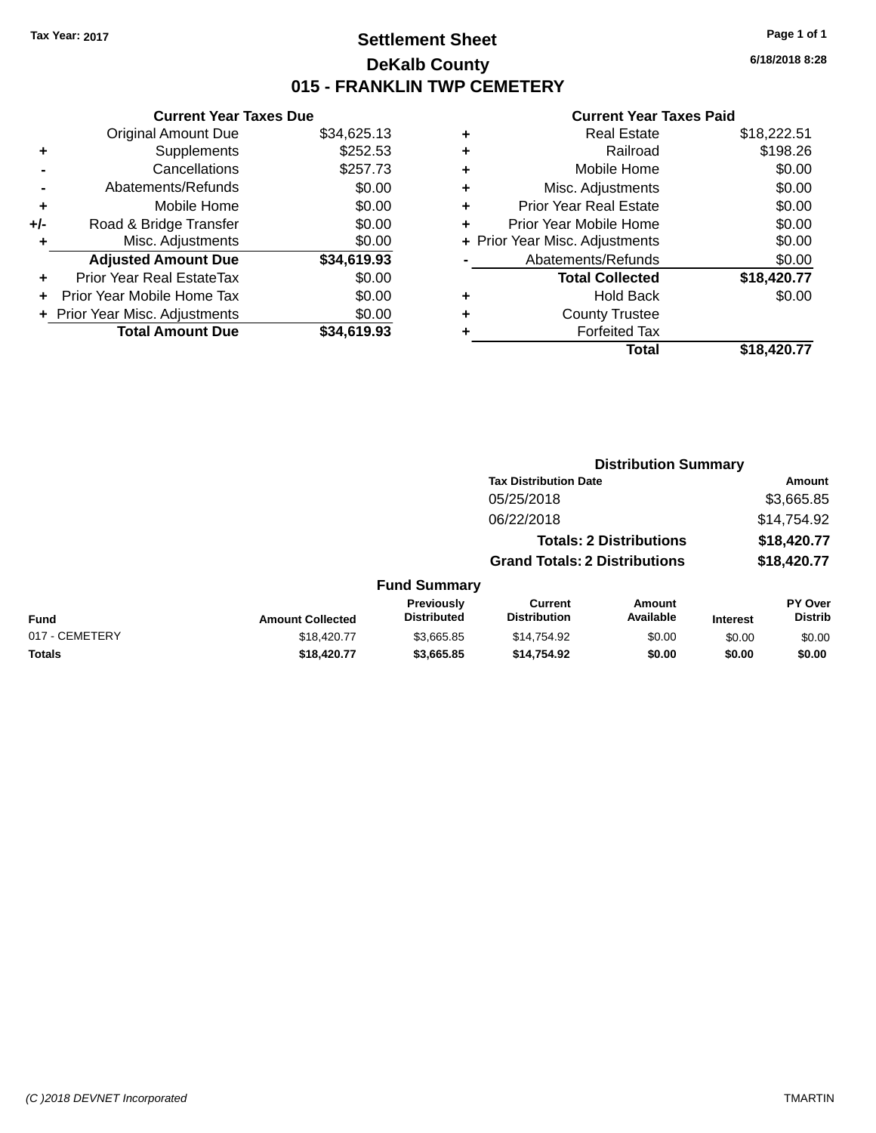## **Settlement Sheet Tax Year: 2017 Page 1 of 1 DeKalb County 015 - FRANKLIN TWP CEMETERY**

**6/18/2018 8:28**

|     | <b>Current Year Taxes Due</b>  |             |
|-----|--------------------------------|-------------|
|     | <b>Original Amount Due</b>     | \$34,625.13 |
| ٠   | Supplements                    | \$252.53    |
|     | Cancellations                  | \$257.73    |
|     | Abatements/Refunds             | \$0.00      |
| ٠   | Mobile Home                    | \$0.00      |
| +/- | Road & Bridge Transfer         | \$0.00      |
| ٠   | Misc. Adjustments              | \$0.00      |
|     | <b>Adjusted Amount Due</b>     | \$34,619.93 |
| ٠   | Prior Year Real EstateTax      | \$0.00      |
| ÷   | Prior Year Mobile Home Tax     | \$0.00      |
|     | + Prior Year Misc. Adjustments | \$0.00      |
|     | <b>Total Amount Due</b>        | \$34.619.93 |

| ٠ | <b>Real Estate</b>             | \$18,222.51 |
|---|--------------------------------|-------------|
| ٠ | Railroad                       | \$198.26    |
| ٠ | Mobile Home                    | \$0.00      |
| ٠ | Misc. Adjustments              | \$0.00      |
| ٠ | <b>Prior Year Real Estate</b>  | \$0.00      |
| ٠ | Prior Year Mobile Home         | \$0.00      |
|   | + Prior Year Misc. Adjustments | \$0.00      |
|   | Abatements/Refunds             | \$0.00      |
|   | <b>Total Collected</b>         | \$18,420.77 |
| ٠ | <b>Hold Back</b>               | \$0.00      |
| ٠ | <b>County Trustee</b>          |             |
|   | <b>Forfeited Tax</b>           |             |
|   | Total                          | \$18,420.77 |
|   |                                |             |

|                |                         |                                  |                                       | <b>Distribution Summary</b>    |                 |                           |
|----------------|-------------------------|----------------------------------|---------------------------------------|--------------------------------|-----------------|---------------------------|
|                |                         |                                  | <b>Tax Distribution Date</b>          |                                |                 | Amount                    |
|                |                         |                                  | 05/25/2018                            |                                |                 | \$3,665.85                |
|                |                         |                                  | 06/22/2018                            |                                |                 | \$14,754.92               |
|                |                         |                                  |                                       | <b>Totals: 2 Distributions</b> |                 | \$18,420.77               |
|                |                         |                                  | <b>Grand Totals: 2 Distributions</b>  |                                |                 | \$18,420.77               |
|                |                         | <b>Fund Summary</b>              |                                       |                                |                 |                           |
| <b>Fund</b>    | <b>Amount Collected</b> | Previously<br><b>Distributed</b> | <b>Current</b><br><b>Distribution</b> | Amount<br>Available            | <b>Interest</b> | PY Over<br><b>Distrib</b> |
| 017 - CEMETERY | \$18,420.77             | \$3,665.85                       | \$14,754.92                           | \$0.00                         | \$0.00          | \$0.00                    |
| <b>Totals</b>  | \$18,420.77             | \$3,665.85                       | \$14,754.92                           | \$0.00                         | \$0.00          | \$0.00                    |
|                |                         |                                  |                                       |                                |                 |                           |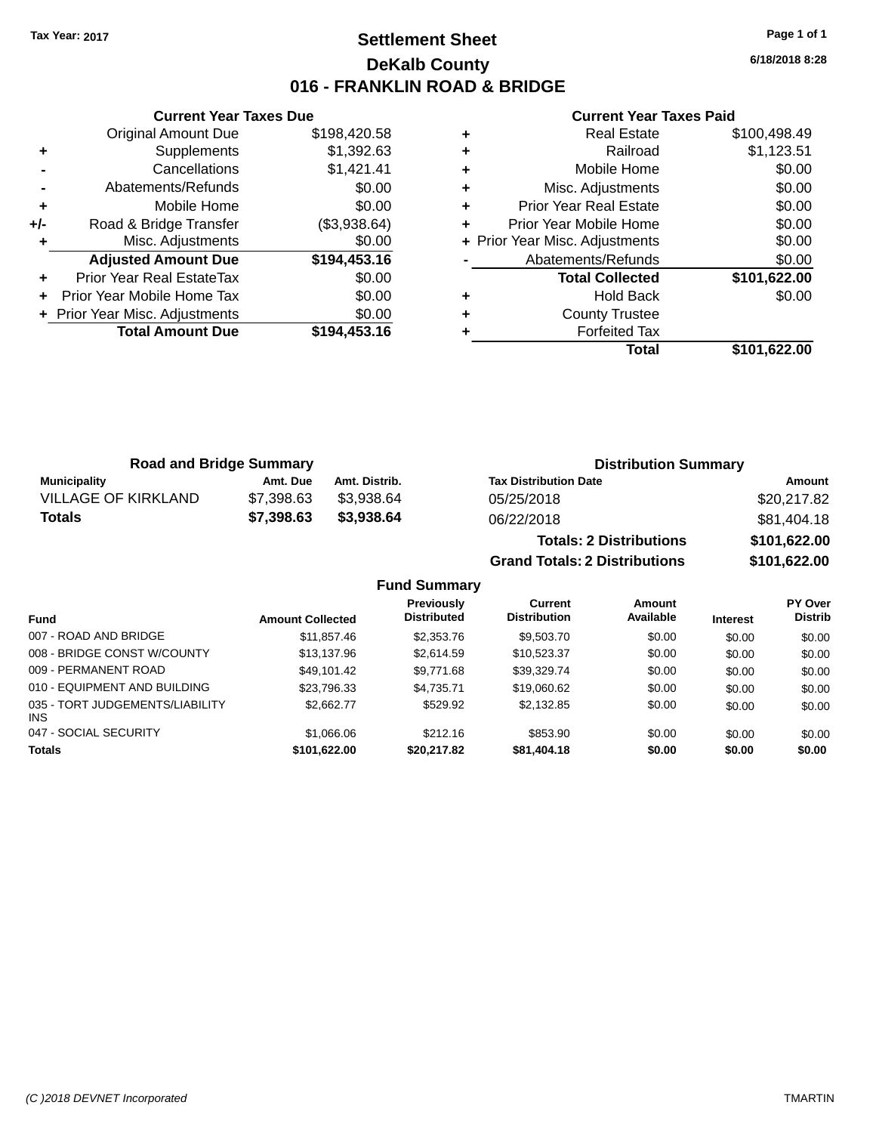## **Settlement Sheet Tax Year: 2017 Page 1 of 1 DeKalb County 016 - FRANKLIN ROAD & BRIDGE**

**6/18/2018 8:28**

#### **Current Year Taxes Paid**

|     | <b>Total Amount Due</b>        | \$194,453.16 |
|-----|--------------------------------|--------------|
|     | + Prior Year Misc. Adjustments | \$0.00       |
| ٠   | Prior Year Mobile Home Tax     | \$0.00       |
| ٠   | Prior Year Real EstateTax      | \$0.00       |
|     | <b>Adjusted Amount Due</b>     | \$194,453.16 |
| ٠   | Misc. Adjustments              | \$0.00       |
| +/- | Road & Bridge Transfer         | (\$3,938.64) |
| ٠   | Mobile Home                    | \$0.00       |
|     | Abatements/Refunds             | \$0.00       |
|     | Cancellations                  | \$1,421.41   |
| ٠   | Supplements                    | \$1,392.63   |
|     | <b>Original Amount Due</b>     | \$198,420.58 |
|     |                                |              |

**Current Year Taxes Due**

| <b>Real Estate</b>            | \$100,498.49                   |
|-------------------------------|--------------------------------|
| Railroad                      | \$1,123.51                     |
| Mobile Home                   | \$0.00                         |
| Misc. Adjustments             | \$0.00                         |
| <b>Prior Year Real Estate</b> | \$0.00                         |
| Prior Year Mobile Home        | \$0.00                         |
|                               | \$0.00                         |
| Abatements/Refunds            | \$0.00                         |
| <b>Total Collected</b>        | \$101,622.00                   |
| <b>Hold Back</b>              | \$0.00                         |
| <b>County Trustee</b>         |                                |
| <b>Forfeited Tax</b>          |                                |
| Total                         | \$101,622.00                   |
|                               | + Prior Year Misc. Adjustments |

**Grand Totals: 2 Distributions \$101,622.00**

| <b>Road and Bridge Summary</b> |            |               | <b>Distribution Summary</b>    |              |
|--------------------------------|------------|---------------|--------------------------------|--------------|
| Municipality                   | Amt. Due   | Amt. Distrib. | <b>Tax Distribution Date</b>   | Amount       |
| VILLAGE OF KIRKLAND            | \$7.398.63 | \$3.938.64    | 05/25/2018                     | \$20,217.82  |
| Totals                         | \$7,398.63 | \$3,938.64    | 06/22/2018                     | \$81,404.18  |
|                                |            |               | <b>Totals: 2 Distributions</b> | \$101,622.00 |

**Fund Summary Fund Interest Amount Collected Distributed PY Over Distrib Amount Available Current Distribution Previously** 007 - ROAD AND BRIDGE 60.00 \$11,857.46 \$2,353.76 \$9,503.70 \$0.00 \$0.00 \$0.00 \$0.00 008 - BRIDGE CONST W/COUNTY  $$13,137.96$   $$2,614.59$   $$10,523.37$   $$0.00$   $$0.00$   $$0.00$ 009 - PERMANENT ROAD \$19,101.42 \$9,771.68 \$39,329.74 \$0.00 \$0.00 \$0.00 \$0.00 010 - EQUIPMENT AND BUILDING \$23,796.33 \$4,735.71 \$19,060.62 \$0.00 \$0.00 \$0.00 035 - TORT JUDGEMENTS/LIABILITY INS \$2,662.77 \$529.92 \$2,132.85 \$0.00 \$0.00 \$0.00 047 - SOCIAL SECURITY \$1,066.06 \$212.16 \$853.90 \$0.00 \$0.00 \$0.00 **Totals \$101,622.00 \$20,217.82 \$81,404.18 \$0.00 \$0.00 \$0.00**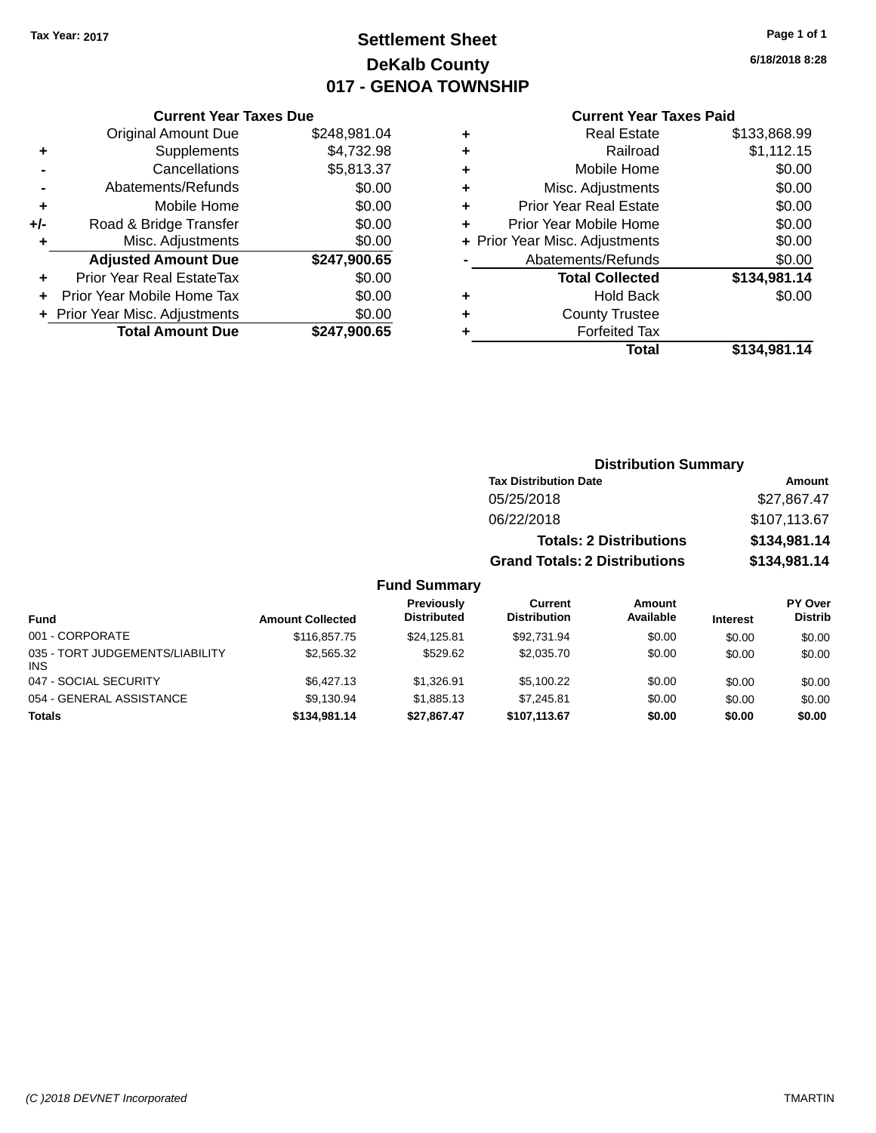## **Settlement Sheet Tax Year: 2017 Page 1 of 1 DeKalb County 017 - GENOA TOWNSHIP**

**6/18/2018 8:28**

|     | <b>Current Year Taxes Due</b>    |              |  |  |  |
|-----|----------------------------------|--------------|--|--|--|
|     | <b>Original Amount Due</b>       | \$248,981.04 |  |  |  |
| ٠   | Supplements                      | \$4,732.98   |  |  |  |
|     | Cancellations                    | \$5,813.37   |  |  |  |
|     | Abatements/Refunds               | \$0.00       |  |  |  |
| ٠   | Mobile Home                      | \$0.00       |  |  |  |
| +/- | Road & Bridge Transfer           | \$0.00       |  |  |  |
| ٠   | Misc. Adjustments                | \$0.00       |  |  |  |
|     | <b>Adjusted Amount Due</b>       | \$247,900.65 |  |  |  |
| ٠   | <b>Prior Year Real EstateTax</b> | \$0.00       |  |  |  |
|     | Prior Year Mobile Home Tax       | \$0.00       |  |  |  |
|     | + Prior Year Misc. Adjustments   | \$0.00       |  |  |  |
|     | <b>Total Amount Due</b>          | \$247,900.65 |  |  |  |
|     |                                  |              |  |  |  |

### **Current Year Taxes Paid**

|   | <b>Real Estate</b>             | \$133,868.99 |
|---|--------------------------------|--------------|
| ٠ | Railroad                       | \$1,112.15   |
| ٠ | Mobile Home                    | \$0.00       |
| ٠ | Misc. Adjustments              | \$0.00       |
| ٠ | <b>Prior Year Real Estate</b>  | \$0.00       |
| ÷ | Prior Year Mobile Home         | \$0.00       |
|   | + Prior Year Misc. Adjustments | \$0.00       |
|   | Abatements/Refunds             | \$0.00       |
|   | <b>Total Collected</b>         | \$134,981.14 |
| ٠ | <b>Hold Back</b>               | \$0.00       |
| ٠ | <b>County Trustee</b>          |              |
| ٠ | <b>Forfeited Tax</b>           |              |
|   | Total                          | \$134,981.14 |
|   |                                |              |

### **Distribution Summary Tax Distribution Date Amount** 05/25/2018 \$27,867.47 06/22/2018 \$107,113.67 **Totals: 2 Distributions \$134,981.14 Grand Totals: 2 Distributions \$134,981.14**

| <b>Fund</b>                             | <b>Amount Collected</b> | Previously<br><b>Distributed</b> | Current<br><b>Distribution</b> | Amount<br>Available | <b>Interest</b> | PY Over<br><b>Distrib</b> |
|-----------------------------------------|-------------------------|----------------------------------|--------------------------------|---------------------|-----------------|---------------------------|
| 001 - CORPORATE                         | \$116,857.75            | \$24.125.81                      | \$92,731.94                    | \$0.00              | \$0.00          | \$0.00                    |
| 035 - TORT JUDGEMENTS/LIABILITY<br>INS. | \$2,565.32              | \$529.62                         | \$2,035.70                     | \$0.00              | \$0.00          | \$0.00                    |
| 047 - SOCIAL SECURITY                   | \$6,427.13              | \$1.326.91                       | \$5,100.22                     | \$0.00              | \$0.00          | \$0.00                    |
| 054 - GENERAL ASSISTANCE                | \$9.130.94              | \$1,885.13                       | \$7.245.81                     | \$0.00              | \$0.00          | \$0.00                    |
| <b>Totals</b>                           | \$134,981.14            | \$27.867.47                      | \$107.113.67                   | \$0.00              | \$0.00          | \$0.00                    |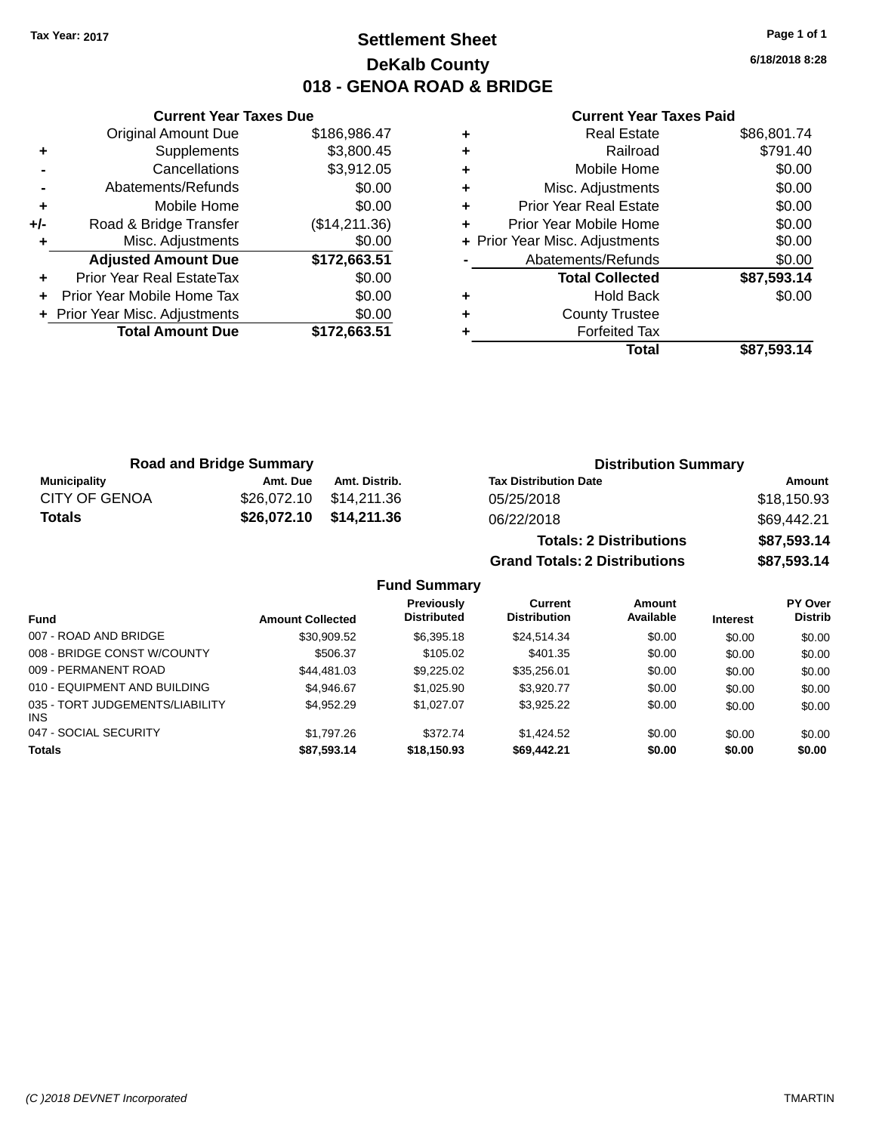## **Settlement Sheet Tax Year: 2017 Page 1 of 1 DeKalb County 018 - GENOA ROAD & BRIDGE**

**6/18/2018 8:28**

#### **Current Year Taxes Paid**

|     | <b>Current Year Taxes Due</b>  |               |  |  |  |  |
|-----|--------------------------------|---------------|--|--|--|--|
|     | <b>Original Amount Due</b>     | \$186,986.47  |  |  |  |  |
| ٠   | Supplements                    | \$3,800.45    |  |  |  |  |
|     | Cancellations                  | \$3,912.05    |  |  |  |  |
|     | Abatements/Refunds             | \$0.00        |  |  |  |  |
| ٠   | \$0.00<br>Mobile Home          |               |  |  |  |  |
| +/- | Road & Bridge Transfer         | (\$14,211.36) |  |  |  |  |
|     | Misc. Adjustments              | \$0.00        |  |  |  |  |
|     | <b>Adjusted Amount Due</b>     | \$172,663.51  |  |  |  |  |
| ٠   | Prior Year Real EstateTax      | \$0.00        |  |  |  |  |
|     | Prior Year Mobile Home Tax     | \$0.00        |  |  |  |  |
|     | + Prior Year Misc. Adjustments | \$0.00        |  |  |  |  |
|     | <b>Total Amount Due</b>        | \$172.663.51  |  |  |  |  |
|     |                                |               |  |  |  |  |

| ٠ | <b>Real Estate</b>             | \$86,801.74 |
|---|--------------------------------|-------------|
| ٠ | Railroad                       | \$791.40    |
| ٠ | Mobile Home                    | \$0.00      |
| ٠ | Misc. Adjustments              | \$0.00      |
| ٠ | <b>Prior Year Real Estate</b>  | \$0.00      |
| ÷ | Prior Year Mobile Home         | \$0.00      |
|   | + Prior Year Misc. Adjustments | \$0.00      |
|   | Abatements/Refunds             | \$0.00      |
|   | <b>Total Collected</b>         | \$87,593.14 |
| ٠ | <b>Hold Back</b>               | \$0.00      |
| ٠ | <b>County Trustee</b>          |             |
| ٠ | <b>Forfeited Tax</b>           |             |
|   | Total                          | \$87,593.14 |
|   |                                |             |

**Grand Totals: 2 Distributions \$87,593.14**

| <b>Road and Bridge Summary</b> |          |                         | <b>Distribution Summary</b>    |             |
|--------------------------------|----------|-------------------------|--------------------------------|-------------|
| Municipality                   | Amt. Due | Amt. Distrib.           | <b>Tax Distribution Date</b>   | Amount      |
| CITY OF GENOA                  |          | \$26,072.10 \$14,211.36 | 05/25/2018                     | \$18,150.93 |
| Totals                         |          | \$26,072.10 \$14,211.36 | 06/22/2018                     | \$69,442.21 |
|                                |          |                         | <b>Totals: 2 Distributions</b> | \$87,593.14 |

|                                        |                         | <b>Fund Summary</b>                     |                                       |                     |                 |                           |
|----------------------------------------|-------------------------|-----------------------------------------|---------------------------------------|---------------------|-----------------|---------------------------|
| <b>Fund</b>                            | <b>Amount Collected</b> | <b>Previously</b><br><b>Distributed</b> | <b>Current</b><br><b>Distribution</b> | Amount<br>Available | <b>Interest</b> | PY Over<br><b>Distrib</b> |
| 007 - ROAD AND BRIDGE                  | \$30,909.52             | \$6,395.18                              | \$24.514.34                           | \$0.00              | \$0.00          | \$0.00                    |
| 008 - BRIDGE CONST W/COUNTY            | \$506.37                | \$105.02                                | \$401.35                              | \$0.00              | \$0.00          | \$0.00                    |
| 009 - PERMANENT ROAD                   | \$44.481.03             | \$9.225.02                              | \$35,256.01                           | \$0.00              | \$0.00          | \$0.00                    |
| 010 - EQUIPMENT AND BUILDING           | \$4.946.67              | \$1,025.90                              | \$3.920.77                            | \$0.00              | \$0.00          | \$0.00                    |
| 035 - TORT JUDGEMENTS/LIABILITY<br>INS | \$4.952.29              | \$1,027.07                              | \$3,925.22                            | \$0.00              | \$0.00          | \$0.00                    |
| 047 - SOCIAL SECURITY                  | \$1,797.26              | \$372.74                                | \$1.424.52                            | \$0.00              | \$0.00          | \$0.00                    |
| <b>Totals</b>                          | \$87,593.14             | \$18,150.93                             | \$69,442.21                           | \$0.00              | \$0.00          | \$0.00                    |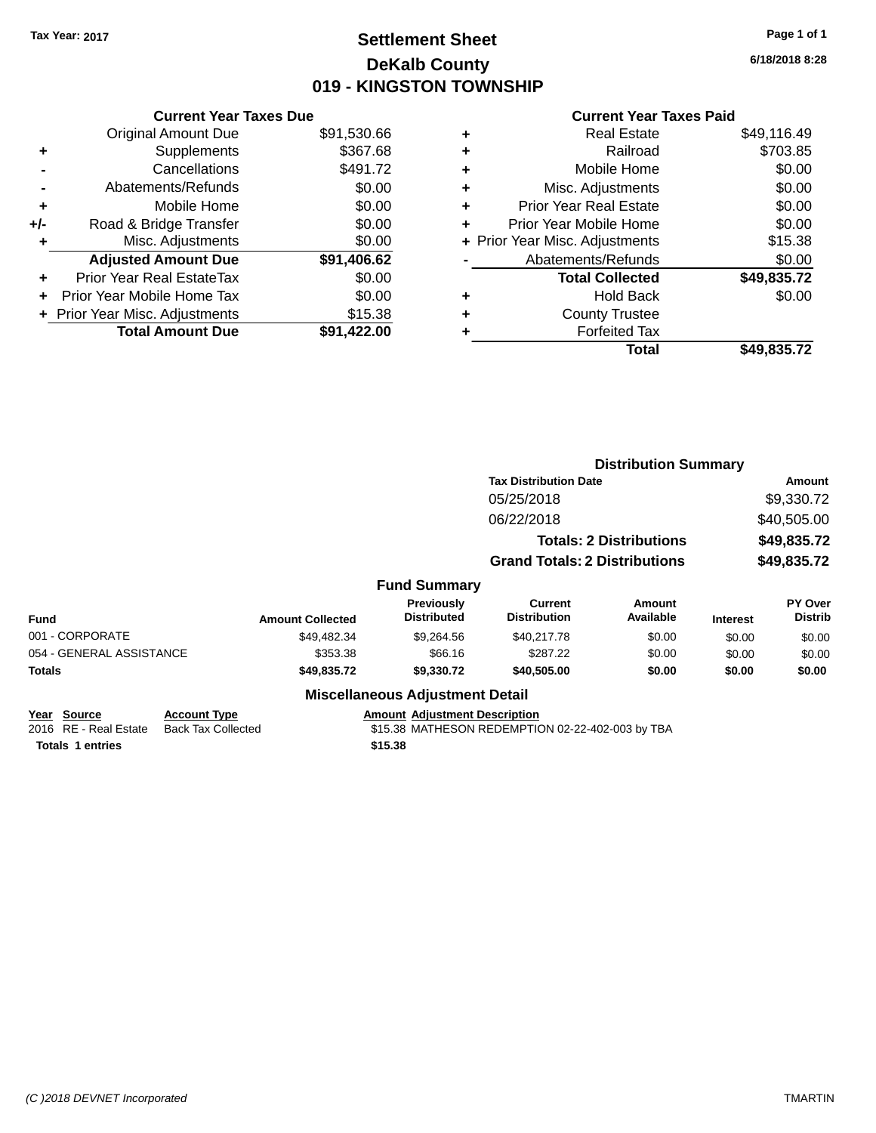## **Settlement Sheet Tax Year: 2017 Page 1 of 1 DeKalb County 019 - KINGSTON TOWNSHIP**

**6/18/2018 8:28**

### **Current Year Taxes Paid**

| <b>Current Year Taxes Due</b>  |             |
|--------------------------------|-------------|
| <b>Original Amount Due</b>     | \$91,530.66 |
| Supplements                    | \$367.68    |
| Cancellations                  | \$491.72    |
| Abatements/Refunds             | \$0.00      |
| Mobile Home                    | \$0.00      |
| Road & Bridge Transfer         | \$0.00      |
| Misc. Adjustments              | \$0.00      |
| <b>Adjusted Amount Due</b>     | \$91,406.62 |
| Prior Year Real EstateTax      | \$0.00      |
| Prior Year Mobile Home Tax     | \$0.00      |
| + Prior Year Misc. Adjustments | \$15.38     |
| <b>Total Amount Due</b>        | \$91,422.00 |
|                                |             |

| ٠ | <b>Real Estate</b>             | \$49,116.49 |
|---|--------------------------------|-------------|
| ٠ | Railroad                       | \$703.85    |
| ٠ | Mobile Home                    | \$0.00      |
| ٠ | Misc. Adjustments              | \$0.00      |
| ٠ | <b>Prior Year Real Estate</b>  | \$0.00      |
| ٠ | Prior Year Mobile Home         | \$0.00      |
|   | + Prior Year Misc. Adjustments | \$15.38     |
|   | Abatements/Refunds             | \$0.00      |
|   | <b>Total Collected</b>         | \$49,835.72 |
| ٠ | <b>Hold Back</b>               | \$0.00      |
| ٠ | <b>County Trustee</b>          |             |
| ٠ | <b>Forfeited Tax</b>           |             |
|   | Total                          | \$49,835.72 |
|   |                                |             |

|                          |                     |                         |                                        | <b>Distribution Summary</b>           |                                |                 |                                  |
|--------------------------|---------------------|-------------------------|----------------------------------------|---------------------------------------|--------------------------------|-----------------|----------------------------------|
|                          |                     |                         |                                        | <b>Tax Distribution Date</b>          |                                |                 | Amount                           |
|                          |                     |                         |                                        | 05/25/2018                            |                                |                 | \$9,330.72                       |
|                          |                     |                         |                                        | 06/22/2018                            |                                |                 | \$40,505.00                      |
|                          |                     |                         |                                        |                                       | <b>Totals: 2 Distributions</b> |                 | \$49,835.72                      |
|                          |                     |                         |                                        | <b>Grand Totals: 2 Distributions</b>  |                                |                 | \$49,835.72                      |
|                          |                     |                         | <b>Fund Summary</b>                    |                                       |                                |                 |                                  |
| <b>Fund</b>              |                     | <b>Amount Collected</b> | <b>Previously</b><br>Distributed       | <b>Current</b><br><b>Distribution</b> | <b>Amount</b><br>Available     | <b>Interest</b> | <b>PY Over</b><br><b>Distrib</b> |
| 001 - CORPORATE          |                     | \$49.482.34             | \$9,264.56                             | \$40.217.78                           | \$0.00                         | \$0.00          | \$0.00                           |
| 054 - GENERAL ASSISTANCE |                     | \$353.38                | \$66.16                                | \$287.22                              | \$0.00                         | \$0.00          | \$0.00                           |
| <b>Totals</b>            |                     | \$49,835.72             | \$9,330.72                             | \$40,505.00                           | \$0.00                         | \$0.00          | \$0.00                           |
|                          |                     |                         | <b>Miscellaneous Adjustment Detail</b> |                                       |                                |                 |                                  |
| Year Source              | <b>Account Type</b> |                         | <b>Amount Adjustment Description</b>   |                                       |                                |                 |                                  |

**<u>Year Source</u>**<br> **Account Type**<br> **ACCOUNTE ADDETE:**<br> **ACCOUNT ACCOUNT**<br> **ACCOUNT** \$15.38 MATHESON REDEMPTION 02-22-402-003 by TBA **Totals 1 entries \$15.38**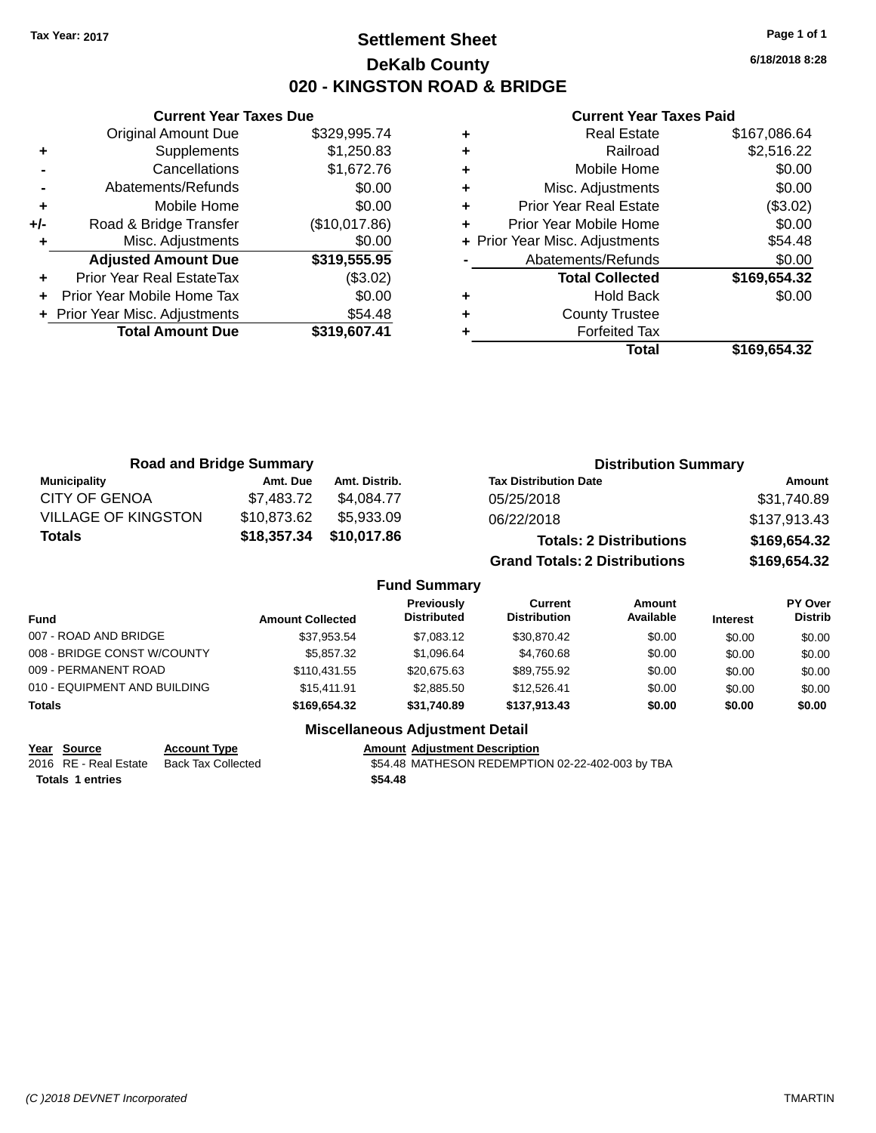## **Settlement Sheet Tax Year: 2017 Page 1 of 1 DeKalb County 020 - KINGSTON ROAD & BRIDGE**

**6/18/2018 8:28**

#### **Current Year Taxes Paid**

|       | <b>Current Year Taxes Due</b>  |               |
|-------|--------------------------------|---------------|
|       | <b>Original Amount Due</b>     | \$329,995.74  |
| ٠     | Supplements                    | \$1,250.83    |
|       | Cancellations                  | \$1,672.76    |
|       | Abatements/Refunds             | \$0.00        |
| ٠     | Mobile Home                    | \$0.00        |
| $+/-$ | Road & Bridge Transfer         | (\$10,017.86) |
|       | Misc. Adjustments              | \$0.00        |
|       | <b>Adjusted Amount Due</b>     | \$319,555.95  |
| ٠     | Prior Year Real EstateTax      | (\$3.02)      |
|       | Prior Year Mobile Home Tax     | \$0.00        |
|       | + Prior Year Misc. Adjustments | \$54.48       |
|       | <b>Total Amount Due</b>        | \$319,607.41  |
|       |                                |               |

| <b>Real Estate</b>            | \$167,086.64                   |
|-------------------------------|--------------------------------|
| Railroad                      | \$2,516.22                     |
| Mobile Home                   | \$0.00                         |
| Misc. Adjustments             | \$0.00                         |
| <b>Prior Year Real Estate</b> | (\$3.02)                       |
| Prior Year Mobile Home        | \$0.00                         |
|                               | \$54.48                        |
| Abatements/Refunds            | \$0.00                         |
| <b>Total Collected</b>        | \$169,654.32                   |
| Hold Back                     | \$0.00                         |
| <b>County Trustee</b>         |                                |
| <b>Forfeited Tax</b>          |                                |
| Total                         | \$169.654.32                   |
|                               | + Prior Year Misc. Adjustments |

| <b>Road and Bridge Summary</b> |             |               | <b>Distribution Summary</b>          |              |
|--------------------------------|-------------|---------------|--------------------------------------|--------------|
| <b>Municipality</b>            | Amt. Due    | Amt. Distrib. | <b>Tax Distribution Date</b>         | Amount       |
| <b>CITY OF GENOA</b>           | \$7.483.72  | \$4.084.77    | 05/25/2018                           | \$31,740.89  |
| <b>VILLAGE OF KINGSTON</b>     | \$10,873.62 | \$5.933.09    | 06/22/2018                           | \$137,913.43 |
| Totals                         | \$18,357.34 | \$10,017.86   | <b>Totals: 2 Distributions</b>       | \$169,654.32 |
|                                |             |               | <b>Grand Totals: 2 Distributions</b> | \$169,654.32 |

#### **Fund Summary**

| <b>Fund</b>                  | <b>Amount Collected</b> | Previously<br><b>Distributed</b> | Current<br><b>Distribution</b> | Amount<br>Available | <b>Interest</b> | PY Over<br><b>Distrib</b> |
|------------------------------|-------------------------|----------------------------------|--------------------------------|---------------------|-----------------|---------------------------|
| 007 - ROAD AND BRIDGE        | \$37,953.54             | \$7,083.12                       | \$30,870.42                    | \$0.00              | \$0.00          | \$0.00                    |
| 008 - BRIDGE CONST W/COUNTY  | \$5,857,32              | \$1.096.64                       | \$4,760.68                     | \$0.00              | \$0.00          | \$0.00                    |
| 009 - PERMANENT ROAD         | \$110.431.55            | \$20,675,63                      | \$89.755.92                    | \$0.00              | \$0.00          | \$0.00                    |
| 010 - EQUIPMENT AND BUILDING | \$15.411.91             | \$2,885.50                       | \$12.526.41                    | \$0.00              | \$0.00          | \$0.00                    |
| <b>Totals</b>                | \$169,654.32            | \$31.740.89                      | \$137.913.43                   | \$0.00              | \$0.00          | \$0.00                    |

### **Miscellaneous Adjustment Detail**

**<u>Year Source</u> <b>Account Type**<br>
2016 RE - Real Estate Back Tax Collected **Totals 1 entries \$54.48**

Amount Adjustment Description<br>\$54.48 MATHESON REDEMPTION 02-22-402-003 by TBA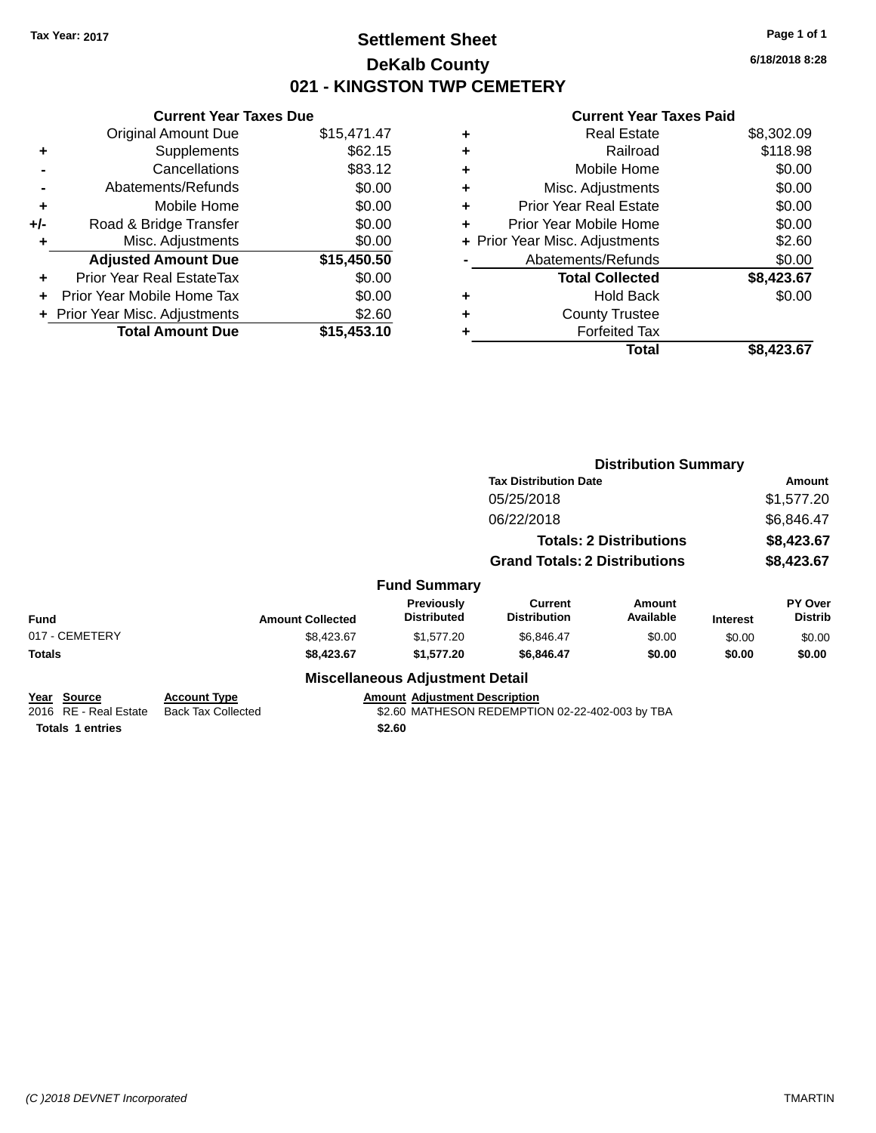## **Settlement Sheet Tax Year: 2017 Page 1 of 1 DeKalb County 021 - KINGSTON TWP CEMETERY**

**6/18/2018 8:28**

|     | <b>Current Year Taxes Due</b>  |             |
|-----|--------------------------------|-------------|
|     | <b>Original Amount Due</b>     | \$15,471.47 |
| ٠   | Supplements                    | \$62.15     |
|     | Cancellations                  | \$83.12     |
|     | Abatements/Refunds             | \$0.00      |
| ٠   | Mobile Home                    | \$0.00      |
| +/- | Road & Bridge Transfer         | \$0.00      |
|     | Misc. Adjustments              | \$0.00      |
|     | <b>Adjusted Amount Due</b>     | \$15,450.50 |
| ÷   | Prior Year Real EstateTax      | \$0.00      |
| ÷   | Prior Year Mobile Home Tax     | \$0.00      |
|     | + Prior Year Misc. Adjustments | \$2.60      |
|     | <b>Total Amount Due</b>        | \$15.453.10 |

|   | <b>Real Estate</b>             | \$8,302.09 |
|---|--------------------------------|------------|
| ٠ | Railroad                       | \$118.98   |
| ٠ | Mobile Home                    | \$0.00     |
| ٠ | Misc. Adjustments              | \$0.00     |
| ٠ | <b>Prior Year Real Estate</b>  | \$0.00     |
| ٠ | Prior Year Mobile Home         | \$0.00     |
|   | + Prior Year Misc. Adjustments | \$2.60     |
|   | Abatements/Refunds             | \$0.00     |
|   | <b>Total Collected</b>         | \$8,423.67 |
| ٠ | <b>Hold Back</b>               | \$0.00     |
| ٠ | <b>County Trustee</b>          |            |
| ٠ | <b>Forfeited Tax</b>           |            |
|   | Total                          | \$8.423.67 |
|   |                                |            |

|                                      |                                                  |                                        | <b>Tax Distribution Date</b>                    | <b>Distribution Summary</b>    |                 | Amount                    |
|--------------------------------------|--------------------------------------------------|----------------------------------------|-------------------------------------------------|--------------------------------|-----------------|---------------------------|
|                                      |                                                  |                                        |                                                 |                                |                 |                           |
|                                      |                                                  |                                        | 05/25/2018                                      |                                |                 | \$1,577.20                |
|                                      |                                                  |                                        | 06/22/2018                                      |                                |                 | \$6,846.47                |
|                                      |                                                  |                                        |                                                 | <b>Totals: 2 Distributions</b> |                 | \$8,423.67                |
|                                      |                                                  |                                        | <b>Grand Totals: 2 Distributions</b>            |                                |                 | \$8,423.67                |
|                                      |                                                  | <b>Fund Summary</b>                    |                                                 |                                |                 |                           |
| <b>Fund</b>                          | <b>Amount Collected</b>                          | Previously<br><b>Distributed</b>       | <b>Current</b><br><b>Distribution</b>           | Amount<br>Available            | <b>Interest</b> | PY Over<br><b>Distrib</b> |
| 017 - CEMETERY                       | \$8,423.67                                       | \$1,577.20                             | \$6,846.47                                      | \$0.00                         | \$0.00          | \$0.00                    |
| Totals                               | \$8,423.67                                       | \$1,577.20                             | \$6,846.47                                      | \$0.00                         | \$0.00          | \$0.00                    |
|                                      |                                                  | <b>Miscellaneous Adjustment Detail</b> |                                                 |                                |                 |                           |
| Year Source<br>2016 RE - Real Estate | <b>Account Type</b><br><b>Back Tax Collected</b> | <b>Amount Adjustment Description</b>   | \$2.60 MATHESON REDEMPTION 02-22-402-003 by TBA |                                |                 |                           |
| <b>Totals 1 entries</b>              |                                                  | \$2.60                                 |                                                 |                                |                 |                           |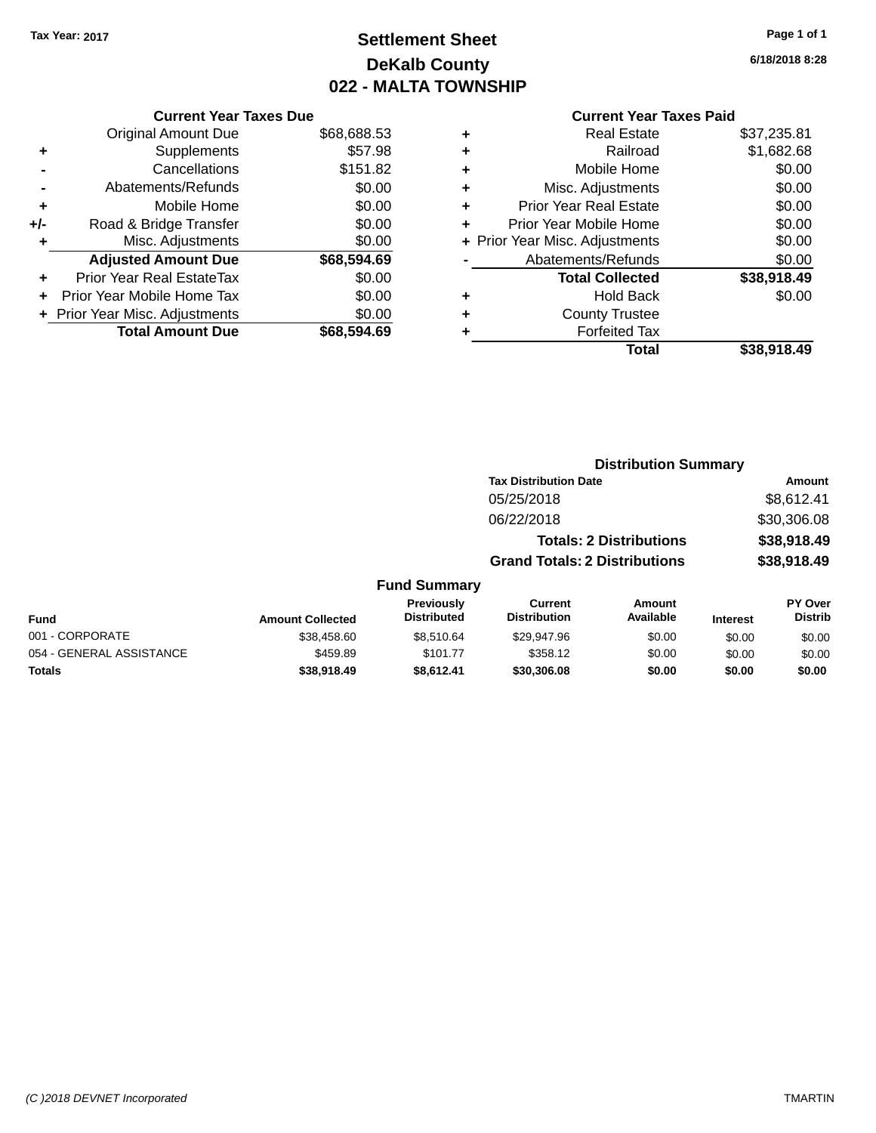## **Settlement Sheet Tax Year: 2017 Page 1 of 1 DeKalb County 022 - MALTA TOWNSHIP**

**6/18/2018 8:28**

|     | <b>Current Year Taxes Due</b>  |             |
|-----|--------------------------------|-------------|
|     | <b>Original Amount Due</b>     | \$68,688.53 |
| ٠   | Supplements                    | \$57.98     |
|     | Cancellations                  | \$151.82    |
|     | Abatements/Refunds             | \$0.00      |
| ٠   | Mobile Home                    | \$0.00      |
| +/- | Road & Bridge Transfer         | \$0.00      |
| ٠   | Misc. Adjustments              | \$0.00      |
|     | <b>Adjusted Amount Due</b>     | \$68,594.69 |
| ٠   | Prior Year Real EstateTax      | \$0.00      |
|     | Prior Year Mobile Home Tax     | \$0.00      |
|     | + Prior Year Misc. Adjustments | \$0.00      |
|     | <b>Total Amount Due</b>        | \$68.594.69 |
|     |                                |             |

### **Current Year Taxes Paid +** Real Estate \$37,235.81 **+** Railroad \$1,682.68 **+** Mobile Home \$0.00 **+** Misc. Adjustments \$0.00 **+** Prior Year Real Estate \$0.00

|   | Total                          | \$38,918.49 |
|---|--------------------------------|-------------|
| ÷ | <b>Forfeited Tax</b>           |             |
| ÷ | <b>County Trustee</b>          |             |
| ÷ | <b>Hold Back</b>               | \$0.00      |
|   | <b>Total Collected</b>         | \$38,918.49 |
|   | Abatements/Refunds             | \$0.00      |
|   | + Prior Year Misc. Adjustments | \$0.00      |
|   | Prior Year Mobile Home         | \$0.00      |

|           |                                         |                                       | <b>Distribution Summary</b>    |          |                                  |
|-----------|-----------------------------------------|---------------------------------------|--------------------------------|----------|----------------------------------|
|           |                                         | <b>Tax Distribution Date</b>          |                                |          | <b>Amount</b>                    |
|           |                                         | 05/25/2018                            |                                |          | \$8,612.41                       |
|           |                                         | 06/22/2018                            |                                |          | \$30,306.08                      |
|           |                                         |                                       | <b>Totals: 2 Distributions</b> |          | \$38,918.49                      |
|           |                                         | <b>Grand Totals: 2 Distributions</b>  |                                |          | \$38,918.49                      |
|           | <b>Fund Summary</b>                     |                                       |                                |          |                                  |
| Collected | <b>Previously</b><br><b>Distributed</b> | <b>Current</b><br><b>Distribution</b> | Amount<br>Available            | Interest | <b>PY Over</b><br><b>Distrib</b> |

| Fund                     | <b>Amount Collected</b> | <b>Previously</b><br><b>Distributed</b> | Current<br><b>Distribution</b> | Amount<br>Available | <b>Interest</b> | <b>PY Over</b><br><b>Distrib</b> |
|--------------------------|-------------------------|-----------------------------------------|--------------------------------|---------------------|-----------------|----------------------------------|
| 001 - CORPORATE          | \$38.458.60             | \$8.510.64                              | \$29.947.96                    | \$0.00              | \$0.00          | \$0.00                           |
| 054 - GENERAL ASSISTANCE | \$459.89                | \$101.77                                | \$358.12                       | \$0.00              | \$0.00          | \$0.00                           |
| Totals                   | \$38,918.49             | \$8.612.41                              | \$30,306,08                    | \$0.00              | \$0.00          | \$0.00                           |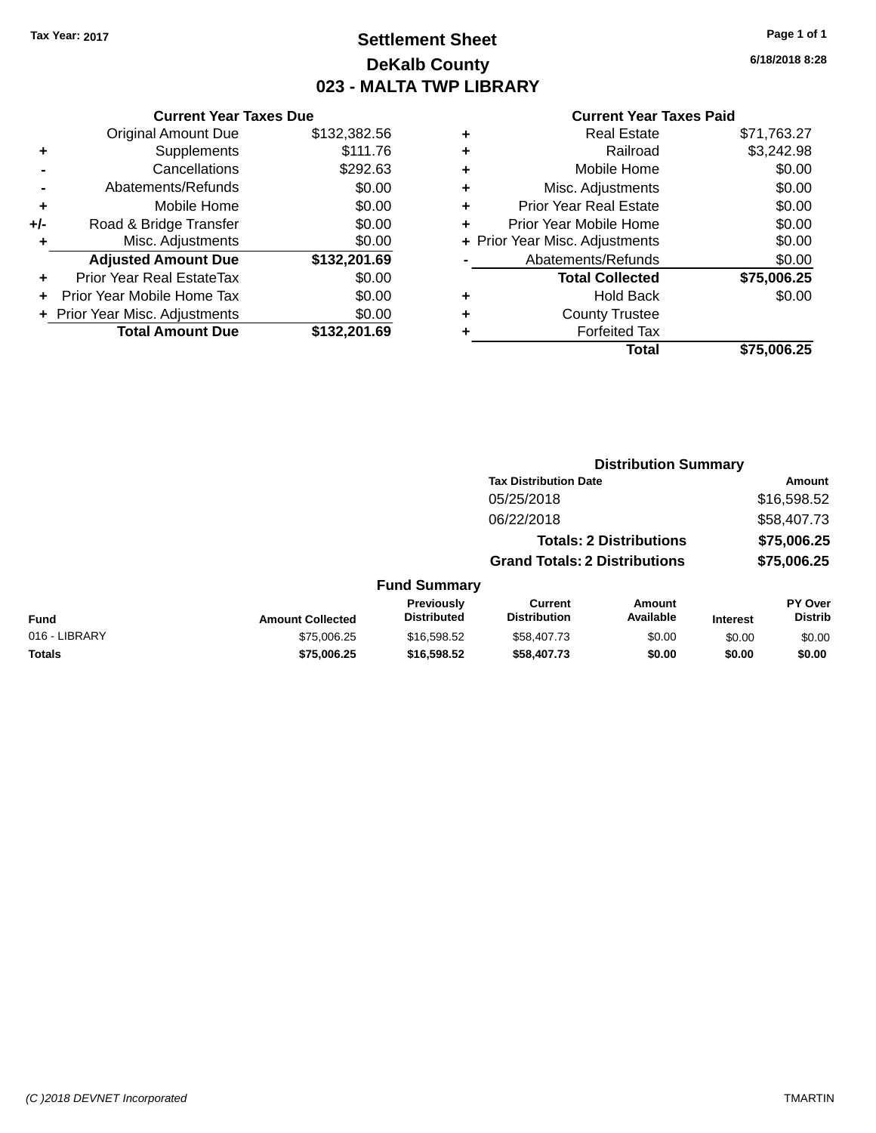## **Settlement Sheet Tax Year: 2017 Page 1 of 1 DeKalb County 023 - MALTA TWP LIBRARY**

**6/18/2018 8:28**

|     | <b>Current Year Taxes Due</b>  |              |
|-----|--------------------------------|--------------|
|     | <b>Original Amount Due</b>     | \$132,382.56 |
| ٠   | Supplements                    | \$111.76     |
|     | Cancellations                  | \$292.63     |
|     | Abatements/Refunds             | \$0.00       |
| ٠   | Mobile Home                    | \$0.00       |
| +/- | Road & Bridge Transfer         | \$0.00       |
| ٠   | Misc. Adjustments              | \$0.00       |
|     | <b>Adjusted Amount Due</b>     | \$132,201.69 |
| ٠   | Prior Year Real EstateTax      | \$0.00       |
|     | Prior Year Mobile Home Tax     | \$0.00       |
|     | + Prior Year Misc. Adjustments | \$0.00       |
|     | <b>Total Amount Due</b>        | \$132,201.69 |
|     |                                |              |

|   | <b>Real Estate</b>             | \$71,763.27 |
|---|--------------------------------|-------------|
| ٠ | Railroad                       | \$3,242.98  |
| ٠ | Mobile Home                    | \$0.00      |
| ٠ | Misc. Adjustments              | \$0.00      |
| ٠ | <b>Prior Year Real Estate</b>  | \$0.00      |
| ٠ | Prior Year Mobile Home         | \$0.00      |
|   | + Prior Year Misc. Adjustments | \$0.00      |
|   | Abatements/Refunds             | \$0.00      |
|   | <b>Total Collected</b>         | \$75,006.25 |
| ٠ | <b>Hold Back</b>               | \$0.00      |
| ٠ | <b>County Trustee</b>          |             |
| ٠ | <b>Forfeited Tax</b>           |             |
|   | Total                          | \$75,006.25 |
|   |                                |             |

|               |                         |                                  |                                       | <b>Distribution Summary</b>    |                 |                                  |
|---------------|-------------------------|----------------------------------|---------------------------------------|--------------------------------|-----------------|----------------------------------|
|               |                         |                                  | <b>Tax Distribution Date</b>          |                                |                 | Amount                           |
|               |                         |                                  | 05/25/2018                            |                                |                 | \$16,598.52                      |
|               |                         |                                  | 06/22/2018                            |                                |                 | \$58,407.73                      |
|               |                         |                                  |                                       | <b>Totals: 2 Distributions</b> |                 | \$75,006.25                      |
|               |                         |                                  | <b>Grand Totals: 2 Distributions</b>  |                                |                 | \$75,006.25                      |
|               |                         | <b>Fund Summary</b>              |                                       |                                |                 |                                  |
| <b>Fund</b>   | <b>Amount Collected</b> | Previously<br><b>Distributed</b> | <b>Current</b><br><b>Distribution</b> | Amount<br>Available            | <b>Interest</b> | <b>PY Over</b><br><b>Distrib</b> |
| 016 - LIBRARY | \$75,006.25             | \$16,598,52                      | \$58,407.73                           | \$0.00                         | \$0.00          | \$0.00                           |
| <b>Totals</b> | \$75,006.25             | \$16,598.52                      | \$58,407.73                           | \$0.00                         | \$0.00          | \$0.00                           |
|               |                         |                                  |                                       |                                |                 |                                  |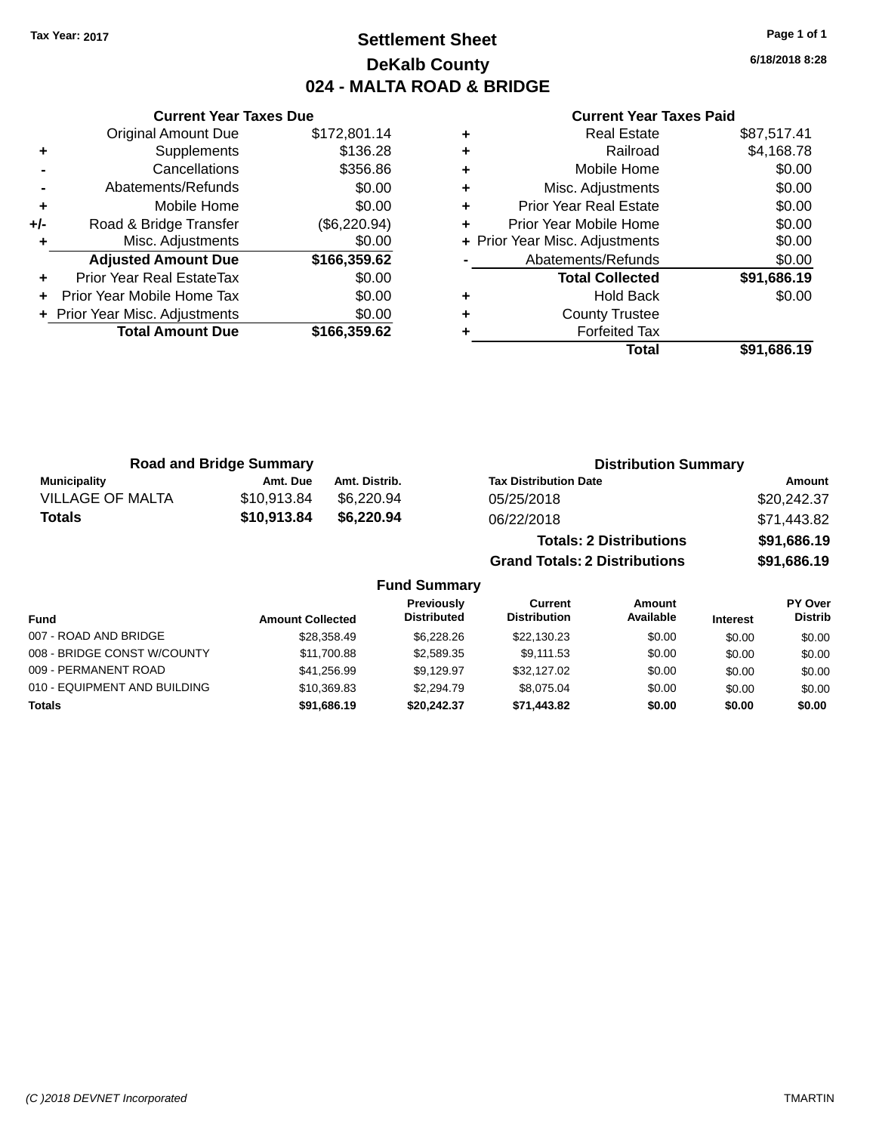## **Settlement Sheet Tax Year: 2017 Page 1 of 1 DeKalb County 024 - MALTA ROAD & BRIDGE**

**6/18/2018 8:28**

#### **Current Year Taxes Paid**

|     | <b>Current Year Taxes Due</b>  |              |
|-----|--------------------------------|--------------|
|     | <b>Original Amount Due</b>     | \$172,801.14 |
| ٠   | Supplements                    | \$136.28     |
|     | Cancellations                  | \$356.86     |
|     | Abatements/Refunds             | \$0.00       |
| ٠   | Mobile Home                    | \$0.00       |
| +/- | Road & Bridge Transfer         | (\$6,220.94) |
|     | Misc. Adjustments              | \$0.00       |
|     | <b>Adjusted Amount Due</b>     | \$166,359.62 |
| ٠   | Prior Year Real EstateTax      | \$0.00       |
|     | Prior Year Mobile Home Tax     | \$0.00       |
|     | + Prior Year Misc. Adjustments | \$0.00       |
|     | <b>Total Amount Due</b>        | \$166,359.62 |
|     |                                |              |

| <b>Real Estate</b>             | \$87,517.41 |
|--------------------------------|-------------|
| Railroad                       | \$4,168.78  |
| Mobile Home                    | \$0.00      |
| Misc. Adjustments              | \$0.00      |
| <b>Prior Year Real Estate</b>  | \$0.00      |
| Prior Year Mobile Home         | \$0.00      |
| + Prior Year Misc. Adjustments | \$0.00      |
| Abatements/Refunds             | \$0.00      |
| <b>Total Collected</b>         | \$91,686.19 |
| <b>Hold Back</b>               | \$0.00      |
| <b>County Trustee</b>          |             |
| <b>Forfeited Tax</b>           |             |
| Total                          | \$91,686.19 |
|                                |             |

**Grand Totals: 2 Distributions \$91,686.19**

|                     | <b>Road and Bridge Summary</b> |               | <b>Distribution Summary</b>    |             |
|---------------------|--------------------------------|---------------|--------------------------------|-------------|
| <b>Municipality</b> | Amt. Due                       | Amt. Distrib. | <b>Tax Distribution Date</b>   | Amount      |
| VILLAGE OF MALTA    | \$10.913.84                    | \$6.220.94    | 05/25/2018                     | \$20,242.37 |
| <b>Totals</b>       | \$10,913.84                    | \$6,220.94    | 06/22/2018                     | \$71.443.82 |
|                     |                                |               | <b>Totals: 2 Distributions</b> | \$91,686.19 |

|                              |                         | <b>Fund Summary</b>              |                                |                     |                 |                                  |
|------------------------------|-------------------------|----------------------------------|--------------------------------|---------------------|-----------------|----------------------------------|
| <b>Fund</b>                  | <b>Amount Collected</b> | Previously<br><b>Distributed</b> | Current<br><b>Distribution</b> | Amount<br>Available | <b>Interest</b> | <b>PY Over</b><br><b>Distrib</b> |
| 007 - ROAD AND BRIDGE        | \$28.358.49             | \$6,228,26                       | \$22.130.23                    | \$0.00              | \$0.00          | \$0.00                           |
| 008 - BRIDGE CONST W/COUNTY  | \$11,700.88             | \$2,589.35                       | \$9,111.53                     | \$0.00              | \$0.00          | \$0.00                           |
| 009 - PERMANENT ROAD         | \$41,256.99             | \$9,129.97                       | \$32,127.02                    | \$0.00              | \$0.00          | \$0.00                           |
| 010 - EQUIPMENT AND BUILDING | \$10.369.83             | \$2,294.79                       | \$8.075.04                     | \$0.00              | \$0.00          | \$0.00                           |
| <b>Totals</b>                | \$91,686.19             | \$20.242.37                      | \$71,443.82                    | \$0.00              | \$0.00          | \$0.00                           |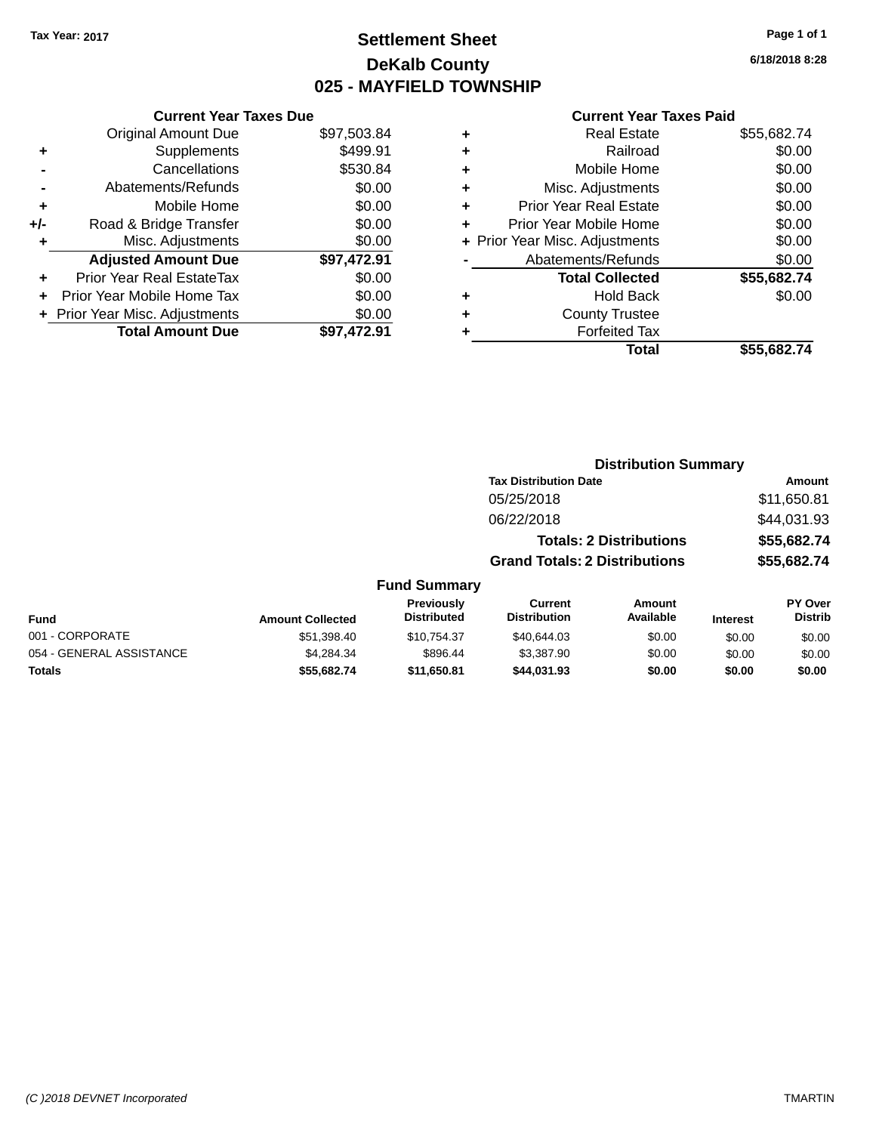## **Settlement Sheet Tax Year: 2017 Page 1 of 1 DeKalb County 025 - MAYFIELD TOWNSHIP**

**6/18/2018 8:28**

|     | <b>Current Year Taxes Due</b>    |             |   |
|-----|----------------------------------|-------------|---|
|     | <b>Original Amount Due</b>       | \$97,503.84 | ٠ |
| ٠   | Supplements                      | \$499.91    | ٠ |
|     | Cancellations                    | \$530.84    | ٠ |
|     | Abatements/Refunds               | \$0.00      | ٠ |
|     | Mobile Home                      | \$0.00      | ٠ |
| +/- | Road & Bridge Transfer           | \$0.00      | ٠ |
|     | Misc. Adjustments                | \$0.00      | ٠ |
|     | <b>Adjusted Amount Due</b>       | \$97,472.91 |   |
|     | <b>Prior Year Real EstateTax</b> | \$0.00      |   |
|     | Prior Year Mobile Home Tax       | \$0.00      | ٠ |
|     | + Prior Year Misc. Adjustments   | \$0.00      | ٠ |
|     | <b>Total Amount Due</b>          | \$97,472.91 |   |

|   | Real Estate                    | \$55,682.74 |
|---|--------------------------------|-------------|
| ٠ | Railroad                       | \$0.00      |
| ٠ | Mobile Home                    | \$0.00      |
| ٠ | Misc. Adjustments              | \$0.00      |
| ٠ | <b>Prior Year Real Estate</b>  | \$0.00      |
|   | Prior Year Mobile Home         | \$0.00      |
|   | + Prior Year Misc. Adjustments | \$0.00      |
|   | Abatements/Refunds             | \$0.00      |
|   | <b>Total Collected</b>         | \$55,682.74 |
| ٠ | <b>Hold Back</b>               | \$0.00      |
| ٠ | <b>County Trustee</b>          |             |
|   | <b>Forfeited Tax</b>           |             |
|   | Total                          | \$55,682.74 |
|   |                                |             |

|                         |                                  | <b>Distribution Summary</b>          |                                |                 |                                  |  |  |
|-------------------------|----------------------------------|--------------------------------------|--------------------------------|-----------------|----------------------------------|--|--|
|                         |                                  | <b>Tax Distribution Date</b>         |                                |                 | Amount                           |  |  |
|                         |                                  | 05/25/2018                           |                                |                 | \$11,650.81                      |  |  |
|                         |                                  | 06/22/2018                           |                                |                 | \$44,031.93                      |  |  |
|                         |                                  |                                      | <b>Totals: 2 Distributions</b> |                 | \$55,682.74                      |  |  |
|                         |                                  | <b>Grand Totals: 2 Distributions</b> |                                |                 | \$55,682.74                      |  |  |
|                         | <b>Fund Summary</b>              |                                      |                                |                 |                                  |  |  |
| <b>Amount Collected</b> | Previously<br><b>Distributed</b> | Current<br><b>Distribution</b>       | Amount<br>Available            | <b>Interest</b> | <b>PY Over</b><br><b>Distrib</b> |  |  |
| \$51,398,40             | \$10 754 37                      | \$4064403                            | .SO 00                         | ደሰ ሰሰ           | \$ስ ስስ                           |  |  |

| Fund                     | <b>Amount Collected</b> | Distributed | Distribution | Available | <b>Interest</b> | <b>Distrib</b> |
|--------------------------|-------------------------|-------------|--------------|-----------|-----------------|----------------|
| 001 - CORPORATE          | \$51.398.40             | \$10.754.37 | \$40,644,03  | \$0.00    | \$0.00          | \$0.00         |
| 054 - GENERAL ASSISTANCE | \$4.284.34              | \$896.44    | \$3,387.90   | \$0.00    | \$0.00          | \$0.00         |
| <b>Totals</b>            | \$55.682.74             | \$11,650.81 | \$44.031.93  | \$0.00    | \$0.00          | \$0.00         |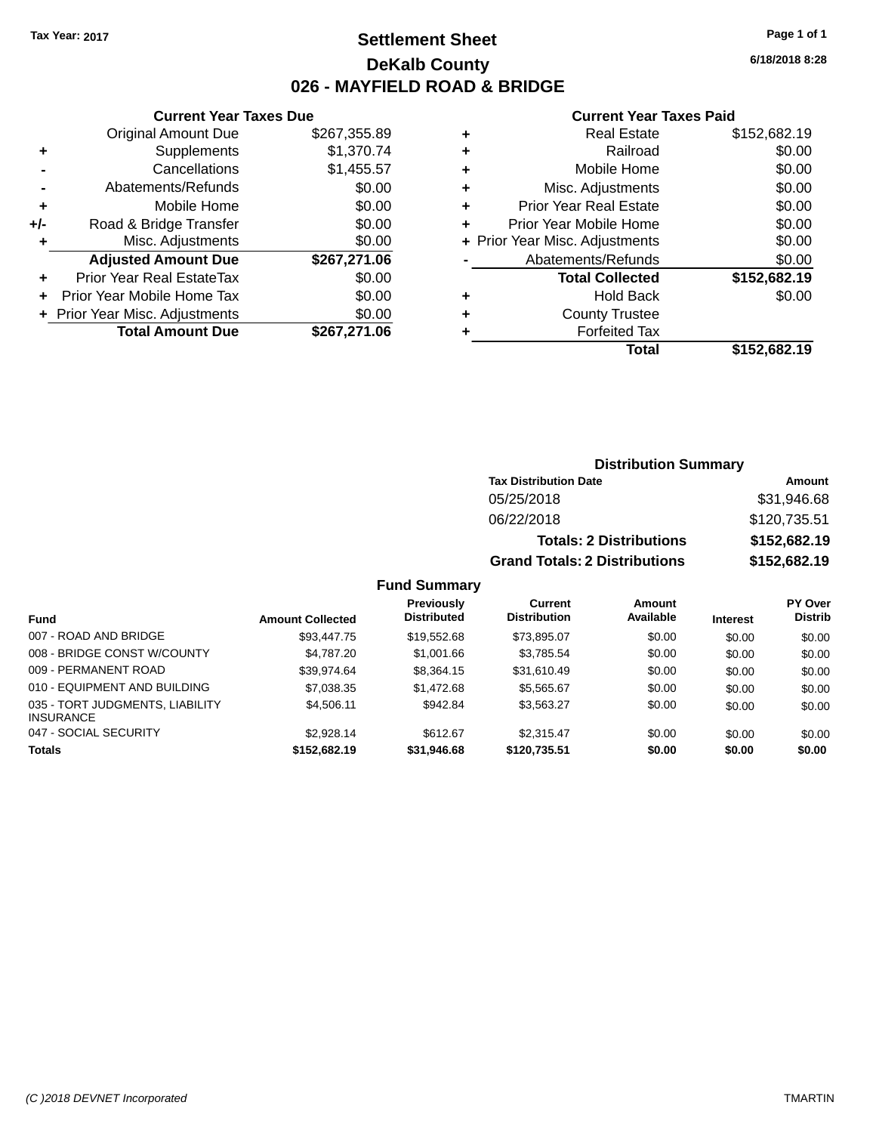## **Settlement Sheet Tax Year: 2017 Page 1 of 1 DeKalb County 026 - MAYFIELD ROAD & BRIDGE**

| <b>Current Year Taxes Due</b> |                              |  |
|-------------------------------|------------------------------|--|
| Original Amount Due           | \$267,355.89                 |  |
| Supplements                   | \$1,370.74                   |  |
| Cancellations                 | \$1,455.57                   |  |
| Abatements/Refunds            | \$0.00                       |  |
| Mobile Home                   | \$0.00                       |  |
| Road & Bridge Transfer        | \$0.00                       |  |
| Misc. Adjustments             | \$0.00                       |  |
| <b>Adjusted Amount Due</b>    | \$267,271.06                 |  |
| Prior Year Real EstateTax     | \$0.00                       |  |
| Prior Year Mobile Home Tax    | \$0.00                       |  |
|                               | \$0.00                       |  |
| <b>Total Amount Due</b>       | \$267,271.06                 |  |
|                               | Prior Year Misc. Adjustments |  |

### **Current Year Taxes Paid**

|   | <b>Real Estate</b>             | \$152,682.19 |
|---|--------------------------------|--------------|
| ÷ | Railroad                       | \$0.00       |
| ٠ | Mobile Home                    | \$0.00       |
| ٠ | Misc. Adjustments              | \$0.00       |
| ٠ | <b>Prior Year Real Estate</b>  | \$0.00       |
| ٠ | Prior Year Mobile Home         | \$0.00       |
|   | + Prior Year Misc. Adjustments | \$0.00       |
|   | Abatements/Refunds             | \$0.00       |
|   | <b>Total Collected</b>         | \$152,682.19 |
| ٠ | <b>Hold Back</b>               | \$0.00       |
| ٠ | <b>County Trustee</b>          |              |
|   | <b>Forfeited Tax</b>           |              |
|   | <b>Total</b>                   | \$152,682.19 |
|   |                                |              |

| <b>Distribution Summary</b>          |              |  |  |
|--------------------------------------|--------------|--|--|
| <b>Tax Distribution Date</b>         | Amount       |  |  |
| 05/25/2018                           | \$31,946.68  |  |  |
| 06/22/2018                           | \$120,735.51 |  |  |
| <b>Totals: 2 Distributions</b>       | \$152,682.19 |  |  |
| <b>Grand Totals: 2 Distributions</b> | \$152,682.19 |  |  |

| <b>Fund</b>                                         | <b>Amount Collected</b> | <b>Previously</b><br><b>Distributed</b> | Current<br><b>Distribution</b> | Amount<br>Available | <b>Interest</b> | <b>PY Over</b><br><b>Distrib</b> |
|-----------------------------------------------------|-------------------------|-----------------------------------------|--------------------------------|---------------------|-----------------|----------------------------------|
| 007 - ROAD AND BRIDGE                               | \$93,447.75             | \$19,552.68                             | \$73.895.07                    | \$0.00              | \$0.00          | \$0.00                           |
| 008 - BRIDGE CONST W/COUNTY                         | \$4.787.20              | \$1,001.66                              | \$3.785.54                     | \$0.00              | \$0.00          | \$0.00                           |
| 009 - PERMANENT ROAD                                | \$39.974.64             | \$8,364.15                              | \$31.610.49                    | \$0.00              | \$0.00          | \$0.00                           |
| 010 - EQUIPMENT AND BUILDING                        | \$7,038.35              | \$1,472.68                              | \$5.565.67                     | \$0.00              | \$0.00          | \$0.00                           |
| 035 - TORT JUDGMENTS, LIABILITY<br><b>INSURANCE</b> | \$4.506.11              | \$942.84                                | \$3.563.27                     | \$0.00              | \$0.00          | \$0.00                           |
| 047 - SOCIAL SECURITY                               | \$2.928.14              | \$612.67                                | \$2.315.47                     | \$0.00              | \$0.00          | \$0.00                           |
| <b>Totals</b>                                       | \$152,682.19            | \$31,946.68                             | \$120,735.51                   | \$0.00              | \$0.00          | \$0.00                           |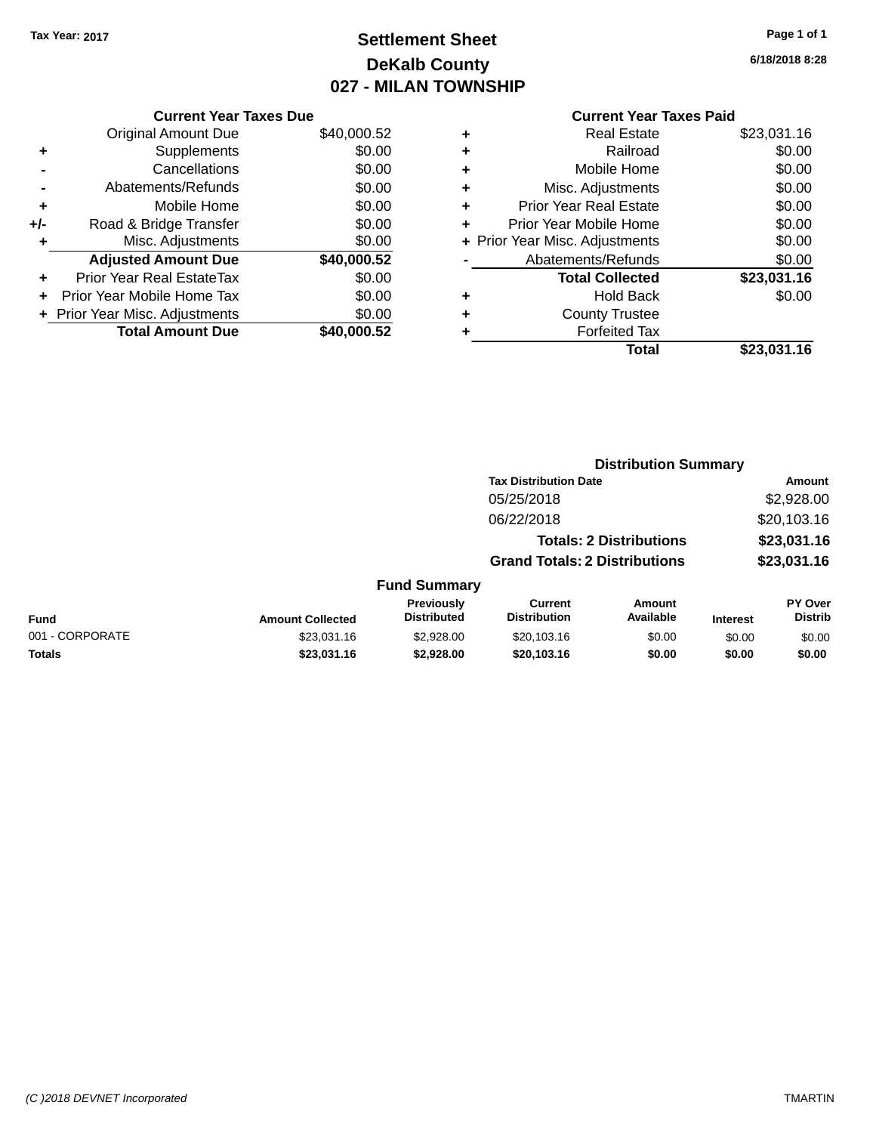## **Settlement Sheet Tax Year: 2017 Page 1 of 1 DeKalb County 027 - MILAN TOWNSHIP**

**6/18/2018 8:28**

|     | <b>Current Year Taxes Due</b>    |             |
|-----|----------------------------------|-------------|
|     | Original Amount Due              | \$40,000.52 |
| ٠   | Supplements                      | \$0.00      |
|     | Cancellations                    | \$0.00      |
|     | Abatements/Refunds               | \$0.00      |
| ٠   | Mobile Home                      | \$0.00      |
| +/- | Road & Bridge Transfer           | \$0.00      |
|     | Misc. Adjustments                | \$0.00      |
|     | <b>Adjusted Amount Due</b>       | \$40,000.52 |
| ٠   | <b>Prior Year Real EstateTax</b> | \$0.00      |
| ÷   | Prior Year Mobile Home Tax       | \$0.00      |
|     | + Prior Year Misc. Adjustments   | \$0.00      |
|     | <b>Total Amount Due</b>          | \$40,000.52 |
|     |                                  |             |

|   | Real Estate                    | \$23,031.16 |
|---|--------------------------------|-------------|
| ٠ | Railroad                       | \$0.00      |
| ٠ | Mobile Home                    | \$0.00      |
| ٠ | Misc. Adjustments              | \$0.00      |
| ٠ | <b>Prior Year Real Estate</b>  | \$0.00      |
| ٠ | Prior Year Mobile Home         | \$0.00      |
|   | + Prior Year Misc. Adjustments | \$0.00      |
|   | Abatements/Refunds             | \$0.00      |
|   | <b>Total Collected</b>         | \$23,031.16 |
| ٠ | <b>Hold Back</b>               | \$0.00      |
| ٠ | <b>County Trustee</b>          |             |
| ٠ | <b>Forfeited Tax</b>           |             |
|   | Total                          | \$23,031.16 |
|   |                                |             |

|                 |                         |                                         | <b>Distribution Summary</b>           |                                |                 |                                  |
|-----------------|-------------------------|-----------------------------------------|---------------------------------------|--------------------------------|-----------------|----------------------------------|
|                 |                         |                                         | <b>Tax Distribution Date</b>          |                                |                 | <b>Amount</b>                    |
|                 |                         |                                         | 05/25/2018                            |                                |                 | \$2,928.00                       |
|                 |                         |                                         | 06/22/2018                            |                                |                 | \$20,103.16                      |
|                 |                         |                                         |                                       | <b>Totals: 2 Distributions</b> |                 | \$23,031.16                      |
|                 |                         |                                         | <b>Grand Totals: 2 Distributions</b>  |                                |                 | \$23,031.16                      |
|                 |                         | <b>Fund Summary</b>                     |                                       |                                |                 |                                  |
| <b>Fund</b>     | <b>Amount Collected</b> | <b>Previously</b><br><b>Distributed</b> | <b>Current</b><br><b>Distribution</b> | Amount<br>Available            | <b>Interest</b> | <b>PY Over</b><br><b>Distrib</b> |
| 001 - CORPORATE | \$23,031,16             | \$2,928,00                              | \$20,103.16                           | \$0.00                         | \$0.00          | \$0.00                           |
| <b>Totals</b>   | \$23,031.16             | \$2,928.00                              | \$20,103.16                           | \$0.00                         | \$0.00          | \$0.00                           |
|                 |                         |                                         |                                       |                                |                 |                                  |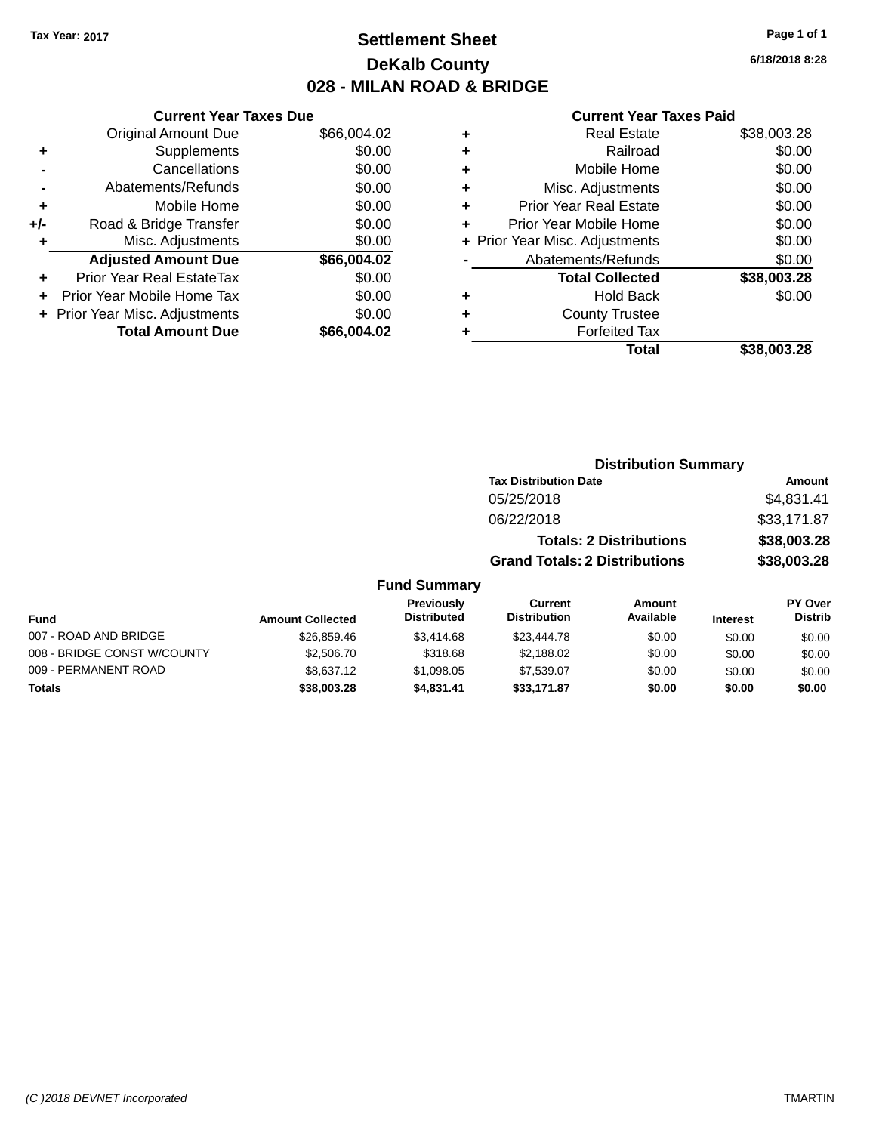## **Settlement Sheet Tax Year: 2017 Page 1 of 1 DeKalb County 028 - MILAN ROAD & BRIDGE**

**6/18/2018 8:28**

### **Current Year Taxes Paid**

|     | <b>Original Amount Due</b>     | \$66,004.02 |
|-----|--------------------------------|-------------|
| ٠   | Supplements                    | \$0.00      |
|     | Cancellations                  | \$0.00      |
|     | Abatements/Refunds             | \$0.00      |
| ÷   | Mobile Home                    | \$0.00      |
| +/- | Road & Bridge Transfer         | \$0.00      |
| ٠   | Misc. Adjustments              | \$0.00      |
|     | <b>Adjusted Amount Due</b>     | \$66,004.02 |
| ÷   | Prior Year Real EstateTax      | \$0.00      |
|     |                                |             |
| ÷   | Prior Year Mobile Home Tax     | \$0.00      |
|     | + Prior Year Misc. Adjustments | \$0.00      |
|     | <b>Total Amount Due</b>        | \$66,004.02 |

**Current Year Taxes Due**

|   | <b>Real Estate</b>             | \$38,003.28 |
|---|--------------------------------|-------------|
| ٠ | Railroad                       | \$0.00      |
| ٠ | Mobile Home                    | \$0.00      |
| ٠ | Misc. Adjustments              | \$0.00      |
| ٠ | <b>Prior Year Real Estate</b>  | \$0.00      |
| ٠ | Prior Year Mobile Home         | \$0.00      |
|   | + Prior Year Misc. Adjustments | \$0.00      |
|   | Abatements/Refunds             | \$0.00      |
|   | <b>Total Collected</b>         | \$38,003.28 |
| ٠ | Hold Back                      | \$0.00      |
| ٠ | <b>County Trustee</b>          |             |
| ٠ | <b>Forfeited Tax</b>           |             |
|   | Total                          | \$38,003.28 |
|   |                                |             |

| <b>Distribution Summary</b>          |             |
|--------------------------------------|-------------|
| <b>Tax Distribution Date</b>         | Amount      |
| 05/25/2018                           | \$4,831.41  |
| 06/22/2018                           | \$33,171.87 |
| <b>Totals: 2 Distributions</b>       | \$38,003.28 |
| <b>Grand Totals: 2 Distributions</b> | \$38,003.28 |
|                                      |             |

#### **Fund Summary Fund Interest Amount Collected Distributed PY Over Distrib Amount Available Current Distribution Previously** 007 - ROAD AND BRIDGE 60.00 \$26,859.46 \$3,414.68 \$23,444.78 \$0.00 \$0.00 \$0.00 \$0.00 008 - BRIDGE CONST W/COUNTY  $$2,506.70$   $$318.68$   $$2,188.02$   $$0.00$   $$0.00$   $$0.00$ 009 - PERMANENT ROAD \$8,637.12 \$1,098.05 \$7,539.07 \$0.00 \$0.00 \$0.00 \$0.00

**Totals \$38,003.28 \$4,831.41 \$33,171.87 \$0.00 \$0.00 \$0.00**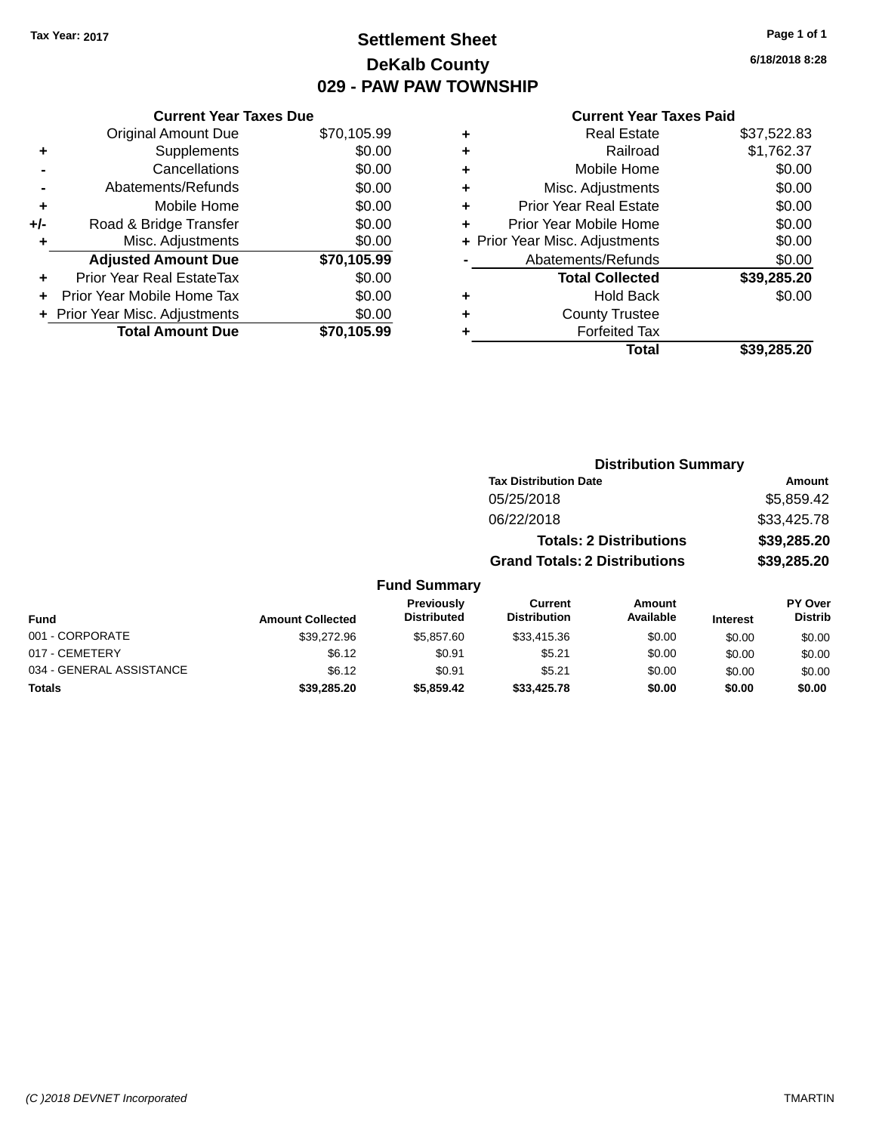## **Settlement Sheet Tax Year: 2017 Page 1 of 1 DeKalb County 029 - PAW PAW TOWNSHIP**

**Current Year Taxes Due**

|     | <b>Original Amount Due</b>       | \$70,105.99 |
|-----|----------------------------------|-------------|
| ٠   | Supplements                      | \$0.00      |
|     | Cancellations                    | \$0.00      |
|     | Abatements/Refunds               | \$0.00      |
| ÷   | Mobile Home                      | \$0.00      |
| +/- | Road & Bridge Transfer           | \$0.00      |
| ٠   | Misc. Adjustments                | \$0.00      |
|     | <b>Adjusted Amount Due</b>       | \$70,105.99 |
| ÷   | <b>Prior Year Real EstateTax</b> | \$0.00      |
|     | Prior Year Mobile Home Tax       | \$0.00      |
|     | + Prior Year Misc. Adjustments   | \$0.00      |
|     | <b>Total Amount Due</b>          | \$70,105.99 |

### **Current Year Taxes Paid**

|   | <b>Real Estate</b>             | \$37.522.83 |
|---|--------------------------------|-------------|
| ٠ | Railroad                       | \$1,762.37  |
| ٠ | Mobile Home                    | \$0.00      |
| ٠ | Misc. Adjustments              | \$0.00      |
| ٠ | <b>Prior Year Real Estate</b>  | \$0.00      |
|   | Prior Year Mobile Home         | \$0.00      |
|   | + Prior Year Misc. Adjustments | \$0.00      |
|   | Abatements/Refunds             | \$0.00      |
|   | <b>Total Collected</b>         | \$39,285.20 |
| ٠ | <b>Hold Back</b>               | \$0.00      |
|   | <b>County Trustee</b>          |             |
|   | <b>Forfeited Tax</b>           |             |
|   | Total                          | \$39,285.20 |
|   |                                |             |

**6/18/2018 8:28**

|        |                     |                                      | <b>Distribution Summary</b>    |                 |                |
|--------|---------------------|--------------------------------------|--------------------------------|-----------------|----------------|
|        |                     | Tax Distribution Date                |                                |                 | Amount         |
|        |                     | 05/25/2018                           |                                |                 | \$5,859.42     |
|        |                     | 06/22/2018                           |                                |                 | \$33,425.78    |
|        |                     |                                      | <b>Totals: 2 Distributions</b> |                 | \$39,285.20    |
|        |                     | <b>Grand Totals: 2 Distributions</b> |                                |                 | \$39,285.20    |
|        | <b>Fund Summary</b> |                                      |                                |                 |                |
|        | <b>Previously</b>   | Current                              | Amount                         |                 | <b>PY Over</b> |
| lected | <b>Distributed</b>  | <b>Distribution</b>                  | Available                      | <b>Interest</b> | <b>Distrib</b> |

| <b>Fund</b>              | <b>Amount Collected</b> | <b>Previously</b><br><b>Distributed</b> | Current<br><b>Distribution</b> | Amount<br>Available | <b>Interest</b> | <b>PY Over</b><br><b>Distrib</b> |
|--------------------------|-------------------------|-----------------------------------------|--------------------------------|---------------------|-----------------|----------------------------------|
| 001 - CORPORATE          | \$39,272.96             | \$5,857.60                              | \$33,415.36                    | \$0.00              | \$0.00          | \$0.00                           |
| 017 - CEMETERY           | \$6.12                  | \$0.91                                  | \$5.21                         | \$0.00              | \$0.00          | \$0.00                           |
| 034 - GENERAL ASSISTANCE | \$6.12                  | \$0.91                                  | \$5.21                         | \$0.00              | \$0.00          | \$0.00                           |
| Totals                   | \$39,285.20             | \$5,859.42                              | \$33,425.78                    | \$0.00              | \$0.00          | \$0.00                           |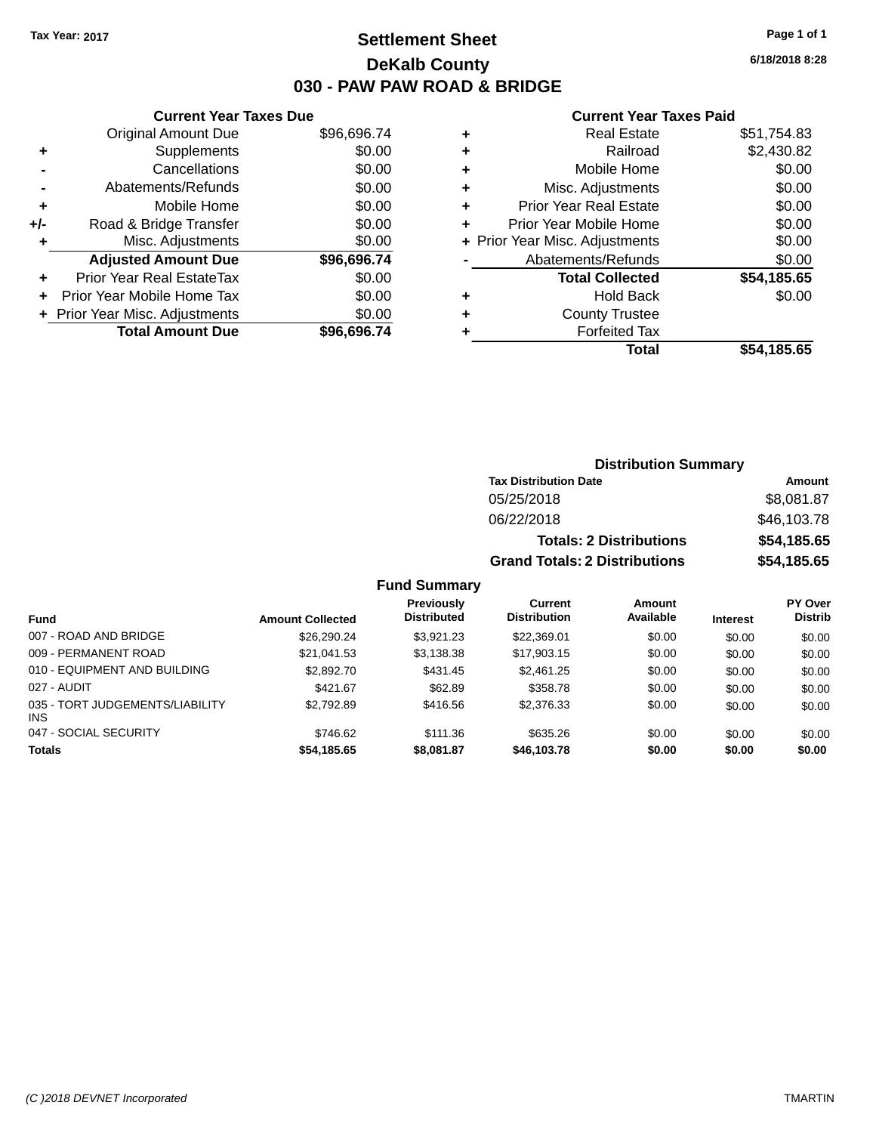## **Settlement Sheet Tax Year: 2017 Page 1 of 1 DeKalb County 030 - PAW PAW ROAD & BRIDGE**

**6/18/2018 8:28**

#### **Current Year Taxes Paid**

| <b>Current Year Taxes Due</b>  |             |
|--------------------------------|-------------|
| <b>Original Amount Due</b>     | \$96,696.74 |
| Supplements                    | \$0.00      |
| Cancellations                  | \$0.00      |
| Abatements/Refunds             | \$0.00      |
| Mobile Home                    | \$0.00      |
| Road & Bridge Transfer         | \$0.00      |
| Misc. Adjustments              | \$0.00      |
| <b>Adjusted Amount Due</b>     | \$96,696.74 |
| Prior Year Real EstateTax      | \$0.00      |
| Prior Year Mobile Home Tax     | \$0.00      |
| + Prior Year Misc. Adjustments | \$0.00      |
| <b>Total Amount Due</b>        | \$96.696.74 |
|                                |             |

| ٠ | <b>Real Estate</b>             | \$51,754.83 |
|---|--------------------------------|-------------|
| ٠ | Railroad                       | \$2,430.82  |
| ٠ | Mobile Home                    | \$0.00      |
| ٠ | Misc. Adjustments              | \$0.00      |
| ٠ | <b>Prior Year Real Estate</b>  | \$0.00      |
|   | Prior Year Mobile Home         | \$0.00      |
|   | + Prior Year Misc. Adjustments | \$0.00      |
|   | Abatements/Refunds             | \$0.00      |
|   | <b>Total Collected</b>         | \$54,185.65 |
| ٠ | Hold Back                      | \$0.00      |
| ٠ | <b>County Trustee</b>          |             |
| ٠ | <b>Forfeited Tax</b>           |             |
|   | Total                          | \$54,185.65 |
|   |                                |             |

| <b>Distribution Summary</b>          |             |  |  |  |
|--------------------------------------|-------------|--|--|--|
| <b>Tax Distribution Date</b>         | Amount      |  |  |  |
| 05/25/2018                           | \$8,081.87  |  |  |  |
| 06/22/2018                           | \$46,103.78 |  |  |  |
| <b>Totals: 2 Distributions</b>       | \$54,185.65 |  |  |  |
| <b>Grand Totals: 2 Distributions</b> | \$54,185.65 |  |  |  |

| <b>Fund</b>                             | <b>Amount Collected</b> | <b>Previously</b><br><b>Distributed</b> | Current<br><b>Distribution</b> | Amount<br>Available | <b>Interest</b> | PY Over<br><b>Distrib</b> |
|-----------------------------------------|-------------------------|-----------------------------------------|--------------------------------|---------------------|-----------------|---------------------------|
| 007 - ROAD AND BRIDGE                   | \$26,290.24             | \$3.921.23                              | \$22,369.01                    | \$0.00              | \$0.00          | \$0.00                    |
| 009 - PERMANENT ROAD                    | \$21,041.53             | \$3,138.38                              | \$17,903.15                    | \$0.00              | \$0.00          | \$0.00                    |
| 010 - EQUIPMENT AND BUILDING            | \$2,892.70              | \$431.45                                | \$2,461.25                     | \$0.00              | \$0.00          | \$0.00                    |
| 027 - AUDIT                             | \$421.67                | \$62.89                                 | \$358.78                       | \$0.00              | \$0.00          | \$0.00                    |
| 035 - TORT JUDGEMENTS/LIABILITY<br>INS. | \$2.792.89              | \$416.56                                | \$2,376,33                     | \$0.00              | \$0.00          | \$0.00                    |
| 047 - SOCIAL SECURITY                   | \$746.62                | \$111.36                                | \$635.26                       | \$0.00              | \$0.00          | \$0.00                    |
| <b>Totals</b>                           | \$54,185.65             | \$8,081.87                              | \$46,103.78                    | \$0.00              | \$0.00          | \$0.00                    |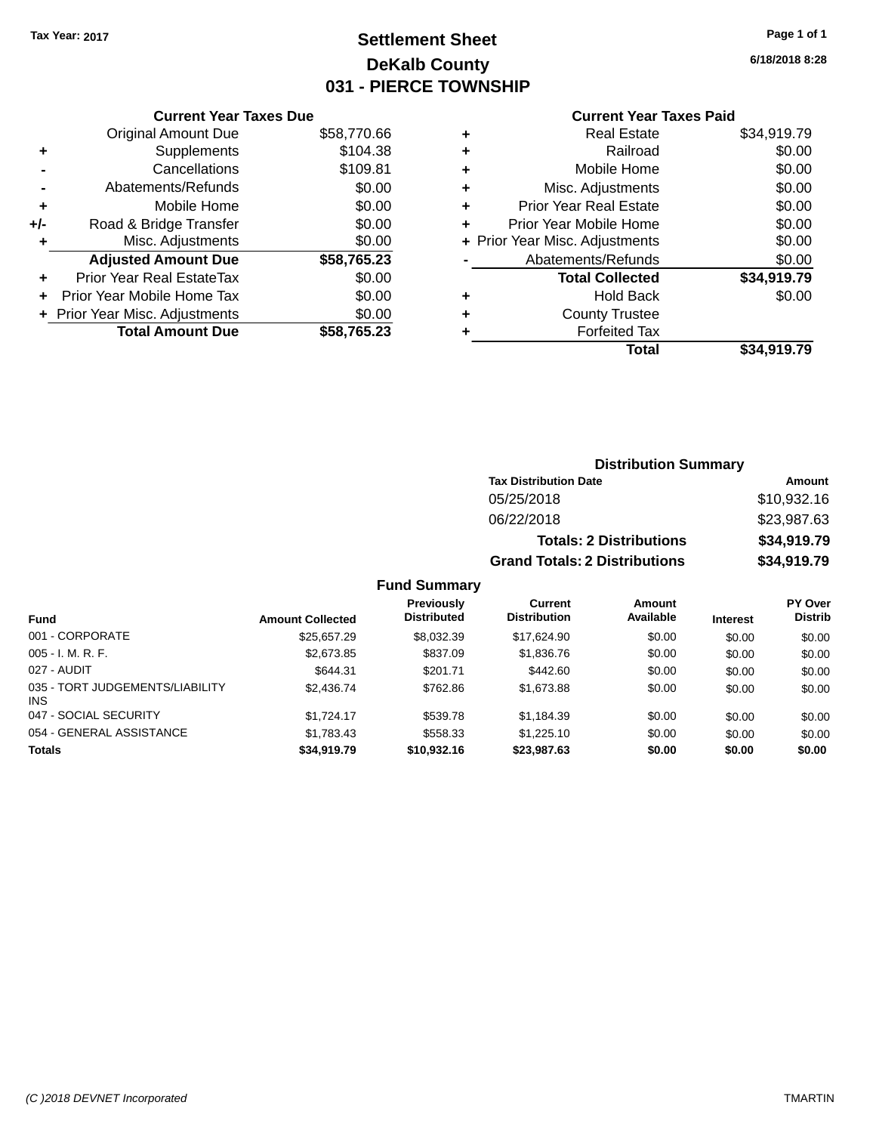## **Settlement Sheet Tax Year: 2017 Page 1 of 1 DeKalb County 031 - PIERCE TOWNSHIP**

**6/18/2018 8:28**

|  | <b>Current Year Taxes Paid</b> |
|--|--------------------------------|
|--|--------------------------------|

|     | <b>Current Year Taxes Due</b>  |             |
|-----|--------------------------------|-------------|
|     | <b>Original Amount Due</b>     | \$58,770.66 |
| ٠   | Supplements                    | \$104.38    |
|     | Cancellations                  | \$109.81    |
|     | Abatements/Refunds             | \$0.00      |
| ٠   | Mobile Home                    | \$0.00      |
| +/- | Road & Bridge Transfer         | \$0.00      |
| ٠   | Misc. Adjustments              | \$0.00      |
|     | <b>Adjusted Amount Due</b>     | \$58,765.23 |
| ÷   | Prior Year Real EstateTax      | \$0.00      |
| ÷   | Prior Year Mobile Home Tax     | \$0.00      |
|     | + Prior Year Misc. Adjustments | \$0.00      |
|     | <b>Total Amount Due</b>        | \$58.765.23 |

|   | <b>Real Estate</b>             | \$34,919.79 |
|---|--------------------------------|-------------|
| ٠ | Railroad                       | \$0.00      |
| ٠ | Mobile Home                    | \$0.00      |
| ٠ | Misc. Adjustments              | \$0.00      |
| ٠ | <b>Prior Year Real Estate</b>  | \$0.00      |
| ٠ | Prior Year Mobile Home         | \$0.00      |
|   | + Prior Year Misc. Adjustments | \$0.00      |
|   | Abatements/Refunds             | \$0.00      |
|   | <b>Total Collected</b>         | \$34,919.79 |
| ٠ | Hold Back                      | \$0.00      |
| ٠ | <b>County Trustee</b>          |             |
| ٠ | <b>Forfeited Tax</b>           |             |
|   | Total                          | \$34,919.79 |
|   |                                |             |

| <b>Distribution Summary</b>          |             |  |  |  |  |
|--------------------------------------|-------------|--|--|--|--|
| <b>Tax Distribution Date</b>         | Amount      |  |  |  |  |
| 05/25/2018                           | \$10,932.16 |  |  |  |  |
| 06/22/2018                           | \$23,987.63 |  |  |  |  |
| <b>Totals: 2 Distributions</b>       | \$34,919.79 |  |  |  |  |
| <b>Grand Totals: 2 Distributions</b> | \$34,919.79 |  |  |  |  |

| <b>Fund</b>                                   | <b>Amount Collected</b> | <b>Previously</b><br><b>Distributed</b> | Current<br><b>Distribution</b> | Amount<br>Available | <b>Interest</b> | <b>PY Over</b><br><b>Distrib</b> |
|-----------------------------------------------|-------------------------|-----------------------------------------|--------------------------------|---------------------|-----------------|----------------------------------|
| 001 - CORPORATE                               | \$25,657.29             | \$8.032.39                              | \$17.624.90                    | \$0.00              | \$0.00          | \$0.00                           |
| $005 - I. M. R. F.$                           | \$2,673.85              | \$837.09                                | \$1,836.76                     | \$0.00              | \$0.00          | \$0.00                           |
| 027 - AUDIT                                   | \$644.31                | \$201.71                                | \$442.60                       | \$0.00              | \$0.00          | \$0.00                           |
| 035 - TORT JUDGEMENTS/LIABILITY<br><b>INS</b> | \$2,436,74              | \$762.86                                | \$1,673.88                     | \$0.00              | \$0.00          | \$0.00                           |
| 047 - SOCIAL SECURITY                         | \$1.724.17              | \$539.78                                | \$1,184.39                     | \$0.00              | \$0.00          | \$0.00                           |
| 054 - GENERAL ASSISTANCE                      | \$1,783.43              | \$558.33                                | \$1,225.10                     | \$0.00              | \$0.00          | \$0.00                           |
| <b>Totals</b>                                 | \$34,919.79             | \$10,932.16                             | \$23,987.63                    | \$0.00              | \$0.00          | \$0.00                           |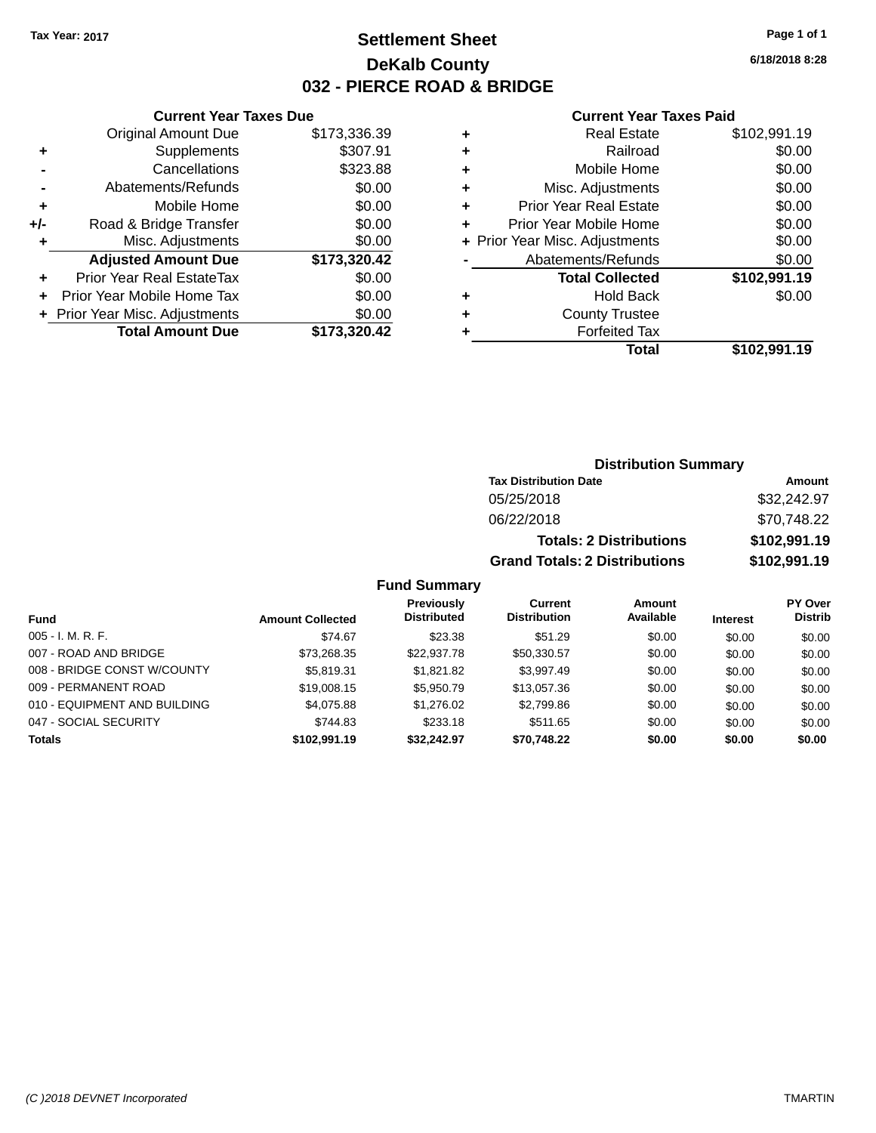## **Settlement Sheet Tax Year: 2017 Page 1 of 1 DeKalb County 032 - PIERCE ROAD & BRIDGE**

**Current Year Taxes Due** Original Amount Due \$173,336.39 **+** Supplements \$307.91 **-** Cancellations \$323.88 **-** Abatements/Refunds \$0.00 **+** Mobile Home \$0.00 **+/-** Road & Bridge Transfer \$0.00<br> **+** Misc. Adjustments \$0.00 **+** Misc. Adjustments **Adjusted Amount Due \$173,320.42 +** Prior Year Real EstateTax \$0.00 **+** Prior Year Mobile Home Tax \$0.00 **+** Prior Year Misc. Adjustments \$0.00<br> **Total Amount Due** \$173,320.42 **Total Amount Due** 

#### **Current Year Taxes Paid**

| ٠ | <b>Real Estate</b>             | \$102,991.19 |
|---|--------------------------------|--------------|
| ٠ | Railroad                       | \$0.00       |
| ٠ | Mobile Home                    | \$0.00       |
| ٠ | Misc. Adjustments              | \$0.00       |
| ٠ | <b>Prior Year Real Estate</b>  | \$0.00       |
| ٠ | Prior Year Mobile Home         | \$0.00       |
|   | + Prior Year Misc. Adjustments | \$0.00       |
|   | Abatements/Refunds             | \$0.00       |
|   | <b>Total Collected</b>         | \$102,991.19 |
| ٠ | <b>Hold Back</b>               | \$0.00       |
| ٠ | <b>County Trustee</b>          |              |
|   | <b>Forfeited Tax</b>           |              |
|   | Total                          | \$102,991.19 |
|   |                                |              |

| <b>Distribution Summary</b>          |              |  |  |  |  |
|--------------------------------------|--------------|--|--|--|--|
| <b>Tax Distribution Date</b>         | Amount       |  |  |  |  |
| 05/25/2018                           | \$32,242.97  |  |  |  |  |
| 06/22/2018                           | \$70,748.22  |  |  |  |  |
| <b>Totals: 2 Distributions</b>       | \$102,991.19 |  |  |  |  |
| <b>Grand Totals: 2 Distributions</b> | \$102,991.19 |  |  |  |  |

| <b>Fund</b>                  | <b>Amount Collected</b> | <b>Previously</b><br><b>Distributed</b> | Current<br><b>Distribution</b> | Amount<br>Available | <b>Interest</b> | <b>PY Over</b><br><b>Distrib</b> |
|------------------------------|-------------------------|-----------------------------------------|--------------------------------|---------------------|-----------------|----------------------------------|
| $005 - I. M. R. F.$          | \$74.67                 | \$23.38                                 | \$51.29                        | \$0.00              | \$0.00          | \$0.00                           |
| 007 - ROAD AND BRIDGE        | \$73,268.35             | \$22,937.78                             | \$50.330.57                    | \$0.00              | \$0.00          | \$0.00                           |
| 008 - BRIDGE CONST W/COUNTY  | \$5,819.31              | \$1,821.82                              | \$3,997.49                     | \$0.00              | \$0.00          | \$0.00                           |
| 009 - PERMANENT ROAD         | \$19,008.15             | \$5.950.79                              | \$13,057.36                    | \$0.00              | \$0.00          | \$0.00                           |
| 010 - EQUIPMENT AND BUILDING | \$4,075.88              | \$1,276.02                              | \$2,799.86                     | \$0.00              | \$0.00          | \$0.00                           |
| 047 - SOCIAL SECURITY        | \$744.83                | \$233.18                                | \$511.65                       | \$0.00              | \$0.00          | \$0.00                           |
| <b>Totals</b>                | \$102.991.19            | \$32.242.97                             | \$70.748.22                    | \$0.00              | \$0.00          | \$0.00                           |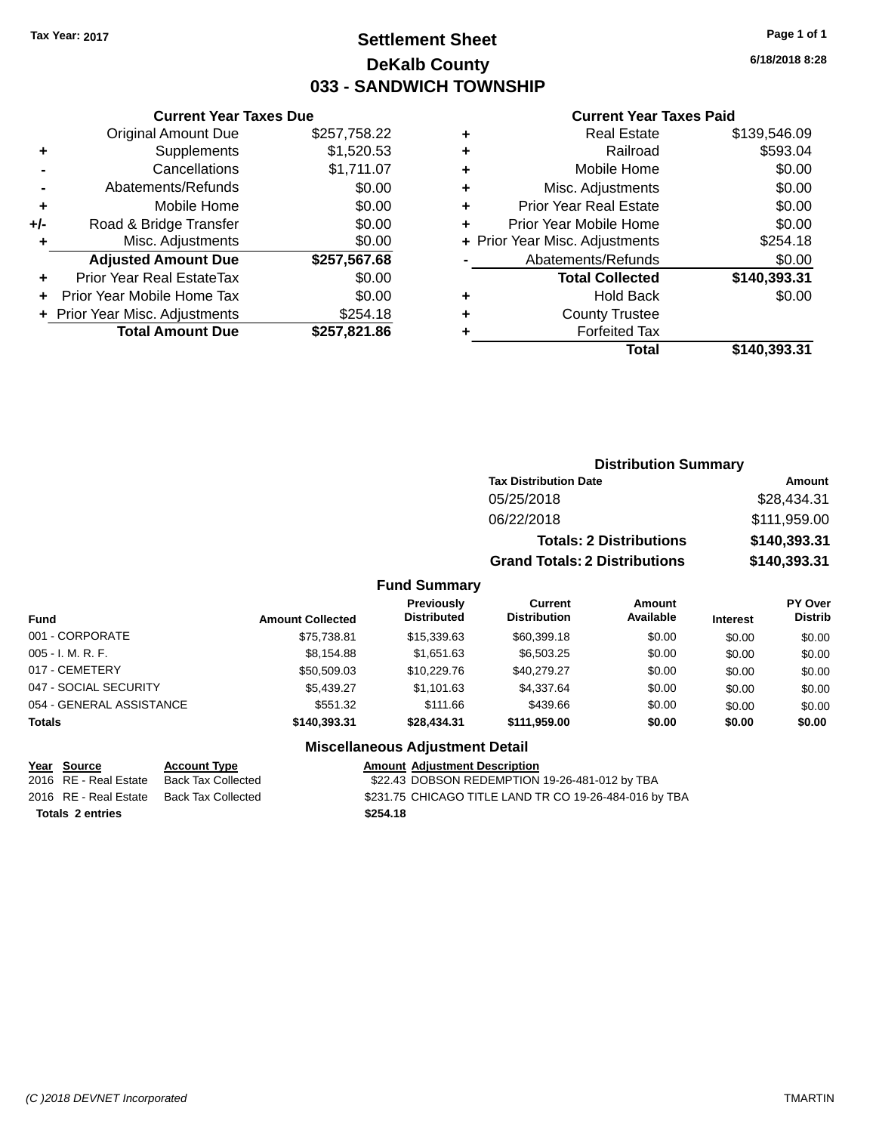## **Settlement Sheet Tax Year: 2017 Page 1 of 1 DeKalb County 033 - SANDWICH TOWNSHIP**

**6/18/2018 8:28**

#### **Current Year Taxes Paid**

| <b>Current Year Taxes Due</b> |                                                                                         |  |  |  |  |  |
|-------------------------------|-----------------------------------------------------------------------------------------|--|--|--|--|--|
| <b>Original Amount Due</b>    | \$257,758.22                                                                            |  |  |  |  |  |
| Supplements                   | \$1,520.53                                                                              |  |  |  |  |  |
| \$1,711.07<br>Cancellations   |                                                                                         |  |  |  |  |  |
| Abatements/Refunds            | \$0.00                                                                                  |  |  |  |  |  |
| Mobile Home                   | \$0.00                                                                                  |  |  |  |  |  |
| Road & Bridge Transfer        | \$0.00                                                                                  |  |  |  |  |  |
| Misc. Adjustments             | \$0.00                                                                                  |  |  |  |  |  |
| <b>Adjusted Amount Due</b>    | \$257,567.68                                                                            |  |  |  |  |  |
| Prior Year Real EstateTax     | \$0.00                                                                                  |  |  |  |  |  |
|                               | \$0.00                                                                                  |  |  |  |  |  |
|                               | \$254.18                                                                                |  |  |  |  |  |
|                               | \$257,821.86                                                                            |  |  |  |  |  |
|                               | Prior Year Mobile Home Tax<br>+ Prior Year Misc. Adjustments<br><b>Total Amount Due</b> |  |  |  |  |  |

|   | <b>Real Estate</b>             | \$139,546.09 |
|---|--------------------------------|--------------|
| ٠ | Railroad                       | \$593.04     |
| ٠ | Mobile Home                    | \$0.00       |
| ٠ | Misc. Adjustments              | \$0.00       |
| ٠ | <b>Prior Year Real Estate</b>  | \$0.00       |
| ٠ | Prior Year Mobile Home         | \$0.00       |
|   | + Prior Year Misc. Adjustments | \$254.18     |
|   | Abatements/Refunds             | \$0.00       |
|   | <b>Total Collected</b>         | \$140,393.31 |
| ٠ | <b>Hold Back</b>               | \$0.00       |
| ٠ | <b>County Trustee</b>          |              |
| ٠ | <b>Forfeited Tax</b>           |              |
|   | Total                          | \$140,393.31 |
|   |                                |              |

| <b>Distribution Summary</b>          |              |
|--------------------------------------|--------------|
| <b>Tax Distribution Date</b>         | Amount       |
| 05/25/2018                           | \$28,434.31  |
| 06/22/2018                           | \$111,959.00 |
| <b>Totals: 2 Distributions</b>       | \$140,393.31 |
| <b>Grand Totals: 2 Distributions</b> | \$140,393.31 |

### **Fund Summary**

| <b>Fund</b>              | <b>Amount Collected</b> | <b>Previously</b><br><b>Distributed</b> | <b>Current</b><br><b>Distribution</b> | Amount<br>Available | <b>Interest</b> | PY Over<br><b>Distrib</b> |
|--------------------------|-------------------------|-----------------------------------------|---------------------------------------|---------------------|-----------------|---------------------------|
| 001 - CORPORATE          | \$75,738.81             | \$15,339.63                             | \$60,399.18                           | \$0.00              | \$0.00          | \$0.00                    |
| $005 - I. M. R. F.$      | \$8.154.88              | \$1.651.63                              | \$6,503,25                            | \$0.00              | \$0.00          | \$0.00                    |
| 017 - CEMETERY           | \$50,509.03             | \$10,229.76                             | \$40,279.27                           | \$0.00              | \$0.00          | \$0.00                    |
| 047 - SOCIAL SECURITY    | \$5.439.27              | \$1.101.63                              | \$4.337.64                            | \$0.00              | \$0.00          | \$0.00                    |
| 054 - GENERAL ASSISTANCE | \$551.32                | \$111.66                                | \$439.66                              | \$0.00              | \$0.00          | \$0.00                    |
| <b>Totals</b>            | \$140,393,31            | \$28.434.31                             | \$111.959.00                          | \$0.00              | \$0.00          | \$0.00                    |

### **Miscellaneous Adjustment Detail**

**Year Source Account Type Amount Adjustment Description**

**Totals 2 entries \$254.18**

2016 RE - Real Estate Back Tax Collected \$22.43 DOBSON REDEMPTION 19-26-481-012 by TBA 2016 RE - Real Estate Back Tax Collected \$231.75 CHICAGO TITLE LAND TR CO 19-26-484-016 by TBA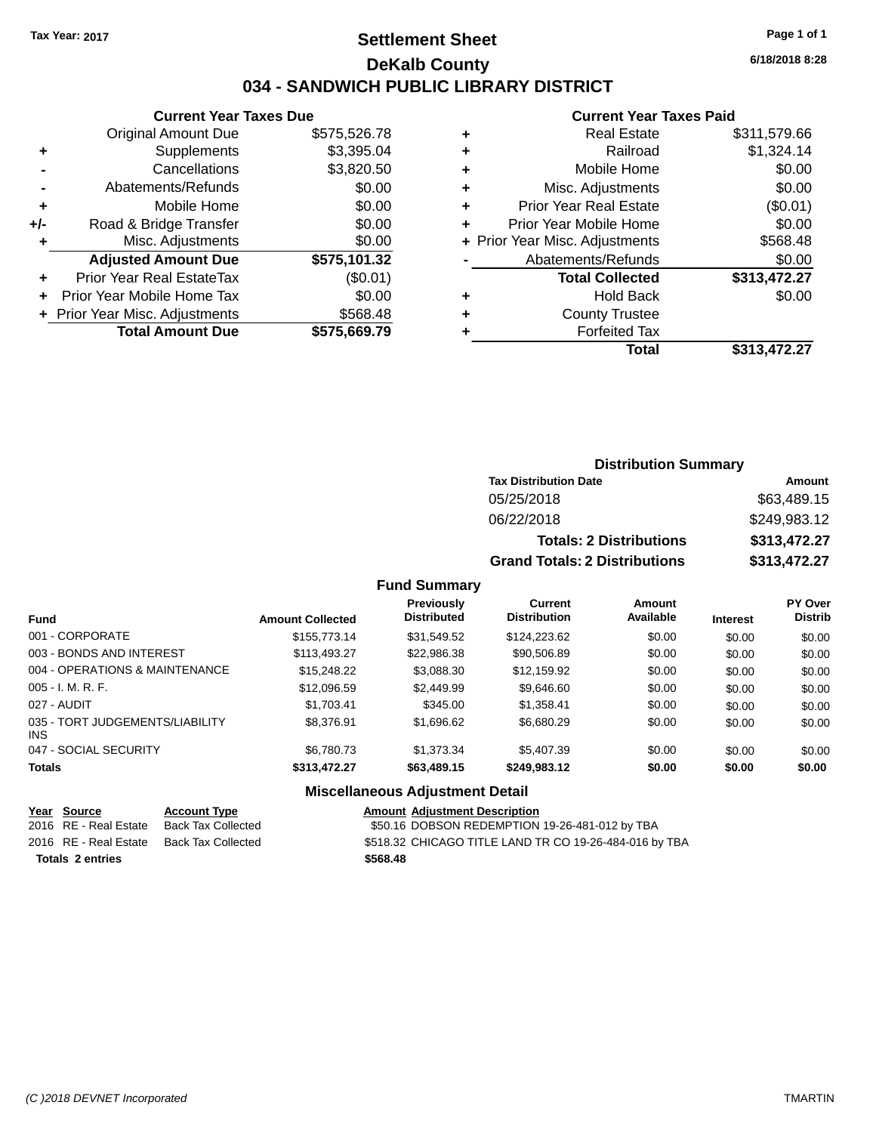## **Settlement Sheet Tax Year: 2017 Page 1 of 1 DeKalb County 034 - SANDWICH PUBLIC LIBRARY DISTRICT**

| <b>Current Year Taxes Due</b> |  |  |
|-------------------------------|--|--|
|                               |  |  |

| <b>Original Amount Due</b>       | \$575,526.78                   |
|----------------------------------|--------------------------------|
| Supplements                      | \$3,395.04                     |
| Cancellations                    | \$3,820.50                     |
| Abatements/Refunds               | \$0.00                         |
| Mobile Home                      | \$0.00                         |
| Road & Bridge Transfer           | \$0.00                         |
| Misc. Adjustments                | \$0.00                         |
| <b>Adjusted Amount Due</b>       | \$575,101.32                   |
| <b>Prior Year Real EstateTax</b> | (\$0.01)                       |
| Prior Year Mobile Home Tax       | \$0.00                         |
|                                  | \$568.48                       |
|                                  |                                |
|                                  | + Prior Year Misc. Adjustments |

#### **Current Year Taxes Paid**

| ٠ | <b>Real Estate</b>             | \$311,579.66 |
|---|--------------------------------|--------------|
| ٠ | Railroad                       | \$1,324.14   |
| ٠ | Mobile Home                    | \$0.00       |
| ٠ | Misc. Adjustments              | \$0.00       |
| ٠ | Prior Year Real Estate         | (\$0.01)     |
|   | Prior Year Mobile Home         | \$0.00       |
|   | + Prior Year Misc. Adjustments | \$568.48     |
|   | Abatements/Refunds             | \$0.00       |
|   | <b>Total Collected</b>         | \$313,472.27 |
| ٠ | <b>Hold Back</b>               | \$0.00       |
|   | <b>County Trustee</b>          |              |
|   | <b>Forfeited Tax</b>           |              |
|   | Total                          | \$313,472.27 |
|   |                                |              |

### **Distribution Summary Tax Distribution Date Amount** 05/25/2018 \$63,489.15 06/22/2018 \$249,983.12 **Totals: 2 Distributions \$313,472.27 Grand Totals: 2 Distributions \$313,472.27**

### **Fund Summary**

| <b>Fund</b>                             | <b>Amount Collected</b> | <b>Previously</b><br><b>Distributed</b> | Current<br><b>Distribution</b> | Amount<br>Available | <b>Interest</b> | <b>PY Over</b><br><b>Distrib</b> |
|-----------------------------------------|-------------------------|-----------------------------------------|--------------------------------|---------------------|-----------------|----------------------------------|
| 001 - CORPORATE                         | \$155,773.14            | \$31,549.52                             | \$124,223.62                   | \$0.00              | \$0.00          | \$0.00                           |
| 003 - BONDS AND INTEREST                | \$113,493.27            | \$22,986.38                             | \$90,506.89                    | \$0.00              | \$0.00          | \$0.00                           |
| 004 - OPERATIONS & MAINTENANCE          | \$15,248,22             | \$3,088.30                              | \$12,159.92                    | \$0.00              | \$0.00          | \$0.00                           |
| $005 - I. M. R. F.$                     | \$12,096.59             | \$2,449.99                              | \$9,646.60                     | \$0.00              | \$0.00          | \$0.00                           |
| 027 - AUDIT                             | \$1.703.41              | \$345.00                                | \$1,358.41                     | \$0.00              | \$0.00          | \$0.00                           |
| 035 - TORT JUDGEMENTS/LIABILITY<br>INS. | \$8,376.91              | \$1,696.62                              | \$6,680.29                     | \$0.00              | \$0.00          | \$0.00                           |
| 047 - SOCIAL SECURITY                   | \$6,780.73              | \$1,373.34                              | \$5,407.39                     | \$0.00              | \$0.00          | \$0.00                           |
| <b>Totals</b>                           | \$313,472.27            | \$63,489.15                             | \$249,983.12                   | \$0.00              | \$0.00          | \$0.00                           |

### **Miscellaneous Adjustment Detail**

### **Year Source Account Type Amount Adjustment Description**  $$50.16$  DOBSON REDEMPTION 19-26-481-012 by TBA 2016 RE - Real Estate Back Tax Collected \$518.32 CHICAGO TITLE LAND TR CO 19-26-484-016 by TBA **Totals 2 entries \$568.48**

**6/18/2018 8:28**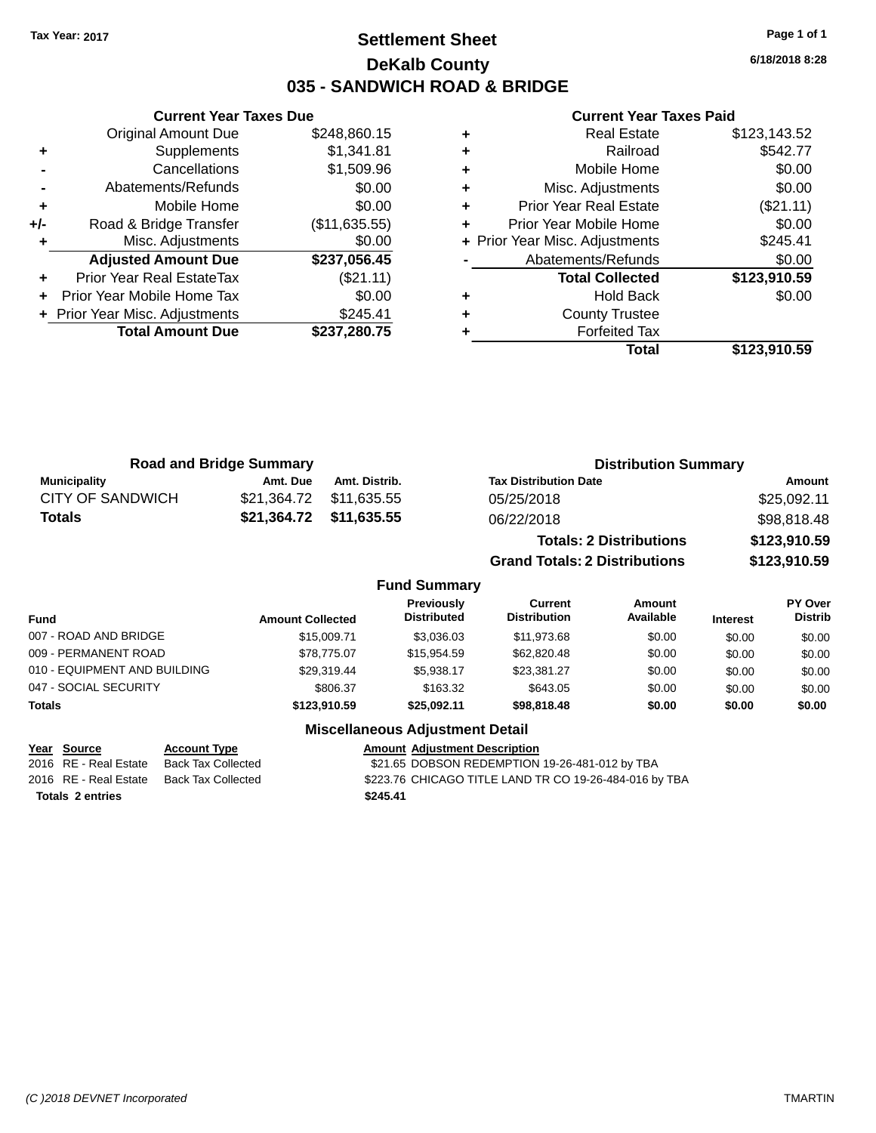### **Settlement Sheet Tax Year: 2017 Page 1 of 1 DeKalb County 035 - SANDWICH ROAD & BRIDGE**

**6/18/2018 8:28**

#### **Current Year Taxes Paid**

|     | <b>Original Amount Due</b>     | \$248,860.15  |
|-----|--------------------------------|---------------|
| ٠   | Supplements                    | \$1,341.81    |
|     | Cancellations                  | \$1,509.96    |
|     | Abatements/Refunds             | \$0.00        |
| ٠   | Mobile Home                    | \$0.00        |
| +/- | Road & Bridge Transfer         | (\$11,635.55) |
|     | Misc. Adjustments              | \$0.00        |
|     | <b>Adjusted Amount Due</b>     | \$237,056.45  |
|     |                                |               |
| ÷   | Prior Year Real EstateTax      | (\$21.11)     |
|     | Prior Year Mobile Home Tax     | \$0.00        |
|     | + Prior Year Misc. Adjustments | \$245.41      |
|     | <b>Total Amount Due</b>        | \$237,280.75  |

**Current Year Taxes Due**

| ٠ | <b>Real Estate</b>             | \$123,143.52 |
|---|--------------------------------|--------------|
| ÷ | Railroad                       | \$542.77     |
| ٠ | Mobile Home                    | \$0.00       |
| ٠ | Misc. Adjustments              | \$0.00       |
| ٠ | <b>Prior Year Real Estate</b>  | (\$21.11)    |
| ٠ | Prior Year Mobile Home         | \$0.00       |
|   | + Prior Year Misc. Adjustments | \$245.41     |
|   | Abatements/Refunds             | \$0.00       |
|   | <b>Total Collected</b>         | \$123,910.59 |
| ٠ | <b>Hold Back</b>               | \$0.00       |
| ٠ | <b>County Trustee</b>          |              |
| ٠ | <b>Forfeited Tax</b>           |              |
|   | <b>Total</b>                   | \$123,910.59 |
|   |                                |              |

**Grand Totals: 2 Distributions \$123,910.59**

|                  | <b>Road and Bridge Summary</b> |                         | <b>Distribution Summary</b>    |              |
|------------------|--------------------------------|-------------------------|--------------------------------|--------------|
| Municipality     | Amt. Due                       | Amt. Distrib.           | <b>Tax Distribution Date</b>   | Amount       |
| CITY OF SANDWICH |                                |                         | 05/25/2018                     | \$25,092.11  |
| Totals           |                                | \$21,364.72 \$11,635.55 | 06/22/2018                     | \$98,818.48  |
|                  |                                |                         | <b>Totals: 2 Distributions</b> | \$123,910.59 |

**Fund Summary Fund Interest Amount Collected Distributed PY Over Distrib Amount Available Current Distribution Previously** 007 - ROAD AND BRIDGE 60.00 \$15,009.71 \$3,036.03 \$11,973.68 \$0.00 \$0.00 \$0.00 \$0.00 009 - PERMANENT ROAD \$78,775.07 \$15,954.59 \$62,820.48 \$0.00 \$0.00 \$0.00 010 - EQUIPMENT AND BUILDING \$29,319.44 \$5,938.17 \$23,381.27 \$0.00 \$0.00 \$0.00 \$0.00 047 - SOCIAL SECURITY \$806.37 \$163.32 \$643.05 \$0.00 \$0.00 \$0.00 \$0.00 **Totals \$123,910.59 \$25,092.11 \$98,818.48 \$0.00 \$0.00 \$0.00**

#### **Miscellaneous Adjustment Detail**

| Year Source             | <b>Account Type</b> | <b>Amount Adiustment Description</b>                   |
|-------------------------|---------------------|--------------------------------------------------------|
| 2016 RE - Real Estate   | Back Tax Collected  | \$21.65 DOBSON REDEMPTION 19-26-481-012 by TBA         |
| 2016 RE - Real Estate   | Back Tax Collected  | \$223.76 CHICAGO TITLE LAND TR CO 19-26-484-016 by TBA |
| <b>Totals 2 entries</b> |                     | \$245.41                                               |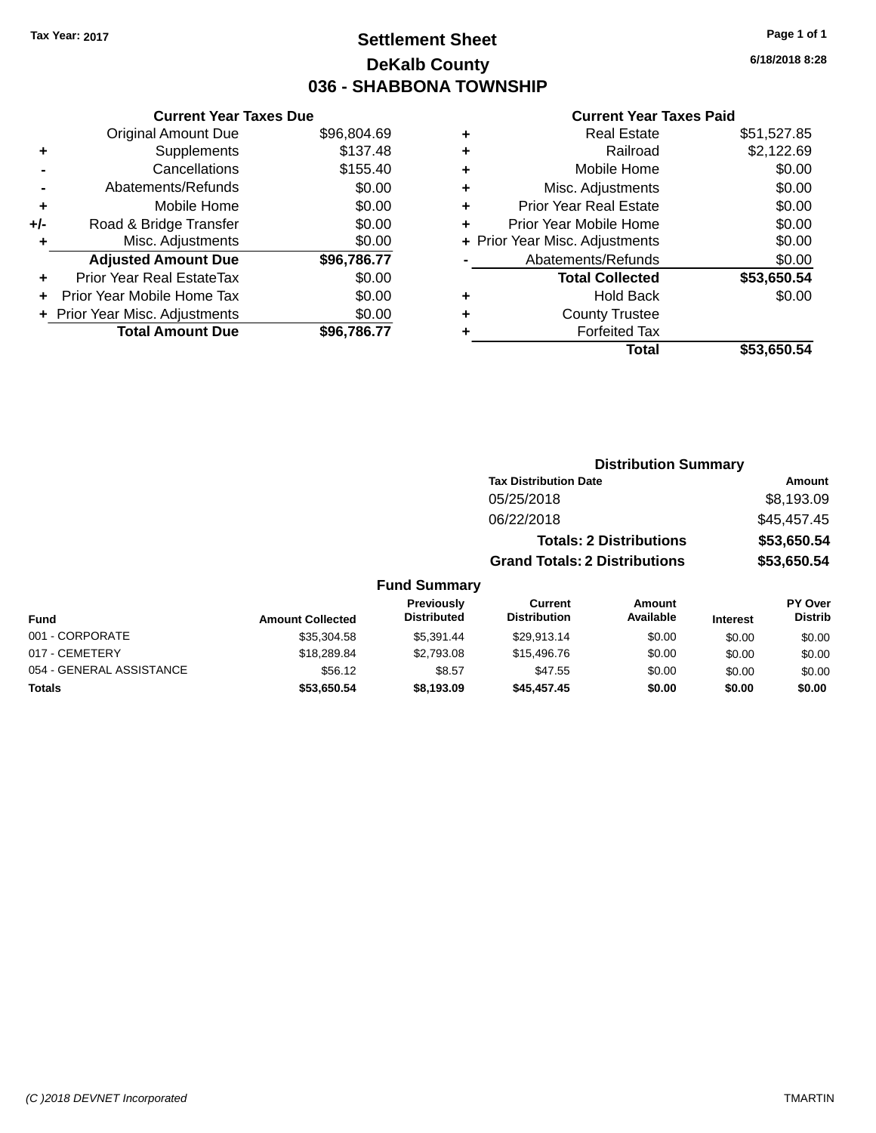### **Settlement Sheet Tax Year: 2017 Page 1 of 1 DeKalb County 036 - SHABBONA TOWNSHIP**

**6/18/2018 8:28**

#### **Current Year Taxes Paid**

| <b>Current Year Taxes Due</b> |             |
|-------------------------------|-------------|
| <b>Original Amount Due</b>    | \$96,804.69 |
| Supplements                   | \$137.48    |
| Cancellations                 | \$155.40    |
| Abatements/Refunds            | \$0.00      |
| Mobile Home                   | \$0.00      |
| Road & Bridge Transfer        | \$0.00      |
| Misc. Adjustments             | \$0.00      |
| <b>Adjusted Amount Due</b>    | \$96,786.77 |
| Prior Year Real EstateTax     | \$0.00      |
| Prior Year Mobile Home Tax    | \$0.00      |
| Prior Year Misc. Adjustments  | \$0.00      |
| <b>Total Amount Due</b>       | \$96.786.77 |
|                               |             |

| ٠ | <b>Real Estate</b>             | \$51,527.85 |
|---|--------------------------------|-------------|
| ٠ | Railroad                       | \$2,122.69  |
| ٠ | Mobile Home                    | \$0.00      |
| ٠ | Misc. Adjustments              | \$0.00      |
| ٠ | <b>Prior Year Real Estate</b>  | \$0.00      |
| ÷ | Prior Year Mobile Home         | \$0.00      |
|   | + Prior Year Misc. Adjustments | \$0.00      |
|   | Abatements/Refunds             | \$0.00      |
|   | <b>Total Collected</b>         | \$53,650.54 |
| ٠ | <b>Hold Back</b>               | \$0.00      |
| ٠ | <b>County Trustee</b>          |             |
| ٠ | <b>Forfeited Tax</b>           |             |
|   | Total                          | \$53,650.54 |
|   |                                |             |

|                     | <b>Distribution Summary</b>          |               |
|---------------------|--------------------------------------|---------------|
|                     | <b>Tax Distribution Date</b>         | <b>Amount</b> |
|                     | 05/25/2018                           | \$8,193.09    |
|                     | 06/22/2018                           | \$45,457.45   |
|                     | <b>Totals: 2 Distributions</b>       | \$53,650.54   |
|                     | <b>Grand Totals: 2 Distributions</b> | \$53,650.54   |
| <b>Fund Summary</b> |                                      |               |

#### **Fund Interest Amount Collected Distributed PY Over Distrib Amount Available Current Distribution Previously** 001 - CORPORATE 60.00 \$35,304.58 \$35,304.58 \$5,391.44 \$29,913.14 \$0.00 \$0.00 \$0.00 \$0.00 017 - CEMETERY \$18,289.84 \$2,793.08 \$15,496.76 \$0.00 \$0.00 \$0.00 054 - GENERAL ASSISTANCE \$56.12 \$8.57 \$0.00 \$0.00 \$0.00 \$0.00 \$0.00 **Totals \$53,650.54 \$8,193.09 \$45,457.45 \$0.00 \$0.00 \$0.00**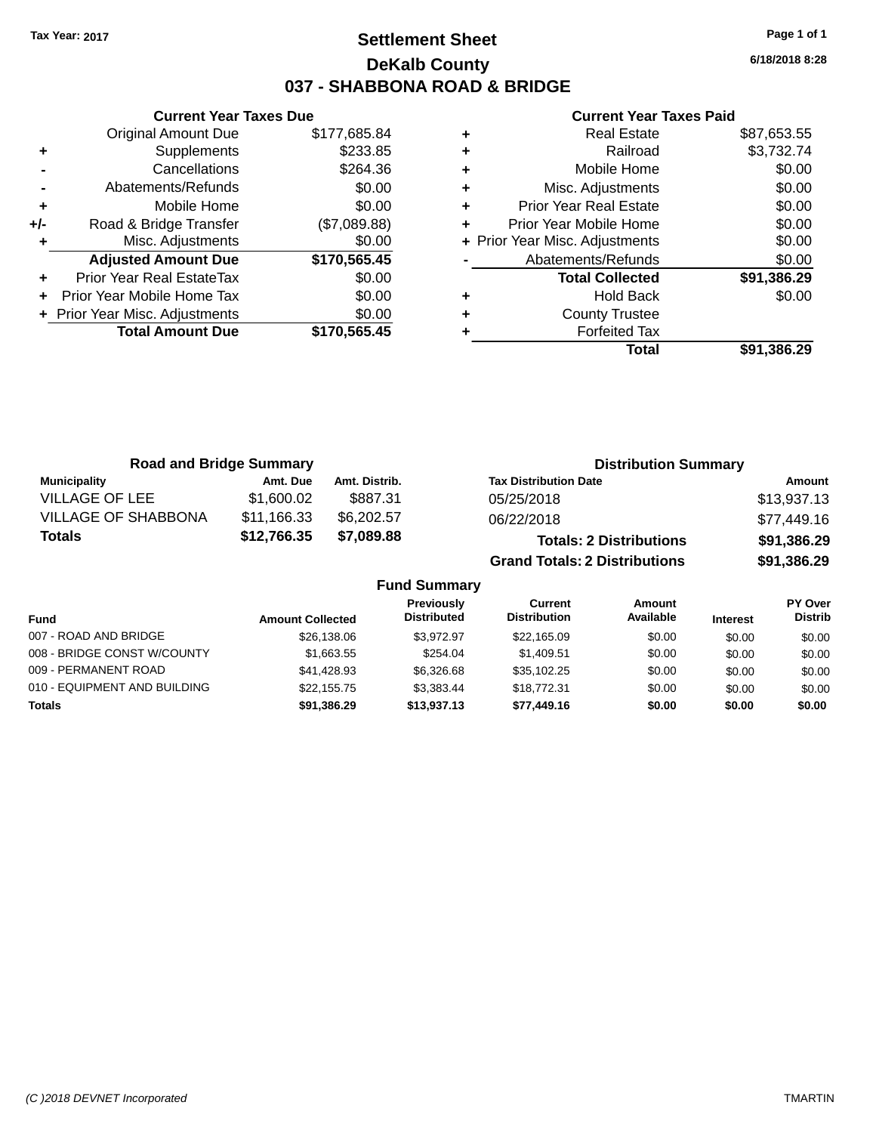### **Settlement Sheet Tax Year: 2017 Page 1 of 1 DeKalb County 037 - SHABBONA ROAD & BRIDGE**

**6/18/2018 8:28**

#### **Current Year Taxes Paid**

|     | <b>Current Year Taxes Due</b>  |              |
|-----|--------------------------------|--------------|
|     | <b>Original Amount Due</b>     | \$177,685.84 |
| ٠   | Supplements                    | \$233.85     |
|     | Cancellations                  | \$264.36     |
|     | Abatements/Refunds             | \$0.00       |
| ÷   | Mobile Home                    | \$0.00       |
| +/- | Road & Bridge Transfer         | (\$7,089.88) |
|     | Misc. Adjustments              | \$0.00       |
|     | <b>Adjusted Amount Due</b>     | \$170,565.45 |
| ÷   | Prior Year Real EstateTax      | \$0.00       |
|     | Prior Year Mobile Home Tax     | \$0.00       |
|     | + Prior Year Misc. Adjustments | \$0.00       |
|     | <b>Total Amount Due</b>        | \$170,565.45 |
|     |                                |              |

| <b>Real Estate</b>             | \$87,653.55 |
|--------------------------------|-------------|
| Railroad                       | \$3,732.74  |
| Mobile Home                    | \$0.00      |
| Misc. Adjustments              | \$0.00      |
| <b>Prior Year Real Estate</b>  | \$0.00      |
| Prior Year Mobile Home         | \$0.00      |
| + Prior Year Misc. Adjustments | \$0.00      |
| Abatements/Refunds             | \$0.00      |
| <b>Total Collected</b>         | \$91,386.29 |
| <b>Hold Back</b>               | \$0.00      |
| <b>County Trustee</b>          |             |
| <b>Forfeited Tax</b>           |             |
| Total                          | \$91,386.29 |
|                                |             |

| <b>Road and Bridge Summary</b> |             |               | <b>Distribution Summary</b>          |             |
|--------------------------------|-------------|---------------|--------------------------------------|-------------|
| <b>Municipality</b>            | Amt. Due    | Amt. Distrib. | <b>Tax Distribution Date</b>         | Amount      |
| <b>VILLAGE OF LEE</b>          | \$1,600.02  | \$887.31      | 05/25/2018                           | \$13,937.13 |
| <b>VILLAGE OF SHABBONA</b>     | \$11,166.33 | \$6,202,57    | 06/22/2018                           | \$77,449.16 |
| <b>Totals</b>                  | \$12,766.35 | \$7,089.88    | <b>Totals: 2 Distributions</b>       | \$91,386.29 |
|                                |             |               | <b>Grand Totals: 2 Distributions</b> | \$91,386.29 |

| <b>Fund</b>                  | <b>Amount Collected</b> | <b>Previously</b><br><b>Distributed</b> | Current<br><b>Distribution</b> | Amount<br>Available | <b>Interest</b> | <b>PY Over</b><br><b>Distrib</b> |
|------------------------------|-------------------------|-----------------------------------------|--------------------------------|---------------------|-----------------|----------------------------------|
| 007 - ROAD AND BRIDGE        | \$26,138.06             | \$3.972.97                              | \$22,165.09                    | \$0.00              | \$0.00          | \$0.00                           |
| 008 - BRIDGE CONST W/COUNTY  | \$1,663.55              | \$254.04                                | \$1.409.51                     | \$0.00              | \$0.00          | \$0.00                           |
| 009 - PERMANENT ROAD         | \$41.428.93             | \$6,326,68                              | \$35.102.25                    | \$0.00              | \$0.00          | \$0.00                           |
| 010 - EQUIPMENT AND BUILDING | \$22,155.75             | \$3.383.44                              | \$18,772.31                    | \$0.00              | \$0.00          | \$0.00                           |
| Totals                       | \$91,386.29             | \$13,937.13                             | \$77,449,16                    | \$0.00              | \$0.00          | \$0.00                           |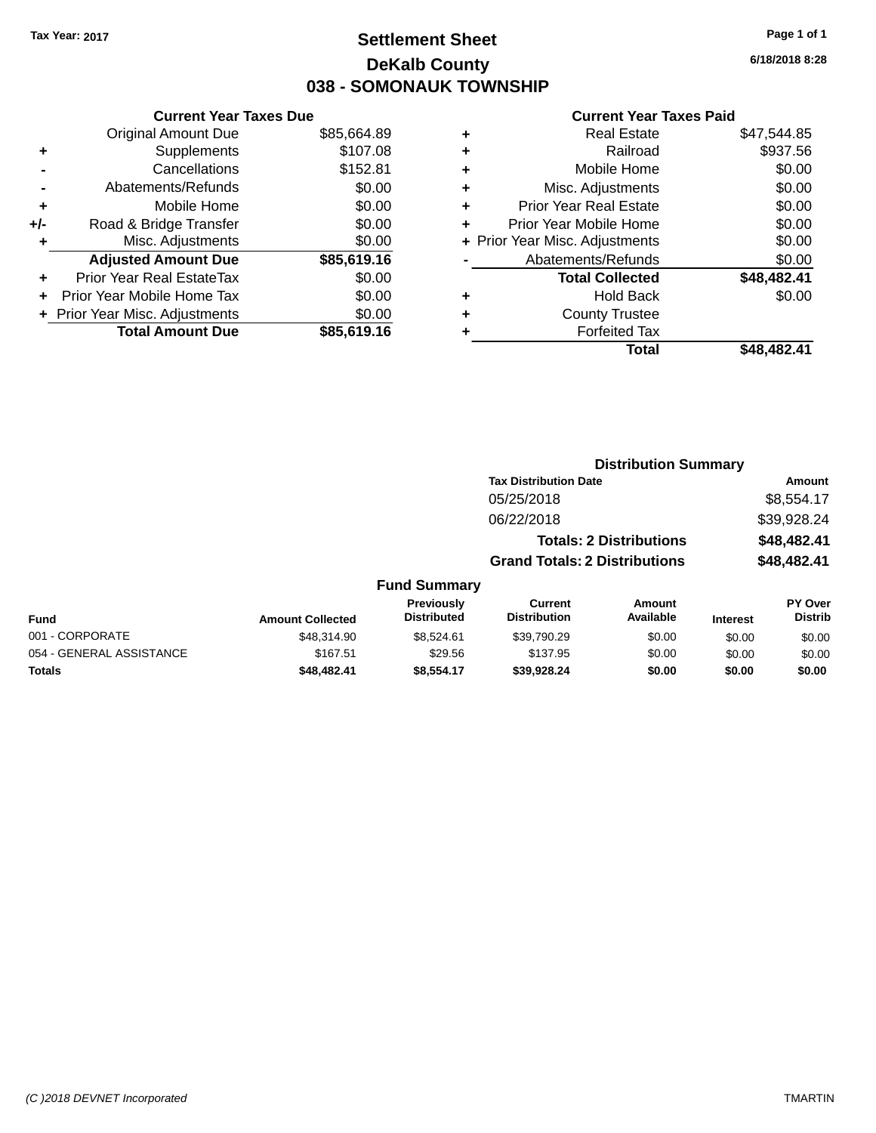### **Settlement Sheet Tax Year: 2017 Page 1 of 1 DeKalb County 038 - SOMONAUK TOWNSHIP**

**6/18/2018 8:28**

#### **Current Year Taxes Paid**

|   | <b>Real Estate</b>             | \$47,544.85 |
|---|--------------------------------|-------------|
| ٠ | Railroad                       | \$937.56    |
| ٠ | Mobile Home                    | \$0.00      |
| ٠ | Misc. Adjustments              | \$0.00      |
| ٠ | <b>Prior Year Real Estate</b>  | \$0.00      |
|   | Prior Year Mobile Home         | \$0.00      |
|   | + Prior Year Misc. Adjustments | \$0.00      |
|   | Abatements/Refunds             | \$0.00      |
|   | <b>Total Collected</b>         | \$48,482.41 |
| ٠ | <b>Hold Back</b>               | \$0.00      |
| ٠ | <b>County Trustee</b>          |             |
|   | <b>Forfeited Tax</b>           |             |
|   | Total                          | \$48.482.41 |
|   |                                |             |

|                          |                         |                                  |                                      | <b>Distribution Summary</b>    |                 |                           |
|--------------------------|-------------------------|----------------------------------|--------------------------------------|--------------------------------|-----------------|---------------------------|
|                          |                         |                                  | <b>Tax Distribution Date</b>         |                                |                 | <b>Amount</b>             |
|                          |                         |                                  | 05/25/2018                           |                                |                 | \$8,554.17                |
|                          |                         |                                  | 06/22/2018                           |                                |                 | \$39,928.24               |
|                          |                         |                                  |                                      | <b>Totals: 2 Distributions</b> |                 | \$48,482.41               |
|                          |                         |                                  | <b>Grand Totals: 2 Distributions</b> |                                |                 | \$48,482.41               |
|                          |                         | <b>Fund Summary</b>              |                                      |                                |                 |                           |
| <b>Fund</b>              | <b>Amount Collected</b> | Previously<br><b>Distributed</b> | Current<br><b>Distribution</b>       | Amount<br>Available            | <b>Interest</b> | PY Over<br><b>Distrib</b> |
| 001 - CORPORATE          | \$48,314.90             | \$8.524.61                       | \$39,790.29                          | \$0.00                         | \$0.00          | \$0.00                    |
| 054 - GENERAL ASSISTANCE | \$167.51                | \$29.56                          | \$137.95                             | \$0.00                         | \$0.00          | \$0.00                    |

**Totals \$48,482.41 \$8,554.17 \$39,928.24 \$0.00 \$0.00 \$0.00**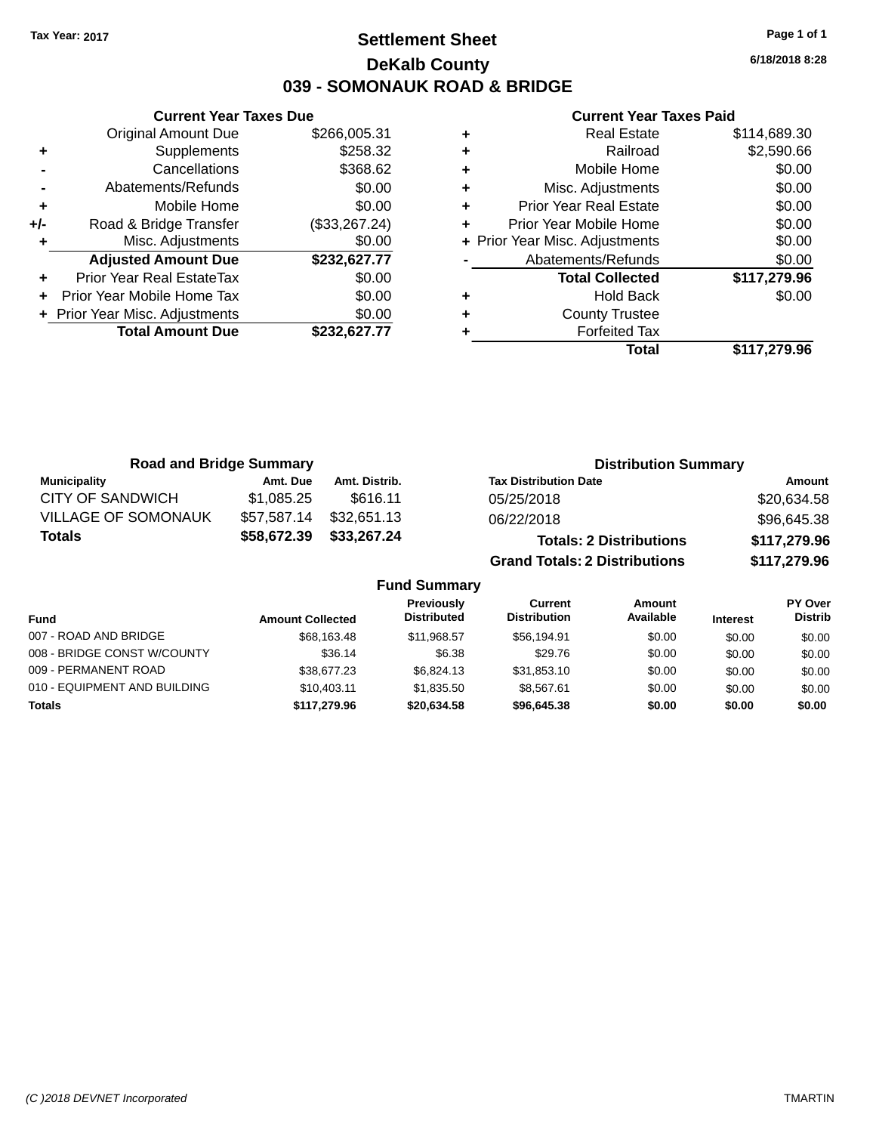### **Settlement Sheet Tax Year: 2017 Page 1 of 1 DeKalb County 039 - SOMONAUK ROAD & BRIDGE**

**6/18/2018 8:28**

#### **Current Year Taxes Paid**

|     | <b>Current Year Taxes Due</b>  |               |
|-----|--------------------------------|---------------|
|     | <b>Original Amount Due</b>     | \$266,005.31  |
| ٠   | Supplements                    | \$258.32      |
|     | Cancellations                  | \$368.62      |
|     | Abatements/Refunds             | \$0.00        |
| ٠   | Mobile Home                    | \$0.00        |
| +/- | Road & Bridge Transfer         | (\$33,267.24) |
|     | Misc. Adjustments              | \$0.00        |
|     | <b>Adjusted Amount Due</b>     | \$232,627.77  |
|     | Prior Year Real EstateTax      | \$0.00        |
|     | Prior Year Mobile Home Tax     | \$0.00        |
|     | + Prior Year Misc. Adjustments | \$0.00        |
|     | <b>Total Amount Due</b>        | \$232.627.77  |
|     |                                |               |

| ٠ | <b>Real Estate</b>             | \$114,689.30 |
|---|--------------------------------|--------------|
| ٠ | Railroad                       | \$2,590.66   |
| ٠ | Mobile Home                    | \$0.00       |
| ٠ | Misc. Adjustments              | \$0.00       |
| ٠ | <b>Prior Year Real Estate</b>  | \$0.00       |
| ٠ | Prior Year Mobile Home         | \$0.00       |
|   | + Prior Year Misc. Adjustments | \$0.00       |
|   | Abatements/Refunds             | \$0.00       |
|   | <b>Total Collected</b>         | \$117,279.96 |
| ٠ | <b>Hold Back</b>               | \$0.00       |
| ٠ | <b>County Trustee</b>          |              |
| ٠ | <b>Forfeited Tax</b>           |              |
|   | Total                          | \$117,279.96 |
|   |                                |              |

| <b>Road and Bridge Summary</b> |             |                     | <b>Distribution Summary</b>          |              |  |
|--------------------------------|-------------|---------------------|--------------------------------------|--------------|--|
| <b>Municipality</b>            | Amt. Due    | Amt. Distrib.       | <b>Tax Distribution Date</b>         | Amount       |  |
| CITY OF SANDWICH               | \$1.085.25  | \$616.11            | 05/25/2018                           | \$20,634.58  |  |
| <b>VILLAGE OF SOMONAUK</b>     | \$57,587.14 | \$32.651.13         | 06/22/2018                           | \$96,645.38  |  |
| <b>Totals</b>                  | \$58,672.39 | \$33,267.24         | <b>Totals: 2 Distributions</b>       | \$117,279.96 |  |
|                                |             |                     | <b>Grand Totals: 2 Distributions</b> | \$117,279.96 |  |
|                                |             | <b>Fund Summary</b> |                                      |              |  |

| Fund                         | <b>Amount Collected</b> | <b>Previously</b><br><b>Distributed</b> | Current<br><b>Distribution</b> | Amount<br>Available | <b>Interest</b> | PY Over<br>Distrib |
|------------------------------|-------------------------|-----------------------------------------|--------------------------------|---------------------|-----------------|--------------------|
| 007 - ROAD AND BRIDGE        | \$68,163,48             | \$11.968.57                             | \$56.194.91                    | \$0.00              | \$0.00          | \$0.00             |
| 008 - BRIDGE CONST W/COUNTY  | \$36.14                 | \$6.38                                  | \$29.76                        | \$0.00              | \$0.00          | \$0.00             |
| 009 - PERMANENT ROAD         | \$38,677.23             | \$6,824.13                              | \$31.853.10                    | \$0.00              | \$0.00          | \$0.00             |
| 010 - EQUIPMENT AND BUILDING | \$10,403.11             | \$1.835.50                              | \$8.567.61                     | \$0.00              | \$0.00          | \$0.00             |
| <b>Totals</b>                | \$117,279.96            | \$20,634.58                             | \$96,645,38                    | \$0.00              | \$0.00          | \$0.00             |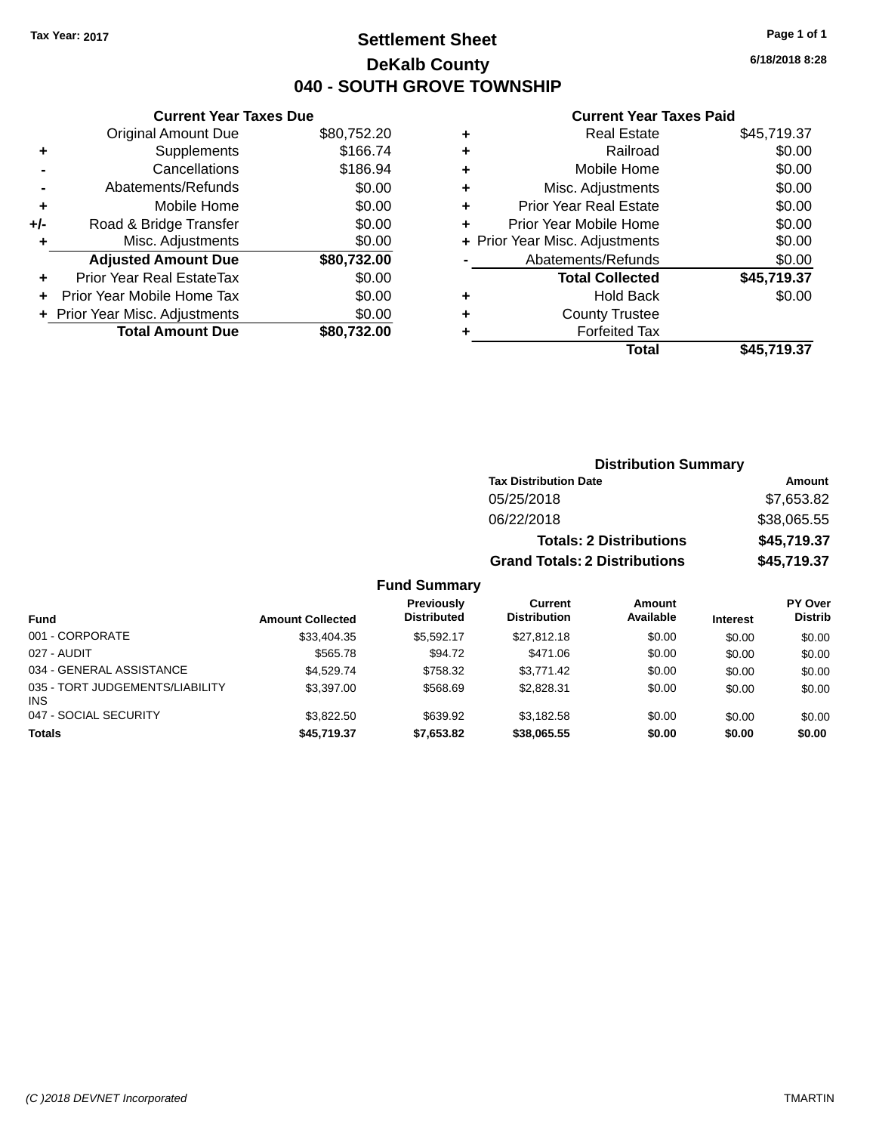### **Settlement Sheet Tax Year: 2017 Page 1 of 1 DeKalb County 040 - SOUTH GROVE TOWNSHIP**

**6/18/2018 8:28**

#### **Current Year Taxes Paid**

| <b>Current Year Taxes Due</b> |                         |
|-------------------------------|-------------------------|
| <b>Original Amount Due</b>    | \$80,752.20             |
| Supplements                   | \$166.74                |
| Cancellations                 | \$186.94                |
| Abatements/Refunds            | \$0.00                  |
| Mobile Home                   | \$0.00                  |
| Road & Bridge Transfer        | \$0.00                  |
| Misc. Adjustments             | \$0.00                  |
| <b>Adjusted Amount Due</b>    | \$80,732.00             |
| Prior Year Real EstateTax     | \$0.00                  |
| Prior Year Mobile Home Tax    | \$0.00                  |
| Prior Year Misc. Adjustments  | \$0.00                  |
|                               | \$80.732.00             |
|                               | <b>Total Amount Due</b> |

| ٠ | <b>Real Estate</b>             | \$45,719.37 |
|---|--------------------------------|-------------|
| ٠ | Railroad                       | \$0.00      |
| ٠ | Mobile Home                    | \$0.00      |
| ٠ | Misc. Adjustments              | \$0.00      |
| ٠ | <b>Prior Year Real Estate</b>  | \$0.00      |
| ÷ | Prior Year Mobile Home         | \$0.00      |
|   | + Prior Year Misc. Adjustments | \$0.00      |
|   | Abatements/Refunds             | \$0.00      |
|   | <b>Total Collected</b>         | \$45,719.37 |
| ٠ | <b>Hold Back</b>               | \$0.00      |
| ٠ | <b>County Trustee</b>          |             |
| ٠ | <b>Forfeited Tax</b>           |             |
|   | Total                          | \$45,719.37 |
|   |                                |             |

| <b>Distribution Summary</b>          |             |
|--------------------------------------|-------------|
| <b>Tax Distribution Date</b>         | Amount      |
| 05/25/2018                           | \$7,653.82  |
| 06/22/2018                           | \$38,065.55 |
| <b>Totals: 2 Distributions</b>       | \$45,719.37 |
| <b>Grand Totals: 2 Distributions</b> | \$45,719.37 |

| <b>Fund</b>                                   | <b>Amount Collected</b> | Previously<br><b>Distributed</b> | Current<br><b>Distribution</b> | <b>Amount</b><br>Available | <b>Interest</b> | <b>PY Over</b><br><b>Distrib</b> |
|-----------------------------------------------|-------------------------|----------------------------------|--------------------------------|----------------------------|-----------------|----------------------------------|
| 001 - CORPORATE                               | \$33,404.35             | \$5.592.17                       | \$27,812.18                    | \$0.00                     | \$0.00          | \$0.00                           |
| 027 - AUDIT                                   | \$565.78                | \$94.72                          | \$471.06                       | \$0.00                     | \$0.00          | \$0.00                           |
| 034 - GENERAL ASSISTANCE                      | \$4.529.74              | \$758.32                         | \$3,771.42                     | \$0.00                     | \$0.00          | \$0.00                           |
| 035 - TORT JUDGEMENTS/LIABILITY<br><b>INS</b> | \$3,397.00              | \$568.69                         | \$2.828.31                     | \$0.00                     | \$0.00          | \$0.00                           |
| 047 - SOCIAL SECURITY                         | \$3.822.50              | \$639.92                         | \$3.182.58                     | \$0.00                     | \$0.00          | \$0.00                           |
| <b>Totals</b>                                 | \$45,719,37             | \$7,653.82                       | \$38,065.55                    | \$0.00                     | \$0.00          | \$0.00                           |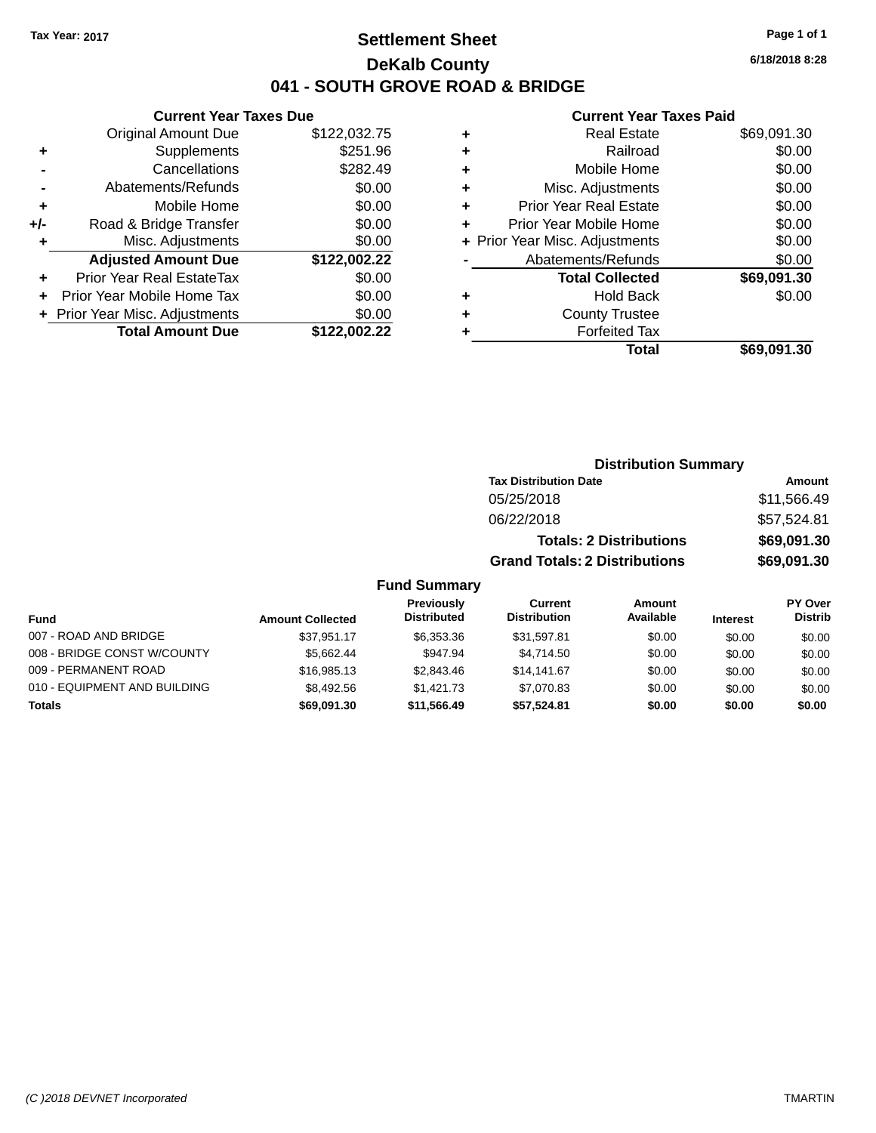### **Settlement Sheet Tax Year: 2017 Page 1 of 1 DeKalb County 041 - SOUTH GROVE ROAD & BRIDGE**

**Current Year Taxes Due**

|     | <b>Original Amount Due</b>       | \$122,032.75 |
|-----|----------------------------------|--------------|
| ٠   | Supplements                      | \$251.96     |
|     | Cancellations                    | \$282.49     |
|     | Abatements/Refunds               | \$0.00       |
| ٠   | Mobile Home                      | \$0.00       |
| +/- | Road & Bridge Transfer           | \$0.00       |
| ٠   | Misc. Adjustments                | \$0.00       |
|     | <b>Adjusted Amount Due</b>       | \$122,002.22 |
| ÷   | <b>Prior Year Real EstateTax</b> | \$0.00       |
|     | Prior Year Mobile Home Tax       | \$0.00       |
|     | + Prior Year Misc. Adjustments   | \$0.00       |
|     | <b>Total Amount Due</b>          | \$122,002.22 |

#### **Current Year Taxes Paid**

|   | <b>Real Estate</b>             | \$69,091.30 |
|---|--------------------------------|-------------|
| ٠ | Railroad                       | \$0.00      |
| ٠ | Mobile Home                    | \$0.00      |
| ٠ | Misc. Adjustments              | \$0.00      |
| ٠ | <b>Prior Year Real Estate</b>  | \$0.00      |
| ٠ | Prior Year Mobile Home         | \$0.00      |
|   | + Prior Year Misc. Adjustments | \$0.00      |
|   | Abatements/Refunds             | \$0.00      |
|   | <b>Total Collected</b>         | \$69,091.30 |
| ٠ | <b>Hold Back</b>               | \$0.00      |
|   | <b>County Trustee</b>          |             |
|   | <b>Forfeited Tax</b>           |             |
|   | Total                          | \$69,091.30 |
|   |                                |             |

| <b>Distribution Summary</b>          |             |
|--------------------------------------|-------------|
| <b>Tax Distribution Date</b>         | Amount      |
| 05/25/2018                           | \$11,566.49 |
| 06/22/2018                           | \$57,524.81 |
| <b>Totals: 2 Distributions</b>       | \$69,091.30 |
| <b>Grand Totals: 2 Distributions</b> | \$69,091.30 |

|                              |                         | <b>Previously</b>  | Current             | Amount    |                 | PY Over        |
|------------------------------|-------------------------|--------------------|---------------------|-----------|-----------------|----------------|
| Fund                         | <b>Amount Collected</b> | <b>Distributed</b> | <b>Distribution</b> | Available | <b>Interest</b> | <b>Distrib</b> |
| 007 - ROAD AND BRIDGE        | \$37.951.17             | \$6,353,36         | \$31.597.81         | \$0.00    | \$0.00          | \$0.00         |
| 008 - BRIDGE CONST W/COUNTY  | \$5.662.44              | \$947.94           | \$4.714.50          | \$0.00    | \$0.00          | \$0.00         |
| 009 - PERMANENT ROAD         | \$16,985.13             | \$2,843,46         | \$14.141.67         | \$0.00    | \$0.00          | \$0.00         |
| 010 - EQUIPMENT AND BUILDING | \$8.492.56              | \$1,421.73         | \$7,070.83          | \$0.00    | \$0.00          | \$0.00         |
| <b>Totals</b>                | \$69,091.30             | \$11.566.49        | \$57.524.81         | \$0.00    | \$0.00          | \$0.00         |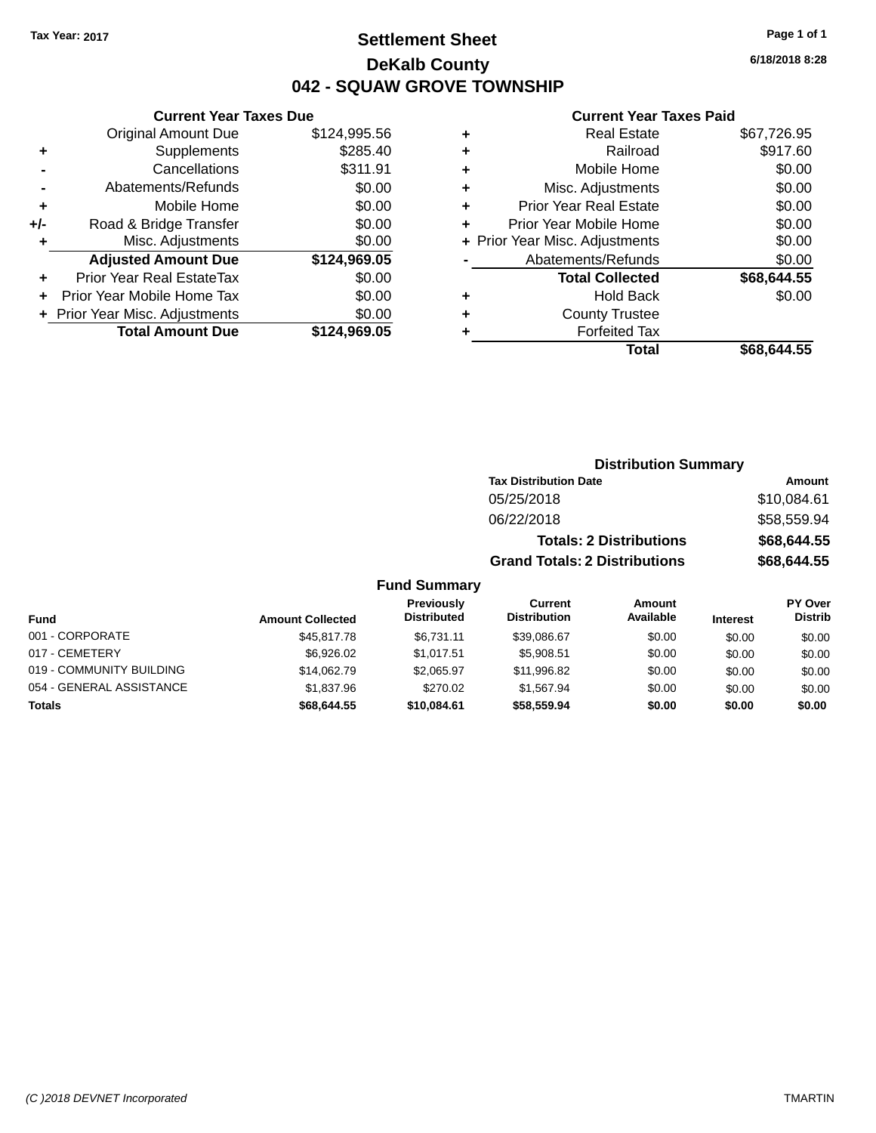### **Settlement Sheet Tax Year: 2017 Page 1 of 1 DeKalb County 042 - SQUAW GROVE TOWNSHIP**

**6/18/2018 8:28**

#### **Current Year Taxes Paid**

|     | <b>Current Year Taxes Due</b>  |              |  |  |  |  |
|-----|--------------------------------|--------------|--|--|--|--|
|     | <b>Original Amount Due</b>     | \$124,995.56 |  |  |  |  |
| ٠   | Supplements                    | \$285.40     |  |  |  |  |
|     | Cancellations                  | \$311.91     |  |  |  |  |
|     | Abatements/Refunds             | \$0.00       |  |  |  |  |
| ٠   | Mobile Home                    | \$0.00       |  |  |  |  |
| +/- | Road & Bridge Transfer         | \$0.00       |  |  |  |  |
| ٠   | Misc. Adjustments              | \$0.00       |  |  |  |  |
|     | <b>Adjusted Amount Due</b>     | \$124,969.05 |  |  |  |  |
| ÷   | Prior Year Real EstateTax      | \$0.00       |  |  |  |  |
|     | Prior Year Mobile Home Tax     | \$0.00       |  |  |  |  |
|     | + Prior Year Misc. Adjustments | \$0.00       |  |  |  |  |
|     | <b>Total Amount Due</b>        | \$124,969.05 |  |  |  |  |
|     |                                |              |  |  |  |  |

| ٠ | <b>Real Estate</b>             | \$67,726.95 |
|---|--------------------------------|-------------|
| ٠ | Railroad                       | \$917.60    |
| ٠ | Mobile Home                    | \$0.00      |
| ٠ | Misc. Adjustments              | \$0.00      |
| ٠ | <b>Prior Year Real Estate</b>  | \$0.00      |
| ٠ | Prior Year Mobile Home         | \$0.00      |
|   | + Prior Year Misc. Adjustments | \$0.00      |
|   | Abatements/Refunds             | \$0.00      |
|   | <b>Total Collected</b>         | \$68,644.55 |
| ٠ | <b>Hold Back</b>               | \$0.00      |
| ٠ | <b>County Trustee</b>          |             |
|   | <b>Forfeited Tax</b>           |             |
|   | Total                          | \$68.644.55 |
|   |                                |             |

|        |                     |                                      | <b>Distribution Summary</b>    |                 |                |
|--------|---------------------|--------------------------------------|--------------------------------|-----------------|----------------|
|        |                     | <b>Tax Distribution Date</b>         |                                |                 | <b>Amount</b>  |
|        |                     | 05/25/2018                           |                                |                 | \$10,084.61    |
|        |                     | 06/22/2018                           |                                |                 | \$58,559.94    |
|        |                     |                                      | <b>Totals: 2 Distributions</b> |                 | \$68,644.55    |
|        |                     | <b>Grand Totals: 2 Distributions</b> |                                |                 | \$68,644.55    |
|        | <b>Fund Summary</b> |                                      |                                |                 |                |
|        | Previously          | Current                              | Amount                         |                 | <b>PY Over</b> |
| ected  | <b>Distributed</b>  | <b>Distribution</b>                  | Available                      | <b>Interest</b> | <b>Distrib</b> |
| $-770$ | 0.7011              | 0.000000                             | $\sim$ $\sim$                  | $\cdots$        | $\cdots$       |

| Fund                     | <b>Amount Collected</b> | <b>Distributed</b> | <b>Distribution</b> | Available | <b>Interest</b> | <b>Distrib</b> |
|--------------------------|-------------------------|--------------------|---------------------|-----------|-----------------|----------------|
| 001 - CORPORATE          | \$45,817.78             | \$6.731.11         | \$39,086.67         | \$0.00    | \$0.00          | \$0.00         |
| 017 - CEMETERY           | \$6,926.02              | \$1.017.51         | \$5,908.51          | \$0.00    | \$0.00          | \$0.00         |
| 019 - COMMUNITY BUILDING | \$14,062.79             | \$2.065.97         | \$11,996.82         | \$0.00    | \$0.00          | \$0.00         |
| 054 - GENERAL ASSISTANCE | \$1,837.96              | \$270.02           | \$1.567.94          | \$0.00    | \$0.00          | \$0.00         |
| Totals                   | \$68,644.55             | \$10,084.61        | \$58,559.94         | \$0.00    | \$0.00          | \$0.00         |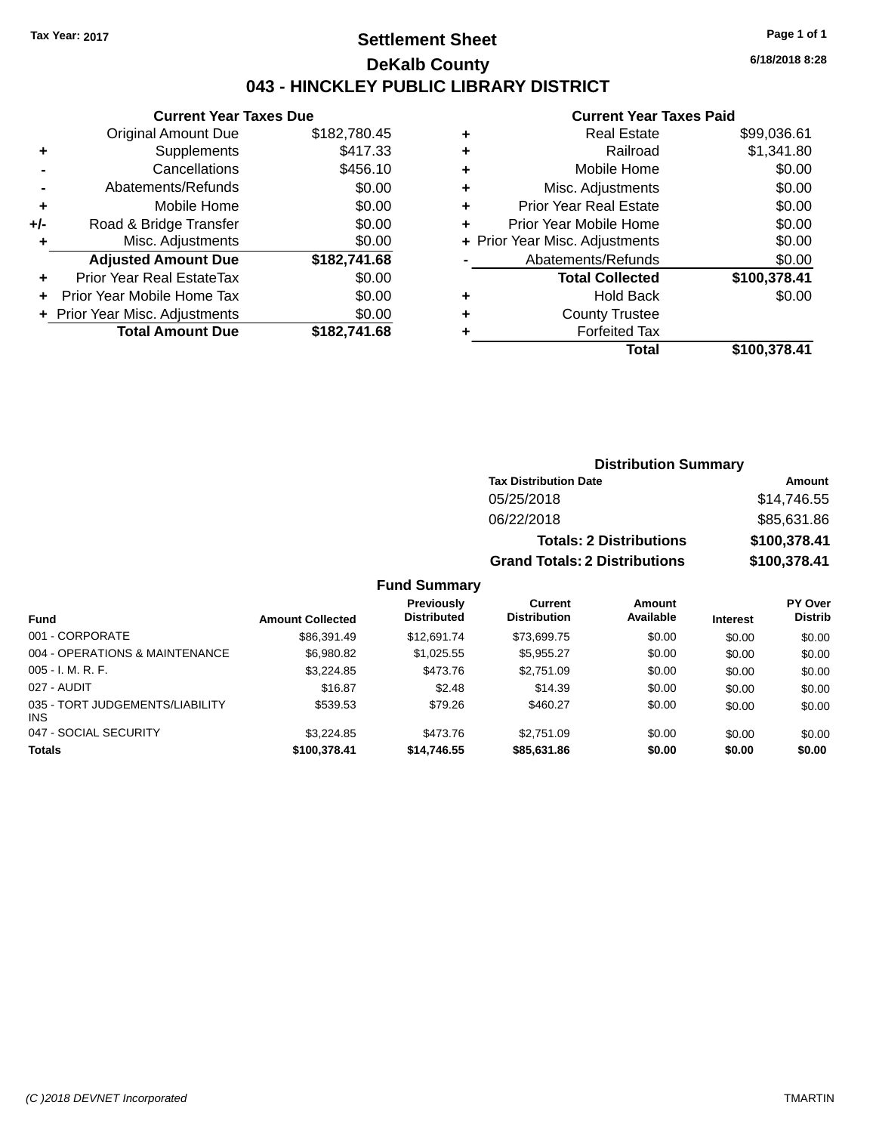### **Settlement Sheet Tax Year: 2017 Page 1 of 1 DeKalb County 043 - HINCKLEY PUBLIC LIBRARY DISTRICT**

**6/18/2018 8:28**

## **Current Year Taxes Paid**

|     | <b>Current Year Taxes Due</b>    |              |  |  |  |  |
|-----|----------------------------------|--------------|--|--|--|--|
|     | <b>Original Amount Due</b>       | \$182,780.45 |  |  |  |  |
| ٠   | Supplements                      | \$417.33     |  |  |  |  |
|     | Cancellations                    | \$456.10     |  |  |  |  |
|     | Abatements/Refunds               | \$0.00       |  |  |  |  |
| ٠   | Mobile Home                      |              |  |  |  |  |
| +/- | \$0.00<br>Road & Bridge Transfer |              |  |  |  |  |
| ٠   | \$0.00<br>Misc. Adjustments      |              |  |  |  |  |
|     | <b>Adjusted Amount Due</b>       | \$182,741.68 |  |  |  |  |
| ٠   | Prior Year Real EstateTax        | \$0.00       |  |  |  |  |
|     | Prior Year Mobile Home Tax       | \$0.00       |  |  |  |  |
|     | + Prior Year Misc. Adjustments   | \$0.00       |  |  |  |  |
|     | <b>Total Amount Due</b>          | \$182,741.68 |  |  |  |  |
|     |                                  |              |  |  |  |  |

| ٠ | <b>Real Estate</b>             | \$99,036.61  |
|---|--------------------------------|--------------|
| ٠ | Railroad                       | \$1,341.80   |
| ٠ | Mobile Home                    | \$0.00       |
| ٠ | Misc. Adjustments              | \$0.00       |
| ٠ | <b>Prior Year Real Estate</b>  | \$0.00       |
| ٠ | Prior Year Mobile Home         | \$0.00       |
|   | + Prior Year Misc. Adjustments | \$0.00       |
|   | Abatements/Refunds             | \$0.00       |
|   | <b>Total Collected</b>         | \$100,378.41 |
| ٠ | <b>Hold Back</b>               | \$0.00       |
| ٠ | <b>County Trustee</b>          |              |
| ٠ | <b>Forfeited Tax</b>           |              |
|   | Total                          | \$100,378.41 |
|   |                                |              |

| <b>Distribution Summary</b>          |              |  |  |  |  |
|--------------------------------------|--------------|--|--|--|--|
| <b>Tax Distribution Date</b>         | Amount       |  |  |  |  |
| 05/25/2018                           | \$14,746.55  |  |  |  |  |
| 06/22/2018                           | \$85,631.86  |  |  |  |  |
| <b>Totals: 2 Distributions</b>       | \$100,378.41 |  |  |  |  |
| <b>Grand Totals: 2 Distributions</b> | \$100,378.41 |  |  |  |  |

| <b>Fund</b>                                   | <b>Amount Collected</b> | <b>Previously</b><br><b>Distributed</b> | Current<br><b>Distribution</b> | Amount<br>Available | <b>Interest</b> | PY Over<br><b>Distrib</b> |
|-----------------------------------------------|-------------------------|-----------------------------------------|--------------------------------|---------------------|-----------------|---------------------------|
| 001 - CORPORATE                               | \$86,391.49             | \$12,691.74                             | \$73.699.75                    | \$0.00              | \$0.00          | \$0.00                    |
| 004 - OPERATIONS & MAINTENANCE                | \$6,980.82              | \$1,025.55                              | \$5,955.27                     | \$0.00              | \$0.00          | \$0.00                    |
| $005 - I. M. R. F.$                           | \$3,224.85              | \$473.76                                | \$2,751.09                     | \$0.00              | \$0.00          | \$0.00                    |
| 027 - AUDIT                                   | \$16.87                 | \$2.48                                  | \$14.39                        | \$0.00              | \$0.00          | \$0.00                    |
| 035 - TORT JUDGEMENTS/LIABILITY<br><b>INS</b> | \$539.53                | \$79.26                                 | \$460.27                       | \$0.00              | \$0.00          | \$0.00                    |
| 047 - SOCIAL SECURITY                         | \$3,224.85              | \$473.76                                | \$2.751.09                     | \$0.00              | \$0.00          | \$0.00                    |
| <b>Totals</b>                                 | \$100.378.41            | \$14,746.55                             | \$85,631.86                    | \$0.00              | \$0.00          | \$0.00                    |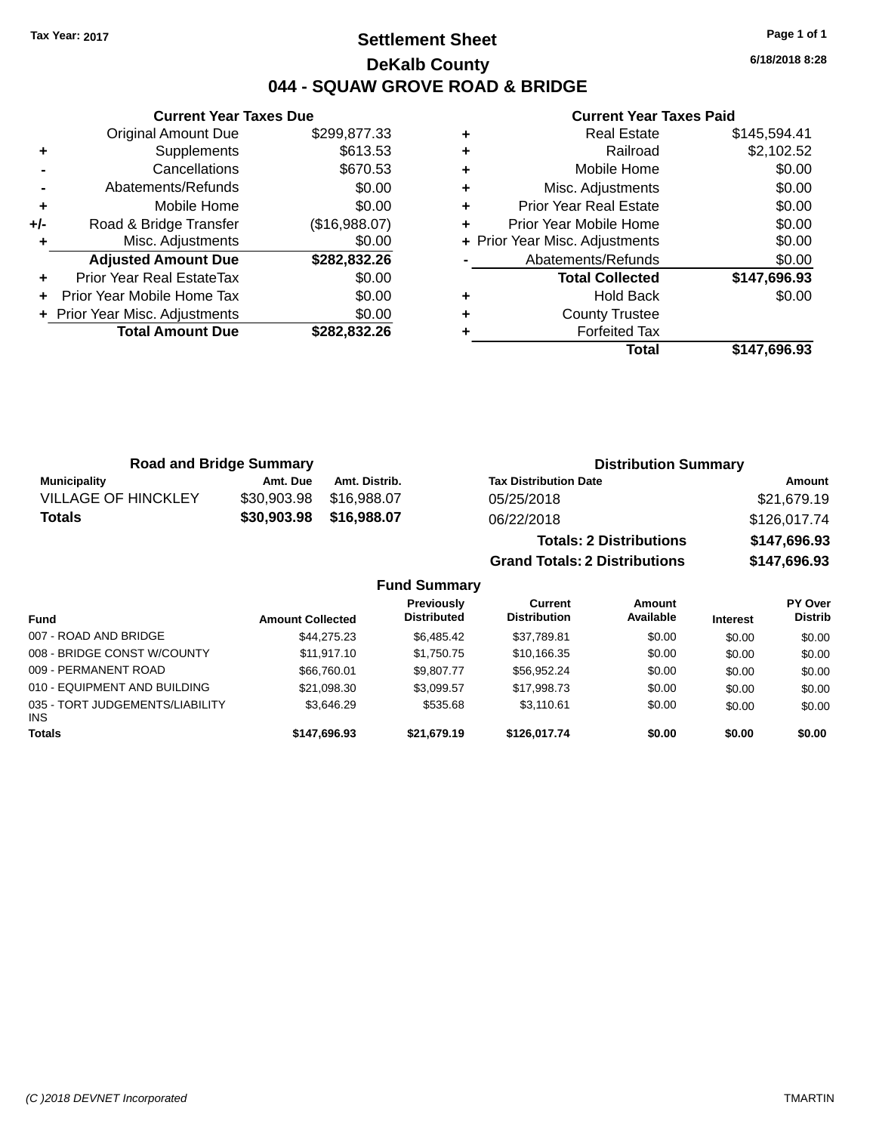### **Settlement Sheet Tax Year: 2017 Page 1 of 1 DeKalb County 044 - SQUAW GROVE ROAD & BRIDGE**

**Current Year Taxes Due** Original Amount Due \$299,877.33 **+** Supplements \$613.53 **-** Cancellations \$670.53 **-** Abatements/Refunds \$0.00 **+** Mobile Home \$0.00 **+/-** Road & Bridge Transfer (\$16,988.07) **+** Misc. Adjustments \$0.00 **Adjusted Amount Due \$282,832.26 +** Prior Year Real EstateTax \$0.00 **+** Prior Year Mobile Home Tax \$0.00 **+ Prior Year Misc. Adjustments**  $$0.00$ **Total Amount Due \$282,832.26**

#### **Current Year Taxes Paid**

|   | <b>Real Estate</b>             | \$145,594.41 |
|---|--------------------------------|--------------|
| ٠ | Railroad                       | \$2,102.52   |
| ٠ | Mobile Home                    | \$0.00       |
| ٠ | Misc. Adjustments              | \$0.00       |
| ٠ | <b>Prior Year Real Estate</b>  | \$0.00       |
| ٠ | Prior Year Mobile Home         | \$0.00       |
|   | + Prior Year Misc. Adjustments | \$0.00       |
|   | Abatements/Refunds             | \$0.00       |
|   | <b>Total Collected</b>         | \$147,696.93 |
| ٠ | <b>Hold Back</b>               | \$0.00       |
| ٠ | <b>County Trustee</b>          |              |
| ٠ | <b>Forfeited Tax</b>           |              |
|   | <b>Total</b>                   | \$147,696.93 |
|   |                                |              |

**Grand Totals: 2 Distributions \$147,696.93**

| <b>Road and Bridge Summary</b> |                         |               | <b>Distribution Summary</b>    |              |  |
|--------------------------------|-------------------------|---------------|--------------------------------|--------------|--|
| Municipality                   | Amt. Due                | Amt. Distrib. | <b>Tax Distribution Date</b>   | Amount       |  |
| <b>VILLAGE OF HINCKLEY</b>     | \$30.903.98             | \$16.988.07   | 05/25/2018                     | \$21,679.19  |  |
| <b>Totals</b>                  | \$30,903.98 \$16,988.07 |               | 06/22/2018                     | \$126,017.74 |  |
|                                |                         |               | <b>Totals: 2 Distributions</b> | \$147,696.93 |  |

#### **Fund Summary Fund Interest Amount Collected Distributed PY Over Distrib Amount Available Current Distribution Previously** 007 - ROAD AND BRIDGE \$44,275.23 \$6,485.42 \$37,789.81 \$0.00 \$0.00 \$0.00 \$0.00 008 - BRIDGE CONST W/COUNTY  $$11,917.10$   $$1,750.75$   $$10,166.35$   $$0.00$   $$0.00$   $$0.00$ 009 - PERMANENT ROAD \$66,760.01 \$9,807.77 \$56,952.24 \$0.00 \$0.00 \$0.00 \$0.00 010 - EQUIPMENT AND BUILDING \$21,098.30 \$3,099.57 \$17,998.73 \$0.00 \$0.00 \$0.00 035 - TORT JUDGEMENTS/LIABILITY INS \$3,646.29 \$535.68 \$3,110.61 \$0.00 \$0.00 \$0.00 **Totals \$147,696.93 \$21,679.19 \$126,017.74 \$0.00 \$0.00 \$0.00**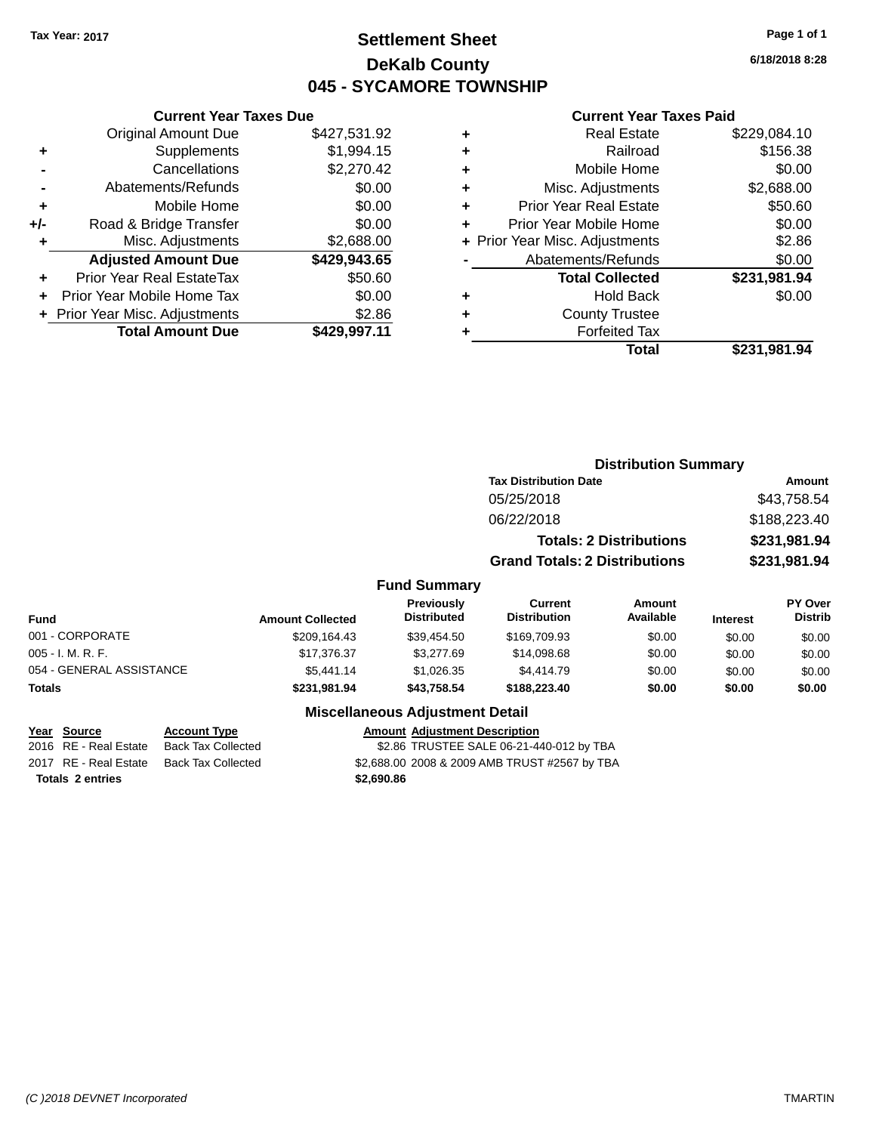### **Settlement Sheet Tax Year: 2017 Page 1 of 1 DeKalb County 045 - SYCAMORE TOWNSHIP**

**6/18/2018 8:28**

#### **Current Year Taxes Paid**

|     | <b>Original Amount Due</b>     | \$427,531.92 |
|-----|--------------------------------|--------------|
| ٠   | Supplements                    | \$1,994.15   |
|     | Cancellations                  | \$2,270.42   |
|     | Abatements/Refunds             | \$0.00       |
| ٠   | Mobile Home                    | \$0.00       |
| +/- | Road & Bridge Transfer         | \$0.00       |
| ٠   | Misc. Adjustments              | \$2,688.00   |
|     | <b>Adjusted Amount Due</b>     | \$429,943.65 |
| ٠   | Prior Year Real EstateTax      | \$50.60      |
| ٠   | Prior Year Mobile Home Tax     | \$0.00       |
|     | + Prior Year Misc. Adjustments | \$2.86       |
|     | <b>Total Amount Due</b>        | \$429,997.11 |
|     |                                |              |

**Current Year Taxes Due**

|   | <b>Real Estate</b>             | \$229,084.10 |
|---|--------------------------------|--------------|
| ٠ | Railroad                       | \$156.38     |
| ٠ | Mobile Home                    | \$0.00       |
| ٠ | Misc. Adjustments              | \$2,688.00   |
| ٠ | <b>Prior Year Real Estate</b>  | \$50.60      |
| ٠ | Prior Year Mobile Home         | \$0.00       |
|   | + Prior Year Misc. Adjustments | \$2.86       |
|   | Abatements/Refunds             | \$0.00       |
|   | <b>Total Collected</b>         | \$231,981.94 |
| ٠ | Hold Back                      | \$0.00       |
| ٠ | <b>County Trustee</b>          |              |
| ٠ | <b>Forfeited Tax</b>           |              |
|   | Total                          | \$231,981.94 |
|   |                                |              |

|      | <b>Distribution Summary</b>          |              |
|------|--------------------------------------|--------------|
|      | <b>Tax Distribution Date</b>         | Amount       |
|      | 05/25/2018                           | \$43,758.54  |
|      | 06/22/2018                           | \$188,223.40 |
|      | <b>Totals: 2 Distributions</b>       | \$231,981.94 |
|      | <b>Grand Totals: 2 Distributions</b> | \$231,981.94 |
| marv |                                      |              |

#### **Fund Summary**

| <b>Fund</b>              | <b>Amount Collected</b> | <b>Previously</b><br><b>Distributed</b> | Current<br><b>Distribution</b> | Amount<br>Available | <b>Interest</b> | PY Over<br><b>Distrib</b> |
|--------------------------|-------------------------|-----------------------------------------|--------------------------------|---------------------|-----------------|---------------------------|
| 001 - CORPORATE          | \$209,164.43            | \$39.454.50                             | \$169,709.93                   | \$0.00              | \$0.00          | \$0.00                    |
| $005 - I. M. R. F.$      | \$17,376,37             | \$3,277.69                              | \$14,098,68                    | \$0.00              | \$0.00          | \$0.00                    |
| 054 - GENERAL ASSISTANCE | \$5,441.14              | \$1.026.35                              | \$4,414.79                     | \$0.00              | \$0.00          | \$0.00                    |
| Totals                   | \$231,981.94            | \$43,758.54                             | \$188,223.40                   | \$0.00              | \$0.00          | \$0.00                    |

#### **Miscellaneous Adjustment Detail**

# **Year Source Account Type Amount Adjustment Description**

**Totals 2 entries \$2,690.86**

\$2.86 TRUSTEE SALE 06-21-440-012 by TBA 2017 RE - Real Estate Back Tax Collected \$2,688.00 2008 & 2009 AMB TRUST #2567 by TBA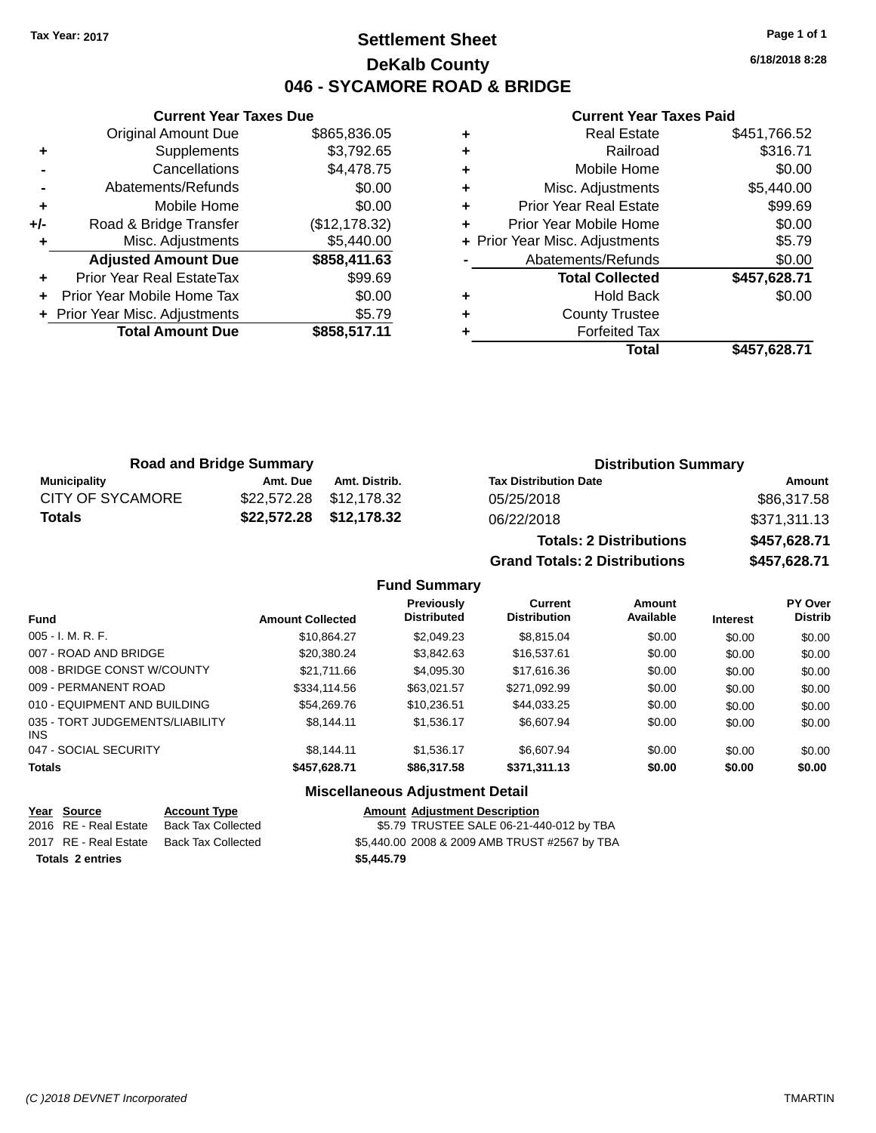### **Settlement Sheet Tax Year: 2017 Page 1 of 1 DeKalb County 046 - SYCAMORE ROAD & BRIDGE**

**6/18/2018 8:28**

#### **Current Year Taxes Paid**

|       | <b>Current Year Taxes Due</b>  |               |
|-------|--------------------------------|---------------|
|       | <b>Original Amount Due</b>     | \$865,836.05  |
| ٠     | Supplements                    | \$3,792.65    |
|       | Cancellations                  | \$4,478.75    |
|       | Abatements/Refunds             | \$0.00        |
| ٠     | Mobile Home                    | \$0.00        |
| $+/-$ | Road & Bridge Transfer         | (\$12,178.32) |
|       | Misc. Adjustments              | \$5,440.00    |
|       | <b>Adjusted Amount Due</b>     | \$858,411.63  |
|       | Prior Year Real EstateTax      | \$99.69       |
|       | Prior Year Mobile Home Tax     | \$0.00        |
|       | + Prior Year Misc. Adjustments | \$5.79        |
|       | <b>Total Amount Due</b>        | \$858,517.11  |
|       |                                |               |

|   | <b>Real Estate</b>             | \$451,766.52 |
|---|--------------------------------|--------------|
| ٠ | Railroad                       | \$316.71     |
| ٠ | Mobile Home                    | \$0.00       |
| ٠ | Misc. Adjustments              | \$5,440.00   |
| ٠ | Prior Year Real Estate         | \$99.69      |
|   | Prior Year Mobile Home         | \$0.00       |
|   | + Prior Year Misc. Adjustments | \$5.79       |
|   | Abatements/Refunds             | \$0.00       |
|   | <b>Total Collected</b>         | \$457,628.71 |
|   | <b>Hold Back</b>               | \$0.00       |
| ٠ | <b>County Trustee</b>          |              |
|   | <b>Forfeited Tax</b>           |              |
|   | Total                          | \$457.628.71 |

| <b>Road and Bridge Summary</b> |          |                         | <b>Distribution Summary</b>    |              |  |
|--------------------------------|----------|-------------------------|--------------------------------|--------------|--|
| Municipality                   | Amt. Due | Amt. Distrib.           | <b>Tax Distribution Date</b>   | Amount       |  |
| <b>CITY OF SYCAMORE</b>        |          | \$22,572.28 \$12,178.32 | 05/25/2018                     | \$86,317.58  |  |
| Totals                         |          | \$22,572.28 \$12,178.32 | 06/22/2018                     | \$371,311.13 |  |
|                                |          |                         | <b>Totals: 2 Distributions</b> | \$457,628.71 |  |

| <b>Totals: 2 Distributions</b>       | \$457,628.71 |
|--------------------------------------|--------------|
| <b>Grand Totals: 2 Distributions</b> | \$457,628.71 |

#### **Fund Summary**

| <b>Fund</b>                                   | <b>Amount Collected</b> | Previously<br><b>Distributed</b> | Current<br><b>Distribution</b> | Amount<br>Available | <b>Interest</b> | PY Over<br><b>Distrib</b> |
|-----------------------------------------------|-------------------------|----------------------------------|--------------------------------|---------------------|-----------------|---------------------------|
| $005 - I. M. R. F.$                           | \$10.864.27             | \$2,049.23                       | \$8,815.04                     | \$0.00              | \$0.00          | \$0.00                    |
| 007 - ROAD AND BRIDGE                         | \$20,380,24             | \$3.842.63                       | \$16,537.61                    | \$0.00              | \$0.00          | \$0.00                    |
| 008 - BRIDGE CONST W/COUNTY                   | \$21.711.66             | \$4,095.30                       | \$17,616.36                    | \$0.00              | \$0.00          | \$0.00                    |
| 009 - PERMANENT ROAD                          | \$334,114.56            | \$63.021.57                      | \$271,092.99                   | \$0.00              | \$0.00          | \$0.00                    |
| 010 - EQUIPMENT AND BUILDING                  | \$54.269.76             | \$10.236.51                      | \$44,033.25                    | \$0.00              | \$0.00          | \$0.00                    |
| 035 - TORT JUDGEMENTS/LIABILITY<br><b>INS</b> | \$8,144.11              | \$1,536.17                       | \$6,607.94                     | \$0.00              | \$0.00          | \$0.00                    |
| 047 - SOCIAL SECURITY                         | \$8.144.11              | \$1.536.17                       | \$6,607.94                     | \$0.00              | \$0.00          | \$0.00                    |
| <b>Totals</b>                                 | \$457,628.71            | \$86,317.58                      | \$371,311.13                   | \$0.00              | \$0.00          | \$0.00                    |

#### **Miscellaneous Adjustment Detail**

#### **Year Source Account Type And Adjustment Description**

| \$5.445.79<br>Totals 2 entries              |                                               |
|---------------------------------------------|-----------------------------------------------|
| 2017 RE - Real Estate<br>Back Tax Collected | \$5,440.00 2008 & 2009 AMB TRUST #2567 by TBA |
| 2016 RE - Real Estate<br>Back Tax Collected | \$5.79 TRUSTEE SALE 06-21-440-012 by TBA      |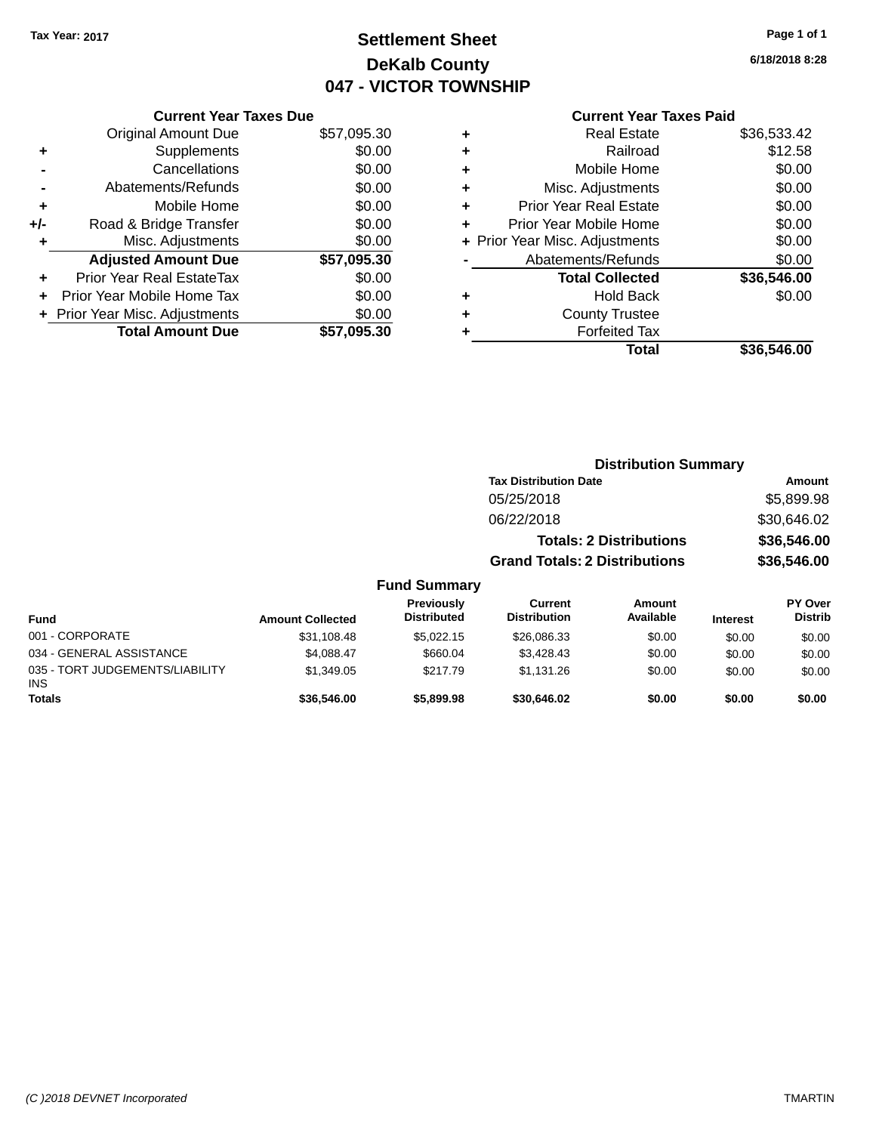## **Settlement Sheet Tax Year: 2017 Page 1 of 1 DeKalb County 047 - VICTOR TOWNSHIP**

**6/18/2018 8:28**

#### **Current Year Taxes Paid**

|     | <b>Current Year Taxes Due</b>  |             |
|-----|--------------------------------|-------------|
|     | <b>Original Amount Due</b>     | \$57,095.30 |
| ٠   | Supplements                    | \$0.00      |
|     | Cancellations                  | \$0.00      |
|     | Abatements/Refunds             | \$0.00      |
| ٠   | Mobile Home                    | \$0.00      |
| +/- | Road & Bridge Transfer         | \$0.00      |
| ٠   | Misc. Adjustments              | \$0.00      |
|     | <b>Adjusted Amount Due</b>     | \$57,095.30 |
| ٠   | Prior Year Real EstateTax      | \$0.00      |
| ÷   | Prior Year Mobile Home Tax     | \$0.00      |
|     | + Prior Year Misc. Adjustments | \$0.00      |
|     | <b>Total Amount Due</b>        | \$57,095.30 |
|     |                                |             |

| ٠ | <b>Real Estate</b>             | \$36,533.42 |
|---|--------------------------------|-------------|
| ٠ | Railroad                       | \$12.58     |
| ٠ | Mobile Home                    | \$0.00      |
| ٠ | Misc. Adjustments              | \$0.00      |
| ٠ | <b>Prior Year Real Estate</b>  | \$0.00      |
| ٠ | Prior Year Mobile Home         | \$0.00      |
|   | + Prior Year Misc. Adjustments | \$0.00      |
|   | Abatements/Refunds             | \$0.00      |
|   | <b>Total Collected</b>         | \$36,546.00 |
| ٠ | <b>Hold Back</b>               | \$0.00      |
| ٠ | <b>County Trustee</b>          |             |
| ٠ | <b>Forfeited Tax</b>           |             |
|   | Total                          | \$36,546.00 |
|   |                                |             |

|                                 |                         |                                         |                                       | <b>Distribution Summary</b>    |                 |                           |
|---------------------------------|-------------------------|-----------------------------------------|---------------------------------------|--------------------------------|-----------------|---------------------------|
|                                 |                         |                                         | <b>Tax Distribution Date</b>          |                                |                 | Amount                    |
|                                 |                         |                                         | 05/25/2018                            |                                |                 | \$5,899.98                |
|                                 |                         |                                         | 06/22/2018                            |                                |                 | \$30,646.02               |
|                                 |                         |                                         |                                       | <b>Totals: 2 Distributions</b> |                 | \$36,546.00               |
|                                 |                         |                                         | <b>Grand Totals: 2 Distributions</b>  |                                |                 | \$36,546.00               |
|                                 |                         | <b>Fund Summary</b>                     |                                       |                                |                 |                           |
| <b>Fund</b>                     | <b>Amount Collected</b> | <b>Previously</b><br><b>Distributed</b> | <b>Current</b><br><b>Distribution</b> | Amount<br>Available            | <b>Interest</b> | PY Over<br><b>Distrib</b> |
| 001 - CORPORATE                 | \$31,108.48             | \$5.022.15                              | \$26,086.33                           | \$0.00                         | \$0.00          | \$0.00                    |
| 034 - GENERAL ASSISTANCE        | \$4.088.47              | \$660.04                                | \$3,428,43                            | \$0.00                         | \$0.00          | \$0.00                    |
| 035 - TORT JUDGEMENTS/LIABILITY | \$1,349.05              | \$217.79                                | \$1,131.26                            | \$0.00                         | \$0.00          | \$0.00                    |

**Totals \$36,546.00 \$5,899.98 \$30,646.02 \$0.00 \$0.00 \$0.00**

INS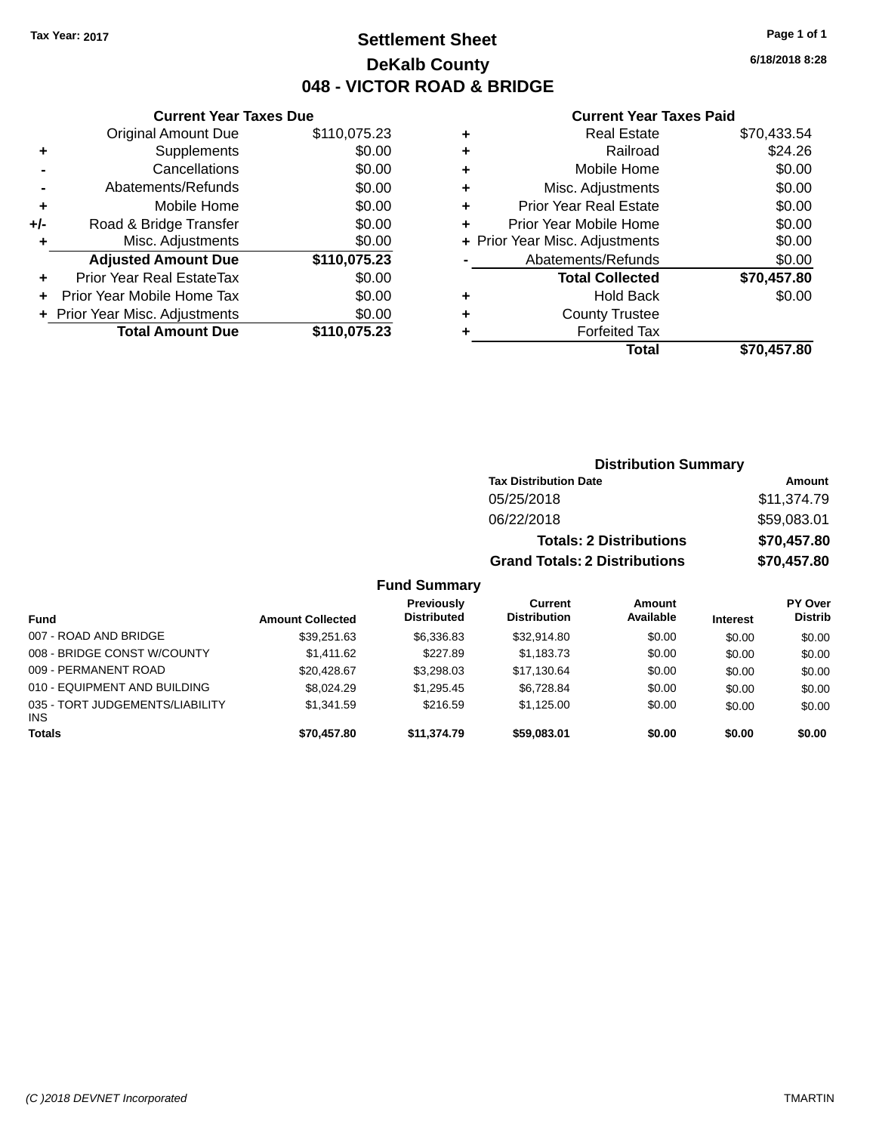### **Settlement Sheet Tax Year: 2017 Page 1 of 1 DeKalb County 048 - VICTOR ROAD & BRIDGE**

**6/18/2018 8:28**

#### **Current Year Taxes Paid**

|     | <b>Current Year Taxes Due</b>  |              |  |  |  |  |
|-----|--------------------------------|--------------|--|--|--|--|
|     | <b>Original Amount Due</b>     | \$110,075.23 |  |  |  |  |
| ٠   | \$0.00<br>Supplements          |              |  |  |  |  |
|     | \$0.00<br>Cancellations        |              |  |  |  |  |
|     | Abatements/Refunds             | \$0.00       |  |  |  |  |
| ٠   | Mobile Home                    | \$0.00       |  |  |  |  |
| +/- | Road & Bridge Transfer         | \$0.00       |  |  |  |  |
|     | Misc. Adjustments              | \$0.00       |  |  |  |  |
|     | <b>Adjusted Amount Due</b>     | \$110,075.23 |  |  |  |  |
| ٠   | Prior Year Real EstateTax      | \$0.00       |  |  |  |  |
|     | Prior Year Mobile Home Tax     | \$0.00       |  |  |  |  |
|     | + Prior Year Misc. Adjustments | \$0.00       |  |  |  |  |
|     | <b>Total Amount Due</b>        | \$110,075.23 |  |  |  |  |
|     |                                |              |  |  |  |  |

| ٠ | <b>Real Estate</b>             | \$70,433.54 |
|---|--------------------------------|-------------|
| ٠ | Railroad                       | \$24.26     |
| ٠ | Mobile Home                    | \$0.00      |
| ٠ | Misc. Adjustments              | \$0.00      |
| ٠ | <b>Prior Year Real Estate</b>  | \$0.00      |
| ÷ | Prior Year Mobile Home         | \$0.00      |
|   | + Prior Year Misc. Adjustments | \$0.00      |
|   | Abatements/Refunds             | \$0.00      |
|   | <b>Total Collected</b>         | \$70,457.80 |
| ٠ | <b>Hold Back</b>               | \$0.00      |
| ٠ | <b>County Trustee</b>          |             |
| ٠ | <b>Forfeited Tax</b>           |             |
|   | Total                          | \$70,457.80 |
|   |                                |             |

| <b>Distribution Summary</b>          |             |
|--------------------------------------|-------------|
| <b>Tax Distribution Date</b>         | Amount      |
| 05/25/2018                           | \$11,374.79 |
| 06/22/2018                           | \$59,083.01 |
| <b>Totals: 2 Distributions</b>       | \$70,457.80 |
| <b>Grand Totals: 2 Distributions</b> | \$70,457.80 |

| Fund                                          | <b>Amount Collected</b> | Previously<br><b>Distributed</b> | <b>Current</b><br><b>Distribution</b> | <b>Amount</b><br>Available | <b>Interest</b> | PY Over<br><b>Distrib</b> |
|-----------------------------------------------|-------------------------|----------------------------------|---------------------------------------|----------------------------|-----------------|---------------------------|
| 007 - ROAD AND BRIDGE                         | \$39,251.63             | \$6,336.83                       | \$32,914.80                           | \$0.00                     | \$0.00          | \$0.00                    |
| 008 - BRIDGE CONST W/COUNTY                   | \$1.411.62              | \$227.89                         | \$1.183.73                            | \$0.00                     | \$0.00          | \$0.00                    |
| 009 - PERMANENT ROAD                          | \$20.428.67             | \$3,298.03                       | \$17.130.64                           | \$0.00                     | \$0.00          | \$0.00                    |
| 010 - EQUIPMENT AND BUILDING                  | \$8.024.29              | \$1.295.45                       | \$6.728.84                            | \$0.00                     | \$0.00          | \$0.00                    |
| 035 - TORT JUDGEMENTS/LIABILITY<br><b>INS</b> | \$1.341.59              | \$216.59                         | \$1.125.00                            | \$0.00                     | \$0.00          | \$0.00                    |
| <b>Totals</b>                                 | \$70.457.80             | \$11,374.79                      | \$59,083,01                           | \$0.00                     | \$0.00          | \$0.00                    |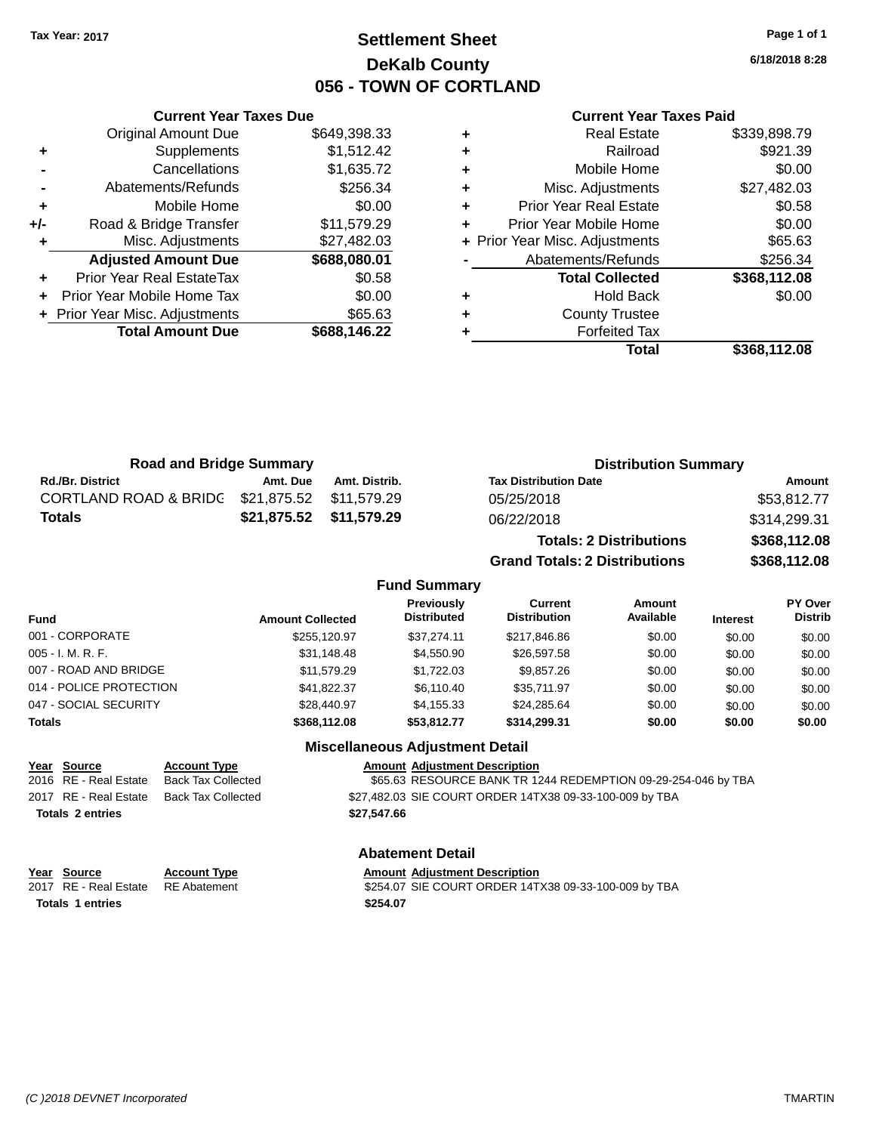### **Settlement Sheet Tax Year: 2017 Page 1 of 1 DeKalb County 056 - TOWN OF CORTLAND**

**6/18/2018 8:28**

| <b>Current Year Taxes Paid</b> |  |  |  |  |
|--------------------------------|--|--|--|--|
|--------------------------------|--|--|--|--|

|     | <b>Current Year Taxes Due</b>    |              |
|-----|----------------------------------|--------------|
|     | <b>Original Amount Due</b>       | \$649,398.33 |
| ٠   | Supplements                      | \$1,512.42   |
|     | Cancellations                    | \$1,635.72   |
|     | Abatements/Refunds               | \$256.34     |
| ÷   | Mobile Home                      | \$0.00       |
| +/- | Road & Bridge Transfer           | \$11,579.29  |
|     | Misc. Adjustments                | \$27,482.03  |
|     | <b>Adjusted Amount Due</b>       | \$688,080.01 |
|     | <b>Prior Year Real EstateTax</b> | \$0.58       |
|     | Prior Year Mobile Home Tax       | \$0.00       |
|     | + Prior Year Misc. Adjustments   | \$65.63      |
|     | <b>Total Amount Due</b>          | \$688,146.22 |
|     |                                  |              |

|   | <b>Real Estate</b>             | \$339,898.79 |
|---|--------------------------------|--------------|
| ٠ | Railroad                       | \$921.39     |
| ٠ | Mobile Home                    | \$0.00       |
| ٠ | Misc. Adjustments              | \$27,482.03  |
|   | <b>Prior Year Real Estate</b>  | \$0.58       |
|   | Prior Year Mobile Home         | \$0.00       |
|   | + Prior Year Misc. Adjustments | \$65.63      |
|   | Abatements/Refunds             | \$256.34     |
|   | <b>Total Collected</b>         | \$368,112.08 |
| ٠ | <b>Hold Back</b>               | \$0.00       |
|   | <b>County Trustee</b>          |              |
|   | <b>Forfeited Tax</b>           |              |
|   | Total                          | \$368,112.08 |
|   |                                |              |

| <b>Road and Bridge Summary</b>                |          |                         | <b>Distribution Summary</b>    |              |  |
|-----------------------------------------------|----------|-------------------------|--------------------------------|--------------|--|
| <b>Rd./Br. District</b>                       | Amt. Due | Amt. Distrib.           | <b>Tax Distribution Date</b>   | Amount       |  |
| CORTLAND ROAD & BRIDC \$21,875.52 \$11,579.29 |          |                         | 05/25/2018                     | \$53,812.77  |  |
| Totals                                        |          | \$21,875.52 \$11,579.29 | 06/22/2018                     | \$314,299.31 |  |
|                                               |          |                         | <b>Totals: 2 Distributions</b> | \$368,112.08 |  |

**Grand Totals: 2 Distributions \$368,112.08**

#### **Fund Summary**

| Fund                    | <b>Amount Collected</b> | Previously<br><b>Distributed</b> | <b>Current</b><br><b>Distribution</b> | Amount<br>Available | <b>Interest</b> | PY Over<br><b>Distrib</b> |
|-------------------------|-------------------------|----------------------------------|---------------------------------------|---------------------|-----------------|---------------------------|
| 001 - CORPORATE         | \$255.120.97            | \$37.274.11                      | \$217.846.86                          | \$0.00              | \$0.00          | \$0.00                    |
| 005 - I. M. R. F.       | \$31,148.48             | \$4,550.90                       | \$26,597.58                           | \$0.00              | \$0.00          | \$0.00                    |
| 007 - ROAD AND BRIDGE   | \$11.579.29             | \$1.722.03                       | \$9.857.26                            | \$0.00              | \$0.00          | \$0.00                    |
| 014 - POLICE PROTECTION | \$41.822.37             | \$6,110,40                       | \$35,711.97                           | \$0.00              | \$0.00          | \$0.00                    |
| 047 - SOCIAL SECURITY   | \$28,440.97             | \$4.155.33                       | \$24.285.64                           | \$0.00              | \$0.00          | \$0.00                    |
| Totals                  | \$368,112.08            | \$53,812.77                      | \$314,299.31                          | \$0.00              | \$0.00          | \$0.00                    |

#### **Miscellaneous Adjustment Detail**

| Year Source             | <b>Account Type</b> |             | <b>Amount Adiustment Description</b>                          |
|-------------------------|---------------------|-------------|---------------------------------------------------------------|
| 2016 RE - Real Estate   | Back Tax Collected  |             | \$65.63 RESOURCE BANK TR 1244 REDEMPTION 09-29-254-046 by TBA |
| 2017 RE - Real Estate   | Back Tax Collected  |             | \$27,482.03 SIE COURT ORDER 14TX38 09-33-100-009 by TBA       |
| <b>Totals 2 entries</b> |                     | \$27.547.66 |                                                               |

**Totals 1 entries \$254.07**

## **Abatement Detail**

**Year** Source **Account Type Account Adjustment Description** 2017 RE - Real Estate RE Abatement \$254.07 SIE COURT ORDER 14TX38 09-33-100-009 by TBA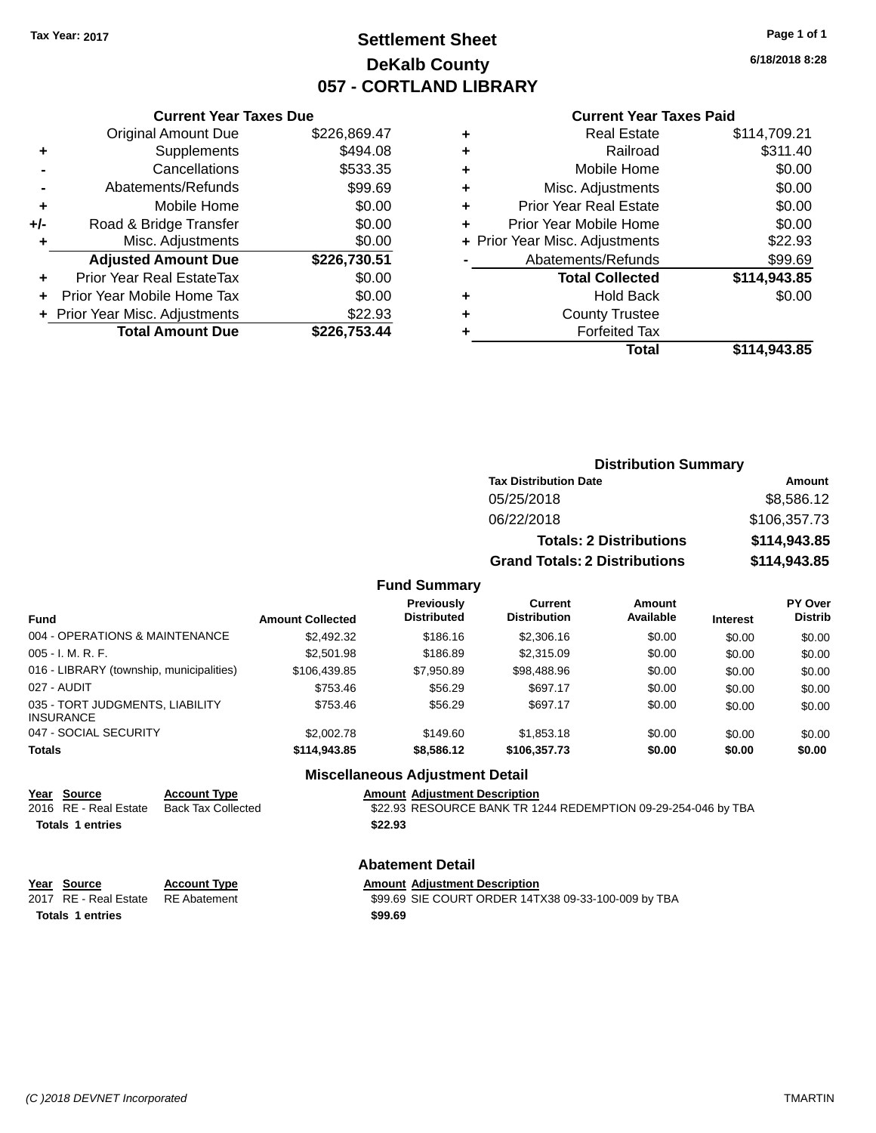### **Settlement Sheet Tax Year: 2017 Page 1 of 1 DeKalb County 057 - CORTLAND LIBRARY**

**6/18/2018 8:28**

#### **Current Year Taxes Paid**

|     | <b>Current Year Taxes Due</b>  |              |
|-----|--------------------------------|--------------|
|     | <b>Original Amount Due</b>     | \$226,869.47 |
| ٠   | Supplements                    | \$494.08     |
|     | Cancellations                  | \$533.35     |
|     | Abatements/Refunds             | \$99.69      |
| ٠   | Mobile Home                    | \$0.00       |
| +/- | Road & Bridge Transfer         | \$0.00       |
|     | Misc. Adjustments              | \$0.00       |
|     | <b>Adjusted Amount Due</b>     | \$226,730.51 |
| ٠   | Prior Year Real EstateTax      | \$0.00       |
|     | Prior Year Mobile Home Tax     | \$0.00       |
|     | + Prior Year Misc. Adjustments | \$22.93      |
|     | <b>Total Amount Due</b>        | \$226,753.44 |
|     |                                |              |

|   | <b>Real Estate</b>             | \$114,709.21 |
|---|--------------------------------|--------------|
| ٠ | Railroad                       | \$311.40     |
| ٠ | Mobile Home                    | \$0.00       |
| ٠ | Misc. Adjustments              | \$0.00       |
| ٠ | <b>Prior Year Real Estate</b>  | \$0.00       |
| ٠ | Prior Year Mobile Home         | \$0.00       |
|   | + Prior Year Misc. Adjustments | \$22.93      |
|   | Abatements/Refunds             | \$99.69      |
|   | <b>Total Collected</b>         | \$114,943.85 |
| ٠ | <b>Hold Back</b>               | \$0.00       |
| ٠ | <b>County Trustee</b>          |              |
| ٠ | <b>Forfeited Tax</b>           |              |
|   | Total                          | \$114,943.85 |
|   |                                |              |

| <b>Distribution Summary</b>          |              |  |  |  |
|--------------------------------------|--------------|--|--|--|
| <b>Tax Distribution Date</b>         | Amount       |  |  |  |
| 05/25/2018                           | \$8,586,12   |  |  |  |
| 06/22/2018                           | \$106,357.73 |  |  |  |
| <b>Totals: 2 Distributions</b>       | \$114,943.85 |  |  |  |
| <b>Grand Totals: 2 Distributions</b> | \$114,943.85 |  |  |  |

#### **Fund Summary**

| Fund                                                | <b>Amount Collected</b> | <b>Previously</b><br><b>Distributed</b> | Current<br><b>Distribution</b> | Amount<br>Available | <b>Interest</b> | <b>PY Over</b><br><b>Distrib</b> |
|-----------------------------------------------------|-------------------------|-----------------------------------------|--------------------------------|---------------------|-----------------|----------------------------------|
| 004 - OPERATIONS & MAINTENANCE                      | \$2,492.32              | \$186.16                                | \$2,306.16                     | \$0.00              | \$0.00          | \$0.00                           |
| $005 - I. M. R. F.$                                 | \$2,501.98              | \$186.89                                | \$2,315.09                     | \$0.00              | \$0.00          | \$0.00                           |
| 016 - LIBRARY (township, municipalities)            | \$106.439.85            | \$7,950.89                              | \$98,488.96                    | \$0.00              | \$0.00          | \$0.00                           |
| 027 - AUDIT                                         | \$753.46                | \$56.29                                 | \$697.17                       | \$0.00              | \$0.00          | \$0.00                           |
| 035 - TORT JUDGMENTS, LIABILITY<br><b>INSURANCE</b> | \$753.46                | \$56.29                                 | \$697.17                       | \$0.00              | \$0.00          | \$0.00                           |
| 047 - SOCIAL SECURITY                               | \$2,002.78              | \$149.60                                | \$1,853.18                     | \$0.00              | \$0.00          | \$0.00                           |
| <b>Totals</b>                                       | \$114.943.85            | \$8,586,12                              | \$106,357.73                   | \$0.00              | \$0.00          | \$0.00                           |

#### **Miscellaneous Adjustment Detail**

### **<u>Year Source</u> <b>Account Type**<br>
2016 RE - Real Estate Back Tax Collected **Totals 1 entries \$22.93**

Amount Adjustment Description<br>\$22.93 RESOURCE BANK TR 1244 REDEMPTION 09-29-254-046 by TBA

#### **Abatement Detail**

|                         | Year Source                        | <b>Account Type</b> | <b>Amount Adjustment Description</b>                |
|-------------------------|------------------------------------|---------------------|-----------------------------------------------------|
|                         | 2017 RE - Real Estate RE Abatement |                     | \$99.69 SIE COURT ORDER 14TX38 09-33-100-009 by TBA |
| <b>Totals 1 entries</b> |                                    |                     | \$99.69                                             |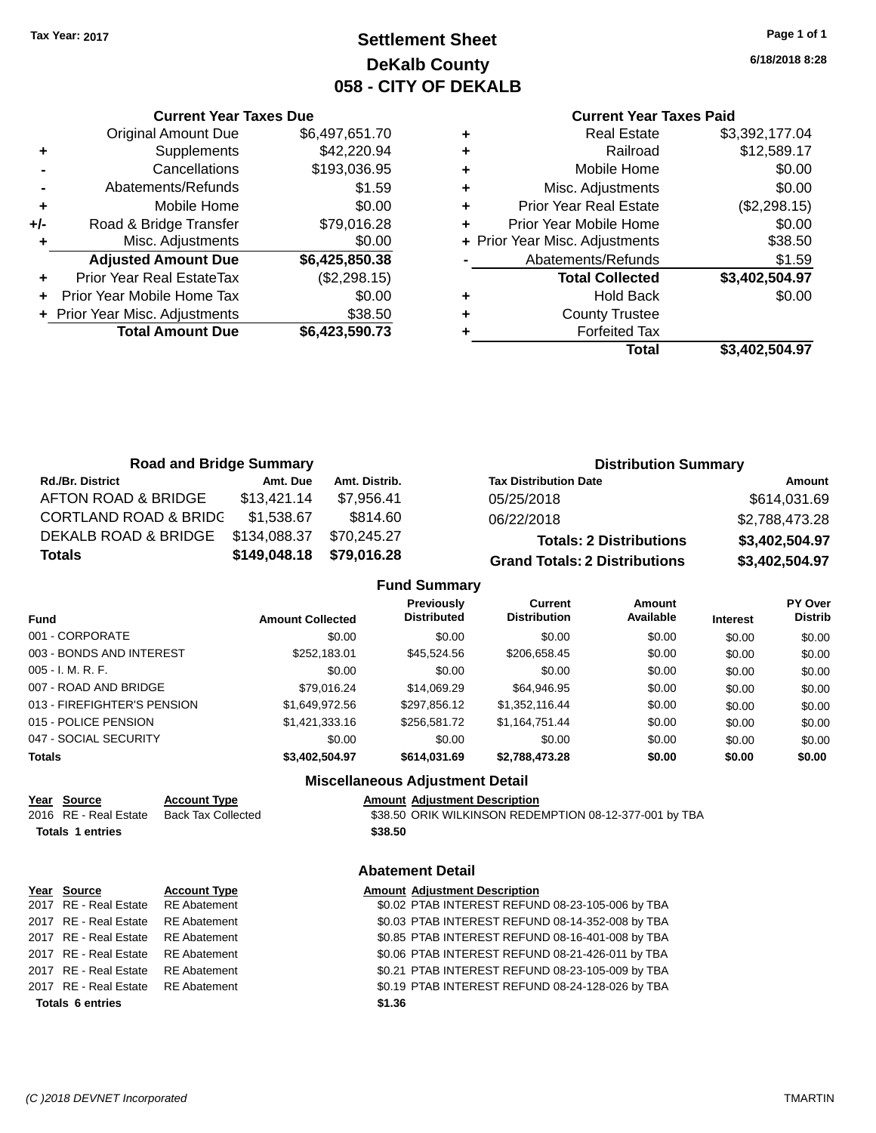### **Settlement Sheet Tax Year: 2017 Page 1 of 1 DeKalb County 058 - CITY OF DEKALB**

**6/18/2018 8:28**

#### **Current Year Taxes Paid**

|       | <b>Current Year Taxes Due</b>  |                |  |  |
|-------|--------------------------------|----------------|--|--|
|       | <b>Original Amount Due</b>     | \$6,497,651.70 |  |  |
| ٠     | Supplements                    | \$42,220.94    |  |  |
|       | Cancellations                  | \$193,036.95   |  |  |
|       | Abatements/Refunds             | \$1.59         |  |  |
| ٠     | Mobile Home                    | \$0.00         |  |  |
| $+/-$ | Road & Bridge Transfer         | \$79,016.28    |  |  |
|       | Misc. Adjustments              | \$0.00         |  |  |
|       | <b>Adjusted Amount Due</b>     | \$6,425,850.38 |  |  |
| ٠     | Prior Year Real EstateTax      | (\$2,298.15)   |  |  |
|       | Prior Year Mobile Home Tax     | \$0.00         |  |  |
|       | + Prior Year Misc. Adjustments | \$38.50        |  |  |
|       | <b>Total Amount Due</b>        | \$6,423,590.73 |  |  |
|       |                                |                |  |  |

|   | <b>Real Estate</b>             | \$3,392,177.04 |
|---|--------------------------------|----------------|
| ٠ | Railroad                       | \$12,589.17    |
| ٠ | Mobile Home                    | \$0.00         |
| ٠ | Misc. Adjustments              | \$0.00         |
| ٠ | <b>Prior Year Real Estate</b>  | (\$2,298.15)   |
|   | Prior Year Mobile Home         | \$0.00         |
|   | + Prior Year Misc. Adjustments | \$38.50        |
|   | Abatements/Refunds             | \$1.59         |
|   | <b>Total Collected</b>         | \$3,402,504.97 |
| ٠ | <b>Hold Back</b>               | \$0.00         |
|   | <b>County Trustee</b>          |                |
|   | <b>Forfeited Tax</b>           |                |
|   | Total                          | \$3,402,504.97 |
|   |                                |                |

| <b>Road and Bridge Summary</b>   |              |               | <b>Distribution Summary</b>          |                |  |
|----------------------------------|--------------|---------------|--------------------------------------|----------------|--|
| <b>Rd./Br. District</b>          | Amt. Due     | Amt. Distrib. | <b>Tax Distribution Date</b>         | Amount         |  |
| AFTON ROAD & BRIDGE              | \$13,421.14  | \$7.956.41    | 05/25/2018                           | \$614,031.69   |  |
| <b>CORTLAND ROAD &amp; BRIDG</b> | \$1,538.67   | \$814.60      | 06/22/2018                           | \$2,788,473.28 |  |
| DEKALB ROAD & BRIDGE             | \$134,088.37 | \$70,245.27   | <b>Totals: 2 Distributions</b>       | \$3,402,504.97 |  |
| Totals                           | \$149,048.18 | \$79,016.28   | <b>Grand Totals: 2 Distributions</b> | \$3,402,504.97 |  |

#### **Fund Summary**

| <b>Fund</b>                 | <b>Amount Collected</b> | <b>Previously</b><br><b>Distributed</b> | <b>Current</b><br><b>Distribution</b> | Amount<br>Available | <b>Interest</b> | PY Over<br><b>Distrib</b> |
|-----------------------------|-------------------------|-----------------------------------------|---------------------------------------|---------------------|-----------------|---------------------------|
| 001 - CORPORATE             | \$0.00                  | \$0.00                                  | \$0.00                                | \$0.00              | \$0.00          | \$0.00                    |
| 003 - BONDS AND INTEREST    | \$252,183.01            | \$45.524.56                             | \$206,658.45                          | \$0.00              | \$0.00          | \$0.00                    |
| $005 - I. M. R. F.$         | \$0.00                  | \$0.00                                  | \$0.00                                | \$0.00              | \$0.00          | \$0.00                    |
| 007 - ROAD AND BRIDGE       | \$79.016.24             | \$14,069.29                             | \$64.946.95                           | \$0.00              | \$0.00          | \$0.00                    |
| 013 - FIREFIGHTER'S PENSION | \$1,649,972.56          | \$297.856.12                            | \$1,352,116.44                        | \$0.00              | \$0.00          | \$0.00                    |
| 015 - POLICE PENSION        | \$1,421,333.16          | \$256,581.72                            | \$1,164,751.44                        | \$0.00              | \$0.00          | \$0.00                    |
| 047 - SOCIAL SECURITY       | \$0.00                  | \$0.00                                  | \$0.00                                | \$0.00              | \$0.00          | \$0.00                    |
| <b>Totals</b>               | \$3,402,504.97          | \$614.031.69                            | \$2,788,473.28                        | \$0.00              | \$0.00          | \$0.00                    |

#### **Miscellaneous Adjustment Detail**

Amount Adjustment Description<br>\$38.50 ORIK WILKINSON REDEMPTION 08-12-377-001 by TBA **Totals 1 entries \$38.50**

#### **Abatement Detail**

|                         | Year Source                        | <b>Account Type</b> |  | <b>Amount Adjustment Description</b>             |
|-------------------------|------------------------------------|---------------------|--|--------------------------------------------------|
|                         | 2017 RE - Real Estate RE Abatement |                     |  | \$0.02 PTAB INTEREST REFUND 08-23-105-006 by TBA |
|                         | 2017 RE - Real Estate              | RE Abatement        |  | \$0.03 PTAB INTEREST REFUND 08-14-352-008 by TBA |
|                         | 2017 RE - Real Estate RE Abatement |                     |  | \$0.85 PTAB INTEREST REFUND 08-16-401-008 by TBA |
|                         | 2017 RE - Real Estate RE Abatement |                     |  | \$0.06 PTAB INTEREST REFUND 08-21-426-011 by TBA |
|                         | 2017 RE - Real Estate              | RE Abatement        |  | \$0.21 PTAB INTEREST REFUND 08-23-105-009 by TBA |
|                         | 2017 RE - Real Estate RE Abatement |                     |  | \$0.19 PTAB INTEREST REFUND 08-24-128-026 by TBA |
| <b>Totals 6 entries</b> |                                    | \$1.36              |  |                                                  |
|                         |                                    |                     |  |                                                  |

**<u>Year Source</u> <b>Account Type**<br>
2016 RE - Real Estate Back Tax Collected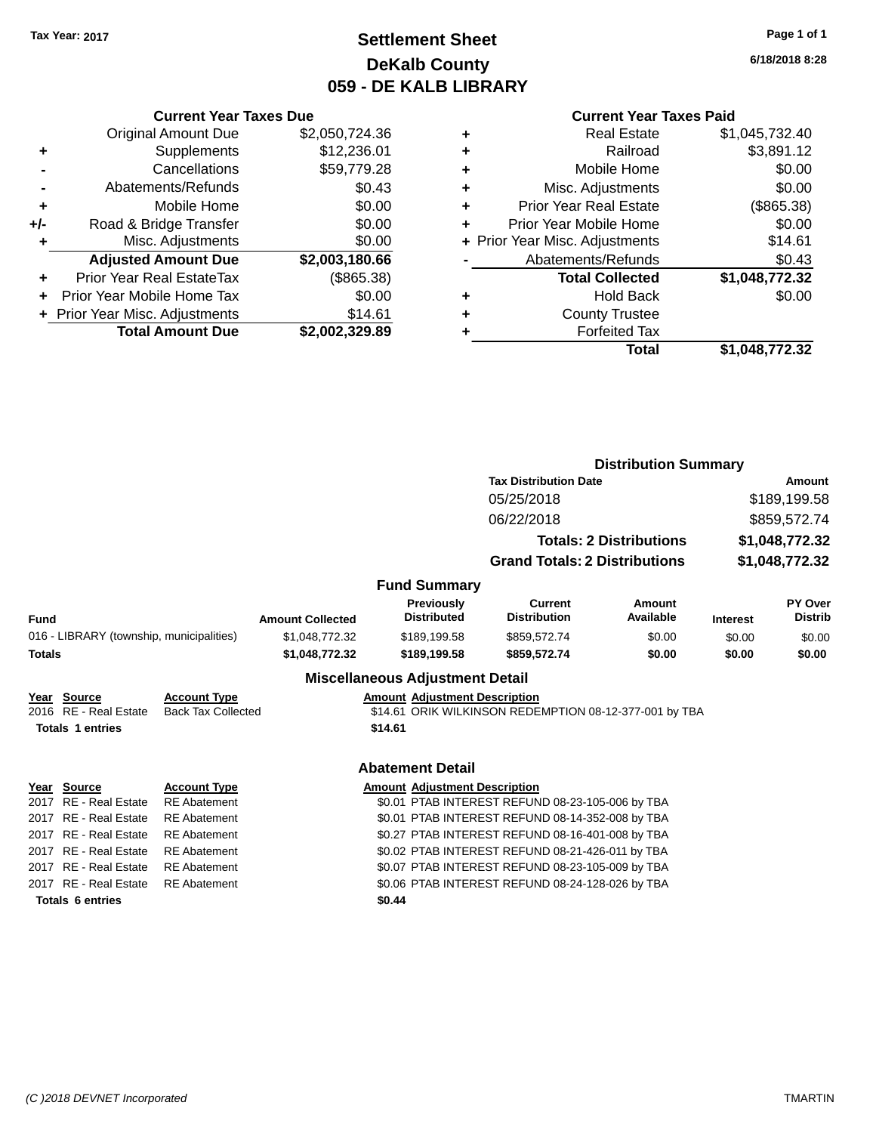### **Settlement Sheet Tax Year: 2017 Page 1 of 1 DeKalb County 059 - DE KALB LIBRARY**

### **6/18/2018 8:28**

| <b>Current Year Taxes Paid</b> |  |  |  |
|--------------------------------|--|--|--|
|--------------------------------|--|--|--|

|     | <b>Current Year Taxes Due</b>  |                |  |  |
|-----|--------------------------------|----------------|--|--|
|     | <b>Original Amount Due</b>     | \$2,050,724.36 |  |  |
| ٠   | Supplements                    | \$12,236.01    |  |  |
|     | Cancellations                  | \$59,779.28    |  |  |
|     | Abatements/Refunds             | \$0.43         |  |  |
| ٠   | Mobile Home                    | \$0.00         |  |  |
| +/- | Road & Bridge Transfer         | \$0.00         |  |  |
|     | Misc. Adjustments              | \$0.00         |  |  |
|     | <b>Adjusted Amount Due</b>     | \$2,003,180.66 |  |  |
| ÷   | Prior Year Real EstateTax      | (\$865.38)     |  |  |
|     | Prior Year Mobile Home Tax     | \$0.00         |  |  |
|     | + Prior Year Misc. Adjustments | \$14.61        |  |  |
|     | <b>Total Amount Due</b>        | \$2,002,329.89 |  |  |

|   | <b>Real Estate</b>             | \$1,045,732.40 |
|---|--------------------------------|----------------|
| ٠ | Railroad                       | \$3,891.12     |
| ٠ | Mobile Home                    | \$0.00         |
| ٠ | Misc. Adjustments              | \$0.00         |
| ٠ | <b>Prior Year Real Estate</b>  | (\$865.38)     |
| ٠ | Prior Year Mobile Home         | \$0.00         |
|   | + Prior Year Misc. Adjustments | \$14.61        |
|   | Abatements/Refunds             | \$0.43         |
|   | <b>Total Collected</b>         | \$1,048,772.32 |
| ٠ | <b>Hold Back</b>               | \$0.00         |
| ٠ | <b>County Trustee</b>          |                |
| ٠ | <b>Forfeited Tax</b>           |                |
|   | Total                          | \$1,048,772.32 |
|   |                                |                |

|               |                                          |                                            |                         |         |                                        | <b>Distribution Summary</b>                            |                                |                 |                           |
|---------------|------------------------------------------|--------------------------------------------|-------------------------|---------|----------------------------------------|--------------------------------------------------------|--------------------------------|-----------------|---------------------------|
|               |                                          |                                            |                         |         |                                        | <b>Tax Distribution Date</b>                           |                                |                 | Amount                    |
|               |                                          |                                            |                         |         |                                        | 05/25/2018                                             |                                |                 | \$189,199.58              |
|               |                                          |                                            |                         |         |                                        | 06/22/2018                                             |                                |                 | \$859,572.74              |
|               |                                          |                                            |                         |         |                                        |                                                        | <b>Totals: 2 Distributions</b> |                 | \$1,048,772.32            |
|               |                                          |                                            |                         |         |                                        | <b>Grand Totals: 2 Distributions</b>                   |                                |                 | \$1,048,772.32            |
|               |                                          |                                            |                         |         | <b>Fund Summary</b>                    |                                                        |                                |                 |                           |
| Fund          |                                          |                                            | <b>Amount Collected</b> |         | Previously<br><b>Distributed</b>       | <b>Current</b><br><b>Distribution</b>                  | Amount<br>Available            | <b>Interest</b> | PY Over<br><b>Distrib</b> |
|               | 016 - LIBRARY (township, municipalities) |                                            | \$1,048,772.32          |         | \$189,199.58                           | \$859,572.74                                           | \$0.00                         | \$0.00          | \$0.00                    |
| <b>Totals</b> |                                          |                                            | \$1,048,772.32          |         | \$189,199.58                           | \$859,572.74                                           | \$0.00                         | \$0.00          | \$0.00                    |
|               |                                          |                                            |                         |         | <b>Miscellaneous Adjustment Detail</b> |                                                        |                                |                 |                           |
|               | Year Source                              | <b>Account Type</b>                        |                         |         | <b>Amount Adjustment Description</b>   |                                                        |                                |                 |                           |
|               | 2016 RE - Real Estate                    | <b>Back Tax Collected</b>                  |                         |         |                                        | \$14.61 ORIK WILKINSON REDEMPTION 08-12-377-001 by TBA |                                |                 |                           |
|               | <b>Totals 1 entries</b>                  |                                            |                         | \$14.61 |                                        |                                                        |                                |                 |                           |
|               |                                          |                                            |                         |         |                                        |                                                        |                                |                 |                           |
|               |                                          |                                            |                         |         | <b>Abatement Detail</b>                |                                                        |                                |                 |                           |
|               | Year Source<br>2017 RE - Real Estate     | <b>Account Type</b><br><b>RE</b> Abatement |                         |         | <b>Amount Adjustment Description</b>   | \$0.01 PTAB INTEREST REFUND 08-23-105-006 by TBA       |                                |                 |                           |
|               | 2017 RE - Real Estate                    | <b>RE</b> Abatement                        |                         |         |                                        | \$0.01 PTAB INTEREST REFUND 08-14-352-008 by TBA       |                                |                 |                           |
|               |                                          |                                            |                         |         |                                        |                                                        |                                |                 |                           |
|               | 2017 RE - Real Estate                    | <b>RE</b> Abatement                        |                         |         |                                        | \$0.27 PTAB INTEREST REFUND 08-16-401-008 by TBA       |                                |                 |                           |
|               | 2017 RE - Real Estate                    | <b>RE</b> Abatement                        |                         |         |                                        | \$0.02 PTAB INTEREST REFUND 08-21-426-011 by TBA       |                                |                 |                           |
|               | 2017 RE - Real Estate                    | <b>RE</b> Abatement                        |                         |         |                                        | \$0.07 PTAB INTEREST REFUND 08-23-105-009 by TBA       |                                |                 |                           |
|               | 2017 RE - Real Estate                    | <b>RE</b> Abatement                        |                         |         |                                        | \$0.06 PTAB INTEREST REFUND 08-24-128-026 by TBA       |                                |                 |                           |
|               | <b>Totals 6 entries</b>                  |                                            |                         | \$0.44  |                                        |                                                        |                                |                 |                           |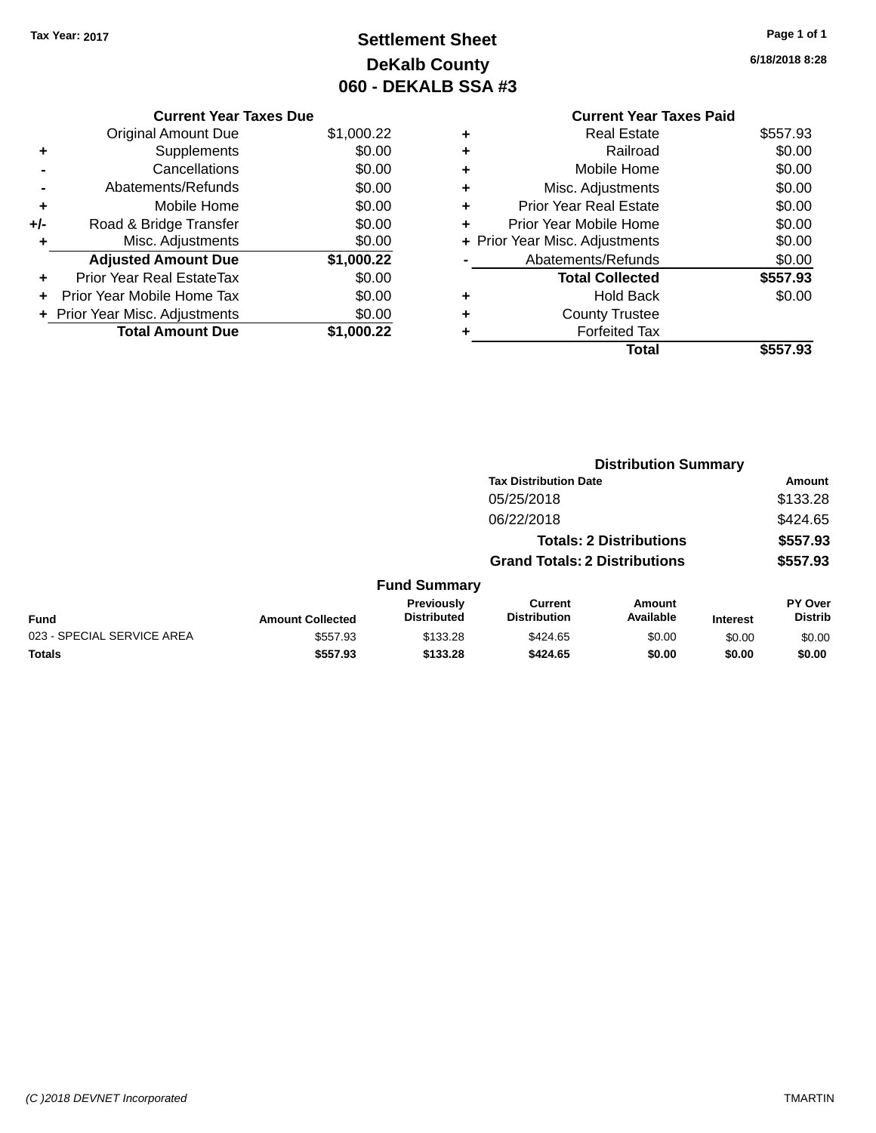## **Settlement Sheet Tax Year: 2017 Page 1 of 1 DeKalb County 060 - DEKALB SSA #3**

**6/18/2018 8:28**

|   | <b>Current Year Taxes Paid</b> |          |
|---|--------------------------------|----------|
|   | <b>Real Estate</b>             | \$557.93 |
| ٠ | Railroad                       | \$0.00   |
| ٠ | Mobile Home                    | \$0.00   |
|   | Misc. Adjustments              | \$0.00   |
| ٠ | <b>Prior Year Real Estate</b>  | \$0.00   |
| ٠ | Prior Year Mobile Home         | \$0.00   |
|   | + Prior Year Misc. Adjustments | \$0.00   |
|   | Abatements/Refunds             | \$0.00   |
|   | <b>Total Collected</b>         | \$557.93 |
| ٠ | <b>Hold Back</b>               | \$0.00   |
|   | <b>County Trustee</b>          |          |
|   | <b>Forfeited Tax</b>           |          |
|   | Total                          | \$557.93 |

| \$1,000.22 |
|------------|
| \$0.00     |
| \$0.00     |
| \$0.00     |
| \$0.00     |
| \$0.00     |
| \$0.00     |
| \$1,000.22 |
| \$0.00     |
| \$0.00     |
| \$0.00     |
| \$1.000.22 |
|            |

|                            |                         |                                  |                                       | <b>Distribution Summary</b>    |                 |                                  |
|----------------------------|-------------------------|----------------------------------|---------------------------------------|--------------------------------|-----------------|----------------------------------|
|                            |                         |                                  | <b>Tax Distribution Date</b>          |                                |                 | Amount                           |
|                            |                         |                                  | 05/25/2018                            |                                |                 | \$133.28                         |
|                            |                         |                                  | 06/22/2018                            |                                |                 | \$424.65                         |
|                            |                         |                                  |                                       | <b>Totals: 2 Distributions</b> |                 | \$557.93                         |
|                            |                         |                                  | <b>Grand Totals: 2 Distributions</b>  |                                |                 | \$557.93                         |
|                            |                         | <b>Fund Summary</b>              |                                       |                                |                 |                                  |
| Fund                       | <b>Amount Collected</b> | Previously<br><b>Distributed</b> | <b>Current</b><br><b>Distribution</b> | Amount<br>Available            | <b>Interest</b> | <b>PY Over</b><br><b>Distrib</b> |
| 023 - SPECIAL SERVICE AREA | \$557.93                | \$133.28                         | \$424.65                              | \$0.00                         | \$0.00          | \$0.00                           |
| <b>Totals</b>              | \$557.93                | \$133.28                         | \$424.65                              | \$0.00                         | \$0.00          | \$0.00                           |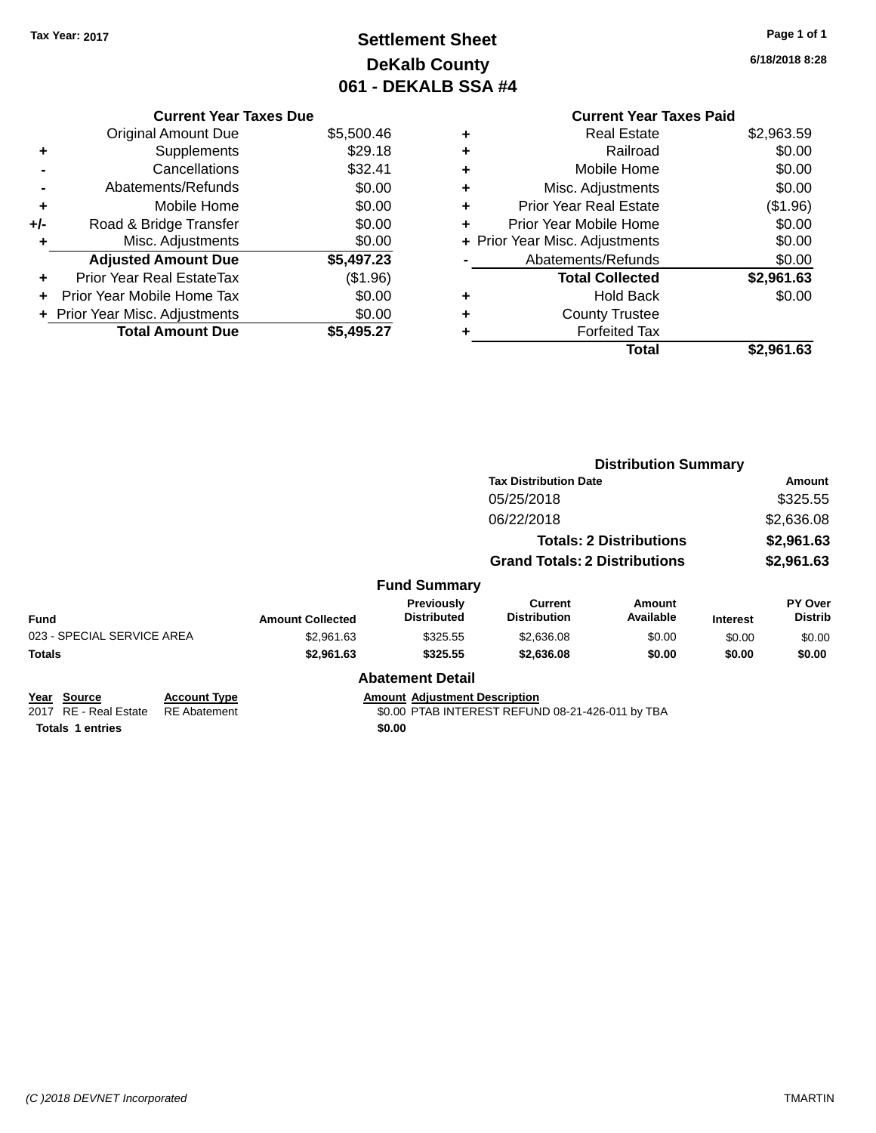**Current Year Taxes Due** Original Amount Due \$5,500.46

**Adjusted Amount Due \$5,497.23**

**Total Amount Due \$5,495.27**

**+** Supplements \$29.18 **-** Cancellations \$32.41 **-** Abatements/Refunds \$0.00 **+** Mobile Home \$0.00 **+/-** Road & Bridge Transfer \$0.00 **+** Misc. Adjustments \$0.00

**+** Prior Year Real EstateTax (\$1.96) **+** Prior Year Mobile Home Tax \$0.00 **+** Prior Year Misc. Adjustments  $$0.00$ 

## **Settlement Sheet Tax Year: 2017 Page 1 of 1 DeKalb County 061 - DEKALB SSA #4**

**6/18/2018 8:28**

#### **Current Year Taxes Paid +** Real Estate \$2,963.59 **+** Railroad \$0.00 **+** Mobile Home \$0.00 **+** Misc. Adjustments \$0.00 **+** Prior Year Real Estate (\$1.96) **+** Prior Year Mobile Home \$0.00 **+** Prior Year Misc. Adjustments  $$0.00$ Abatements/Refunds \$0.00 **Total Collected \$2,961.63 +** Hold Back \$0.00 **+** County Trustee **+** Forfeited Tax **Total \$2,961.63**

|                                      |                                            |                         |                                      | <b>Distribution Summary</b>                      |                                |                 |                                  |
|--------------------------------------|--------------------------------------------|-------------------------|--------------------------------------|--------------------------------------------------|--------------------------------|-----------------|----------------------------------|
|                                      |                                            |                         |                                      | <b>Tax Distribution Date</b>                     |                                |                 | Amount                           |
|                                      |                                            |                         |                                      | 05/25/2018                                       |                                |                 | \$325.55                         |
|                                      |                                            |                         |                                      | 06/22/2018                                       |                                |                 | \$2,636.08                       |
|                                      |                                            |                         |                                      |                                                  | <b>Totals: 2 Distributions</b> |                 | \$2,961.63                       |
|                                      |                                            |                         |                                      | <b>Grand Totals: 2 Distributions</b>             |                                |                 | \$2,961.63                       |
|                                      |                                            |                         | <b>Fund Summary</b>                  |                                                  |                                |                 |                                  |
| <b>Fund</b>                          |                                            | <b>Amount Collected</b> | Previously<br><b>Distributed</b>     | Current<br><b>Distribution</b>                   | Amount<br>Available            | <b>Interest</b> | <b>PY Over</b><br><b>Distrib</b> |
| 023 - SPECIAL SERVICE AREA           |                                            | \$2,961.63              | \$325.55                             | \$2,636.08                                       | \$0.00                         | \$0.00          | \$0.00                           |
| Totals                               |                                            | \$2,961.63              | \$325.55                             | \$2,636.08                                       | \$0.00                         | \$0.00          | \$0.00                           |
|                                      |                                            |                         | <b>Abatement Detail</b>              |                                                  |                                |                 |                                  |
| Year Source<br>2017 RE - Real Estate | <b>Account Type</b><br><b>RE</b> Abatement |                         | <b>Amount Adjustment Description</b> | \$0.00 PTAB INTEREST REFUND 08-21-426-011 by TBA |                                |                 |                                  |
| <b>Totals 1 entries</b>              |                                            |                         | \$0.00                               |                                                  |                                |                 |                                  |

#### *(C )2018 DEVNET Incorporated* TMARTIN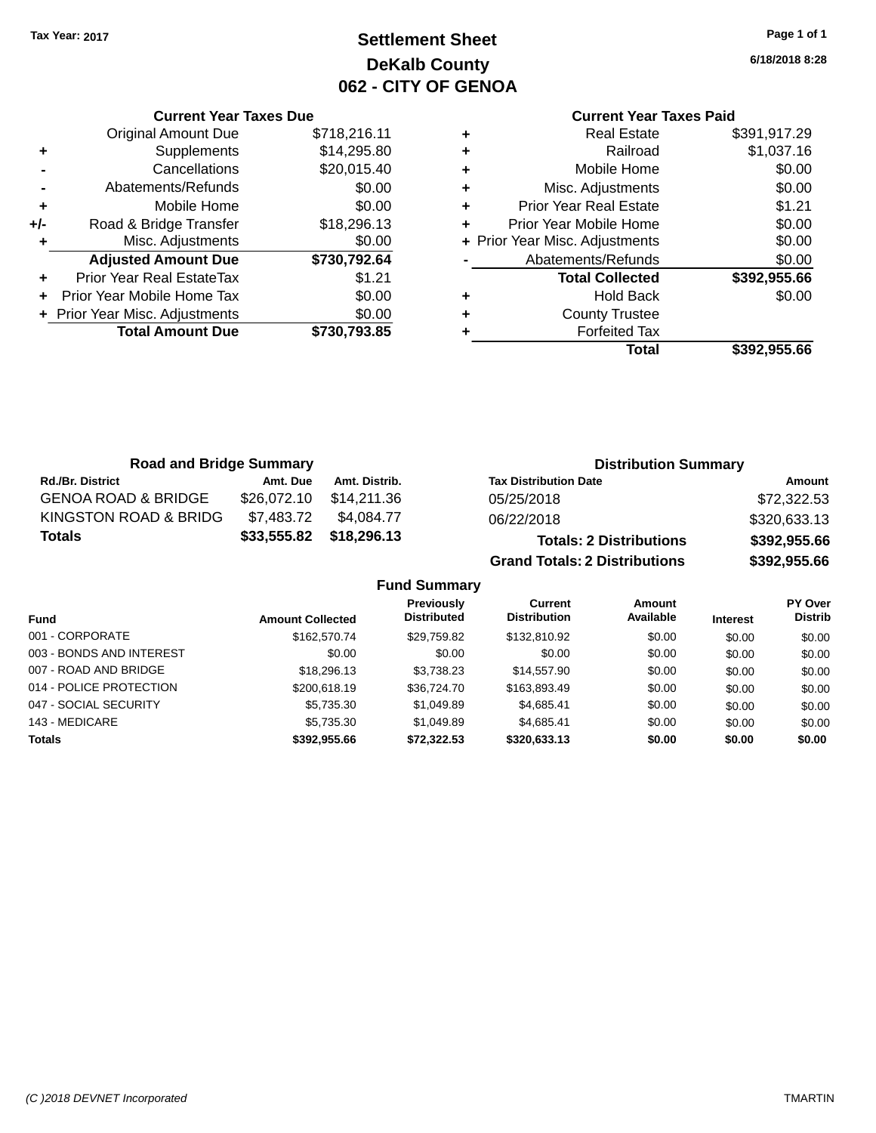### **Settlement Sheet Tax Year: 2017 Page 1 of 1 DeKalb County 062 - CITY OF GENOA**

**6/18/2018 8:28**

# **Current Year Taxes Paid**

|     | <b>Current Year Taxes Due</b>  |              |
|-----|--------------------------------|--------------|
|     | <b>Original Amount Due</b>     | \$718,216.11 |
| ٠   | Supplements                    | \$14,295.80  |
|     | Cancellations                  | \$20,015.40  |
|     | Abatements/Refunds             | \$0.00       |
| ٠   | Mobile Home                    | \$0.00       |
| +/- | Road & Bridge Transfer         | \$18,296.13  |
| ٠   | Misc. Adjustments              | \$0.00       |
|     | <b>Adjusted Amount Due</b>     | \$730,792.64 |
| ٠   | Prior Year Real EstateTax      | \$1.21       |
|     | Prior Year Mobile Home Tax     | \$0.00       |
|     | + Prior Year Misc. Adjustments | \$0.00       |
|     | <b>Total Amount Due</b>        | \$730.793.85 |
|     |                                |              |

| ٠ | <b>Real Estate</b>             | \$391,917.29 |
|---|--------------------------------|--------------|
| ٠ | Railroad                       | \$1,037.16   |
| ٠ | Mobile Home                    | \$0.00       |
| ٠ | Misc. Adjustments              | \$0.00       |
| ٠ | <b>Prior Year Real Estate</b>  | \$1.21       |
| ٠ | Prior Year Mobile Home         | \$0.00       |
|   | + Prior Year Misc. Adjustments | \$0.00       |
|   | Abatements/Refunds             | \$0.00       |
|   | <b>Total Collected</b>         | \$392,955.66 |
| ٠ | Hold Back                      | \$0.00       |
| ٠ | <b>County Trustee</b>          |              |
| ٠ | <b>Forfeited Tax</b>           |              |
|   | Total                          | \$392.955.66 |
|   |                                |              |

| <b>Road and Bridge Summary</b> |             |                         | <b>Distribution Summary</b>          |              |  |
|--------------------------------|-------------|-------------------------|--------------------------------------|--------------|--|
| <b>Rd./Br. District</b>        | Amt. Due    | Amt. Distrib.           | <b>Tax Distribution Date</b>         | Amount       |  |
| <b>GENOA ROAD &amp; BRIDGE</b> | \$26,072.10 | \$14,211.36             | 05/25/2018                           | \$72,322.53  |  |
| KINGSTON ROAD & BRIDG          | \$7.483.72  | \$4.084.77              | 06/22/2018                           | \$320,633.13 |  |
| <b>Totals</b>                  |             | \$33,555.82 \$18,296.13 | <b>Totals: 2 Distributions</b>       | \$392,955.66 |  |
|                                |             |                         | <b>Grand Totals: 2 Distributions</b> | \$392,955.66 |  |

| Fund                     | <b>Amount Collected</b> | Previously<br><b>Distributed</b> | Current<br><b>Distribution</b> | <b>Amount</b><br>Available | <b>Interest</b> | PY Over<br><b>Distrib</b> |
|--------------------------|-------------------------|----------------------------------|--------------------------------|----------------------------|-----------------|---------------------------|
| 001 - CORPORATE          | \$162,570.74            | \$29.759.82                      | \$132,810.92                   | \$0.00                     | \$0.00          | \$0.00                    |
| 003 - BONDS AND INTEREST | \$0.00                  | \$0.00                           | \$0.00                         | \$0.00                     | \$0.00          | \$0.00                    |
| 007 - ROAD AND BRIDGE    | \$18,296.13             | \$3.738.23                       | \$14,557.90                    | \$0.00                     | \$0.00          | \$0.00                    |
| 014 - POLICE PROTECTION  | \$200,618.19            | \$36,724.70                      | \$163.893.49                   | \$0.00                     | \$0.00          | \$0.00                    |
| 047 - SOCIAL SECURITY    | \$5,735.30              | \$1,049.89                       | \$4.685.41                     | \$0.00                     | \$0.00          | \$0.00                    |
| 143 - MEDICARE           | \$5,735.30              | \$1.049.89                       | \$4.685.41                     | \$0.00                     | \$0.00          | \$0.00                    |
| <b>Totals</b>            | \$392.955.66            | \$72.322.53                      | \$320,633.13                   | \$0.00                     | \$0.00          | \$0.00                    |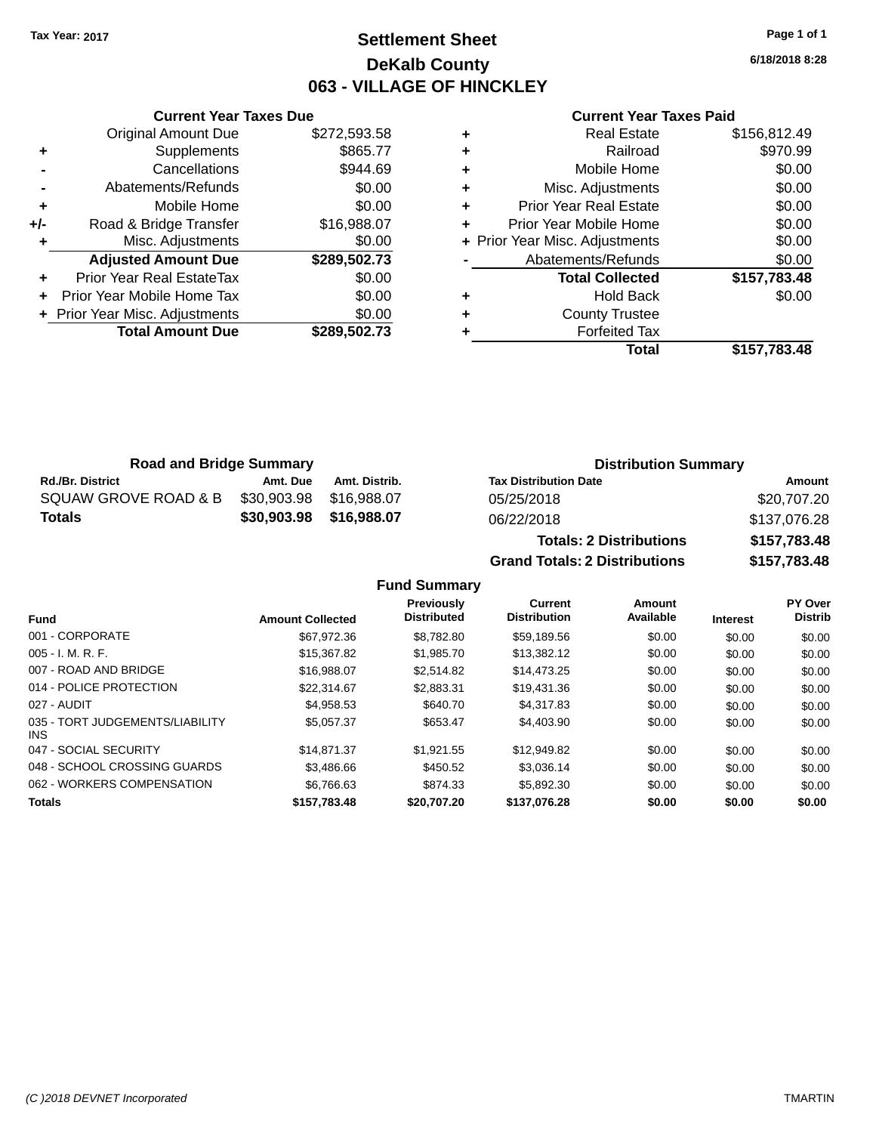### **Settlement Sheet Tax Year: 2017 Page 1 of 1 DeKalb County 063 - VILLAGE OF HINCKLEY**

**6/18/2018 8:28**

#### **Current Year Taxes Paid**

|     | <b>Current Year Taxes Due</b>    |              |
|-----|----------------------------------|--------------|
|     | <b>Original Amount Due</b>       | \$272,593.58 |
|     | Supplements                      | \$865.77     |
|     | Cancellations                    | \$944.69     |
|     | Abatements/Refunds               | \$0.00       |
| ٠   | Mobile Home                      | \$0.00       |
| +/- | Road & Bridge Transfer           | \$16,988.07  |
| ٠   | Misc. Adjustments                | \$0.00       |
|     | <b>Adjusted Amount Due</b>       | \$289,502.73 |
| ٠   | <b>Prior Year Real EstateTax</b> | \$0.00       |
|     | Prior Year Mobile Home Tax       | \$0.00       |
|     | + Prior Year Misc. Adjustments   | \$0.00       |
|     | <b>Total Amount Due</b>          | \$289,502.73 |
|     |                                  |              |

|   | <b>Real Estate</b>             | \$156,812.49 |
|---|--------------------------------|--------------|
| ٠ | Railroad                       | \$970.99     |
| ٠ | Mobile Home                    | \$0.00       |
| ٠ | Misc. Adjustments              | \$0.00       |
| ٠ | <b>Prior Year Real Estate</b>  | \$0.00       |
| ٠ | Prior Year Mobile Home         | \$0.00       |
|   | + Prior Year Misc. Adjustments | \$0.00       |
|   | Abatements/Refunds             | \$0.00       |
|   | <b>Total Collected</b>         | \$157,783.48 |
| ٠ | <b>Hold Back</b>               | \$0.00       |
| ٠ | <b>County Trustee</b>          |              |
|   | <b>Forfeited Tax</b>           |              |
|   | Total                          | \$157,783.48 |

**Grand Totals: 2 Distributions \$157,783.48**

| <b>Road and Bridge Summary</b> |                         |               | <b>Distribution Summary</b>    |              |  |
|--------------------------------|-------------------------|---------------|--------------------------------|--------------|--|
| <b>Rd./Br. District</b>        | Amt. Due                | Amt. Distrib. | <b>Tax Distribution Date</b>   | Amount       |  |
| SQUAW GROVE ROAD & B           | \$30,903.98             | \$16.988.07   | 05/25/2018                     | \$20,707.20  |  |
| Totals                         | \$30,903.98 \$16,988.07 |               | 06/22/2018                     | \$137,076.28 |  |
|                                |                         |               | <b>Totals: 2 Distributions</b> | \$157,783.48 |  |

**Fund Summary Fund Interest Amount Collected Distributed PY Over Distrib Amount Available Current Distribution Previously** 001 - CORPORATE 60.00 \$67,972.36 \$67,972.36 \$8,782.80 \$59,189.56 \$0.00 \$0.00 \$0.00 \$0.00 005 - I. M. R. F. \$15,367.82 \$1,985.70 \$13,382.12 \$0.00 \$0.00 \$0.00 007 - ROAD AND BRIDGE 60.00 \$16,988.07 \$2,514.82 \$14,473.25 \$0.00 \$0.00 \$0.00 \$0.00 014 - POLICE PROTECTION \$22,314.67 \$2,883.31 \$19,431.36 \$0.00 \$0.00 \$0.00 \$0.00 027 - AUDIT \$4,958.53 \$640.70 \$4,317.83 \$0.00 \$0.00 \$0.00 035 - TORT JUDGEMENTS/LIABILITY INS \$5,057.37 \$653.47 \$4,403.90 \$0.00 \$0.00 \$0.00 047 - SOCIAL SECURITY \$14,871.37 \$1,921.55 \$12,949.82 \$0.00 \$0.00 \$0.00 048 - SCHOOL CROSSING GUARDS \$3,486.66 \$450.52 \$3,036.14 \$0.00 \$0.00 \$0.00 \$0.00 062 - WORKERS COMPENSATION \$6,766.63 \$874.33 \$5,892.30 \$0.00 \$0.00 \$0.00 \$0.00 **Totals \$157,783.48 \$20,707.20 \$137,076.28 \$0.00 \$0.00 \$0.00**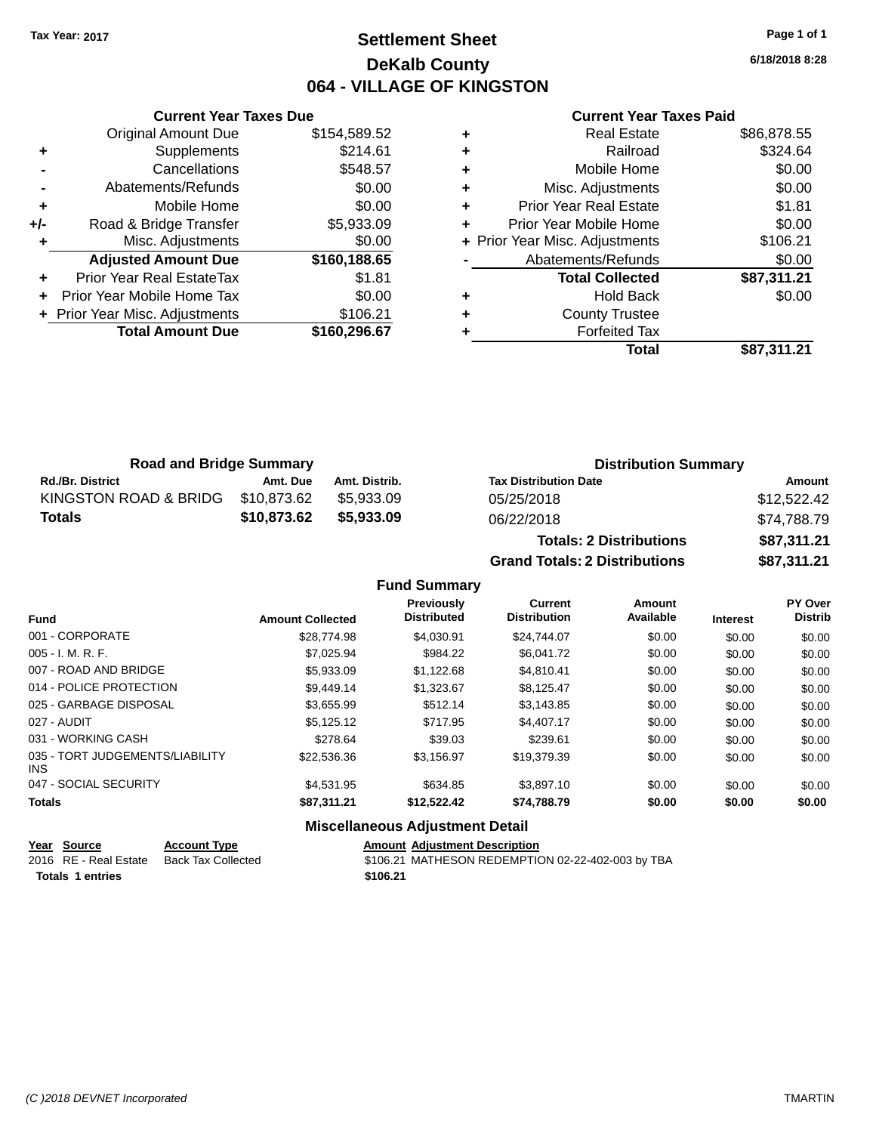### **Settlement Sheet Tax Year: 2017 Page 1 of 1 DeKalb County 064 - VILLAGE OF KINGSTON**

**6/18/2018 8:28**

#### **Current Year Taxes Paid**

|     | <b>Current Year Taxes Due</b>  |              |
|-----|--------------------------------|--------------|
|     | <b>Original Amount Due</b>     | \$154,589.52 |
| ٠   | Supplements                    | \$214.61     |
|     | Cancellations                  | \$548.57     |
|     | Abatements/Refunds             | \$0.00       |
| ٠   | Mobile Home                    | \$0.00       |
| +/- | Road & Bridge Transfer         | \$5,933.09   |
|     | Misc. Adjustments              | \$0.00       |
|     | <b>Adjusted Amount Due</b>     | \$160,188.65 |
|     | Prior Year Real EstateTax      | \$1.81       |
|     | Prior Year Mobile Home Tax     | \$0.00       |
|     | + Prior Year Misc. Adjustments | \$106.21     |
|     | <b>Total Amount Due</b>        | \$160,296.67 |
|     |                                |              |

|   | <b>Real Estate</b>             | \$86,878.55 |
|---|--------------------------------|-------------|
| ٠ | Railroad                       | \$324.64    |
| ٠ | Mobile Home                    | \$0.00      |
| ٠ | Misc. Adjustments              | \$0.00      |
| ٠ | <b>Prior Year Real Estate</b>  | \$1.81      |
| ÷ | Prior Year Mobile Home         | \$0.00      |
|   | + Prior Year Misc. Adjustments | \$106.21    |
|   | Abatements/Refunds             | \$0.00      |
|   | <b>Total Collected</b>         | \$87,311.21 |
| ٠ | <b>Hold Back</b>               | \$0.00      |
| ٠ | <b>County Trustee</b>          |             |
| ٠ | <b>Forfeited Tax</b>           |             |
|   | Total                          | \$87,311.21 |
|   |                                |             |

| <b>Road and Bridge Summary</b> |             | <b>Distribution Summary</b> |                                |             |
|--------------------------------|-------------|-----------------------------|--------------------------------|-------------|
| <b>Rd./Br. District</b>        | Amt. Due    | Amt. Distrib.               | <b>Tax Distribution Date</b>   | Amount      |
| KINGSTON ROAD & BRIDG          | \$10,873.62 | \$5.933.09                  | 05/25/2018                     | \$12,522.42 |
| <b>Totals</b>                  | \$10,873.62 | \$5,933,09                  | 06/22/2018                     | \$74,788.79 |
|                                |             |                             | <b>Totals: 2 Distributions</b> | \$87,311.21 |

**Grand Totals: 2 Distributions \$87,311.21**

| <b>Fund</b>                             | <b>Amount Collected</b> | Previously<br><b>Distributed</b> | <b>Current</b><br><b>Distribution</b> | Amount<br>Available | <b>Interest</b> | <b>PY Over</b><br><b>Distrib</b> |
|-----------------------------------------|-------------------------|----------------------------------|---------------------------------------|---------------------|-----------------|----------------------------------|
| 001 - CORPORATE                         | \$28,774.98             | \$4.030.91                       | \$24.744.07                           | \$0.00              | \$0.00          | \$0.00                           |
| $005 - I. M. R. F.$                     | \$7.025.94              | \$984.22                         | \$6,041.72                            | \$0.00              | \$0.00          | \$0.00                           |
| 007 - ROAD AND BRIDGE                   | \$5,933.09              | \$1,122.68                       | \$4,810.41                            | \$0.00              | \$0.00          | \$0.00                           |
| 014 - POLICE PROTECTION                 | \$9.449.14              | \$1.323.67                       | \$8.125.47                            | \$0.00              | \$0.00          | \$0.00                           |
| 025 - GARBAGE DISPOSAL                  | \$3,655.99              | \$512.14                         | \$3,143.85                            | \$0.00              | \$0.00          | \$0.00                           |
| 027 - AUDIT                             | \$5,125.12              | \$717.95                         | \$4,407.17                            | \$0.00              | \$0.00          | \$0.00                           |
| 031 - WORKING CASH                      | \$278.64                | \$39.03                          | \$239.61                              | \$0.00              | \$0.00          | \$0.00                           |
| 035 - TORT JUDGEMENTS/LIABILITY<br>INS. | \$22,536,36             | \$3,156.97                       | \$19.379.39                           | \$0.00              | \$0.00          | \$0.00                           |
| 047 - SOCIAL SECURITY                   | \$4.531.95              | \$634.85                         | \$3.897.10                            | \$0.00              | \$0.00          | \$0.00                           |
| <b>Totals</b>                           | \$87,311.21             | \$12,522.42                      | \$74,788.79                           | \$0.00              | \$0.00          | \$0.00                           |

| <b>Miscellaneous Adjustment Detail</b> |  |
|----------------------------------------|--|
|----------------------------------------|--|

| Year Source             | <b>Account Type</b> | <b>Amount Adiustment Description</b>              |
|-------------------------|---------------------|---------------------------------------------------|
| 2016 RE - Real Estate   | Back Tax Collected  | \$106.21 MATHESON REDEMPTION 02-22-402-003 by TBA |
| <b>Totals 1 entries</b> |                     | \$106.21                                          |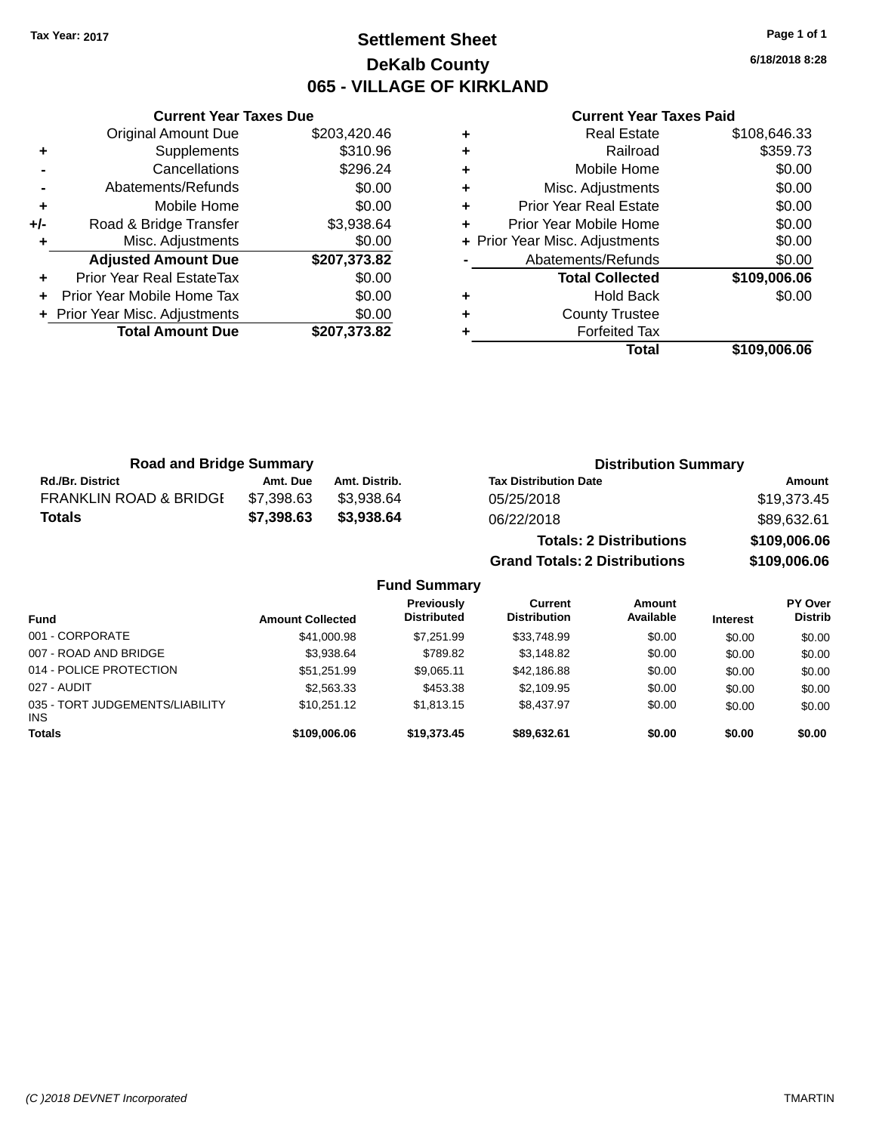### **Settlement Sheet Tax Year: 2017 Page 1 of 1 DeKalb County 065 - VILLAGE OF KIRKLAND**

**6/18/2018 8:28**

#### **Current Year Taxes Paid**

|     | <b>Current Year Taxes Due</b>  |              |
|-----|--------------------------------|--------------|
|     | <b>Original Amount Due</b>     | \$203,420.46 |
| ٠   | Supplements                    | \$310.96     |
|     | Cancellations                  | \$296.24     |
|     | Abatements/Refunds             | \$0.00       |
| ٠   | Mobile Home                    | \$0.00       |
| +/- | Road & Bridge Transfer         | \$3,938.64   |
|     | Misc. Adjustments              | \$0.00       |
|     | <b>Adjusted Amount Due</b>     | \$207,373.82 |
| ÷   | Prior Year Real EstateTax      | \$0.00       |
|     | Prior Year Mobile Home Tax     | \$0.00       |
|     | + Prior Year Misc. Adjustments | \$0.00       |
|     | <b>Total Amount Due</b>        | \$207,373.82 |
|     |                                |              |

|   | <b>Total Collected</b>         |              |
|---|--------------------------------|--------------|
|   |                                |              |
|   | Abatements/Refunds             | \$0.00       |
|   | + Prior Year Misc. Adjustments | \$0.00       |
| ٠ | Prior Year Mobile Home         | \$0.00       |
| ٠ | <b>Prior Year Real Estate</b>  | \$0.00       |
| ٠ | Misc. Adjustments              | \$0.00       |
| ٠ | Mobile Home                    | \$0.00       |
| ٠ | Railroad                       | \$359.73     |
|   | <b>Real Estate</b>             | \$108,646.33 |

**Grand Totals: 2 Distributions \$109,006.06**

| <b>Road and Bridge Summary</b>    |            | <b>Distribution Summary</b> |                                |              |
|-----------------------------------|------------|-----------------------------|--------------------------------|--------------|
| <b>Rd./Br. District</b>           | Amt. Due   | Amt. Distrib.               | <b>Tax Distribution Date</b>   | Amount       |
| <b>FRANKLIN ROAD &amp; BRIDGE</b> | \$7.398.63 | \$3.938.64                  | 05/25/2018                     | \$19,373.45  |
| Totals                            | \$7,398.63 | \$3,938.64                  | 06/22/2018                     | \$89,632.61  |
|                                   |            |                             | <b>Totals: 2 Distributions</b> | \$109,006.06 |

**Fund Summary Fund Interest Amount Collected Distributed PY Over Distrib Amount Available Current Distribution Previously** 001 - CORPORATE 6000 541,000.98 \$41,000.98 \$7,251.99 \$33,748.99 \$0.00 \$0.00 \$0.00 \$0.00 007 - ROAD AND BRIDGE \$3,038.64 \$789.82 \$3,148.82 \$0.00 \$0.00 \$0.00 \$0.00 014 - POLICE PROTECTION \$51,251.99 \$9,065.11 \$42,186.88 \$0.00 \$0.00 \$0.00 \$0.00 027 - AUDIT \$2,563.33 \$453.38 \$2,109.95 \$0.00 \$0.00 \$0.00 035 - TORT JUDGEMENTS/LIABILITY INS \$10,251.12 \$1,813.15 \$8,437.97 \$0.00 \$0.00 \$0.00 **Totals \$109,006.06 \$19,373.45 \$89,632.61 \$0.00 \$0.00 \$0.00**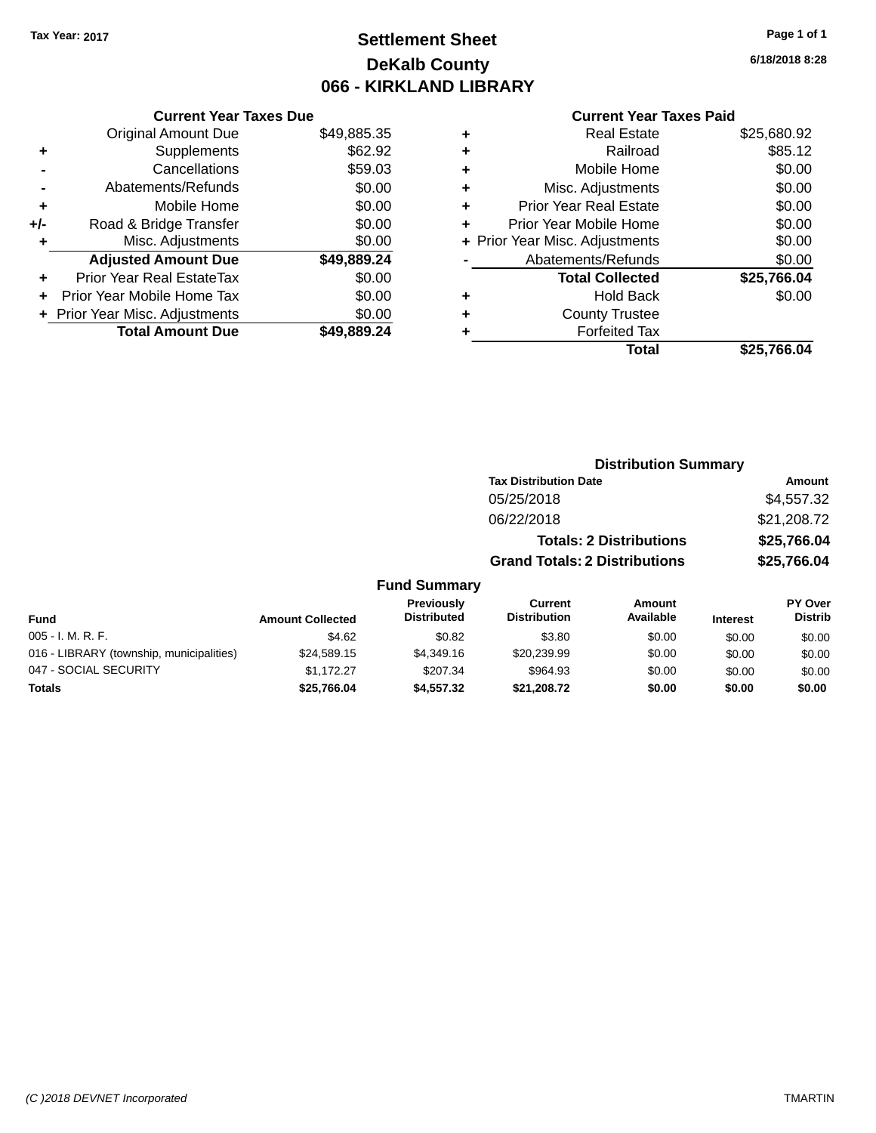### **Settlement Sheet Tax Year: 2017 Page 1 of 1 DeKalb County 066 - KIRKLAND LIBRARY**

**6/18/2018 8:28**

#### **Current Year Taxes Paid**

|     | <b>Current Year Taxes Due</b>  |             |
|-----|--------------------------------|-------------|
|     | <b>Original Amount Due</b>     | \$49,885.35 |
| ٠   | Supplements                    | \$62.92     |
|     | Cancellations                  | \$59.03     |
|     | Abatements/Refunds             | \$0.00      |
| ٠   | Mobile Home                    | \$0.00      |
| +/- | Road & Bridge Transfer         | \$0.00      |
|     | Misc. Adjustments              | \$0.00      |
|     | <b>Adjusted Amount Due</b>     | \$49,889.24 |
| ÷   | Prior Year Real EstateTax      | \$0.00      |
|     | Prior Year Mobile Home Tax     | \$0.00      |
|     | + Prior Year Misc. Adjustments | \$0.00      |
|     | <b>Total Amount Due</b>        | \$49.889.24 |
|     |                                |             |

| ٠ | <b>Real Estate</b>             | \$25,680.92 |
|---|--------------------------------|-------------|
| ٠ | Railroad                       | \$85.12     |
| ٠ | Mobile Home                    | \$0.00      |
| ٠ | Misc. Adjustments              | \$0.00      |
| ٠ | <b>Prior Year Real Estate</b>  | \$0.00      |
| ٠ | Prior Year Mobile Home         | \$0.00      |
|   | + Prior Year Misc. Adjustments | \$0.00      |
|   | Abatements/Refunds             | \$0.00      |
|   | <b>Total Collected</b>         | \$25,766.04 |
| ٠ | <b>Hold Back</b>               | \$0.00      |
|   | <b>County Trustee</b>          |             |
| ٠ | <b>Forfeited Tax</b>           |             |
|   | Total                          | \$25,766.04 |
|   |                                |             |

|                     |                                      | <b>Distribution Summary</b>    |             |
|---------------------|--------------------------------------|--------------------------------|-------------|
|                     | <b>Tax Distribution Date</b>         |                                | Amount      |
|                     | 05/25/2018                           |                                | \$4,557.32  |
|                     | 06/22/2018                           |                                | \$21,208.72 |
|                     |                                      | <b>Totals: 2 Distributions</b> | \$25,766.04 |
|                     | <b>Grand Totals: 2 Distributions</b> |                                | \$25,766.04 |
| <b>Fund Summary</b> |                                      |                                |             |
| <b>Droviaught</b>   | $r_{\text{turbant}}$                 | $A$ me $\ddot{A}$              | DV Ough     |

| <b>Fund</b>                              | <b>Amount Collected</b> | <b>Previously</b><br><b>Distributed</b> | Current<br><b>Distribution</b> | Amount<br>Available | <b>Interest</b> | PY Over<br><b>Distrib</b> |
|------------------------------------------|-------------------------|-----------------------------------------|--------------------------------|---------------------|-----------------|---------------------------|
| $005 - I. M. R. F.$                      | \$4.62                  | \$0.82                                  | \$3.80                         | \$0.00              | \$0.00          | \$0.00                    |
| 016 - LIBRARY (township, municipalities) | \$24,589.15             | \$4,349.16                              | \$20,239.99                    | \$0.00              | \$0.00          | \$0.00                    |
| 047 - SOCIAL SECURITY                    | \$1.172.27              | \$207.34                                | \$964.93                       | \$0.00              | \$0.00          | \$0.00                    |
| Totals                                   | \$25,766,04             | \$4,557,32                              | \$21.208.72                    | \$0.00              | \$0.00          | \$0.00                    |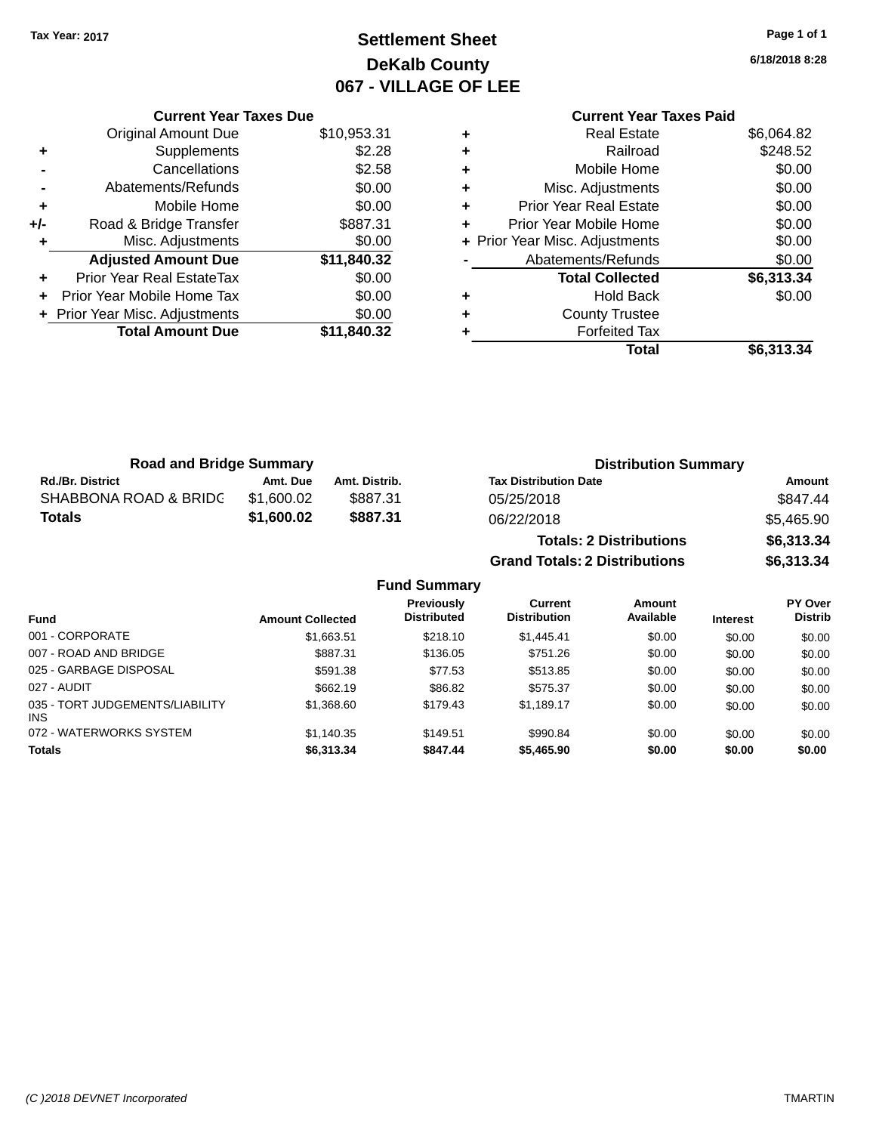## **Settlement Sheet Tax Year: 2017 Page 1 of 1 DeKalb County 067 - VILLAGE OF LEE**

**6/18/2018 8:28**

|     | <b>Current Year Taxes Due</b>  |             |
|-----|--------------------------------|-------------|
|     | <b>Original Amount Due</b>     | \$10,953.31 |
|     | Supplements                    | \$2.28      |
|     | Cancellations                  | \$2.58      |
|     | Abatements/Refunds             | \$0.00      |
| ٠   | Mobile Home                    | \$0.00      |
| +/- | Road & Bridge Transfer         | \$887.31    |
|     | Misc. Adjustments              | \$0.00      |
|     | <b>Adjusted Amount Due</b>     | \$11,840.32 |
|     | Prior Year Real EstateTax      | \$0.00      |
|     | Prior Year Mobile Home Tax     | \$0.00      |
|     | + Prior Year Misc. Adjustments | \$0.00      |
|     | <b>Total Amount Due</b>        | \$11,840.32 |
|     |                                |             |

### **Current Year Taxes Paid +** Real Estate \$6,064.82 **+** Railroad \$248.52 **+** Mobile Home \$0.00 **+** Misc. Adjustments \$0.00 **+** Prior Year Real Estate \$0.00 **+** Prior Year Mobile Home \$0.00 **+** Prior Year Misc. Adjustments  $$0.00$ Abatements/Refunds \$0.00 **Total Collected \$6,313.34 +** Hold Back \$0.00 **+** County Trustee **+** Forfeited Tax **Total \$6,313.34**

**Grand Totals: 2 Distributions \$6,313.34**

| <b>Road and Bridge Summary</b> |            |               | <b>Distribution Summary</b>    |            |  |
|--------------------------------|------------|---------------|--------------------------------|------------|--|
| <b>Rd./Br. District</b>        | Amt. Due   | Amt. Distrib. | <b>Tax Distribution Date</b>   | Amount     |  |
| SHABBONA ROAD & BRIDG          | \$1,600.02 | \$887.31      | 05/25/2018                     | \$847.44   |  |
| <b>Totals</b>                  | \$1,600.02 | \$887.31      | 06/22/2018                     | \$5,465.90 |  |
|                                |            |               | <b>Totals: 2 Distributions</b> | \$6,313.34 |  |

**Fund Summary Fund Interest Amount Collected Distributed PY Over Distrib Amount Available Current Distribution Previously** 001 - CORPORATE \$1,663.51 \$218.10 \$1,445.41 \$0.00 \$0.00 \$0.00 007 - ROAD AND BRIDGE \$887.31 \$136.05 \$751.26 \$0.00 \$0.00 \$0.00 \$0.00 025 - GARBAGE DISPOSAL \$591.38 \$77.53 \$0.00 \$0.00 \$0.00 \$0.00 \$0.00 027 - AUDIT \$662.19 \$86.82 \$575.37 \$0.00 \$0.00 \$0.00 035 - TORT JUDGEMENTS/LIABILITY INS \$1,368.60 \$179.43 \$1,189.17 \$0.00 \$0.00 \$0.00 072 - WATERWORKS SYSTEM \$1,140.35 \$149.51 \$990.84 \$0.00 \$0.00 \$0.00 \$0.00 **Totals \$6,313.34 \$847.44 \$5,465.90 \$0.00 \$0.00 \$0.00**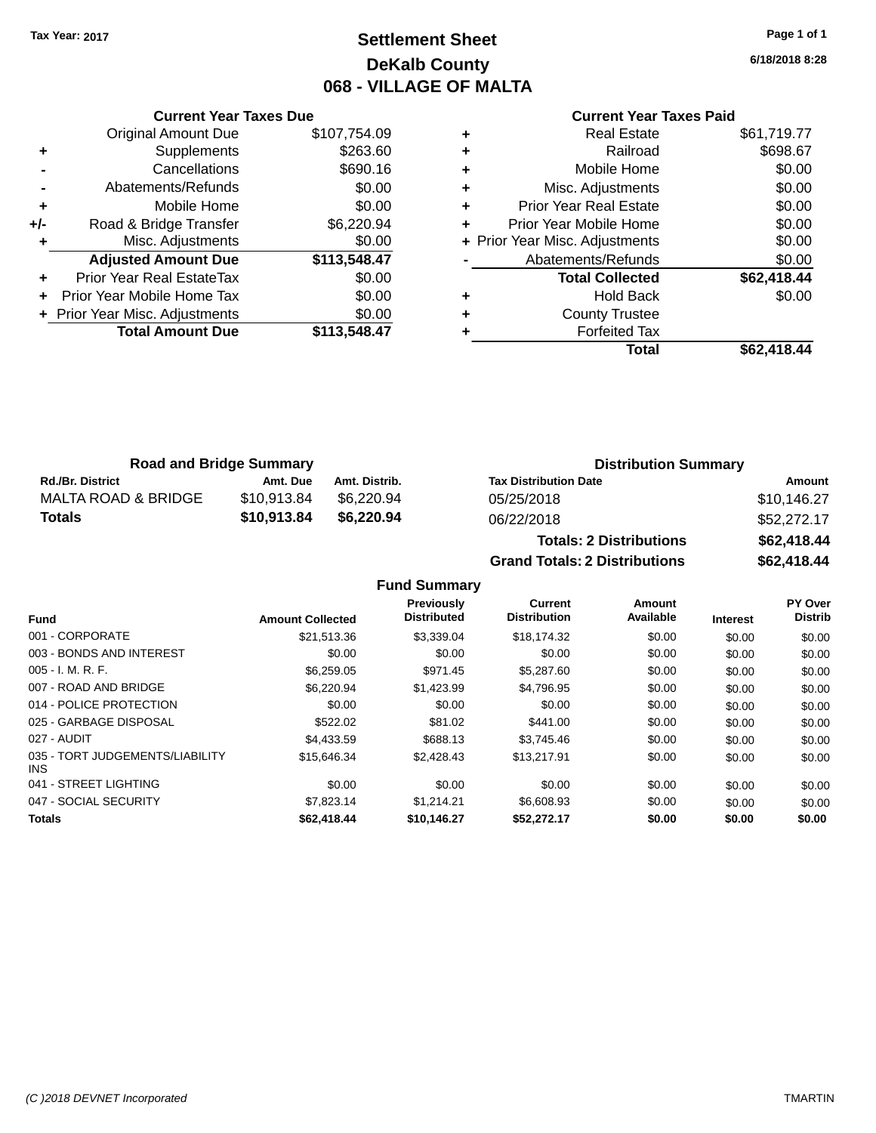### **Settlement Sheet Tax Year: 2017 Page 1 of 1 DeKalb County 068 - VILLAGE OF MALTA**

**6/18/2018 8:28**

#### **Current Year Taxes Paid**

|     | <b>Current Year Taxes Due</b>  |              |
|-----|--------------------------------|--------------|
|     | <b>Original Amount Due</b>     | \$107,754.09 |
| ٠   | Supplements                    | \$263.60     |
|     | Cancellations                  | \$690.16     |
|     | Abatements/Refunds             | \$0.00       |
| ٠   | Mobile Home                    | \$0.00       |
| +/- | Road & Bridge Transfer         | \$6,220.94   |
|     | Misc. Adjustments              | \$0.00       |
|     | <b>Adjusted Amount Due</b>     | \$113,548.47 |
| ٠   | Prior Year Real EstateTax      | \$0.00       |
|     | Prior Year Mobile Home Tax     | \$0.00       |
|     | + Prior Year Misc. Adjustments | \$0.00       |
|     | <b>Total Amount Due</b>        | \$113,548.47 |
|     |                                |              |

|   | <b>Real Estate</b>             | \$61,719.77 |
|---|--------------------------------|-------------|
| ٠ | Railroad                       | \$698.67    |
| ٠ | Mobile Home                    | \$0.00      |
| ٠ | Misc. Adjustments              | \$0.00      |
| ٠ | <b>Prior Year Real Estate</b>  | \$0.00      |
| ٠ | Prior Year Mobile Home         | \$0.00      |
|   | + Prior Year Misc. Adjustments | \$0.00      |
|   | Abatements/Refunds             | \$0.00      |
|   | <b>Total Collected</b>         | \$62,418.44 |
| ٠ | <b>Hold Back</b>               | \$0.00      |
| ٠ | <b>County Trustee</b>          |             |
| ٠ | <b>Forfeited Tax</b>           |             |
|   | Total                          | \$62,418.44 |
|   |                                |             |

| <b>Road and Bridge Summary</b> |             |               |                              | <b>Distribution Summary</b> |  |  |
|--------------------------------|-------------|---------------|------------------------------|-----------------------------|--|--|
| <b>Rd./Br. District</b>        | Amt. Due    | Amt. Distrib. | <b>Tax Distribution Date</b> | Amount                      |  |  |
| MALTA ROAD & BRIDGE            | \$10,913.84 | \$6.220.94    | 05/25/2018                   | \$10,146.27                 |  |  |
| Totals                         | \$10,913,84 | \$6,220.94    | 06/22/2018                   | \$52,272.17                 |  |  |

| <b>Totals: 2 Distributions</b>       | \$62,418.44 |
|--------------------------------------|-------------|
| <b>Grand Totals: 2 Distributions</b> | \$62,418.44 |

|                                         |                         | Previously<br><b>Distributed</b> | Current<br><b>Distribution</b> | Amount<br>Available |                 | PY Over<br><b>Distrib</b> |
|-----------------------------------------|-------------------------|----------------------------------|--------------------------------|---------------------|-----------------|---------------------------|
| <b>Fund</b>                             | <b>Amount Collected</b> |                                  |                                |                     | <b>Interest</b> |                           |
| 001 - CORPORATE                         | \$21,513.36             | \$3,339.04                       | \$18,174.32                    | \$0.00              | \$0.00          | \$0.00                    |
| 003 - BONDS AND INTEREST                | \$0.00                  | \$0.00                           | \$0.00                         | \$0.00              | \$0.00          | \$0.00                    |
| $005 - I. M. R. F.$                     | \$6,259.05              | \$971.45                         | \$5,287.60                     | \$0.00              | \$0.00          | \$0.00                    |
| 007 - ROAD AND BRIDGE                   | \$6,220.94              | \$1,423.99                       | \$4.796.95                     | \$0.00              | \$0.00          | \$0.00                    |
| 014 - POLICE PROTECTION                 | \$0.00                  | \$0.00                           | \$0.00                         | \$0.00              | \$0.00          | \$0.00                    |
| 025 - GARBAGE DISPOSAL                  | \$522.02                | \$81.02                          | \$441.00                       | \$0.00              | \$0.00          | \$0.00                    |
| 027 - AUDIT                             | \$4.433.59              | \$688.13                         | \$3.745.46                     | \$0.00              | \$0.00          | \$0.00                    |
| 035 - TORT JUDGEMENTS/LIABILITY<br>INS. | \$15,646.34             | \$2,428.43                       | \$13.217.91                    | \$0.00              | \$0.00          | \$0.00                    |
| 041 - STREET LIGHTING                   | \$0.00                  | \$0.00                           | \$0.00                         | \$0.00              | \$0.00          | \$0.00                    |
| 047 - SOCIAL SECURITY                   | \$7.823.14              | \$1.214.21                       | \$6,608.93                     | \$0.00              | \$0.00          | \$0.00                    |
| <b>Totals</b>                           | \$62,418,44             | \$10.146.27                      | \$52.272.17                    | \$0.00              | \$0.00          | \$0.00                    |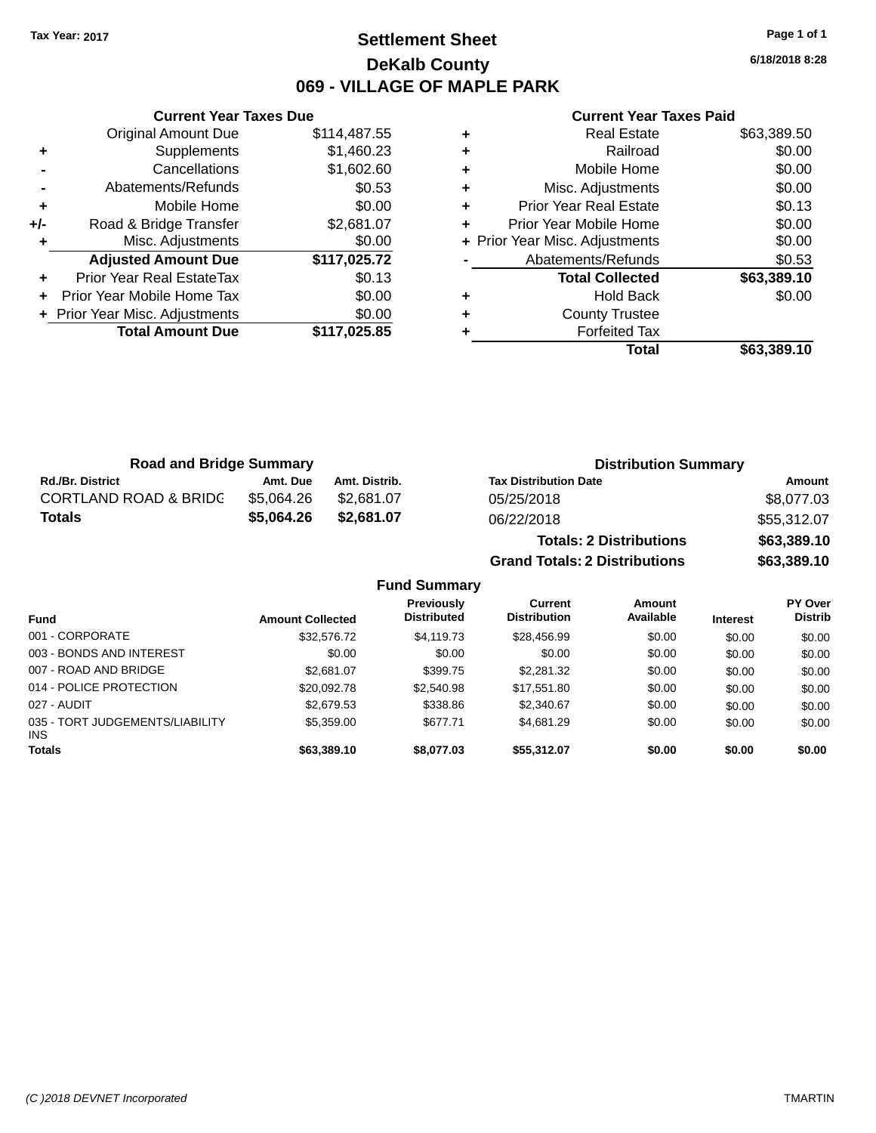### **Settlement Sheet Tax Year: 2017 Page 1 of 1 DeKalb County 069 - VILLAGE OF MAPLE PARK**

**6/18/2018 8:28**

#### **Current Year Taxes Paid**

|     | <b>Current Year Taxes Due</b>  |              |
|-----|--------------------------------|--------------|
|     | <b>Original Amount Due</b>     | \$114,487.55 |
| ٠   | Supplements                    | \$1,460.23   |
|     | Cancellations                  | \$1,602.60   |
|     | Abatements/Refunds             | \$0.53       |
| ٠   | Mobile Home                    | \$0.00       |
| +/- | Road & Bridge Transfer         | \$2,681.07   |
|     | Misc. Adjustments              | \$0.00       |
|     | <b>Adjusted Amount Due</b>     | \$117,025.72 |
| ٠   | Prior Year Real EstateTax      | \$0.13       |
|     | Prior Year Mobile Home Tax     | \$0.00       |
|     | + Prior Year Misc. Adjustments | \$0.00       |
|     | <b>Total Amount Due</b>        | \$117,025.85 |
|     |                                |              |

| ٠ | <b>Real Estate</b>             | \$63,389.50 |
|---|--------------------------------|-------------|
| ٠ | Railroad                       | \$0.00      |
| ٠ | Mobile Home                    | \$0.00      |
| ٠ | Misc. Adjustments              | \$0.00      |
| ٠ | <b>Prior Year Real Estate</b>  | \$0.13      |
| ٠ | Prior Year Mobile Home         | \$0.00      |
|   | + Prior Year Misc. Adjustments | \$0.00      |
|   | Abatements/Refunds             | \$0.53      |
|   | <b>Total Collected</b>         | \$63,389.10 |
| ٠ | <b>Hold Back</b>               | \$0.00      |
| ٠ | <b>County Trustee</b>          |             |
|   | <b>Forfeited Tax</b>           |             |
|   | Total                          | \$63,389.10 |

**Grand Totals: 2 Distributions \$63,389.10**

| <b>Road and Bridge Summary</b>   |            |               | <b>Distribution Summary</b>    |             |  |
|----------------------------------|------------|---------------|--------------------------------|-------------|--|
| <b>Rd./Br. District</b>          | Amt. Due   | Amt. Distrib. | <b>Tax Distribution Date</b>   | Amount      |  |
| <b>CORTLAND ROAD &amp; BRIDG</b> | \$5.064.26 | \$2,681,07    | 05/25/2018                     | \$8,077.03  |  |
| <b>Totals</b>                    | \$5,064.26 | \$2,681.07    | 06/22/2018                     | \$55,312.07 |  |
|                                  |            |               | <b>Totals: 2 Distributions</b> | \$63,389.10 |  |

**Fund Summary Fund Interest Amount Collected Distributed PY Over Distrib Amount Available Current Distribution Previously** 001 - CORPORATE \$32,576.72 \$4,119.73 \$28,456.99 \$0.00 \$0.00 \$0.00 003 - BONDS AND INTEREST  $$0.00$   $$0.00$   $$0.00$   $$0.00$   $$0.00$   $$0.00$   $$0.00$   $$0.00$ 007 - ROAD AND BRIDGE \$2,681.07 \$2,681.07 \$399.75 \$2,281.32 \$0.00 \$0.00 \$0.00 \$0.00 014 - POLICE PROTECTION \$20,092.78 \$2,540.98 \$17,551.80 \$0.00 \$0.00 \$0.00 \$0.00 027 - AUDIT \$2,679.53 \$338.86 \$2,340.67 \$0.00 \$0.00 \$0.00 035 - TORT JUDGEMENTS/LIABILITY INS \$5,359.00 \$677.71 \$4,681.29 \$0.00 \$0.00 \$0.00 **Totals \$63,389.10 \$8,077.03 \$55,312.07 \$0.00 \$0.00 \$0.00**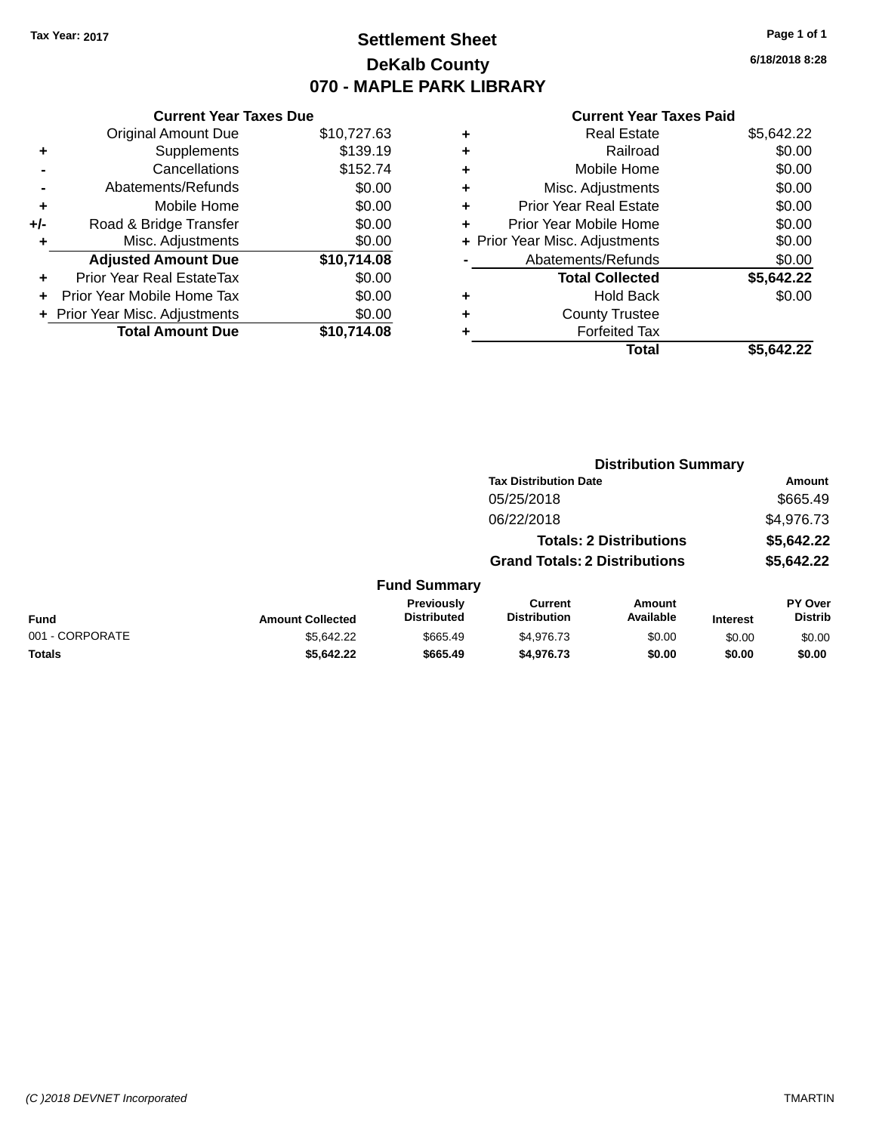### **Settlement Sheet Tax Year: 2017 Page 1 of 1 DeKalb County 070 - MAPLE PARK LIBRARY**

**6/18/2018 8:28**

#### **Current Year Taxes Paid**

| \$10,727.63<br>\$139.19 |
|-------------------------|
|                         |
|                         |
| \$152.74                |
| \$0.00                  |
| \$0.00                  |
| \$0.00                  |
| \$0.00                  |
| \$10,714.08             |
| \$0.00                  |
| \$0.00                  |
| \$0.00                  |
| \$10.714.08             |
|                         |

|   | <b>Real Estate</b>             | \$5,642.22 |
|---|--------------------------------|------------|
| ٠ | Railroad                       | \$0.00     |
| ٠ | Mobile Home                    | \$0.00     |
| ٠ | Misc. Adjustments              | \$0.00     |
| ٠ | <b>Prior Year Real Estate</b>  | \$0.00     |
| ٠ | Prior Year Mobile Home         | \$0.00     |
|   | + Prior Year Misc. Adjustments | \$0.00     |
|   | Abatements/Refunds             | \$0.00     |
|   | <b>Total Collected</b>         | \$5,642.22 |
| ٠ | <b>Hold Back</b>               | \$0.00     |
| ٠ | <b>County Trustee</b>          |            |
| ٠ | <b>Forfeited Tax</b>           |            |
|   | Total                          | \$5,642.22 |
|   |                                |            |

|                 |                         |                                         |                                       | <b>Distribution Summary</b>    |                 |                           |
|-----------------|-------------------------|-----------------------------------------|---------------------------------------|--------------------------------|-----------------|---------------------------|
|                 |                         |                                         | <b>Tax Distribution Date</b>          |                                |                 | Amount                    |
|                 |                         |                                         | 05/25/2018                            |                                |                 | \$665.49                  |
|                 |                         |                                         | 06/22/2018                            |                                |                 | \$4,976.73                |
|                 |                         |                                         |                                       | <b>Totals: 2 Distributions</b> |                 | \$5,642.22                |
|                 |                         |                                         | <b>Grand Totals: 2 Distributions</b>  |                                |                 | \$5,642.22                |
|                 |                         | <b>Fund Summary</b>                     |                                       |                                |                 |                           |
| Fund            | <b>Amount Collected</b> | <b>Previously</b><br><b>Distributed</b> | <b>Current</b><br><b>Distribution</b> | Amount<br>Available            | <b>Interest</b> | PY Over<br><b>Distrib</b> |
| 001 - CORPORATE | \$5.642.22              | \$665.49                                | \$4,976,73                            | \$0.00                         | \$0.00          | \$0.00                    |
| <b>Totals</b>   | \$5,642.22              | \$665.49                                | \$4,976.73                            | \$0.00                         | \$0.00          | \$0.00                    |
|                 |                         |                                         |                                       |                                |                 |                           |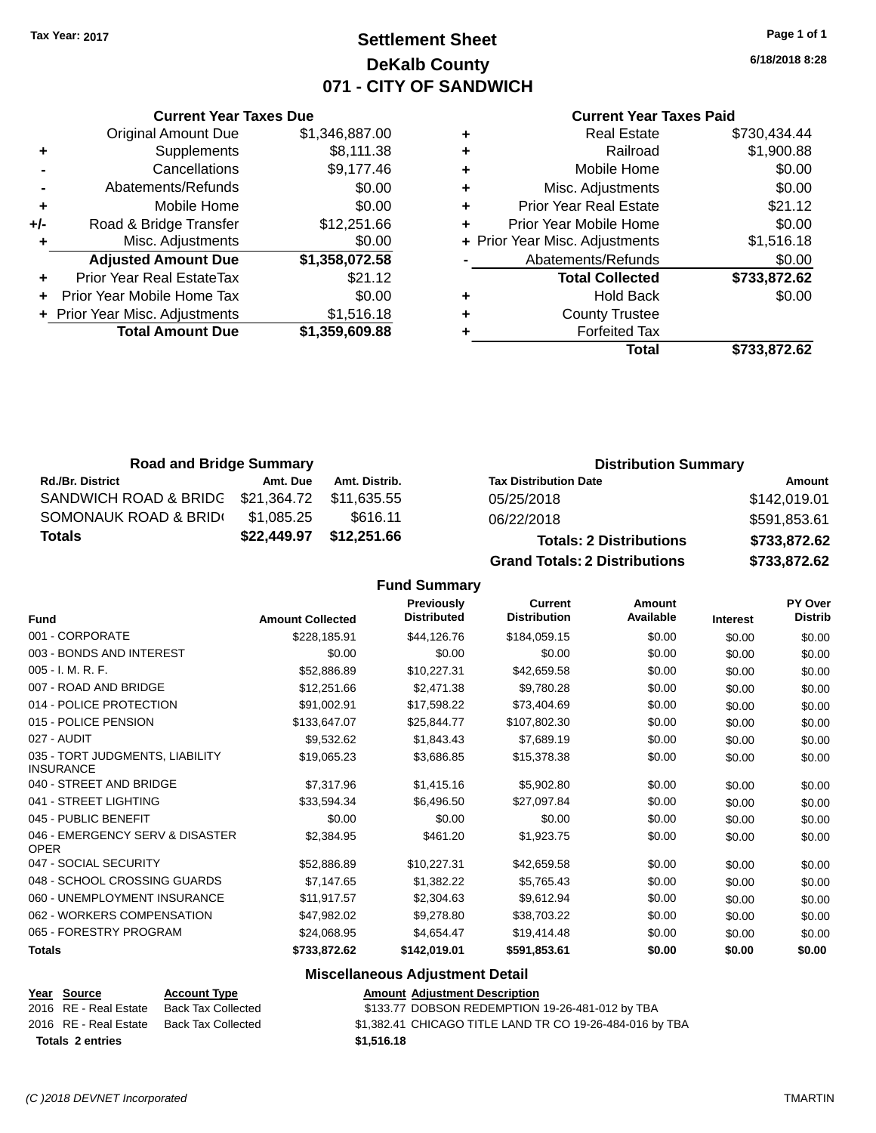### **Settlement Sheet Tax Year: 2017 Page 1 of 1 DeKalb County 071 - CITY OF SANDWICH**

**6/18/2018 8:28**

#### **Current Year Taxes Paid**

|       | <b>Current Year Taxes Due</b>    |                |  |  |  |
|-------|----------------------------------|----------------|--|--|--|
|       | <b>Original Amount Due</b>       | \$1,346,887.00 |  |  |  |
| ٠     | Supplements                      | \$8,111.38     |  |  |  |
|       | Cancellations                    | \$9,177.46     |  |  |  |
|       | Abatements/Refunds               | \$0.00         |  |  |  |
| ٠     | Mobile Home                      | \$0.00         |  |  |  |
| $+/-$ | Road & Bridge Transfer           | \$12,251.66    |  |  |  |
|       | Misc. Adjustments                | \$0.00         |  |  |  |
|       | <b>Adjusted Amount Due</b>       | \$1,358,072.58 |  |  |  |
| ٠     | <b>Prior Year Real EstateTax</b> | \$21.12        |  |  |  |
|       | Prior Year Mobile Home Tax       | \$0.00         |  |  |  |
|       | + Prior Year Misc. Adjustments   | \$1,516.18     |  |  |  |
|       | <b>Total Amount Due</b>          | \$1,359,609.88 |  |  |  |
|       |                                  |                |  |  |  |

|   | <b>Real Estate</b>             | \$730,434.44 |
|---|--------------------------------|--------------|
| ٠ | Railroad                       | \$1,900.88   |
| ÷ | Mobile Home                    | \$0.00       |
| ٠ | Misc. Adjustments              | \$0.00       |
| ٠ | <b>Prior Year Real Estate</b>  | \$21.12      |
| ٠ | Prior Year Mobile Home         | \$0.00       |
|   | + Prior Year Misc. Adjustments | \$1,516.18   |
|   | Abatements/Refunds             | \$0.00       |
|   | <b>Total Collected</b>         | \$733,872.62 |
| ٠ | <b>Hold Back</b>               | \$0.00       |
| ٠ | <b>County Trustee</b>          |              |
| ٠ | <b>Forfeited Tax</b>           |              |
|   | Total                          | \$733,872.62 |
|   |                                |              |

| <b>Road and Bridge Summary</b> |             |               | <b>Distribution Summary</b>          |              |  |
|--------------------------------|-------------|---------------|--------------------------------------|--------------|--|
| <b>Rd./Br. District</b>        | Amt. Due    | Amt. Distrib. | <b>Tax Distribution Date</b>         | Amount       |  |
| SANDWICH ROAD & BRIDG          | \$21,364.72 | \$11.635.55   | 05/25/2018                           | \$142,019.01 |  |
| SOMONAUK ROAD & BRID(          | \$1,085.25  | \$616.11      | 06/22/2018                           | \$591,853.61 |  |
| <b>Totals</b>                  | \$22,449.97 | \$12,251.66   | <b>Totals: 2 Distributions</b>       | \$733,872.62 |  |
|                                |             |               | <b>Grand Totals: 2 Distributions</b> | \$733,872.62 |  |

#### **Fund Summary**

| <b>Fund</b>                                         | <b>Amount Collected</b> | <b>Previously</b><br><b>Distributed</b> | <b>Current</b><br><b>Distribution</b> | Amount<br>Available | <b>Interest</b> | PY Over<br><b>Distrib</b> |
|-----------------------------------------------------|-------------------------|-----------------------------------------|---------------------------------------|---------------------|-----------------|---------------------------|
| 001 - CORPORATE                                     | \$228,185.91            | \$44,126.76                             | \$184,059.15                          | \$0.00              | \$0.00          | \$0.00                    |
| 003 - BONDS AND INTEREST                            | \$0.00                  | \$0.00                                  | \$0.00                                | \$0.00              | \$0.00          | \$0.00                    |
| $005 - I. M. R. F.$                                 | \$52,886.89             | \$10,227.31                             | \$42,659.58                           | \$0.00              | \$0.00          | \$0.00                    |
| 007 - ROAD AND BRIDGE                               | \$12,251.66             | \$2,471.38                              | \$9,780.28                            | \$0.00              | \$0.00          | \$0.00                    |
| 014 - POLICE PROTECTION                             | \$91,002.91             | \$17,598.22                             | \$73,404.69                           | \$0.00              | \$0.00          | \$0.00                    |
| 015 - POLICE PENSION                                | \$133,647.07            | \$25,844.77                             | \$107,802.30                          | \$0.00              | \$0.00          | \$0.00                    |
| 027 - AUDIT                                         | \$9,532.62              | \$1,843.43                              | \$7,689.19                            | \$0.00              | \$0.00          | \$0.00                    |
| 035 - TORT JUDGMENTS, LIABILITY<br><b>INSURANCE</b> | \$19,065.23             | \$3,686.85                              | \$15,378.38                           | \$0.00              | \$0.00          | \$0.00                    |
| 040 - STREET AND BRIDGE                             | \$7,317.96              | \$1,415.16                              | \$5,902.80                            | \$0.00              | \$0.00          | \$0.00                    |
| 041 - STREET LIGHTING                               | \$33,594.34             | \$6,496.50                              | \$27,097.84                           | \$0.00              | \$0.00          | \$0.00                    |
| 045 - PUBLIC BENEFIT                                | \$0.00                  | \$0.00                                  | \$0.00                                | \$0.00              | \$0.00          | \$0.00                    |
| 046 - EMERGENCY SERV & DISASTER<br><b>OPER</b>      | \$2,384.95              | \$461.20                                | \$1,923.75                            | \$0.00              | \$0.00          | \$0.00                    |
| 047 - SOCIAL SECURITY                               | \$52,886.89             | \$10,227.31                             | \$42,659.58                           | \$0.00              | \$0.00          | \$0.00                    |
| 048 - SCHOOL CROSSING GUARDS                        | \$7,147.65              | \$1,382.22                              | \$5,765.43                            | \$0.00              | \$0.00          | \$0.00                    |
| 060 - UNEMPLOYMENT INSURANCE                        | \$11,917.57             | \$2,304.63                              | \$9,612.94                            | \$0.00              | \$0.00          | \$0.00                    |
| 062 - WORKERS COMPENSATION                          | \$47,982.02             | \$9,278.80                              | \$38,703.22                           | \$0.00              | \$0.00          | \$0.00                    |
| 065 - FORESTRY PROGRAM                              | \$24,068.95             | \$4,654.47                              | \$19,414.48                           | \$0.00              | \$0.00          | \$0.00                    |
| <b>Totals</b>                                       | \$733,872.62            | \$142,019.01                            | \$591,853.61                          | \$0.00              | \$0.00          | \$0.00                    |

#### **Miscellaneous Adjustment Detail**

#### **Year** Source **Account Type Account Adjustment Description** 2016 RE - Real Estate Back Tax Collected \$133.77 DOBSON REDEMPTION 19-26-481-012 by TBA 2016 RE - Real Estate Back Tax Collected \$1,382.41 CHICAGO TITLE LAND TR CO 19-26-484-016 by TBA **Totals 2 entries \$1,516.18**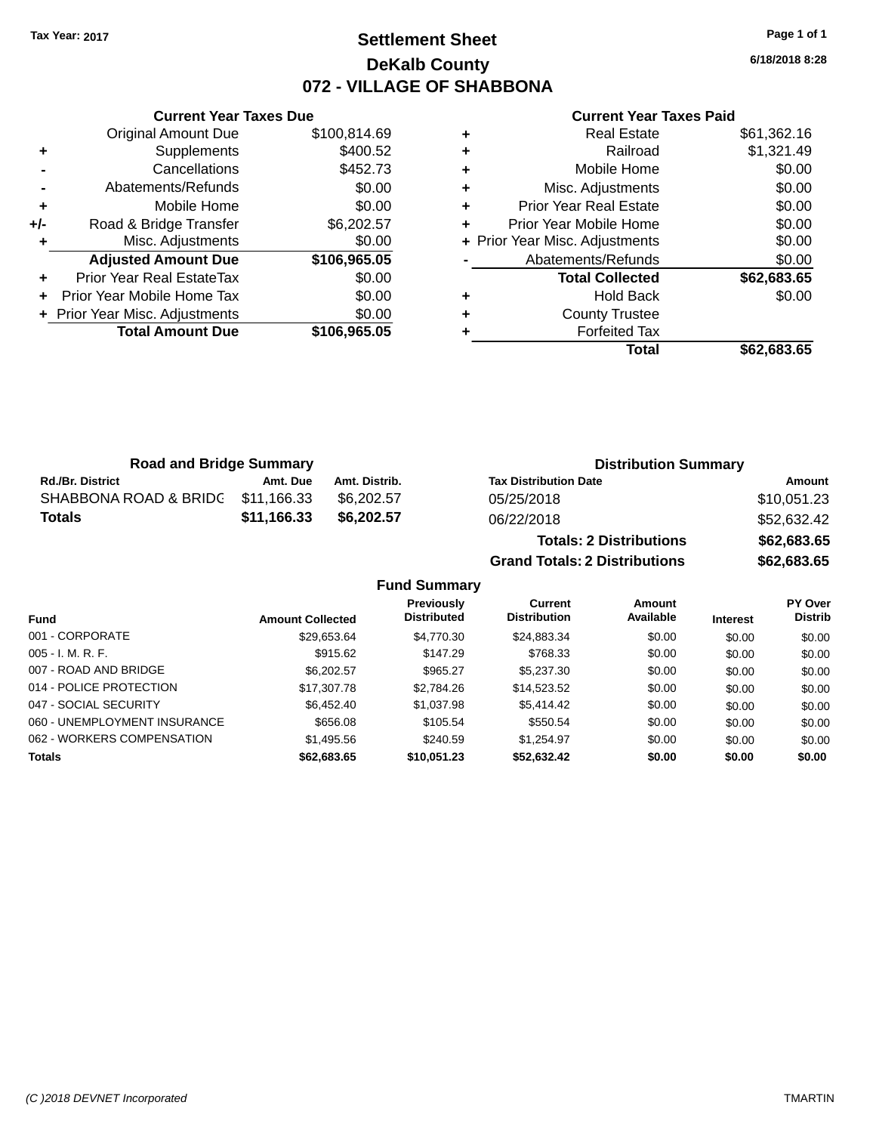### **Settlement Sheet Tax Year: 2017 Page 1 of 1 DeKalb County 072 - VILLAGE OF SHABBONA**

**6/18/2018 8:28**

#### **Current Year Taxes Paid**

|     | <b>Current Year Taxes Due</b>  |              |
|-----|--------------------------------|--------------|
|     | <b>Original Amount Due</b>     | \$100,814.69 |
| ٠   | Supplements                    | \$400.52     |
|     | Cancellations                  | \$452.73     |
|     | Abatements/Refunds             | \$0.00       |
| ٠   | Mobile Home                    | \$0.00       |
| +/- | Road & Bridge Transfer         | \$6,202.57   |
|     | Misc. Adjustments              | \$0.00       |
|     | <b>Adjusted Amount Due</b>     | \$106,965.05 |
| ٠   | Prior Year Real EstateTax      | \$0.00       |
|     | Prior Year Mobile Home Tax     | \$0.00       |
|     | + Prior Year Misc. Adjustments | \$0.00       |
|     | <b>Total Amount Due</b>        | \$106,965.05 |
|     |                                |              |

|   | Total                          | \$62,683.65 |
|---|--------------------------------|-------------|
| ٠ | <b>Forfeited Tax</b>           |             |
| ٠ | <b>County Trustee</b>          |             |
| ٠ | <b>Hold Back</b>               | \$0.00      |
|   | <b>Total Collected</b>         | \$62,683.65 |
|   | Abatements/Refunds             | \$0.00      |
|   | + Prior Year Misc. Adjustments | \$0.00      |
| ٠ | Prior Year Mobile Home         | \$0.00      |
| ٠ | <b>Prior Year Real Estate</b>  | \$0.00      |
| ٠ | Misc. Adjustments              | \$0.00      |
| ٠ | Mobile Home                    | \$0.00      |
| ٠ | Railroad                       | \$1,321.49  |
| ٠ | <b>Real Estate</b>             | \$61,362.16 |

| <b>Road and Bridge Summary</b>    |             |               | <b>Distribution Summary</b>  |             |  |
|-----------------------------------|-------------|---------------|------------------------------|-------------|--|
| <b>Rd./Br. District</b>           | Amt. Due    | Amt. Distrib. | <b>Tax Distribution Date</b> | Amount      |  |
| SHABBONA ROAD & BRIDG \$11,166.33 |             | \$6.202.57    | 05/25/2018                   | \$10,051.23 |  |
| Totals                            | \$11,166.33 | \$6,202,57    | 06/22/2018                   | \$52.632.42 |  |
|                                   |             |               |                              |             |  |

| <b>Totals: 2 Distributions</b>       | \$62,683.65 |
|--------------------------------------|-------------|
| <b>Grand Totals: 2 Distributions</b> | \$62,683.65 |

| Fund                         | <b>Amount Collected</b> | Previously<br><b>Distributed</b> | Current<br><b>Distribution</b> | Amount<br>Available | <b>Interest</b> | <b>PY Over</b><br><b>Distrib</b> |
|------------------------------|-------------------------|----------------------------------|--------------------------------|---------------------|-----------------|----------------------------------|
| 001 - CORPORATE              | \$29,653.64             | \$4,770.30                       | \$24,883.34                    | \$0.00              | \$0.00          | \$0.00                           |
| $005 - I. M. R. F.$          | \$915.62                | \$147.29                         | \$768.33                       | \$0.00              | \$0.00          | \$0.00                           |
| 007 - ROAD AND BRIDGE        | \$6,202.57              | \$965.27                         | \$5,237,30                     | \$0.00              | \$0.00          | \$0.00                           |
| 014 - POLICE PROTECTION      | \$17,307.78             | \$2,784.26                       | \$14,523.52                    | \$0.00              | \$0.00          | \$0.00                           |
| 047 - SOCIAL SECURITY        | \$6,452,40              | \$1,037.98                       | \$5.414.42                     | \$0.00              | \$0.00          | \$0.00                           |
| 060 - UNEMPLOYMENT INSURANCE | \$656.08                | \$105.54                         | \$550.54                       | \$0.00              | \$0.00          | \$0.00                           |
| 062 - WORKERS COMPENSATION   | \$1,495.56              | \$240.59                         | \$1.254.97                     | \$0.00              | \$0.00          | \$0.00                           |
| <b>Totals</b>                | \$62,683.65             | \$10,051.23                      | \$52.632.42                    | \$0.00              | \$0.00          | \$0.00                           |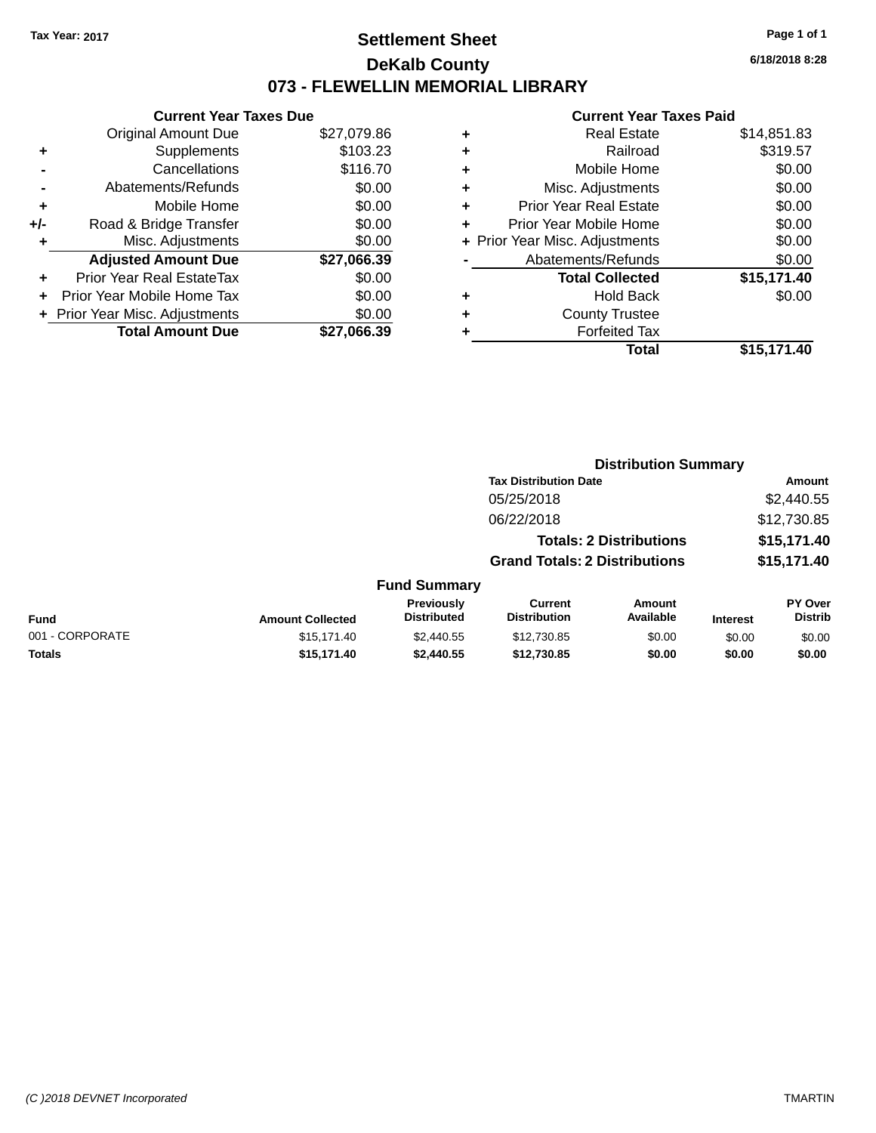### **Settlement Sheet Tax Year: 2017 Page 1 of 1 DeKalb County 073 - FLEWELLIN MEMORIAL LIBRARY**

**6/18/2018 8:28**

#### **Current Year Taxes Paid**

| <b>Current Year Taxes Due</b> |                                |  |  |  |
|-------------------------------|--------------------------------|--|--|--|
| <b>Original Amount Due</b>    | \$27,079.86                    |  |  |  |
| Supplements                   | \$103.23                       |  |  |  |
| Cancellations                 | \$116.70                       |  |  |  |
| Abatements/Refunds            | \$0.00                         |  |  |  |
| Mobile Home                   | \$0.00                         |  |  |  |
| Road & Bridge Transfer        | \$0.00                         |  |  |  |
| Misc. Adjustments             | \$0.00                         |  |  |  |
| <b>Adjusted Amount Due</b>    | \$27,066.39                    |  |  |  |
| Prior Year Real EstateTax     | \$0.00                         |  |  |  |
| Prior Year Mobile Home Tax    | \$0.00                         |  |  |  |
|                               | \$0.00                         |  |  |  |
|                               |                                |  |  |  |
|                               | + Prior Year Misc. Adjustments |  |  |  |

| ٠ | <b>Forfeited Tax</b>           |             |
|---|--------------------------------|-------------|
| ٠ | <b>County Trustee</b>          |             |
| ٠ | <b>Hold Back</b>               | \$0.00      |
|   | <b>Total Collected</b>         | \$15,171.40 |
|   | Abatements/Refunds             | \$0.00      |
|   | + Prior Year Misc. Adjustments | \$0.00      |
| ٠ | Prior Year Mobile Home         | \$0.00      |
| ÷ | <b>Prior Year Real Estate</b>  | \$0.00      |
| ٠ | Misc. Adjustments              | \$0.00      |
| ٠ | Mobile Home                    | \$0.00      |
| ٠ | Railroad                       | \$319.57    |
| ٠ | <b>Real Estate</b>             | \$14,851.83 |
|   |                                |             |

|                 |                         |                                  | <b>Distribution Summary</b>           |                                |                 |                           |
|-----------------|-------------------------|----------------------------------|---------------------------------------|--------------------------------|-----------------|---------------------------|
|                 |                         |                                  | <b>Tax Distribution Date</b>          |                                |                 | <b>Amount</b>             |
|                 |                         |                                  | 05/25/2018                            |                                |                 | \$2,440.55                |
|                 |                         |                                  | 06/22/2018                            |                                |                 | \$12,730.85               |
|                 |                         |                                  |                                       | <b>Totals: 2 Distributions</b> |                 | \$15,171.40               |
|                 |                         |                                  | <b>Grand Totals: 2 Distributions</b>  |                                |                 | \$15,171.40               |
|                 |                         | <b>Fund Summary</b>              |                                       |                                |                 |                           |
| <b>Fund</b>     | <b>Amount Collected</b> | Previously<br><b>Distributed</b> | <b>Current</b><br><b>Distribution</b> | Amount<br>Available            | <b>Interest</b> | PY Over<br><b>Distrib</b> |
| 001 - CORPORATE | \$15,171.40             | \$2,440.55                       | \$12,730.85                           | \$0.00                         | \$0.00          | \$0.00                    |
| <b>Totals</b>   | \$15,171.40             | \$2,440.55                       | \$12,730.85                           | \$0.00                         | \$0.00          | \$0.00                    |
|                 |                         |                                  |                                       |                                |                 |                           |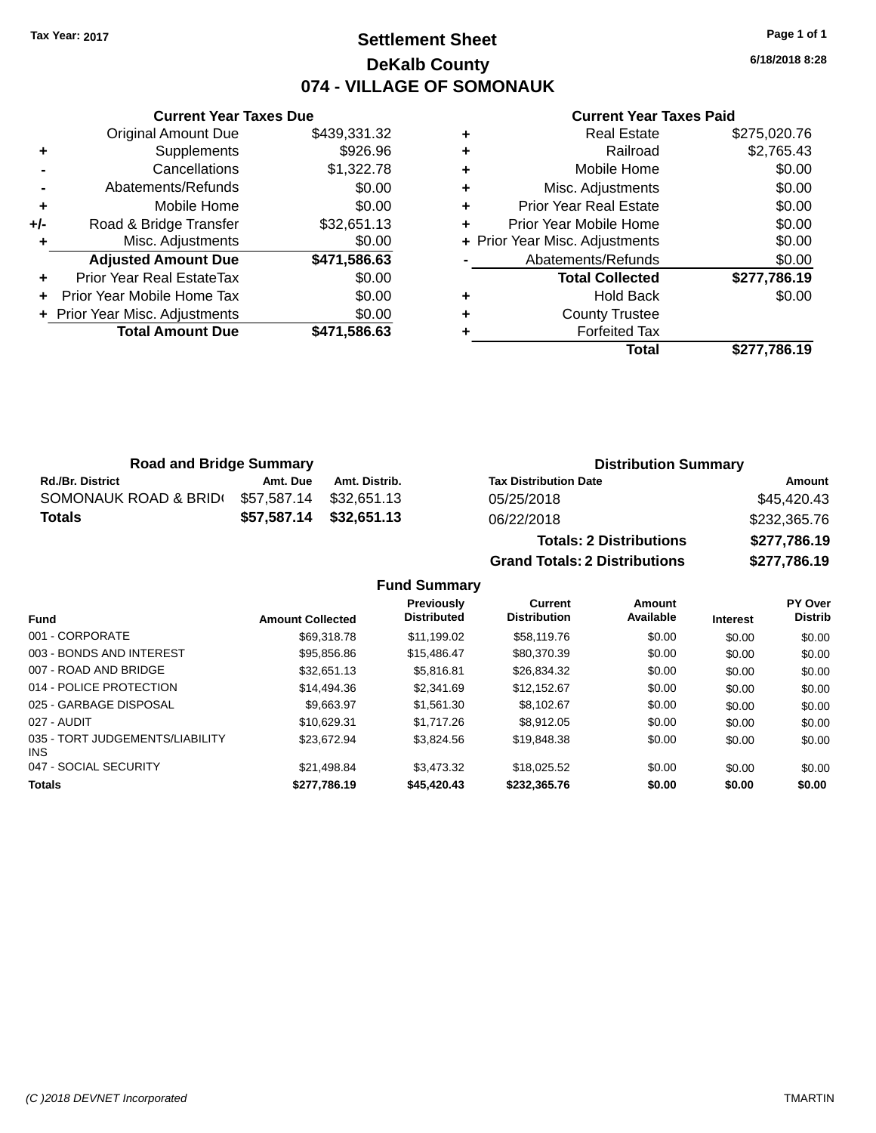### **Settlement Sheet Tax Year: 2017 Page 1 of 1 DeKalb County 074 - VILLAGE OF SOMONAUK**

**6/18/2018 8:28**

#### **Current Year Taxes Paid**

|     | <b>Current Year Taxes Due</b>  |              |
|-----|--------------------------------|--------------|
|     | <b>Original Amount Due</b>     | \$439,331.32 |
| ٠   | Supplements                    | \$926.96     |
|     | Cancellations                  | \$1,322.78   |
|     | Abatements/Refunds             | \$0.00       |
| ٠   | Mobile Home                    | \$0.00       |
| +/- | Road & Bridge Transfer         | \$32,651.13  |
|     | Misc. Adjustments              | \$0.00       |
|     | <b>Adjusted Amount Due</b>     | \$471,586.63 |
| ٠   | Prior Year Real EstateTax      | \$0.00       |
|     | Prior Year Mobile Home Tax     | \$0.00       |
|     | + Prior Year Misc. Adjustments | \$0.00       |
|     | <b>Total Amount Due</b>        | \$471,586.63 |
|     |                                |              |

|   | <b>Real Estate</b>             | \$275,020.76 |
|---|--------------------------------|--------------|
| ٠ | Railroad                       | \$2,765.43   |
| ٠ | Mobile Home                    | \$0.00       |
| ٠ | Misc. Adjustments              | \$0.00       |
| ٠ | <b>Prior Year Real Estate</b>  | \$0.00       |
| ٠ | Prior Year Mobile Home         | \$0.00       |
|   | + Prior Year Misc. Adjustments | \$0.00       |
|   | Abatements/Refunds             | \$0.00       |
|   | <b>Total Collected</b>         | \$277,786.19 |
| ٠ | <b>Hold Back</b>               | \$0.00       |
| ٠ | <b>County Trustee</b>          |              |
|   | <b>Forfeited Tax</b>           |              |
|   | Total                          | \$277.786.19 |

| <b>Road and Bridge Summary</b> |             |                         | <b>Distribution Summary</b>  |              |
|--------------------------------|-------------|-------------------------|------------------------------|--------------|
| <b>Rd./Br. District</b>        | Amt. Due    | Amt. Distrib.           | <b>Tax Distribution Date</b> | Amount       |
| SOMONAUK ROAD & BRID(          | \$57,587.14 | \$32.651.13             | 05/25/2018                   | \$45,420.43  |
| <b>Totals</b>                  |             | \$57,587.14 \$32,651.13 | 06/22/2018                   | \$232,365.76 |
|                                |             |                         | _ _ _                        | *********    |

**Totals: 2 Distributions \$277,786.19 Grand Totals: 2 Distributions \$277,786.19**

| <b>Fund</b>                             | <b>Amount Collected</b> | <b>Previously</b><br><b>Distributed</b> | Current<br><b>Distribution</b> | Amount<br>Available | <b>Interest</b> | PY Over<br><b>Distrib</b> |
|-----------------------------------------|-------------------------|-----------------------------------------|--------------------------------|---------------------|-----------------|---------------------------|
| 001 - CORPORATE                         | \$69,318.78             | \$11,199.02                             | \$58,119.76                    | \$0.00              | \$0.00          | \$0.00                    |
| 003 - BONDS AND INTEREST                | \$95,856.86             | \$15,486.47                             | \$80,370.39                    | \$0.00              | \$0.00          | \$0.00                    |
| 007 - ROAD AND BRIDGE                   | \$32.651.13             | \$5.816.81                              | \$26.834.32                    | \$0.00              | \$0.00          | \$0.00                    |
| 014 - POLICE PROTECTION                 | \$14,494.36             | \$2,341.69                              | \$12.152.67                    | \$0.00              | \$0.00          | \$0.00                    |
| 025 - GARBAGE DISPOSAL                  | \$9.663.97              | \$1,561,30                              | \$8.102.67                     | \$0.00              | \$0.00          | \$0.00                    |
| 027 - AUDIT                             | \$10.629.31             | \$1,717.26                              | \$8.912.05                     | \$0.00              | \$0.00          | \$0.00                    |
| 035 - TORT JUDGEMENTS/LIABILITY<br>INS. | \$23.672.94             | \$3,824.56                              | \$19,848.38                    | \$0.00              | \$0.00          | \$0.00                    |
| 047 - SOCIAL SECURITY                   | \$21.498.84             | \$3,473,32                              | \$18,025.52                    | \$0.00              | \$0.00          | \$0.00                    |
| <b>Totals</b>                           | \$277,786.19            | \$45,420.43                             | \$232,365.76                   | \$0.00              | \$0.00          | \$0.00                    |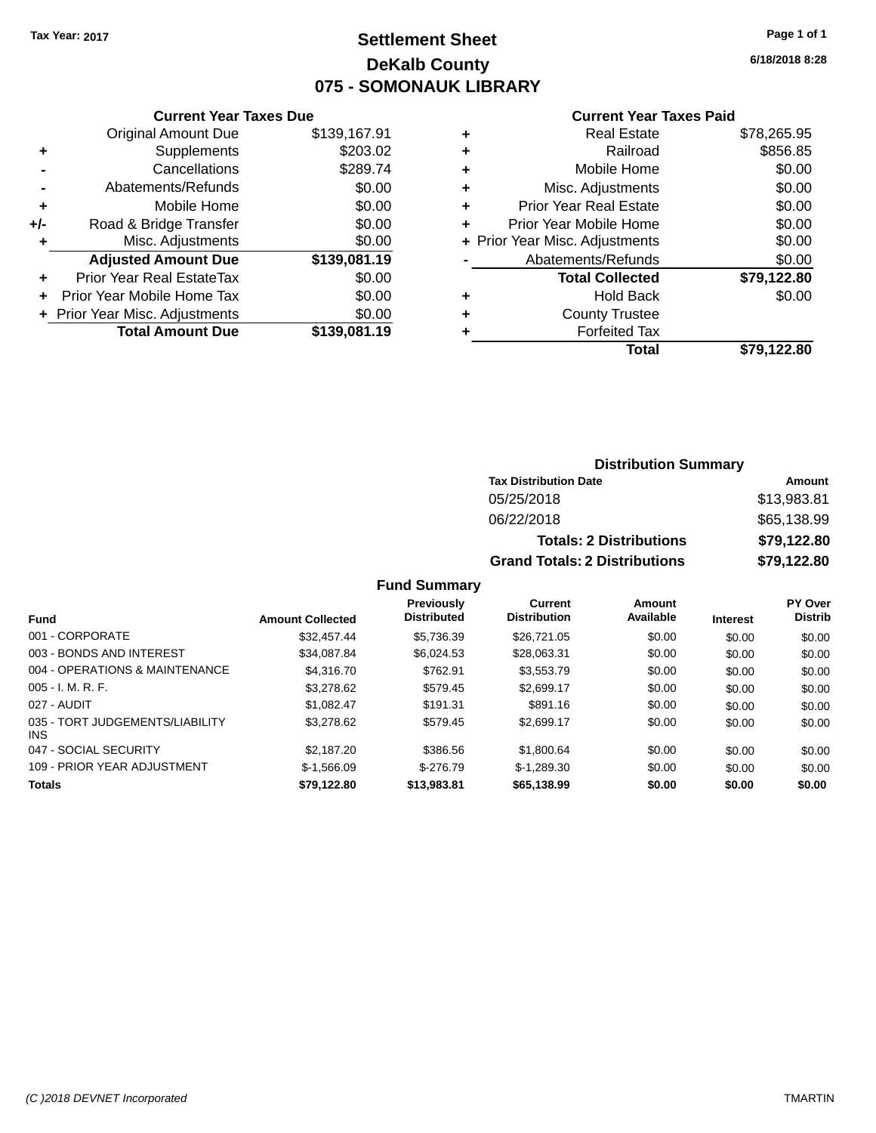### **Settlement Sheet Tax Year: 2017 Page 1 of 1 DeKalb County 075 - SOMONAUK LIBRARY**

**6/18/2018 8:28**

| <b>Current Year Taxes Paid</b> |  |  |  |
|--------------------------------|--|--|--|
|--------------------------------|--|--|--|

| <b>Current Year Taxes Due</b> |                                |  |  |  |
|-------------------------------|--------------------------------|--|--|--|
| <b>Original Amount Due</b>    | \$139,167.91                   |  |  |  |
| Supplements                   | \$203.02                       |  |  |  |
| Cancellations                 | \$289.74                       |  |  |  |
| Abatements/Refunds            | \$0.00                         |  |  |  |
| Mobile Home                   | \$0.00                         |  |  |  |
| Road & Bridge Transfer        | \$0.00                         |  |  |  |
| Misc. Adjustments             | \$0.00                         |  |  |  |
| <b>Adjusted Amount Due</b>    | \$139,081.19                   |  |  |  |
| Prior Year Real EstateTax     | \$0.00                         |  |  |  |
| Prior Year Mobile Home Tax    | \$0.00                         |  |  |  |
|                               | \$0.00                         |  |  |  |
| <b>Total Amount Due</b>       | \$139,081.19                   |  |  |  |
|                               | + Prior Year Misc. Adjustments |  |  |  |

| ٠ | <b>Real Estate</b>             | \$78,265.95 |
|---|--------------------------------|-------------|
| ٠ | Railroad                       | \$856.85    |
| ٠ | Mobile Home                    | \$0.00      |
| ٠ | Misc. Adjustments              | \$0.00      |
| ٠ | <b>Prior Year Real Estate</b>  | \$0.00      |
| ٠ | Prior Year Mobile Home         | \$0.00      |
|   | + Prior Year Misc. Adjustments | \$0.00      |
|   | Abatements/Refunds             | \$0.00      |
|   | <b>Total Collected</b>         | \$79,122.80 |
| ٠ | Hold Back                      | \$0.00      |
| ٠ | <b>County Trustee</b>          |             |
| ٠ | <b>Forfeited Tax</b>           |             |
|   | Total                          | \$79,122.80 |
|   |                                |             |

| <b>Distribution Summary</b>          |             |  |  |  |
|--------------------------------------|-------------|--|--|--|
| <b>Tax Distribution Date</b>         | Amount      |  |  |  |
| 05/25/2018                           | \$13,983.81 |  |  |  |
| 06/22/2018                           | \$65,138.99 |  |  |  |
| <b>Totals: 2 Distributions</b>       | \$79,122.80 |  |  |  |
| <b>Grand Totals: 2 Distributions</b> | \$79,122.80 |  |  |  |

| <b>Fund</b>                                   | <b>Amount Collected</b> | Previously<br><b>Distributed</b> | Current<br><b>Distribution</b> | Amount<br>Available | <b>Interest</b> | <b>PY Over</b><br><b>Distrib</b> |
|-----------------------------------------------|-------------------------|----------------------------------|--------------------------------|---------------------|-----------------|----------------------------------|
| 001 - CORPORATE                               | \$32.457.44             | \$5.736.39                       | \$26,721.05                    | \$0.00              | \$0.00          | \$0.00                           |
| 003 - BONDS AND INTEREST                      | \$34.087.84             | \$6.024.53                       | \$28,063.31                    | \$0.00              | \$0.00          | \$0.00                           |
| 004 - OPERATIONS & MAINTENANCE                | \$4,316,70              | \$762.91                         | \$3.553.79                     | \$0.00              | \$0.00          | \$0.00                           |
| $005 - I. M. R. F.$                           | \$3,278.62              | \$579.45                         | \$2.699.17                     | \$0.00              | \$0.00          | \$0.00                           |
| 027 - AUDIT                                   | \$1.082.47              | \$191.31                         | \$891.16                       | \$0.00              | \$0.00          | \$0.00                           |
| 035 - TORT JUDGEMENTS/LIABILITY<br><b>INS</b> | \$3,278.62              | \$579.45                         | \$2.699.17                     | \$0.00              | \$0.00          | \$0.00                           |
| 047 - SOCIAL SECURITY                         | \$2.187.20              | \$386.56                         | \$1.800.64                     | \$0.00              | \$0.00          | \$0.00                           |
| 109 - PRIOR YEAR ADJUSTMENT                   | $$-1.566.09$            | $$-276.79$                       | $$-1.289.30$                   | \$0.00              | \$0.00          | \$0.00                           |
| <b>Totals</b>                                 | \$79,122.80             | \$13,983.81                      | \$65,138.99                    | \$0.00              | \$0.00          | \$0.00                           |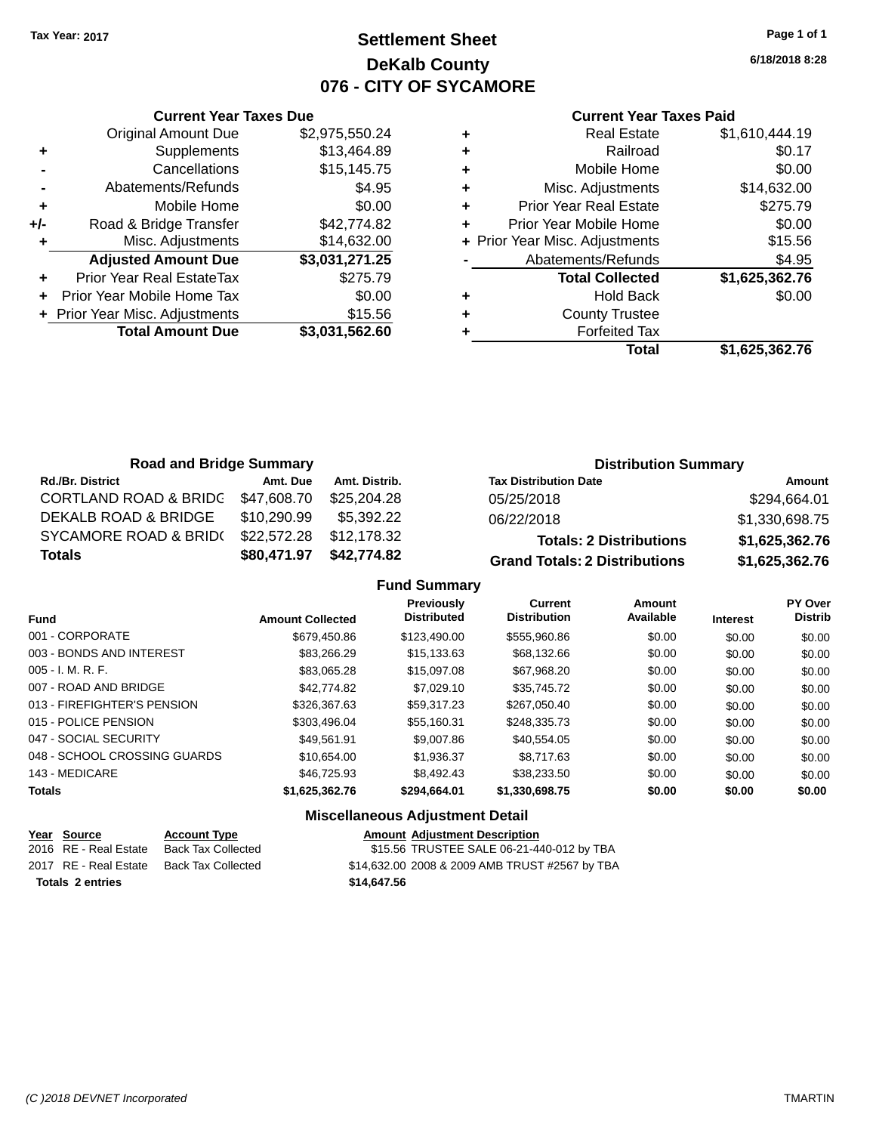### **Settlement Sheet Tax Year: 2017 Page 1 of 1 DeKalb County 076 - CITY OF SYCAMORE**

**6/18/2018 8:28**

#### **Current Year Taxes Paid**

|       | <b>Current Year Taxes Due</b>    |                |
|-------|----------------------------------|----------------|
|       | <b>Original Amount Due</b>       | \$2,975,550.24 |
| ٠     | Supplements                      | \$13,464.89    |
|       | Cancellations                    | \$15,145.75    |
|       | Abatements/Refunds               | \$4.95         |
| ٠     | Mobile Home                      | \$0.00         |
| $+/-$ | Road & Bridge Transfer           | \$42,774.82    |
|       | Misc. Adjustments                | \$14,632.00    |
|       | <b>Adjusted Amount Due</b>       | \$3,031,271.25 |
|       | <b>Prior Year Real EstateTax</b> | \$275.79       |
|       | Prior Year Mobile Home Tax       | \$0.00         |
|       | + Prior Year Misc. Adjustments   | \$15.56        |
|       | <b>Total Amount Due</b>          | \$3,031,562.60 |
|       |                                  |                |

|   | <b>Real Estate</b>             | \$1,610,444.19 |
|---|--------------------------------|----------------|
|   | Railroad                       | \$0.17         |
| ٠ | Mobile Home                    | \$0.00         |
| ٠ | Misc. Adjustments              | \$14,632.00    |
| ٠ | <b>Prior Year Real Estate</b>  | \$275.79       |
|   | Prior Year Mobile Home         | \$0.00         |
|   | + Prior Year Misc. Adjustments | \$15.56        |
|   | Abatements/Refunds             | \$4.95         |
|   | <b>Total Collected</b>         | \$1,625,362.76 |
|   | <b>Hold Back</b>               | \$0.00         |
|   | <b>County Trustee</b>          |                |
|   | <b>Forfeited Tax</b>           |                |
|   | Total                          | \$1,625,362.76 |
|   |                                |                |

| <b>Road and Bridge Summary</b>   |             |               | <b>Distribution Summary</b>          |                |  |
|----------------------------------|-------------|---------------|--------------------------------------|----------------|--|
| <b>Rd./Br. District</b>          | Amt. Due    | Amt. Distrib. | <b>Tax Distribution Date</b>         | Amount         |  |
| <b>CORTLAND ROAD &amp; BRIDG</b> | \$47,608.70 | \$25.204.28   | 05/25/2018                           | \$294,664.01   |  |
| DEKALB ROAD & BRIDGE             | \$10.290.99 | \$5.392.22    | 06/22/2018                           | \$1,330,698.75 |  |
| SYCAMORE ROAD & BRID(            | \$22,572.28 | \$12,178.32   | <b>Totals: 2 Distributions</b>       | \$1,625,362.76 |  |
| <b>Totals</b>                    | \$80,471.97 | \$42,774.82   | <b>Grand Totals: 2 Distributions</b> | \$1,625,362.76 |  |

### **Fund Summary**

| <b>Fund</b>                  | <b>Amount Collected</b> | <b>Previously</b><br><b>Distributed</b> | Current<br><b>Distribution</b> | Amount<br>Available | <b>Interest</b> | <b>PY Over</b><br><b>Distrib</b> |
|------------------------------|-------------------------|-----------------------------------------|--------------------------------|---------------------|-----------------|----------------------------------|
| 001 - CORPORATE              | \$679.450.86            | \$123,490.00                            | \$555,960.86                   | \$0.00              | \$0.00          | \$0.00                           |
| 003 - BONDS AND INTEREST     | \$83.266.29             | \$15,133.63                             | \$68,132.66                    | \$0.00              | \$0.00          | \$0.00                           |
| $005 - I. M. R. F.$          | \$83,065.28             | \$15,097.08                             | \$67,968.20                    | \$0.00              | \$0.00          | \$0.00                           |
| 007 - ROAD AND BRIDGE        | \$42,774.82             | \$7,029.10                              | \$35,745,72                    | \$0.00              | \$0.00          | \$0.00                           |
| 013 - FIREFIGHTER'S PENSION  | \$326,367,63            | \$59.317.23                             | \$267,050.40                   | \$0.00              | \$0.00          | \$0.00                           |
| 015 - POLICE PENSION         | \$303.496.04            | \$55,160.31                             | \$248.335.73                   | \$0.00              | \$0.00          | \$0.00                           |
| 047 - SOCIAL SECURITY        | \$49.561.91             | \$9,007.86                              | \$40.554.05                    | \$0.00              | \$0.00          | \$0.00                           |
| 048 - SCHOOL CROSSING GUARDS | \$10.654.00             | \$1,936.37                              | \$8,717.63                     | \$0.00              | \$0.00          | \$0.00                           |
| 143 - MEDICARE               | \$46,725.93             | \$8,492.43                              | \$38,233.50                    | \$0.00              | \$0.00          | \$0.00                           |
| <b>Totals</b>                | \$1,625,362.76          | \$294.664.01                            | \$1,330,698.75                 | \$0.00              | \$0.00          | \$0.00                           |

### **Miscellaneous Adjustment Detail**

| Year Source             | <b>Account Type</b> |             | <b>Amount Adjustment Description</b>           |
|-------------------------|---------------------|-------------|------------------------------------------------|
| 2016 RE - Real Estate   | Back Tax Collected  |             | \$15.56 TRUSTEE SALE 06-21-440-012 by TBA      |
| 2017 RE - Real Estate   | Back Tax Collected  |             | \$14,632.00 2008 & 2009 AMB TRUST #2567 by TBA |
| <b>Totals 2 entries</b> |                     | \$14,647.56 |                                                |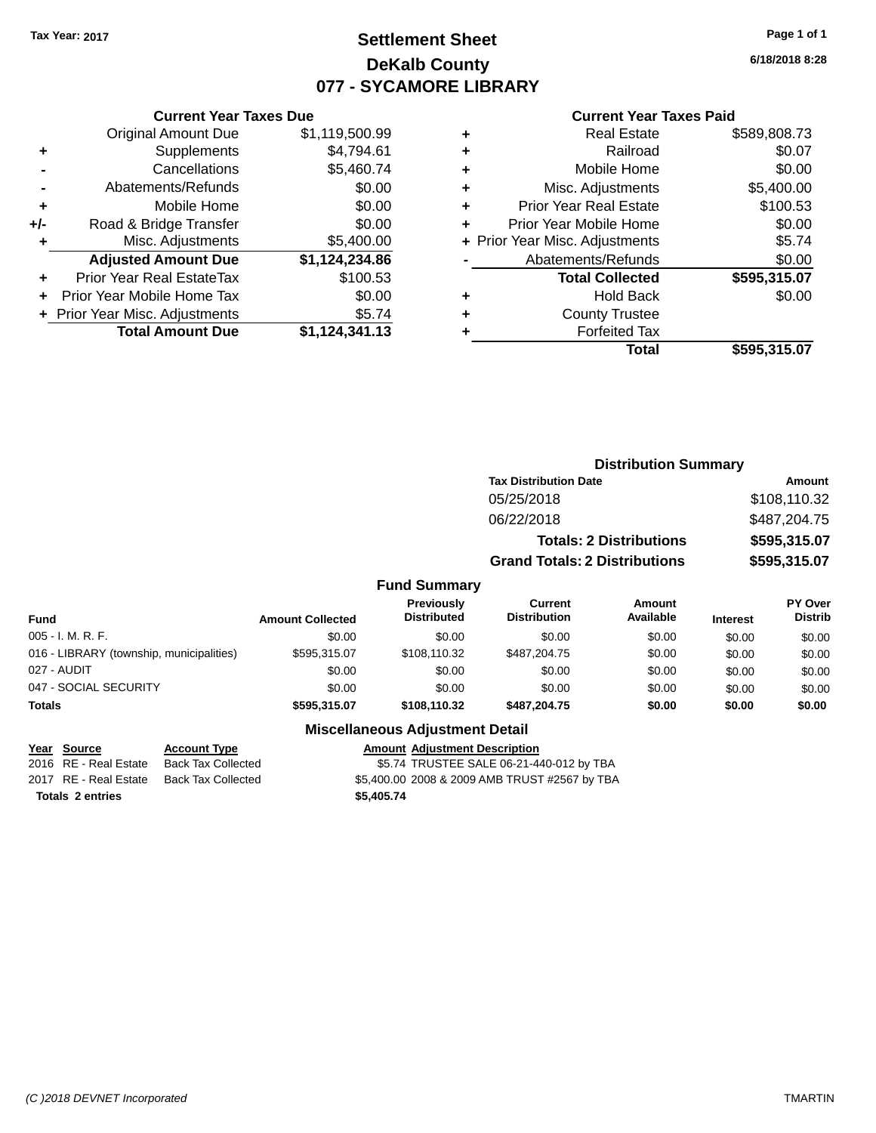### **Settlement Sheet Tax Year: 2017 Page 1 of 1 DeKalb County 077 - SYCAMORE LIBRARY**

**6/18/2018 8:28**

#### **Current Year Taxes Paid**

|     | <b>Original Amount Due</b>       | \$1,119,500.99 |
|-----|----------------------------------|----------------|
| ٠   | Supplements                      | \$4,794.61     |
|     | Cancellations                    | \$5,460.74     |
|     | Abatements/Refunds               | \$0.00         |
| ÷   | Mobile Home                      | \$0.00         |
| +/- | Road & Bridge Transfer           | \$0.00         |
|     | Misc. Adjustments                | \$5,400.00     |
|     | <b>Adjusted Amount Due</b>       | \$1,124,234.86 |
| ٠   | <b>Prior Year Real EstateTax</b> | \$100.53       |
| ٠   | Prior Year Mobile Home Tax       | \$0.00         |
|     | + Prior Year Misc. Adjustments   | \$5.74         |
|     | <b>Total Amount Due</b>          | \$1,124,341.13 |
|     |                                  |                |

**Current Year Taxes Due**

|   | <b>Real Estate</b>             | \$589,808.73 |
|---|--------------------------------|--------------|
| ٠ | Railroad                       | \$0.07       |
| ٠ | Mobile Home                    | \$0.00       |
| ٠ | Misc. Adjustments              | \$5,400.00   |
| ٠ | <b>Prior Year Real Estate</b>  | \$100.53     |
| ÷ | Prior Year Mobile Home         | \$0.00       |
|   | + Prior Year Misc. Adjustments | \$5.74       |
|   | Abatements/Refunds             | \$0.00       |
|   | <b>Total Collected</b>         | \$595,315.07 |
| ٠ | <b>Hold Back</b>               | \$0.00       |
| ٠ | <b>County Trustee</b>          |              |
| ٠ | <b>Forfeited Tax</b>           |              |
|   | Total                          | \$595,315.07 |
|   |                                |              |

|                     |                                      | <b>Distribution Summary</b>    |                |
|---------------------|--------------------------------------|--------------------------------|----------------|
|                     | <b>Tax Distribution Date</b>         |                                | Amount         |
|                     | 05/25/2018                           |                                | \$108,110.32   |
|                     | 06/22/2018                           |                                | \$487,204.75   |
|                     |                                      | <b>Totals: 2 Distributions</b> | \$595,315.07   |
|                     | <b>Grand Totals: 2 Distributions</b> | \$595,315.07                   |                |
| <b>Fund Summary</b> |                                      |                                |                |
| <b>Draviously</b>   | $P_{11}$ rrant                       | Amoint                         | <b>DV Over</b> |

| <b>Fund</b>                              | <b>Amount Collected</b> | <b>Previously</b><br><b>Distributed</b> | Current<br><b>Distribution</b> | Amount<br>Available | <b>Interest</b> | <b>PY Over</b><br><b>Distrib</b> |
|------------------------------------------|-------------------------|-----------------------------------------|--------------------------------|---------------------|-----------------|----------------------------------|
| $005 - I. M. R. F.$                      | \$0.00                  | \$0.00                                  | \$0.00                         | \$0.00              | \$0.00          | \$0.00                           |
| 016 - LIBRARY (township, municipalities) | \$595.315.07            | \$108.110.32                            | \$487,204.75                   | \$0.00              | \$0.00          | \$0.00                           |
| 027 - AUDIT                              | \$0.00                  | \$0.00                                  | \$0.00                         | \$0.00              | \$0.00          | \$0.00                           |
| 047 - SOCIAL SECURITY                    | \$0.00                  | \$0.00                                  | \$0.00                         | \$0.00              | \$0.00          | \$0.00                           |
| <b>Totals</b>                            | \$595.315.07            | \$108,110,32                            | \$487.204.75                   | \$0.00              | \$0.00          | \$0.00                           |

#### **Miscellaneous Adjustment Detail**

**Year Source Account Type Amount Adjustment Description**

**Totals 2 entries \$5,405.74**

2016 RE - Real Estate Back Tax Collected \$5.74 TRUSTEE SALE 06-21-440-012 by TBA 2017 RE - Real Estate Back Tax Collected \$5,400.00 2008 & 2009 AMB TRUST #2567 by TBA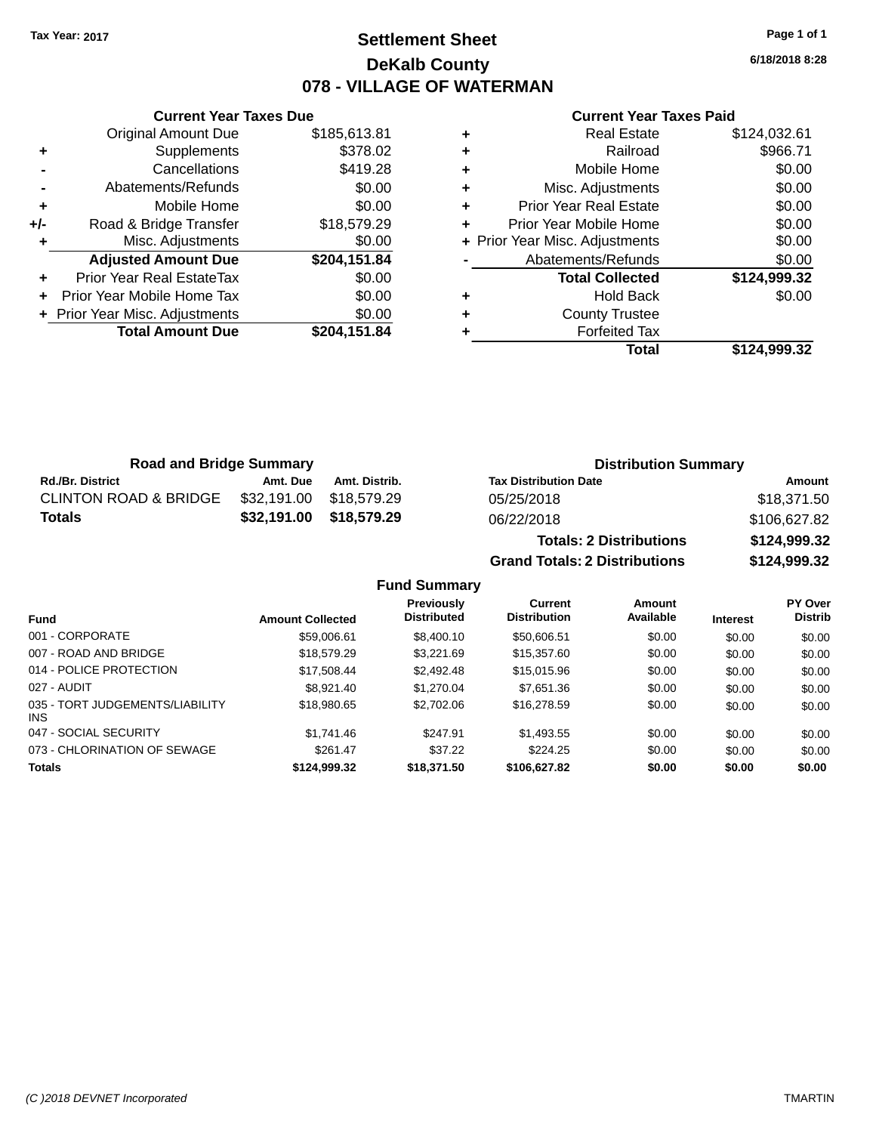# **Settlement Sheet Tax Year: 2017 Page 1 of 1 DeKalb County 078 - VILLAGE OF WATERMAN**

**6/18/2018 8:28**

## **Current Year Taxes Paid**

|     | <b>Current Year Taxes Due</b> |              |
|-----|-------------------------------|--------------|
|     | <b>Original Amount Due</b>    | \$185,613.81 |
| ٠   | Supplements                   | \$378.02     |
|     | Cancellations                 | \$419.28     |
|     | Abatements/Refunds            | \$0.00       |
| ÷   | Mobile Home                   | \$0.00       |
| +/- | Road & Bridge Transfer        | \$18,579.29  |
|     | Misc. Adjustments             | \$0.00       |
|     | <b>Adjusted Amount Due</b>    | \$204,151.84 |
| ÷   | Prior Year Real EstateTax     | \$0.00       |
|     | Prior Year Mobile Home Tax    | \$0.00       |
|     | Prior Year Misc. Adjustments  | \$0.00       |
|     | <b>Total Amount Due</b>       | \$204.151.84 |
|     |                               |              |

| ٠ | Real Estate                    | \$124,032.61 |
|---|--------------------------------|--------------|
| ٠ | Railroad                       | \$966.71     |
| ٠ | Mobile Home                    | \$0.00       |
| ٠ | Misc. Adjustments              | \$0.00       |
| ٠ | <b>Prior Year Real Estate</b>  | \$0.00       |
| ٠ | Prior Year Mobile Home         | \$0.00       |
|   | + Prior Year Misc. Adjustments | \$0.00       |
|   | Abatements/Refunds             | \$0.00       |
|   | <b>Total Collected</b>         | \$124,999.32 |
| ٠ | <b>Hold Back</b>               | \$0.00       |
| ٠ | <b>County Trustee</b>          |              |
| ٠ | <b>Forfeited Tax</b>           |              |
|   | Total                          | \$124,999.32 |
|   |                                |              |

| <b>Road and Bridge Summary</b>   |          |                         | <b>Distribution Summary</b>    |              |  |
|----------------------------------|----------|-------------------------|--------------------------------|--------------|--|
| <b>Rd./Br. District</b>          | Amt. Due | Amt. Distrib.           | <b>Tax Distribution Date</b>   | Amount       |  |
| <b>CLINTON ROAD &amp; BRIDGE</b> |          | \$32,191.00 \$18,579.29 | 05/25/2018                     | \$18,371.50  |  |
| Totals                           |          | \$32,191.00 \$18,579.29 | 06/22/2018                     | \$106,627.82 |  |
|                                  |          |                         | <b>Totals: 2 Distributions</b> | \$124,999.32 |  |

**Grand Totals: 2 Distributions \$124,999.32**

| <b>Fund</b>                             | <b>Amount Collected</b> | <b>Previously</b><br><b>Distributed</b> | Current<br><b>Distribution</b> | Amount<br>Available | <b>Interest</b> | <b>PY Over</b><br><b>Distrib</b> |
|-----------------------------------------|-------------------------|-----------------------------------------|--------------------------------|---------------------|-----------------|----------------------------------|
| 001 - CORPORATE                         | \$59,006.61             | \$8,400.10                              | \$50,606.51                    | \$0.00              | \$0.00          | \$0.00                           |
| 007 - ROAD AND BRIDGE                   | \$18,579.29             | \$3.221.69                              | \$15,357.60                    | \$0.00              | \$0.00          | \$0.00                           |
| 014 - POLICE PROTECTION                 | \$17,508.44             | \$2,492.48                              | \$15,015.96                    | \$0.00              | \$0.00          | \$0.00                           |
| 027 - AUDIT                             | \$8,921.40              | \$1,270.04                              | \$7.651.36                     | \$0.00              | \$0.00          | \$0.00                           |
| 035 - TORT JUDGEMENTS/LIABILITY<br>INS. | \$18,980.65             | \$2,702.06                              | \$16,278.59                    | \$0.00              | \$0.00          | \$0.00                           |
| 047 - SOCIAL SECURITY                   | \$1,741.46              | \$247.91                                | \$1,493.55                     | \$0.00              | \$0.00          | \$0.00                           |
| 073 - CHLORINATION OF SEWAGE            | \$261.47                | \$37.22                                 | \$224.25                       | \$0.00              | \$0.00          | \$0.00                           |
| <b>Totals</b>                           | \$124.999.32            | \$18,371.50                             | \$106,627.82                   | \$0.00              | \$0.00          | \$0.00                           |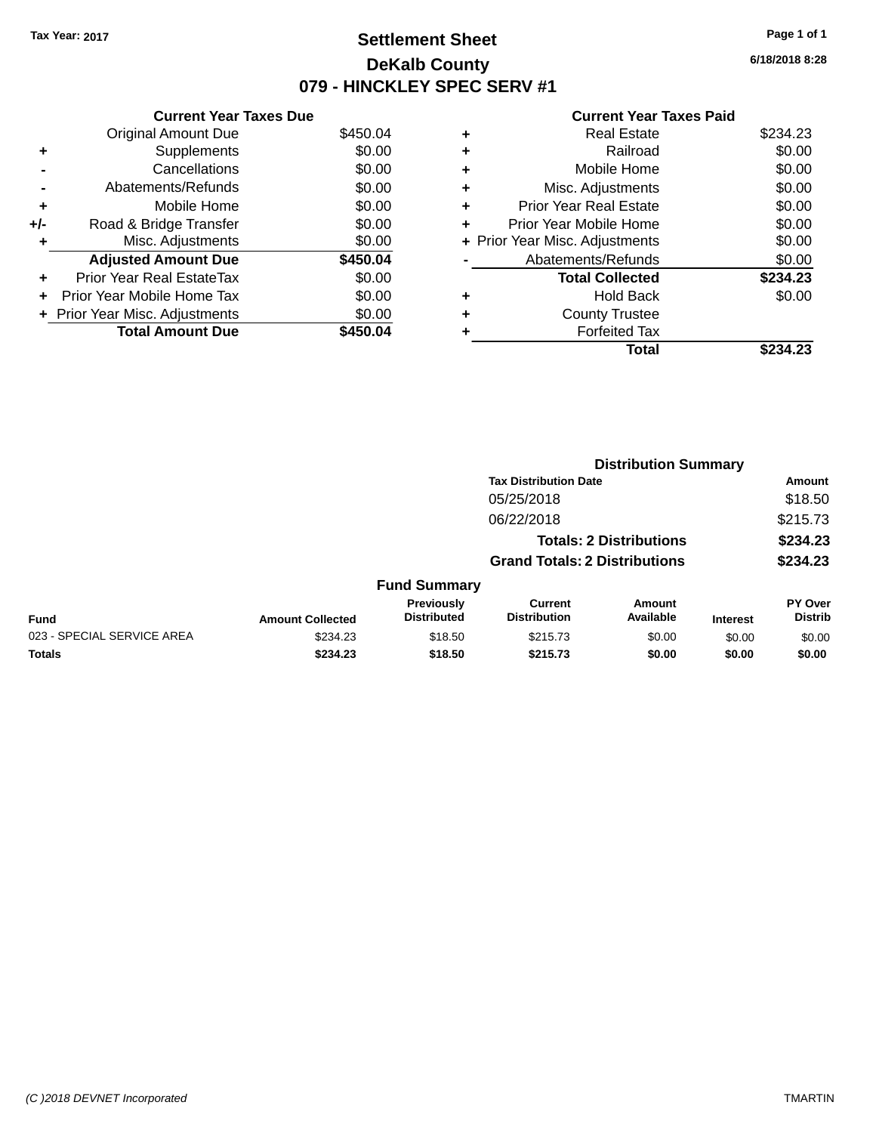# **Settlement Sheet Tax Year: 2017 Page 1 of 1 DeKalb County 079 - HINCKLEY SPEC SERV #1**

**6/18/2018 8:28**

#### **Current Year Taxes Paid**

|     | <b>Current Year Taxes Due</b>  |          |
|-----|--------------------------------|----------|
|     | <b>Original Amount Due</b>     | \$450.04 |
| ٠   | Supplements                    | \$0.00   |
|     | Cancellations                  | \$0.00   |
|     | Abatements/Refunds             | \$0.00   |
| ٠   | Mobile Home                    | \$0.00   |
| +/- | Road & Bridge Transfer         | \$0.00   |
| ٠   | Misc. Adjustments              | \$0.00   |
|     | <b>Adjusted Amount Due</b>     | \$450.04 |
| ٠   | Prior Year Real EstateTax      | \$0.00   |
| ÷   | Prior Year Mobile Home Tax     | \$0.00   |
|     | + Prior Year Misc. Adjustments | \$0.00   |
|     | <b>Total Amount Due</b>        | \$450.04 |

| ٠ | <b>Real Estate</b>             | \$234.23 |
|---|--------------------------------|----------|
| ٠ | Railroad                       | \$0.00   |
| ٠ | Mobile Home                    | \$0.00   |
| ٠ | Misc. Adjustments              | \$0.00   |
| ٠ | <b>Prior Year Real Estate</b>  | \$0.00   |
| ٠ | Prior Year Mobile Home         | \$0.00   |
|   | + Prior Year Misc. Adjustments | \$0.00   |
|   | Abatements/Refunds             | \$0.00   |
|   | <b>Total Collected</b>         | \$234.23 |
| ٠ | <b>Hold Back</b>               | \$0.00   |
|   | <b>County Trustee</b>          |          |
|   | <b>Forfeited Tax</b>           |          |
|   | Total                          | \$234.23 |
|   |                                |          |

|                            |                         |                                  | <b>Distribution Summary</b>           |                                |                 |                                  |
|----------------------------|-------------------------|----------------------------------|---------------------------------------|--------------------------------|-----------------|----------------------------------|
|                            |                         |                                  | <b>Tax Distribution Date</b>          |                                |                 | Amount                           |
|                            |                         |                                  | 05/25/2018                            |                                |                 | \$18.50                          |
|                            |                         |                                  | 06/22/2018                            |                                |                 | \$215.73                         |
|                            |                         |                                  |                                       | <b>Totals: 2 Distributions</b> |                 | \$234.23                         |
|                            |                         |                                  | <b>Grand Totals: 2 Distributions</b>  |                                |                 | \$234.23                         |
|                            |                         | <b>Fund Summary</b>              |                                       |                                |                 |                                  |
| <b>Fund</b>                | <b>Amount Collected</b> | Previously<br><b>Distributed</b> | <b>Current</b><br><b>Distribution</b> | Amount<br>Available            | <b>Interest</b> | <b>PY Over</b><br><b>Distrib</b> |
| 023 - SPECIAL SERVICE AREA | \$234.23                | \$18.50                          | \$215.73                              | \$0.00                         | \$0.00          | \$0.00                           |
| <b>Totals</b>              | \$234.23                | \$18.50                          | \$215.73                              | \$0.00                         | \$0.00          | \$0.00                           |
|                            |                         |                                  |                                       |                                |                 |                                  |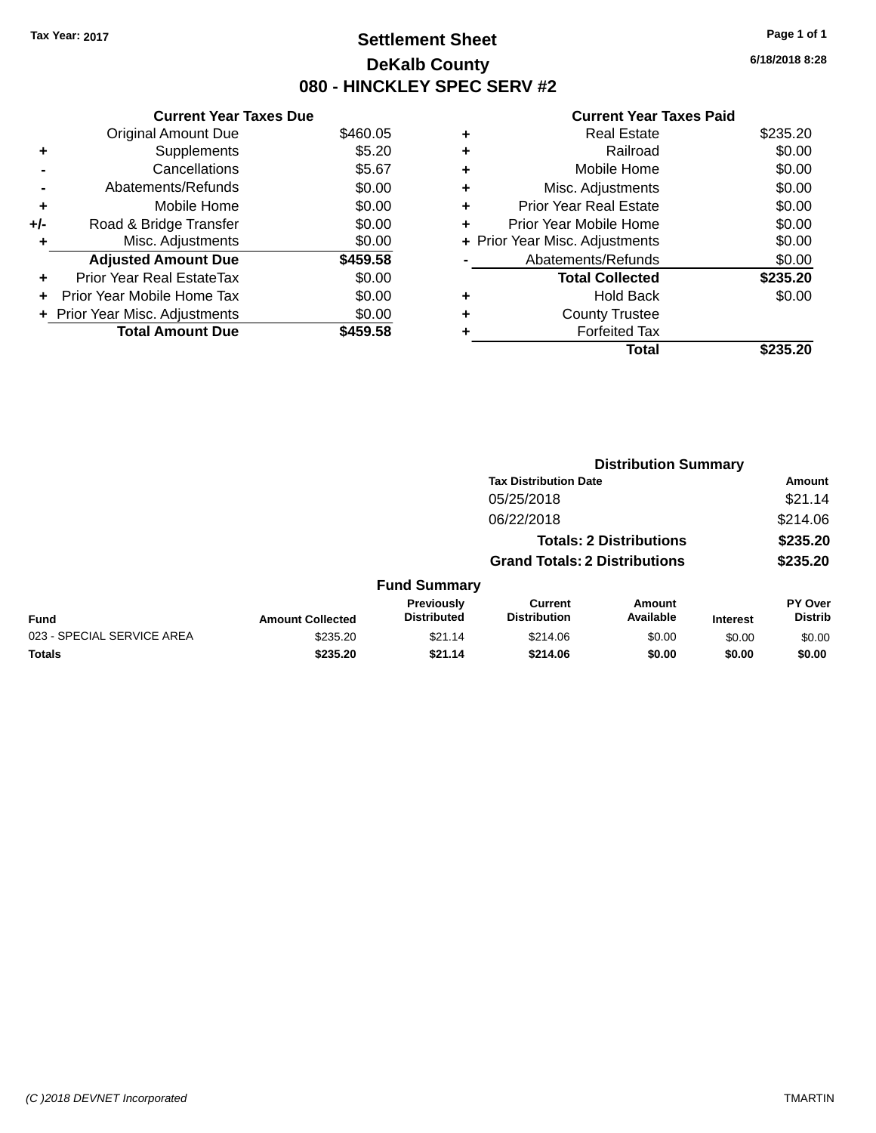# **Settlement Sheet Tax Year: 2017 Page 1 of 1 DeKalb County 080 - HINCKLEY SPEC SERV #2**

**6/18/2018 8:28**

# **Current Year Taxes Paid**

|     | <b>Current Year Taxes Due</b>  |          |
|-----|--------------------------------|----------|
|     | <b>Original Amount Due</b>     | \$460.05 |
| ٠   | Supplements                    | \$5.20   |
|     | Cancellations                  | \$5.67   |
|     | Abatements/Refunds             | \$0.00   |
| ٠   | Mobile Home                    | \$0.00   |
| +/- | Road & Bridge Transfer         | \$0.00   |
| ٠   | Misc. Adjustments              | \$0.00   |
|     | <b>Adjusted Amount Due</b>     | \$459.58 |
| ÷   | Prior Year Real EstateTax      | \$0.00   |
| ÷   | Prior Year Mobile Home Tax     | \$0.00   |
|     | + Prior Year Misc. Adjustments | \$0.00   |
|     | <b>Total Amount Due</b>        | \$459.58 |

|   | Total                          | \$235.20 |
|---|--------------------------------|----------|
|   | <b>Forfeited Tax</b>           |          |
| ٠ | <b>County Trustee</b>          |          |
| ٠ | Hold Back                      | \$0.00   |
|   | <b>Total Collected</b>         | \$235.20 |
|   | Abatements/Refunds             | \$0.00   |
|   | + Prior Year Misc. Adjustments | \$0.00   |
| ٠ | Prior Year Mobile Home         | \$0.00   |
| ÷ | <b>Prior Year Real Estate</b>  | \$0.00   |
| ٠ | Misc. Adjustments              | \$0.00   |
| ٠ | Mobile Home                    | \$0.00   |
| ٠ | Railroad                       | \$0.00   |
| ٠ | <b>Real Estate</b>             | \$235.20 |
|   |                                |          |

|                            |                         |                                  | <b>Distribution Summary</b>           |                                |                 |                                  |  |
|----------------------------|-------------------------|----------------------------------|---------------------------------------|--------------------------------|-----------------|----------------------------------|--|
|                            |                         |                                  | <b>Tax Distribution Date</b>          |                                |                 | Amount                           |  |
|                            |                         |                                  | 05/25/2018                            |                                |                 | \$21.14                          |  |
|                            |                         |                                  | 06/22/2018                            |                                |                 | \$214.06                         |  |
|                            |                         |                                  |                                       | <b>Totals: 2 Distributions</b> |                 | \$235.20                         |  |
|                            |                         |                                  | <b>Grand Totals: 2 Distributions</b>  |                                |                 | \$235.20                         |  |
|                            |                         | <b>Fund Summary</b>              |                                       |                                |                 |                                  |  |
| <b>Fund</b>                | <b>Amount Collected</b> | Previously<br><b>Distributed</b> | <b>Current</b><br><b>Distribution</b> | Amount<br>Available            | <b>Interest</b> | <b>PY Over</b><br><b>Distrib</b> |  |
| 023 - SPECIAL SERVICE AREA | \$235.20                | \$21.14                          | \$214.06                              | \$0.00                         | \$0.00          | \$0.00                           |  |
| <b>Totals</b>              | \$235.20                | \$21.14                          | \$214.06                              | \$0.00                         | \$0.00          | \$0.00                           |  |
|                            |                         |                                  |                                       |                                |                 |                                  |  |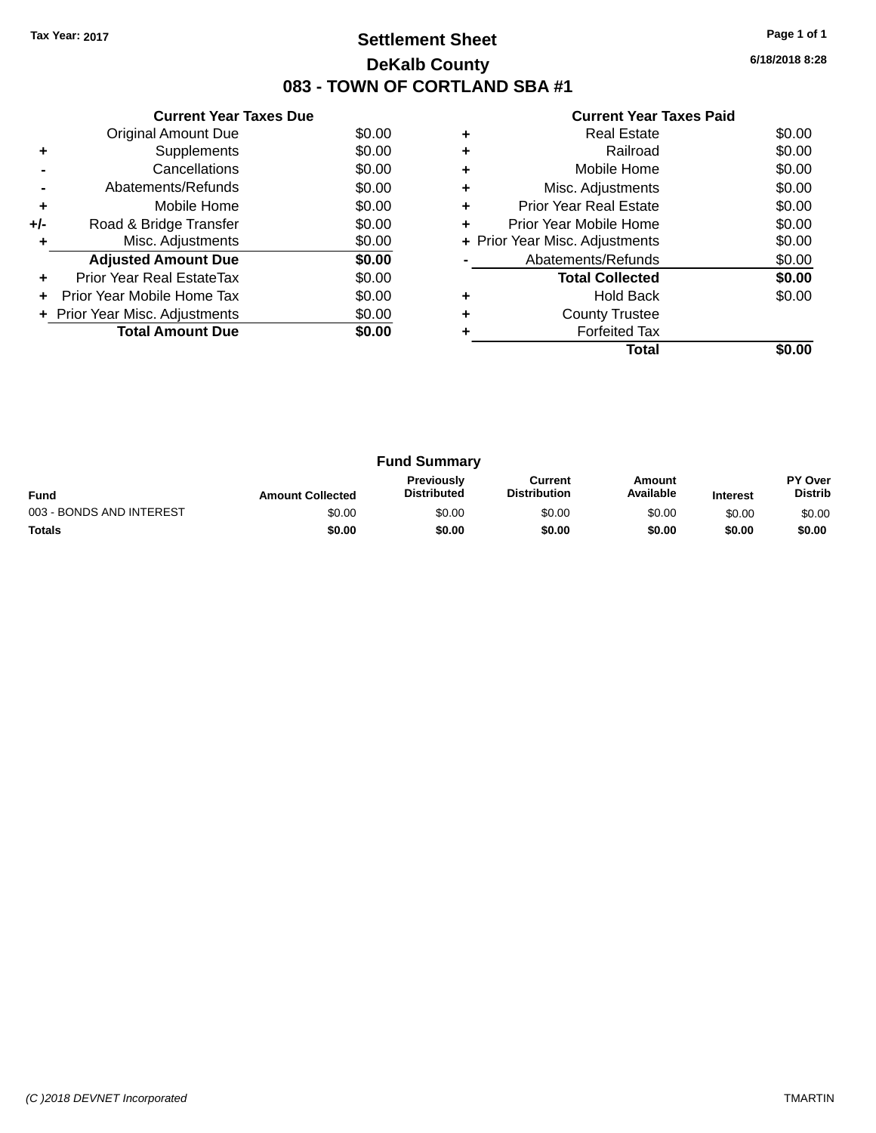# **Settlement Sheet Tax Year: 2017 Page 1 of 1 DeKalb County 083 - TOWN OF CORTLAND SBA #1**

**6/18/2018 8:28**

| <b>Current Year Taxes Paid</b> |  |  |  |
|--------------------------------|--|--|--|
|--------------------------------|--|--|--|

|     | <b>Current Year Taxes Due</b>  |        |
|-----|--------------------------------|--------|
|     | Original Amount Due            | \$0.00 |
| ٠   | Supplements                    | \$0.00 |
|     | Cancellations                  | \$0.00 |
|     | Abatements/Refunds             | \$0.00 |
| ٠   | Mobile Home                    | \$0.00 |
| +/- | Road & Bridge Transfer         | \$0.00 |
| ٠   | Misc. Adjustments              | \$0.00 |
|     | <b>Adjusted Amount Due</b>     | \$0.00 |
| ٠   | Prior Year Real EstateTax      | \$0.00 |
| ÷   | Prior Year Mobile Home Tax     | \$0.00 |
|     | + Prior Year Misc. Adjustments | \$0.00 |
|     | <b>Total Amount Due</b>        | \$0.00 |
|     |                                |        |

|   | <b>Real Estate</b>             | \$0.00 |
|---|--------------------------------|--------|
|   | Railroad                       | \$0.00 |
|   | Mobile Home                    | \$0.00 |
| ٠ | Misc. Adjustments              | \$0.00 |
| ٠ | <b>Prior Year Real Estate</b>  | \$0.00 |
| ٠ | Prior Year Mobile Home         | \$0.00 |
|   | + Prior Year Misc. Adjustments | \$0.00 |
|   | Abatements/Refunds             | \$0.00 |
|   | <b>Total Collected</b>         | \$0.00 |
|   | <b>Hold Back</b>               | \$0.00 |
|   | <b>County Trustee</b>          |        |
|   | <b>Forfeited Tax</b>           |        |
|   | Total                          |        |

|                          |                         | <b>Fund Summary</b>                     |                                |                     |                 |                                  |
|--------------------------|-------------------------|-----------------------------------------|--------------------------------|---------------------|-----------------|----------------------------------|
| <b>Fund</b>              | <b>Amount Collected</b> | <b>Previously</b><br><b>Distributed</b> | Current<br><b>Distribution</b> | Amount<br>Available | <b>Interest</b> | <b>PY Over</b><br><b>Distrib</b> |
| 003 - BONDS AND INTEREST | \$0.00                  | \$0.00                                  | \$0.00                         | \$0.00              | \$0.00          | \$0.00                           |
| <b>Totals</b>            | \$0.00                  | \$0.00                                  | \$0.00                         | \$0.00              | \$0.00          | \$0.00                           |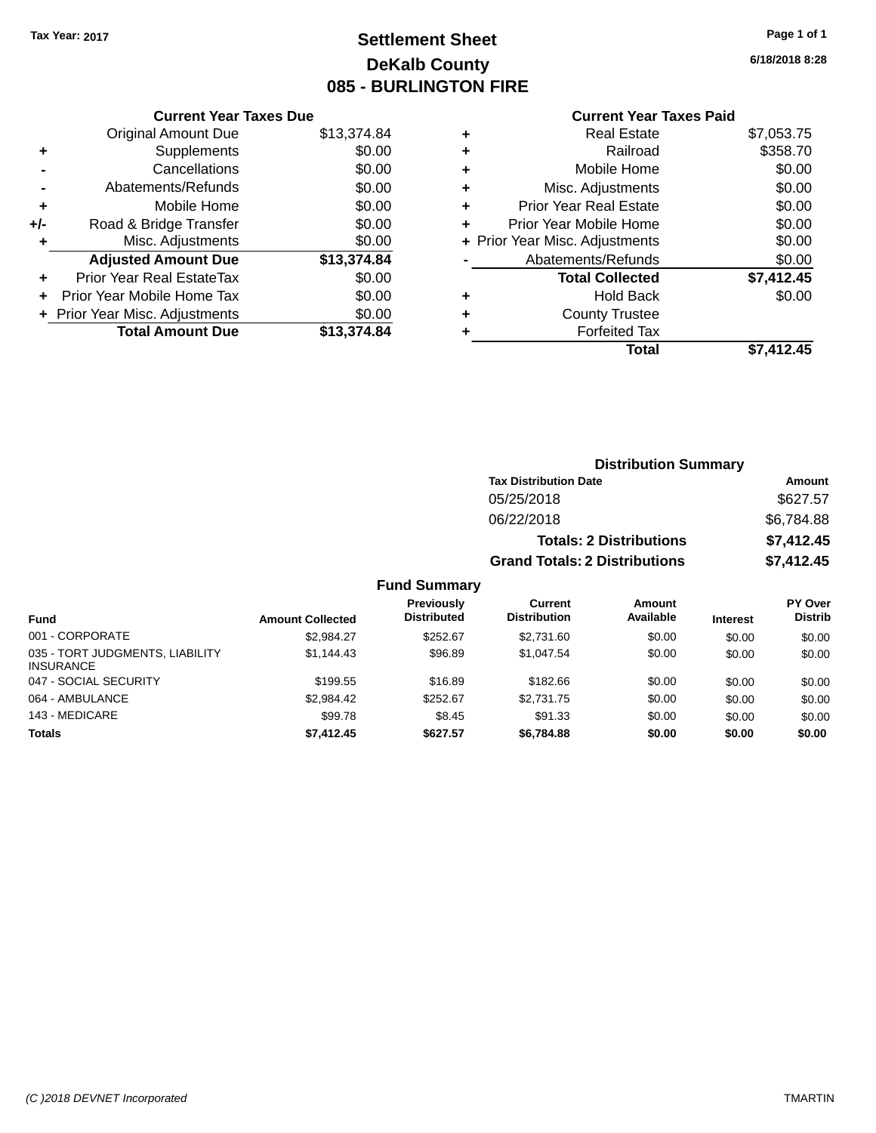# **Settlement Sheet Tax Year: 2017 Page 1 of 1 DeKalb County 085 - BURLINGTON FIRE**

**6/18/2018 8:28**

# **Current Year Taxes Paid**

|     | <b>Current Year Taxes Due</b>  |             |
|-----|--------------------------------|-------------|
|     | <b>Original Amount Due</b>     | \$13,374.84 |
| ٠   | Supplements                    | \$0.00      |
|     | Cancellations                  | \$0.00      |
|     | Abatements/Refunds             | \$0.00      |
| ٠   | Mobile Home                    | \$0.00      |
| +/- | Road & Bridge Transfer         | \$0.00      |
| ٠   | Misc. Adjustments              | \$0.00      |
|     | <b>Adjusted Amount Due</b>     | \$13,374.84 |
| ÷   | Prior Year Real EstateTax      | \$0.00      |
|     | Prior Year Mobile Home Tax     | \$0.00      |
|     | + Prior Year Misc. Adjustments | \$0.00      |
|     | <b>Total Amount Due</b>        | \$13,374.84 |
|     |                                |             |

|   | <b>Real Estate</b>             | \$7,053.75 |
|---|--------------------------------|------------|
| ٠ | Railroad                       | \$358.70   |
| ٠ | Mobile Home                    | \$0.00     |
| ٠ | Misc. Adjustments              | \$0.00     |
| ٠ | <b>Prior Year Real Estate</b>  | \$0.00     |
| ٠ | Prior Year Mobile Home         | \$0.00     |
|   | + Prior Year Misc. Adjustments | \$0.00     |
|   | Abatements/Refunds             | \$0.00     |
|   | <b>Total Collected</b>         | \$7,412.45 |
| ٠ | <b>Hold Back</b>               | \$0.00     |
| ٠ | <b>County Trustee</b>          |            |
|   | <b>Forfeited Tax</b>           |            |
|   | Total                          | \$7,412.45 |
|   |                                |            |

| <b>Distribution Summary</b>          |            |
|--------------------------------------|------------|
| <b>Tax Distribution Date</b>         | Amount     |
| 05/25/2018                           | \$627.57   |
| 06/22/2018                           | \$6,784.88 |
| <b>Totals: 2 Distributions</b>       | \$7,412.45 |
| <b>Grand Totals: 2 Distributions</b> | \$7,412.45 |

| <b>Fund</b>                                         | <b>Amount Collected</b> | Previously<br><b>Distributed</b> | <b>Current</b><br><b>Distribution</b> | <b>Amount</b><br>Available | <b>Interest</b> | PY Over<br><b>Distrib</b> |
|-----------------------------------------------------|-------------------------|----------------------------------|---------------------------------------|----------------------------|-----------------|---------------------------|
| 001 - CORPORATE                                     | \$2.984.27              | \$252.67                         | \$2,731.60                            | \$0.00                     | \$0.00          | \$0.00                    |
| 035 - TORT JUDGMENTS, LIABILITY<br><b>INSURANCE</b> | \$1.144.43              | \$96.89                          | \$1.047.54                            | \$0.00                     | \$0.00          | \$0.00                    |
| 047 - SOCIAL SECURITY                               | \$199.55                | \$16.89                          | \$182.66                              | \$0.00                     | \$0.00          | \$0.00                    |
| 064 - AMBULANCE                                     | \$2,984.42              | \$252.67                         | \$2,731.75                            | \$0.00                     | \$0.00          | \$0.00                    |
| 143 - MEDICARE                                      | \$99.78                 | \$8.45                           | \$91.33                               | \$0.00                     | \$0.00          | \$0.00                    |
| Totals                                              | \$7,412.45              | \$627.57                         | \$6,784.88                            | \$0.00                     | \$0.00          | \$0.00                    |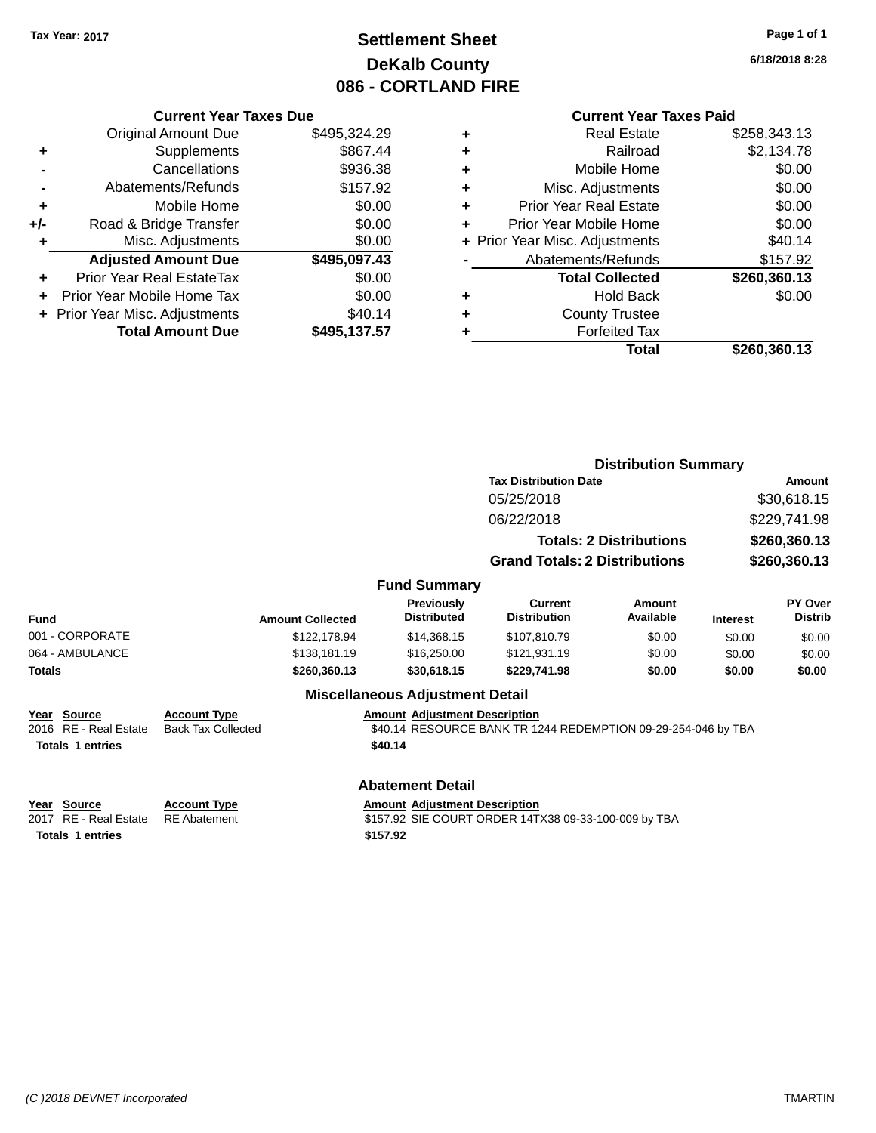**Original Amount Due** 

**Adjusted Amount Due** 

**Total Amount Due** 

**+** Supplements **-** Cancellations **-** Abatements/Refunds **+** Mobile Home **+/-** Road & Bridge Transfer **+** Misc. Adjustments

**+** Prior Year Real EstateTax \$0.00 **+** Prior Year Mobile Home Tax **+ Prior Year Misc. Adjustments** 

# **Settlement Sheet Tax Year: 2017 Page 1 of 1 DeKalb County 086 - CORTLAND FIRE**

**6/18/2018 8:28**

### **Current Year Taxes Paid**

| <b>Current Year Taxes Due</b> |              |   | <b>Current Year Taxes Paid</b> |              |  |  |  |
|-------------------------------|--------------|---|--------------------------------|--------------|--|--|--|
| ่<br>เl Amount Due            | \$495,324.29 | ٠ | <b>Real Estate</b>             | \$258,343.13 |  |  |  |
| Supplements                   | \$867.44     | ٠ | Railroad                       | \$2,134.78   |  |  |  |
| Cancellations                 | \$936.38     | ٠ | Mobile Home                    | \$0.00       |  |  |  |
| าents/Refunds                 | \$157.92     | ٠ | Misc. Adjustments              | \$0.00       |  |  |  |
| Mobile Home                   | \$0.00       | ÷ | <b>Prior Year Real Estate</b>  | \$0.00       |  |  |  |
| ridge Transfer                | \$0.00       | ÷ | Prior Year Mobile Home         | \$0.00       |  |  |  |
| :. Adjustments                | \$0.00       |   | + Prior Year Misc. Adjustments | \$40.14      |  |  |  |
| <b>Amount Due</b>             | \$495,097.43 |   | Abatements/Refunds             | \$157.92     |  |  |  |
| leal EstateTax≀               | \$0.00       |   | <b>Total Collected</b>         | \$260,360.13 |  |  |  |
| bile Home Tax                 | \$0.00       | ÷ | <b>Hold Back</b>               | \$0.00       |  |  |  |
| . Adjustments                 | \$40.14      | ٠ | <b>County Trustee</b>          |              |  |  |  |
| <b>Amount Due</b>             | \$495,137.57 |   | <b>Forfeited Tax</b>           |              |  |  |  |
|                               |              |   | Total                          | \$260,360.13 |  |  |  |

|                                                                 |                                                  |                                                  |                                                               | <b>Distribution Summary</b>    |                                              |                           |
|-----------------------------------------------------------------|--------------------------------------------------|--------------------------------------------------|---------------------------------------------------------------|--------------------------------|----------------------------------------------|---------------------------|
|                                                                 |                                                  |                                                  | <b>Tax Distribution Date</b>                                  |                                |                                              | Amount                    |
|                                                                 |                                                  |                                                  | 05/25/2018                                                    |                                |                                              | \$30,618.15               |
|                                                                 |                                                  |                                                  | 06/22/2018                                                    |                                | \$229,741.98<br>\$260,360.13<br>\$260,360.13 |                           |
|                                                                 |                                                  |                                                  |                                                               | <b>Totals: 2 Distributions</b> |                                              |                           |
|                                                                 |                                                  |                                                  | <b>Grand Totals: 2 Distributions</b>                          |                                |                                              |                           |
|                                                                 |                                                  | <b>Fund Summary</b>                              |                                                               |                                |                                              |                           |
| Fund                                                            | <b>Amount Collected</b>                          | <b>Previously</b><br><b>Distributed</b>          | <b>Current</b><br><b>Distribution</b>                         | Amount<br>Available            | <b>Interest</b>                              | PY Over<br><b>Distrib</b> |
| 001 - CORPORATE                                                 | \$122,178.94                                     | \$14,368.15                                      | \$107,810.79                                                  | \$0.00                         | \$0.00                                       | \$0.00                    |
| 064 - AMBULANCE                                                 | \$138.181.19                                     | \$16,250,00                                      | \$121,931.19                                                  | \$0.00                         | \$0.00                                       | \$0.00                    |
| <b>Totals</b>                                                   | \$260,360.13                                     | \$30,618.15                                      | \$229,741.98                                                  | \$0.00                         | \$0.00                                       | \$0.00                    |
|                                                                 |                                                  | <b>Miscellaneous Adjustment Detail</b>           |                                                               |                                |                                              |                           |
| Year Source<br>2016 RE - Real Estate<br><b>Totals 1 entries</b> | <b>Account Type</b><br><b>Back Tax Collected</b> | <b>Amount Adjustment Description</b><br>\$40.14  | \$40.14 RESOURCE BANK TR 1244 REDEMPTION 09-29-254-046 by TBA |                                |                                              |                           |
|                                                                 |                                                  | <b>Abatement Detail</b>                          |                                                               |                                |                                              |                           |
| Year Source<br>2017 RE - Real Estate<br><b>Totals 1 entries</b> | <b>Account Type</b><br><b>RE</b> Abatement       | <b>Amount Adjustment Description</b><br>\$157.92 | \$157.92 SIE COURT ORDER 14TX38 09-33-100-009 by TBA          |                                |                                              |                           |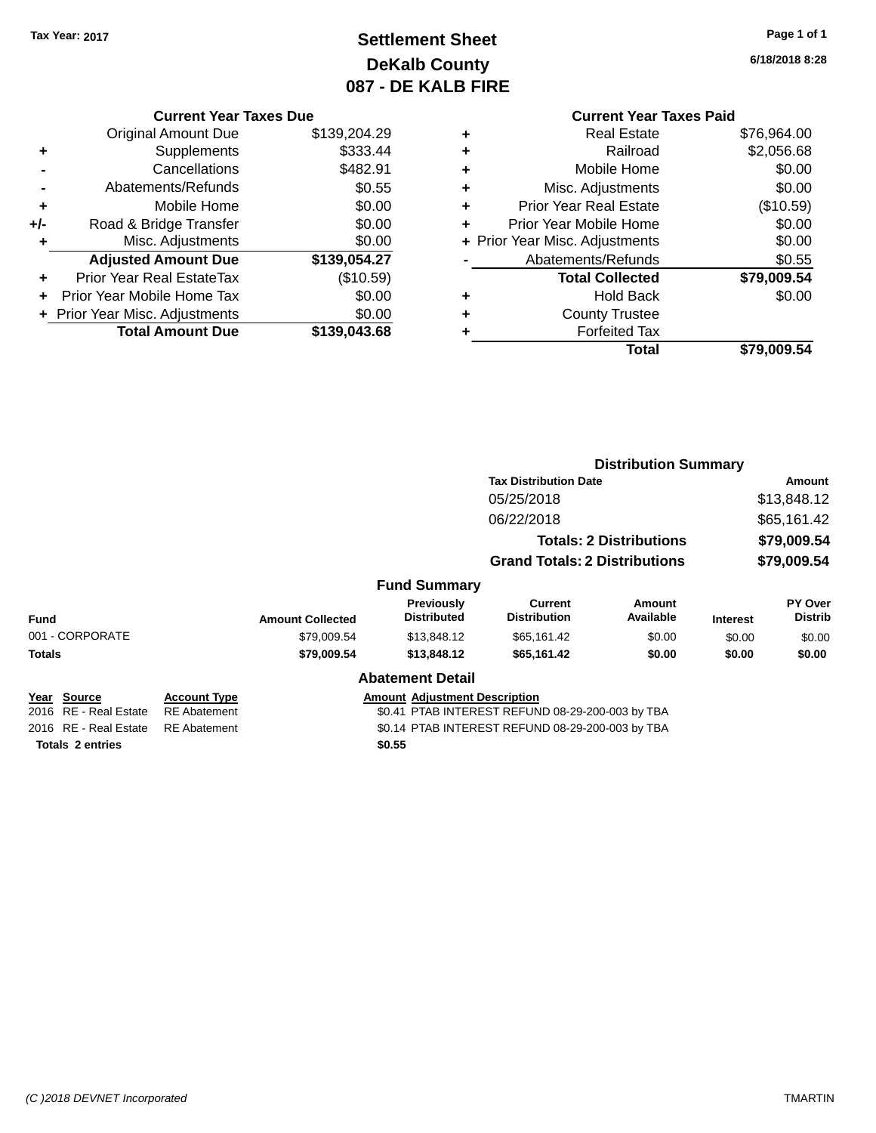# **Settlement Sheet Tax Year: 2017 Page 1 of 1 DeKalb County 087 - DE KALB FIRE**

**6/18/2018 8:28**

|     | <b>Current Year Taxes Due</b>  |              |  |  |  |  |
|-----|--------------------------------|--------------|--|--|--|--|
|     | <b>Original Amount Due</b>     | \$139,204.29 |  |  |  |  |
| ٠   | Supplements                    | \$333.44     |  |  |  |  |
|     | Cancellations                  | \$482.91     |  |  |  |  |
|     | Abatements/Refunds             | \$0.55       |  |  |  |  |
| ٠   | Mobile Home                    | \$0.00       |  |  |  |  |
| +/- | Road & Bridge Transfer         | \$0.00       |  |  |  |  |
| ٠   | Misc. Adjustments              | \$0.00       |  |  |  |  |
|     | <b>Adjusted Amount Due</b>     | \$139,054.27 |  |  |  |  |
|     | Prior Year Real EstateTax      | (\$10.59)    |  |  |  |  |
|     | Prior Year Mobile Home Tax     | \$0.00       |  |  |  |  |
|     | + Prior Year Misc. Adjustments | \$0.00       |  |  |  |  |
|     | <b>Total Amount Due</b>        | \$139,043.68 |  |  |  |  |
|     |                                |              |  |  |  |  |

### **Current Year Taxes Paid +** Real Estate \$76,964.00 **+** Railroad \$2,056.68 **+** Mobile Home \$0.00 **+** Misc. Adjustments \$0.00 **+** Prior Year Real Estate (\$10.59)

|           | Total                          | \$79,009.54 |
|-----------|--------------------------------|-------------|
|           | <b>Forfeited Tax</b>           |             |
| $\ddot{}$ | <b>County Trustee</b>          |             |
|           | <b>Hold Back</b>               | \$0.00      |
|           | <b>Total Collected</b>         | \$79,009.54 |
|           | Abatements/Refunds             | \$0.55      |
|           | + Prior Year Misc. Adjustments | \$0.00      |
|           | Prior Year Mobile Home         | \$0.00      |

|                         | <b>Distribution Summary</b> |                         |                                         |                                                  |                                |                 |                                  |
|-------------------------|-----------------------------|-------------------------|-----------------------------------------|--------------------------------------------------|--------------------------------|-----------------|----------------------------------|
|                         |                             |                         |                                         | <b>Tax Distribution Date</b>                     |                                |                 | Amount                           |
|                         |                             |                         |                                         | 05/25/2018                                       |                                |                 | \$13,848.12                      |
|                         |                             |                         |                                         | 06/22/2018                                       |                                | \$65,161.42     |                                  |
|                         |                             |                         |                                         |                                                  | <b>Totals: 2 Distributions</b> |                 | \$79,009.54                      |
|                         |                             |                         |                                         | <b>Grand Totals: 2 Distributions</b>             |                                |                 | \$79,009.54                      |
|                         |                             |                         | <b>Fund Summary</b>                     |                                                  |                                |                 |                                  |
| Fund                    |                             | <b>Amount Collected</b> | <b>Previously</b><br><b>Distributed</b> | <b>Current</b><br><b>Distribution</b>            | <b>Amount</b><br>Available     | <b>Interest</b> | <b>PY Over</b><br><b>Distrib</b> |
| 001 - CORPORATE         |                             | \$79,009.54             | \$13,848.12                             | \$65,161.42                                      | \$0.00                         | \$0.00          | \$0.00                           |
| Totals                  |                             | \$79,009.54             | \$13,848.12                             | \$65,161.42                                      | \$0.00                         | \$0.00          | \$0.00                           |
|                         |                             |                         | <b>Abatement Detail</b>                 |                                                  |                                |                 |                                  |
| Year Source             | <b>Account Type</b>         |                         | <b>Amount Adjustment Description</b>    |                                                  |                                |                 |                                  |
| 2016 RE - Real Estate   | <b>RE</b> Abatement         |                         |                                         | \$0.41 PTAB INTEREST REFUND 08-29-200-003 by TBA |                                |                 |                                  |
| 2016 RE - Real Estate   | <b>RE</b> Abatement         |                         |                                         | \$0.14 PTAB INTEREST REFUND 08-29-200-003 by TBA |                                |                 |                                  |
| <b>Totals 2 entries</b> |                             |                         | \$0.55                                  |                                                  |                                |                 |                                  |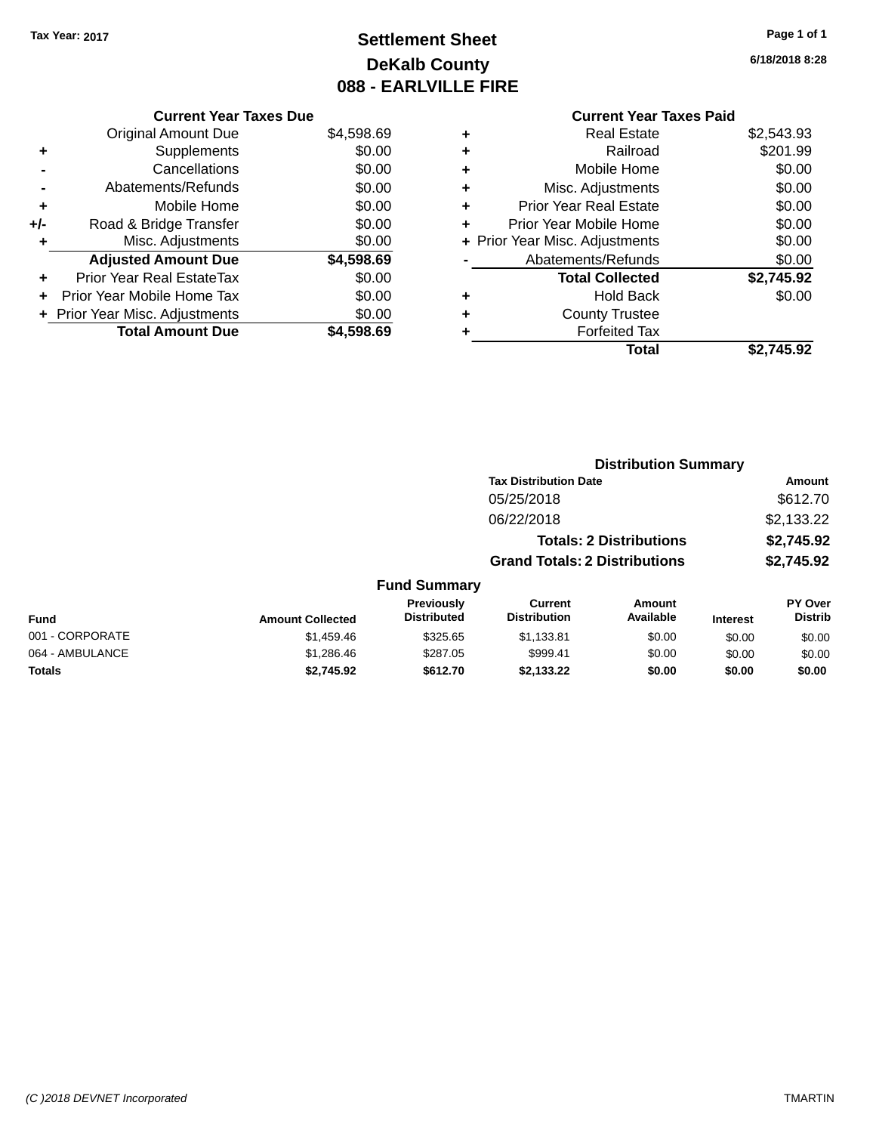# **Settlement Sheet Tax Year: 2017 Page 1 of 1 DeKalb County 088 - EARLVILLE FIRE**

**6/18/2018 8:28**

|     | <b>Current Year Taxes Due</b>  |            |
|-----|--------------------------------|------------|
|     | <b>Original Amount Due</b>     | \$4,598.69 |
| ٠   | Supplements                    | \$0.00     |
|     | Cancellations                  | \$0.00     |
|     | Abatements/Refunds             | \$0.00     |
| ٠   | Mobile Home                    | \$0.00     |
| +/- | Road & Bridge Transfer         | \$0.00     |
| ٠   | Misc. Adjustments              | \$0.00     |
|     | <b>Adjusted Amount Due</b>     | \$4,598.69 |
| ٠   | Prior Year Real EstateTax      | \$0.00     |
| ٠   | Prior Year Mobile Home Tax     | \$0.00     |
|     | + Prior Year Misc. Adjustments | \$0.00     |
|     | <b>Total Amount Due</b>        | \$4,598.69 |
|     |                                |            |

# **Current Year Taxes Paid +** Real Estate \$2,543.93

| Railroad                      | \$201.99                       |
|-------------------------------|--------------------------------|
| Mobile Home                   | \$0.00                         |
| Misc. Adjustments             | \$0.00                         |
| <b>Prior Year Real Estate</b> | \$0.00                         |
| Prior Year Mobile Home        | \$0.00                         |
|                               | \$0.00                         |
| Abatements/Refunds            | \$0.00                         |
| <b>Total Collected</b>        | \$2,745.92                     |
| <b>Hold Back</b>              | \$0.00                         |
| <b>County Trustee</b>         |                                |
| <b>Forfeited Tax</b>          |                                |
| Total                         | \$2,745.92                     |
|                               | + Prior Year Misc. Adjustments |

|                 |                         |                                  |                                       | <b>Distribution Summary</b>    |                 |                                  |
|-----------------|-------------------------|----------------------------------|---------------------------------------|--------------------------------|-----------------|----------------------------------|
|                 |                         |                                  | <b>Tax Distribution Date</b>          |                                |                 | Amount                           |
|                 |                         |                                  | 05/25/2018                            |                                |                 | \$612.70                         |
|                 |                         |                                  | 06/22/2018                            |                                |                 | \$2,133.22                       |
|                 |                         |                                  |                                       | <b>Totals: 2 Distributions</b> |                 | \$2,745.92                       |
|                 |                         |                                  | <b>Grand Totals: 2 Distributions</b>  |                                |                 | \$2,745.92                       |
|                 |                         | <b>Fund Summary</b>              |                                       |                                |                 |                                  |
| <b>Fund</b>     | <b>Amount Collected</b> | Previously<br><b>Distributed</b> | <b>Current</b><br><b>Distribution</b> | Amount<br>Available            | <b>Interest</b> | <b>PY Over</b><br><b>Distrib</b> |
| 001 - CORPORATE | \$1,459.46              | \$325.65                         | \$1,133.81                            | \$0.00                         | \$0.00          | \$0.00                           |
| 064 - AMBULANCE | \$1,286.46              | \$287.05                         | \$999.41                              | \$0.00                         | \$0.00          | \$0.00                           |
| Totals          | \$2,745.92              | \$612.70                         | \$2,133.22                            | \$0.00                         | \$0.00          | \$0.00                           |
|                 |                         |                                  |                                       |                                |                 |                                  |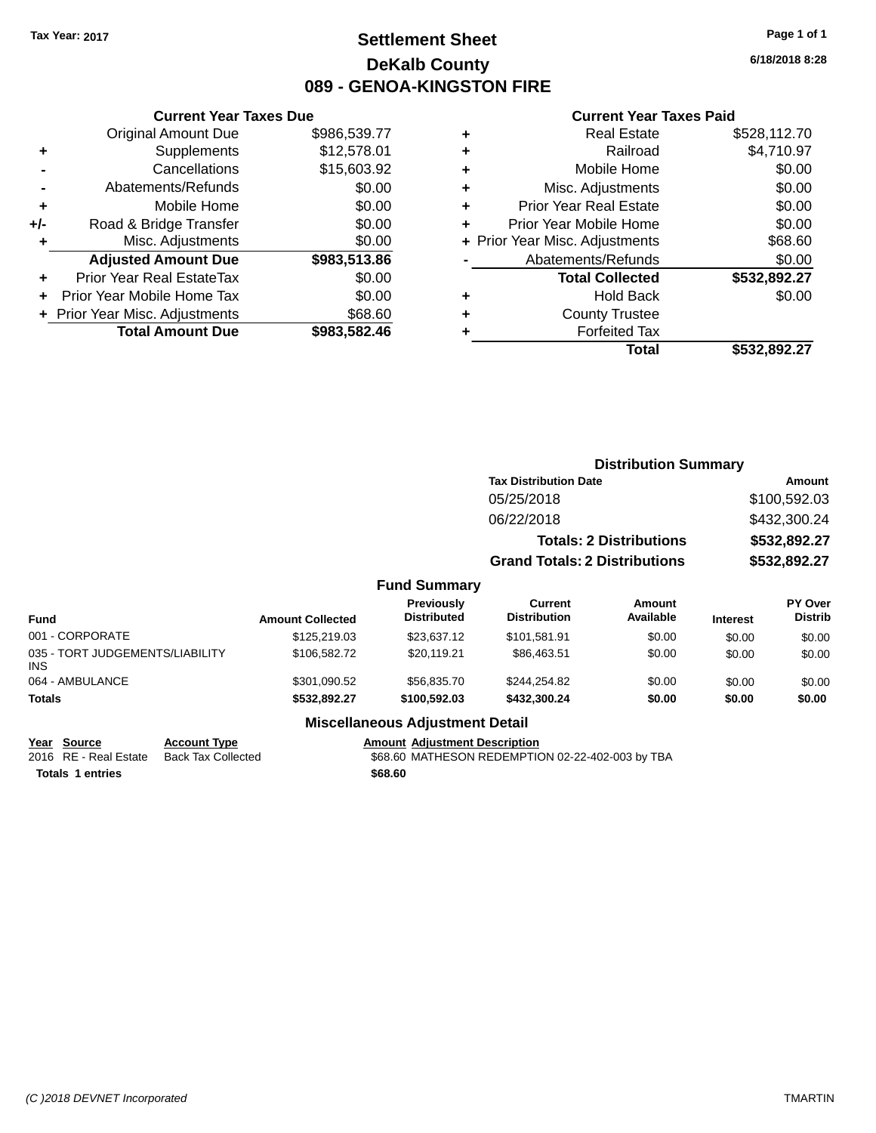# **Settlement Sheet Tax Year: 2017 Page 1 of 1 DeKalb County 089 - GENOA-KINGSTON FIRE**

**6/18/2018 8:28**

#### **Current Year Taxes Paid**

| \$986,539.77<br><b>Original Amount Due</b><br>\$12,578.01<br>Supplements<br>٠<br>Cancellations<br>\$15,603.92<br>\$0.00<br>Abatements/Refunds<br>\$0.00<br>Mobile Home<br>٠<br>\$0.00<br>Road & Bridge Transfer<br>+/-<br>Misc. Adjustments<br>\$0.00<br>٠<br><b>Adjusted Amount Due</b><br>\$983,513.86<br>\$0.00<br>Prior Year Real EstateTax<br>٠<br>\$0.00<br>Prior Year Mobile Home Tax<br>\$68.60<br>Prior Year Misc. Adjustments<br><b>Total Amount Due</b><br>\$983.582.46 | <b>Current Year Taxes Due</b> |  |
|------------------------------------------------------------------------------------------------------------------------------------------------------------------------------------------------------------------------------------------------------------------------------------------------------------------------------------------------------------------------------------------------------------------------------------------------------------------------------------|-------------------------------|--|
|                                                                                                                                                                                                                                                                                                                                                                                                                                                                                    |                               |  |
|                                                                                                                                                                                                                                                                                                                                                                                                                                                                                    |                               |  |
|                                                                                                                                                                                                                                                                                                                                                                                                                                                                                    |                               |  |
|                                                                                                                                                                                                                                                                                                                                                                                                                                                                                    |                               |  |
|                                                                                                                                                                                                                                                                                                                                                                                                                                                                                    |                               |  |
|                                                                                                                                                                                                                                                                                                                                                                                                                                                                                    |                               |  |
|                                                                                                                                                                                                                                                                                                                                                                                                                                                                                    |                               |  |
|                                                                                                                                                                                                                                                                                                                                                                                                                                                                                    |                               |  |
|                                                                                                                                                                                                                                                                                                                                                                                                                                                                                    |                               |  |
|                                                                                                                                                                                                                                                                                                                                                                                                                                                                                    |                               |  |
|                                                                                                                                                                                                                                                                                                                                                                                                                                                                                    |                               |  |
|                                                                                                                                                                                                                                                                                                                                                                                                                                                                                    |                               |  |

| ٠ | <b>Real Estate</b>             | \$528,112.70 |
|---|--------------------------------|--------------|
| ٠ | Railroad                       | \$4,710.97   |
| ٠ | Mobile Home                    | \$0.00       |
| ٠ | Misc. Adjustments              | \$0.00       |
| ٠ | <b>Prior Year Real Estate</b>  | \$0.00       |
| ÷ | Prior Year Mobile Home         | \$0.00       |
|   | + Prior Year Misc. Adjustments | \$68.60      |
|   | Abatements/Refunds             | \$0.00       |
|   | <b>Total Collected</b>         | \$532,892.27 |
| ٠ | <b>Hold Back</b>               | \$0.00       |
| ٠ | <b>County Trustee</b>          |              |
| ٠ | <b>Forfeited Tax</b>           |              |
|   | Total                          | \$532,892.27 |
|   |                                |              |

|                                               |                         |                                         |                                       | <b>Distribution Summary</b>    |                 |                           |
|-----------------------------------------------|-------------------------|-----------------------------------------|---------------------------------------|--------------------------------|-----------------|---------------------------|
|                                               |                         |                                         | <b>Tax Distribution Date</b>          |                                |                 | <b>Amount</b>             |
|                                               |                         |                                         | 05/25/2018                            |                                |                 | \$100,592.03              |
|                                               |                         |                                         | 06/22/2018                            |                                |                 | \$432,300.24              |
|                                               |                         |                                         |                                       | <b>Totals: 2 Distributions</b> |                 | \$532,892.27              |
|                                               |                         |                                         | <b>Grand Totals: 2 Distributions</b>  |                                |                 | \$532,892.27              |
|                                               |                         | <b>Fund Summary</b>                     |                                       |                                |                 |                           |
| Fund                                          | <b>Amount Collected</b> | <b>Previously</b><br><b>Distributed</b> | <b>Current</b><br><b>Distribution</b> | Amount<br>Available            | <b>Interest</b> | PY Over<br><b>Distrib</b> |
| 001 - CORPORATE                               | \$125,219.03            | \$23.637.12                             | \$101,581.91                          | \$0.00                         | \$0.00          | \$0.00                    |
| 035 - TORT JUDGEMENTS/LIABILITY<br><b>INS</b> | \$106,582.72            | \$20,119.21                             | \$86,463.51                           | \$0.00                         | \$0.00          | \$0.00                    |

#### **Miscellaneous Adjustment Detail**

064 - AMBULANCE 60.00 \$301,090.52 \$56,835.70 \$244,254.82 \$0.00 \$0.00 \$0.00 \$0.00 **Totals \$532,892.27 \$100,592.03 \$432,300.24 \$0.00 \$0.00 \$0.00**

| Year Source             | <b>Account Type</b> | <b>Amount Adiustment Description</b>             |
|-------------------------|---------------------|--------------------------------------------------|
| 2016 RE - Real Estate   | Back Tax Collected  | \$68.60 MATHESON REDEMPTION 02-22-402-003 by TBA |
| <b>Totals 1 entries</b> |                     | \$68.60                                          |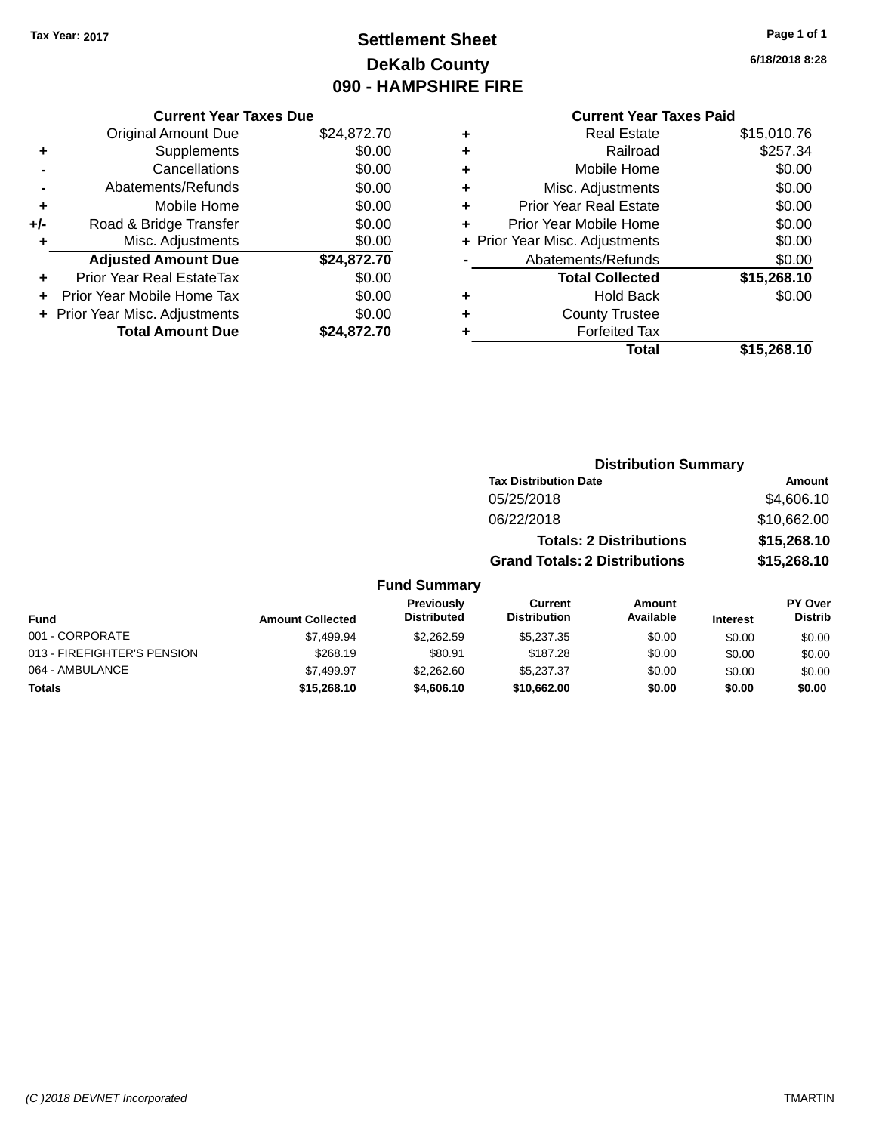# **Settlement Sheet Tax Year: 2017 Page 1 of 1 DeKalb County 090 - HAMPSHIRE FIRE**

**6/18/2018 8:28**

# **Current Year Taxes Paid**

|     | <b>Current Year Taxes Due</b>  |             |
|-----|--------------------------------|-------------|
|     | <b>Original Amount Due</b>     | \$24,872.70 |
| ٠   | Supplements                    | \$0.00      |
|     | Cancellations                  | \$0.00      |
|     | Abatements/Refunds             | \$0.00      |
| ٠   | Mobile Home                    | \$0.00      |
| +/- | Road & Bridge Transfer         | \$0.00      |
| ٠   | Misc. Adjustments              | \$0.00      |
|     | <b>Adjusted Amount Due</b>     | \$24,872.70 |
| ٠   | Prior Year Real EstateTax      | \$0.00      |
|     | Prior Year Mobile Home Tax     | \$0.00      |
|     | + Prior Year Misc. Adjustments | \$0.00      |
|     | <b>Total Amount Due</b>        | \$24,872.70 |
|     |                                |             |

| ٠ | <b>Real Estate</b>             | \$15,010.76 |
|---|--------------------------------|-------------|
| ٠ | Railroad                       | \$257.34    |
| ٠ | Mobile Home                    | \$0.00      |
| ٠ | Misc. Adjustments              | \$0.00      |
| ٠ | <b>Prior Year Real Estate</b>  | \$0.00      |
| ٠ | Prior Year Mobile Home         | \$0.00      |
|   | + Prior Year Misc. Adjustments | \$0.00      |
|   | Abatements/Refunds             | \$0.00      |
|   | <b>Total Collected</b>         | \$15,268.10 |
| ٠ | <b>Hold Back</b>               | \$0.00      |
| ٠ | <b>County Trustee</b>          |             |
| ٠ | <b>Forfeited Tax</b>           |             |
|   | Total                          | \$15,268.10 |
|   |                                |             |

## **Distribution Summary Tax Distribution Date Amount** 05/25/2018 \$4,606.10 06/22/2018 \$10,662.00 **Totals: 2 Distributions \$15,268.10 Grand Totals: 2 Distributions \$15,268.10**

| <b>Fund</b>                 | <b>Amount Collected</b> | <b>Previously</b><br><b>Distributed</b> | Current<br><b>Distribution</b> | Amount<br>Available | <b>Interest</b> | <b>PY Over</b><br><b>Distrib</b> |
|-----------------------------|-------------------------|-----------------------------------------|--------------------------------|---------------------|-----------------|----------------------------------|
| 001 - CORPORATE             | \$7.499.94              | \$2,262.59                              | \$5,237,35                     | \$0.00              | \$0.00          | \$0.00                           |
| 013 - FIREFIGHTER'S PENSION | \$268.19                | \$80.91                                 | \$187.28                       | \$0.00              | \$0.00          | \$0.00                           |
| 064 - AMBULANCE             | \$7.499.97              | \$2,262.60                              | \$5,237.37                     | \$0.00              | \$0.00          | \$0.00                           |
| <b>Totals</b>               | \$15,268.10             | \$4,606.10                              | \$10,662,00                    | \$0.00              | \$0.00          | \$0.00                           |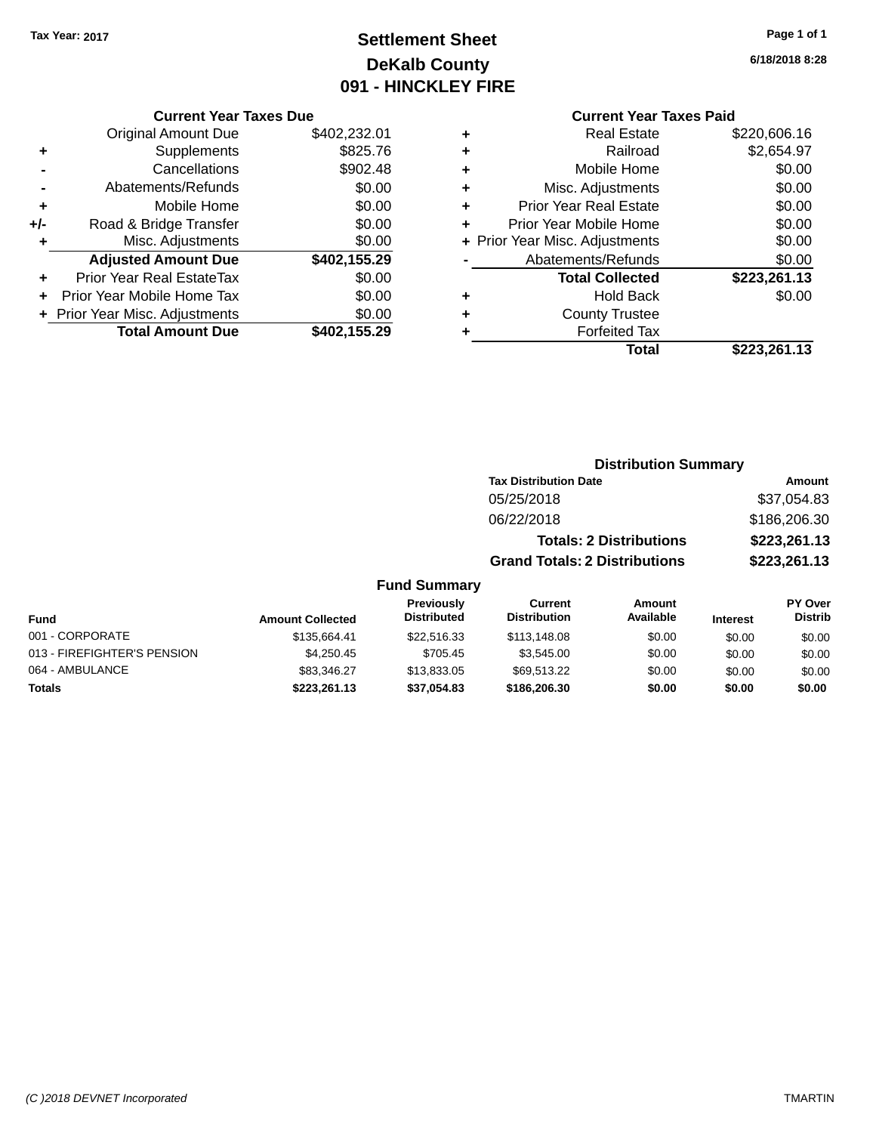# **Settlement Sheet Tax Year: 2017 Page 1 of 1 DeKalb County 091 - HINCKLEY FIRE**

**6/18/2018 8:28**

| <b>Current Year Taxes Due</b> |  |  |  |  |
|-------------------------------|--|--|--|--|
|-------------------------------|--|--|--|--|

|     | <b>Original Amount Due</b>     | \$402,232.01 |
|-----|--------------------------------|--------------|
| ٠   | Supplements                    | \$825.76     |
|     | Cancellations                  | \$902.48     |
|     | Abatements/Refunds             | \$0.00       |
| ٠   | Mobile Home                    | \$0.00       |
| +/- | Road & Bridge Transfer         | \$0.00       |
| ٠   | Misc. Adjustments              | \$0.00       |
|     | <b>Adjusted Amount Due</b>     | \$402,155.29 |
| ÷   | Prior Year Real EstateTax      | \$0.00       |
|     | Prior Year Mobile Home Tax     | \$0.00       |
|     | + Prior Year Misc. Adjustments | \$0.00       |
|     | <b>Total Amount Due</b>        | \$402,155.29 |

## **Current Year Taxes Paid**

|   | <b>Real Estate</b>             | \$220,606.16 |
|---|--------------------------------|--------------|
| ٠ | Railroad                       | \$2,654.97   |
| ٠ | Mobile Home                    | \$0.00       |
| ٠ | Misc. Adjustments              | \$0.00       |
| ٠ | Prior Year Real Estate         | \$0.00       |
|   | Prior Year Mobile Home         | \$0.00       |
|   | + Prior Year Misc. Adjustments | \$0.00       |
|   | Abatements/Refunds             | \$0.00       |
|   | <b>Total Collected</b>         | \$223,261.13 |
| ٠ | <b>Hold Back</b>               | \$0.00       |
|   | <b>County Trustee</b>          |              |
|   | <b>Forfeited Tax</b>           |              |
|   | Total                          | \$223,261.13 |
|   |                                |              |

## **Distribution Summary Tax Distribution Date Amount** 05/25/2018 \$37,054.83 06/22/2018 \$186,206.30 **Totals: 2 Distributions \$223,261.13 Grand Totals: 2 Distributions \$223,261.13**

| Fund                        | <b>Amount Collected</b> | <b>Previously</b><br><b>Distributed</b> | Current<br><b>Distribution</b> | Amount<br>Available | <b>Interest</b> | <b>PY Over</b><br><b>Distrib</b> |
|-----------------------------|-------------------------|-----------------------------------------|--------------------------------|---------------------|-----------------|----------------------------------|
| 001 - CORPORATE             | \$135,664.41            | \$22,516.33                             | \$113,148,08                   | \$0.00              | \$0.00          | \$0.00                           |
| 013 - FIREFIGHTER'S PENSION | \$4.250.45              | \$705.45                                | \$3.545.00                     | \$0.00              | \$0.00          | \$0.00                           |
| 064 - AMBULANCE             | \$83.346.27             | \$13,833,05                             | \$69.513.22                    | \$0.00              | \$0.00          | \$0.00                           |
| Totals                      | \$223.261.13            | \$37.054.83                             | \$186,206,30                   | \$0.00              | \$0.00          | \$0.00                           |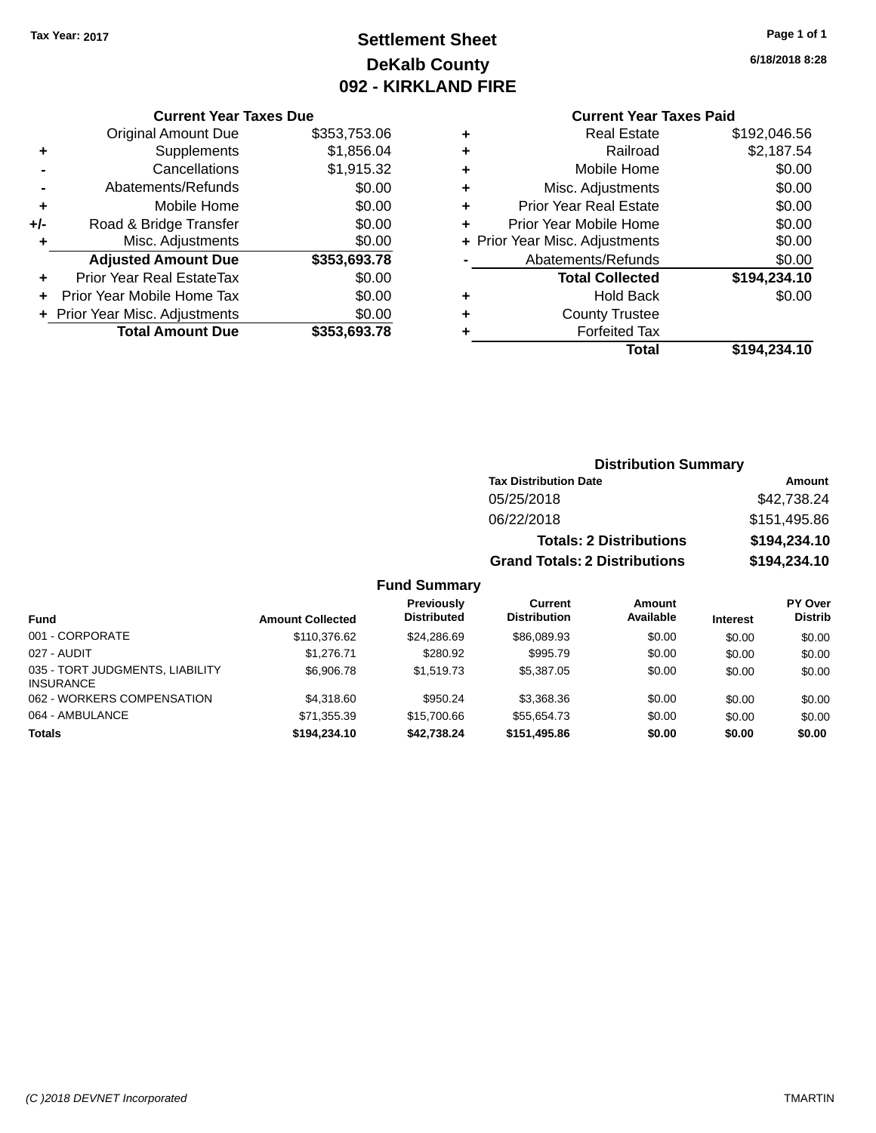# **Settlement Sheet Tax Year: 2017 Page 1 of 1 DeKalb County 092 - KIRKLAND FIRE**

**6/18/2018 8:28**

|     | <b>Current Year Taxes Due</b> |              |
|-----|-------------------------------|--------------|
|     | <b>Original Amount Due</b>    | \$353,753.06 |
| ٠   | Supplements                   | \$1,856.04   |
|     | Cancellations                 | \$1,915.32   |
|     | Abatements/Refunds            | \$0.00       |
| ٠   | Mobile Home                   | \$0.00       |
| +/- | Road & Bridge Transfer        | \$0.00       |
|     | Misc. Adjustments             | \$0.00       |
|     | <b>Adjusted Amount Due</b>    | \$353,693.78 |
| ÷   | Prior Year Real EstateTax     | \$0.00       |
|     | Prior Year Mobile Home Tax    | \$0.00       |
|     | Prior Year Misc. Adjustments  | \$0.00       |
|     | <b>Total Amount Due</b>       | \$353,693.78 |

|   | <b>Current Year Taxes Paid</b> |              |
|---|--------------------------------|--------------|
| ٠ | <b>Real Estate</b>             | \$192,046.56 |
|   | Railroad                       | \$2,187.54   |
| ٠ | Mobile Home                    | \$0.00       |
| ٠ | Misc. Adjustments              | \$0.00       |
| ٠ | <b>Prior Year Real Estate</b>  | \$0.00       |
| ٠ | Prior Year Mobile Home         | \$0.00       |
|   | + Prior Year Misc. Adjustments | \$0.00       |
|   | Abatements/Refunds             | \$0.00       |
|   | <b>Total Collected</b>         | \$194,234.10 |
|   | <b>Hold Back</b>               | \$0.00       |
|   | <b>County Trustee</b>          |              |
|   | <b>Forfeited Tax</b>           |              |
|   | Total                          | \$194,234.10 |
|   |                                |              |

| <b>Distribution Summary</b>          |              |
|--------------------------------------|--------------|
| <b>Tax Distribution Date</b>         | Amount       |
| 05/25/2018                           | \$42,738.24  |
| 06/22/2018                           | \$151,495.86 |
| <b>Totals: 2 Distributions</b>       | \$194,234.10 |
| <b>Grand Totals: 2 Distributions</b> | \$194,234.10 |

| <b>Fund</b>                                         | <b>Amount Collected</b> | <b>Previously</b><br><b>Distributed</b> | Current<br><b>Distribution</b> | Amount<br>Available | <b>Interest</b> | PY Over<br><b>Distrib</b> |
|-----------------------------------------------------|-------------------------|-----------------------------------------|--------------------------------|---------------------|-----------------|---------------------------|
| 001 - CORPORATE                                     | \$110,376.62            | \$24.286.69                             | \$86,089.93                    | \$0.00              | \$0.00          | \$0.00                    |
| 027 - AUDIT                                         | \$1.276.71              | \$280.92                                | \$995.79                       | \$0.00              | \$0.00          | \$0.00                    |
| 035 - TORT JUDGMENTS, LIABILITY<br><b>INSURANCE</b> | \$6,906.78              | \$1,519.73                              | \$5,387.05                     | \$0.00              | \$0.00          | \$0.00                    |
| 062 - WORKERS COMPENSATION                          | \$4,318,60              | \$950.24                                | \$3.368.36                     | \$0.00              | \$0.00          | \$0.00                    |
| 064 - AMBULANCE                                     | \$71,355.39             | \$15,700.66                             | \$55.654.73                    | \$0.00              | \$0.00          | \$0.00                    |
| <b>Totals</b>                                       | \$194.234.10            | \$42.738.24                             | \$151,495.86                   | \$0.00              | \$0.00          | \$0.00                    |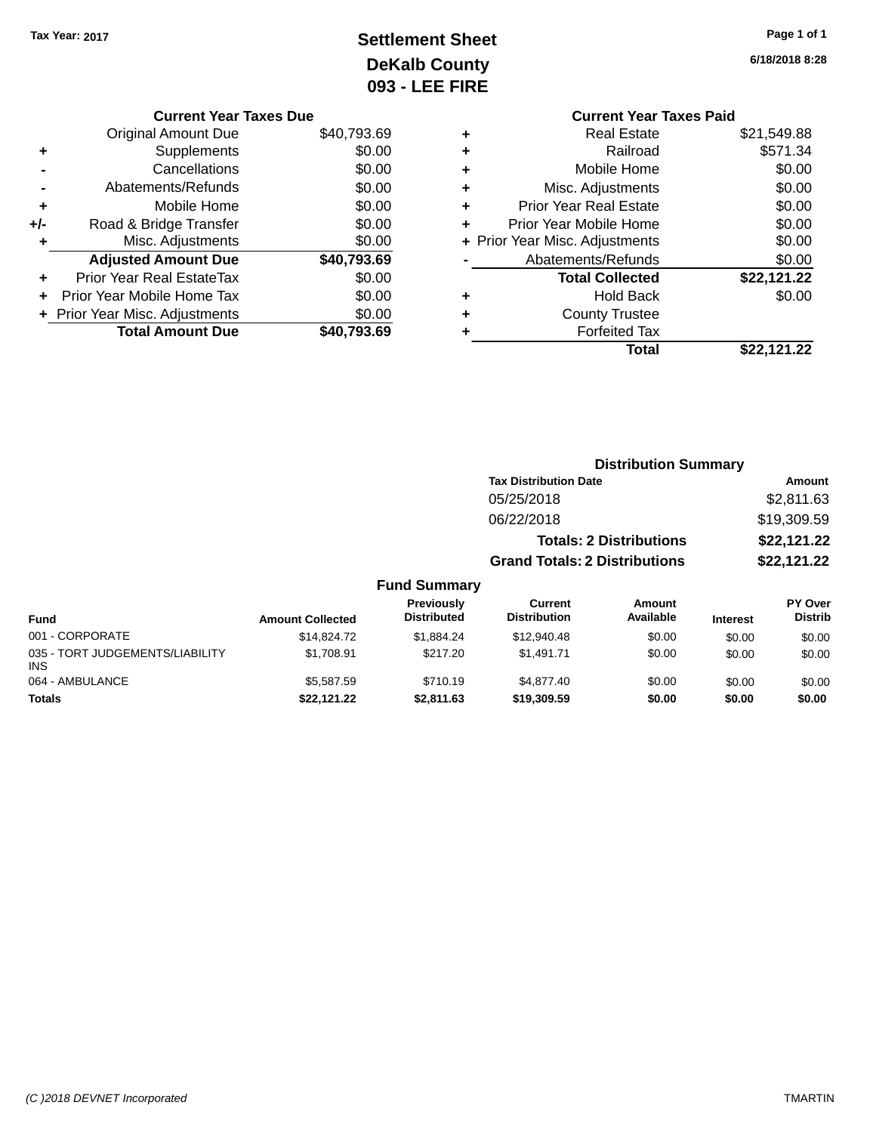# **Settlement Sheet Tax Year: 2017 Page 1 of 1 DeKalb County**  $RE$

**6/18/2018 8:28**

|    | 093 - LEE FIF |  |
|----|---------------|--|
| ue |               |  |

|     | <b>Current Year Taxes Due</b> |             |
|-----|-------------------------------|-------------|
|     | <b>Original Amount Due</b>    | \$40,793.69 |
| ٠   | Supplements                   | \$0.00      |
|     | Cancellations                 | \$0.00      |
|     | Abatements/Refunds            | \$0.00      |
| ٠   | Mobile Home                   | \$0.00      |
| +/- | Road & Bridge Transfer        | \$0.00      |
| ٠   | Misc. Adjustments             | \$0.00      |
|     | <b>Adjusted Amount Due</b>    | \$40,793.69 |
|     | Prior Year Real EstateTax     | \$0.00      |
|     | Prior Year Mobile Home Tax    | \$0.00      |
|     | Prior Year Misc. Adjustments  | \$0.00      |
|     | <b>Total Amount Due</b>       | \$40.793.69 |

| <b>Current Year Taxes Paid</b> |                                |
|--------------------------------|--------------------------------|
| <b>Real Estate</b>             | \$21,549.88                    |
| Railroad                       | \$571.34                       |
| Mobile Home                    | \$0.00                         |
| Misc. Adjustments              | \$0.00                         |
| <b>Prior Year Real Estate</b>  | \$0.00                         |
| Prior Year Mobile Home         | \$0.00                         |
|                                | \$0.00                         |
| Abatements/Refunds             | \$0.00                         |
| <b>Total Collected</b>         | \$22,121.22                    |
| <b>Hold Back</b>               | \$0.00                         |
| <b>County Trustee</b>          |                                |
| <b>Forfeited Tax</b>           |                                |
| Total                          | \$22,121.22                    |
|                                | + Prior Year Misc. Adjustments |

| <b>Distribution Summary</b>          |             |
|--------------------------------------|-------------|
| <b>Tax Distribution Date</b>         | Amount      |
| 05/25/2018                           | \$2,811.63  |
| 06/22/2018                           | \$19,309.59 |
| <b>Totals: 2 Distributions</b>       | \$22,121.22 |
| <b>Grand Totals: 2 Distributions</b> | \$22,121.22 |

| <b>Fund</b>                                   | <b>Amount Collected</b> | <b>Previously</b><br><b>Distributed</b> | Current<br><b>Distribution</b> | Amount<br>Available | <b>Interest</b> | <b>PY Over</b><br><b>Distrib</b> |
|-----------------------------------------------|-------------------------|-----------------------------------------|--------------------------------|---------------------|-----------------|----------------------------------|
| 001 - CORPORATE                               | \$14,824.72             | \$1.884.24                              | \$12,940.48                    | \$0.00              | \$0.00          | \$0.00                           |
| 035 - TORT JUDGEMENTS/LIABILITY<br><b>INS</b> | \$1.708.91              | \$217.20                                | \$1.491.71                     | \$0.00              | \$0.00          | \$0.00                           |
| 064 - AMBULANCE                               | \$5,587.59              | \$710.19                                | \$4.877.40                     | \$0.00              | \$0.00          | \$0.00                           |
| <b>Totals</b>                                 | \$22,121.22             | \$2,811.63                              | \$19,309.59                    | \$0.00              | \$0.00          | \$0.00                           |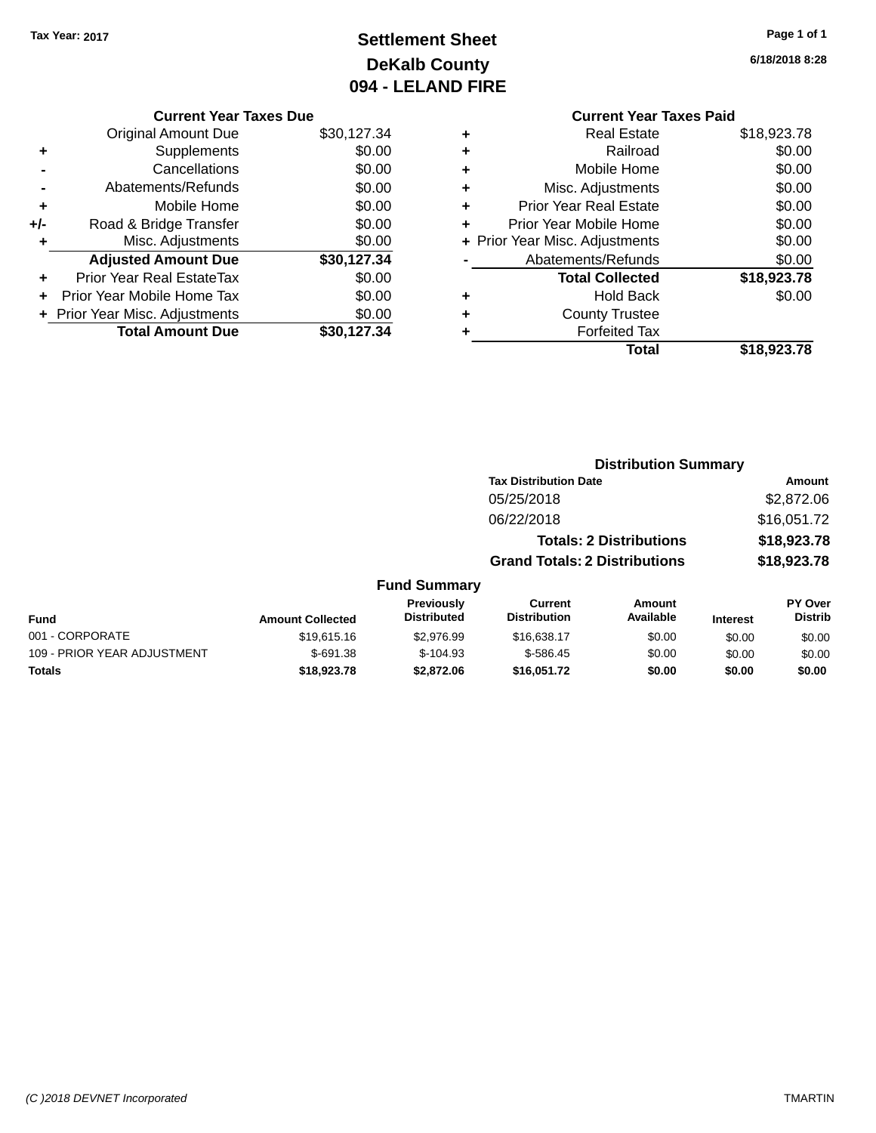# **Settlement Sheet Tax Year: 2017 Page 1 of 1 DeKalb County 094 - LELAND FIRE**

**6/18/2018 8:28**

|     | <b>Current Year Taxes Due</b>    |             |   | <b>Current Year Taxes Paid</b> |                             |
|-----|----------------------------------|-------------|---|--------------------------------|-----------------------------|
|     | <b>Original Amount Due</b>       | \$30,127.34 |   | <b>Real Estate</b>             | \$18,923.78                 |
| ٠   | Supplements                      | \$0.00      |   | Railroad                       | \$0.00                      |
|     | Cancellations                    | \$0.00      |   | Mobile Home                    | \$0.00                      |
|     | Abatements/Refunds               | \$0.00      | ٠ | Misc. Adjustments              | \$0.00                      |
| ٠   | Mobile Home                      | \$0.00      | ٠ | <b>Prior Year Real Estate</b>  | \$0.00                      |
| +/- | Road & Bridge Transfer           | \$0.00      |   | Prior Year Mobile Home         | \$0.00                      |
|     | Misc. Adjustments                | \$0.00      |   | + Prior Year Misc. Adjustments | \$0.00                      |
|     | <b>Adjusted Amount Due</b>       | \$30,127.34 |   | Abatements/Refunds             | \$0.00                      |
| ٠   | <b>Prior Year Real EstateTax</b> | \$0.00      |   | <b>Total Collected</b>         | \$18,923.78                 |
| ÷.  | Prior Year Mobile Home Tax       | \$0.00      | ٠ | <b>Hold Back</b>               | \$0.00                      |
|     | + Prior Year Misc. Adjustments   | \$0.00      | ٠ | <b>County Trustee</b>          |                             |
|     | <b>Total Amount Due</b>          | \$30,127.34 |   | <b>Forfeited Tax</b>           |                             |
|     |                                  |             |   | T-4-L                          | $A \cap \Omega \cap \Omega$ |

| <br>d Tax |             |
|-----------|-------------|
| Total     | \$18,923.78 |
|           |             |

|                             |                         |                                  | <b>Distribution Summary</b>           |                                |                 |                                  |
|-----------------------------|-------------------------|----------------------------------|---------------------------------------|--------------------------------|-----------------|----------------------------------|
|                             |                         |                                  | <b>Tax Distribution Date</b>          |                                |                 | Amount                           |
|                             |                         |                                  | 05/25/2018                            |                                |                 | \$2,872.06                       |
|                             |                         |                                  | 06/22/2018                            |                                |                 | \$16,051.72                      |
|                             |                         |                                  |                                       | <b>Totals: 2 Distributions</b> |                 | \$18,923.78                      |
|                             |                         |                                  | <b>Grand Totals: 2 Distributions</b>  |                                |                 | \$18,923.78                      |
|                             |                         | <b>Fund Summary</b>              |                                       |                                |                 |                                  |
| <b>Fund</b>                 | <b>Amount Collected</b> | Previously<br><b>Distributed</b> | <b>Current</b><br><b>Distribution</b> | Amount<br>Available            | <b>Interest</b> | <b>PY Over</b><br><b>Distrib</b> |
| 001 - CORPORATE             | \$19,615.16             | \$2,976.99                       | \$16,638.17                           | \$0.00                         | \$0.00          | \$0.00                           |
| 109 - PRIOR YEAR ADJUSTMENT | $$-691.38$              | $$-104.93$                       | $$-586.45$                            | \$0.00                         | \$0.00          | \$0.00                           |
| <b>Totals</b>               | \$18,923,78             | \$2,872.06                       | \$16,051.72                           | \$0.00                         | \$0.00          | \$0.00                           |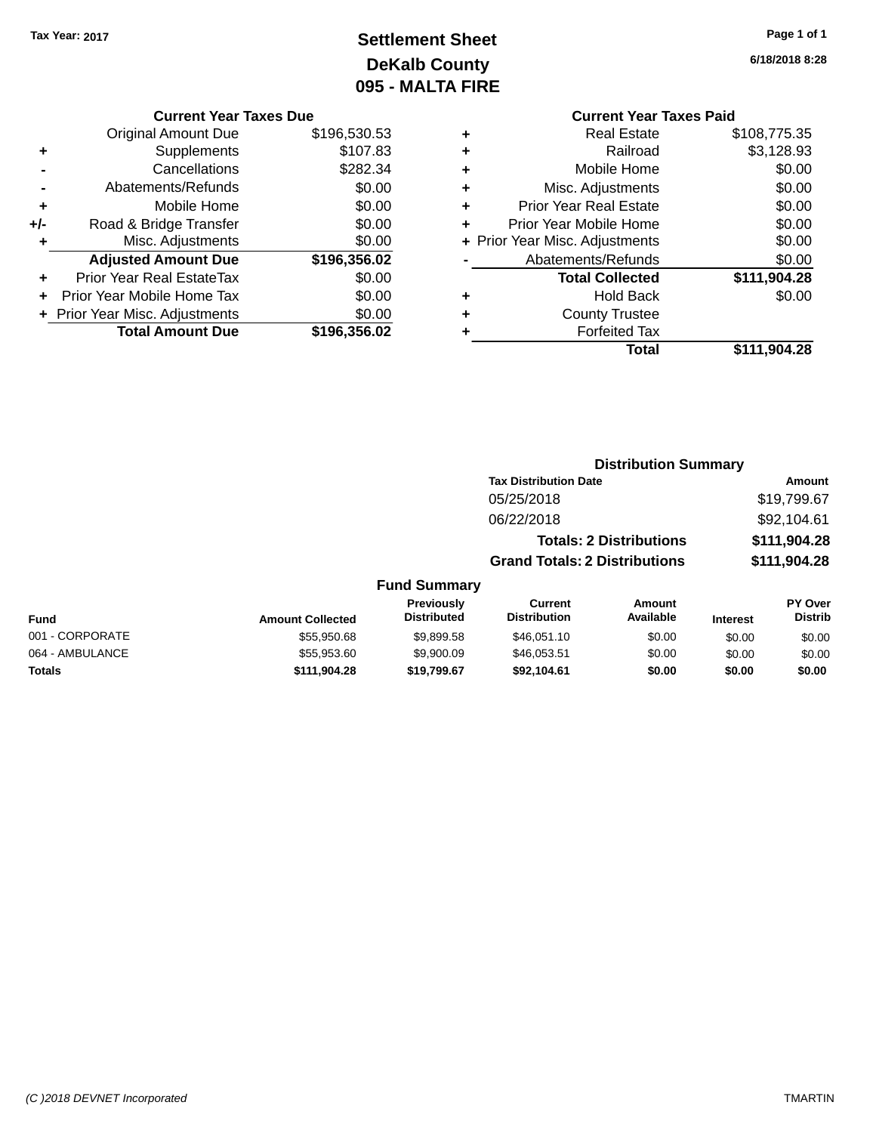# **Settlement Sheet Tax Year: 2017 Page 1 of 1 DeKalb County 095 - MALTA FIRE**

**6/18/2018 8:28**

|       | <b>Current Year Taxes Due</b>  |              |
|-------|--------------------------------|--------------|
|       | <b>Original Amount Due</b>     | \$196,530.53 |
| ٠     | Supplements                    | \$107.83     |
|       | Cancellations                  | \$282.34     |
|       | Abatements/Refunds             | \$0.00       |
| ٠     | Mobile Home                    | \$0.00       |
| $+/-$ | Road & Bridge Transfer         | \$0.00       |
| ٠     | Misc. Adjustments              | \$0.00       |
|       | <b>Adjusted Amount Due</b>     | \$196,356.02 |
| ÷     | Prior Year Real EstateTax      | \$0.00       |
|       | Prior Year Mobile Home Tax     | \$0.00       |
|       | + Prior Year Misc. Adjustments | \$0.00       |
|       | <b>Total Amount Due</b>        | \$196,356.02 |
|       |                                |              |

## **Current Year Taxes Paid +** Real Estate \$108,775.35 **+** Railroad \$3,128.93 **+** Mobile Home \$0.00 **+** Misc. Adjustments \$0.00 **+** Prior Year Real Estate \$0.00 **+** Prior Year Mobile Home \$0.00<br> **+ Prior Year Misc. Adiustments \$0.00 +** Prior Year Misc. Adjustments

|                | Total                  | \$111,904.28 |
|----------------|------------------------|--------------|
| ٠              | <b>Forfeited Tax</b>   |              |
| ٠              | <b>County Trustee</b>  |              |
| ٠              | <b>Hold Back</b>       | \$0.00       |
|                | <b>Total Collected</b> | \$111,904.28 |
| $\blacksquare$ | Abatements/Refunds     | \$0.00       |
|                |                        |              |

## **Distribution Summary Tax Distribution Date Amount** 05/25/2018 \$19,799.67 06/22/2018 \$92,104.61 **Totals: 2 Distributions \$111,904.28 Grand Totals: 2 Distributions \$111,904.28**

| Fund            | <b>Amount Collected</b> | <b>Previously</b><br><b>Distributed</b> | Current<br><b>Distribution</b> | Amount<br>Available | <b>Interest</b> | <b>PY Over</b><br><b>Distrib</b> |
|-----------------|-------------------------|-----------------------------------------|--------------------------------|---------------------|-----------------|----------------------------------|
| 001 - CORPORATE | \$55,950.68             | \$9,899.58                              | \$46,051.10                    | \$0.00              | \$0.00          | \$0.00                           |
| 064 - AMBULANCE | \$55.953.60             | \$9.900.09                              | \$46,053,51                    | \$0.00              | \$0.00          | \$0.00                           |
| <b>Totals</b>   | \$111.904.28            | \$19.799.67                             | \$92.104.61                    | \$0.00              | \$0.00          | \$0.00                           |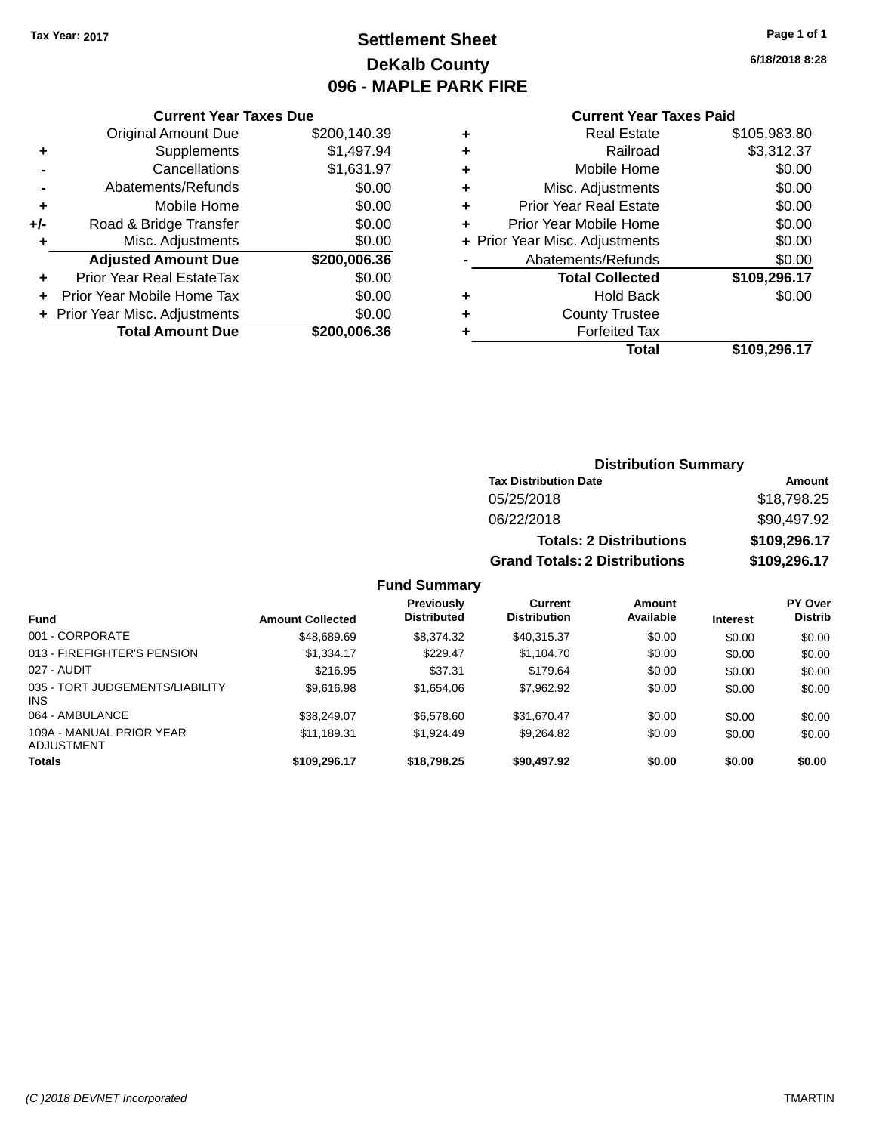# **Settlement Sheet Tax Year: 2017 Page 1 of 1 DeKalb County 096 - MAPLE PARK FIRE**

**6/18/2018 8:28**

#### **Current Year Taxes Paid**

|     | <b>Current Year Taxes Due</b>  |              |  |
|-----|--------------------------------|--------------|--|
|     | <b>Original Amount Due</b>     | \$200,140.39 |  |
| ٠   | Supplements                    | \$1,497.94   |  |
|     | Cancellations                  | \$1,631.97   |  |
|     | Abatements/Refunds             | \$0.00       |  |
| ٠   | Mobile Home                    | \$0.00       |  |
| +/- | Road & Bridge Transfer         | \$0.00       |  |
| ٠   | Misc. Adjustments              | \$0.00       |  |
|     | <b>Adjusted Amount Due</b>     | \$200,006.36 |  |
| ٠   | Prior Year Real EstateTax      | \$0.00       |  |
|     | Prior Year Mobile Home Tax     | \$0.00       |  |
|     | + Prior Year Misc. Adjustments | \$0.00       |  |
|     | <b>Total Amount Due</b>        | \$200.006.36 |  |

| ٠ | <b>Real Estate</b>             | \$105,983.80 |
|---|--------------------------------|--------------|
| ٠ | Railroad                       | \$3,312.37   |
| ٠ | Mobile Home                    | \$0.00       |
| ٠ | Misc. Adjustments              | \$0.00       |
| ٠ | <b>Prior Year Real Estate</b>  | \$0.00       |
| ٠ | Prior Year Mobile Home         | \$0.00       |
|   | + Prior Year Misc. Adjustments | \$0.00       |
|   | Abatements/Refunds             | \$0.00       |
|   | <b>Total Collected</b>         | \$109,296.17 |
| ٠ | Hold Back                      | \$0.00       |
| ٠ | <b>County Trustee</b>          |              |
| ٠ | <b>Forfeited Tax</b>           |              |
|   | Total                          | \$109,296.17 |
|   |                                |              |

## **Distribution Summary Tax Distribution Date Amount** 05/25/2018 \$18,798.25 06/22/2018 \$90,497.92 **Totals: 2 Distributions \$109,296.17 Grand Totals: 2 Distributions \$109,296.17**

|                                               |                         | <b>Previously</b>  | <b>Current</b>      | Amount    |                 | <b>PY Over</b> |
|-----------------------------------------------|-------------------------|--------------------|---------------------|-----------|-----------------|----------------|
| <b>Fund</b>                                   | <b>Amount Collected</b> | <b>Distributed</b> | <b>Distribution</b> | Available | <b>Interest</b> | <b>Distrib</b> |
| 001 - CORPORATE                               | \$48,689.69             | \$8,374,32         | \$40,315.37         | \$0.00    | \$0.00          | \$0.00         |
| 013 - FIREFIGHTER'S PENSION                   | \$1,334.17              | \$229.47           | \$1,104.70          | \$0.00    | \$0.00          | \$0.00         |
| 027 - AUDIT                                   | \$216.95                | \$37.31            | \$179.64            | \$0.00    | \$0.00          | \$0.00         |
| 035 - TORT JUDGEMENTS/LIABILITY<br><b>INS</b> | \$9.616.98              | \$1.654.06         | \$7,962.92          | \$0.00    | \$0.00          | \$0.00         |
| 064 - AMBULANCE                               | \$38,249.07             | \$6,578,60         | \$31.670.47         | \$0.00    | \$0.00          | \$0.00         |
| 109A - MANUAL PRIOR YEAR<br>ADJUSTMENT        | \$11.189.31             | \$1.924.49         | \$9,264.82          | \$0.00    | \$0.00          | \$0.00         |
| <b>Totals</b>                                 | \$109,296.17            | \$18,798.25        | \$90,497.92         | \$0.00    | \$0.00          | \$0.00         |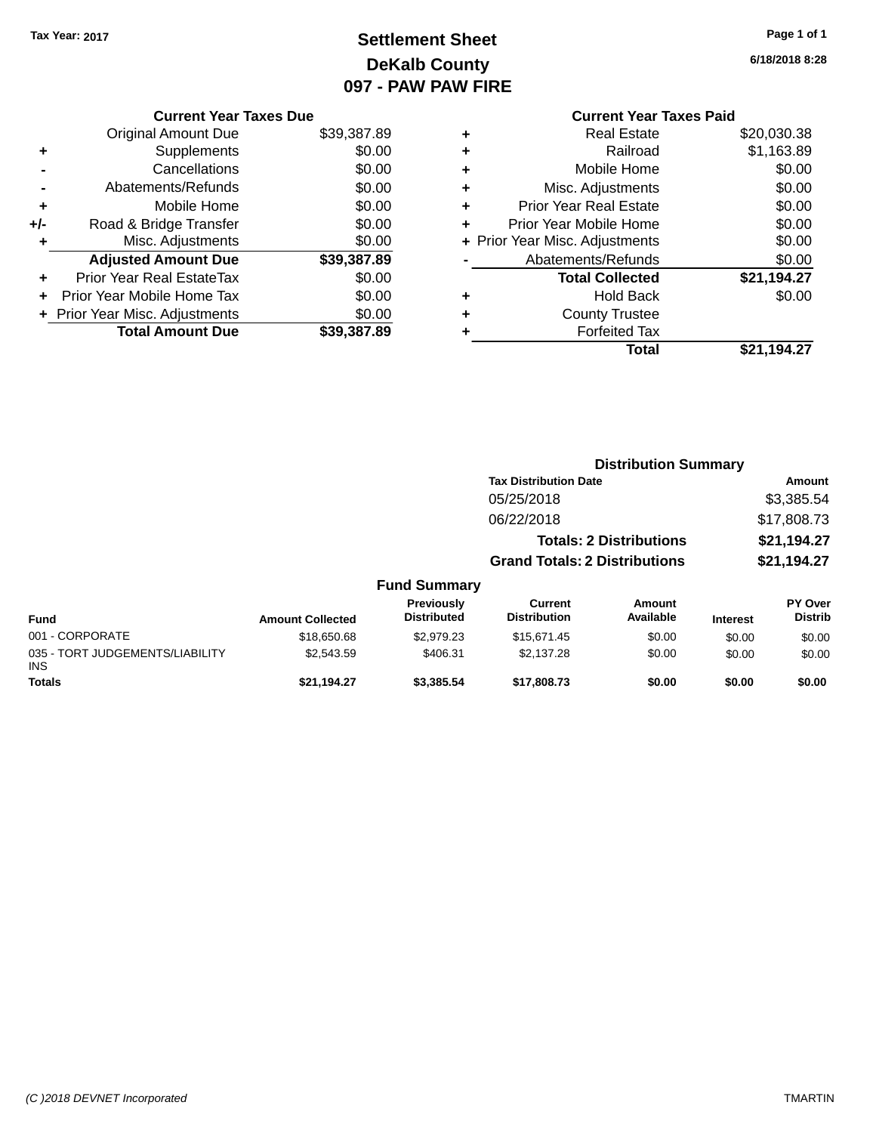# **Settlement Sheet Tax Year: 2017 Page 1 of 1 DeKalb County 097 - PAW PAW FIRE**

**6/18/2018 8:28**

**Total \$21,194.27**

|     | <b>Current Year Taxes Due</b>  |             |
|-----|--------------------------------|-------------|
|     | <b>Original Amount Due</b>     | \$39,387.89 |
| ٠   | Supplements                    | \$0.00      |
|     | Cancellations                  | \$0.00      |
|     | Abatements/Refunds             | \$0.00      |
| ٠   | Mobile Home                    | \$0.00      |
| +/- | Road & Bridge Transfer         | \$0.00      |
| ٠   | Misc. Adjustments              | \$0.00      |
|     | <b>Adjusted Amount Due</b>     | \$39,387.89 |
| ٠   | Prior Year Real EstateTax      | \$0.00      |
|     | Prior Year Mobile Home Tax     | \$0.00      |
|     | + Prior Year Misc. Adjustments | \$0.00      |
|     | <b>Total Amount Due</b>        | \$39,387.89 |
|     |                                |             |

## **Current Year Taxes Paid +** Real Estate \$20,030.38 **+** Railroad \$1,163.89 **+** Mobile Home \$0.00 **+** Misc. Adjustments \$0.00 **+** Prior Year Real Estate \$0.00 **+** Prior Year Mobile Home \$0.00 **+ Prior Year Misc. Adjustments**  $$0.00$ **-** Abatements/Refunds \$0.00 **Total Collected \$21,194.27 +** Hold Back \$0.00

|   | Total                |
|---|----------------------|
| ÷ | <b>Forfeited Tax</b> |
|   |                      |

**+** County Trustee

|                                         |                         |                                         |                                       | <b>Distribution Summary</b>    |                 |                                  |
|-----------------------------------------|-------------------------|-----------------------------------------|---------------------------------------|--------------------------------|-----------------|----------------------------------|
|                                         |                         |                                         | <b>Tax Distribution Date</b>          |                                |                 | Amount                           |
|                                         |                         |                                         | 05/25/2018                            |                                |                 | \$3,385.54                       |
|                                         |                         |                                         | 06/22/2018                            |                                |                 | \$17,808.73                      |
|                                         |                         |                                         |                                       | <b>Totals: 2 Distributions</b> |                 | \$21,194.27                      |
|                                         |                         |                                         | <b>Grand Totals: 2 Distributions</b>  |                                |                 | \$21,194.27                      |
|                                         |                         | <b>Fund Summary</b>                     |                                       |                                |                 |                                  |
| <b>Fund</b>                             | <b>Amount Collected</b> | <b>Previously</b><br><b>Distributed</b> | <b>Current</b><br><b>Distribution</b> | <b>Amount</b><br>Available     | <b>Interest</b> | <b>PY Over</b><br><b>Distrib</b> |
| 001 - CORPORATE                         | \$18,650.68             | \$2.979.23                              | \$15,671.45                           | \$0.00                         | \$0.00          | \$0.00                           |
| 035 - TORT JUDGEMENTS/LIABILITY<br>INS. | \$2,543.59              | \$406.31                                | \$2,137.28                            | \$0.00                         | \$0.00          | \$0.00                           |
| <b>Totals</b>                           | \$21,194.27             | \$3.385.54                              | \$17,808,73                           | \$0.00                         | \$0.00          | \$0.00                           |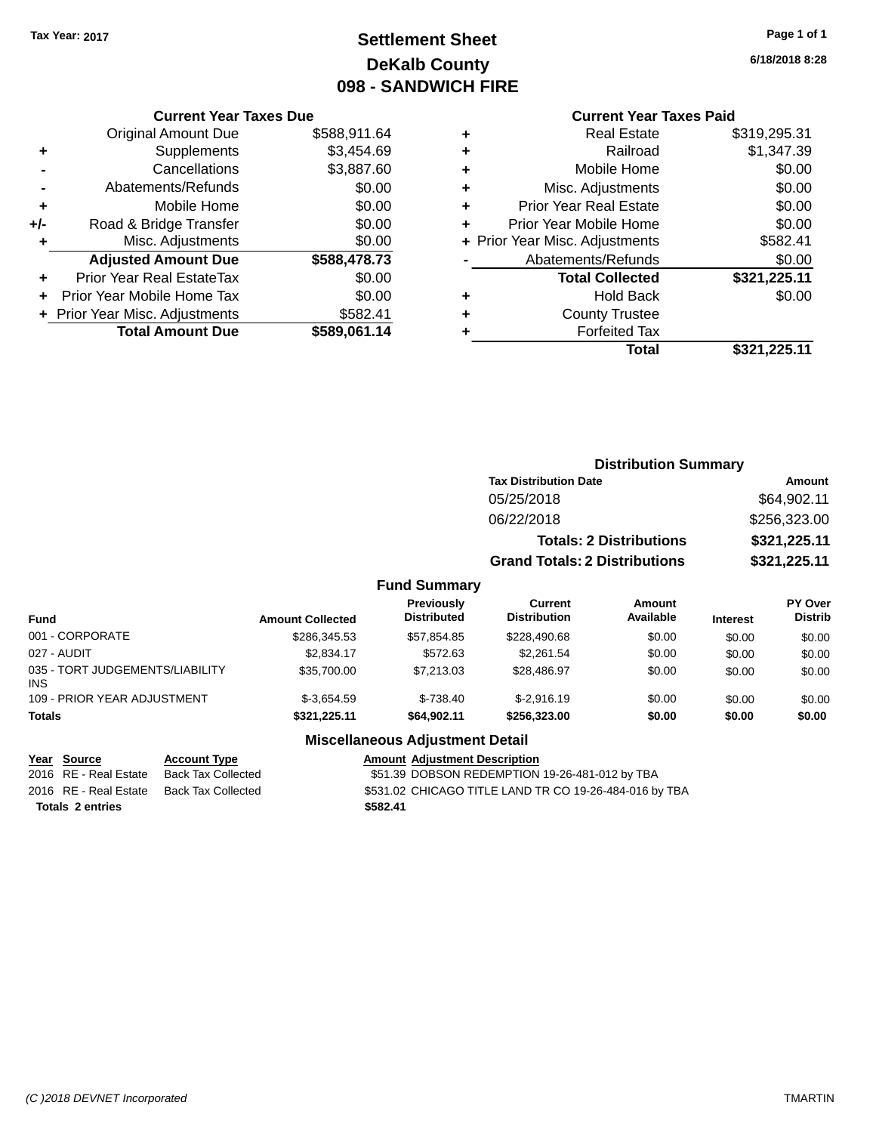# **Settlement Sheet Tax Year: 2017 Page 1 of 1 DeKalb County 098 - SANDWICH FIRE**

**6/18/2018 8:28**

## **Current Year Taxes Paid**

|       | <b>Current Year Taxes Due</b>  |              |
|-------|--------------------------------|--------------|
|       | <b>Original Amount Due</b>     | \$588,911.64 |
| ٠     | Supplements                    | \$3,454.69   |
|       | Cancellations                  | \$3,887.60   |
|       | Abatements/Refunds             | \$0.00       |
| ٠     | Mobile Home                    | \$0.00       |
| $+/-$ | Road & Bridge Transfer         | \$0.00       |
| ÷     | Misc. Adjustments              | \$0.00       |
|       | <b>Adjusted Amount Due</b>     | \$588,478.73 |
| ٠     | Prior Year Real EstateTax      | \$0.00       |
|       | Prior Year Mobile Home Tax     | \$0.00       |
|       | + Prior Year Misc. Adjustments | \$582.41     |
|       | <b>Total Amount Due</b>        | \$589,061.14 |
|       |                                |              |

| ٠ | <b>Real Estate</b>             | \$319,295.31 |
|---|--------------------------------|--------------|
| ٠ | Railroad                       | \$1,347.39   |
| ٠ | Mobile Home                    | \$0.00       |
| ٠ | Misc. Adjustments              | \$0.00       |
| ٠ | <b>Prior Year Real Estate</b>  | \$0.00       |
| ٠ | Prior Year Mobile Home         | \$0.00       |
|   | + Prior Year Misc. Adjustments | \$582.41     |
|   | Abatements/Refunds             | \$0.00       |
|   | <b>Total Collected</b>         | \$321,225.11 |
| ٠ | <b>Hold Back</b>               | \$0.00       |
|   | <b>County Trustee</b>          |              |
| ٠ | <b>Forfeited Tax</b>           |              |
|   | Total                          | \$321,225.11 |
|   |                                |              |

|                   |                                      | <b>Distribution Summary</b>    |                |
|-------------------|--------------------------------------|--------------------------------|----------------|
|                   | <b>Tax Distribution Date</b>         |                                | Amount         |
|                   | 05/25/2018                           |                                | \$64,902.11    |
|                   | 06/22/2018                           |                                | \$256,323.00   |
|                   |                                      | <b>Totals: 2 Distributions</b> | \$321,225.11   |
|                   | <b>Grand Totals: 2 Distributions</b> |                                | \$321,225.11   |
| <b>nd Summary</b> |                                      |                                |                |
| <b>Previously</b> | <b>Current</b>                       | Amount                         | <b>PY Over</b> |

#### **Fund Summary**

| <b>Fund</b>                                   | <b>Amount Collected</b> | Previously<br><b>Distributed</b> | Current<br><b>Distribution</b> | Amount<br>Available | <b>Interest</b> | PY Over<br><b>Distrib</b> |
|-----------------------------------------------|-------------------------|----------------------------------|--------------------------------|---------------------|-----------------|---------------------------|
| 001 - CORPORATE                               | \$286,345.53            | \$57.854.85                      | \$228,490.68                   | \$0.00              | \$0.00          | \$0.00                    |
| 027 - AUDIT                                   | \$2,834.17              | \$572.63                         | \$2,261.54                     | \$0.00              | \$0.00          | \$0.00                    |
| 035 - TORT JUDGEMENTS/LIABILITY<br><b>INS</b> | \$35,700.00             | \$7,213,03                       | \$28,486.97                    | \$0.00              | \$0.00          | \$0.00                    |
| 109 - PRIOR YEAR ADJUSTMENT                   | $$-3.654.59$            | $$-738.40$                       | $$-2.916.19$                   | \$0.00              | \$0.00          | \$0.00                    |
| <b>Totals</b>                                 | \$321.225.11            | \$64.902.11                      | \$256.323.00                   | \$0.00              | \$0.00          | \$0.00                    |

#### **Miscellaneous Adjustment Detail**

#### **Year Source Account Type Amount Adjustment Description** 2016 RE - Real Estate Back Tax Collected \$51.39 DOBSON REDEMPTION 19-26-481-012 by TBA

**Totals 2 entries \$582.41**

2016 RE - Real Estate Back Tax Collected \$531.02 CHICAGO TITLE LAND TR CO 19-26-484-016 by TBA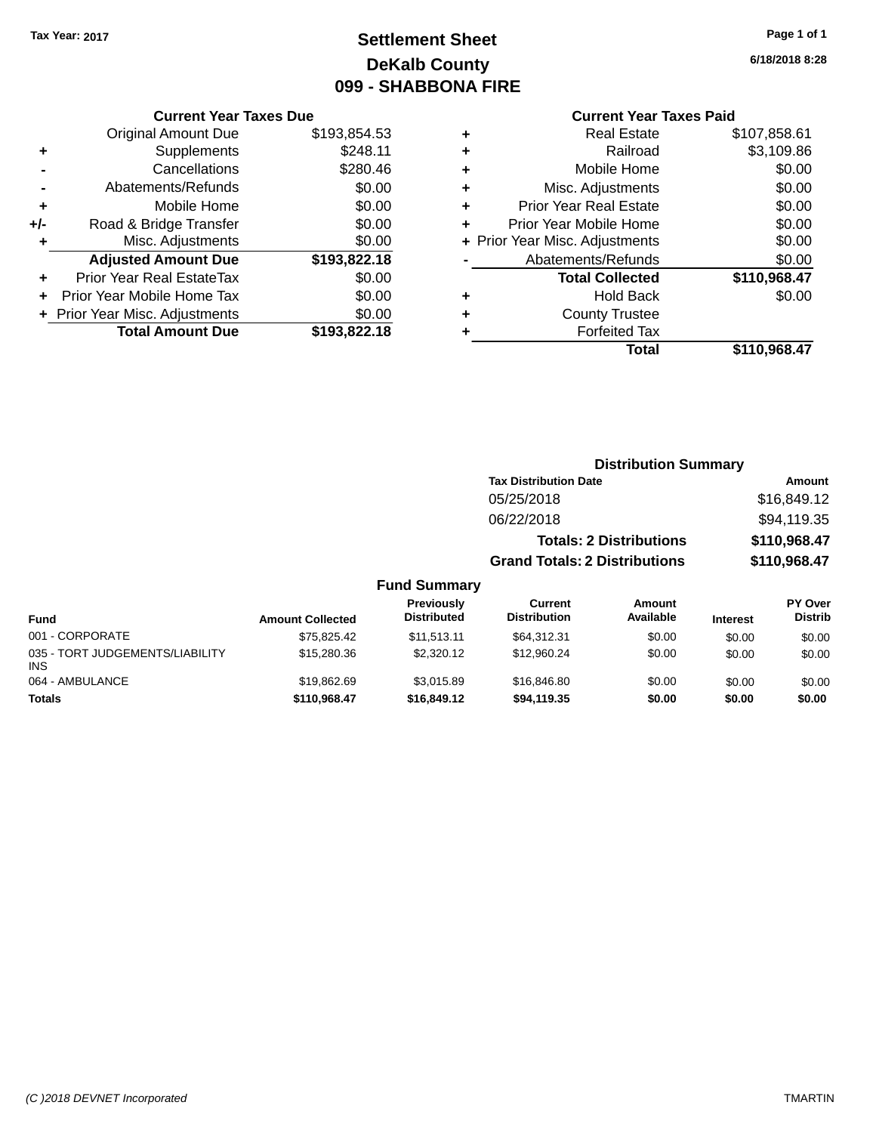# **Settlement Sheet Tax Year: 2017 Page 1 of 1 DeKalb County 099 - SHABBONA FIRE**

**Current Year Taxes Due**

|       | <b>Original Amount Due</b>     | \$193,854.53 |
|-------|--------------------------------|--------------|
| ٠     | Supplements                    | \$248.11     |
|       | Cancellations                  | \$280.46     |
|       | Abatements/Refunds             | \$0.00       |
| ٠     | Mobile Home                    | \$0.00       |
| $+/-$ | Road & Bridge Transfer         | \$0.00       |
|       | Misc. Adjustments              | \$0.00       |
|       | <b>Adjusted Amount Due</b>     | \$193,822.18 |
| ÷     | Prior Year Real EstateTax      | \$0.00       |
|       | Prior Year Mobile Home Tax     | \$0.00       |
|       | + Prior Year Misc. Adjustments | \$0.00       |
|       | <b>Total Amount Due</b>        | \$193,822.18 |
|       |                                |              |

## **Current Year Taxes Paid**

|   | <b>Real Estate</b>             | \$107,858.61 |
|---|--------------------------------|--------------|
| ٠ | Railroad                       | \$3,109.86   |
| ٠ | Mobile Home                    | \$0.00       |
| ٠ | Misc. Adjustments              | \$0.00       |
| ٠ | <b>Prior Year Real Estate</b>  | \$0.00       |
| ÷ | Prior Year Mobile Home         | \$0.00       |
|   | + Prior Year Misc. Adjustments | \$0.00       |
|   | Abatements/Refunds             | \$0.00       |
|   | <b>Total Collected</b>         | \$110,968.47 |
| ٠ | Hold Back                      | \$0.00       |
| ٠ | <b>County Trustee</b>          |              |
| ٠ | <b>Forfeited Tax</b>           |              |
|   | Total                          | \$110,968.47 |
|   |                                |              |

| <b>Distribution Summary</b>          |              |  |  |  |
|--------------------------------------|--------------|--|--|--|
| <b>Tax Distribution Date</b>         | Amount       |  |  |  |
| 05/25/2018                           | \$16,849.12  |  |  |  |
| 06/22/2018                           | \$94,119.35  |  |  |  |
| <b>Totals: 2 Distributions</b>       | \$110,968.47 |  |  |  |
| <b>Grand Totals: 2 Distributions</b> | \$110,968.47 |  |  |  |

## **Fund Summary**

| Fund                                          | <b>Amount Collected</b> | <b>Previously</b><br><b>Distributed</b> | Current<br><b>Distribution</b> | Amount<br>Available | <b>Interest</b> | <b>PY Over</b><br><b>Distrib</b> |
|-----------------------------------------------|-------------------------|-----------------------------------------|--------------------------------|---------------------|-----------------|----------------------------------|
| 001 - CORPORATE                               | \$75.825.42             | \$11.513.11                             | \$64.312.31                    | \$0.00              | \$0.00          | \$0.00                           |
| 035 - TORT JUDGEMENTS/LIABILITY<br><b>INS</b> | \$15,280.36             | \$2,320.12                              | \$12,960.24                    | \$0.00              | \$0.00          | \$0.00                           |
| 064 - AMBULANCE                               | \$19,862.69             | \$3.015.89                              | \$16,846.80                    | \$0.00              | \$0.00          | \$0.00                           |
| Totals                                        | \$110,968.47            | \$16,849,12                             | \$94,119.35                    | \$0.00              | \$0.00          | \$0.00                           |

**6/18/2018 8:28**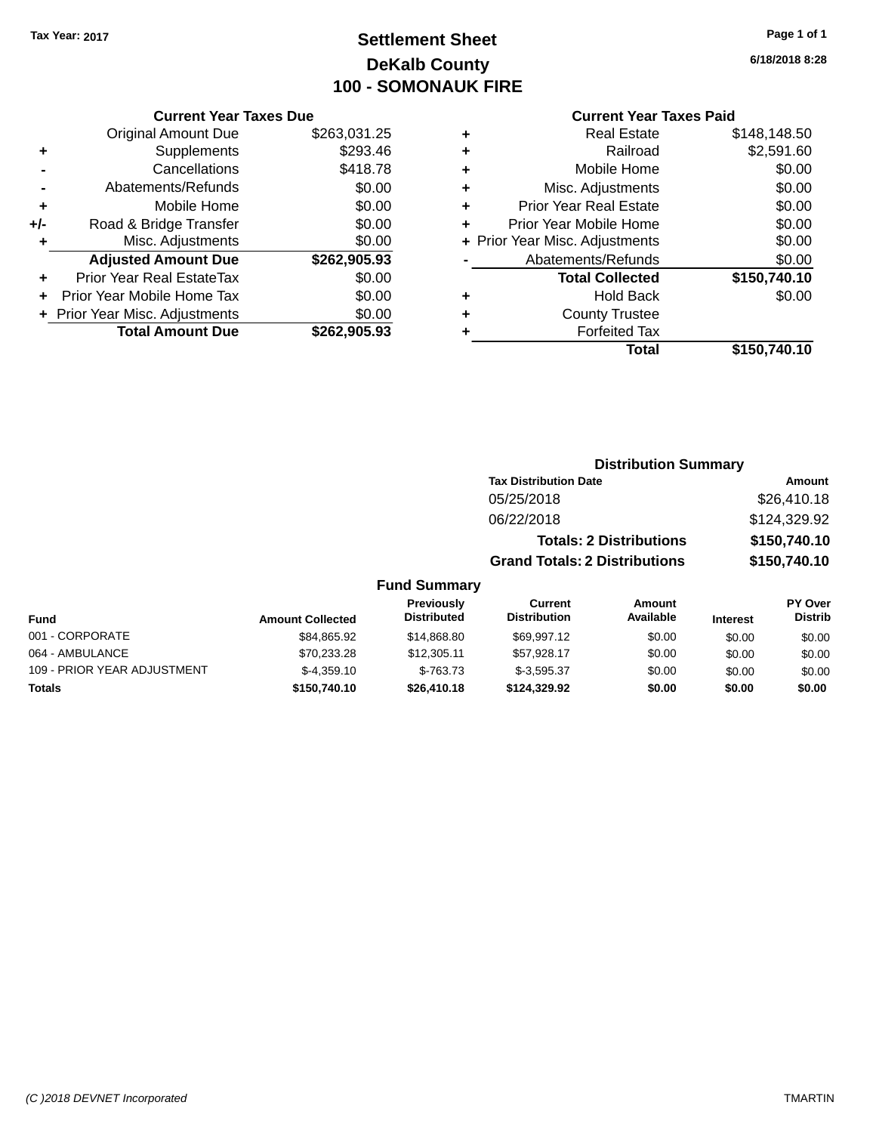# **Settlement Sheet Tax Year: 2017 Page 1 of 1 DeKalb County 100 - SOMONAUK FIRE**

#### **Current Year Taxes Due**

|     | <b>Original Amount Due</b>       | \$263,031.25 |
|-----|----------------------------------|--------------|
| ٠   | Supplements                      | \$293.46     |
|     | Cancellations                    | \$418.78     |
|     | Abatements/Refunds               | \$0.00       |
| ٠   | Mobile Home                      | \$0.00       |
| +/- | Road & Bridge Transfer           | \$0.00       |
| ٠   | Misc. Adjustments                | \$0.00       |
|     | <b>Adjusted Amount Due</b>       | \$262,905.93 |
| ÷   | <b>Prior Year Real EstateTax</b> | \$0.00       |
|     | Prior Year Mobile Home Tax       | \$0.00       |
|     | + Prior Year Misc. Adjustments   | \$0.00       |
|     | <b>Total Amount Due</b>          | \$262,905.93 |

## **Current Year Taxes Paid**

| ٠ | <b>Real Estate</b>             | \$148,148.50 |
|---|--------------------------------|--------------|
| ٠ | Railroad                       | \$2,591.60   |
| ٠ | Mobile Home                    | \$0.00       |
| ٠ | Misc. Adjustments              | \$0.00       |
| ٠ | <b>Prior Year Real Estate</b>  | \$0.00       |
| ÷ | Prior Year Mobile Home         | \$0.00       |
|   | + Prior Year Misc. Adjustments | \$0.00       |
|   | Abatements/Refunds             | \$0.00       |
|   | <b>Total Collected</b>         | \$150,740.10 |
| ٠ | Hold Back                      | \$0.00       |
| ٠ | <b>County Trustee</b>          |              |
| ٠ | <b>Forfeited Tax</b>           |              |
|   | Total                          | \$150,740.10 |
|   |                                |              |

## **Distribution Summary Tax Distribution Date Amount** 05/25/2018 \$26,410.18 06/22/2018 \$124,329.92 **Totals: 2 Distributions \$150,740.10 Grand Totals: 2 Distributions \$150,740.10**

| <b>Fund</b>                 | <b>Amount Collected</b> | <b>Previously</b><br><b>Distributed</b> | Current<br><b>Distribution</b> | Amount<br>Available | <b>Interest</b> | PY Over<br><b>Distrib</b> |
|-----------------------------|-------------------------|-----------------------------------------|--------------------------------|---------------------|-----------------|---------------------------|
| 001 - CORPORATE             | \$84,865.92             | \$14,868,80                             | \$69.997.12                    | \$0.00              | \$0.00          | \$0.00                    |
| 064 - AMBULANCE             | \$70,233.28             | \$12,305.11                             | \$57.928.17                    | \$0.00              | \$0.00          | \$0.00                    |
| 109 - PRIOR YEAR ADJUSTMENT | $$-4,359.10$            | $$-763.73$                              | $$-3,595.37$                   | \$0.00              | \$0.00          | \$0.00                    |
| <b>Totals</b>               | \$150,740.10            | \$26,410.18                             | \$124.329.92                   | \$0.00              | \$0.00          | \$0.00                    |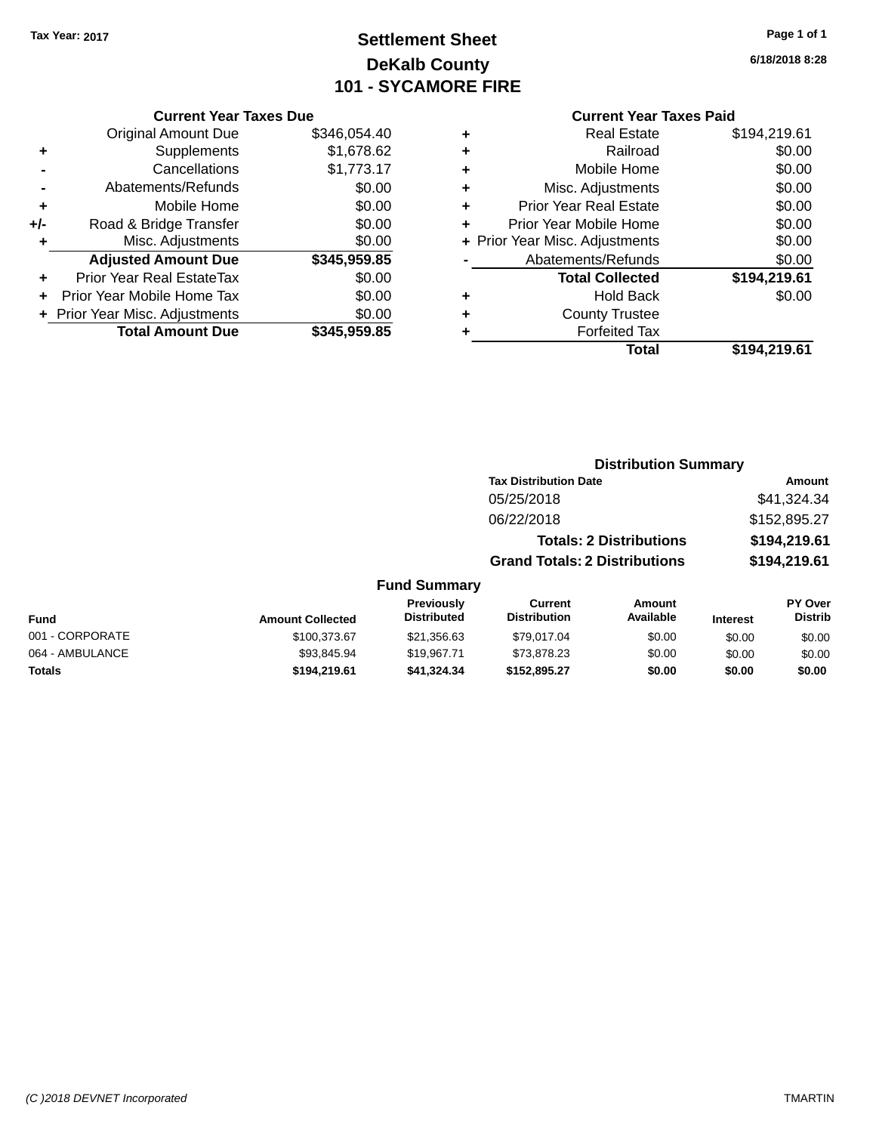# **Settlement Sheet Tax Year: 2017 Page 1 of 1 DeKalb County 101 - SYCAMORE FIRE**

**6/18/2018 8:28**

|       | <b>Current Year Taxes Due</b>  |              |
|-------|--------------------------------|--------------|
|       | <b>Original Amount Due</b>     | \$346,054.40 |
|       | Supplements                    | \$1,678.62   |
|       | Cancellations                  | \$1,773.17   |
|       | Abatements/Refunds             | \$0.00       |
| ٠     | Mobile Home                    | \$0.00       |
| $+/-$ | Road & Bridge Transfer         | \$0.00       |
| ٠     | Misc. Adjustments              | \$0.00       |
|       | <b>Adjusted Amount Due</b>     | \$345,959.85 |
| ÷     | Prior Year Real EstateTax      | \$0.00       |
|       | Prior Year Mobile Home Tax     | \$0.00       |
|       | + Prior Year Misc. Adjustments | \$0.00       |
|       | <b>Total Amount Due</b>        | \$345.959.85 |
|       |                                |              |

#### **Current Year Taxes Paid +** Real Estate \$194,219.61 **+** Railroad \$0.00 **+** Mobile Home \$0.00 **+** Misc. Adjustments \$0.00 **+** Prior Year Real Estate \$0.00

|           | Total                          | \$194,219.61 |
|-----------|--------------------------------|--------------|
| $\ddot{}$ | <b>Forfeited Tax</b>           |              |
| ÷         | <b>County Trustee</b>          |              |
|           | <b>Hold Back</b>               | \$0.00       |
|           | <b>Total Collected</b>         | \$194,219.61 |
|           | Abatements/Refunds             | \$0.00       |
|           | + Prior Year Misc. Adjustments | \$0.00       |
|           | Prior Year Mobile Home         | \$0.00       |
|           | T TIVI TUAT INUAT LUIANU       | ⊎∪.∪∪        |

## **Distribution Summary Tax Distribution Date Amount** 05/25/2018 \$41,324.34 06/22/2018 \$152,895.27 **Totals: 2 Distributions \$194,219.61 Grand Totals: 2 Distributions \$194,219.61 Fund Summary**

| <b>Fund</b>     | <b>Amount Collected</b> | <b>Previously</b><br><b>Distributed</b> | Current<br><b>Distribution</b> | Amount<br>Available | <b>Interest</b> | <b>PY Over</b><br><b>Distrib</b> |
|-----------------|-------------------------|-----------------------------------------|--------------------------------|---------------------|-----------------|----------------------------------|
| 001 - CORPORATE | \$100.373.67            | \$21,356.63                             | \$79.017.04                    | \$0.00              | \$0.00          | \$0.00                           |
| 064 - AMBULANCE | \$93.845.94             | \$19,967.71                             | \$73.878.23                    | \$0.00              | \$0.00          | \$0.00                           |
| <b>Totals</b>   | \$194,219,61            | \$41.324.34                             | \$152.895.27                   | \$0.00              | \$0.00          | \$0.00                           |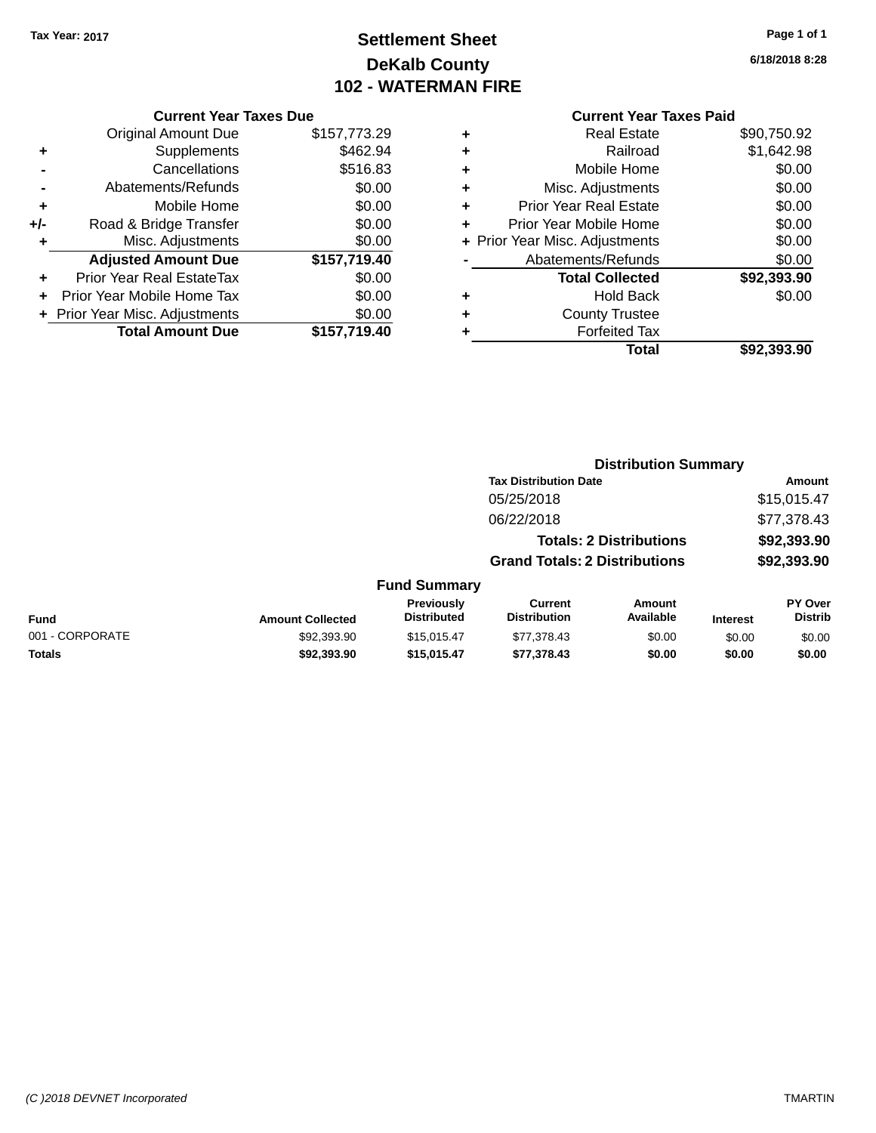# **Settlement Sheet Tax Year: 2017 Page 1 of 1 DeKalb County 102 - WATERMAN FIRE**

**6/18/2018 8:28**

## **Current Year Taxes Paid**

|     | <b>Current Year Taxes Due</b>  |              |
|-----|--------------------------------|--------------|
|     | <b>Original Amount Due</b>     | \$157,773.29 |
| ٠   | Supplements                    | \$462.94     |
|     | Cancellations                  | \$516.83     |
| -   | Abatements/Refunds             | \$0.00       |
| ٠   | Mobile Home                    | \$0.00       |
| +/- | Road & Bridge Transfer         | \$0.00       |
| ٠   | Misc. Adjustments              | \$0.00       |
|     | <b>Adjusted Amount Due</b>     | \$157,719.40 |
| ٠   | Prior Year Real EstateTax      | \$0.00       |
| ÷   | Prior Year Mobile Home Tax     | \$0.00       |
|     | + Prior Year Misc. Adjustments | \$0.00       |
|     | <b>Total Amount Due</b>        | \$157,719.40 |
|     |                                |              |

| <b>County Trustee</b>          |                      |
|--------------------------------|----------------------|
| <b>Hold Back</b>               | \$0.00               |
| <b>Total Collected</b>         | \$92,393.90          |
| Abatements/Refunds             | \$0.00               |
| + Prior Year Misc. Adjustments | \$0.00               |
| Prior Year Mobile Home         | \$0.00               |
| <b>Prior Year Real Estate</b>  | \$0.00               |
| Misc. Adjustments              | \$0.00               |
| Mobile Home                    | \$0.00               |
| Railroad                       | \$1,642.98           |
| <b>Real Estate</b>             | \$90,750.92          |
|                                | <b>Forfeited Tax</b> |

|                 |                         |                                  | <b>Distribution Summary</b>          |                                |                 |                           |
|-----------------|-------------------------|----------------------------------|--------------------------------------|--------------------------------|-----------------|---------------------------|
|                 |                         |                                  | <b>Tax Distribution Date</b>         |                                |                 | <b>Amount</b>             |
|                 |                         |                                  | 05/25/2018                           |                                |                 | \$15,015.47               |
|                 |                         |                                  | 06/22/2018                           |                                |                 | \$77,378.43               |
|                 |                         |                                  |                                      | <b>Totals: 2 Distributions</b> |                 | \$92,393.90               |
|                 |                         |                                  | <b>Grand Totals: 2 Distributions</b> |                                |                 | \$92,393.90               |
|                 |                         | <b>Fund Summary</b>              |                                      |                                |                 |                           |
| Fund            | <b>Amount Collected</b> | Previously<br><b>Distributed</b> | Current<br><b>Distribution</b>       | Amount<br>Available            | <b>Interest</b> | PY Over<br><b>Distrib</b> |
| 001 - CORPORATE | \$92,393.90             | \$15,015.47                      | \$77,378.43                          | \$0.00                         | \$0.00          | \$0.00                    |
| <b>Totals</b>   | \$92,393.90             | \$15.015.47                      | \$77,378.43                          | \$0.00                         | \$0.00          | \$0.00                    |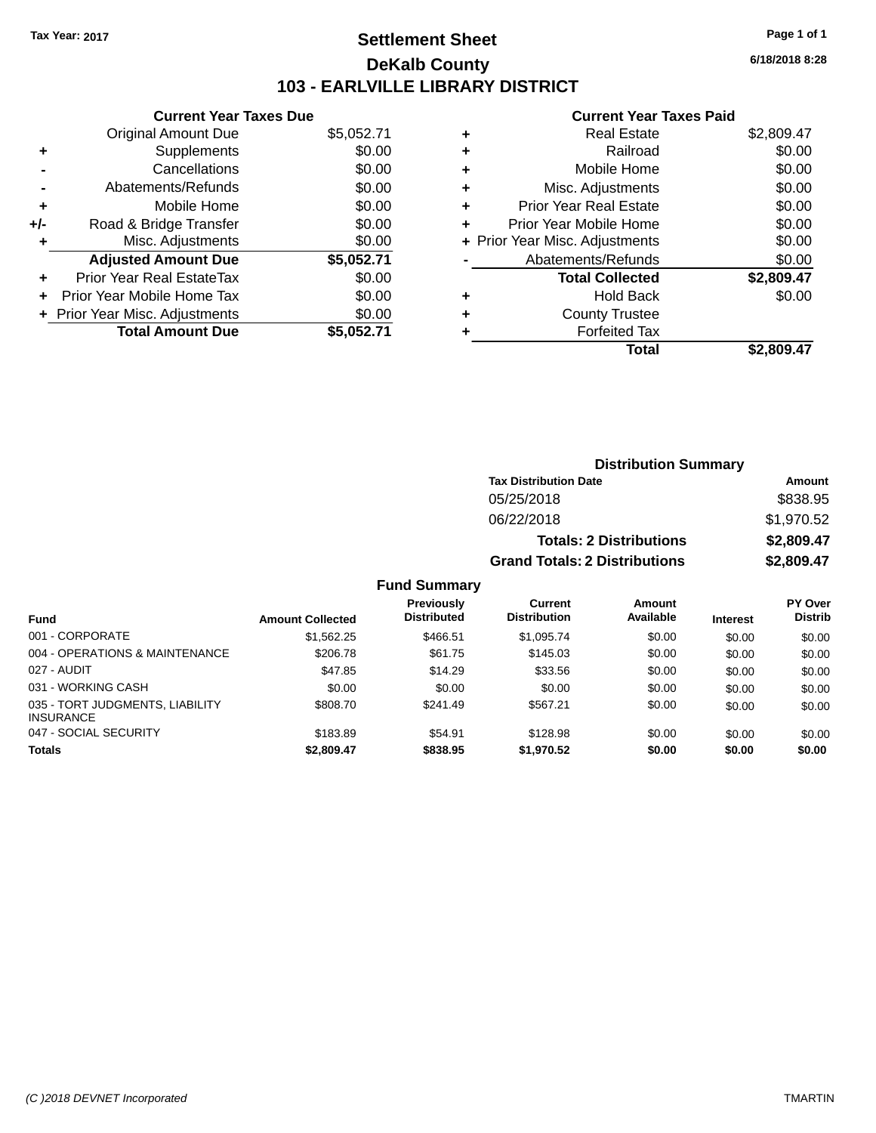# **Settlement Sheet Tax Year: 2017 Page 1 of 1 DeKalb County 103 - EARLVILLE LIBRARY DISTRICT**

**6/18/2018 8:28**

#### **Current Year Taxes Paid**

|     | <b>Current Year Taxes Due</b>  |            |
|-----|--------------------------------|------------|
|     | <b>Original Amount Due</b>     | \$5,052.71 |
| ٠   | Supplements                    | \$0.00     |
|     | Cancellations                  | \$0.00     |
|     | Abatements/Refunds             | \$0.00     |
| ٠   | Mobile Home                    | \$0.00     |
| +/- | Road & Bridge Transfer         | \$0.00     |
|     | Misc. Adjustments              | \$0.00     |
|     | <b>Adjusted Amount Due</b>     | \$5,052.71 |
| ÷   | Prior Year Real EstateTax      | \$0.00     |
|     | Prior Year Mobile Home Tax     | \$0.00     |
|     | + Prior Year Misc. Adjustments | \$0.00     |
|     | <b>Total Amount Due</b>        | \$5,052.71 |

| \$2,809.47 |
|------------|
| \$0.00     |
| \$0.00     |
| \$0.00     |
| \$0.00     |
| \$0.00     |
| \$0.00     |
| \$0.00     |
| \$2,809.47 |
| \$0.00     |
|            |
|            |
| \$2.809.47 |
|            |

| <b>Distribution Summary</b>                  |            |  |  |
|----------------------------------------------|------------|--|--|
| <b>Tax Distribution Date</b>                 | Amount     |  |  |
| 05/25/2018                                   | \$838.95   |  |  |
| 06/22/2018                                   | \$1,970.52 |  |  |
| \$2,809.47<br><b>Totals: 2 Distributions</b> |            |  |  |
| <b>Grand Totals: 2 Distributions</b>         | \$2,809.47 |  |  |

| <b>Fund</b>                                         | <b>Amount Collected</b> | <b>Previously</b><br><b>Distributed</b> | Current<br><b>Distribution</b> | Amount<br>Available | <b>Interest</b> | <b>PY Over</b><br><b>Distrib</b> |
|-----------------------------------------------------|-------------------------|-----------------------------------------|--------------------------------|---------------------|-----------------|----------------------------------|
|                                                     |                         |                                         |                                |                     |                 |                                  |
| 001 - CORPORATE                                     | \$1,562.25              | \$466.51                                | \$1.095.74                     | \$0.00              | \$0.00          | \$0.00                           |
| 004 - OPERATIONS & MAINTENANCE                      | \$206.78                | \$61.75                                 | \$145.03                       | \$0.00              | \$0.00          | \$0.00                           |
| 027 - AUDIT                                         | \$47.85                 | \$14.29                                 | \$33.56                        | \$0.00              | \$0.00          | \$0.00                           |
| 031 - WORKING CASH                                  | \$0.00                  | \$0.00                                  | \$0.00                         | \$0.00              | \$0.00          | \$0.00                           |
| 035 - TORT JUDGMENTS, LIABILITY<br><b>INSURANCE</b> | \$808.70                | \$241.49                                | \$567.21                       | \$0.00              | \$0.00          | \$0.00                           |
| 047 - SOCIAL SECURITY                               | \$183.89                | \$54.91                                 | \$128.98                       | \$0.00              | \$0.00          | \$0.00                           |
| <b>Totals</b>                                       | \$2,809.47              | \$838.95                                | \$1,970.52                     | \$0.00              | \$0.00          | \$0.00                           |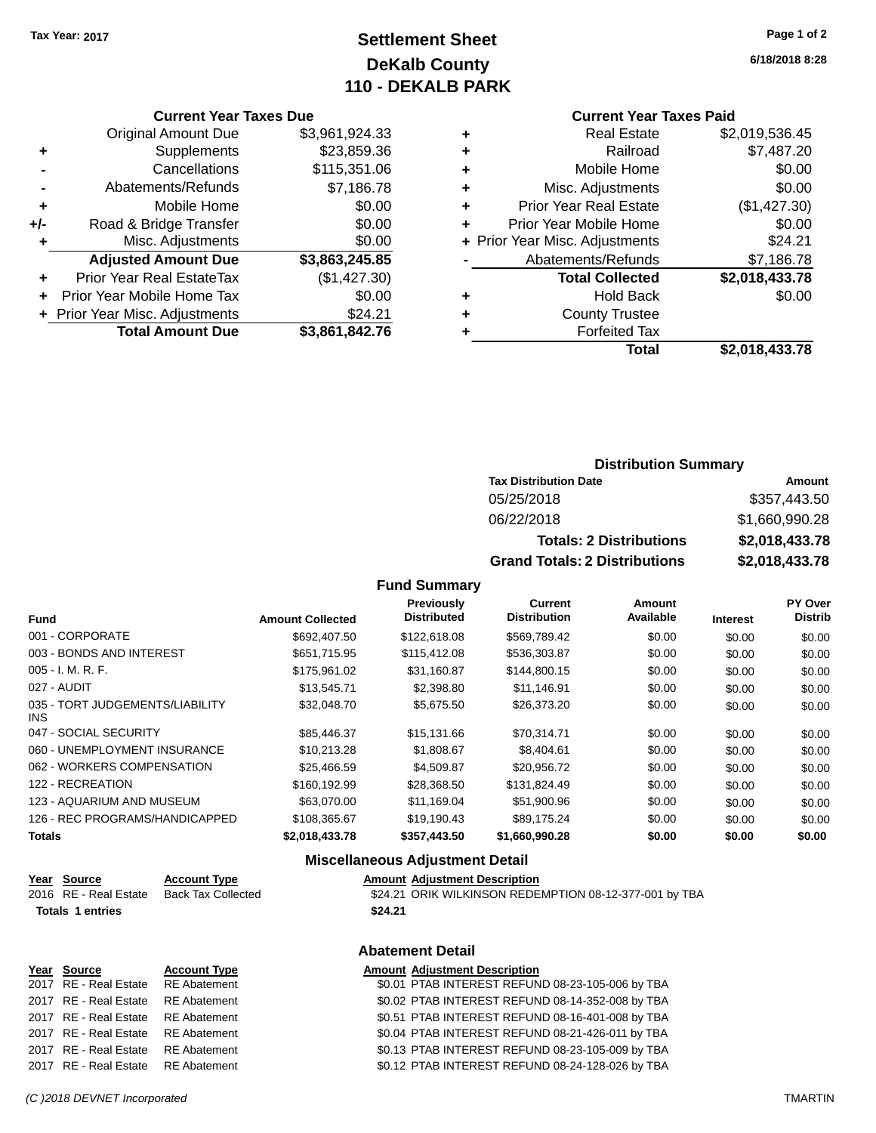# **Settlement Sheet Tax Year: 2017 Page 1 of 2 DeKalb County 110 - DEKALB PARK**

**6/18/2018 8:28**

|     | <b>Current Year Taxes Due</b>  |                |
|-----|--------------------------------|----------------|
|     | <b>Original Amount Due</b>     | \$3,961,924.33 |
| ٠   | Supplements                    | \$23,859.36    |
|     | Cancellations                  | \$115,351.06   |
|     | Abatements/Refunds             | \$7,186.78     |
| ٠   | Mobile Home                    | \$0.00         |
| +/- | Road & Bridge Transfer         | \$0.00         |
| ٠   | Misc. Adjustments              | \$0.00         |
|     | <b>Adjusted Amount Due</b>     | \$3,863,245.85 |
|     | Prior Year Real EstateTax      | (\$1,427.30)   |
| ÷   | Prior Year Mobile Home Tax     | \$0.00         |
|     | + Prior Year Misc. Adjustments | \$24.21        |
|     | <b>Total Amount Due</b>        | \$3,861,842.76 |

## **Current Year Taxes Paid**

| ٠ | <b>Real Estate</b>             | \$2,019,536.45 |
|---|--------------------------------|----------------|
| ٠ | Railroad                       | \$7,487.20     |
| ٠ | Mobile Home                    | \$0.00         |
| ٠ | Misc. Adjustments              | \$0.00         |
| ٠ | <b>Prior Year Real Estate</b>  | (\$1,427.30)   |
| ÷ | Prior Year Mobile Home         | \$0.00         |
|   | + Prior Year Misc. Adjustments | \$24.21        |
|   | Abatements/Refunds             | \$7,186.78     |
|   | <b>Total Collected</b>         | \$2,018,433.78 |
| ٠ | <b>Hold Back</b>               | \$0.00         |
| ٠ | <b>County Trustee</b>          |                |
| ٠ | <b>Forfeited Tax</b>           |                |
|   | Total                          | \$2,018,433.78 |
|   |                                |                |

#### **Distribution Summary Tax Distribution Date Amount** 05/25/2018 \$357,443.50 06/22/2018 \$1,660,990.28

| 00 L <i>LI</i> LUI U           | $V1, V1, V2, V3$ |
|--------------------------------|------------------|
| <b>Totals: 2 Distributions</b> | \$2,018,433.78   |
| Grand Totals: 2 Distributions  | \$2,018,433.78   |

## **Fund Summary**

| <b>Fund</b>                                   | <b>Amount Collected</b> | <b>Previously</b><br><b>Distributed</b> | Current<br><b>Distribution</b> | Amount<br>Available | <b>Interest</b> | PY Over<br><b>Distrib</b> |
|-----------------------------------------------|-------------------------|-----------------------------------------|--------------------------------|---------------------|-----------------|---------------------------|
| 001 - CORPORATE                               | \$692,407.50            | \$122,618.08                            | \$569,789.42                   | \$0.00              | \$0.00          | \$0.00                    |
| 003 - BONDS AND INTEREST                      | \$651.715.95            | \$115,412.08                            | \$536,303.87                   | \$0.00              | \$0.00          | \$0.00                    |
| $005 - I. M. R. F.$                           | \$175,961.02            | \$31.160.87                             | \$144,800.15                   | \$0.00              | \$0.00          | \$0.00                    |
| 027 - AUDIT                                   | \$13,545.71             | \$2,398.80                              | \$11,146.91                    | \$0.00              | \$0.00          | \$0.00                    |
| 035 - TORT JUDGEMENTS/LIABILITY<br><b>INS</b> | \$32,048.70             | \$5.675.50                              | \$26,373.20                    | \$0.00              | \$0.00          | \$0.00                    |
| 047 - SOCIAL SECURITY                         | \$85,446.37             | \$15.131.66                             | \$70,314.71                    | \$0.00              | \$0.00          | \$0.00                    |
| 060 - UNEMPLOYMENT INSURANCE                  | \$10.213.28             | \$1,808.67                              | \$8,404.61                     | \$0.00              | \$0.00          | \$0.00                    |
| 062 - WORKERS COMPENSATION                    | \$25.466.59             | \$4,509.87                              | \$20.956.72                    | \$0.00              | \$0.00          | \$0.00                    |
| 122 - RECREATION                              | \$160.192.99            | \$28,368.50                             | \$131.824.49                   | \$0.00              | \$0.00          | \$0.00                    |
| 123 - AQUARIUM AND MUSEUM                     | \$63,070,00             | \$11,169.04                             | \$51,900.96                    | \$0.00              | \$0.00          | \$0.00                    |
| 126 - REC PROGRAMS/HANDICAPPED                | \$108.365.67            | \$19.190.43                             | \$89.175.24                    | \$0.00              | \$0.00          | \$0.00                    |
| <b>Totals</b>                                 | \$2,018,433.78          | \$357,443.50                            | \$1,660,990.28                 | \$0.00              | \$0.00          | \$0.00                    |

#### **Miscellaneous Adjustment Detail**

**Abatement Detail**

| Year Source             | <b>Account Type</b> | <b>Amount Adjustment Description</b>                   |
|-------------------------|---------------------|--------------------------------------------------------|
| 2016 RE - Real Estate   | Back Tax Collected  | \$24.21 ORIK WILKINSON REDEMPTION 08-12-377-001 by TBA |
| <b>Totals 1 entries</b> |                     | \$24.21                                                |

| Year Source                        | <b>Account Type</b> | <b>Amount Adjustment Description</b>             |
|------------------------------------|---------------------|--------------------------------------------------|
| 2017 RE - Real Estate RE Abatement |                     | \$0.01 PTAB INTEREST REFUND 08-23-105-006 by TBA |
| 2017 RE - Real Estate RE Abatement |                     | \$0.02 PTAB INTEREST REFUND 08-14-352-008 by TBA |
| 2017 RE - Real Estate RE Abatement |                     | \$0.51 PTAB INTEREST REFUND 08-16-401-008 by TBA |
| 2017 RE - Real Estate RE Abatement |                     | \$0.04 PTAB INTEREST REFUND 08-21-426-011 by TBA |
| 2017 RE - Real Estate RE Abatement |                     | \$0.13 PTAB INTEREST REFUND 08-23-105-009 by TBA |
| 2017 RE - Real Estate RE Abatement |                     | \$0.12 PTAB INTEREST REFUND 08-24-128-026 by TBA |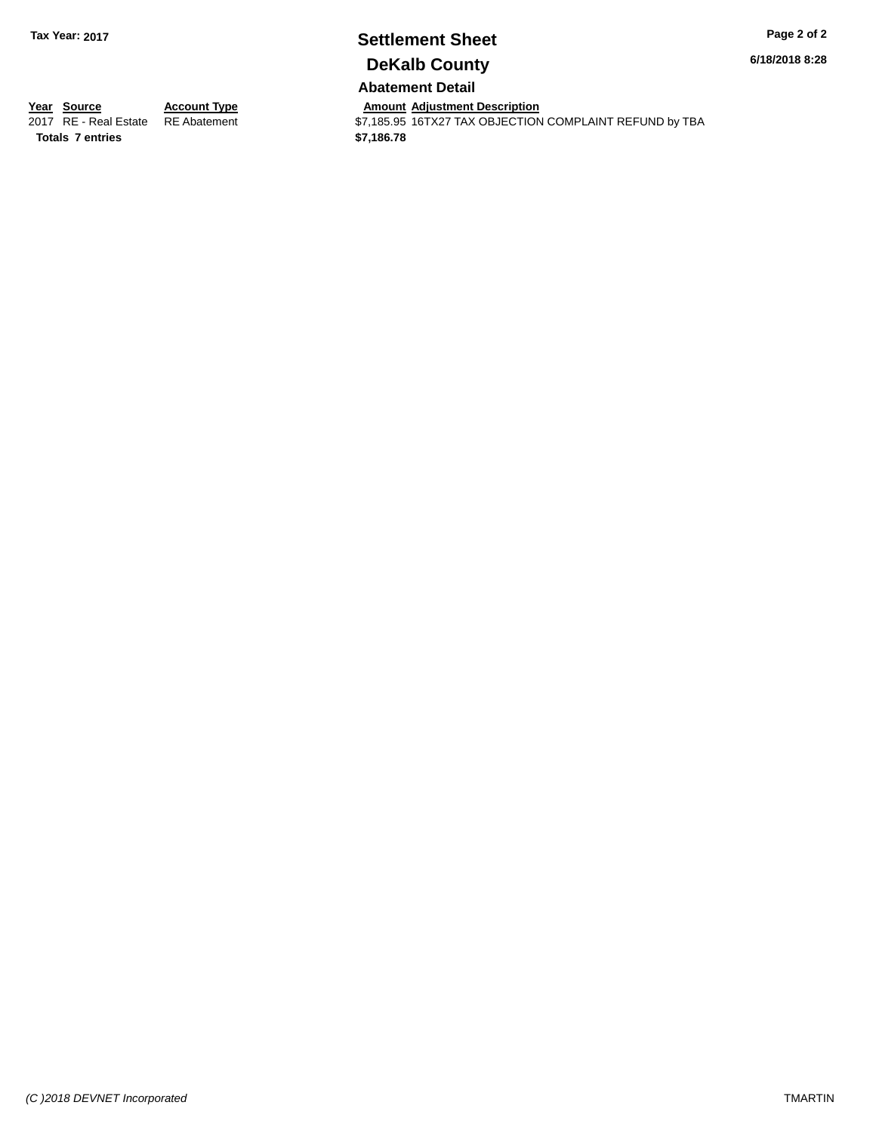# **Settlement Sheet Tax Year: 2017 Page 2 of 2 DeKalb County**

**6/18/2018 8:28**

**Abatement Detail**

Amount Adjustment Description<br>\$7,185.95 16TX27 TAX OBJECTION COMPLAINT REFUND by TBA

**<u>Year Source</u>**<br> **Account Type**<br> **ADDECALLY READ ADDECALLY ADDECALLY ADDECALLY READ ATTEM Totals 7 entries \$7,186.78**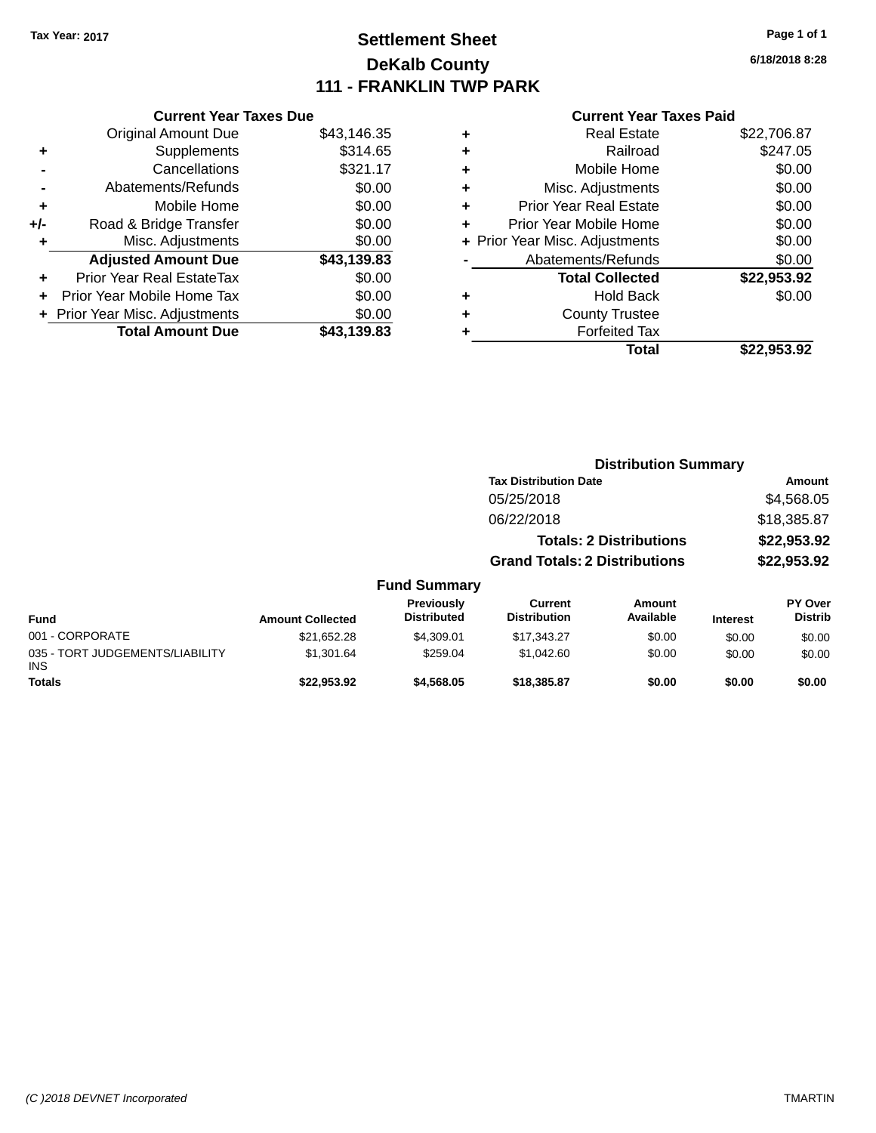035 INS

# **Settlement Sheet Tax Year: 2017 Page 1 of 1 DeKalb County 111 - FRANKLIN TWP PARK**

**6/18/2018 8:28**

|     | <b>Current Year Taxes Due</b>  |             |
|-----|--------------------------------|-------------|
|     | <b>Original Amount Due</b>     | \$43,146.35 |
|     | Supplements                    | \$314.65    |
|     | Cancellations                  | \$321.17    |
|     | Abatements/Refunds             | \$0.00      |
| ÷   | Mobile Home                    | \$0.00      |
| +/- | Road & Bridge Transfer         | \$0.00      |
| ٠   | Misc. Adjustments              | \$0.00      |
|     | <b>Adjusted Amount Due</b>     | \$43,139.83 |
|     | Prior Year Real EstateTax      | \$0.00      |
|     | Prior Year Mobile Home Tax     | \$0.00      |
|     | + Prior Year Misc. Adjustments | \$0.00      |
|     | <b>Total Amount Due</b>        | \$43,139.83 |
|     |                                |             |

## **Current Year Taxes Paid**

| ٠ | <b>Real Estate</b>             | \$22,706.87 |
|---|--------------------------------|-------------|
| ٠ | Railroad                       | \$247.05    |
| ٠ | Mobile Home                    | \$0.00      |
| ٠ | Misc. Adjustments              | \$0.00      |
| ٠ | <b>Prior Year Real Estate</b>  | \$0.00      |
| ٠ | Prior Year Mobile Home         | \$0.00      |
|   | + Prior Year Misc. Adjustments | \$0.00      |
|   | Abatements/Refunds             | \$0.00      |
|   | <b>Total Collected</b>         | \$22,953.92 |
| ٠ | <b>Hold Back</b>               | \$0.00      |
| ٠ | <b>County Trustee</b>          |             |
| ٠ | <b>Forfeited Tax</b>           |             |
|   | Total                          | \$22,953.92 |
|   |                                |             |

|                                         | <b>Distribution Summary</b> |                                  |                                       |                                |                 |                                  |
|-----------------------------------------|-----------------------------|----------------------------------|---------------------------------------|--------------------------------|-----------------|----------------------------------|
|                                         |                             |                                  | <b>Tax Distribution Date</b>          |                                |                 | Amount                           |
|                                         |                             |                                  | 05/25/2018                            |                                |                 | \$4,568.05                       |
|                                         |                             |                                  | 06/22/2018                            |                                |                 | \$18,385.87                      |
|                                         |                             |                                  |                                       | <b>Totals: 2 Distributions</b> |                 | \$22,953.92                      |
|                                         |                             |                                  | <b>Grand Totals: 2 Distributions</b>  |                                |                 | \$22,953.92                      |
|                                         |                             | <b>Fund Summary</b>              |                                       |                                |                 |                                  |
| <b>Fund</b>                             | <b>Amount Collected</b>     | Previously<br><b>Distributed</b> | <b>Current</b><br><b>Distribution</b> | <b>Amount</b><br>Available     | <b>Interest</b> | <b>PY Over</b><br><b>Distrib</b> |
| 001 - CORPORATE                         | \$21,652.28                 | \$4,309.01                       | \$17,343.27                           | \$0.00                         | \$0.00          | \$0.00                           |
| 035 - TORT JUDGEMENTS/LIABILITY<br>INS. | \$1,301.64                  | \$259.04                         | \$1,042.60                            | \$0.00                         | \$0.00          | \$0.00                           |
| <b>Totals</b>                           | \$22.953.92                 | \$4.568.05                       | \$18,385.87                           | \$0.00                         | \$0.00          | \$0.00                           |
|                                         |                             |                                  |                                       |                                |                 |                                  |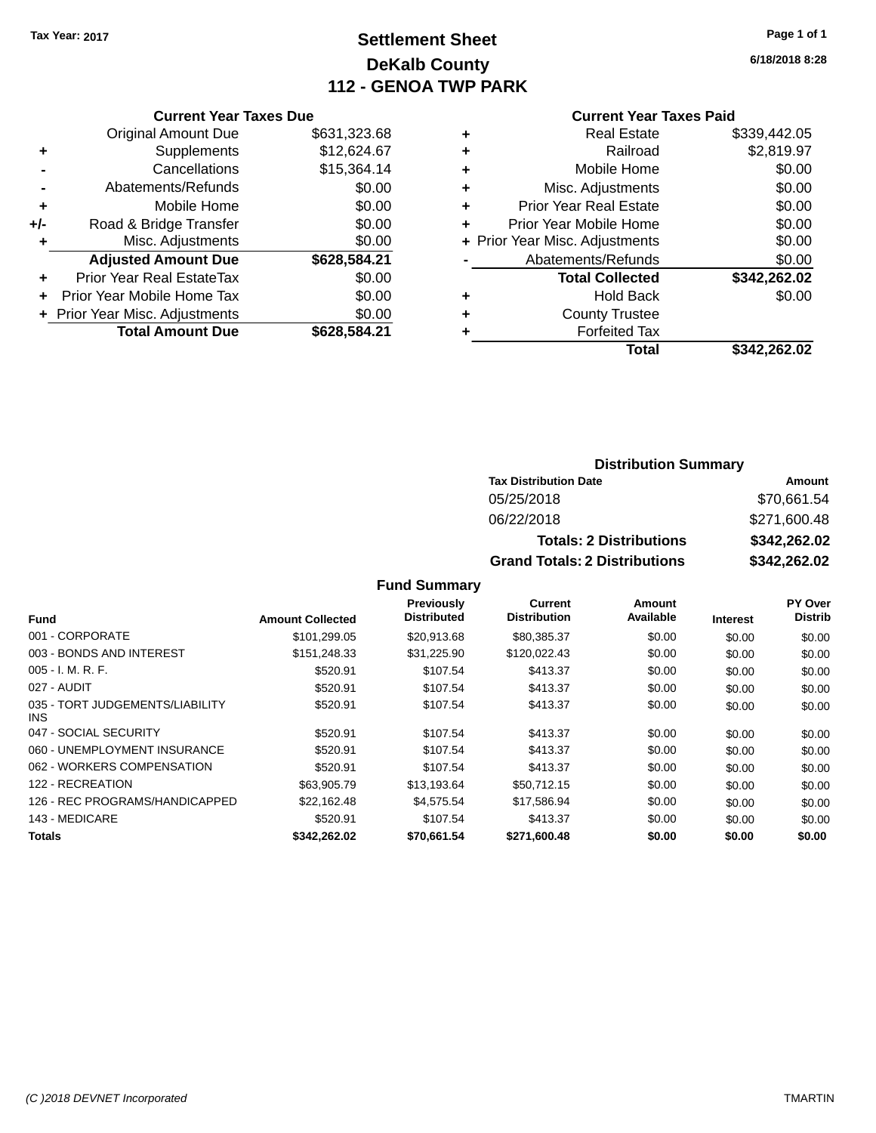# **Settlement Sheet Tax Year: 2017 Page 1 of 1 DeKalb County 112 - GENOA TWP PARK**

**6/18/2018 8:28**

|     | <b>Current Year Taxes Due</b>  |              |
|-----|--------------------------------|--------------|
|     | <b>Original Amount Due</b>     | \$631,323.68 |
| ٠   | Supplements                    | \$12,624.67  |
|     | Cancellations                  | \$15,364.14  |
|     | Abatements/Refunds             | \$0.00       |
| ÷   | Mobile Home                    | \$0.00       |
| +/- | Road & Bridge Transfer         | \$0.00       |
| ٠   | Misc. Adjustments              | \$0.00       |
|     | <b>Adjusted Amount Due</b>     | \$628,584.21 |
| ÷   | Prior Year Real EstateTax      | \$0.00       |
|     | Prior Year Mobile Home Tax     | \$0.00       |
|     | + Prior Year Misc. Adjustments | \$0.00       |
|     | <b>Total Amount Due</b>        | \$628,584.21 |
|     |                                |              |

#### **Current Year Taxes Paid**

|   | Total                          | \$342,262.02 |
|---|--------------------------------|--------------|
|   | <b>Forfeited Tax</b>           |              |
| ٠ | <b>County Trustee</b>          |              |
| ٠ | <b>Hold Back</b>               | \$0.00       |
|   | <b>Total Collected</b>         | \$342,262.02 |
|   | Abatements/Refunds             | \$0.00       |
|   | + Prior Year Misc. Adjustments | \$0.00       |
| ٠ | Prior Year Mobile Home         | \$0.00       |
| ٠ | Prior Year Real Estate         | \$0.00       |
| ٠ | Misc. Adjustments              | \$0.00       |
| ٠ | Mobile Home                    | \$0.00       |
| ٠ | Railroad                       | \$2,819.97   |
|   | <b>Real Estate</b>             | \$339,442.05 |

## **Distribution Summary Tax Distribution Date Amount** 05/25/2018 \$70,661.54 06/22/2018 \$271,600.48 **Totals: 2 Distributions \$342,262.02 Grand Totals: 2 Distributions \$342,262.02**

| <b>Fund</b>                             | <b>Amount Collected</b> | Previously<br><b>Distributed</b> | <b>Current</b><br><b>Distribution</b> | Amount<br>Available | <b>Interest</b> | PY Over<br><b>Distrib</b> |
|-----------------------------------------|-------------------------|----------------------------------|---------------------------------------|---------------------|-----------------|---------------------------|
| 001 - CORPORATE                         | \$101.299.05            | \$20,913.68                      | \$80,385.37                           | \$0.00              | \$0.00          | \$0.00                    |
| 003 - BONDS AND INTEREST                | \$151.248.33            | \$31.225.90                      | \$120.022.43                          | \$0.00              | \$0.00          | \$0.00                    |
| $005 - I. M. R. F.$                     | \$520.91                | \$107.54                         | \$413.37                              | \$0.00              | \$0.00          | \$0.00                    |
| 027 - AUDIT                             | \$520.91                | \$107.54                         | \$413.37                              | \$0.00              | \$0.00          | \$0.00                    |
| 035 - TORT JUDGEMENTS/LIABILITY<br>INS. | \$520.91                | \$107.54                         | \$413.37                              | \$0.00              | \$0.00          | \$0.00                    |
| 047 - SOCIAL SECURITY                   | \$520.91                | \$107.54                         | \$413.37                              | \$0.00              | \$0.00          | \$0.00                    |
| 060 - UNEMPLOYMENT INSURANCE            | \$520.91                | \$107.54                         | \$413.37                              | \$0.00              | \$0.00          | \$0.00                    |
| 062 - WORKERS COMPENSATION              | \$520.91                | \$107.54                         | \$413.37                              | \$0.00              | \$0.00          | \$0.00                    |
| 122 - RECREATION                        | \$63,905.79             | \$13,193.64                      | \$50.712.15                           | \$0.00              | \$0.00          | \$0.00                    |
| 126 - REC PROGRAMS/HANDICAPPED          | \$22.162.48             | \$4,575.54                       | \$17.586.94                           | \$0.00              | \$0.00          | \$0.00                    |
| 143 - MEDICARE                          | \$520.91                | \$107.54                         | \$413.37                              | \$0.00              | \$0.00          | \$0.00                    |
| <b>Totals</b>                           | \$342,262.02            | \$70.661.54                      | \$271,600.48                          | \$0.00              | \$0.00          | \$0.00                    |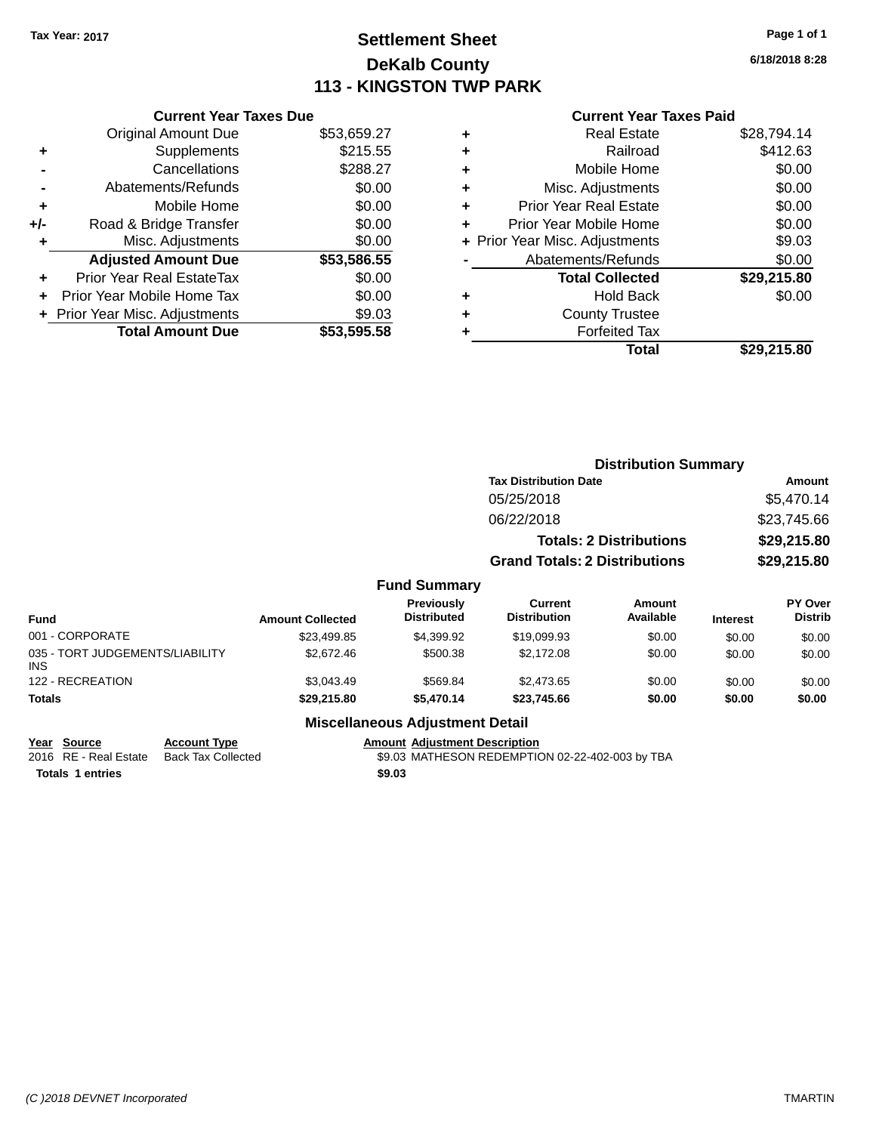# **Settlement Sheet Tax Year: 2017 Page 1 of 1 DeKalb County 113 - KINGSTON TWP PARK**

**6/18/2018 8:28**

|     | <b>Current Year Taxes Due</b>  |             |  |  |  |
|-----|--------------------------------|-------------|--|--|--|
|     | <b>Original Amount Due</b>     | \$53,659.27 |  |  |  |
| ٠   | Supplements                    | \$215.55    |  |  |  |
|     | Cancellations                  | \$288.27    |  |  |  |
|     | Abatements/Refunds             | \$0.00      |  |  |  |
| ٠   | Mobile Home                    | \$0.00      |  |  |  |
| +/- | Road & Bridge Transfer         | \$0.00      |  |  |  |
| ٠   | Misc. Adjustments              | \$0.00      |  |  |  |
|     | <b>Adjusted Amount Due</b>     | \$53,586.55 |  |  |  |
|     | Prior Year Real EstateTax      | \$0.00      |  |  |  |
|     | Prior Year Mobile Home Tax     | \$0.00      |  |  |  |
|     | + Prior Year Misc. Adjustments | \$9.03      |  |  |  |
|     | <b>Total Amount Due</b>        | \$53,595.58 |  |  |  |
|     |                                |             |  |  |  |

## **Current Year Taxes Paid**

|   | <b>Real Estate</b>             | \$28,794.14 |
|---|--------------------------------|-------------|
| ٠ | Railroad                       | \$412.63    |
| ٠ | Mobile Home                    | \$0.00      |
| ٠ | Misc. Adjustments              | \$0.00      |
| ٠ | <b>Prior Year Real Estate</b>  | \$0.00      |
|   | Prior Year Mobile Home         | \$0.00      |
|   | + Prior Year Misc. Adjustments | \$9.03      |
|   | Abatements/Refunds             | \$0.00      |
|   | <b>Total Collected</b>         | \$29,215.80 |
| ٠ | <b>Hold Back</b>               | \$0.00      |
|   | <b>County Trustee</b>          |             |
|   | <b>Forfeited Tax</b>           |             |
|   | Total                          | \$29,215.80 |
|   |                                |             |

|                                         |                         | <b>Distribution Summary</b>      |                                                                        |                            |                 |                           |
|-----------------------------------------|-------------------------|----------------------------------|------------------------------------------------------------------------|----------------------------|-----------------|---------------------------|
|                                         |                         |                                  | <b>Tax Distribution Date</b>                                           | <b>Amount</b>              |                 |                           |
|                                         |                         |                                  | 05/25/2018                                                             |                            |                 | \$5,470.14                |
|                                         |                         |                                  | 06/22/2018                                                             |                            |                 | \$23,745.66               |
|                                         |                         |                                  | <b>Totals: 2 Distributions</b><br><b>Grand Totals: 2 Distributions</b> |                            |                 | \$29,215.80               |
|                                         |                         |                                  |                                                                        |                            | \$29,215.80     |                           |
|                                         |                         | <b>Fund Summary</b>              |                                                                        |                            |                 |                           |
| <b>Fund</b>                             | <b>Amount Collected</b> | Previously<br><b>Distributed</b> | Current<br><b>Distribution</b>                                         | <b>Amount</b><br>Available | <b>Interest</b> | PY Over<br><b>Distrib</b> |
| 001 - CORPORATE                         | \$23,499.85             | \$4,399.92                       | \$19,099.93                                                            | \$0.00                     | \$0.00          | \$0.00                    |
| 035 - TORT JUDGEMENTS/LIABILITY<br>INS. | \$2,672.46              | \$500.38                         | \$2,172.08                                                             | \$0.00                     | \$0.00          | \$0.00                    |
| 122 - RECREATION                        | \$3,043.49              | \$569.84                         | \$2,473.65                                                             | \$0.00                     | \$0.00          | \$0.00                    |
| <b>Totals</b>                           | \$29,215.80             | \$5,470.14                       | \$23,745.66                                                            | \$0.00                     | \$0.00          | \$0.00                    |
|                                         |                         |                                  |                                                                        |                            |                 |                           |

## **Miscellaneous Adjustment Detail**

|                         | Year Source           | <b>Account Type</b> | <b>Amount Adjustment Description</b>            |
|-------------------------|-----------------------|---------------------|-------------------------------------------------|
|                         | 2016 RE - Real Estate | Back Tax Collected  | \$9.03 MATHESON REDEMPTION 02-22-402-003 by TBA |
| <b>Totals 1 entries</b> |                       |                     | \$9.03                                          |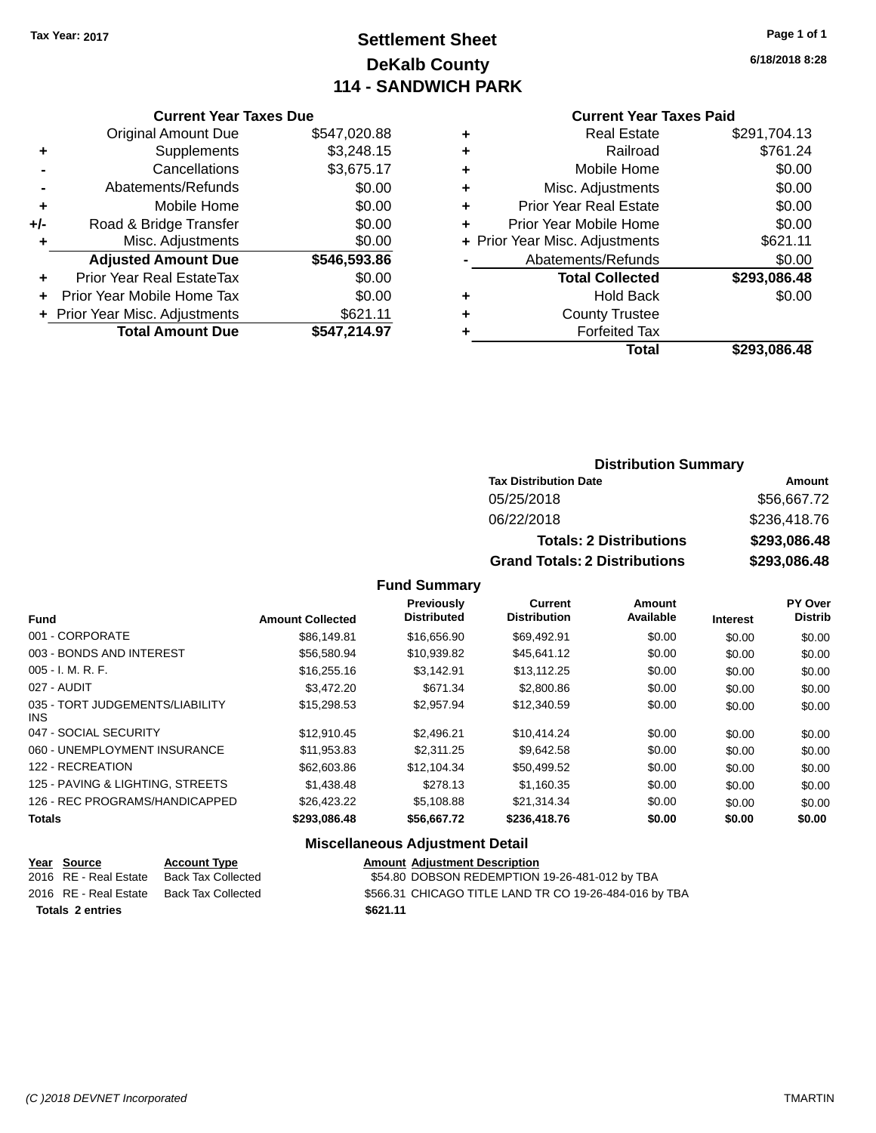# **Settlement Sheet Tax Year: 2017 Page 1 of 1 DeKalb County 114 - SANDWICH PARK**

**6/18/2018 8:28**

| <b>Current Year Taxes Due</b> |  |  |  |
|-------------------------------|--|--|--|
|                               |  |  |  |

|     | <b>Total Amount Due</b>          | \$547,214.97 |
|-----|----------------------------------|--------------|
|     | + Prior Year Misc. Adjustments   | \$621.11     |
|     | Prior Year Mobile Home Tax       | \$0.00       |
| ÷   | <b>Prior Year Real EstateTax</b> | \$0.00       |
|     | <b>Adjusted Amount Due</b>       | \$546,593.86 |
|     | Misc. Adjustments                | \$0.00       |
| +/- | Road & Bridge Transfer           | \$0.00       |
| ٠   | Mobile Home                      | \$0.00       |
|     | Abatements/Refunds               | \$0.00       |
|     | Cancellations                    | \$3,675.17   |
| ٠   | Supplements                      | \$3,248.15   |
|     | <b>Original Amount Due</b>       | \$547,020.88 |
|     |                                  |              |

#### **Current Year Taxes Paid**

| ٠ | <b>Real Estate</b>             | \$291,704.13 |
|---|--------------------------------|--------------|
| ÷ | Railroad                       | \$761.24     |
| ٠ | Mobile Home                    | \$0.00       |
| ٠ | Misc. Adjustments              | \$0.00       |
| ٠ | <b>Prior Year Real Estate</b>  | \$0.00       |
| ٠ | Prior Year Mobile Home         | \$0.00       |
|   | + Prior Year Misc. Adjustments | \$621.11     |
|   | Abatements/Refunds             | \$0.00       |
|   | <b>Total Collected</b>         | \$293,086.48 |
| ٠ | <b>Hold Back</b>               | \$0.00       |
| ٠ | <b>County Trustee</b>          |              |
| ٠ | <b>Forfeited Tax</b>           |              |
|   | Total                          | \$293,086.48 |
|   |                                |              |

## **Distribution Summary Tax Distribution Date Amount** 05/25/2018 \$56,667.72 06/22/2018 \$236,418.76 **Totals: 2 Distributions \$293,086.48 Grand Totals: 2 Distributions \$293,086.48**

#### **Fund Summary**

| <b>Fund</b>                             | <b>Amount Collected</b> | <b>Previously</b><br><b>Distributed</b> | Current<br><b>Distribution</b> | Amount<br>Available | <b>Interest</b> | PY Over<br><b>Distrib</b> |
|-----------------------------------------|-------------------------|-----------------------------------------|--------------------------------|---------------------|-----------------|---------------------------|
| 001 - CORPORATE                         | \$86,149.81             | \$16,656.90                             | \$69,492.91                    | \$0.00              | \$0.00          | \$0.00                    |
| 003 - BONDS AND INTEREST                | \$56,580.94             | \$10.939.82                             | \$45.641.12                    | \$0.00              | \$0.00          | \$0.00                    |
| $005 - I. M. R. F.$                     | \$16,255.16             | \$3,142.91                              | \$13,112.25                    | \$0.00              | \$0.00          | \$0.00                    |
| 027 - AUDIT                             | \$3,472.20              | \$671.34                                | \$2,800.86                     | \$0.00              | \$0.00          | \$0.00                    |
| 035 - TORT JUDGEMENTS/LIABILITY<br>INS. | \$15,298.53             | \$2.957.94                              | \$12,340.59                    | \$0.00              | \$0.00          | \$0.00                    |
| 047 - SOCIAL SECURITY                   | \$12,910.45             | \$2,496.21                              | \$10,414.24                    | \$0.00              | \$0.00          | \$0.00                    |
| 060 - UNEMPLOYMENT INSURANCE            | \$11.953.83             | \$2,311,25                              | \$9.642.58                     | \$0.00              | \$0.00          | \$0.00                    |
| 122 - RECREATION                        | \$62,603.86             | \$12.104.34                             | \$50,499.52                    | \$0.00              | \$0.00          | \$0.00                    |
| 125 - PAVING & LIGHTING, STREETS        | \$1.438.48              | \$278.13                                | \$1.160.35                     | \$0.00              | \$0.00          | \$0.00                    |
| 126 - REC PROGRAMS/HANDICAPPED          | \$26.423.22             | \$5.108.88                              | \$21.314.34                    | \$0.00              | \$0.00          | \$0.00                    |
| <b>Totals</b>                           | \$293,086.48            | \$56,667.72                             | \$236,418.76                   | \$0.00              | \$0.00          | \$0.00                    |

#### **Miscellaneous Adjustment Detail**

|                  | Year Source           | <b>Account Type</b> |  | <b>Amount Adjustment Description</b>                   |
|------------------|-----------------------|---------------------|--|--------------------------------------------------------|
|                  | 2016 RE - Real Estate | Back Tax Collected  |  | \$54.80 DOBSON REDEMPTION 19-26-481-012 by TBA         |
|                  | 2016 RE - Real Estate | Back Tax Collected  |  | \$566.31 CHICAGO TITLE LAND TR CO 19-26-484-016 by TBA |
| Totals 2 entries |                       | \$621.11            |  |                                                        |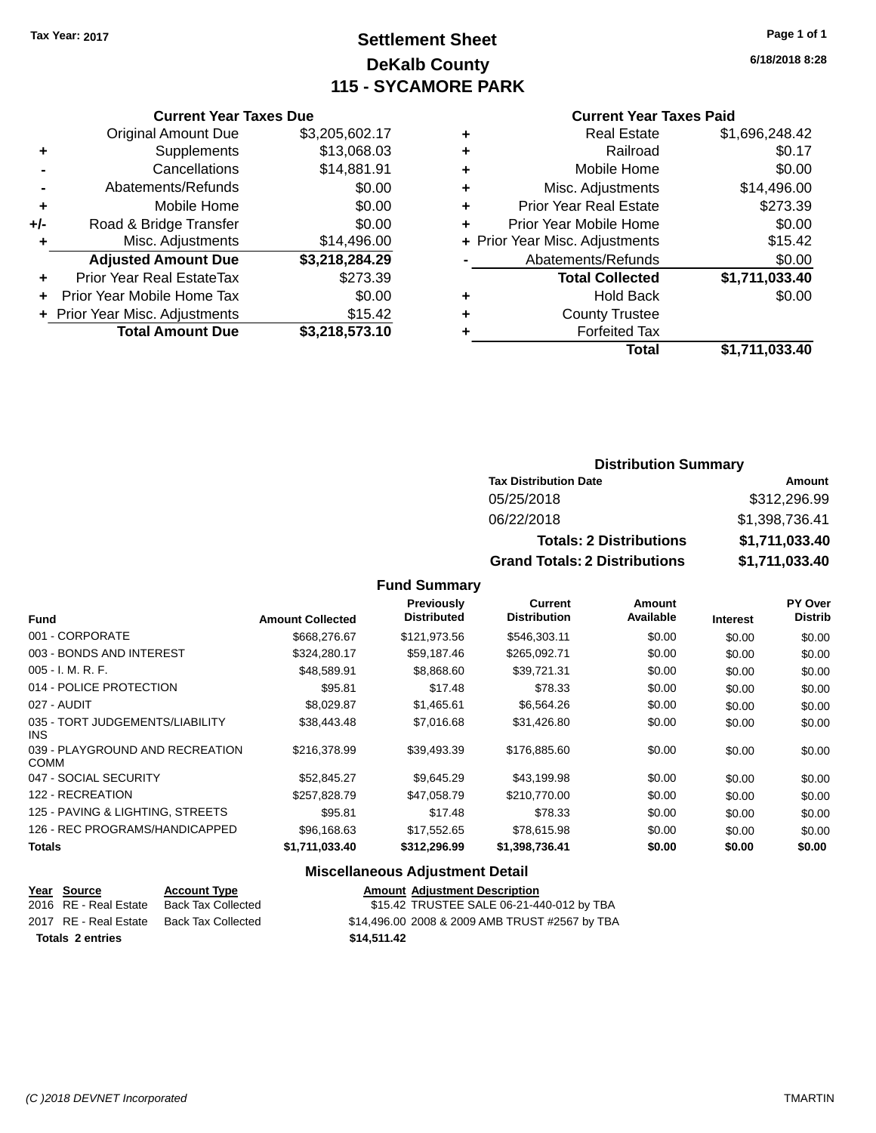# **Settlement Sheet Tax Year: 2017 Page 1 of 1 DeKalb County 115 - SYCAMORE PARK**

**6/18/2018 8:28**

#### **Current Year Taxes Paid**

|     | <b>Current Year Taxes Due</b>  |                |  |  |  |  |
|-----|--------------------------------|----------------|--|--|--|--|
|     | <b>Original Amount Due</b>     | \$3,205,602.17 |  |  |  |  |
| ٠   | Supplements                    | \$13,068.03    |  |  |  |  |
|     | Cancellations                  | \$14,881.91    |  |  |  |  |
|     | Abatements/Refunds             | \$0.00         |  |  |  |  |
| ٠   | Mobile Home                    | \$0.00         |  |  |  |  |
| +/- | Road & Bridge Transfer         | \$0.00         |  |  |  |  |
| ٠   | Misc. Adjustments              | \$14,496.00    |  |  |  |  |
|     | <b>Adjusted Amount Due</b>     | \$3,218,284.29 |  |  |  |  |
| ٠   | Prior Year Real EstateTax      | \$273.39       |  |  |  |  |
| ÷   | Prior Year Mobile Home Tax     | \$0.00         |  |  |  |  |
|     | + Prior Year Misc. Adjustments | \$15.42        |  |  |  |  |
|     | <b>Total Amount Due</b>        | \$3,218,573.10 |  |  |  |  |

| ٠ | <b>Real Estate</b>             | \$1,696,248.42 |
|---|--------------------------------|----------------|
| ٠ | Railroad                       | \$0.17         |
| ٠ | Mobile Home                    | \$0.00         |
| ٠ | Misc. Adjustments              | \$14,496.00    |
| ٠ | <b>Prior Year Real Estate</b>  | \$273.39       |
| ٠ | Prior Year Mobile Home         | \$0.00         |
|   | + Prior Year Misc. Adjustments | \$15.42        |
|   | Abatements/Refunds             | \$0.00         |
|   | <b>Total Collected</b>         | \$1,711,033.40 |
| ٠ | <b>Hold Back</b>               | \$0.00         |
| ٠ | <b>County Trustee</b>          |                |
|   | <b>Forfeited Tax</b>           |                |
|   | Total                          | \$1,711,033.40 |
|   |                                |                |

# **Distribution Summary**

| <b>Tax Distribution Date</b>         | Amount         |
|--------------------------------------|----------------|
| 05/25/2018                           | \$312,296.99   |
| 06/22/2018                           | \$1,398,736.41 |
| <b>Totals: 2 Distributions</b>       | \$1,711,033.40 |
| <b>Grand Totals: 2 Distributions</b> | \$1,711,033.40 |

## **Fund Summary**

| <b>Fund</b>                                    | <b>Amount Collected</b> | <b>Previously</b><br><b>Distributed</b> | <b>Current</b><br><b>Distribution</b> | Amount<br>Available | <b>Interest</b> | PY Over<br><b>Distrib</b> |
|------------------------------------------------|-------------------------|-----------------------------------------|---------------------------------------|---------------------|-----------------|---------------------------|
| 001 - CORPORATE                                | \$668,276.67            | \$121,973.56                            | \$546,303.11                          | \$0.00              | \$0.00          | \$0.00                    |
| 003 - BONDS AND INTEREST                       | \$324,280.17            | \$59,187.46                             | \$265,092.71                          | \$0.00              | \$0.00          | \$0.00                    |
| $005 - I. M. R. F.$                            | \$48,589.91             | \$8,868.60                              | \$39,721.31                           | \$0.00              | \$0.00          | \$0.00                    |
| 014 - POLICE PROTECTION                        | \$95.81                 | \$17.48                                 | \$78.33                               | \$0.00              | \$0.00          | \$0.00                    |
| 027 - AUDIT                                    | \$8,029.87              | \$1,465.61                              | \$6,564.26                            | \$0.00              | \$0.00          | \$0.00                    |
| 035 - TORT JUDGEMENTS/LIABILITY<br>INS.        | \$38,443.48             | \$7,016.68                              | \$31,426.80                           | \$0.00              | \$0.00          | \$0.00                    |
| 039 - PLAYGROUND AND RECREATION<br><b>COMM</b> | \$216,378.99            | \$39,493.39                             | \$176,885.60                          | \$0.00              | \$0.00          | \$0.00                    |
| 047 - SOCIAL SECURITY                          | \$52.845.27             | \$9,645.29                              | \$43,199.98                           | \$0.00              | \$0.00          | \$0.00                    |
| 122 - RECREATION                               | \$257.828.79            | \$47.058.79                             | \$210,770.00                          | \$0.00              | \$0.00          | \$0.00                    |
| 125 - PAVING & LIGHTING, STREETS               | \$95.81                 | \$17.48                                 | \$78.33                               | \$0.00              | \$0.00          | \$0.00                    |
| 126 - REC PROGRAMS/HANDICAPPED                 | \$96,168.63             | \$17,552.65                             | \$78,615.98                           | \$0.00              | \$0.00          | \$0.00                    |
| <b>Totals</b>                                  | \$1,711,033.40          | \$312,296.99                            | \$1,398,736.41                        | \$0.00              | \$0.00          | \$0.00                    |

## **Miscellaneous Adjustment Detail**

| \$15.42 TRUSTEE SALE 06-21-440-012 by TBA      |
|------------------------------------------------|
| \$14,496.00 2008 & 2009 AMB TRUST #2567 by TBA |
|                                                |
|                                                |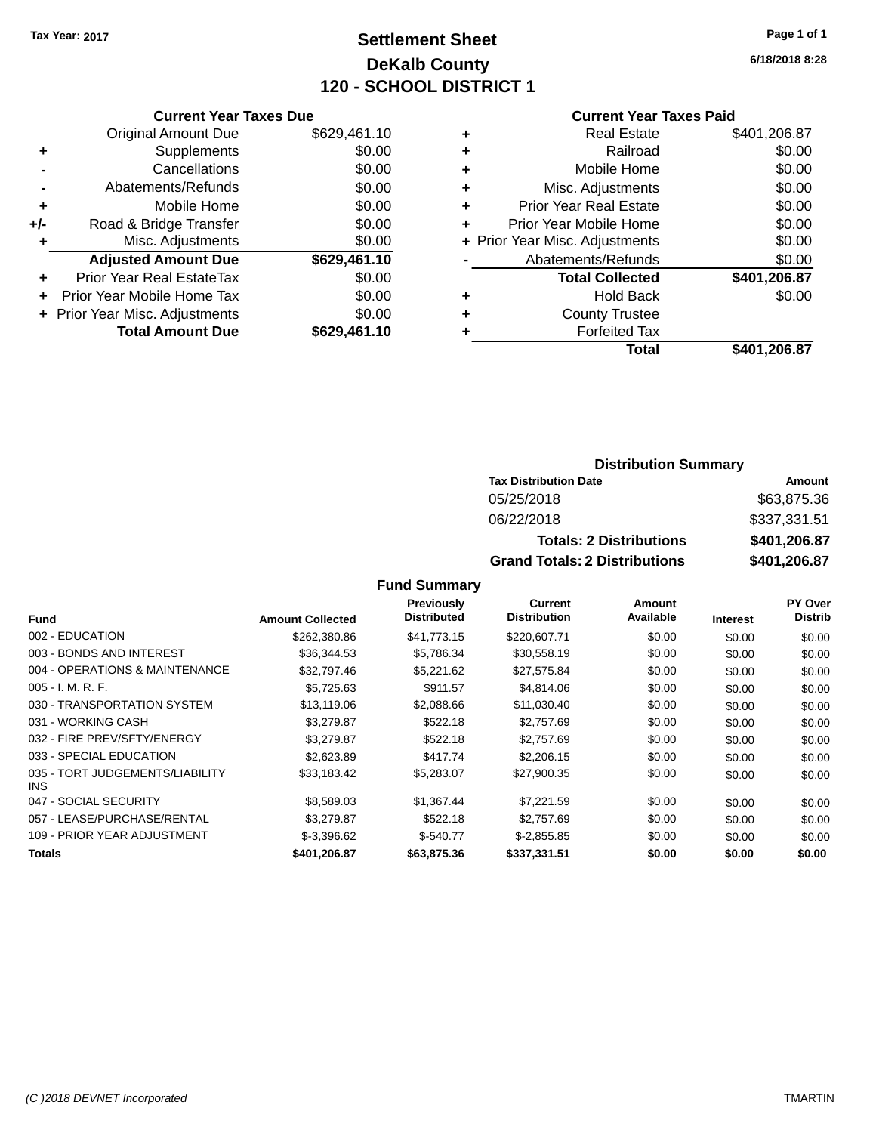# **Settlement Sheet Tax Year: 2017 Page 1 of 1 DeKalb County 120 - SCHOOL DISTRICT 1**

**6/18/2018 8:28**

#### **Current Year Taxes Paid**

|       | <b>Current Year Taxes Due</b>          |              |  |  |  |  |
|-------|----------------------------------------|--------------|--|--|--|--|
|       | <b>Original Amount Due</b>             | \$629,461.10 |  |  |  |  |
| ٠     | \$0.00<br>Supplements                  |              |  |  |  |  |
|       | Cancellations                          | \$0.00       |  |  |  |  |
|       | Abatements/Refunds                     | \$0.00       |  |  |  |  |
| ÷     | Mobile Home                            | \$0.00       |  |  |  |  |
| $+/-$ | Road & Bridge Transfer                 | \$0.00       |  |  |  |  |
|       | Misc. Adjustments                      | \$0.00       |  |  |  |  |
|       | <b>Adjusted Amount Due</b>             | \$629,461.10 |  |  |  |  |
| ÷     | Prior Year Real EstateTax              | \$0.00       |  |  |  |  |
|       | Prior Year Mobile Home Tax             | \$0.00       |  |  |  |  |
|       | \$0.00<br>Prior Year Misc. Adjustments |              |  |  |  |  |
|       | <b>Total Amount Due</b>                | \$629,461.10 |  |  |  |  |
|       |                                        |              |  |  |  |  |

|   | <b>Real Estate</b>             | \$401,206.87 |
|---|--------------------------------|--------------|
| ٠ | Railroad                       | \$0.00       |
| ٠ | Mobile Home                    | \$0.00       |
| ٠ | Misc. Adjustments              | \$0.00       |
| ٠ | <b>Prior Year Real Estate</b>  | \$0.00       |
| ÷ | Prior Year Mobile Home         | \$0.00       |
|   | + Prior Year Misc. Adjustments | \$0.00       |
|   | Abatements/Refunds             | \$0.00       |
|   | <b>Total Collected</b>         | \$401,206.87 |
| ٠ | Hold Back                      | \$0.00       |
| ٠ | <b>County Trustee</b>          |              |
| ٠ | <b>Forfeited Tax</b>           |              |
|   | Total                          | \$401.206.87 |
|   |                                |              |

## **Distribution Summary Tax Distribution Date Amount** 05/25/2018 \$63,875.36 06/22/2018 \$337,331.51 **Totals: 2 Distributions \$401,206.87 Grand Totals: 2 Distributions \$401,206.87**

|                                         |                         | Previously         | Current             | Amount    |                 | <b>PY Over</b> |
|-----------------------------------------|-------------------------|--------------------|---------------------|-----------|-----------------|----------------|
| <b>Fund</b>                             | <b>Amount Collected</b> | <b>Distributed</b> | <b>Distribution</b> | Available | <b>Interest</b> | <b>Distrib</b> |
| 002 - EDUCATION                         | \$262,380.86            | \$41.773.15        | \$220,607.71        | \$0.00    | \$0.00          | \$0.00         |
| 003 - BONDS AND INTEREST                | \$36,344.53             | \$5,786.34         | \$30,558.19         | \$0.00    | \$0.00          | \$0.00         |
| 004 - OPERATIONS & MAINTENANCE          | \$32,797.46             | \$5,221.62         | \$27,575.84         | \$0.00    | \$0.00          | \$0.00         |
| $005 - I. M. R. F.$                     | \$5,725.63              | \$911.57           | \$4,814.06          | \$0.00    | \$0.00          | \$0.00         |
| 030 - TRANSPORTATION SYSTEM             | \$13,119.06             | \$2,088.66         | \$11,030.40         | \$0.00    | \$0.00          | \$0.00         |
| 031 - WORKING CASH                      | \$3,279.87              | \$522.18           | \$2,757.69          | \$0.00    | \$0.00          | \$0.00         |
| 032 - FIRE PREV/SFTY/ENERGY             | \$3,279.87              | \$522.18           | \$2,757.69          | \$0.00    | \$0.00          | \$0.00         |
| 033 - SPECIAL EDUCATION                 | \$2,623.89              | \$417.74           | \$2,206.15          | \$0.00    | \$0.00          | \$0.00         |
| 035 - TORT JUDGEMENTS/LIABILITY<br>INS. | \$33.183.42             | \$5,283.07         | \$27,900.35         | \$0.00    | \$0.00          | \$0.00         |
| 047 - SOCIAL SECURITY                   | \$8,589.03              | \$1,367.44         | \$7,221.59          | \$0.00    | \$0.00          | \$0.00         |
| 057 - LEASE/PURCHASE/RENTAL             | \$3,279.87              | \$522.18           | \$2,757.69          | \$0.00    | \$0.00          | \$0.00         |
| 109 - PRIOR YEAR ADJUSTMENT             | $$-3.396.62$            | $$-540.77$         | $$-2,855.85$        | \$0.00    | \$0.00          | \$0.00         |
| <b>Totals</b>                           | \$401.206.87            | \$63,875,36        | \$337,331.51        | \$0.00    | \$0.00          | \$0.00         |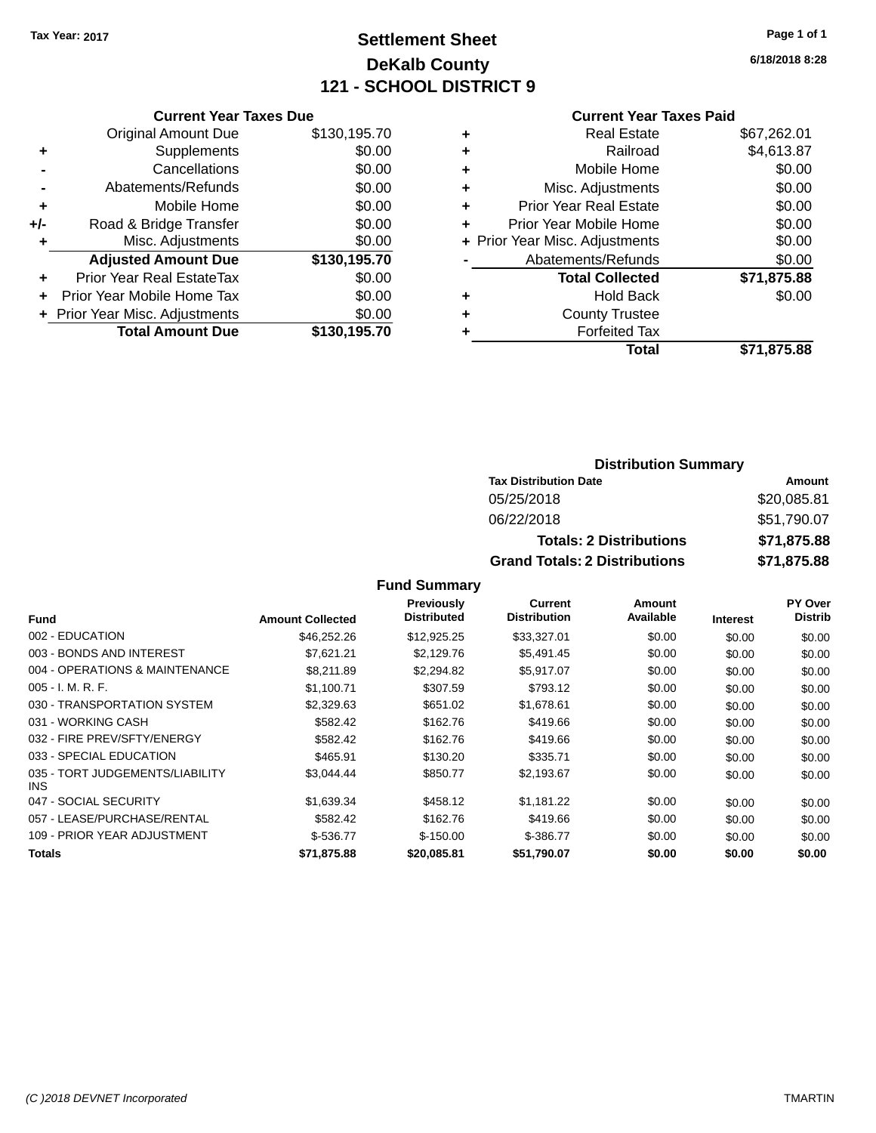# **Settlement Sheet Tax Year: 2017 Page 1 of 1 DeKalb County 121 - SCHOOL DISTRICT 9**

**6/18/2018 8:28**

|       | <b>Current Year Taxes Due</b>  |              |
|-------|--------------------------------|--------------|
|       | <b>Original Amount Due</b>     | \$130,195.70 |
|       | Supplements                    | \$0.00       |
|       | Cancellations                  | \$0.00       |
|       | Abatements/Refunds             | \$0.00       |
| ٠     | Mobile Home                    | \$0.00       |
| $+/-$ | Road & Bridge Transfer         | \$0.00       |
| ٠     | Misc. Adjustments              | \$0.00       |
|       | <b>Adjusted Amount Due</b>     | \$130,195.70 |
|       | Prior Year Real EstateTax      | \$0.00       |
|       | Prior Year Mobile Home Tax     | \$0.00       |
|       | + Prior Year Misc. Adjustments | \$0.00       |
|       | <b>Total Amount Due</b>        | \$130,195.70 |
|       |                                |              |

## **Current Year Taxes Paid**

| <b>Real Estate</b>             | \$67,262.01 |
|--------------------------------|-------------|
| Railroad                       | \$4,613.87  |
| Mobile Home                    | \$0.00      |
| Misc. Adjustments              | \$0.00      |
| <b>Prior Year Real Estate</b>  | \$0.00      |
| Prior Year Mobile Home         | \$0.00      |
| + Prior Year Misc. Adjustments | \$0.00      |
| Abatements/Refunds             | \$0.00      |
| <b>Total Collected</b>         | \$71,875.88 |
| <b>Hold Back</b>               | \$0.00      |
| <b>County Trustee</b>          |             |
| <b>Forfeited Tax</b>           |             |
| Total                          | \$71,875.88 |
|                                |             |

### **Distribution Summary Tax Distribution Date Amount** 05/25/2018 \$20,085.81 06/22/2018 \$51,790.07

| UU ZZIZU 1 0                         | <b>JU.UU</b> 1,1 JU.UT |
|--------------------------------------|------------------------|
| <b>Totals: 2 Distributions</b>       | \$71,875.88            |
| <b>Grand Totals: 2 Distributions</b> | \$71,875.88            |

|                                         |                         | Previously         | Current             | Amount    |                 | <b>PY Over</b> |
|-----------------------------------------|-------------------------|--------------------|---------------------|-----------|-----------------|----------------|
| <b>Fund</b>                             | <b>Amount Collected</b> | <b>Distributed</b> | <b>Distribution</b> | Available | <b>Interest</b> | <b>Distrib</b> |
| 002 - EDUCATION                         | \$46,252.26             | \$12,925.25        | \$33,327.01         | \$0.00    | \$0.00          | \$0.00         |
| 003 - BONDS AND INTEREST                | \$7,621.21              | \$2,129.76         | \$5,491.45          | \$0.00    | \$0.00          | \$0.00         |
| 004 - OPERATIONS & MAINTENANCE          | \$8.211.89              | \$2,294.82         | \$5,917.07          | \$0.00    | \$0.00          | \$0.00         |
| $005 - I. M. R. F.$                     | \$1,100.71              | \$307.59           | \$793.12            | \$0.00    | \$0.00          | \$0.00         |
| 030 - TRANSPORTATION SYSTEM             | \$2,329.63              | \$651.02           | \$1,678.61          | \$0.00    | \$0.00          | \$0.00         |
| 031 - WORKING CASH                      | \$582.42                | \$162.76           | \$419.66            | \$0.00    | \$0.00          | \$0.00         |
| 032 - FIRE PREV/SFTY/ENERGY             | \$582.42                | \$162.76           | \$419.66            | \$0.00    | \$0.00          | \$0.00         |
| 033 - SPECIAL EDUCATION                 | \$465.91                | \$130.20           | \$335.71            | \$0.00    | \$0.00          | \$0.00         |
| 035 - TORT JUDGEMENTS/LIABILITY<br>INS. | \$3,044.44              | \$850.77           | \$2,193.67          | \$0.00    | \$0.00          | \$0.00         |
| 047 - SOCIAL SECURITY                   | \$1,639.34              | \$458.12           | \$1,181.22          | \$0.00    | \$0.00          | \$0.00         |
| 057 - LEASE/PURCHASE/RENTAL             | \$582.42                | \$162.76           | \$419.66            | \$0.00    | \$0.00          | \$0.00         |
| 109 - PRIOR YEAR ADJUSTMENT             | \$-536.77               | $$-150.00$         | \$-386.77           | \$0.00    | \$0.00          | \$0.00         |
| <b>Totals</b>                           | \$71,875.88             | \$20,085.81        | \$51,790.07         | \$0.00    | \$0.00          | \$0.00         |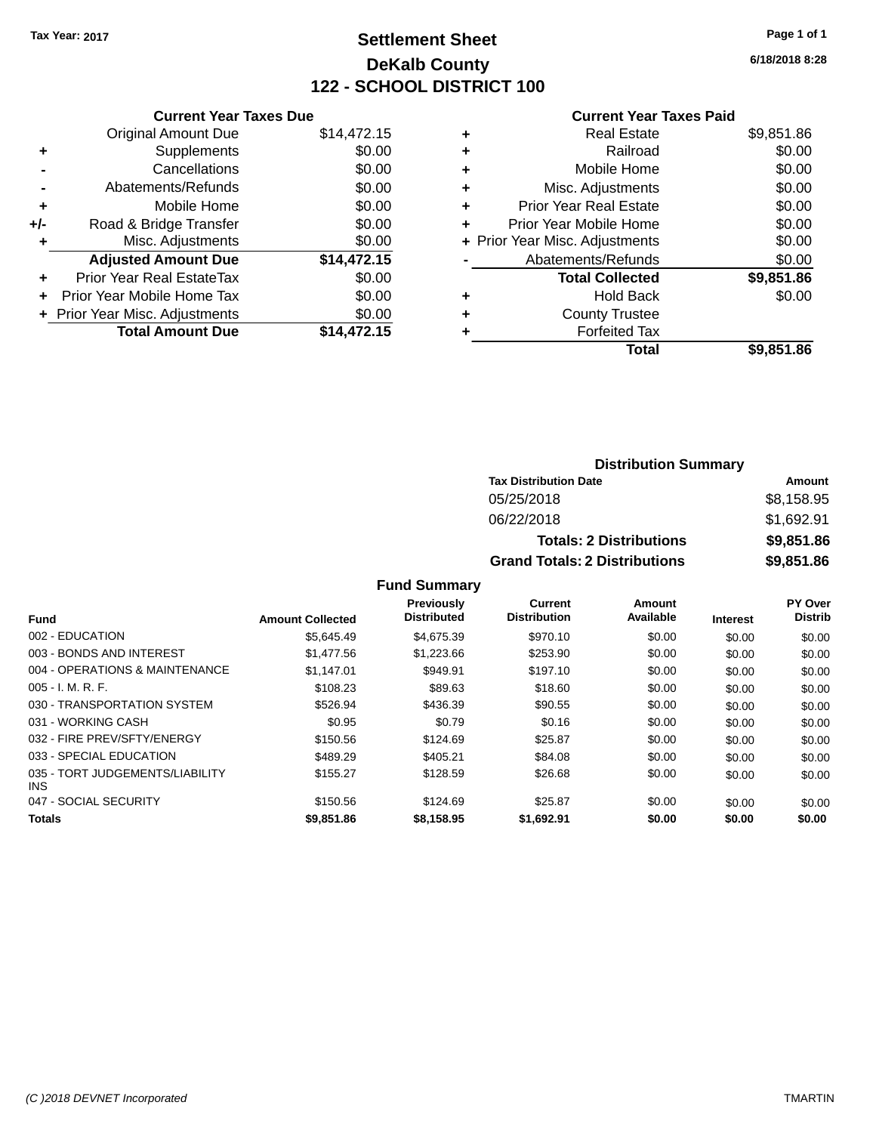# **Settlement Sheet Tax Year: 2017 Page 1 of 1 DeKalb County 122 - SCHOOL DISTRICT 100**

**6/18/2018 8:28**

#### **Current Year Taxes Paid**

| \$14,472.15 |
|-------------|
|             |
| \$0.00      |
| \$0.00      |
| \$0.00      |
| \$0.00      |
| \$0.00      |
| \$0.00      |
| \$14,472.15 |
| \$0.00      |
| \$0.00      |
| \$0.00      |
| \$14.472.15 |
|             |

| ٠ | <b>Real Estate</b>             | \$9,851.86 |
|---|--------------------------------|------------|
| ٠ | Railroad                       | \$0.00     |
| ٠ | Mobile Home                    | \$0.00     |
| ٠ | Misc. Adjustments              | \$0.00     |
| ٠ | <b>Prior Year Real Estate</b>  | \$0.00     |
| ٠ | Prior Year Mobile Home         | \$0.00     |
|   | + Prior Year Misc. Adjustments | \$0.00     |
|   | Abatements/Refunds             | \$0.00     |
|   | <b>Total Collected</b>         | \$9,851.86 |
| ٠ | <b>Hold Back</b>               | \$0.00     |
| ٠ | <b>County Trustee</b>          |            |
| ٠ | <b>Forfeited Tax</b>           |            |
|   | Total                          | \$9,851.86 |
|   |                                |            |

| <b>Distribution Summary</b>          |            |
|--------------------------------------|------------|
| <b>Tax Distribution Date</b>         | Amount     |
| 05/25/2018                           | \$8,158.95 |
| 06/22/2018                           | \$1,692.91 |
| <b>Totals: 2 Distributions</b>       | \$9,851.86 |
| <b>Grand Totals: 2 Distributions</b> | \$9,851.86 |

## **Fund Summary**

|                                         |                         | Previously<br><b>Distributed</b> | Current<br><b>Distribution</b> | Amount<br>Available |                 | PY Over<br><b>Distrib</b> |
|-----------------------------------------|-------------------------|----------------------------------|--------------------------------|---------------------|-----------------|---------------------------|
| <b>Fund</b>                             | <b>Amount Collected</b> |                                  |                                |                     | <b>Interest</b> |                           |
| 002 - EDUCATION                         | \$5.645.49              | \$4.675.39                       | \$970.10                       | \$0.00              | \$0.00          | \$0.00                    |
| 003 - BONDS AND INTEREST                | \$1,477.56              | \$1,223.66                       | \$253.90                       | \$0.00              | \$0.00          | \$0.00                    |
| 004 - OPERATIONS & MAINTENANCE          | \$1.147.01              | \$949.91                         | \$197.10                       | \$0.00              | \$0.00          | \$0.00                    |
| $005 - I. M. R. F.$                     | \$108.23                | \$89.63                          | \$18.60                        | \$0.00              | \$0.00          | \$0.00                    |
| 030 - TRANSPORTATION SYSTEM             | \$526.94                | \$436.39                         | \$90.55                        | \$0.00              | \$0.00          | \$0.00                    |
| 031 - WORKING CASH                      | \$0.95                  | \$0.79                           | \$0.16                         | \$0.00              | \$0.00          | \$0.00                    |
| 032 - FIRE PREV/SFTY/ENERGY             | \$150.56                | \$124.69                         | \$25.87                        | \$0.00              | \$0.00          | \$0.00                    |
| 033 - SPECIAL EDUCATION                 | \$489.29                | \$405.21                         | \$84.08                        | \$0.00              | \$0.00          | \$0.00                    |
| 035 - TORT JUDGEMENTS/LIABILITY<br>INS. | \$155.27                | \$128.59                         | \$26.68                        | \$0.00              | \$0.00          | \$0.00                    |
| 047 - SOCIAL SECURITY                   | \$150.56                | \$124.69                         | \$25.87                        | \$0.00              | \$0.00          | \$0.00                    |
| <b>Totals</b>                           | \$9,851.86              | \$8.158.95                       | \$1.692.91                     | \$0.00              | \$0.00          | \$0.00                    |

*(C )2018 DEVNET Incorporated* TMARTIN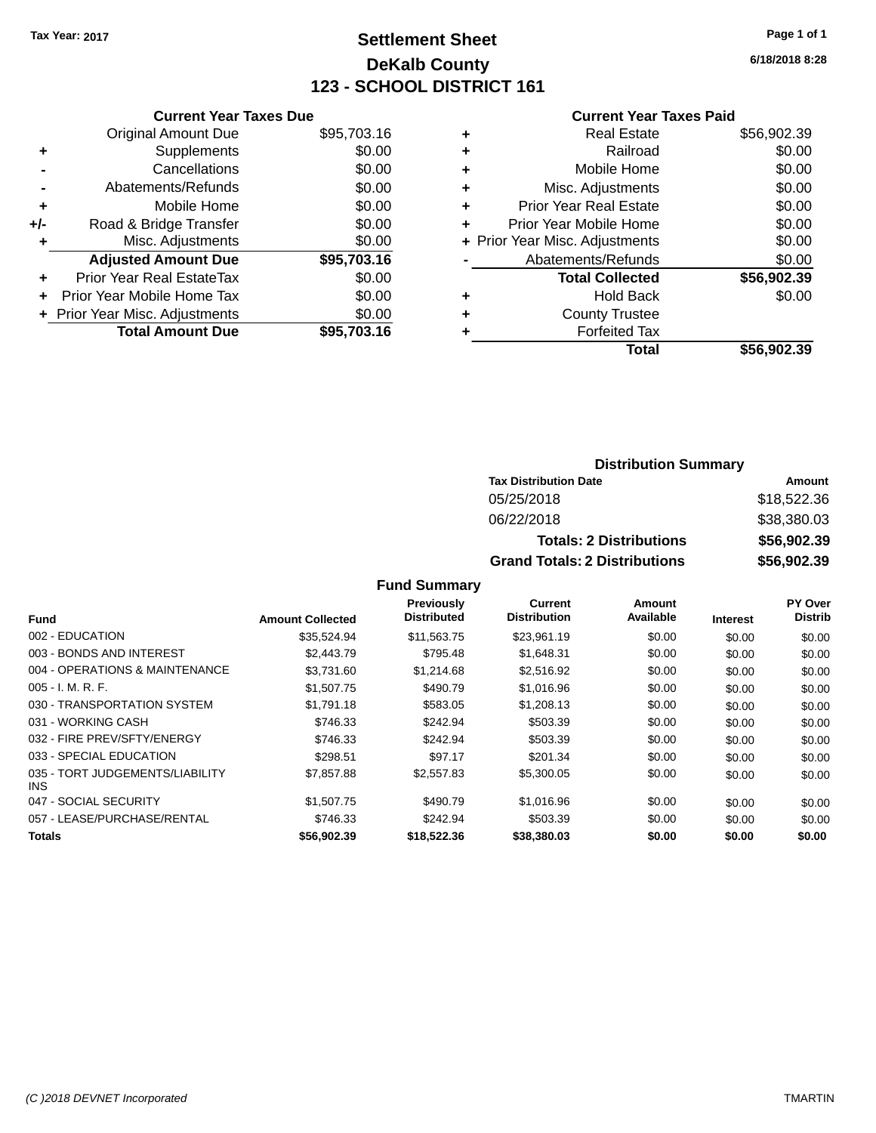# **Settlement Sheet Tax Year: 2017 Page 1 of 1 DeKalb County 123 - SCHOOL DISTRICT 161**

**6/18/2018 8:28**

| <b>Current Year Taxes Paid</b> |  |  |
|--------------------------------|--|--|
|                                |  |  |

|     | <b>Current Year Taxes Due</b>  |             |
|-----|--------------------------------|-------------|
|     | <b>Original Amount Due</b>     | \$95,703.16 |
| ٠   | Supplements                    | \$0.00      |
|     | Cancellations                  | \$0.00      |
|     | Abatements/Refunds             | \$0.00      |
| ٠   | Mobile Home                    | \$0.00      |
| +/- | Road & Bridge Transfer         | \$0.00      |
|     | Misc. Adjustments              | \$0.00      |
|     | <b>Adjusted Amount Due</b>     | \$95,703.16 |
| ÷   | Prior Year Real EstateTax      | \$0.00      |
| ÷   | Prior Year Mobile Home Tax     | \$0.00      |
|     | + Prior Year Misc. Adjustments | \$0.00      |
|     | <b>Total Amount Due</b>        | \$95,703,16 |

| ٠ | <b>Real Estate</b>             | \$56,902.39 |
|---|--------------------------------|-------------|
| ٠ | Railroad                       | \$0.00      |
| ٠ | Mobile Home                    | \$0.00      |
| ٠ | Misc. Adjustments              | \$0.00      |
| ٠ | <b>Prior Year Real Estate</b>  | \$0.00      |
|   | Prior Year Mobile Home         | \$0.00      |
|   | + Prior Year Misc. Adjustments | \$0.00      |
|   | Abatements/Refunds             | \$0.00      |
|   | <b>Total Collected</b>         | \$56,902.39 |
| ٠ | <b>Hold Back</b>               | \$0.00      |
| ٠ | <b>County Trustee</b>          |             |
| ٠ | <b>Forfeited Tax</b>           |             |
|   | Total                          | \$56,902.39 |
|   |                                |             |

| <b>Distribution Summary</b>          |             |  |  |  |  |
|--------------------------------------|-------------|--|--|--|--|
| <b>Tax Distribution Date</b>         | Amount      |  |  |  |  |
| 05/25/2018                           | \$18,522.36 |  |  |  |  |
| 06/22/2018                           | \$38,380.03 |  |  |  |  |
| <b>Totals: 2 Distributions</b>       | \$56,902.39 |  |  |  |  |
| <b>Grand Totals: 2 Distributions</b> | \$56,902.39 |  |  |  |  |

|                                               |                         | Previously         | Current             | Amount    |                 | PY Over        |
|-----------------------------------------------|-------------------------|--------------------|---------------------|-----------|-----------------|----------------|
| <b>Fund</b>                                   | <b>Amount Collected</b> | <b>Distributed</b> | <b>Distribution</b> | Available | <b>Interest</b> | <b>Distrib</b> |
| 002 - EDUCATION                               | \$35.524.94             | \$11.563.75        | \$23.961.19         | \$0.00    | \$0.00          | \$0.00         |
| 003 - BONDS AND INTEREST                      | \$2,443.79              | \$795.48           | \$1,648.31          | \$0.00    | \$0.00          | \$0.00         |
| 004 - OPERATIONS & MAINTENANCE                | \$3.731.60              | \$1,214.68         | \$2,516.92          | \$0.00    | \$0.00          | \$0.00         |
| $005 - I. M. R. F.$                           | \$1,507.75              | \$490.79           | \$1.016.96          | \$0.00    | \$0.00          | \$0.00         |
| 030 - TRANSPORTATION SYSTEM                   | \$1,791.18              | \$583.05           | \$1,208.13          | \$0.00    | \$0.00          | \$0.00         |
| 031 - WORKING CASH                            | \$746.33                | \$242.94           | \$503.39            | \$0.00    | \$0.00          | \$0.00         |
| 032 - FIRE PREV/SFTY/ENERGY                   | \$746.33                | \$242.94           | \$503.39            | \$0.00    | \$0.00          | \$0.00         |
| 033 - SPECIAL EDUCATION                       | \$298.51                | \$97.17            | \$201.34            | \$0.00    | \$0.00          | \$0.00         |
| 035 - TORT JUDGEMENTS/LIABILITY<br><b>INS</b> | \$7,857.88              | \$2,557.83         | \$5,300.05          | \$0.00    | \$0.00          | \$0.00         |
| 047 - SOCIAL SECURITY                         | \$1,507.75              | \$490.79           | \$1.016.96          | \$0.00    | \$0.00          | \$0.00         |
| 057 - LEASE/PURCHASE/RENTAL                   | \$746.33                | \$242.94           | \$503.39            | \$0.00    | \$0.00          | \$0.00         |
| <b>Totals</b>                                 | \$56,902.39             | \$18,522,36        | \$38,380,03         | \$0.00    | \$0.00          | \$0.00         |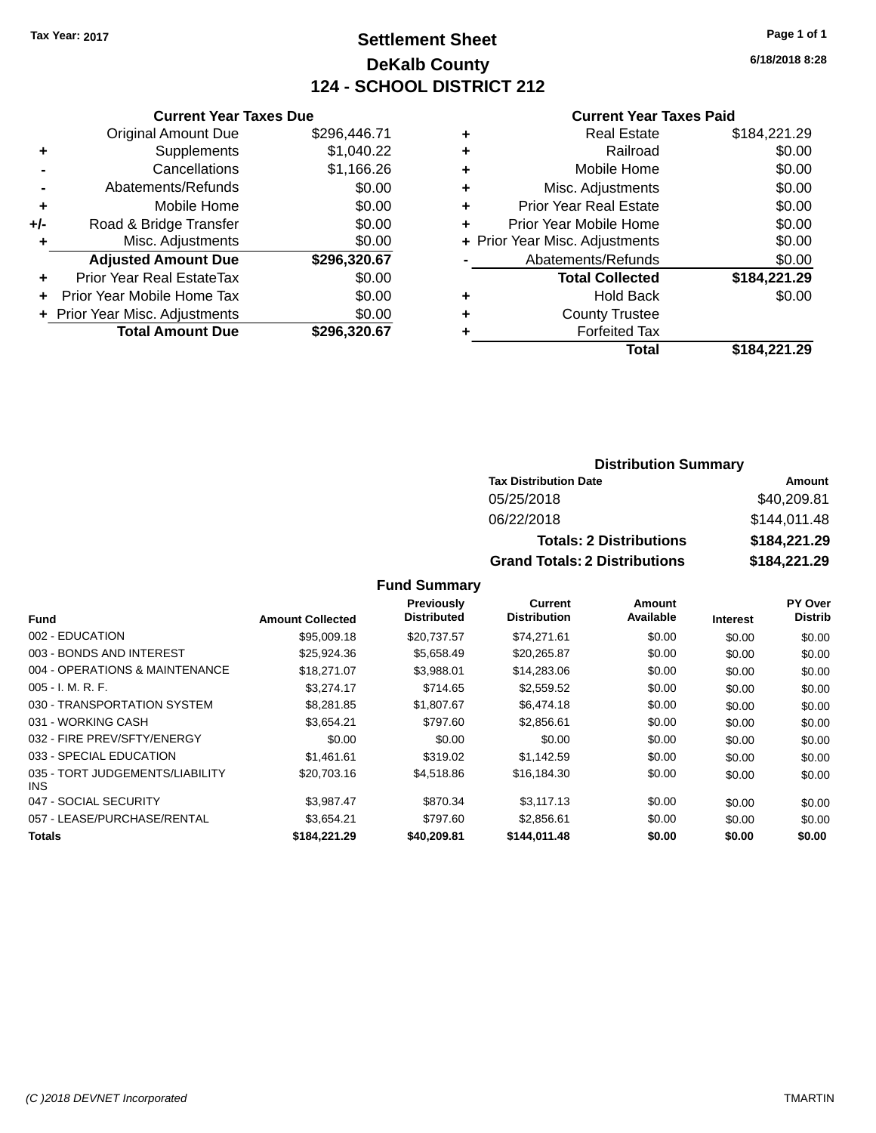# **Settlement Sheet Tax Year: 2017 Page 1 of 1 DeKalb County 124 - SCHOOL DISTRICT 212**

**6/18/2018 8:28**

#### **Current Year Taxes Paid**

|       | <b>Current Year Taxes Due</b>    |              |
|-------|----------------------------------|--------------|
|       | <b>Original Amount Due</b>       | \$296,446.71 |
| ٠     | Supplements                      | \$1,040.22   |
|       | Cancellations                    | \$1,166.26   |
|       | Abatements/Refunds               | \$0.00       |
| ٠     | Mobile Home                      | \$0.00       |
| $+/-$ | Road & Bridge Transfer           | \$0.00       |
| ٠     | Misc. Adjustments                | \$0.00       |
|       | <b>Adjusted Amount Due</b>       | \$296,320.67 |
| ٠     | <b>Prior Year Real EstateTax</b> | \$0.00       |
|       | Prior Year Mobile Home Tax       | \$0.00       |
|       | + Prior Year Misc. Adjustments   | \$0.00       |
|       | <b>Total Amount Due</b>          | \$296.320.67 |
|       |                                  |              |

| ٠ | <b>Real Estate</b>             | \$184,221.29 |
|---|--------------------------------|--------------|
| ٠ | Railroad                       | \$0.00       |
| ٠ | Mobile Home                    | \$0.00       |
| ٠ | Misc. Adjustments              | \$0.00       |
| ٠ | <b>Prior Year Real Estate</b>  | \$0.00       |
|   | Prior Year Mobile Home         | \$0.00       |
|   | + Prior Year Misc. Adjustments | \$0.00       |
|   | Abatements/Refunds             | \$0.00       |
|   | <b>Total Collected</b>         | \$184,221.29 |
| ٠ | <b>Hold Back</b>               | \$0.00       |
|   | <b>County Trustee</b>          |              |
| ٠ | <b>Forfeited Tax</b>           |              |
|   | Total                          | \$184,221.29 |
|   |                                |              |

## **Distribution Summary Tax Distribution Date Amount** 05/25/2018 \$40,209.81 06/22/2018 \$144,011.48 **Totals: 2 Distributions \$184,221.29 Grand Totals: 2 Distributions \$184,221.29**

|                                         |                         | Previously         | Current             | Amount    |                 | PY Over        |
|-----------------------------------------|-------------------------|--------------------|---------------------|-----------|-----------------|----------------|
| <b>Fund</b>                             | <b>Amount Collected</b> | <b>Distributed</b> | <b>Distribution</b> | Available | <b>Interest</b> | <b>Distrib</b> |
| 002 - EDUCATION                         | \$95,009.18             | \$20,737.57        | \$74.271.61         | \$0.00    | \$0.00          | \$0.00         |
| 003 - BONDS AND INTEREST                | \$25,924.36             | \$5,658.49         | \$20,265.87         | \$0.00    | \$0.00          | \$0.00         |
| 004 - OPERATIONS & MAINTENANCE          | \$18,271.07             | \$3.988.01         | \$14,283.06         | \$0.00    | \$0.00          | \$0.00         |
| $005 - I. M. R. F.$                     | \$3,274.17              | \$714.65           | \$2,559.52          | \$0.00    | \$0.00          | \$0.00         |
| 030 - TRANSPORTATION SYSTEM             | \$8,281.85              | \$1,807.67         | \$6,474.18          | \$0.00    | \$0.00          | \$0.00         |
| 031 - WORKING CASH                      | \$3,654.21              | \$797.60           | \$2,856.61          | \$0.00    | \$0.00          | \$0.00         |
| 032 - FIRE PREV/SFTY/ENERGY             | \$0.00                  | \$0.00             | \$0.00              | \$0.00    | \$0.00          | \$0.00         |
| 033 - SPECIAL EDUCATION                 | \$1.461.61              | \$319.02           | \$1.142.59          | \$0.00    | \$0.00          | \$0.00         |
| 035 - TORT JUDGEMENTS/LIABILITY<br>INS. | \$20,703.16             | \$4,518.86         | \$16,184.30         | \$0.00    | \$0.00          | \$0.00         |
| 047 - SOCIAL SECURITY                   | \$3.987.47              | \$870.34           | \$3,117.13          | \$0.00    | \$0.00          | \$0.00         |
| 057 - LEASE/PURCHASE/RENTAL             | \$3,654.21              | \$797.60           | \$2,856.61          | \$0.00    | \$0.00          | \$0.00         |
| <b>Totals</b>                           | \$184.221.29            | \$40,209.81        | \$144.011.48        | \$0.00    | \$0.00          | \$0.00         |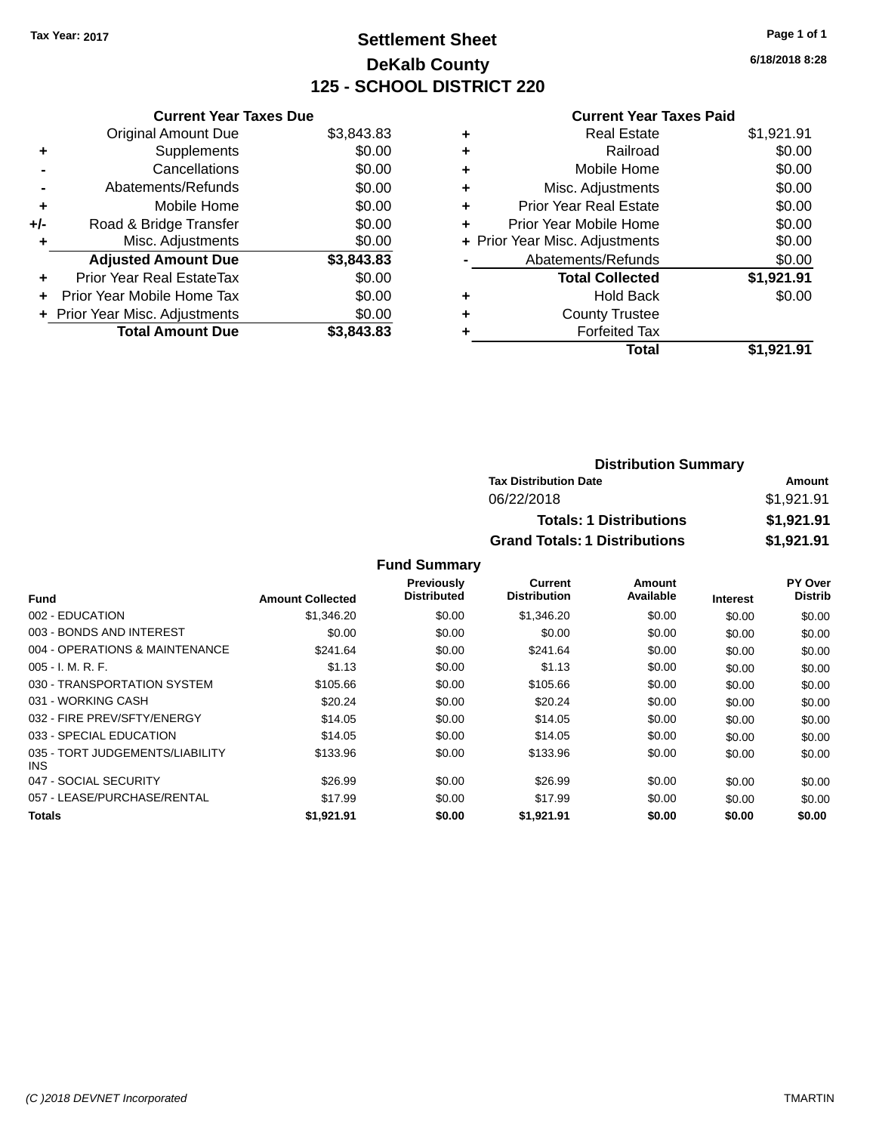# **Settlement Sheet Tax Year: 2017 Page 1 of 1 DeKalb County 125 - SCHOOL DISTRICT 220**

**6/18/2018 8:28**

## **Current Year Taxes Paid**

|     | <b>Current Year Taxes Due</b>    |            |
|-----|----------------------------------|------------|
|     | <b>Original Amount Due</b>       | \$3,843.83 |
| ٠   | Supplements                      | \$0.00     |
|     | Cancellations                    | \$0.00     |
|     | Abatements/Refunds               | \$0.00     |
| ٠   | Mobile Home                      | \$0.00     |
| +/- | Road & Bridge Transfer           | \$0.00     |
| ٠   | Misc. Adjustments                | \$0.00     |
|     | <b>Adjusted Amount Due</b>       | \$3,843.83 |
| ÷   | <b>Prior Year Real EstateTax</b> | \$0.00     |
| ÷   | Prior Year Mobile Home Tax       | \$0.00     |
|     | + Prior Year Misc. Adjustments   | \$0.00     |
|     | <b>Total Amount Due</b>          | \$3.843.83 |

|   | <b>Total</b>                   | \$1,921.91 |
|---|--------------------------------|------------|
| ٠ | <b>Forfeited Tax</b>           |            |
| ٠ | <b>County Trustee</b>          |            |
| ٠ | <b>Hold Back</b>               | \$0.00     |
|   | <b>Total Collected</b>         | \$1,921.91 |
|   | Abatements/Refunds             | \$0.00     |
|   | + Prior Year Misc. Adjustments | \$0.00     |
| ٠ | Prior Year Mobile Home         | \$0.00     |
| ÷ | <b>Prior Year Real Estate</b>  | \$0.00     |
| ٠ | Misc. Adjustments              | \$0.00     |
| ٠ | Mobile Home                    | \$0.00     |
| ٠ | Railroad                       | \$0.00     |
| ٠ | <b>Real Estate</b>             | \$1,921.91 |
|   |                                |            |

| <b>Distribution Summary</b>          |            |
|--------------------------------------|------------|
| <b>Tax Distribution Date</b>         | Amount     |
| 06/22/2018                           | \$1,921.91 |
| <b>Totals: 1 Distributions</b>       | \$1,921.91 |
| <b>Grand Totals: 1 Distributions</b> | \$1,921.91 |

|                                         |                         | Previously         | <b>Current</b>      | Amount    |                 | PY Over        |
|-----------------------------------------|-------------------------|--------------------|---------------------|-----------|-----------------|----------------|
| <b>Fund</b>                             | <b>Amount Collected</b> | <b>Distributed</b> | <b>Distribution</b> | Available | <b>Interest</b> | <b>Distrib</b> |
| 002 - EDUCATION                         | \$1,346.20              | \$0.00             | \$1,346.20          | \$0.00    | \$0.00          | \$0.00         |
| 003 - BONDS AND INTEREST                | \$0.00                  | \$0.00             | \$0.00              | \$0.00    | \$0.00          | \$0.00         |
| 004 - OPERATIONS & MAINTENANCE          | \$241.64                | \$0.00             | \$241.64            | \$0.00    | \$0.00          | \$0.00         |
| $005 - I. M. R. F.$                     | \$1.13                  | \$0.00             | \$1.13              | \$0.00    | \$0.00          | \$0.00         |
| 030 - TRANSPORTATION SYSTEM             | \$105.66                | \$0.00             | \$105.66            | \$0.00    | \$0.00          | \$0.00         |
| 031 - WORKING CASH                      | \$20.24                 | \$0.00             | \$20.24             | \$0.00    | \$0.00          | \$0.00         |
| 032 - FIRE PREV/SFTY/ENERGY             | \$14.05                 | \$0.00             | \$14.05             | \$0.00    | \$0.00          | \$0.00         |
| 033 - SPECIAL EDUCATION                 | \$14.05                 | \$0.00             | \$14.05             | \$0.00    | \$0.00          | \$0.00         |
| 035 - TORT JUDGEMENTS/LIABILITY<br>INS. | \$133.96                | \$0.00             | \$133.96            | \$0.00    | \$0.00          | \$0.00         |
| 047 - SOCIAL SECURITY                   | \$26.99                 | \$0.00             | \$26.99             | \$0.00    | \$0.00          | \$0.00         |
| 057 - LEASE/PURCHASE/RENTAL             | \$17.99                 | \$0.00             | \$17.99             | \$0.00    | \$0.00          | \$0.00         |
| Totals                                  | \$1,921.91              | \$0.00             | \$1.921.91          | \$0.00    | \$0.00          | \$0.00         |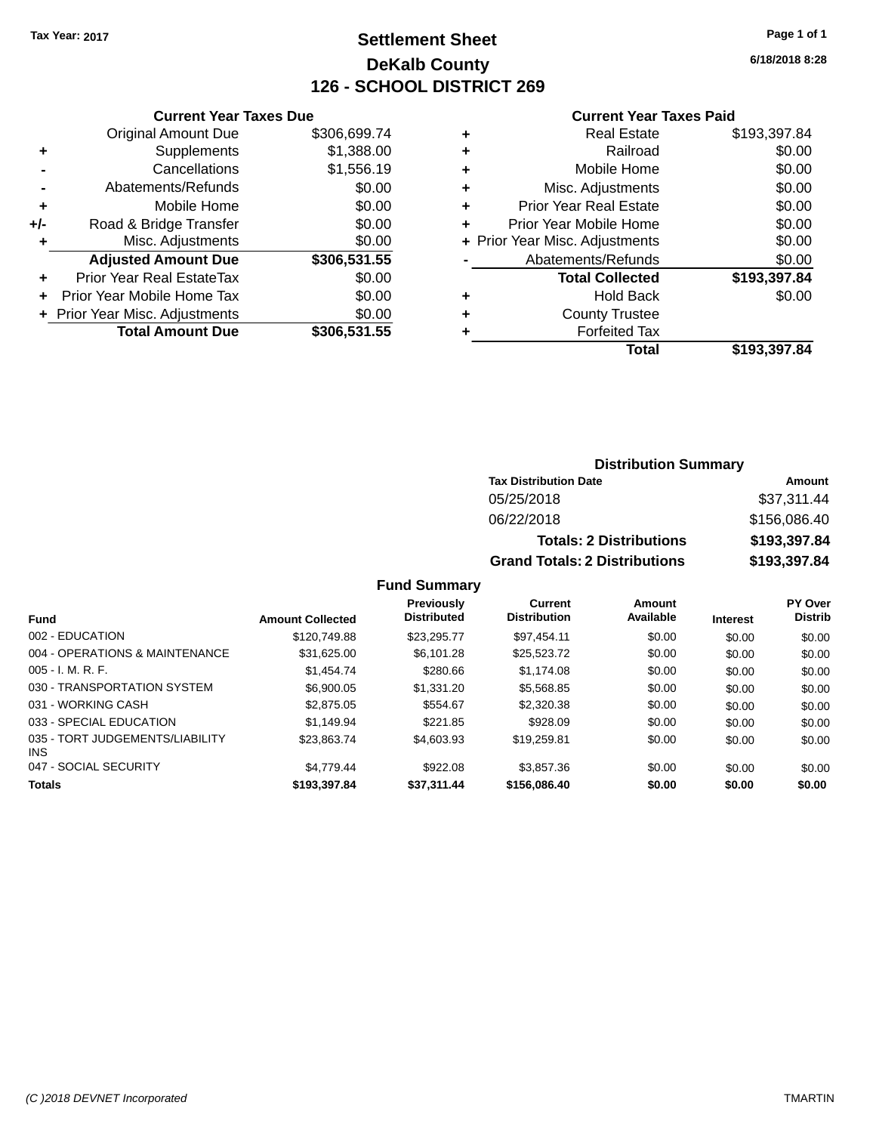# **Settlement Sheet Tax Year: 2017 Page 1 of 1 DeKalb County 126 - SCHOOL DISTRICT 269**

**6/18/2018 8:28**

#### **Current Year Taxes Paid**

|       | <b>Current Year Taxes Due</b>  |              |
|-------|--------------------------------|--------------|
|       | <b>Original Amount Due</b>     | \$306,699.74 |
| ٠     | Supplements                    | \$1,388.00   |
|       | Cancellations                  | \$1,556.19   |
|       | Abatements/Refunds             | \$0.00       |
| ٠     | Mobile Home                    | \$0.00       |
| $+/-$ | Road & Bridge Transfer         | \$0.00       |
| ٠     | Misc. Adjustments              | \$0.00       |
|       | <b>Adjusted Amount Due</b>     | \$306,531.55 |
| ٠     | Prior Year Real EstateTax      | \$0.00       |
|       | Prior Year Mobile Home Tax     | \$0.00       |
|       | + Prior Year Misc. Adjustments | \$0.00       |
|       | <b>Total Amount Due</b>        | \$306,531.55 |
|       |                                |              |

| ٠ | <b>Real Estate</b>             | \$193,397.84 |
|---|--------------------------------|--------------|
| ٠ | Railroad                       | \$0.00       |
| ٠ | Mobile Home                    | \$0.00       |
| ٠ | Misc. Adjustments              | \$0.00       |
| ٠ | <b>Prior Year Real Estate</b>  | \$0.00       |
| ÷ | Prior Year Mobile Home         | \$0.00       |
|   | + Prior Year Misc. Adjustments | \$0.00       |
|   | Abatements/Refunds             | \$0.00       |
|   | <b>Total Collected</b>         | \$193,397.84 |
| ٠ | Hold Back                      | \$0.00       |
| ٠ | <b>County Trustee</b>          |              |
| ٠ | <b>Forfeited Tax</b>           |              |
|   | Total                          | \$193,397.84 |
|   |                                |              |

## **Distribution Summary Tax Distribution Date Amount** 05/25/2018 \$37,311.44 06/22/2018 \$156,086.40 **Totals: 2 Distributions \$193,397.84 Grand Totals: 2 Distributions \$193,397.84**

| <b>Fund</b>                             | <b>Amount Collected</b> | <b>Previously</b><br><b>Distributed</b> | Current<br><b>Distribution</b> | Amount<br>Available | <b>Interest</b> | <b>PY Over</b><br><b>Distrib</b> |
|-----------------------------------------|-------------------------|-----------------------------------------|--------------------------------|---------------------|-----------------|----------------------------------|
| 002 - EDUCATION                         | \$120,749.88            | \$23.295.77                             | \$97.454.11                    | \$0.00              | \$0.00          | \$0.00                           |
| 004 - OPERATIONS & MAINTENANCE          | \$31.625.00             | \$6,101.28                              | \$25.523.72                    | \$0.00              | \$0.00          | \$0.00                           |
| $005 - I. M. R. F.$                     | \$1,454,74              | \$280.66                                | \$1.174.08                     | \$0.00              | \$0.00          | \$0.00                           |
| 030 - TRANSPORTATION SYSTEM             | \$6,900.05              | \$1,331.20                              | \$5,568,85                     | \$0.00              | \$0.00          | \$0.00                           |
| 031 - WORKING CASH                      | \$2,875.05              | \$554.67                                | \$2,320,38                     | \$0.00              | \$0.00          | \$0.00                           |
| 033 - SPECIAL EDUCATION                 | \$1.149.94              | \$221.85                                | \$928.09                       | \$0.00              | \$0.00          | \$0.00                           |
| 035 - TORT JUDGEMENTS/LIABILITY<br>INS. | \$23.863.74             | \$4,603.93                              | \$19,259.81                    | \$0.00              | \$0.00          | \$0.00                           |
| 047 - SOCIAL SECURITY                   | \$4.779.44              | \$922.08                                | \$3.857.36                     | \$0.00              | \$0.00          | \$0.00                           |
| <b>Totals</b>                           | \$193,397.84            | \$37,311.44                             | \$156,086,40                   | \$0.00              | \$0.00          | \$0.00                           |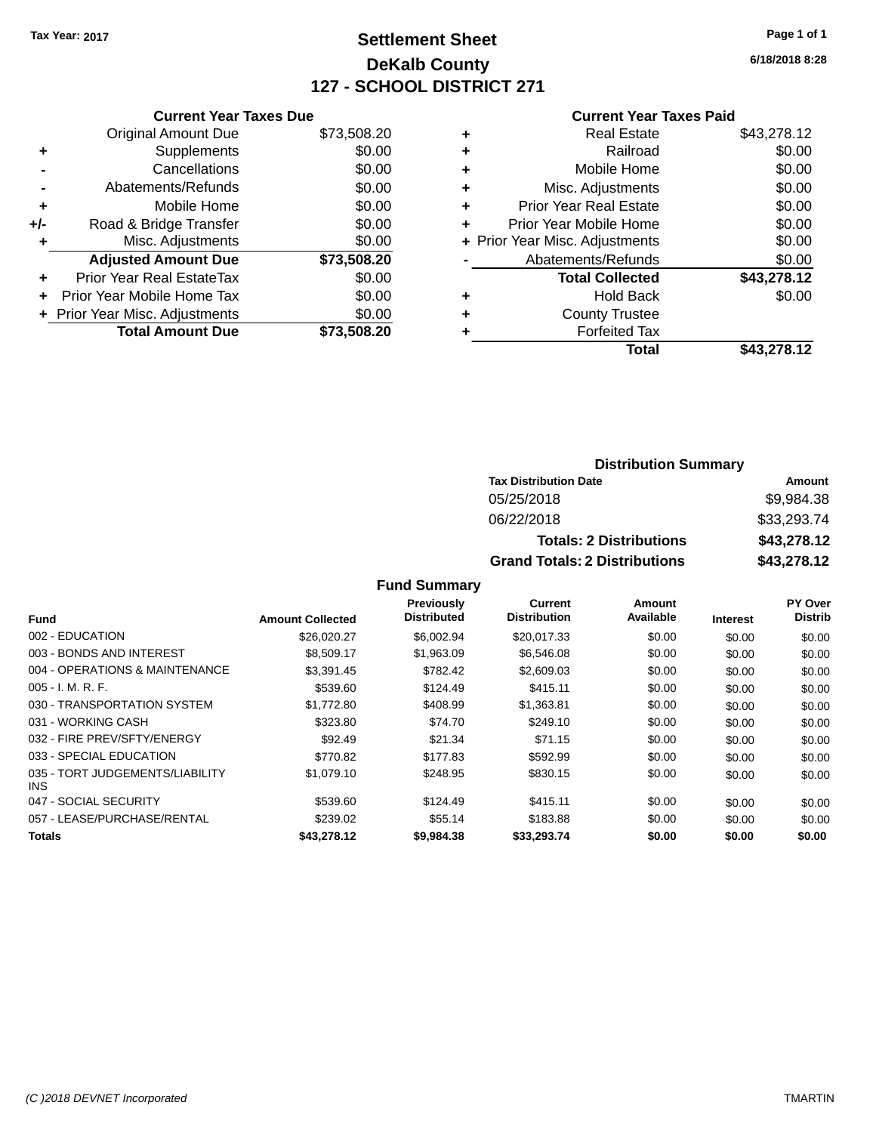# **Settlement Sheet Tax Year: 2017 Page 1 of 1 DeKalb County 127 - SCHOOL DISTRICT 271**

**6/18/2018 8:28**

#### **Current Year Taxes Paid**

|     | <b>Current Year Taxes Due</b>  |             |
|-----|--------------------------------|-------------|
|     | <b>Original Amount Due</b>     | \$73,508.20 |
| ÷   | Supplements                    | \$0.00      |
|     | Cancellations                  | \$0.00      |
|     | Abatements/Refunds             | \$0.00      |
| ٠   | Mobile Home                    | \$0.00      |
| +/- | Road & Bridge Transfer         | \$0.00      |
|     | Misc. Adjustments              | \$0.00      |
|     | <b>Adjusted Amount Due</b>     | \$73,508.20 |
| ÷   | Prior Year Real EstateTax      | \$0.00      |
|     | Prior Year Mobile Home Tax     | \$0.00      |
|     | + Prior Year Misc. Adjustments | \$0.00      |
|     | <b>Total Amount Due</b>        | \$73.508.20 |
|     |                                |             |

|   | <b>Real Estate</b>             | \$43,278.12 |
|---|--------------------------------|-------------|
| ٠ | Railroad                       | \$0.00      |
| ٠ | Mobile Home                    | \$0.00      |
| ٠ | Misc. Adjustments              | \$0.00      |
| ٠ | <b>Prior Year Real Estate</b>  | \$0.00      |
|   | Prior Year Mobile Home         | \$0.00      |
|   | + Prior Year Misc. Adjustments | \$0.00      |
|   | Abatements/Refunds             | \$0.00      |
|   | <b>Total Collected</b>         | \$43,278.12 |
| ٠ | Hold Back                      | \$0.00      |
|   | <b>County Trustee</b>          |             |
| ٠ | <b>Forfeited Tax</b>           |             |
|   | Total                          | \$43,278.12 |
|   |                                |             |

| <b>Distribution Summary</b>          |             |  |  |  |  |
|--------------------------------------|-------------|--|--|--|--|
| <b>Tax Distribution Date</b>         | Amount      |  |  |  |  |
| 05/25/2018                           | \$9,984.38  |  |  |  |  |
| 06/22/2018                           | \$33,293.74 |  |  |  |  |
| <b>Totals: 2 Distributions</b>       | \$43,278.12 |  |  |  |  |
| <b>Grand Totals: 2 Distributions</b> | \$43,278.12 |  |  |  |  |

|                                         |                         | <b>Previously</b>  | Current             | <b>Amount</b> |                 | PY Over        |
|-----------------------------------------|-------------------------|--------------------|---------------------|---------------|-----------------|----------------|
| <b>Fund</b>                             | <b>Amount Collected</b> | <b>Distributed</b> | <b>Distribution</b> | Available     | <b>Interest</b> | <b>Distrib</b> |
| 002 - EDUCATION                         | \$26,020.27             | \$6,002.94         | \$20,017.33         | \$0.00        | \$0.00          | \$0.00         |
| 003 - BONDS AND INTEREST                | \$8,509.17              | \$1,963.09         | \$6,546,08          | \$0.00        | \$0.00          | \$0.00         |
| 004 - OPERATIONS & MAINTENANCE          | \$3.391.45              | \$782.42           | \$2,609.03          | \$0.00        | \$0.00          | \$0.00         |
| $005 - I. M. R. F.$                     | \$539.60                | \$124.49           | \$415.11            | \$0.00        | \$0.00          | \$0.00         |
| 030 - TRANSPORTATION SYSTEM             | \$1,772.80              | \$408.99           | \$1,363.81          | \$0.00        | \$0.00          | \$0.00         |
| 031 - WORKING CASH                      | \$323.80                | \$74.70            | \$249.10            | \$0.00        | \$0.00          | \$0.00         |
| 032 - FIRE PREV/SFTY/ENERGY             | \$92.49                 | \$21.34            | \$71.15             | \$0.00        | \$0.00          | \$0.00         |
| 033 - SPECIAL EDUCATION                 | \$770.82                | \$177.83           | \$592.99            | \$0.00        | \$0.00          | \$0.00         |
| 035 - TORT JUDGEMENTS/LIABILITY<br>INS. | \$1.079.10              | \$248.95           | \$830.15            | \$0.00        | \$0.00          | \$0.00         |
| 047 - SOCIAL SECURITY                   | \$539.60                | \$124.49           | \$415.11            | \$0.00        | \$0.00          | \$0.00         |
| 057 - LEASE/PURCHASE/RENTAL             | \$239.02                | \$55.14            | \$183.88            | \$0.00        | \$0.00          | \$0.00         |
| <b>Totals</b>                           | \$43,278.12             | \$9,984,38         | \$33.293.74         | \$0.00        | \$0.00          | \$0.00         |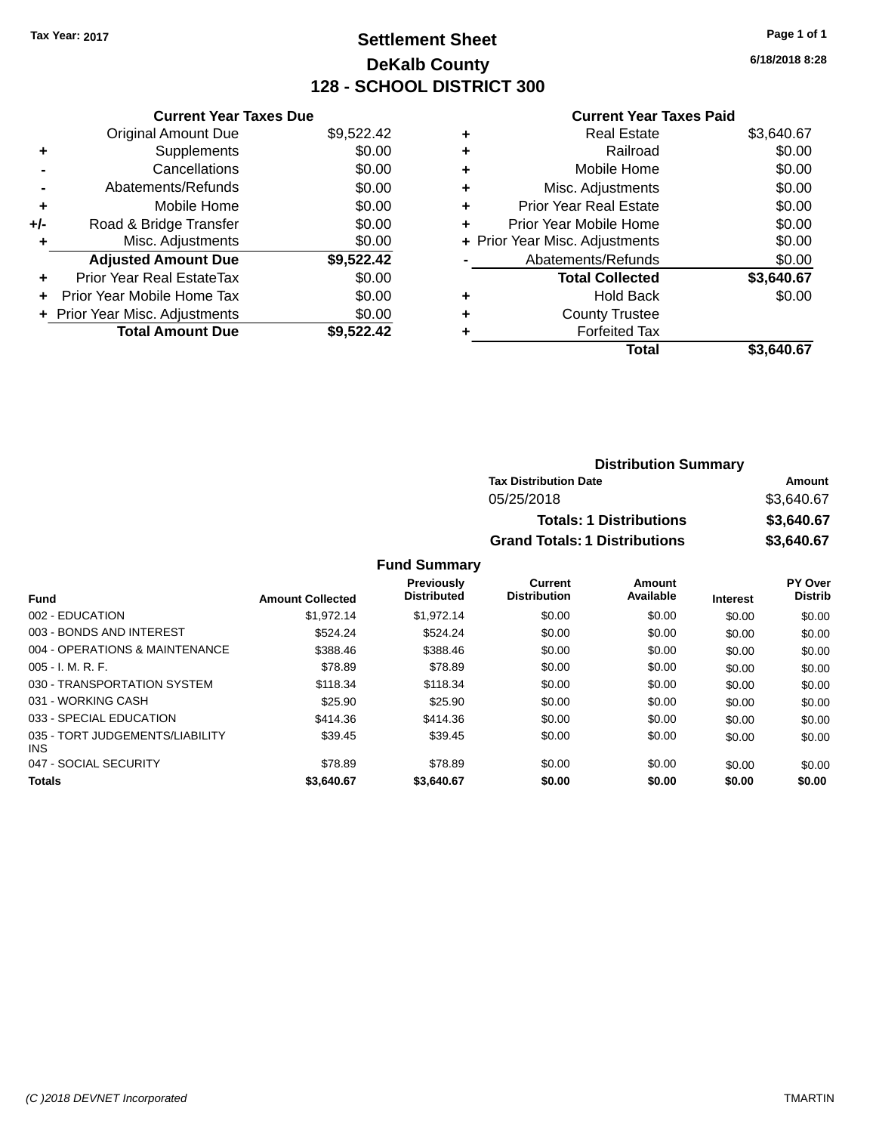# **Settlement Sheet Tax Year: 2017 Page 1 of 1 DeKalb County 128 - SCHOOL DISTRICT 300**

**6/18/2018 8:28**

#### **Current Year Taxes Paid**

|     | <b>Current Year Taxes Due</b>    |            |
|-----|----------------------------------|------------|
|     | <b>Original Amount Due</b>       | \$9,522.42 |
| ٠   | Supplements                      | \$0.00     |
|     | Cancellations                    | \$0.00     |
|     | Abatements/Refunds               | \$0.00     |
| ٠   | Mobile Home                      | \$0.00     |
| +/- | Road & Bridge Transfer           | \$0.00     |
| ٠   | Misc. Adjustments                | \$0.00     |
|     | <b>Adjusted Amount Due</b>       | \$9,522.42 |
| ٠   | <b>Prior Year Real EstateTax</b> | \$0.00     |
| ٠   | Prior Year Mobile Home Tax       | \$0.00     |
|     | + Prior Year Misc. Adjustments   | \$0.00     |
|     | <b>Total Amount Due</b>          | \$9.522.42 |

|   | <b>Real Estate</b>             | \$3,640.67 |
|---|--------------------------------|------------|
| ٠ | Railroad                       | \$0.00     |
| ٠ | Mobile Home                    | \$0.00     |
| ٠ | Misc. Adjustments              | \$0.00     |
| ٠ | <b>Prior Year Real Estate</b>  | \$0.00     |
| ٠ | Prior Year Mobile Home         | \$0.00     |
|   | + Prior Year Misc. Adjustments | \$0.00     |
|   | Abatements/Refunds             | \$0.00     |
|   | <b>Total Collected</b>         | \$3,640.67 |
| ٠ | <b>Hold Back</b>               | \$0.00     |
| ٠ | <b>County Trustee</b>          |            |
| ٠ | <b>Forfeited Tax</b>           |            |
|   | Total                          | \$3.640.67 |
|   |                                |            |

| <b>Distribution Summary</b>          |            |
|--------------------------------------|------------|
| <b>Tax Distribution Date</b>         | Amount     |
| 05/25/2018                           | \$3,640.67 |
| <b>Totals: 1 Distributions</b>       | \$3,640.67 |
| <b>Grand Totals: 1 Distributions</b> | \$3,640.67 |

| <b>Fund</b>                             | <b>Amount Collected</b> | <b>Previously</b><br><b>Distributed</b> | Current<br><b>Distribution</b> | Amount<br>Available | <b>Interest</b> | PY Over<br><b>Distrib</b> |
|-----------------------------------------|-------------------------|-----------------------------------------|--------------------------------|---------------------|-----------------|---------------------------|
| 002 - EDUCATION                         | \$1.972.14              | \$1.972.14                              | \$0.00                         | \$0.00              | \$0.00          | \$0.00                    |
| 003 - BONDS AND INTEREST                | \$524.24                | \$524.24                                | \$0.00                         | \$0.00              | \$0.00          | \$0.00                    |
| 004 - OPERATIONS & MAINTENANCE          | \$388.46                | \$388.46                                | \$0.00                         | \$0.00              | \$0.00          | \$0.00                    |
| $005 - I. M. R. F.$                     | \$78.89                 | \$78.89                                 | \$0.00                         | \$0.00              | \$0.00          | \$0.00                    |
| 030 - TRANSPORTATION SYSTEM             | \$118.34                | \$118.34                                | \$0.00                         | \$0.00              | \$0.00          | \$0.00                    |
| 031 - WORKING CASH                      | \$25.90                 | \$25.90                                 | \$0.00                         | \$0.00              | \$0.00          | \$0.00                    |
| 033 - SPECIAL EDUCATION                 | \$414.36                | \$414.36                                | \$0.00                         | \$0.00              | \$0.00          | \$0.00                    |
| 035 - TORT JUDGEMENTS/LIABILITY<br>INS. | \$39.45                 | \$39.45                                 | \$0.00                         | \$0.00              | \$0.00          | \$0.00                    |
| 047 - SOCIAL SECURITY                   | \$78.89                 | \$78.89                                 | \$0.00                         | \$0.00              | \$0.00          | \$0.00                    |
| <b>Totals</b>                           | \$3.640.67              | \$3.640.67                              | \$0.00                         | \$0.00              | \$0.00          | \$0.00                    |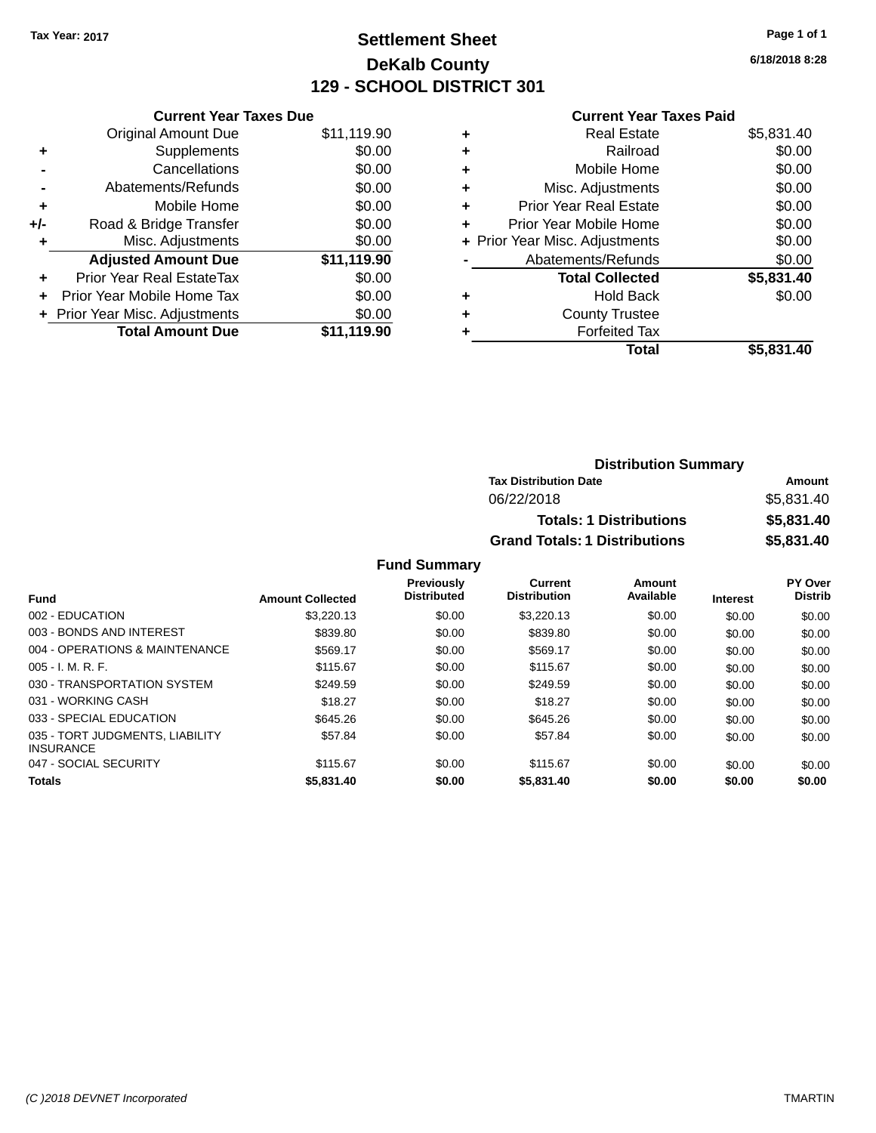# **Settlement Sheet Tax Year: 2017 Page 1 of 1 DeKalb County 129 - SCHOOL DISTRICT 301**

**6/18/2018 8:28**

#### **Current Year Taxes Paid**

|     | <b>Current Year Taxes Due</b>  |             |
|-----|--------------------------------|-------------|
|     | <b>Original Amount Due</b>     | \$11,119.90 |
| ٠   | Supplements                    | \$0.00      |
|     | Cancellations                  | \$0.00      |
|     | Abatements/Refunds             | \$0.00      |
| ٠   | Mobile Home                    | \$0.00      |
| +/- | Road & Bridge Transfer         | \$0.00      |
| ÷   | Misc. Adjustments              | \$0.00      |
|     | <b>Adjusted Amount Due</b>     | \$11,119.90 |
| ٠   | Prior Year Real EstateTax      | \$0.00      |
|     | Prior Year Mobile Home Tax     | \$0.00      |
|     | + Prior Year Misc. Adjustments | \$0.00      |
|     | <b>Total Amount Due</b>        | \$11,119.90 |
|     |                                |             |

|   | <b>Real Estate</b>             | \$5,831.40 |
|---|--------------------------------|------------|
| ٠ | Railroad                       | \$0.00     |
| ٠ | Mobile Home                    | \$0.00     |
| ٠ | Misc. Adjustments              | \$0.00     |
| ٠ | <b>Prior Year Real Estate</b>  | \$0.00     |
| ٠ | Prior Year Mobile Home         | \$0.00     |
|   | + Prior Year Misc. Adjustments | \$0.00     |
|   | Abatements/Refunds             | \$0.00     |
|   | <b>Total Collected</b>         | \$5,831.40 |
| ٠ | <b>Hold Back</b>               | \$0.00     |
| ٠ | <b>County Trustee</b>          |            |
| ٠ | <b>Forfeited Tax</b>           |            |
|   | Total                          | \$5,831.40 |
|   |                                |            |

| <b>Distribution Summary</b>          |            |  |  |
|--------------------------------------|------------|--|--|
| <b>Tax Distribution Date</b>         | Amount     |  |  |
| 06/22/2018                           | \$5.831.40 |  |  |
| <b>Totals: 1 Distributions</b>       | \$5,831.40 |  |  |
| <b>Grand Totals: 1 Distributions</b> | \$5,831.40 |  |  |

| <b>Fund</b>                                         | <b>Amount Collected</b> | <b>Previously</b><br><b>Distributed</b> | Current<br><b>Distribution</b> | Amount<br>Available | <b>Interest</b> | PY Over<br><b>Distrib</b> |
|-----------------------------------------------------|-------------------------|-----------------------------------------|--------------------------------|---------------------|-----------------|---------------------------|
| 002 - EDUCATION                                     | \$3,220.13              | \$0.00                                  | \$3,220.13                     | \$0.00              | \$0.00          | \$0.00                    |
| 003 - BONDS AND INTEREST                            | \$839.80                | \$0.00                                  | \$839.80                       | \$0.00              | \$0.00          | \$0.00                    |
| 004 - OPERATIONS & MAINTENANCE                      | \$569.17                | \$0.00                                  | \$569.17                       | \$0.00              | \$0.00          | \$0.00                    |
| $005 - I. M. R. F.$                                 | \$115.67                | \$0.00                                  | \$115.67                       | \$0.00              | \$0.00          | \$0.00                    |
| 030 - TRANSPORTATION SYSTEM                         | \$249.59                | \$0.00                                  | \$249.59                       | \$0.00              | \$0.00          | \$0.00                    |
| 031 - WORKING CASH                                  | \$18.27                 | \$0.00                                  | \$18.27                        | \$0.00              | \$0.00          | \$0.00                    |
| 033 - SPECIAL EDUCATION                             | \$645.26                | \$0.00                                  | \$645.26                       | \$0.00              | \$0.00          | \$0.00                    |
| 035 - TORT JUDGMENTS, LIABILITY<br><b>INSURANCE</b> | \$57.84                 | \$0.00                                  | \$57.84                        | \$0.00              | \$0.00          | \$0.00                    |
| 047 - SOCIAL SECURITY                               | \$115.67                | \$0.00                                  | \$115.67                       | \$0.00              | \$0.00          | \$0.00                    |
| <b>Totals</b>                                       | \$5,831.40              | \$0.00                                  | \$5,831.40                     | \$0.00              | \$0.00          | \$0.00                    |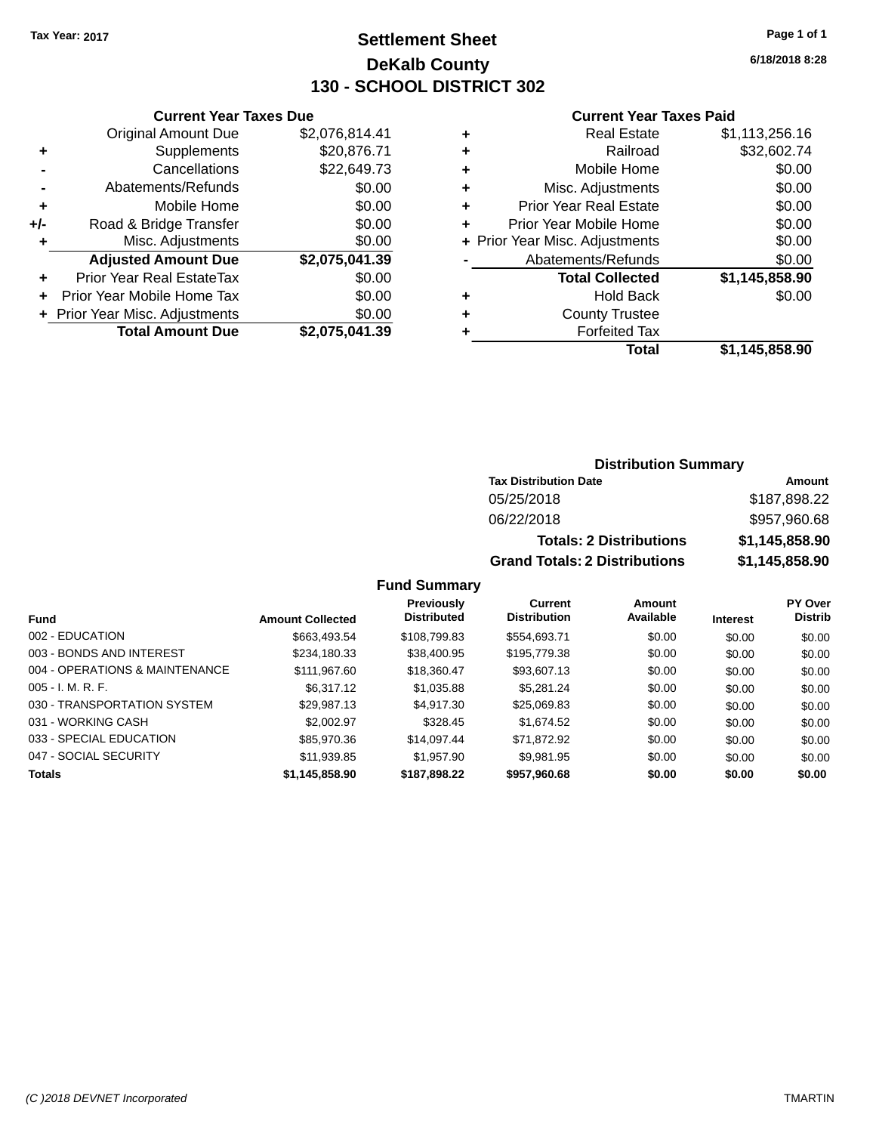# **Settlement Sheet Tax Year: 2017 Page 1 of 1 DeKalb County 130 - SCHOOL DISTRICT 302**

**6/18/2018 8:28**

#### **Current Year Taxes Paid**

| <b>Current Year Taxes Due</b> |                |  |  |
|-------------------------------|----------------|--|--|
| <b>Original Amount Due</b>    | \$2,076,814.41 |  |  |
| Supplements                   | \$20,876.71    |  |  |
| Cancellations                 | \$22,649.73    |  |  |
| Abatements/Refunds            | \$0.00         |  |  |
| Mobile Home                   | \$0.00         |  |  |
| Road & Bridge Transfer        | \$0.00         |  |  |
| Misc. Adjustments             | \$0.00         |  |  |
| <b>Adjusted Amount Due</b>    | \$2,075,041.39 |  |  |
| Prior Year Real EstateTax     | \$0.00         |  |  |
| Prior Year Mobile Home Tax    | \$0.00         |  |  |
| Prior Year Misc. Adjustments  | \$0.00         |  |  |
| <b>Total Amount Due</b>       | \$2,075,041.39 |  |  |
|                               |                |  |  |

|   | <b>Real Estate</b>             | \$1,113,256.16 |
|---|--------------------------------|----------------|
| ٠ | Railroad                       | \$32,602.74    |
| ٠ | Mobile Home                    | \$0.00         |
| ٠ | Misc. Adjustments              | \$0.00         |
| ٠ | <b>Prior Year Real Estate</b>  | \$0.00         |
| ٠ | Prior Year Mobile Home         | \$0.00         |
|   | + Prior Year Misc. Adjustments | \$0.00         |
|   | Abatements/Refunds             | \$0.00         |
|   | <b>Total Collected</b>         | \$1,145,858.90 |
| ٠ | <b>Hold Back</b>               | \$0.00         |
| ٠ | <b>County Trustee</b>          |                |
| ٠ | <b>Forfeited Tax</b>           |                |
|   | Total                          | \$1,145,858.90 |
|   |                                |                |

## **Distribution Summary Tax Distribution Date Amount** 05/25/2018 \$187,898.22 06/22/2018 \$957,960.68 **Totals: 2 Distributions \$1,145,858.90 Grand Totals: 2 Distributions \$1,145,858.90**

| Fund                           | <b>Amount Collected</b> | <b>Previously</b><br><b>Distributed</b> | Current<br><b>Distribution</b> | Amount<br>Available | <b>Interest</b> | <b>PY Over</b><br><b>Distrib</b> |
|--------------------------------|-------------------------|-----------------------------------------|--------------------------------|---------------------|-----------------|----------------------------------|
| 002 - EDUCATION                | \$663,493.54            | \$108,799.83                            | \$554,693.71                   | \$0.00              | \$0.00          | \$0.00                           |
| 003 - BONDS AND INTEREST       | \$234,180.33            | \$38,400.95                             | \$195,779.38                   | \$0.00              | \$0.00          | \$0.00                           |
| 004 - OPERATIONS & MAINTENANCE | \$111.967.60            | \$18,360.47                             | \$93,607.13                    | \$0.00              | \$0.00          | \$0.00                           |
| $005 - I. M. R. F.$            | \$6.317.12              | \$1,035.88                              | \$5.281.24                     | \$0.00              | \$0.00          | \$0.00                           |
| 030 - TRANSPORTATION SYSTEM    | \$29.987.13             | \$4.917.30                              | \$25,069.83                    | \$0.00              | \$0.00          | \$0.00                           |
| 031 - WORKING CASH             | \$2,002.97              | \$328.45                                | \$1,674.52                     | \$0.00              | \$0.00          | \$0.00                           |
| 033 - SPECIAL EDUCATION        | \$85,970.36             | \$14.097.44                             | \$71.872.92                    | \$0.00              | \$0.00          | \$0.00                           |
| 047 - SOCIAL SECURITY          | \$11,939.85             | \$1.957.90                              | \$9.981.95                     | \$0.00              | \$0.00          | \$0.00                           |
| <b>Totals</b>                  | \$1,145,858.90          | \$187,898.22                            | \$957,960.68                   | \$0.00              | \$0.00          | \$0.00                           |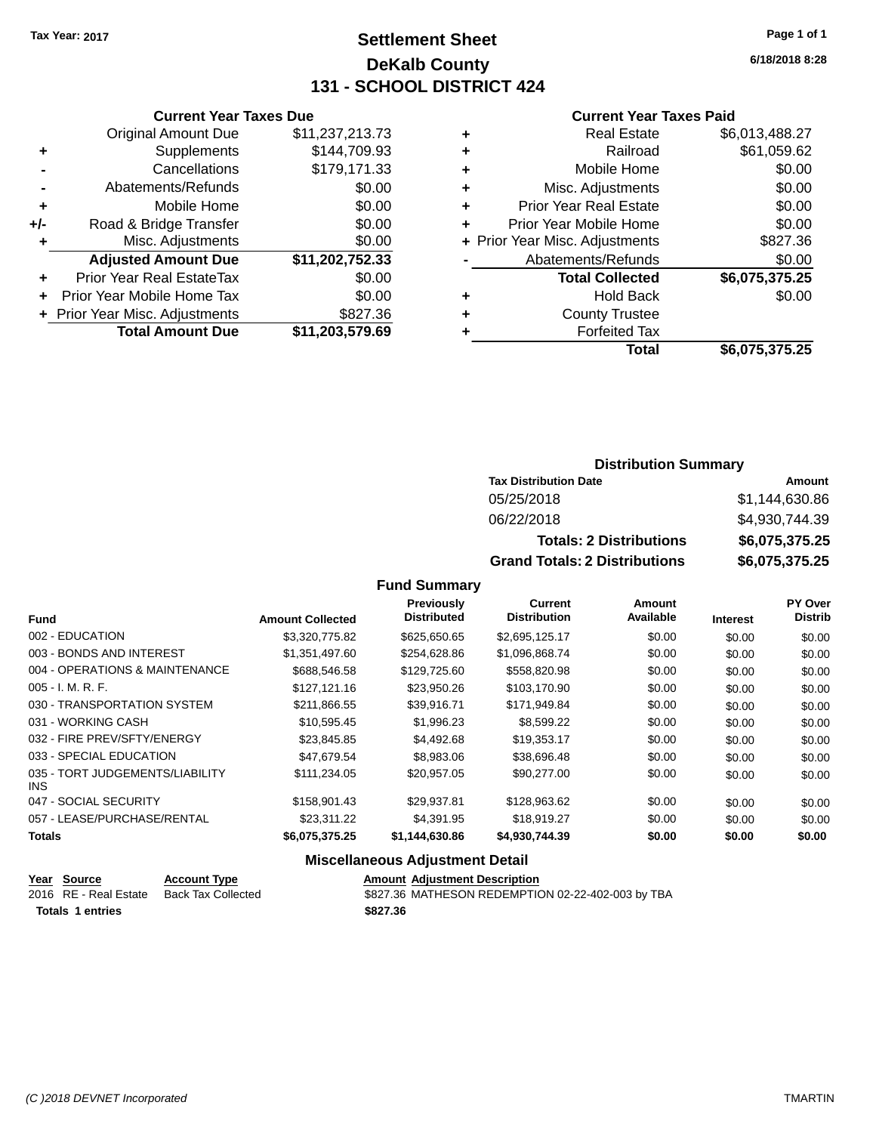# **Settlement Sheet Tax Year: 2017 Page 1 of 1 DeKalb County 131 - SCHOOL DISTRICT 424**

**6/18/2018 8:28**

#### **Current Year Taxes Paid**

|     | <b>Original Amount Due</b>     | \$11,237,213.73 |
|-----|--------------------------------|-----------------|
| ٠   | Supplements                    | \$144,709.93    |
|     | Cancellations                  | \$179,171.33    |
|     | Abatements/Refunds             | \$0.00          |
| ٠   | Mobile Home                    | \$0.00          |
| +/- | Road & Bridge Transfer         | \$0.00          |
| ٠   | Misc. Adjustments              | \$0.00          |
|     | <b>Adjusted Amount Due</b>     | \$11,202,752.33 |
| ٠   | Prior Year Real EstateTax      | \$0.00          |
|     | Prior Year Mobile Home Tax     | \$0.00          |
|     | + Prior Year Misc. Adjustments | \$827.36        |
|     | <b>Total Amount Due</b>        | \$11,203,579.69 |
|     |                                |                 |

**Current Year Taxes Due**

|   | <b>Real Estate</b>             | \$6,013,488.27 |
|---|--------------------------------|----------------|
| ٠ | Railroad                       | \$61,059.62    |
| ٠ | Mobile Home                    | \$0.00         |
| ٠ | Misc. Adjustments              | \$0.00         |
| ٠ | <b>Prior Year Real Estate</b>  | \$0.00         |
| ٠ | Prior Year Mobile Home         | \$0.00         |
|   | + Prior Year Misc. Adjustments | \$827.36       |
|   | Abatements/Refunds             | \$0.00         |
|   | <b>Total Collected</b>         | \$6,075,375.25 |
| ٠ | Hold Back                      | \$0.00         |
| ٠ | <b>County Trustee</b>          |                |
| ٠ | <b>Forfeited Tax</b>           |                |
|   | Total                          | \$6,075,375.25 |
|   |                                |                |

#### **Distribution Summary Tax Distribution Date Amount** 05/25/2018 \$1,144,630.86 06/22/2018 \$4,930,744.39 **Totals: 2 Distributions \$6,075,375.25 Grand Totals: 2 Distributions \$6,075,375.25**

#### **Fund Summary**

| <b>Fund</b>                                   | <b>Amount Collected</b> | <b>Previously</b><br><b>Distributed</b> | <b>Current</b><br><b>Distribution</b> | Amount<br>Available | <b>Interest</b> | <b>PY Over</b><br><b>Distrib</b> |
|-----------------------------------------------|-------------------------|-----------------------------------------|---------------------------------------|---------------------|-----------------|----------------------------------|
| 002 - EDUCATION                               | \$3,320,775.82          | \$625,650.65                            | \$2,695,125.17                        | \$0.00              | \$0.00          | \$0.00                           |
| 003 - BONDS AND INTEREST                      | \$1,351,497.60          | \$254,628.86                            | \$1,096,868.74                        | \$0.00              | \$0.00          | \$0.00                           |
| 004 - OPERATIONS & MAINTENANCE                | \$688,546.58            | \$129,725.60                            | \$558,820.98                          | \$0.00              | \$0.00          | \$0.00                           |
| $005 - I. M. R. F.$                           | \$127,121.16            | \$23,950.26                             | \$103,170.90                          | \$0.00              | \$0.00          | \$0.00                           |
| 030 - TRANSPORTATION SYSTEM                   | \$211.866.55            | \$39.916.71                             | \$171.949.84                          | \$0.00              | \$0.00          | \$0.00                           |
| 031 - WORKING CASH                            | \$10.595.45             | \$1,996.23                              | \$8,599.22                            | \$0.00              | \$0.00          | \$0.00                           |
| 032 - FIRE PREV/SFTY/ENERGY                   | \$23.845.85             | \$4,492.68                              | \$19,353.17                           | \$0.00              | \$0.00          | \$0.00                           |
| 033 - SPECIAL EDUCATION                       | \$47.679.54             | \$8,983.06                              | \$38,696.48                           | \$0.00              | \$0.00          | \$0.00                           |
| 035 - TORT JUDGEMENTS/LIABILITY<br><b>INS</b> | \$111.234.05            | \$20,957.05                             | \$90,277.00                           | \$0.00              | \$0.00          | \$0.00                           |
| 047 - SOCIAL SECURITY                         | \$158,901.43            | \$29.937.81                             | \$128,963.62                          | \$0.00              | \$0.00          | \$0.00                           |
| 057 - LEASE/PURCHASE/RENTAL                   | \$23,311,22             | \$4.391.95                              | \$18.919.27                           | \$0.00              | \$0.00          | \$0.00                           |
| <b>Totals</b>                                 | \$6,075,375.25          | \$1,144,630.86                          | \$4,930,744.39                        | \$0.00              | \$0.00          | \$0.00                           |

#### **Miscellaneous Adjustment Detail**

|                         | Year Source           | <b>Account Type</b> | <b>Amount Adiustment Description</b>              |
|-------------------------|-----------------------|---------------------|---------------------------------------------------|
|                         | 2016 RE - Real Estate | Back Tax Collected  | \$827.36 MATHESON REDEMPTION 02-22-402-003 by TBA |
| <b>Totals 1 entries</b> |                       |                     | \$827.36                                          |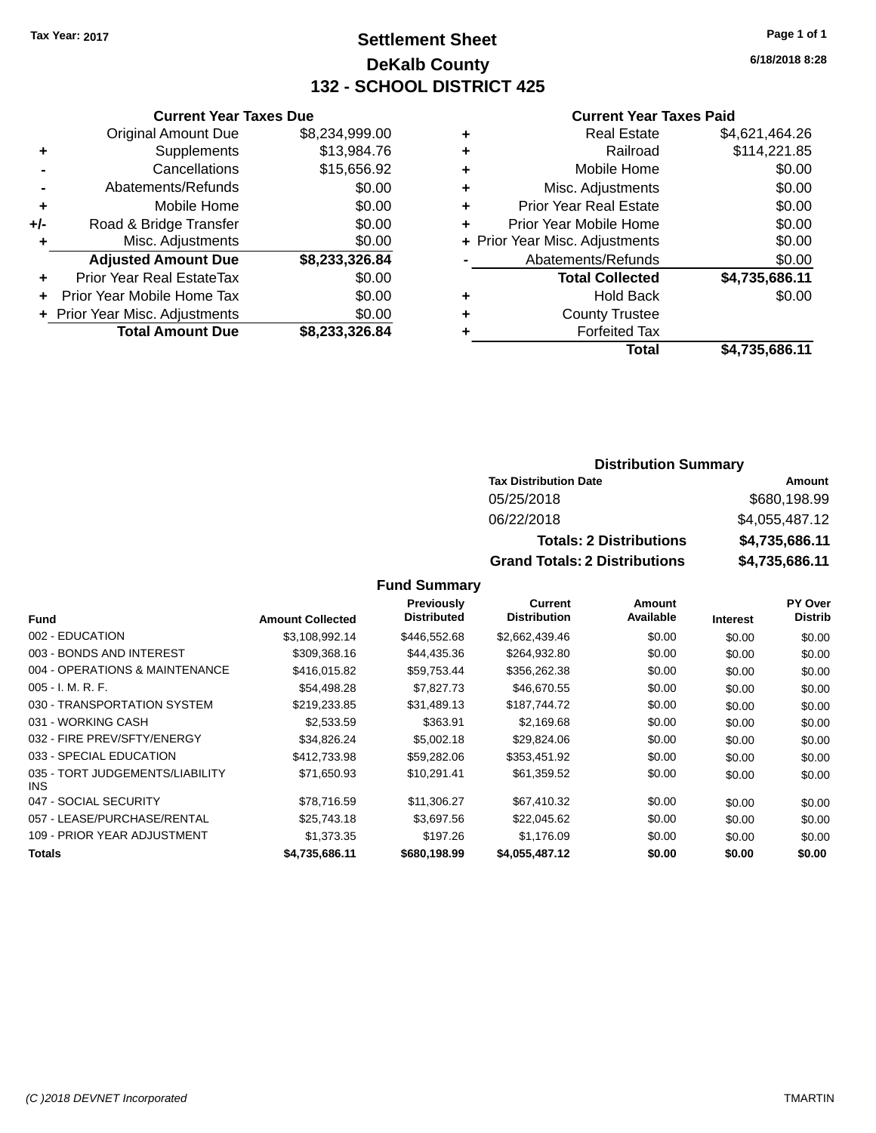# **Settlement Sheet Tax Year: 2017 Page 1 of 1 DeKalb County 132 - SCHOOL DISTRICT 425**

**6/18/2018 8:28**

#### **Current Year Taxes Paid**

|     | <b>Current Year Taxes Due</b> |                |  |  |  |
|-----|-------------------------------|----------------|--|--|--|
|     | <b>Original Amount Due</b>    | \$8,234,999.00 |  |  |  |
| ٠   | Supplements                   | \$13,984.76    |  |  |  |
|     | Cancellations                 | \$15,656.92    |  |  |  |
|     | Abatements/Refunds            | \$0.00         |  |  |  |
| ٠   | Mobile Home                   | \$0.00         |  |  |  |
| +/- | Road & Bridge Transfer        | \$0.00         |  |  |  |
| ٠   | Misc. Adjustments             | \$0.00         |  |  |  |
|     | <b>Adjusted Amount Due</b>    | \$8,233,326.84 |  |  |  |
| ٠   | Prior Year Real EstateTax     | \$0.00         |  |  |  |
|     | Prior Year Mobile Home Tax    | \$0.00         |  |  |  |
|     | Prior Year Misc. Adjustments  | \$0.00         |  |  |  |
|     | <b>Total Amount Due</b>       | \$8,233,326.84 |  |  |  |
|     |                               |                |  |  |  |

| ٠ | <b>Real Estate</b>             | \$4,621,464.26 |
|---|--------------------------------|----------------|
| ٠ | Railroad                       | \$114,221.85   |
| ٠ | Mobile Home                    | \$0.00         |
| ٠ | Misc. Adjustments              | \$0.00         |
| ٠ | <b>Prior Year Real Estate</b>  | \$0.00         |
| ٠ | Prior Year Mobile Home         | \$0.00         |
|   | + Prior Year Misc. Adjustments | \$0.00         |
|   | Abatements/Refunds             | \$0.00         |
|   | <b>Total Collected</b>         | \$4,735,686.11 |
| ٠ | <b>Hold Back</b>               | \$0.00         |
| ٠ | <b>County Trustee</b>          |                |
| ٠ | <b>Forfeited Tax</b>           |                |
|   | Total                          | \$4.735.686.11 |
|   |                                |                |

# **Distribution Summary**

| <b>Tax Distribution Date</b>         | Amount         |
|--------------------------------------|----------------|
| 05/25/2018                           | \$680,198,99   |
| 06/22/2018                           | \$4,055,487.12 |
| <b>Totals: 2 Distributions</b>       | \$4,735,686.11 |
| <b>Grand Totals: 2 Distributions</b> | \$4,735,686.11 |

|                                         |                         | Previously         | Current             | Amount    |                 | <b>PY Over</b> |
|-----------------------------------------|-------------------------|--------------------|---------------------|-----------|-----------------|----------------|
| <b>Fund</b>                             | <b>Amount Collected</b> | <b>Distributed</b> | <b>Distribution</b> | Available | <b>Interest</b> | <b>Distrib</b> |
| 002 - EDUCATION                         | \$3,108,992.14          | \$446,552.68       | \$2,662,439.46      | \$0.00    | \$0.00          | \$0.00         |
| 003 - BONDS AND INTEREST                | \$309,368.16            | \$44,435.36        | \$264,932.80        | \$0.00    | \$0.00          | \$0.00         |
| 004 - OPERATIONS & MAINTENANCE          | \$416,015.82            | \$59,753.44        | \$356,262.38        | \$0.00    | \$0.00          | \$0.00         |
| $005 - I. M. R. F.$                     | \$54,498.28             | \$7,827.73         | \$46,670.55         | \$0.00    | \$0.00          | \$0.00         |
| 030 - TRANSPORTATION SYSTEM             | \$219.233.85            | \$31,489.13        | \$187.744.72        | \$0.00    | \$0.00          | \$0.00         |
| 031 - WORKING CASH                      | \$2,533.59              | \$363.91           | \$2.169.68          | \$0.00    | \$0.00          | \$0.00         |
| 032 - FIRE PREV/SFTY/ENERGY             | \$34,826.24             | \$5,002.18         | \$29,824.06         | \$0.00    | \$0.00          | \$0.00         |
| 033 - SPECIAL EDUCATION                 | \$412,733,98            | \$59,282.06        | \$353,451.92        | \$0.00    | \$0.00          | \$0.00         |
| 035 - TORT JUDGEMENTS/LIABILITY<br>INS. | \$71,650.93             | \$10,291.41        | \$61,359.52         | \$0.00    | \$0.00          | \$0.00         |
| 047 - SOCIAL SECURITY                   | \$78.716.59             | \$11,306.27        | \$67.410.32         | \$0.00    | \$0.00          | \$0.00         |
| 057 - LEASE/PURCHASE/RENTAL             | \$25.743.18             | \$3.697.56         | \$22,045.62         | \$0.00    | \$0.00          | \$0.00         |
| 109 - PRIOR YEAR ADJUSTMENT             | \$1,373.35              | \$197.26           | \$1,176.09          | \$0.00    | \$0.00          | \$0.00         |
| Totals                                  | \$4,735,686.11          | \$680,198.99       | \$4,055,487.12      | \$0.00    | \$0.00          | \$0.00         |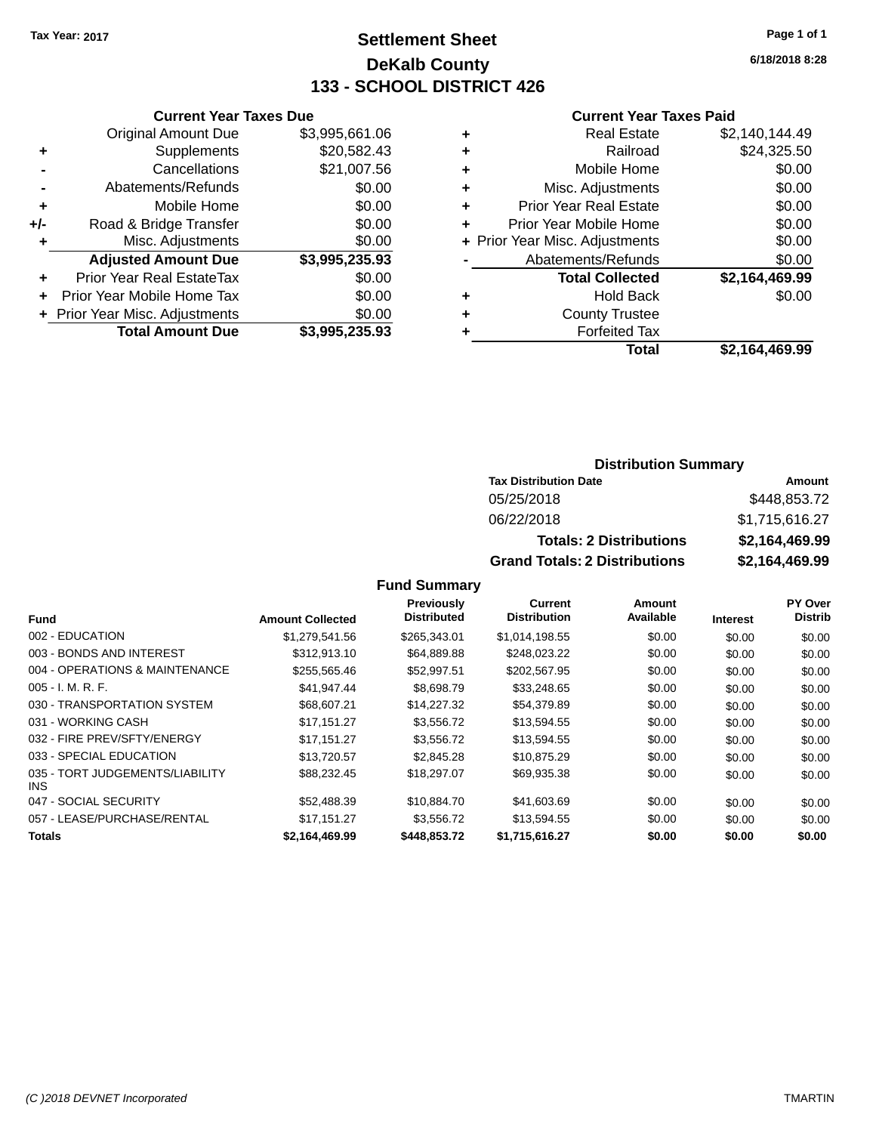# **Settlement Sheet Tax Year: 2017 Page 1 of 1 DeKalb County 133 - SCHOOL DISTRICT 426**

**6/18/2018 8:28**

#### **Current Year Taxes Paid**

|     | <b>Current Year Taxes Due</b>  |                |  |  |  |
|-----|--------------------------------|----------------|--|--|--|
|     | <b>Original Amount Due</b>     | \$3,995,661.06 |  |  |  |
| ٠   | Supplements                    | \$20,582.43    |  |  |  |
|     | Cancellations                  | \$21,007.56    |  |  |  |
|     | Abatements/Refunds             | \$0.00         |  |  |  |
| ٠   | Mobile Home                    | \$0.00         |  |  |  |
| +/- | Road & Bridge Transfer         | \$0.00         |  |  |  |
| ٠   | Misc. Adjustments              | \$0.00         |  |  |  |
|     | <b>Adjusted Amount Due</b>     | \$3,995,235.93 |  |  |  |
| ٠   | Prior Year Real EstateTax      | \$0.00         |  |  |  |
| ÷   | Prior Year Mobile Home Tax     | \$0.00         |  |  |  |
|     | + Prior Year Misc. Adjustments | \$0.00         |  |  |  |
|     | <b>Total Amount Due</b>        | \$3,995,235.93 |  |  |  |

| ٠ | <b>Real Estate</b>             | \$2,140,144.49 |
|---|--------------------------------|----------------|
| ٠ | Railroad                       | \$24,325.50    |
| ٠ | Mobile Home                    | \$0.00         |
| ٠ | Misc. Adjustments              | \$0.00         |
| ٠ | <b>Prior Year Real Estate</b>  | \$0.00         |
| ٠ | Prior Year Mobile Home         | \$0.00         |
|   | + Prior Year Misc. Adjustments | \$0.00         |
|   | Abatements/Refunds             | \$0.00         |
|   | <b>Total Collected</b>         | \$2,164,469.99 |
| ٠ | <b>Hold Back</b>               | \$0.00         |
| ٠ | <b>County Trustee</b>          |                |
| ٠ | <b>Forfeited Tax</b>           |                |
|   | <b>Total</b>                   | \$2,164,469.99 |
|   |                                |                |

# **Distribution Summary**

| <b>Tax Distribution Date</b>         | Amount         |
|--------------------------------------|----------------|
| 05/25/2018                           | \$448,853.72   |
| 06/22/2018                           | \$1.715.616.27 |
| <b>Totals: 2 Distributions</b>       | \$2,164,469.99 |
| <b>Grand Totals: 2 Distributions</b> | \$2,164,469.99 |

|                                               |                         | <b>Previously</b>  | Current             | Amount    |                 | PY Over        |
|-----------------------------------------------|-------------------------|--------------------|---------------------|-----------|-----------------|----------------|
| <b>Fund</b>                                   | <b>Amount Collected</b> | <b>Distributed</b> | <b>Distribution</b> | Available | <b>Interest</b> | <b>Distrib</b> |
| 002 - EDUCATION                               | \$1,279,541.56          | \$265.343.01       | \$1,014,198.55      | \$0.00    | \$0.00          | \$0.00         |
| 003 - BONDS AND INTEREST                      | \$312.913.10            | \$64,889.88        | \$248,023.22        | \$0.00    | \$0.00          | \$0.00         |
| 004 - OPERATIONS & MAINTENANCE                | \$255,565.46            | \$52,997.51        | \$202,567.95        | \$0.00    | \$0.00          | \$0.00         |
| $005 - I. M. R. F.$                           | \$41.947.44             | \$8.698.79         | \$33,248.65         | \$0.00    | \$0.00          | \$0.00         |
| 030 - TRANSPORTATION SYSTEM                   | \$68,607.21             | \$14,227,32        | \$54,379.89         | \$0.00    | \$0.00          | \$0.00         |
| 031 - WORKING CASH                            | \$17.151.27             | \$3.556.72         | \$13,594.55         | \$0.00    | \$0.00          | \$0.00         |
| 032 - FIRE PREV/SFTY/ENERGY                   | \$17,151.27             | \$3,556.72         | \$13,594.55         | \$0.00    | \$0.00          | \$0.00         |
| 033 - SPECIAL EDUCATION                       | \$13.720.57             | \$2,845.28         | \$10,875.29         | \$0.00    | \$0.00          | \$0.00         |
| 035 - TORT JUDGEMENTS/LIABILITY<br><b>INS</b> | \$88,232.45             | \$18,297.07        | \$69,935.38         | \$0.00    | \$0.00          | \$0.00         |
| 047 - SOCIAL SECURITY                         | \$52,488.39             | \$10.884.70        | \$41,603.69         | \$0.00    | \$0.00          | \$0.00         |
| 057 - LEASE/PURCHASE/RENTAL                   | \$17.151.27             | \$3,556.72         | \$13,594.55         | \$0.00    | \$0.00          | \$0.00         |
| Totals                                        | \$2,164,469.99          | \$448.853.72       | \$1,715,616.27      | \$0.00    | \$0.00          | \$0.00         |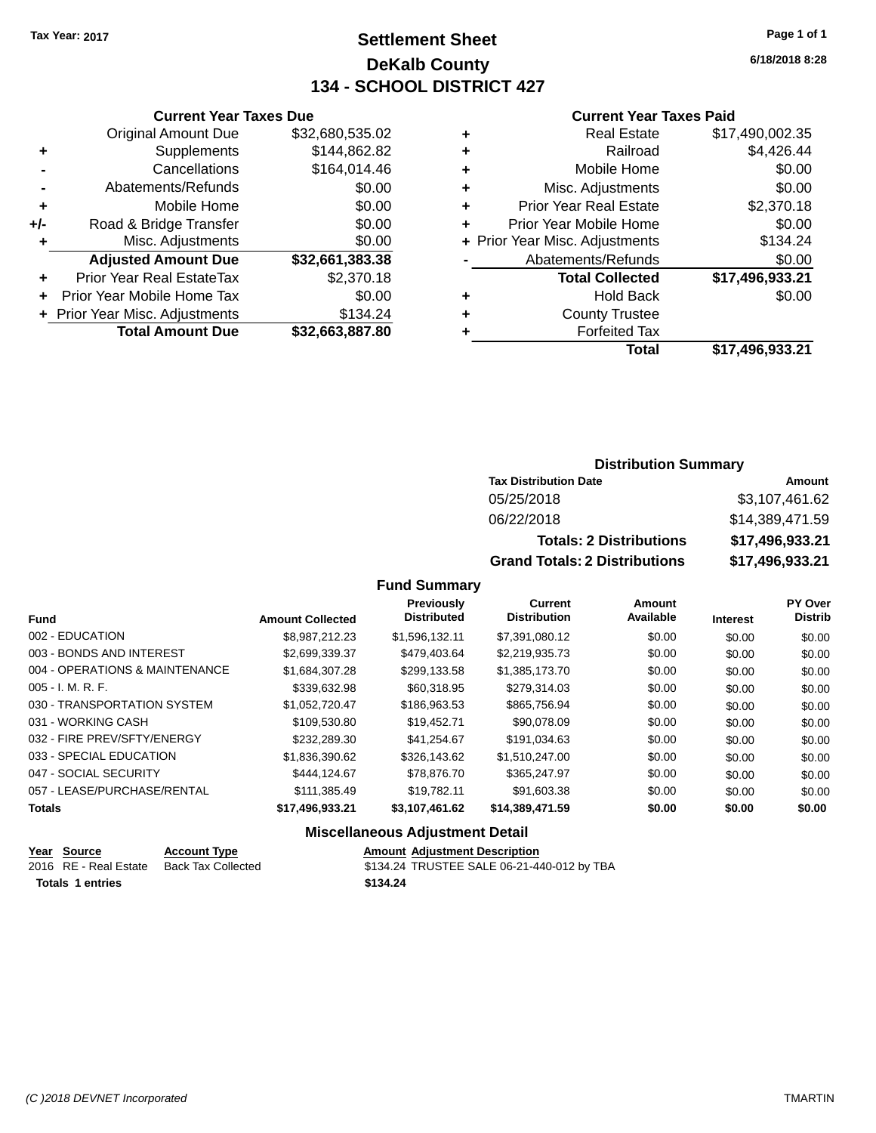# **Settlement Sheet Tax Year: 2017 Page 1 of 1 DeKalb County 134 - SCHOOL DISTRICT 427**

**6/18/2018 8:28**

#### **Current Year Taxes Paid**

|     | <b>Current Year Taxes Due</b>  |                 |  |  |  |
|-----|--------------------------------|-----------------|--|--|--|
|     | <b>Original Amount Due</b>     | \$32,680,535.02 |  |  |  |
| ٠   | Supplements                    | \$144,862.82    |  |  |  |
|     | Cancellations                  | \$164,014.46    |  |  |  |
|     | Abatements/Refunds             | \$0.00          |  |  |  |
| ٠   | Mobile Home                    | \$0.00          |  |  |  |
| +/- | Road & Bridge Transfer         | \$0.00          |  |  |  |
| ٠   | Misc. Adjustments              | \$0.00          |  |  |  |
|     | <b>Adjusted Amount Due</b>     | \$32,661,383.38 |  |  |  |
| ٠   | Prior Year Real EstateTax      | \$2,370.18      |  |  |  |
|     | Prior Year Mobile Home Tax     | \$0.00          |  |  |  |
|     | + Prior Year Misc. Adjustments | \$134.24        |  |  |  |
|     | <b>Total Amount Due</b>        | \$32,663,887.80 |  |  |  |
|     |                                |                 |  |  |  |

| ٠ | <b>Real Estate</b>             | \$17,490,002.35 |
|---|--------------------------------|-----------------|
| ٠ | Railroad                       | \$4,426.44      |
| ٠ | Mobile Home                    | \$0.00          |
| ٠ | Misc. Adjustments              | \$0.00          |
| ٠ | <b>Prior Year Real Estate</b>  | \$2,370.18      |
| ÷ | Prior Year Mobile Home         | \$0.00          |
|   | + Prior Year Misc. Adjustments | \$134.24        |
|   | Abatements/Refunds             | \$0.00          |
|   | <b>Total Collected</b>         | \$17,496,933.21 |
| ٠ | <b>Hold Back</b>               | \$0.00          |
| ٠ | <b>County Trustee</b>          |                 |
| ٠ | <b>Forfeited Tax</b>           |                 |
|   | Total                          | \$17,496,933.21 |
|   |                                |                 |

## **Distribution Summary**

| <b>Tax Distribution Date</b>         | Amount          |
|--------------------------------------|-----------------|
| 05/25/2018                           | \$3,107,461.62  |
| 06/22/2018                           | \$14,389,471.59 |
| <b>Totals: 2 Distributions</b>       | \$17.496.933.21 |
| <b>Grand Totals: 2 Distributions</b> | \$17,496,933.21 |

#### **Fund Summary**

| <b>Fund</b>                    | <b>Amount Collected</b> | <b>Previously</b><br><b>Distributed</b> | Current<br><b>Distribution</b> | Amount<br>Available | <b>Interest</b> | <b>PY Over</b><br><b>Distrib</b> |
|--------------------------------|-------------------------|-----------------------------------------|--------------------------------|---------------------|-----------------|----------------------------------|
| 002 - EDUCATION                | \$8.987.212.23          | \$1,596,132.11                          | \$7,391,080.12                 | \$0.00              | \$0.00          | \$0.00                           |
| 003 - BONDS AND INTEREST       | \$2,699,339.37          | \$479,403.64                            | \$2,219,935.73                 | \$0.00              | \$0.00          | \$0.00                           |
| 004 - OPERATIONS & MAINTENANCE | \$1.684.307.28          | \$299,133.58                            | \$1,385,173.70                 | \$0.00              | \$0.00          | \$0.00                           |
| $005 - I. M. R. F.$            | \$339,632.98            | \$60,318.95                             | \$279.314.03                   | \$0.00              | \$0.00          | \$0.00                           |
| 030 - TRANSPORTATION SYSTEM    | \$1.052.720.47          | \$186,963.53                            | \$865,756.94                   | \$0.00              | \$0.00          | \$0.00                           |
| 031 - WORKING CASH             | \$109.530.80            | \$19,452.71                             | \$90,078,09                    | \$0.00              | \$0.00          | \$0.00                           |
| 032 - FIRE PREV/SFTY/ENERGY    | \$232,289.30            | \$41.254.67                             | \$191.034.63                   | \$0.00              | \$0.00          | \$0.00                           |
| 033 - SPECIAL EDUCATION        | \$1.836.390.62          | \$326,143.62                            | \$1.510.247.00                 | \$0.00              | \$0.00          | \$0.00                           |
| 047 - SOCIAL SECURITY          | \$444.124.67            | \$78,876,70                             | \$365,247.97                   | \$0.00              | \$0.00          | \$0.00                           |
| 057 - LEASE/PURCHASE/RENTAL    | \$111.385.49            | \$19.782.11                             | \$91.603.38                    | \$0.00              | \$0.00          | \$0.00                           |
| Totals                         | \$17,496,933.21         | \$3,107,461.62                          | \$14,389,471.59                | \$0.00              | \$0.00          | \$0.00                           |

#### **Miscellaneous Adjustment Detail**

| Year Source             | <b>Account Type</b> | <b>Amount Adiustment Description</b>       |
|-------------------------|---------------------|--------------------------------------------|
| 2016 RE - Real Estate   | Back Tax Collected  | \$134.24 TRUSTEE SALE 06-21-440-012 by TBA |
| <b>Totals 1 entries</b> |                     | \$134.24                                   |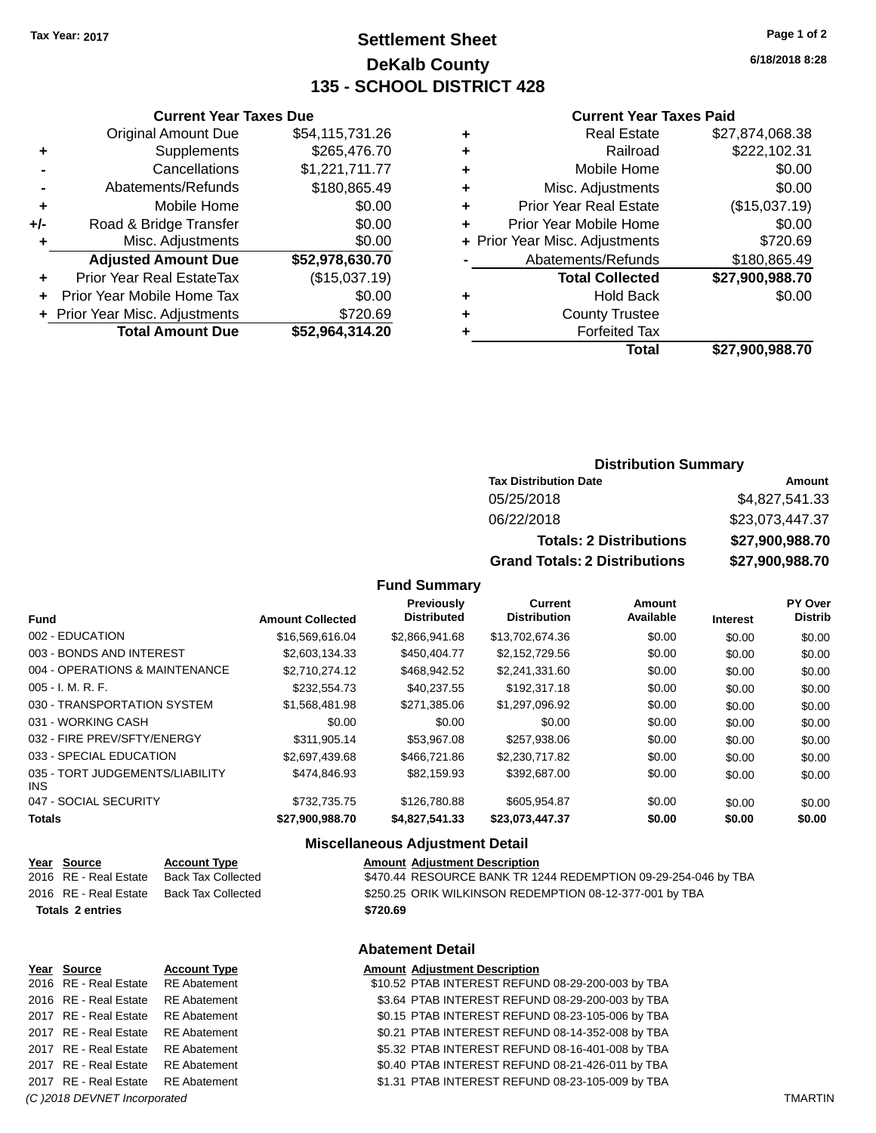# **Settlement Sheet Tax Year: 2017 Page 1 of 2 DeKalb County 135 - SCHOOL DISTRICT 428**

**6/18/2018 8:28**

# **Current Year Taxes Paid**

|   | Total                          | \$27,900,988.70 |
|---|--------------------------------|-----------------|
|   | <b>Forfeited Tax</b>           |                 |
| ٠ | <b>County Trustee</b>          |                 |
|   | <b>Hold Back</b>               | \$0.00          |
|   | <b>Total Collected</b>         | \$27,900,988.70 |
|   | Abatements/Refunds             | \$180,865.49    |
|   | + Prior Year Misc. Adjustments | \$720.69        |
| ÷ | Prior Year Mobile Home         | \$0.00          |
| ٠ | <b>Prior Year Real Estate</b>  | (\$15,037.19)   |
| ٠ | Misc. Adjustments              | \$0.00          |
| ٠ | Mobile Home                    | \$0.00          |
| ٠ | Railroad                       | \$222,102.31    |
| ٠ | <b>Real Estate</b>             | \$27.874.068.38 |
|   |                                |                 |

|     | <b>Current Year Taxes Due</b>  |                 |
|-----|--------------------------------|-----------------|
|     | <b>Original Amount Due</b>     | \$54,115,731.26 |
| ٠   | Supplements                    | \$265,476.70    |
|     | Cancellations                  | \$1,221,711.77  |
|     | Abatements/Refunds             | \$180,865.49    |
| ٠   | Mobile Home                    | \$0.00          |
| +/- | Road & Bridge Transfer         | \$0.00          |
| ٠   | Misc. Adjustments              | \$0.00          |
|     | <b>Adjusted Amount Due</b>     | \$52,978,630.70 |
| ٠   | Prior Year Real EstateTax      | (\$15,037.19)   |
| ÷   | Prior Year Mobile Home Tax     | \$0.00          |
|     | + Prior Year Misc. Adjustments | \$720.69        |
|     | <b>Total Amount Due</b>        | \$52,964,314.20 |

# **Distribution Summary**

| <b>Tax Distribution Date</b>         | Amount          |
|--------------------------------------|-----------------|
| 05/25/2018                           | \$4,827,541.33  |
| 06/22/2018                           | \$23,073,447.37 |
| <b>Totals: 2 Distributions</b>       | \$27,900,988.70 |
| <b>Grand Totals: 2 Distributions</b> | \$27,900,988.70 |

#### **Fund Summary**

| <b>Fund</b>                             | <b>Amount Collected</b> | Previously<br><b>Distributed</b> | <b>Current</b><br><b>Distribution</b> | <b>Amount</b><br>Available | <b>Interest</b> | <b>PY Over</b><br><b>Distrib</b> |
|-----------------------------------------|-------------------------|----------------------------------|---------------------------------------|----------------------------|-----------------|----------------------------------|
| 002 - EDUCATION                         | \$16,569,616.04         | \$2,866,941.68                   | \$13,702,674.36                       | \$0.00                     | \$0.00          | \$0.00                           |
| 003 - BONDS AND INTEREST                | \$2,603,134,33          | \$450,404.77                     | \$2.152.729.56                        | \$0.00                     | \$0.00          | \$0.00                           |
| 004 - OPERATIONS & MAINTENANCE          | \$2.710.274.12          | \$468,942.52                     | \$2,241,331.60                        | \$0.00                     | \$0.00          | \$0.00                           |
| $005 - I. M. R. F.$                     | \$232,554.73            | \$40,237.55                      | \$192,317.18                          | \$0.00                     | \$0.00          | \$0.00                           |
| 030 - TRANSPORTATION SYSTEM             | \$1.568.481.98          | \$271.385.06                     | \$1.297.096.92                        | \$0.00                     | \$0.00          | \$0.00                           |
| 031 - WORKING CASH                      | \$0.00                  | \$0.00                           | \$0.00                                | \$0.00                     | \$0.00          | \$0.00                           |
| 032 - FIRE PREV/SFTY/ENERGY             | \$311,905.14            | \$53,967.08                      | \$257,938.06                          | \$0.00                     | \$0.00          | \$0.00                           |
| 033 - SPECIAL EDUCATION                 | \$2.697.439.68          | \$466,721,86                     | \$2,230,717.82                        | \$0.00                     | \$0.00          | \$0.00                           |
| 035 - TORT JUDGEMENTS/LIABILITY<br>INS. | \$474,846,93            | \$82.159.93                      | \$392,687,00                          | \$0.00                     | \$0.00          | \$0.00                           |
| 047 - SOCIAL SECURITY                   | \$732,735.75            | \$126,780.88                     | \$605.954.87                          | \$0.00                     | \$0.00          | \$0.00                           |
| <b>Totals</b>                           | \$27,900,988.70         | \$4,827,541.33                   | \$23,073,447.37                       | \$0.00                     | \$0.00          | \$0.00                           |

#### **Miscellaneous Adjustment Detail**

| Year Source             | <b>Account Type</b> |          | <b>Amount Adjustment Description</b>                           |
|-------------------------|---------------------|----------|----------------------------------------------------------------|
| 2016 RE - Real Estate   | Back Tax Collected  |          | \$470.44 RESOURCE BANK TR 1244 REDEMPTION 09-29-254-046 by TBA |
| 2016 RE - Real Estate   | Back Tax Collected  |          | \$250.25 ORIK WILKINSON REDEMPTION 08-12-377-001 by TBA        |
| <b>Totals 2 entries</b> |                     | \$720.69 |                                                                |
|                         |                     |          |                                                                |
|                         |                     |          |                                                                |

| Year Source                        | <b>Account Type</b> | <b>Amount Adjustment Description</b>              |                |
|------------------------------------|---------------------|---------------------------------------------------|----------------|
| 2016 RE - Real Estate RE Abatement |                     | \$10.52 PTAB INTEREST REFUND 08-29-200-003 by TBA |                |
| 2016 RE - Real Estate              | RE Abatement        | \$3.64 PTAB INTEREST REFUND 08-29-200-003 by TBA  |                |
| 2017 RE - Real Estate              | RE Abatement        | \$0.15 PTAB INTEREST REFUND 08-23-105-006 by TBA  |                |
| 2017 RE - Real Estate RE Abatement |                     | \$0.21 PTAB INTEREST REFUND 08-14-352-008 by TBA  |                |
| 2017 RE - Real Estate RE Abatement |                     | \$5.32 PTAB INTEREST REFUND 08-16-401-008 by TBA  |                |
| 2017 RE - Real Estate RE Abatement |                     | \$0.40 PTAB INTEREST REFUND 08-21-426-011 by TBA  |                |
| 2017 RE - Real Estate RE Abatement |                     | \$1.31 PTAB INTEREST REFUND 08-23-105-009 by TBA  |                |
| (C) 2018 DEVNET Incorporated       |                     |                                                   | <b>TMARTIN</b> |
|                                    |                     |                                                   |                |

#### **Abatement Detail**

#### **Amount Adjustment Description**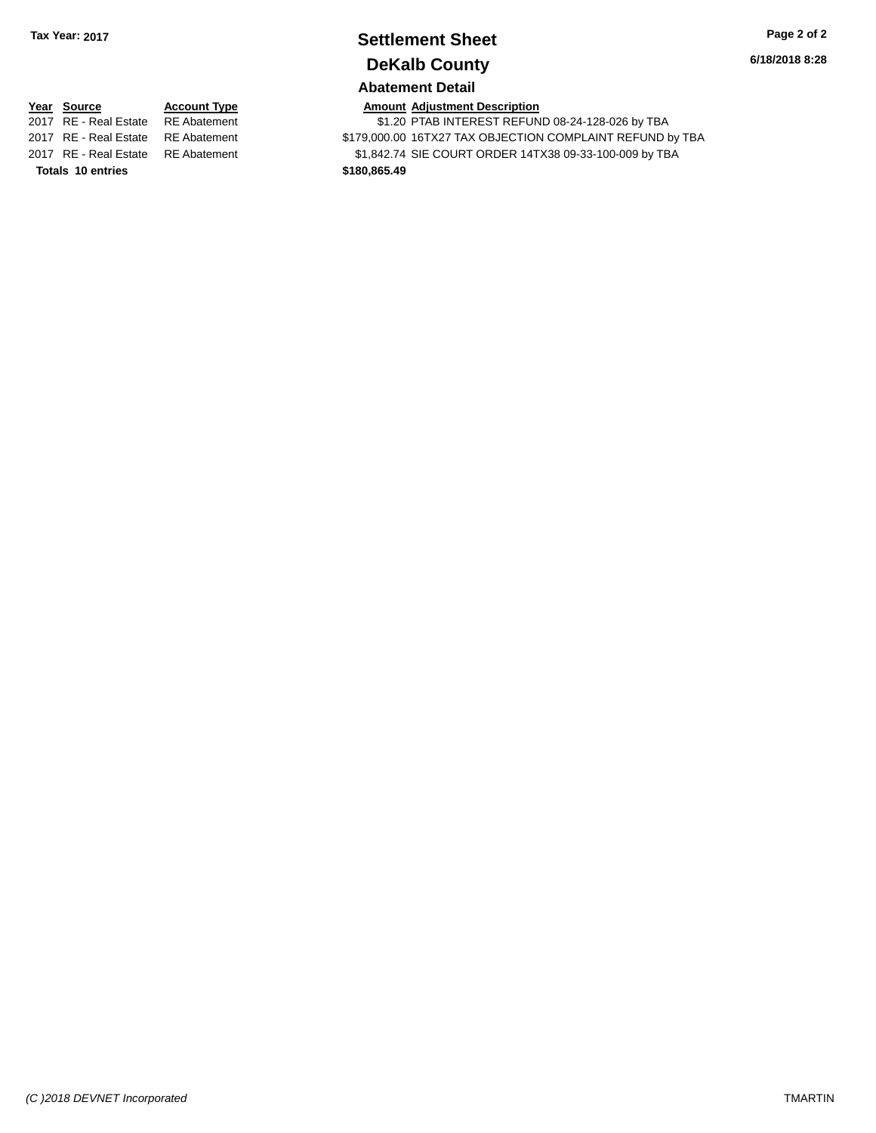# **Settlement Sheet Tax Year: 2017 Page 2 of 2 DeKalb County**

**6/18/2018 8:28**

# **Abatement Detail**

# **Year Source Account Type Amount Adjustment Description**<br>2017 RE - Real Estate RE Abatement \$1.20 PTAB INTEREST REFUN

\$1.20 PTAB INTEREST REFUND 08-24-128-026 by TBA 2017 RE - Real Estate RE Abatement \$179,000.00 16TX27 TAX OBJECTION COMPLAINT REFUND by TBA 2017 RE - Real Estate RE Abatement \$1,842.74 SIE COURT ORDER 14TX38 09-33-100-009 by TBA **Totals 10 entries \$180,865.49**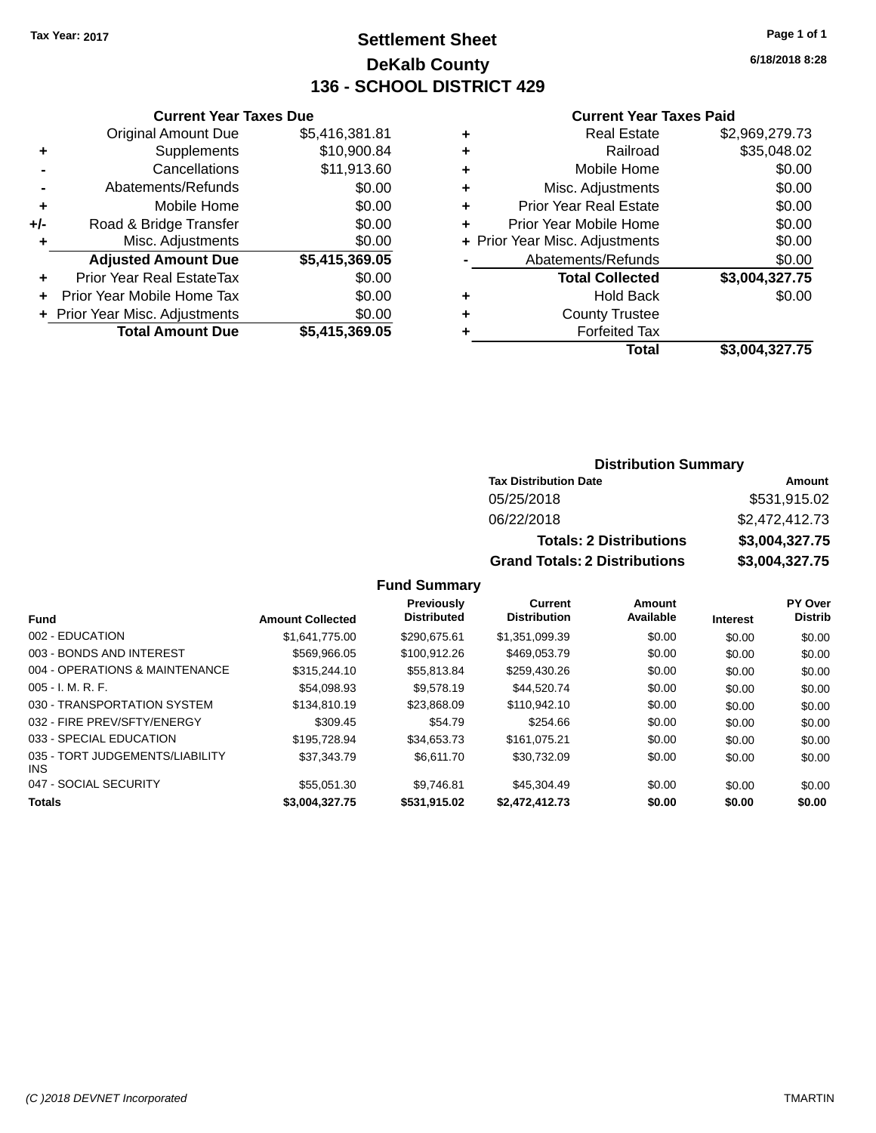# **Settlement Sheet Tax Year: 2017 Page 1 of 1 DeKalb County 136 - SCHOOL DISTRICT 429**

**6/18/2018 8:28**

#### **Current Year Taxes Paid**

|       | <b>Original Amount Due</b>       | \$5,416,381.81 |
|-------|----------------------------------|----------------|
| ٠     | Supplements                      | \$10,900.84    |
|       | Cancellations                    | \$11,913.60    |
| -     | Abatements/Refunds               | \$0.00         |
| ÷     | Mobile Home                      | \$0.00         |
| $+/-$ | Road & Bridge Transfer           | \$0.00         |
| ٠     | Misc. Adjustments                | \$0.00         |
|       |                                  |                |
|       | <b>Adjusted Amount Due</b>       | \$5,415,369.05 |
| ٠     | <b>Prior Year Real EstateTax</b> | \$0.00         |
|       | Prior Year Mobile Home Tax       | \$0.00         |
|       | + Prior Year Misc. Adjustments   | \$0.00         |
|       | <b>Total Amount Due</b>          | \$5,415,369.05 |

**Current Year Taxes Due**

|   | <b>Real Estate</b>             | \$2,969,279.73 |
|---|--------------------------------|----------------|
| ٠ | Railroad                       | \$35,048.02    |
| ٠ | Mobile Home                    | \$0.00         |
| ٠ | Misc. Adjustments              | \$0.00         |
| ٠ | <b>Prior Year Real Estate</b>  | \$0.00         |
| ٠ | Prior Year Mobile Home         | \$0.00         |
|   | + Prior Year Misc. Adjustments | \$0.00         |
|   | Abatements/Refunds             | \$0.00         |
|   | <b>Total Collected</b>         | \$3,004,327.75 |
| ٠ | <b>Hold Back</b>               | \$0.00         |
| ٠ | <b>County Trustee</b>          |                |
| ٠ | <b>Forfeited Tax</b>           |                |
|   | <b>Total</b>                   | \$3,004,327.75 |
|   |                                |                |

#### **Distribution Summary Tax Distribution Date Amount** 05/25/2018 \$531,915.02 06/22/2018 \$2,472,412.73 **Totals: 2 Distributions \$3,004,327.75 Grand Totals: 2 Distributions \$3,004,327.75**

|                                               |                         | Previously<br><b>Distributed</b> | <b>Current</b><br><b>Distribution</b> | Amount<br>Available |                 | PY Over<br><b>Distrib</b> |
|-----------------------------------------------|-------------------------|----------------------------------|---------------------------------------|---------------------|-----------------|---------------------------|
| <b>Fund</b>                                   | <b>Amount Collected</b> |                                  |                                       |                     | <b>Interest</b> |                           |
| 002 - EDUCATION                               | \$1.641.775.00          | \$290.675.61                     | \$1,351,099.39                        | \$0.00              | \$0.00          | \$0.00                    |
| 003 - BONDS AND INTEREST                      | \$569,966.05            | \$100.912.26                     | \$469,053.79                          | \$0.00              | \$0.00          | \$0.00                    |
| 004 - OPERATIONS & MAINTENANCE                | \$315,244.10            | \$55.813.84                      | \$259,430.26                          | \$0.00              | \$0.00          | \$0.00                    |
| $005 - I. M. R. F.$                           | \$54.098.93             | \$9.578.19                       | \$44.520.74                           | \$0.00              | \$0.00          | \$0.00                    |
| 030 - TRANSPORTATION SYSTEM                   | \$134.810.19            | \$23,868.09                      | \$110,942.10                          | \$0.00              | \$0.00          | \$0.00                    |
| 032 - FIRE PREV/SFTY/ENERGY                   | \$309.45                | \$54.79                          | \$254.66                              | \$0.00              | \$0.00          | \$0.00                    |
| 033 - SPECIAL EDUCATION                       | \$195.728.94            | \$34,653,73                      | \$161.075.21                          | \$0.00              | \$0.00          | \$0.00                    |
| 035 - TORT JUDGEMENTS/LIABILITY<br><b>INS</b> | \$37.343.79             | \$6.611.70                       | \$30.732.09                           | \$0.00              | \$0.00          | \$0.00                    |
| 047 - SOCIAL SECURITY                         | \$55,051,30             | \$9.746.81                       | \$45,304.49                           | \$0.00              | \$0.00          | \$0.00                    |
| <b>Totals</b>                                 | \$3,004,327.75          | \$531.915.02                     | \$2,472,412.73                        | \$0.00              | \$0.00          | \$0.00                    |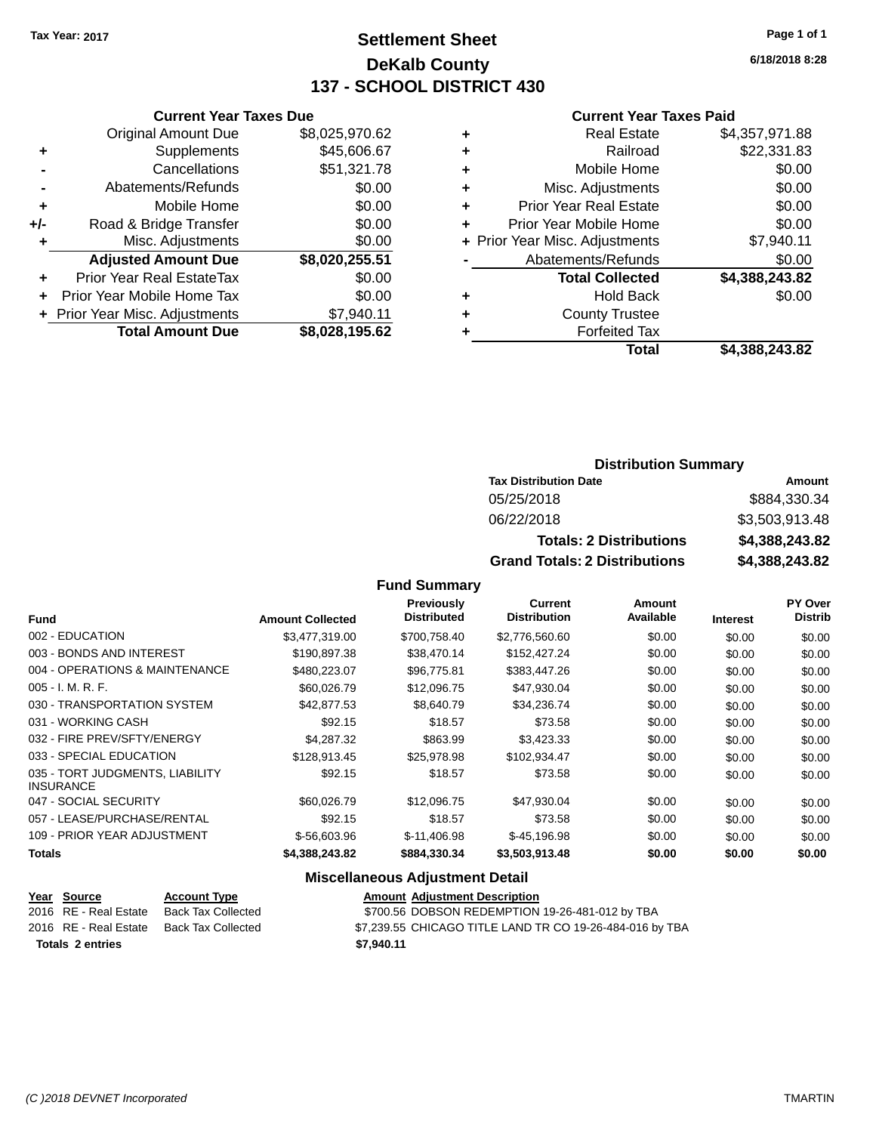# **Settlement Sheet Tax Year: 2017 Page 1 of 1 DeKalb County 137 - SCHOOL DISTRICT 430**

**6/18/2018 8:28**

#### **Current Year Taxes Paid**

|     | <b>Current Year Taxes Due</b>  |                |
|-----|--------------------------------|----------------|
|     | <b>Original Amount Due</b>     | \$8,025,970.62 |
| ٠   | Supplements                    | \$45,606.67    |
|     | Cancellations                  | \$51,321.78    |
|     | Abatements/Refunds             | \$0.00         |
| ٠   | Mobile Home                    | \$0.00         |
| +/- | Road & Bridge Transfer         | \$0.00         |
| ٠   | Misc. Adjustments              | \$0.00         |
|     | <b>Adjusted Amount Due</b>     | \$8,020,255.51 |
| ٠   | Prior Year Real EstateTax      | \$0.00         |
|     | Prior Year Mobile Home Tax     | \$0.00         |
|     | + Prior Year Misc. Adjustments | \$7,940.11     |
|     | <b>Total Amount Due</b>        | \$8,028,195.62 |
|     |                                |                |

| <b>Real Estate</b>             | \$4,357,971.88 |
|--------------------------------|----------------|
| Railroad                       | \$22,331.83    |
| Mobile Home                    | \$0.00         |
| Misc. Adjustments              | \$0.00         |
| <b>Prior Year Real Estate</b>  | \$0.00         |
| Prior Year Mobile Home         | \$0.00         |
| + Prior Year Misc. Adjustments | \$7,940.11     |
| Abatements/Refunds             | \$0.00         |
| <b>Total Collected</b>         | \$4,388,243.82 |
| <b>Hold Back</b>               | \$0.00         |
| <b>County Trustee</b>          |                |
| <b>Forfeited Tax</b>           |                |
| Total                          | \$4,388,243.82 |
|                                |                |

# **Distribution Summary**

| <b>Tax Distribution Date</b>         | Amount         |
|--------------------------------------|----------------|
| 05/25/2018                           | \$884,330,34   |
| 06/22/2018                           | \$3,503,913.48 |
| <b>Totals: 2 Distributions</b>       | \$4,388,243.82 |
| <b>Grand Totals: 2 Distributions</b> | \$4,388,243.82 |

#### **Fund Summary**

| Fund                                                | <b>Amount Collected</b> | <b>Previously</b><br><b>Distributed</b> | Current<br><b>Distribution</b> | Amount<br>Available | <b>Interest</b> | <b>PY Over</b><br><b>Distrib</b> |
|-----------------------------------------------------|-------------------------|-----------------------------------------|--------------------------------|---------------------|-----------------|----------------------------------|
|                                                     |                         |                                         |                                |                     |                 |                                  |
| 002 - EDUCATION                                     | \$3,477,319.00          | \$700,758.40                            | \$2,776,560.60                 | \$0.00              | \$0.00          | \$0.00                           |
| 003 - BONDS AND INTEREST                            | \$190.897.38            | \$38,470.14                             | \$152,427.24                   | \$0.00              | \$0.00          | \$0.00                           |
| 004 - OPERATIONS & MAINTENANCE                      | \$480,223.07            | \$96,775.81                             | \$383,447.26                   | \$0.00              | \$0.00          | \$0.00                           |
| $005 - I. M. R. F.$                                 | \$60,026.79             | \$12,096.75                             | \$47,930.04                    | \$0.00              | \$0.00          | \$0.00                           |
| 030 - TRANSPORTATION SYSTEM                         | \$42,877.53             | \$8.640.79                              | \$34,236.74                    | \$0.00              | \$0.00          | \$0.00                           |
| 031 - WORKING CASH                                  | \$92.15                 | \$18.57                                 | \$73.58                        | \$0.00              | \$0.00          | \$0.00                           |
| 032 - FIRE PREV/SFTY/ENERGY                         | \$4.287.32              | \$863.99                                | \$3,423.33                     | \$0.00              | \$0.00          | \$0.00                           |
| 033 - SPECIAL EDUCATION                             | \$128,913.45            | \$25,978.98                             | \$102,934.47                   | \$0.00              | \$0.00          | \$0.00                           |
| 035 - TORT JUDGMENTS, LIABILITY<br><b>INSURANCE</b> | \$92.15                 | \$18.57                                 | \$73.58                        | \$0.00              | \$0.00          | \$0.00                           |
| 047 - SOCIAL SECURITY                               | \$60,026.79             | \$12,096.75                             | \$47,930.04                    | \$0.00              | \$0.00          | \$0.00                           |
| 057 - LEASE/PURCHASE/RENTAL                         | \$92.15                 | \$18.57                                 | \$73.58                        | \$0.00              | \$0.00          | \$0.00                           |
| 109 - PRIOR YEAR ADJUSTMENT                         | \$-56,603.96            | \$-11,406.98                            | \$-45,196.98                   | \$0.00              | \$0.00          | \$0.00                           |
| <b>Totals</b>                                       | \$4,388,243.82          | \$884,330.34                            | \$3,503,913.48                 | \$0.00              | \$0.00          | \$0.00                           |

### **Miscellaneous Adjustment Detail**

|                         | Year Source           | <b>Account Type</b> | <b>Amount Adjustment Description</b>                     |
|-------------------------|-----------------------|---------------------|----------------------------------------------------------|
|                         | 2016 RE - Real Estate | Back Tax Collected  | \$700.56 DOBSON REDEMPTION 19-26-481-012 by TBA          |
|                         | 2016 RE - Real Estate | Back Tax Collected  | \$7,239.55 CHICAGO TITLE LAND TR CO 19-26-484-016 by TBA |
| <b>Totals 2 entries</b> |                       |                     | \$7.940.11                                               |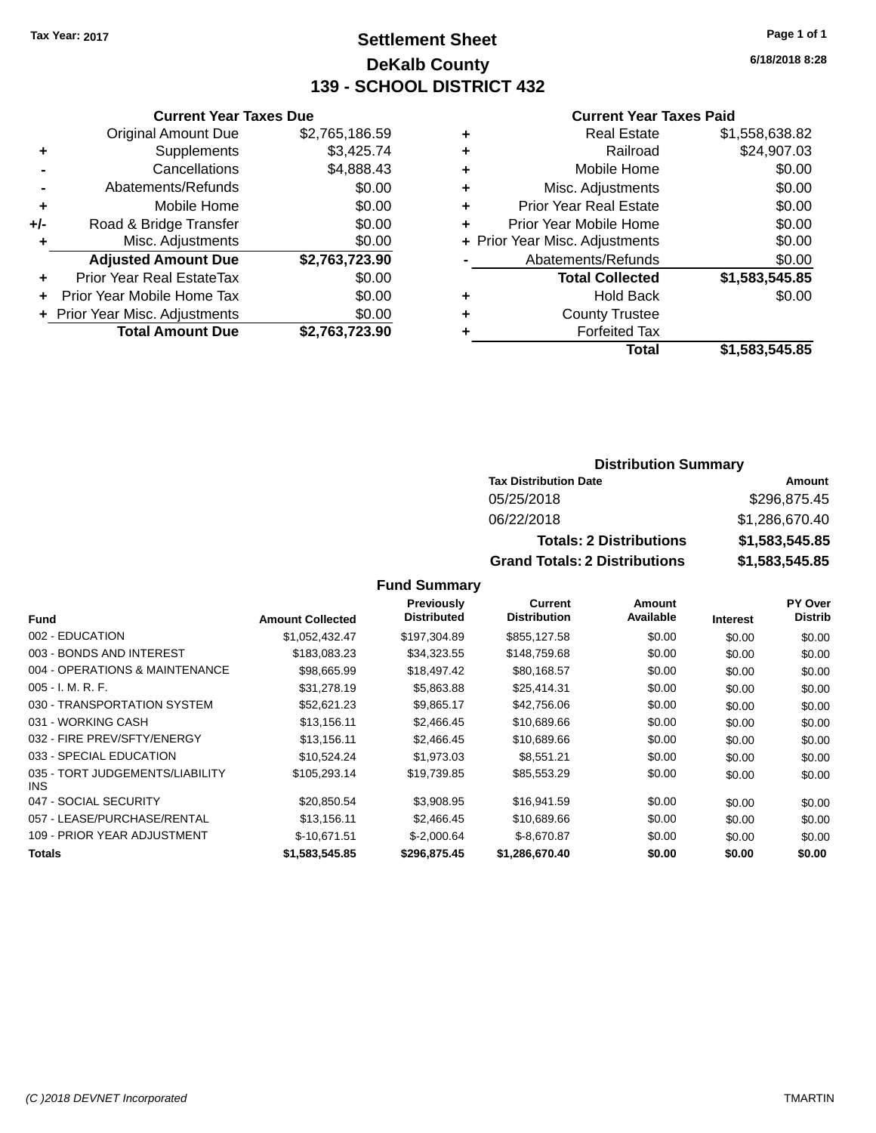# **Settlement Sheet Tax Year: 2017 Page 1 of 1 DeKalb County 139 - SCHOOL DISTRICT 432**

**6/18/2018 8:28**

#### **Current Year Taxes Paid**

|     | <b>Current Year Taxes Due</b>  |                |  |  |  |
|-----|--------------------------------|----------------|--|--|--|
|     | <b>Original Amount Due</b>     | \$2,765,186.59 |  |  |  |
| ٠   | Supplements                    | \$3,425.74     |  |  |  |
|     | Cancellations                  | \$4,888.43     |  |  |  |
|     | Abatements/Refunds             | \$0.00         |  |  |  |
| ٠   | Mobile Home                    | \$0.00         |  |  |  |
| +/- | Road & Bridge Transfer         | \$0.00         |  |  |  |
|     | Misc. Adjustments              | \$0.00         |  |  |  |
|     | <b>Adjusted Amount Due</b>     | \$2,763,723.90 |  |  |  |
| ٠   | Prior Year Real EstateTax      | \$0.00         |  |  |  |
|     | Prior Year Mobile Home Tax     | \$0.00         |  |  |  |
|     | + Prior Year Misc. Adjustments | \$0.00         |  |  |  |
|     | <b>Total Amount Due</b>        | \$2,763,723.90 |  |  |  |
|     |                                |                |  |  |  |

|   | <b>Real Estate</b>             | \$1,558,638.82 |
|---|--------------------------------|----------------|
| ٠ | Railroad                       | \$24,907.03    |
| ٠ | Mobile Home                    | \$0.00         |
| ٠ | Misc. Adjustments              | \$0.00         |
| ٠ | <b>Prior Year Real Estate</b>  | \$0.00         |
| ٠ | Prior Year Mobile Home         | \$0.00         |
|   | + Prior Year Misc. Adjustments | \$0.00         |
|   | Abatements/Refunds             | \$0.00         |
|   | <b>Total Collected</b>         | \$1,583,545.85 |
| ٠ | <b>Hold Back</b>               | \$0.00         |
|   | <b>County Trustee</b>          |                |
| ٠ | <b>Forfeited Tax</b>           |                |
|   | Total                          | \$1,583,545.85 |
|   |                                |                |

#### **Distribution Summary Tax Distribution Date Amount**

| 05/25/2018                           | \$296.875.45   |  |  |
|--------------------------------------|----------------|--|--|
| 06/22/2018                           | \$1,286,670.40 |  |  |
| <b>Totals: 2 Distributions</b>       | \$1,583,545,85 |  |  |
| <b>Grand Totals: 2 Distributions</b> | \$1,583,545.85 |  |  |

|                                         |                         | Previously         | <b>Current</b>      | Amount    |                 | PY Over        |
|-----------------------------------------|-------------------------|--------------------|---------------------|-----------|-----------------|----------------|
| <b>Fund</b>                             | <b>Amount Collected</b> | <b>Distributed</b> | <b>Distribution</b> | Available | <b>Interest</b> | <b>Distrib</b> |
| 002 - EDUCATION                         | \$1,052,432.47          | \$197,304.89       | \$855,127.58        | \$0.00    | \$0.00          | \$0.00         |
| 003 - BONDS AND INTEREST                | \$183.083.23            | \$34,323.55        | \$148,759.68        | \$0.00    | \$0.00          | \$0.00         |
| 004 - OPERATIONS & MAINTENANCE          | \$98,665.99             | \$18,497.42        | \$80,168.57         | \$0.00    | \$0.00          | \$0.00         |
| $005 - I. M. R. F.$                     | \$31.278.19             | \$5,863.88         | \$25,414.31         | \$0.00    | \$0.00          | \$0.00         |
| 030 - TRANSPORTATION SYSTEM             | \$52,621.23             | \$9,865.17         | \$42,756.06         | \$0.00    | \$0.00          | \$0.00         |
| 031 - WORKING CASH                      | \$13,156.11             | \$2,466.45         | \$10,689.66         | \$0.00    | \$0.00          | \$0.00         |
| 032 - FIRE PREV/SFTY/ENERGY             | \$13,156.11             | \$2,466.45         | \$10,689.66         | \$0.00    | \$0.00          | \$0.00         |
| 033 - SPECIAL EDUCATION                 | \$10,524.24             | \$1,973.03         | \$8,551.21          | \$0.00    | \$0.00          | \$0.00         |
| 035 - TORT JUDGEMENTS/LIABILITY<br>INS. | \$105,293.14            | \$19,739.85        | \$85,553.29         | \$0.00    | \$0.00          | \$0.00         |
| 047 - SOCIAL SECURITY                   | \$20,850.54             | \$3,908.95         | \$16,941.59         | \$0.00    | \$0.00          | \$0.00         |
| 057 - LEASE/PURCHASE/RENTAL             | \$13,156.11             | \$2,466.45         | \$10,689.66         | \$0.00    | \$0.00          | \$0.00         |
| 109 - PRIOR YEAR ADJUSTMENT             | $$-10,671.51$           | $$-2,000.64$       | $$-8,670.87$        | \$0.00    | \$0.00          | \$0.00         |
| <b>Totals</b>                           | \$1,583,545.85          | \$296.875.45       | \$1,286,670.40      | \$0.00    | \$0.00          | \$0.00         |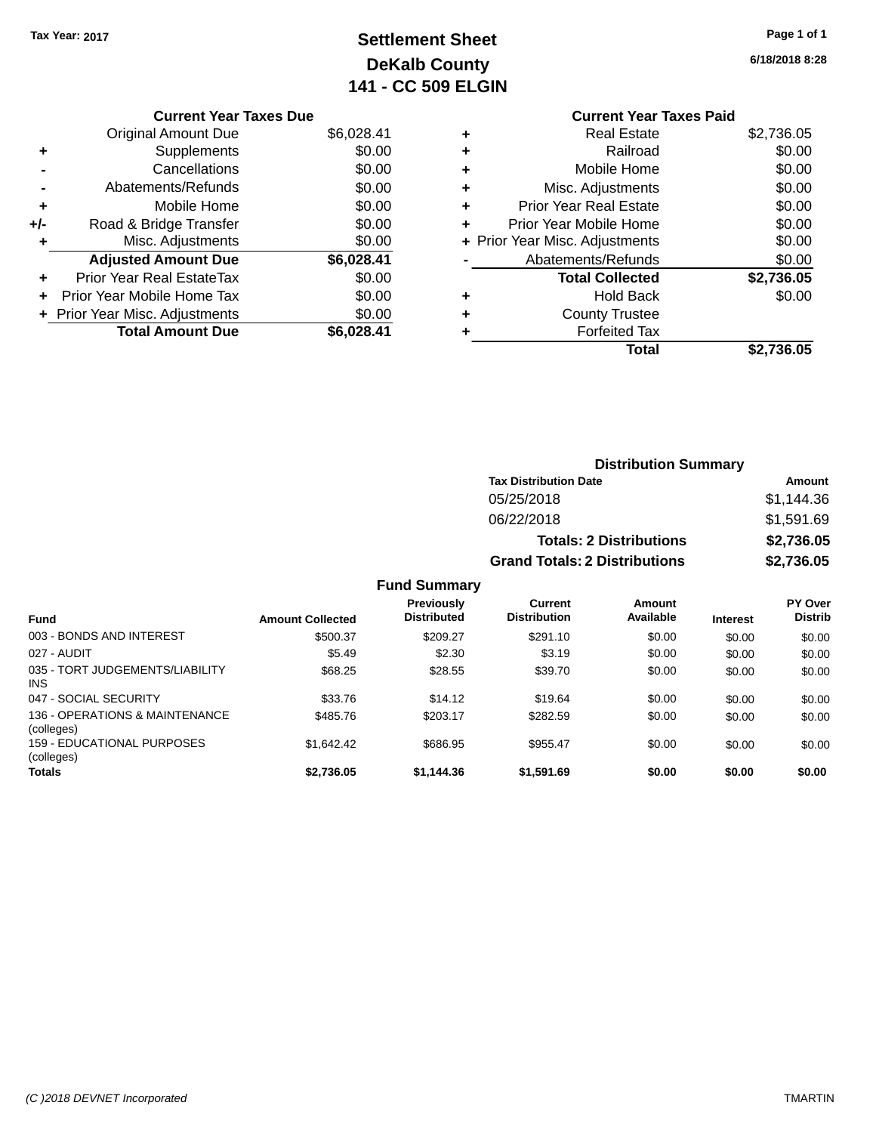# **Settlement Sheet Tax Year: 2017 Page 1 of 1 DeKalb County 141 - CC 509 ELGIN**

**6/18/2018 8:28**

#### **Current Year Taxes Due** Original Amount Due \$6,028.41 **+** Supplements \$0.00 **-** Cancellations \$0.00 **-** Abatements/Refunds \$0.00 **+** Mobile Home \$0.00 **+/-** Road & Bridge Transfer \$0.00 **+** Misc. Adjustments \$0.00 **Adjusted Amount Due \$6,028.41 +** Prior Year Real EstateTax \$0.00 **+** Prior Year Mobile Home Tax \$0.00 **+** Prior Year Misc. Adjustments  $$0.00$ **Total Amount Due \$6,028.41**

## **Current Year Taxes Paid +** Real Estate \$2,736.05 **+** Railroad \$0.00 **+** Mobile Home \$0.00 **+** Misc. Adjustments \$0.00 **+** Prior Year Real Estate \$0.00 **+** Prior Year Mobile Home \$0.00 **+ Prior Year Misc. Adjustments**  $$0.00$ Abatements/Refunds \$0.00 **Total Collected \$2,736.05 +** Hold Back \$0.00 **+** County Trustee **+** Forfeited Tax **Total \$2,736.05**

|                                                 |                         |                                         |                                       | <b>Distribution Summary</b>    |                 |                           |  |
|-------------------------------------------------|-------------------------|-----------------------------------------|---------------------------------------|--------------------------------|-----------------|---------------------------|--|
|                                                 |                         |                                         | <b>Tax Distribution Date</b>          |                                |                 | Amount                    |  |
|                                                 |                         |                                         | 05/25/2018                            |                                |                 | \$1,144.36                |  |
|                                                 |                         |                                         | 06/22/2018                            |                                |                 | \$1,591.69                |  |
|                                                 |                         |                                         |                                       | <b>Totals: 2 Distributions</b> |                 | \$2,736.05                |  |
|                                                 |                         |                                         | <b>Grand Totals: 2 Distributions</b>  |                                |                 | \$2,736.05                |  |
|                                                 |                         | <b>Fund Summary</b>                     |                                       |                                |                 |                           |  |
| <b>Fund</b>                                     | <b>Amount Collected</b> | <b>Previously</b><br><b>Distributed</b> | <b>Current</b><br><b>Distribution</b> | <b>Amount</b><br>Available     | <b>Interest</b> | PY Over<br><b>Distrib</b> |  |
| 003 - BONDS AND INTEREST                        | \$500.37                | \$209.27                                | \$291.10                              | \$0.00                         | \$0.00          | \$0.00                    |  |
| 027 - AUDIT                                     | \$5.49                  | \$2.30                                  | \$3.19                                | \$0.00                         | \$0.00          | \$0.00                    |  |
| 035 - TORT JUDGEMENTS/LIABILITY<br><b>INS</b>   | \$68.25                 | \$28.55                                 | \$39.70                               | \$0.00                         | \$0.00          | \$0.00                    |  |
| 047 - SOCIAL SECURITY                           | \$33.76                 | \$14.12                                 | \$19.64                               | \$0.00                         | \$0.00          | \$0.00                    |  |
| 136 - OPERATIONS & MAINTENANCE<br>(colleges)    | \$485.76                | \$203.17                                | \$282.59                              | \$0.00                         | \$0.00          | \$0.00                    |  |
| <b>159 - EDUCATIONAL PURPOSES</b><br>(colleges) | \$1,642.42              | \$686.95                                | \$955.47                              | \$0.00                         | \$0.00          | \$0.00                    |  |

**Totals \$2,736.05 \$1,144.36 \$1,591.69 \$0.00 \$0.00 \$0.00**

159 - EDUCAT (colleges)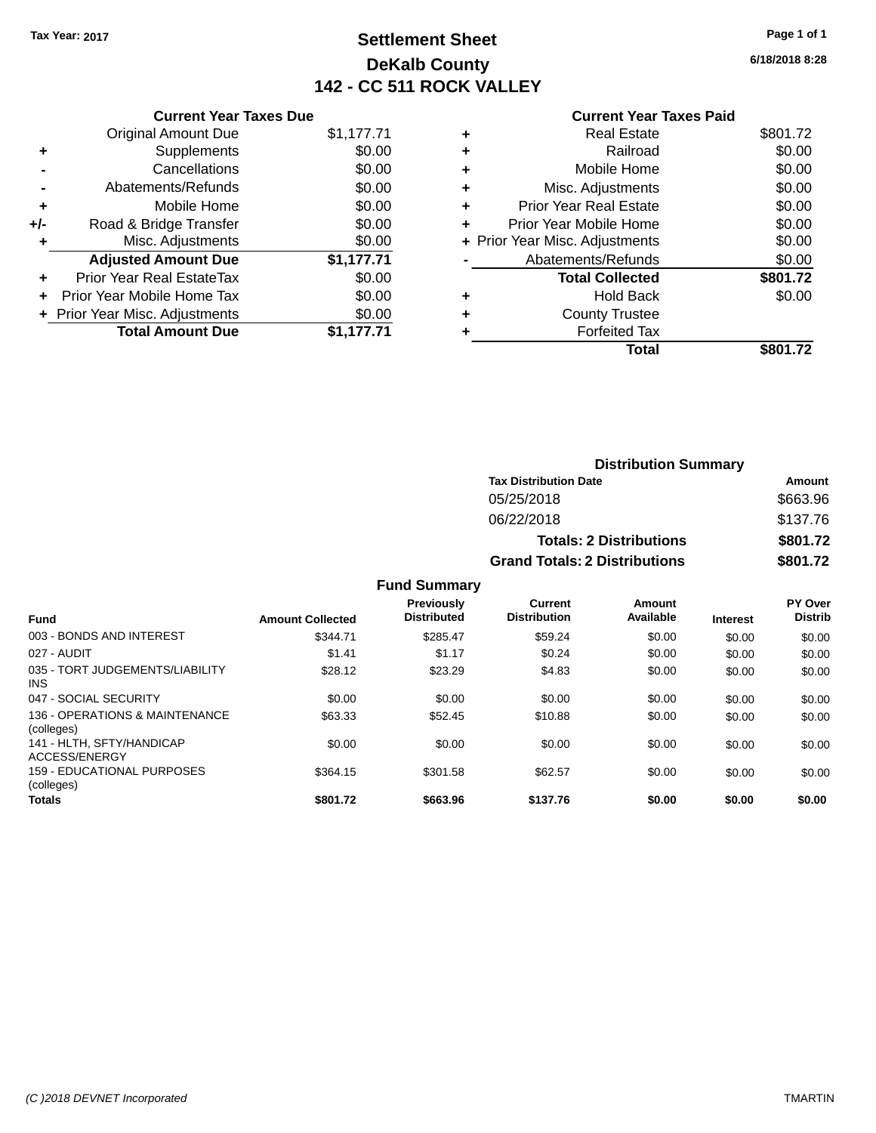# **Settlement Sheet Tax Year: 2017 Page 1 of 1 DeKalb County 142 - CC 511 ROCK VALLEY**

**6/18/2018 8:28**

**Total \$801.72**

|   | NUUN VALLLI                    |          |
|---|--------------------------------|----------|
|   | <b>Current Year Taxes Paid</b> |          |
| ٠ | <b>Real Estate</b>             | \$801.72 |
| ٠ | Railroad                       | \$0.00   |
| ٠ | Mobile Home                    | \$0.00   |
| ٠ | Misc. Adjustments              | \$0.00   |
| ٠ | <b>Prior Year Real Estate</b>  | \$0.00   |
| ٠ | Prior Year Mobile Home         | \$0.00   |
|   | + Prior Year Misc. Adjustments | \$0.00   |
|   | Abatements/Refunds             | \$0.00   |
|   | <b>Total Collected</b>         | \$801.72 |
| ٠ | <b>Hold Back</b>               | \$0.00   |
| ٠ | <b>County Trustee</b>          |          |
|   | <b>Forfeited Tax</b>           |          |
|   |                                |          |

| <b>Tax</b> |  |
|------------|--|
| 'otal      |  |

|                     |                                      | <b>Distribution Summary</b>    |                |
|---------------------|--------------------------------------|--------------------------------|----------------|
|                     | <b>Tax Distribution Date</b>         |                                | Amount         |
|                     | 05/25/2018                           |                                | \$663.96       |
|                     | 06/22/2018                           |                                | \$137.76       |
|                     |                                      | <b>Totals: 2 Distributions</b> | \$801.72       |
|                     | <b>Grand Totals: 2 Distributions</b> |                                | \$801.72       |
| <b>Fund Summary</b> |                                      |                                |                |
| <b>Droviaught</b>   | $P$                                  | $A$ me $\sim$                  | <b>DV Over</b> |

| <b>Fund</b>                                  | <b>Amount Collected</b> | <b>Previously</b><br><b>Distributed</b> | Current<br><b>Distribution</b> | Amount<br>Available | <b>Interest</b> | <b>PY Over</b><br><b>Distrib</b> |
|----------------------------------------------|-------------------------|-----------------------------------------|--------------------------------|---------------------|-----------------|----------------------------------|
| 003 - BONDS AND INTEREST                     | \$344.71                | \$285.47                                | \$59.24                        | \$0.00              | \$0.00          | \$0.00                           |
| 027 - AUDIT                                  | \$1.41                  | \$1.17                                  | \$0.24                         | \$0.00              | \$0.00          | \$0.00                           |
| 035 - TORT JUDGEMENTS/LIABILITY<br>INS.      | \$28.12                 | \$23.29                                 | \$4.83                         | \$0.00              | \$0.00          | \$0.00                           |
| 047 - SOCIAL SECURITY                        | \$0.00                  | \$0.00                                  | \$0.00                         | \$0.00              | \$0.00          | \$0.00                           |
| 136 - OPERATIONS & MAINTENANCE<br>(colleges) | \$63.33                 | \$52.45                                 | \$10.88                        | \$0.00              | \$0.00          | \$0.00                           |
| 141 - HLTH, SFTY/HANDICAP<br>ACCESS/ENERGY   | \$0.00                  | \$0.00                                  | \$0.00                         | \$0.00              | \$0.00          | \$0.00                           |
| 159 - EDUCATIONAL PURPOSES<br>(colleges)     | \$364.15                | \$301.58                                | \$62.57                        | \$0.00              | \$0.00          | \$0.00                           |
| <b>Totals</b>                                | \$801.72                | \$663.96                                | \$137.76                       | \$0.00              | \$0.00          | \$0.00                           |

# **Current Year Taxes Due**

|     | <b>Original Amount Due</b>       | \$1,177.71 |
|-----|----------------------------------|------------|
|     | Supplements                      | \$0.00     |
|     | Cancellations                    | \$0.00     |
|     | Abatements/Refunds               | \$0.00     |
| ٠   | Mobile Home                      | \$0.00     |
| +/- | Road & Bridge Transfer           | \$0.00     |
| ٠   | Misc. Adjustments                | \$0.00     |
|     | <b>Adjusted Amount Due</b>       | \$1,177.71 |
| ٠   | <b>Prior Year Real EstateTax</b> | \$0.00     |
|     | Prior Year Mobile Home Tax       | \$0.00     |
|     | + Prior Year Misc. Adjustments   | \$0.00     |
|     | <b>Total Amount Due</b>          | \$1,177.71 |
|     |                                  |            |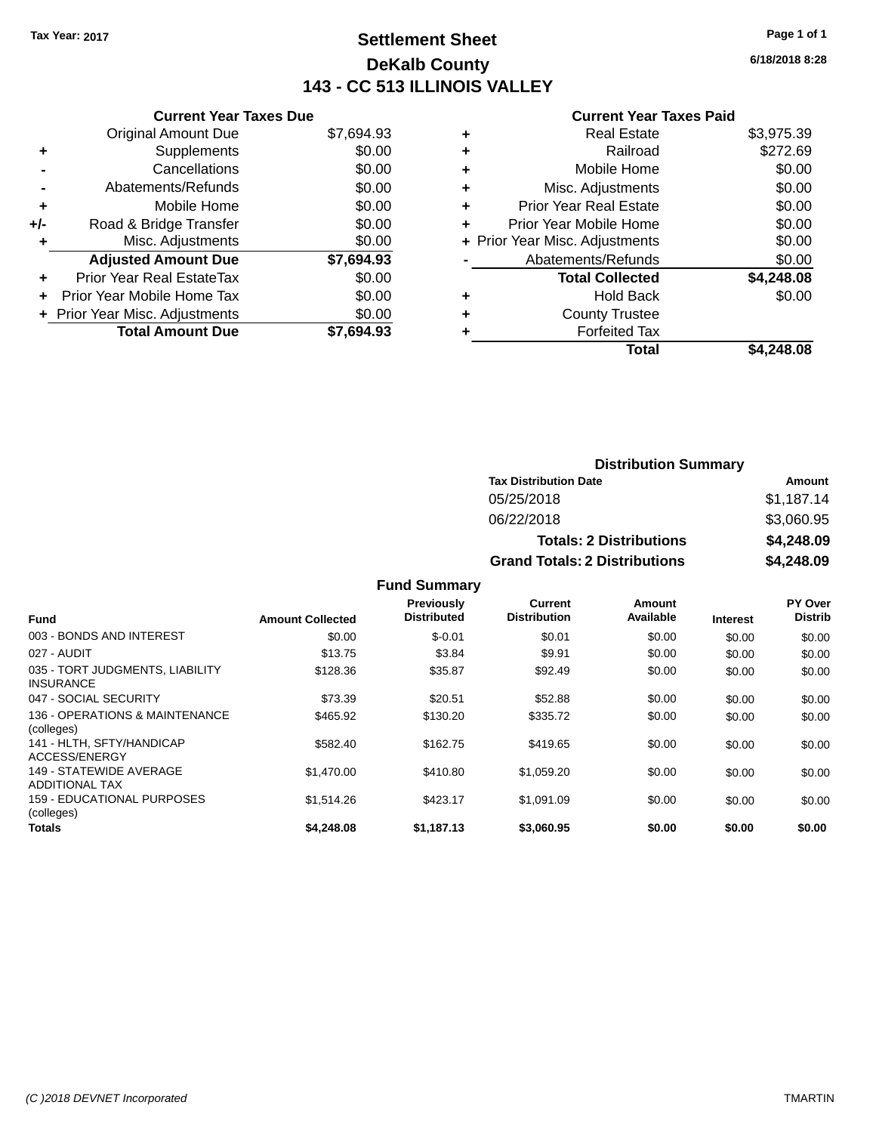# **Settlement Sheet Tax Year: 2017 Page 1 of 1 DeKalb County 143 - CC 513 ILLINOIS VALLEY**

**6/18/2018 8:28**

#### **Current Year Taxes Paid**

|     | <b>Current Year Taxes Due</b>  |            |  |  |  |
|-----|--------------------------------|------------|--|--|--|
|     | <b>Original Amount Due</b>     | \$7,694.93 |  |  |  |
| ÷   | Supplements                    | \$0.00     |  |  |  |
|     | Cancellations                  | \$0.00     |  |  |  |
|     | Abatements/Refunds             | \$0.00     |  |  |  |
| ÷   | Mobile Home                    | \$0.00     |  |  |  |
| +/- | Road & Bridge Transfer         | \$0.00     |  |  |  |
|     | \$0.00<br>Misc. Adjustments    |            |  |  |  |
|     | <b>Adjusted Amount Due</b>     | \$7,694.93 |  |  |  |
| ÷   | Prior Year Real EstateTax      | \$0.00     |  |  |  |
|     | Prior Year Mobile Home Tax     | \$0.00     |  |  |  |
|     | + Prior Year Misc. Adjustments | \$0.00     |  |  |  |
|     | <b>Total Amount Due</b>        | \$7.694.93 |  |  |  |
|     |                                |            |  |  |  |

|   | <b>Real Estate</b>             | \$3,975.39 |
|---|--------------------------------|------------|
| ٠ | Railroad                       | \$272.69   |
| ٠ | Mobile Home                    | \$0.00     |
| ٠ | Misc. Adjustments              | \$0.00     |
| ٠ | <b>Prior Year Real Estate</b>  | \$0.00     |
| ٠ | Prior Year Mobile Home         | \$0.00     |
|   | + Prior Year Misc. Adjustments | \$0.00     |
|   | Abatements/Refunds             | \$0.00     |
|   | <b>Total Collected</b>         | \$4,248.08 |
| ٠ | Hold Back                      | \$0.00     |
| ٠ | <b>County Trustee</b>          |            |
| ٠ | <b>Forfeited Tax</b>           |            |
|   | Total                          | \$4,248.08 |
|   |                                |            |

| <b>Distribution Summary</b>          |            |  |  |  |  |
|--------------------------------------|------------|--|--|--|--|
| <b>Tax Distribution Date</b>         | Amount     |  |  |  |  |
| 05/25/2018                           | \$1,187.14 |  |  |  |  |
| 06/22/2018                           | \$3,060.95 |  |  |  |  |
| <b>Totals: 2 Distributions</b>       | \$4,248.09 |  |  |  |  |
| <b>Grand Totals: 2 Distributions</b> | \$4,248.09 |  |  |  |  |

| <b>Fund</b>                                         | <b>Amount Collected</b> | Previously<br><b>Distributed</b> | Current<br><b>Distribution</b> | Amount<br>Available | <b>Interest</b> | PY Over<br><b>Distrib</b> |
|-----------------------------------------------------|-------------------------|----------------------------------|--------------------------------|---------------------|-----------------|---------------------------|
| 003 - BONDS AND INTEREST                            | \$0.00                  | $$-0.01$                         | \$0.01                         | \$0.00              | \$0.00          | \$0.00                    |
| 027 - AUDIT                                         | \$13.75                 | \$3.84                           | \$9.91                         | \$0.00              | \$0.00          | \$0.00                    |
| 035 - TORT JUDGMENTS, LIABILITY<br><b>INSURANCE</b> | \$128.36                | \$35.87                          | \$92.49                        | \$0.00              | \$0.00          | \$0.00                    |
| 047 - SOCIAL SECURITY                               | \$73.39                 | \$20.51                          | \$52.88                        | \$0.00              | \$0.00          | \$0.00                    |
| 136 - OPERATIONS & MAINTENANCE<br>(colleges)        | \$465.92                | \$130.20                         | \$335.72                       | \$0.00              | \$0.00          | \$0.00                    |
| 141 - HLTH, SFTY/HANDICAP<br>ACCESS/ENERGY          | \$582.40                | \$162.75                         | \$419.65                       | \$0.00              | \$0.00          | \$0.00                    |
| 149 - STATEWIDE AVERAGE<br><b>ADDITIONAL TAX</b>    | \$1.470.00              | \$410.80                         | \$1.059.20                     | \$0.00              | \$0.00          | \$0.00                    |
| 159 - EDUCATIONAL PURPOSES<br>(colleges)            | \$1.514.26              | \$423.17                         | \$1.091.09                     | \$0.00              | \$0.00          | \$0.00                    |
| <b>Totals</b>                                       | \$4,248.08              | \$1.187.13                       | \$3.060.95                     | \$0.00              | \$0.00          | \$0.00                    |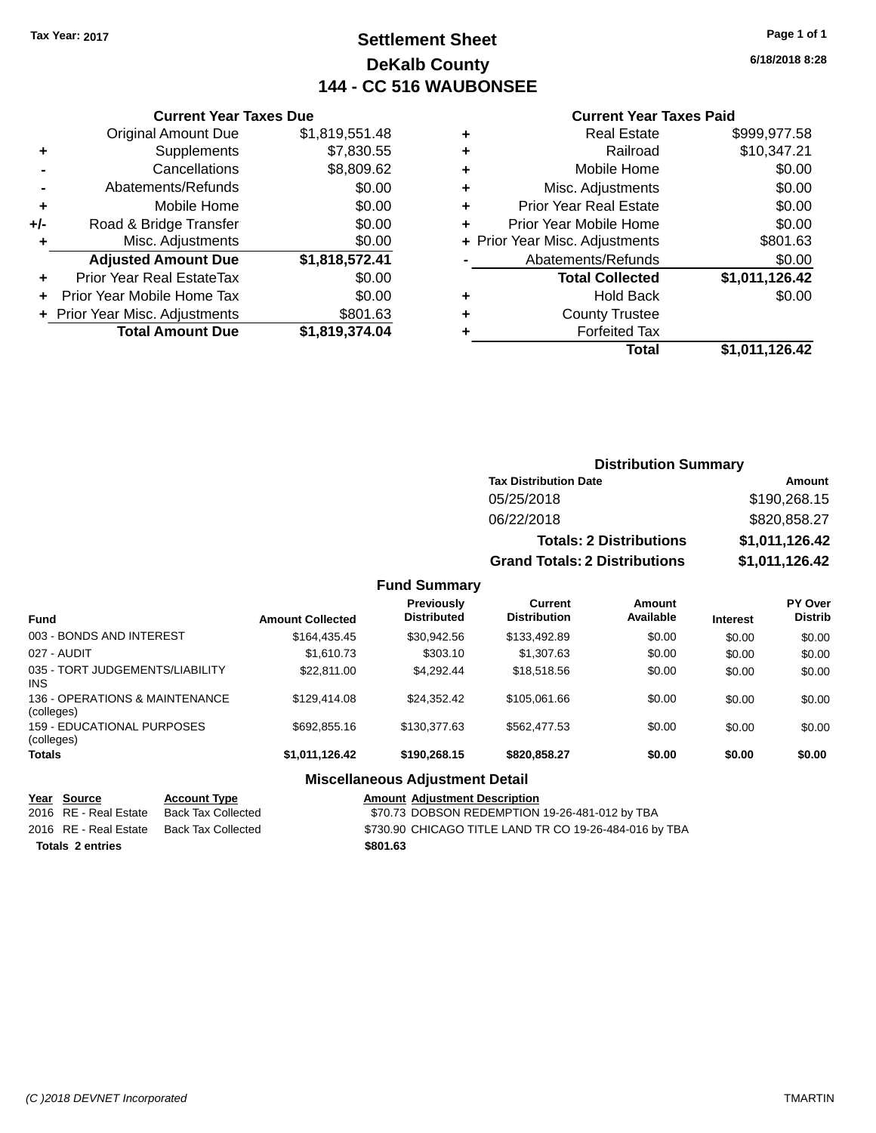# **Settlement Sheet Tax Year: 2017 Page 1 of 1 DeKalb County 144 - CC 516 WAUBONSEE**

**6/18/2018 8:28**

|       | <b>Current Year Taxes Due</b>  |                |  |  |  |  |
|-------|--------------------------------|----------------|--|--|--|--|
|       | <b>Original Amount Due</b>     | \$1,819,551.48 |  |  |  |  |
| ٠     | Supplements                    | \$7,830.55     |  |  |  |  |
|       | Cancellations                  | \$8,809.62     |  |  |  |  |
|       | Abatements/Refunds             | \$0.00         |  |  |  |  |
| ٠     | Mobile Home                    | \$0.00         |  |  |  |  |
| $+/-$ | Road & Bridge Transfer         | \$0.00         |  |  |  |  |
| ٠     | Misc. Adjustments              | \$0.00         |  |  |  |  |
|       | <b>Adjusted Amount Due</b>     | \$1,818,572.41 |  |  |  |  |
| ٠     | Prior Year Real EstateTax      | \$0.00         |  |  |  |  |
|       | Prior Year Mobile Home Tax     | \$0.00         |  |  |  |  |
|       | + Prior Year Misc. Adjustments | \$801.63       |  |  |  |  |
|       | <b>Total Amount Due</b>        | \$1,819,374.04 |  |  |  |  |
|       |                                |                |  |  |  |  |

# **Current Year Taxes Paid**

|   | <b>Real Estate</b>             | \$999,977.58   |
|---|--------------------------------|----------------|
| ٠ | Railroad                       | \$10,347.21    |
| ٠ | Mobile Home                    | \$0.00         |
| ٠ | Misc. Adjustments              | \$0.00         |
| ٠ | <b>Prior Year Real Estate</b>  | \$0.00         |
| ٠ | Prior Year Mobile Home         | \$0.00         |
|   | + Prior Year Misc. Adjustments | \$801.63       |
|   | Abatements/Refunds             | \$0.00         |
|   | <b>Total Collected</b>         | \$1,011,126.42 |
| ٠ | <b>Hold Back</b>               | \$0.00         |
| ٠ | <b>County Trustee</b>          |                |
|   | <b>Forfeited Tax</b>           |                |
|   | Total                          | \$1,011,126.42 |
|   |                                |                |

## **Distribution Summary Tax Distribution Date Amount** 05/25/2018 \$190,268.15 06/22/2018 \$820,858.27 **Totals: 2 Distributions \$1,011,126.42 Grand Totals: 2 Distributions \$1,011,126.42**

#### **Fund Summary**

| <b>Fund</b>                                   | <b>Amount Collected</b> | <b>Previously</b><br><b>Distributed</b> | Current<br><b>Distribution</b> | Amount<br>Available | <b>Interest</b> | <b>PY Over</b><br><b>Distrib</b> |
|-----------------------------------------------|-------------------------|-----------------------------------------|--------------------------------|---------------------|-----------------|----------------------------------|
| 003 - BONDS AND INTEREST                      | \$164,435,45            | \$30,942.56                             | \$133,492.89                   | \$0.00              | \$0.00          | \$0.00                           |
| 027 - AUDIT                                   | \$1,610.73              | \$303.10                                | \$1,307.63                     | \$0.00              | \$0.00          | \$0.00                           |
| 035 - TORT JUDGEMENTS/LIABILITY<br><b>INS</b> | \$22,811,00             | \$4.292.44                              | \$18,518.56                    | \$0.00              | \$0.00          | \$0.00                           |
| 136 - OPERATIONS & MAINTENANCE<br>(colleges)  | \$129,414.08            | \$24.352.42                             | \$105,061,66                   | \$0.00              | \$0.00          | \$0.00                           |
| 159 - EDUCATIONAL PURPOSES<br>(colleges)      | \$692,855.16            | \$130,377,63                            | \$562,477,53                   | \$0.00              | \$0.00          | \$0.00                           |
| Totals                                        | \$1,011,126.42          | \$190,268,15                            | \$820.858.27                   | \$0.00              | \$0.00          | \$0.00                           |

## **Miscellaneous Adjustment Detail**

|                         | <u>Year Source</u>    | <b>Account Type</b> | <b>Amount Adjustment Description</b>                   |
|-------------------------|-----------------------|---------------------|--------------------------------------------------------|
|                         | 2016 RE - Real Estate | Back Tax Collected  | \$70.73 DOBSON REDEMPTION 19-26-481-012 by TBA         |
|                         | 2016 RE - Real Estate | Back Tax Collected  | \$730.90 CHICAGO TITLE LAND TR CO 19-26-484-016 by TBA |
| <b>Totals 2 entries</b> |                       |                     | \$801.63                                               |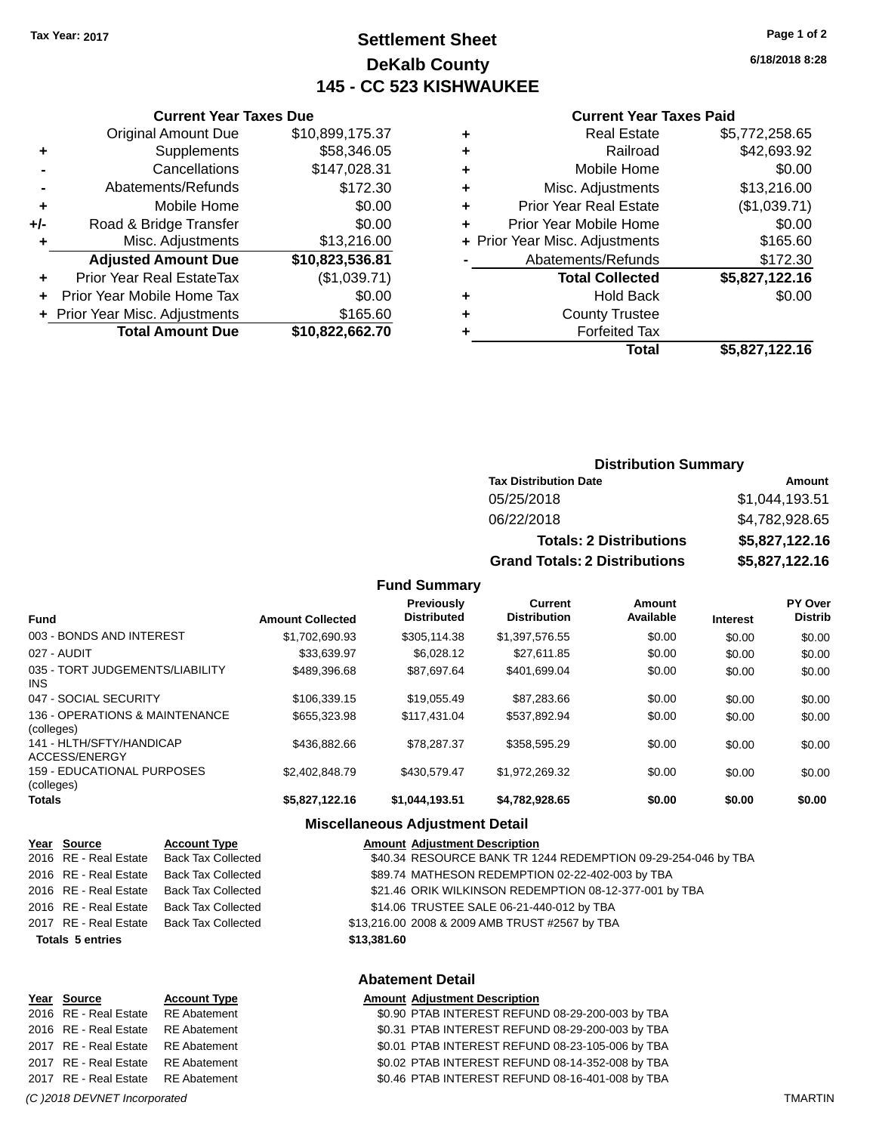**Current Year Taxes Due** Original Amount Due \$10,899,175.37

**Adjusted Amount Due \$10,823,536.81**

**Total Amount Due \$10,822,662.70**

**+** Supplements \$58,346.05 **-** Cancellations \$147,028.31 **-** Abatements/Refunds \$172.30 **+** Mobile Home \$0.00 **+/-** Road & Bridge Transfer \$0.00 **+** Misc. Adjustments \$13,216.00

**+** Prior Year Real EstateTax (\$1,039.71) **+** Prior Year Mobile Home Tax \$0.00 **+ Prior Year Misc. Adjustments \$165.60** 

# **Settlement Sheet Tax Year: 2017 Page 1 of 2 DeKalb County 145 - CC 523 KISHWAUKEE**

**6/18/2018 8:28**

#### **Current Year Taxes Paid**

| ٠ | <b>Real Estate</b>             | \$5,772,258.65 |
|---|--------------------------------|----------------|
| ٠ | Railroad                       | \$42,693.92    |
| ٠ | Mobile Home                    | \$0.00         |
| ٠ | Misc. Adjustments              | \$13,216.00    |
| ٠ | <b>Prior Year Real Estate</b>  | (\$1,039.71)   |
| ÷ | Prior Year Mobile Home         | \$0.00         |
|   | + Prior Year Misc. Adjustments | \$165.60       |
|   | Abatements/Refunds             | \$172.30       |
|   | <b>Total Collected</b>         | \$5,827,122.16 |
| ٠ | <b>Hold Back</b>               | \$0.00         |
| ٠ | <b>County Trustee</b>          |                |
|   | <b>Forfeited Tax</b>           |                |
|   | Total                          | \$5,827,122.16 |
|   |                                |                |

| <b>Distribution Summary</b>    |                |
|--------------------------------|----------------|
| <b>Tax Distribution Date</b>   | Amount         |
| 05/25/2018                     | \$1,044,193.51 |
| 06/22/2018                     | \$4,782,928.65 |
| <b>Totals: 2 Distributions</b> | \$5,827,122.16 |
|                                |                |

**Grand Totals: 2 Distributions \$5,827,122.16**

**Fund Summary**

| <b>Fund</b>                                  | <b>Amount Collected</b> | <b>Previously</b><br><b>Distributed</b> | Current<br><b>Distribution</b> | Amount<br>Available | <b>Interest</b> | PY Over<br><b>Distrib</b> |
|----------------------------------------------|-------------------------|-----------------------------------------|--------------------------------|---------------------|-----------------|---------------------------|
| 003 - BONDS AND INTEREST                     | \$1,702,690.93          | \$305,114.38                            | \$1,397,576.55                 | \$0.00              | \$0.00          | \$0.00                    |
| 027 - AUDIT                                  | \$33.639.97             | \$6.028.12                              | \$27.611.85                    | \$0.00              | \$0.00          | \$0.00                    |
| 035 - TORT JUDGEMENTS/LIABILITY<br>INS.      | \$489,396.68            | \$87,697.64                             | \$401,699.04                   | \$0.00              | \$0.00          | \$0.00                    |
| 047 - SOCIAL SECURITY                        | \$106,339.15            | \$19,055.49                             | \$87,283.66                    | \$0.00              | \$0.00          | \$0.00                    |
| 136 - OPERATIONS & MAINTENANCE<br>(colleges) | \$655,323.98            | \$117,431.04                            | \$537,892.94                   | \$0.00              | \$0.00          | \$0.00                    |
| 141 - HLTH/SFTY/HANDICAP<br>ACCESS/ENERGY    | \$436,882,66            | \$78,287.37                             | \$358,595.29                   | \$0.00              | \$0.00          | \$0.00                    |
| 159 - EDUCATIONAL PURPOSES<br>(colleges)     | \$2,402,848.79          | \$430.579.47                            | \$1,972,269.32                 | \$0.00              | \$0.00          | \$0.00                    |
| <b>Totals</b>                                | \$5,827,122.16          | \$1,044,193.51                          | \$4,782,928.65                 | \$0.00              | \$0.00          | \$0.00                    |
|                                              |                         | <b>Miscellaneous Adjustment Detail</b>  |                                |                     |                 |                           |

|                         |                       |                           | <b>MISSONIANOUS AURONNON, DURIN</b>                           |
|-------------------------|-----------------------|---------------------------|---------------------------------------------------------------|
|                         | Year Source           | <b>Account Type</b>       | <b>Amount Adiustment Description</b>                          |
|                         | 2016 RE - Real Estate | <b>Back Tax Collected</b> | \$40.34 RESOURCE BANK TR 1244 REDEMPTION 09-29-254-046 by TBA |
|                         | 2016 RE - Real Estate | <b>Back Tax Collected</b> | \$89.74 MATHESON REDEMPTION 02-22-402-003 by TBA              |
|                         | 2016 RE - Real Estate | <b>Back Tax Collected</b> | \$21.46 ORIK WILKINSON REDEMPTION 08-12-377-001 by TBA        |
|                         | 2016 RE - Real Estate | <b>Back Tax Collected</b> | \$14.06 TRUSTEE SALE 06-21-440-012 by TBA                     |
|                         | 2017 RE - Real Estate | <b>Back Tax Collected</b> | \$13,216.00 2008 & 2009 AMB TRUST #2567 by TBA                |
| <b>Totals 5 entries</b> |                       |                           | \$13,381.60                                                   |
|                         |                       |                           | <b>Abatement Detail</b>                                       |
|                         | Year Source           | <b>Account Type</b>       | <b>Amount Adiustment Description</b>                          |
|                         | 2016 RE - Real Estate | <b>RE</b> Abatement       | \$0.90 PTAB INTEREST REFUND 08-29-200-003 by TBA              |
|                         | 2016 RE - Real Estate | <b>RE</b> Abatement       | \$0.31 PTAB INTEREST REFUND 08-29-200-003 by TBA              |
|                         | 2017 RE - Real Estate | <b>RE</b> Abatement       | \$0.01 PTAB INTEREST REFUND 08-23-105-006 by TBA              |
|                         | 2017 RE - Real Estate | <b>RE</b> Abatement       | \$0.02 PTAB INTEREST REFUND 08-14-352-008 by TBA              |

2017 RE - Real Estate RE Abatement \$0.46 PTAB INTEREST REFUND 08-16-401-008 by TBA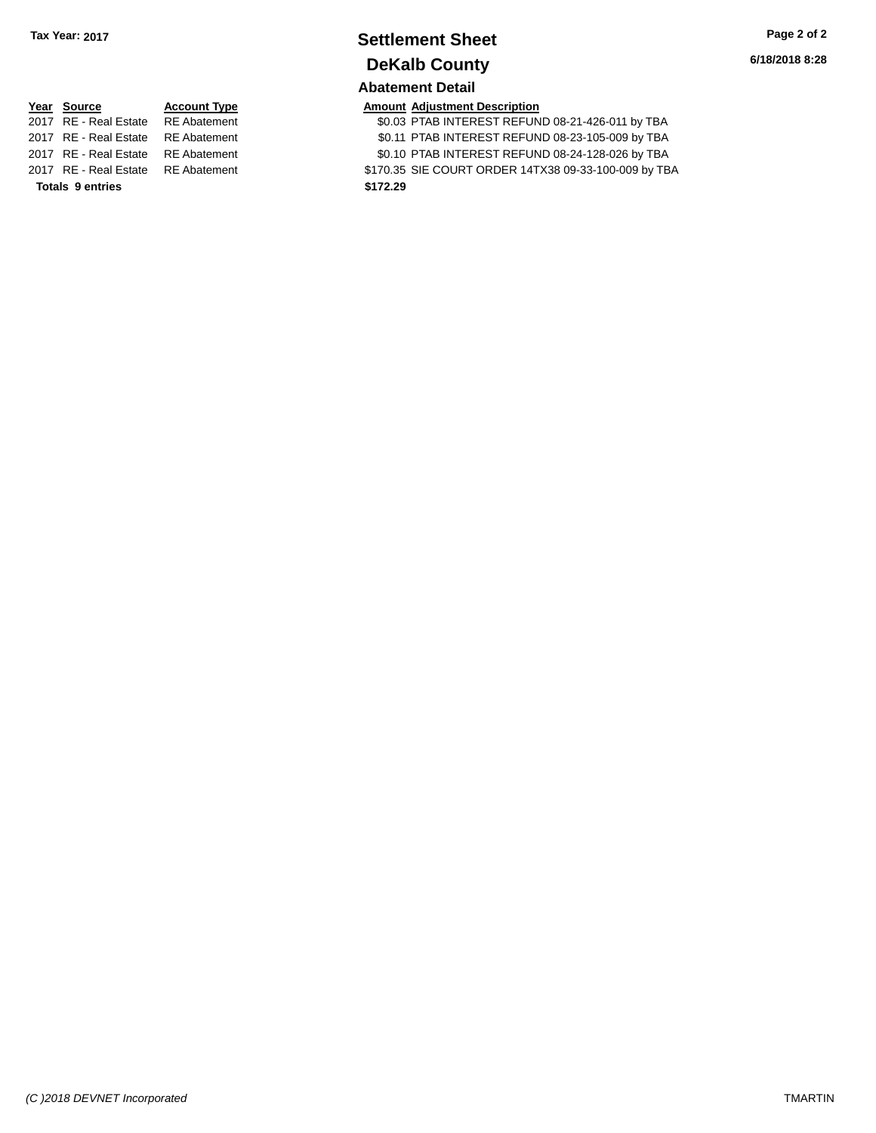# **Settlement Sheet Tax Year: 2017 Page 2 of 2 DeKalb County**

# **Year Source Account Type Amount Adjustment Description**<br>2017 RE - Real Estate RE Abatement \$0.03 PTAB INTEREST REFUN 2017 RE - Real Estate RE Abatement \$0.10 PTAB INTEREST REFUND 08-24-128-026 by TBA 2017 RE - Real Estate RE Abatement \$170.35 SIE COURT ORDER 14TX38 09-33-100-009 by TBA

**Abatement Detail** \$0.03 PTAB INTEREST REFUND 08-21-426-011 by TBA

2017 RE - Real Estate RE Abatement \$0.11 PTAB INTEREST REFUND 08-23-105-009 by TBA

**Totals 9 entries \$172.29**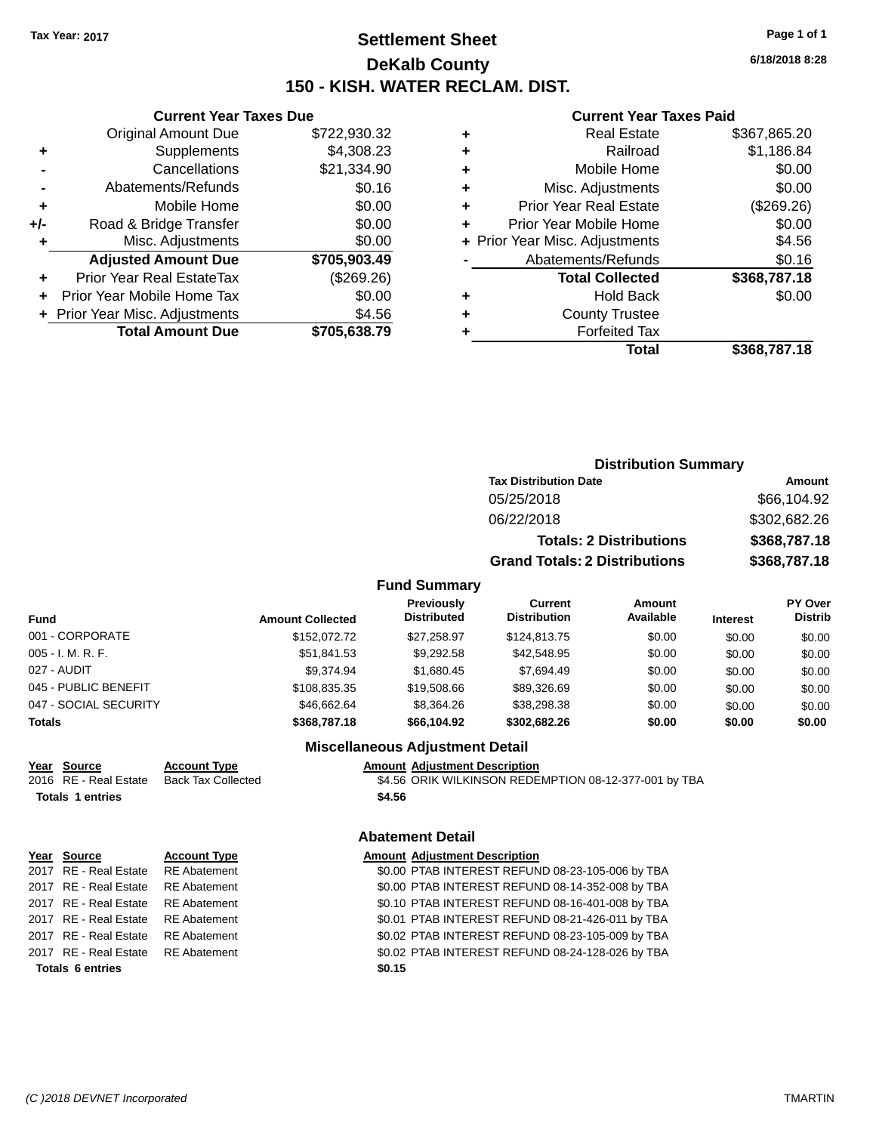# **Settlement Sheet Tax Year: 2017 Page 1 of 1 DeKalb County 150 - KISH. WATER RECLAM. DIST.**

**6/18/2018 8:28**

#### **Current Year Taxes Paid**

|     | <b>Current Year Taxes Due</b>  |              |  |  |  |
|-----|--------------------------------|--------------|--|--|--|
|     | <b>Original Amount Due</b>     | \$722,930.32 |  |  |  |
| ٠   | Supplements                    | \$4,308.23   |  |  |  |
|     | \$21,334.90<br>Cancellations   |              |  |  |  |
|     | Abatements/Refunds             | \$0.16       |  |  |  |
| ٠   | Mobile Home                    | \$0.00       |  |  |  |
| +/- | Road & Bridge Transfer         | \$0.00       |  |  |  |
| ٠   | Misc. Adjustments              | \$0.00       |  |  |  |
|     | <b>Adjusted Amount Due</b>     | \$705,903.49 |  |  |  |
| ٠   | Prior Year Real EstateTax      | (\$269.26)   |  |  |  |
| ÷   | Prior Year Mobile Home Tax     | \$0.00       |  |  |  |
|     | + Prior Year Misc. Adjustments | \$4.56       |  |  |  |
|     | <b>Total Amount Due</b>        | \$705,638.79 |  |  |  |
|     |                                |              |  |  |  |

|   | <b>Real Estate</b>             | \$367,865.20 |
|---|--------------------------------|--------------|
| ٠ | Railroad                       | \$1,186.84   |
| ٠ | Mobile Home                    | \$0.00       |
| ٠ | Misc. Adjustments              | \$0.00       |
| ٠ | <b>Prior Year Real Estate</b>  | (\$269.26)   |
|   | Prior Year Mobile Home         | \$0.00       |
|   | + Prior Year Misc. Adjustments | \$4.56       |
|   | Abatements/Refunds             | \$0.16       |
|   | <b>Total Collected</b>         | \$368,787.18 |
|   | <b>Hold Back</b>               | \$0.00       |
|   | <b>County Trustee</b>          |              |
|   | <b>Forfeited Tax</b>           |              |
|   | Total                          | \$368,787.18 |
|   |                                |              |

|                |        | <b>Amount</b>                                                                                                                         |
|----------------|--------|---------------------------------------------------------------------------------------------------------------------------------------|
| 05/25/2018     |        | \$66,104.92                                                                                                                           |
| 06/22/2018     |        | \$302,682.26                                                                                                                          |
|                |        | \$368,787.18                                                                                                                          |
|                |        | \$368,787.18                                                                                                                          |
|                |        |                                                                                                                                       |
| <b>Current</b> | Amount | <b>PY Over</b>                                                                                                                        |
|                |        | <b>Distribution Summary</b><br><b>Tax Distribution Date</b><br><b>Totals: 2 Distributions</b><br><b>Grand Totals: 2 Distributions</b> |

#### **Fund**

| <b>Fund</b>           | <b>Amount Collected</b> | Previously<br><b>Distributed</b> | <b>Current</b><br><b>Distribution</b> | Amount<br>Available | <b>Interest</b> | <b>PY Over</b><br><b>Distrib</b> |
|-----------------------|-------------------------|----------------------------------|---------------------------------------|---------------------|-----------------|----------------------------------|
| 001 - CORPORATE       | \$152,072.72            | \$27.258.97                      | \$124,813.75                          | \$0.00              | \$0.00          | \$0.00                           |
| 005 - I. M. R. F.     | \$51.841.53             | \$9.292.58                       | \$42,548.95                           | \$0.00              | \$0.00          | \$0.00                           |
| 027 - AUDIT           | \$9.374.94              | \$1.680.45                       | \$7.694.49                            | \$0.00              | \$0.00          | \$0.00                           |
| 045 - PUBLIC BENEFIT  | \$108.835.35            | \$19,508,66                      | \$89,326,69                           | \$0.00              | \$0.00          | \$0.00                           |
| 047 - SOCIAL SECURITY | \$46,662,64             | \$8,364.26                       | \$38,298,38                           | \$0.00              | \$0.00          | \$0.00                           |
| <b>Totals</b>         | \$368,787.18            | \$66,104.92                      | \$302,682.26                          | \$0.00              | \$0.00          | \$0.00                           |

# **Totals 1 entries \$4.56**

#### **Miscellaneous Adjustment Detail Year Source Account Type Amount Adjustment Description**

2016 RE - Real Estate Back Tax Collected \$4.56 ORIK WILKINSON REDEMPTION 08-12-377-001 by TBA

# **Abatement Detail**

| Year Source                        | <b>Account Type</b> | <b>Amount Adjustment Description</b>             |
|------------------------------------|---------------------|--------------------------------------------------|
| 2017 RE - Real Estate RE Abatement |                     | \$0.00 PTAB INTEREST REFUND 08-23-105-006 by TBA |
| 2017 RE - Real Estate RE Abatement |                     | \$0.00 PTAB INTEREST REFUND 08-14-352-008 by TBA |
| 2017 RE - Real Estate RE Abatement |                     | \$0.10 PTAB INTEREST REFUND 08-16-401-008 by TBA |
| 2017 RE - Real Estate RE Abatement |                     | \$0.01 PTAB INTEREST REFUND 08-21-426-011 by TBA |
| 2017 RE - Real Estate RE Abatement |                     | \$0.02 PTAB INTEREST REFUND 08-23-105-009 by TBA |
| 2017 RE - Real Estate RE Abatement |                     | \$0.02 PTAB INTEREST REFUND 08-24-128-026 by TBA |
| <b>Totals 6 entries</b>            |                     | \$0.15                                           |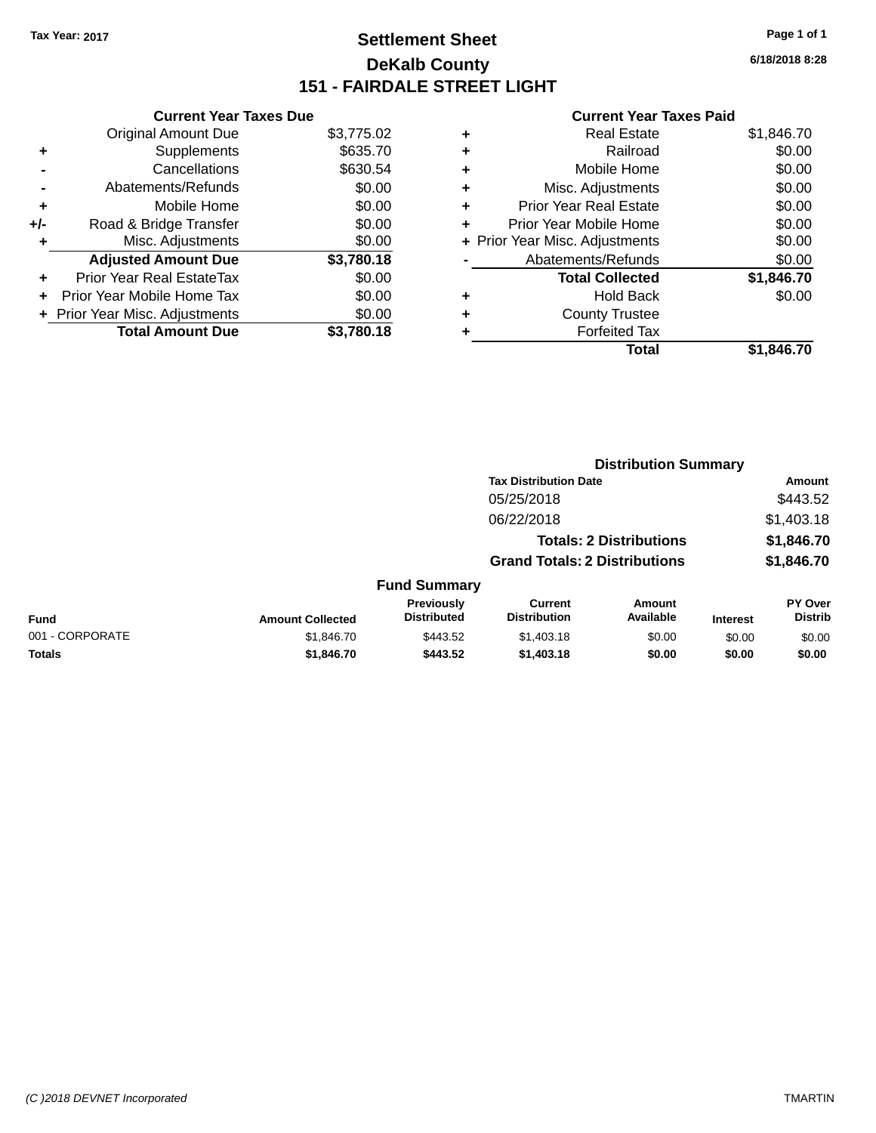# **Settlement Sheet Tax Year: 2017 Page 1 of 1 DeKalb County 151 - FAIRDALE STREET LIGHT**

**6/18/2018 8:28**

|     | <b>Current Year Taxes Due</b>  |            |
|-----|--------------------------------|------------|
|     | <b>Original Amount Due</b>     | \$3,775.02 |
| ÷   | Supplements                    | \$635.70   |
|     | Cancellations                  | \$630.54   |
|     | Abatements/Refunds             | \$0.00     |
| ٠   | Mobile Home                    | \$0.00     |
| +/- | Road & Bridge Transfer         | \$0.00     |
|     | Misc. Adjustments              | \$0.00     |
|     | <b>Adjusted Amount Due</b>     | \$3,780.18 |
| ÷   | Prior Year Real EstateTax      | \$0.00     |
| ٠   | Prior Year Mobile Home Tax     | \$0.00     |
|     | + Prior Year Misc. Adjustments | \$0.00     |
|     | <b>Total Amount Due</b>        | \$3.780.18 |

| ٠ | <b>Real Estate</b>             | \$1,846.70 |
|---|--------------------------------|------------|
| ٠ | Railroad                       | \$0.00     |
| ٠ | Mobile Home                    | \$0.00     |
| ٠ | Misc. Adjustments              | \$0.00     |
| ٠ | <b>Prior Year Real Estate</b>  | \$0.00     |
| ٠ | Prior Year Mobile Home         | \$0.00     |
|   | + Prior Year Misc. Adjustments | \$0.00     |
|   | Abatements/Refunds             | \$0.00     |
|   | <b>Total Collected</b>         | \$1,846.70 |
| ٠ | <b>Hold Back</b>               | \$0.00     |
| ٠ | <b>County Trustee</b>          |            |
| ٠ | <b>Forfeited Tax</b>           |            |
|   | Total                          | \$1.846.70 |
|   |                                |            |

|                 |                         |                                  | <b>Distribution Summary</b>           |                                |                 |                           |  |
|-----------------|-------------------------|----------------------------------|---------------------------------------|--------------------------------|-----------------|---------------------------|--|
|                 |                         |                                  | <b>Tax Distribution Date</b>          |                                |                 | Amount                    |  |
|                 |                         |                                  | 05/25/2018                            |                                |                 | \$443.52                  |  |
|                 |                         |                                  | 06/22/2018                            |                                |                 | \$1,403.18                |  |
|                 |                         |                                  |                                       | <b>Totals: 2 Distributions</b> |                 | \$1,846.70                |  |
|                 |                         |                                  | <b>Grand Totals: 2 Distributions</b>  |                                |                 | \$1,846.70                |  |
|                 |                         | <b>Fund Summary</b>              |                                       |                                |                 |                           |  |
| <b>Fund</b>     | <b>Amount Collected</b> | Previously<br><b>Distributed</b> | <b>Current</b><br><b>Distribution</b> | Amount<br>Available            | <b>Interest</b> | PY Over<br><b>Distrib</b> |  |
| 001 - CORPORATE | \$1,846.70              | \$443.52                         | \$1,403.18                            | \$0.00                         | \$0.00          | \$0.00                    |  |
| <b>Totals</b>   | \$1,846.70              | \$443.52                         | \$1,403.18                            | \$0.00                         | \$0.00          | \$0.00                    |  |
|                 |                         |                                  |                                       |                                |                 |                           |  |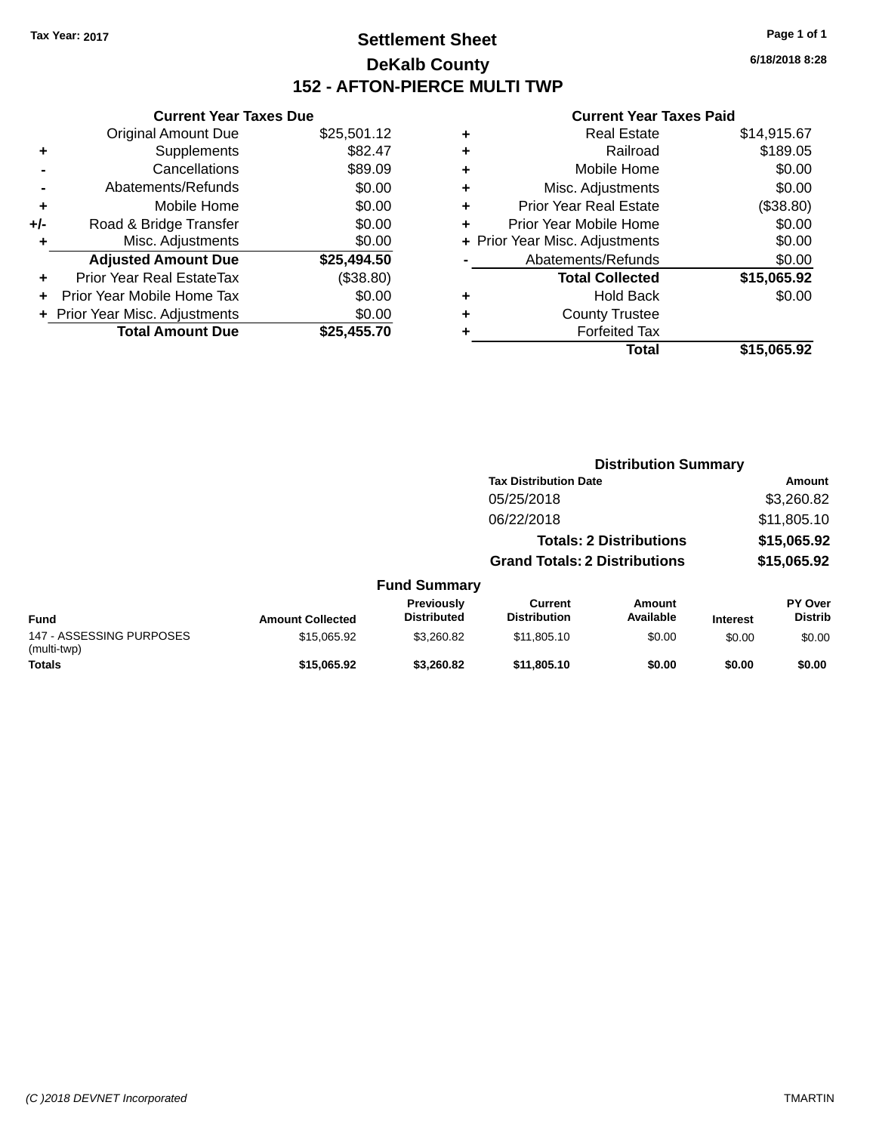# **Settlement Sheet Tax Year: 2017 Page 1 of 1 DeKalb County 152 - AFTON-PIERCE MULTI TWP**

**6/18/2018 8:28**

|     | <b>Current Year Taxes Due</b>  |             |
|-----|--------------------------------|-------------|
|     | <b>Original Amount Due</b>     | \$25,501.12 |
| ٠   | Supplements                    | \$82.47     |
|     | Cancellations                  | \$89.09     |
| -   | Abatements/Refunds             | \$0.00      |
| ٠   | Mobile Home                    | \$0.00      |
| +/- | Road & Bridge Transfer         | \$0.00      |
| ٠   | Misc. Adjustments              | \$0.00      |
|     | <b>Adjusted Amount Due</b>     | \$25,494.50 |
| ٠   | Prior Year Real EstateTax      | (\$38.80)   |
| ÷   | Prior Year Mobile Home Tax     | \$0.00      |
|     | + Prior Year Misc. Adjustments | \$0.00      |
|     | <b>Total Amount Due</b>        | \$25,455.70 |
|     |                                |             |

|   | <b>Total</b>                   | \$15,065.92 |
|---|--------------------------------|-------------|
|   | <b>Forfeited Tax</b>           |             |
| ٠ | <b>County Trustee</b>          |             |
| ٠ | <b>Hold Back</b>               | \$0.00      |
|   | <b>Total Collected</b>         | \$15,065.92 |
|   | Abatements/Refunds             | \$0.00      |
|   | + Prior Year Misc. Adjustments | \$0.00      |
| ٠ | Prior Year Mobile Home         | \$0.00      |
| ÷ | <b>Prior Year Real Estate</b>  | (\$38.80)   |
| ٠ | Misc. Adjustments              | \$0.00      |
| ٠ | Mobile Home                    | \$0.00      |
| ٠ | Railroad                       | \$189.05    |
| ٠ | <b>Real Estate</b>             | \$14,915.67 |
|   |                                |             |

|                                         |                         |                                         | <b>Distribution Summary</b>           |                                |                 |                           |
|-----------------------------------------|-------------------------|-----------------------------------------|---------------------------------------|--------------------------------|-----------------|---------------------------|
|                                         |                         |                                         | <b>Tax Distribution Date</b>          |                                |                 | Amount                    |
|                                         |                         |                                         | 05/25/2018                            |                                |                 | \$3,260.82                |
|                                         |                         |                                         | 06/22/2018                            |                                |                 | \$11,805.10               |
|                                         |                         |                                         |                                       | <b>Totals: 2 Distributions</b> |                 | \$15,065.92               |
|                                         |                         |                                         | <b>Grand Totals: 2 Distributions</b>  |                                |                 | \$15,065.92               |
|                                         |                         | <b>Fund Summary</b>                     |                                       |                                |                 |                           |
| <b>Fund</b>                             | <b>Amount Collected</b> | <b>Previously</b><br><b>Distributed</b> | <b>Current</b><br><b>Distribution</b> | <b>Amount</b><br>Available     | <b>Interest</b> | PY Over<br><b>Distrib</b> |
| 147 - ASSESSING PURPOSES<br>(multi-twp) | \$15,065.92             | \$3,260.82                              | \$11,805.10                           | \$0.00                         | \$0.00          | \$0.00                    |
| <b>Totals</b>                           | \$15,065.92             | \$3.260.82                              | \$11,805.10                           | \$0.00                         | \$0.00          | \$0.00                    |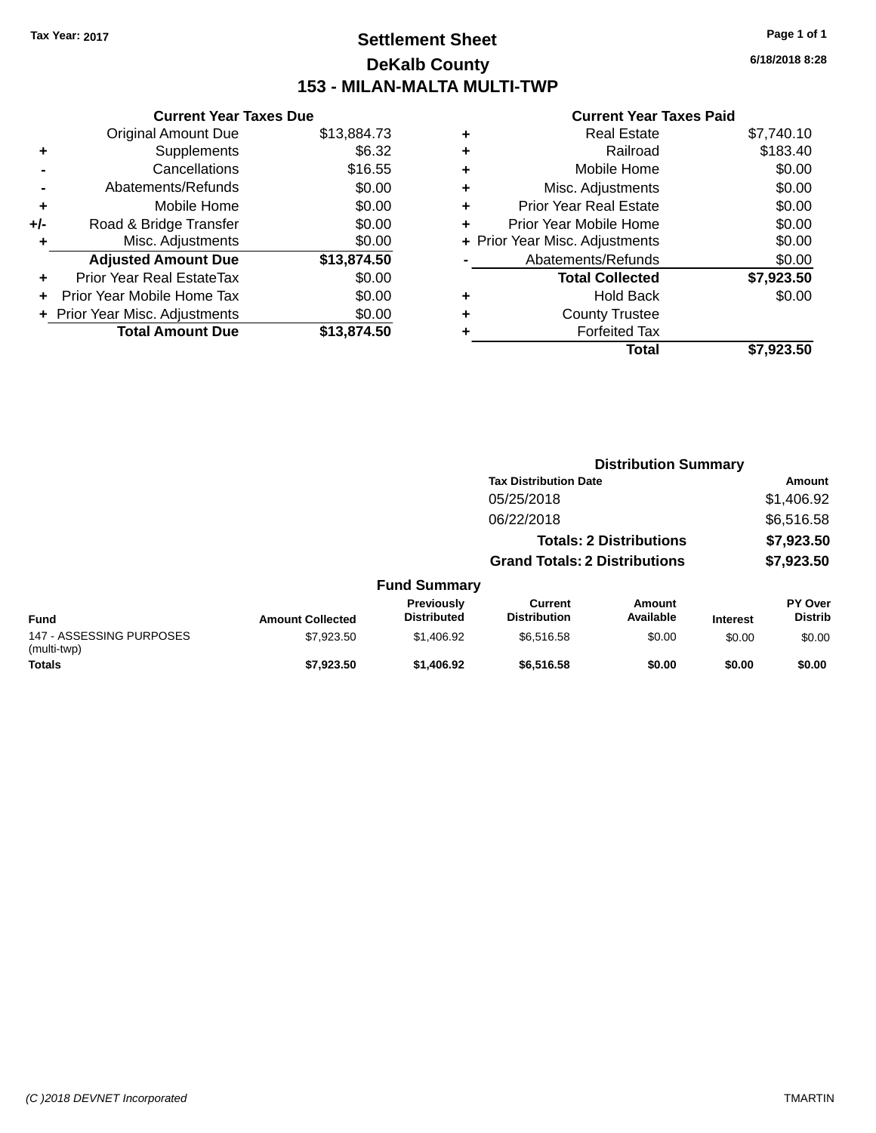# **Settlement Sheet Tax Year: 2017 Page 1 of 1 DeKalb County 153 - MILAN-MALTA MULTI-TWP**

**6/18/2018 8:28**

|     | <b>Current Year Taxes Due</b>  |             |
|-----|--------------------------------|-------------|
|     | <b>Original Amount Due</b>     | \$13,884.73 |
| ÷   | Supplements                    | \$6.32      |
|     | Cancellations                  | \$16.55     |
|     | Abatements/Refunds             | \$0.00      |
| ٠   | Mobile Home                    | \$0.00      |
| +/- | Road & Bridge Transfer         | \$0.00      |
| ٠   | Misc. Adjustments              | \$0.00      |
|     | <b>Adjusted Amount Due</b>     | \$13,874.50 |
| ÷   | Prior Year Real EstateTax      | \$0.00      |
| ٠   | Prior Year Mobile Home Tax     | \$0.00      |
|     | + Prior Year Misc. Adjustments | \$0.00      |
|     | <b>Total Amount Due</b>        | \$13,874.50 |
|     |                                |             |

|   | <b>Real Estate</b>             | \$7,740.10 |
|---|--------------------------------|------------|
| ٠ | Railroad                       | \$183.40   |
| ٠ | Mobile Home                    | \$0.00     |
| ٠ | Misc. Adjustments              | \$0.00     |
| ٠ | <b>Prior Year Real Estate</b>  | \$0.00     |
| ٠ | Prior Year Mobile Home         | \$0.00     |
|   | + Prior Year Misc. Adjustments | \$0.00     |
|   | Abatements/Refunds             | \$0.00     |
|   | <b>Total Collected</b>         | \$7,923.50 |
| ٠ | <b>Hold Back</b>               | \$0.00     |
| ٠ | <b>County Trustee</b>          |            |
| ٠ | <b>Forfeited Tax</b>           |            |
|   | Total                          | \$7,923.50 |
|   |                                |            |

|                                         |                         |                                  |                                       | <b>Distribution Summary</b>    |                 |                           |
|-----------------------------------------|-------------------------|----------------------------------|---------------------------------------|--------------------------------|-----------------|---------------------------|
|                                         |                         |                                  | <b>Tax Distribution Date</b>          |                                |                 | Amount                    |
|                                         |                         |                                  | 05/25/2018                            |                                |                 | \$1,406.92                |
|                                         |                         |                                  | 06/22/2018                            |                                |                 | \$6,516.58                |
|                                         |                         |                                  |                                       | <b>Totals: 2 Distributions</b> |                 | \$7,923.50                |
|                                         |                         |                                  | <b>Grand Totals: 2 Distributions</b>  |                                |                 | \$7,923.50                |
|                                         |                         | <b>Fund Summary</b>              |                                       |                                |                 |                           |
| <b>Fund</b>                             | <b>Amount Collected</b> | Previously<br><b>Distributed</b> | <b>Current</b><br><b>Distribution</b> | Amount<br>Available            | <b>Interest</b> | PY Over<br><b>Distrib</b> |
| 147 - ASSESSING PURPOSES<br>(multi-twp) | \$7,923.50              | \$1,406.92                       | \$6,516.58                            | \$0.00                         | \$0.00          | \$0.00                    |
| <b>Totals</b>                           | \$7,923.50              | \$1,406.92                       | \$6,516.58                            | \$0.00                         | \$0.00          | \$0.00                    |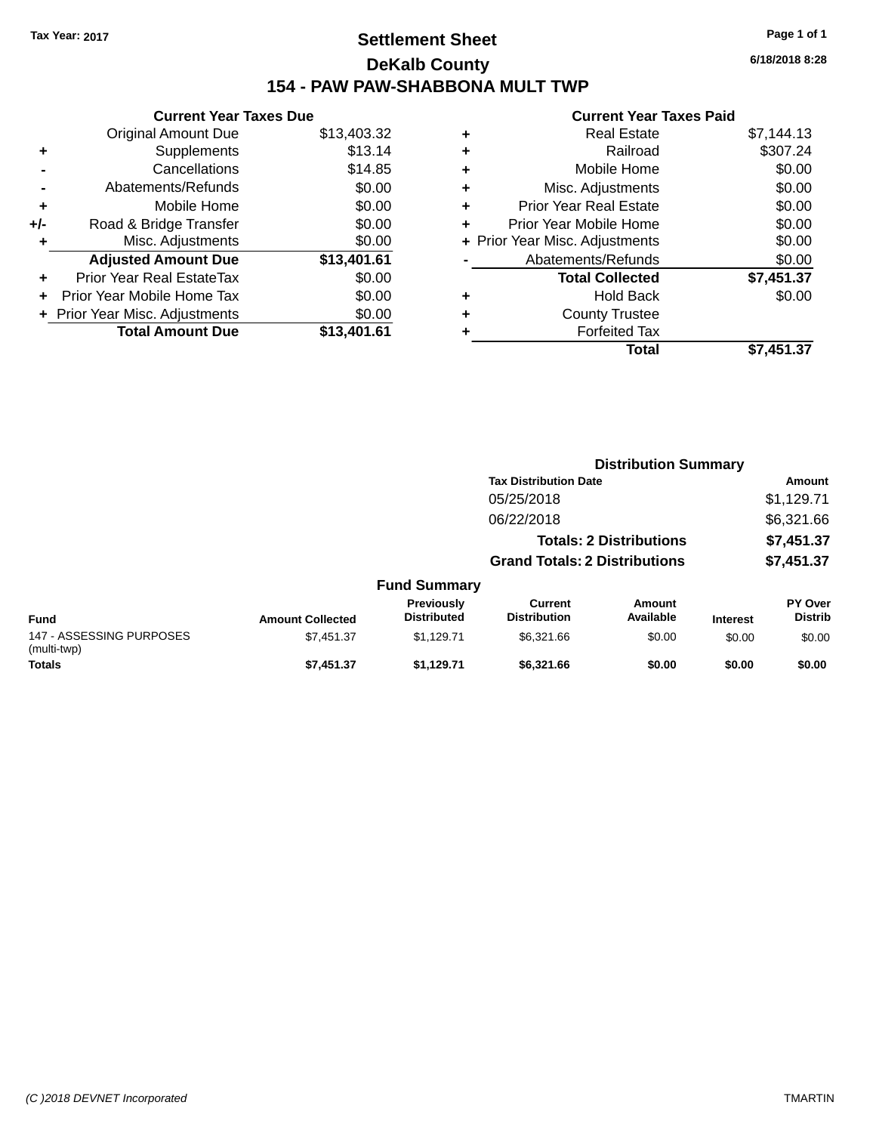# **Settlement Sheet Tax Year: 2017 Page 1 of 1 DeKalb County 154 - PAW PAW-SHABBONA MULT TWP**

**6/18/2018 8:28**

|     | <b>Current Year Taxes Due</b>  |             |  |  |  |
|-----|--------------------------------|-------------|--|--|--|
|     | <b>Original Amount Due</b>     | \$13,403.32 |  |  |  |
| ٠   | Supplements                    | \$13.14     |  |  |  |
|     | Cancellations                  | \$14.85     |  |  |  |
|     | Abatements/Refunds             | \$0.00      |  |  |  |
| ÷   | Mobile Home                    | \$0.00      |  |  |  |
| +/- | Road & Bridge Transfer         | \$0.00      |  |  |  |
|     | Misc. Adjustments              | \$0.00      |  |  |  |
|     | <b>Adjusted Amount Due</b>     | \$13,401.61 |  |  |  |
| ÷   | Prior Year Real EstateTax      | \$0.00      |  |  |  |
|     | Prior Year Mobile Home Tax     | \$0.00      |  |  |  |
|     | + Prior Year Misc. Adjustments | \$0.00      |  |  |  |
|     | <b>Total Amount Due</b>        | \$13,401.61 |  |  |  |
|     |                                |             |  |  |  |

| ٠ | <b>Real Estate</b>             | \$7,144.13 |
|---|--------------------------------|------------|
| ٠ | Railroad                       | \$307.24   |
| ٠ | Mobile Home                    | \$0.00     |
| ٠ | Misc. Adjustments              | \$0.00     |
| ٠ | <b>Prior Year Real Estate</b>  | \$0.00     |
| ÷ | Prior Year Mobile Home         | \$0.00     |
|   | + Prior Year Misc. Adjustments | \$0.00     |
|   | Abatements/Refunds             | \$0.00     |
|   | <b>Total Collected</b>         | \$7,451.37 |
| ٠ | Hold Back                      | \$0.00     |
| ٠ | <b>County Trustee</b>          |            |
| ٠ | <b>Forfeited Tax</b>           |            |
|   | Total                          | \$7,451,37 |
|   |                                |            |

|                                         |                         |                                  | <b>Distribution Summary</b>           |                                |                 |                                  |
|-----------------------------------------|-------------------------|----------------------------------|---------------------------------------|--------------------------------|-----------------|----------------------------------|
|                                         |                         |                                  | <b>Tax Distribution Date</b>          |                                |                 | Amount                           |
|                                         |                         |                                  | 05/25/2018                            |                                |                 | \$1,129.71                       |
|                                         |                         |                                  | 06/22/2018                            |                                |                 | \$6,321.66                       |
|                                         |                         |                                  |                                       | <b>Totals: 2 Distributions</b> |                 | \$7,451.37                       |
|                                         |                         |                                  | <b>Grand Totals: 2 Distributions</b>  |                                |                 | \$7,451.37                       |
|                                         |                         | <b>Fund Summary</b>              |                                       |                                |                 |                                  |
| Fund                                    | <b>Amount Collected</b> | Previously<br><b>Distributed</b> | <b>Current</b><br><b>Distribution</b> | <b>Amount</b><br>Available     | <b>Interest</b> | <b>PY Over</b><br><b>Distrib</b> |
| 147 - ASSESSING PURPOSES<br>(multi-twp) | \$7,451.37              | \$1,129.71                       | \$6,321.66                            | \$0.00                         | \$0.00          | \$0.00                           |
| <b>Totals</b>                           | \$7,451.37              | \$1,129.71                       | \$6,321.66                            | \$0.00                         | \$0.00          | \$0.00                           |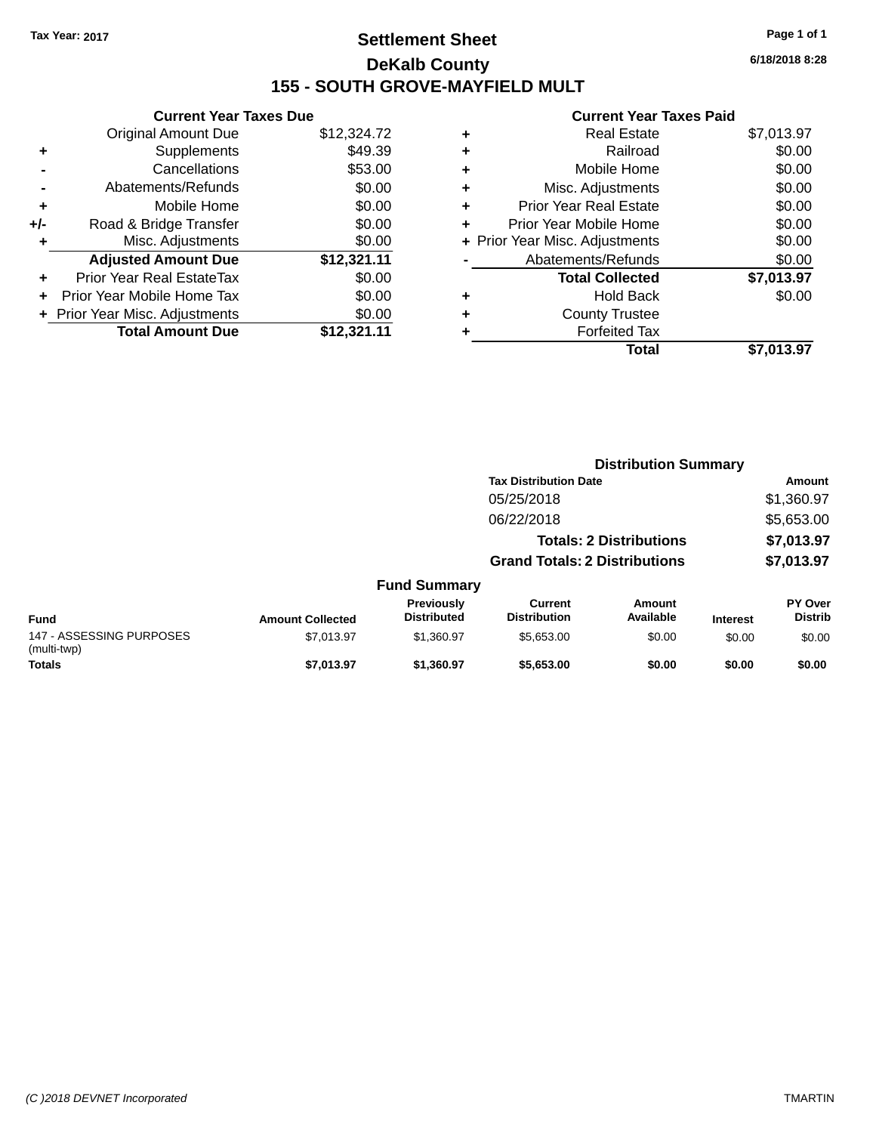# **Settlement Sheet Tax Year: 2017 Page 1 of 1 DeKalb County 155 - SOUTH GROVE-MAYFIELD MULT**

**6/18/2018 8:28**

|     | <b>Current Year Taxes Due</b>    |             |  |  |  |
|-----|----------------------------------|-------------|--|--|--|
|     | <b>Original Amount Due</b>       | \$12,324.72 |  |  |  |
| ٠   | Supplements                      | \$49.39     |  |  |  |
|     | Cancellations                    | \$53.00     |  |  |  |
|     | Abatements/Refunds               | \$0.00      |  |  |  |
| ÷   | Mobile Home                      | \$0.00      |  |  |  |
| +/- | Road & Bridge Transfer           | \$0.00      |  |  |  |
|     | Misc. Adjustments                | \$0.00      |  |  |  |
|     | <b>Adjusted Amount Due</b>       | \$12,321.11 |  |  |  |
| ٠   | <b>Prior Year Real EstateTax</b> | \$0.00      |  |  |  |
|     | Prior Year Mobile Home Tax       | \$0.00      |  |  |  |
|     | + Prior Year Misc. Adjustments   | \$0.00      |  |  |  |
|     | <b>Total Amount Due</b>          | \$12.321.11 |  |  |  |
|     |                                  |             |  |  |  |

| ٠ | <b>Real Estate</b>             | \$7,013.97 |
|---|--------------------------------|------------|
| ٠ | Railroad                       | \$0.00     |
| ٠ | Mobile Home                    | \$0.00     |
| ٠ | Misc. Adjustments              | \$0.00     |
| ٠ | <b>Prior Year Real Estate</b>  | \$0.00     |
| ٠ | Prior Year Mobile Home         | \$0.00     |
|   | + Prior Year Misc. Adjustments | \$0.00     |
|   | Abatements/Refunds             | \$0.00     |
|   | <b>Total Collected</b>         | \$7,013.97 |
| ٠ | <b>Hold Back</b>               | \$0.00     |
| ٠ | <b>County Trustee</b>          |            |
| ٠ | <b>Forfeited Tax</b>           |            |
|   | Total                          | \$7,013.97 |
|   |                                |            |

|                                         |                         |                                  | <b>Distribution Summary</b>           |                                |                 |                           |
|-----------------------------------------|-------------------------|----------------------------------|---------------------------------------|--------------------------------|-----------------|---------------------------|
|                                         |                         |                                  | <b>Tax Distribution Date</b>          |                                |                 | Amount                    |
|                                         |                         |                                  | 05/25/2018                            |                                |                 | \$1,360.97                |
|                                         |                         |                                  | 06/22/2018                            |                                |                 | \$5,653.00                |
|                                         |                         |                                  |                                       | <b>Totals: 2 Distributions</b> |                 | \$7,013.97                |
|                                         |                         |                                  | <b>Grand Totals: 2 Distributions</b>  |                                |                 | \$7,013.97                |
|                                         |                         | <b>Fund Summary</b>              |                                       |                                |                 |                           |
| <b>Fund</b>                             | <b>Amount Collected</b> | Previously<br><b>Distributed</b> | <b>Current</b><br><b>Distribution</b> | <b>Amount</b><br>Available     | <b>Interest</b> | PY Over<br><b>Distrib</b> |
| 147 - ASSESSING PURPOSES<br>(multi-twp) | \$7,013.97              | \$1,360.97                       | \$5,653.00                            | \$0.00                         | \$0.00          | \$0.00                    |
| <b>Totals</b>                           | \$7,013.97              | \$1,360.97                       | \$5,653.00                            | \$0.00                         | \$0.00          | \$0.00                    |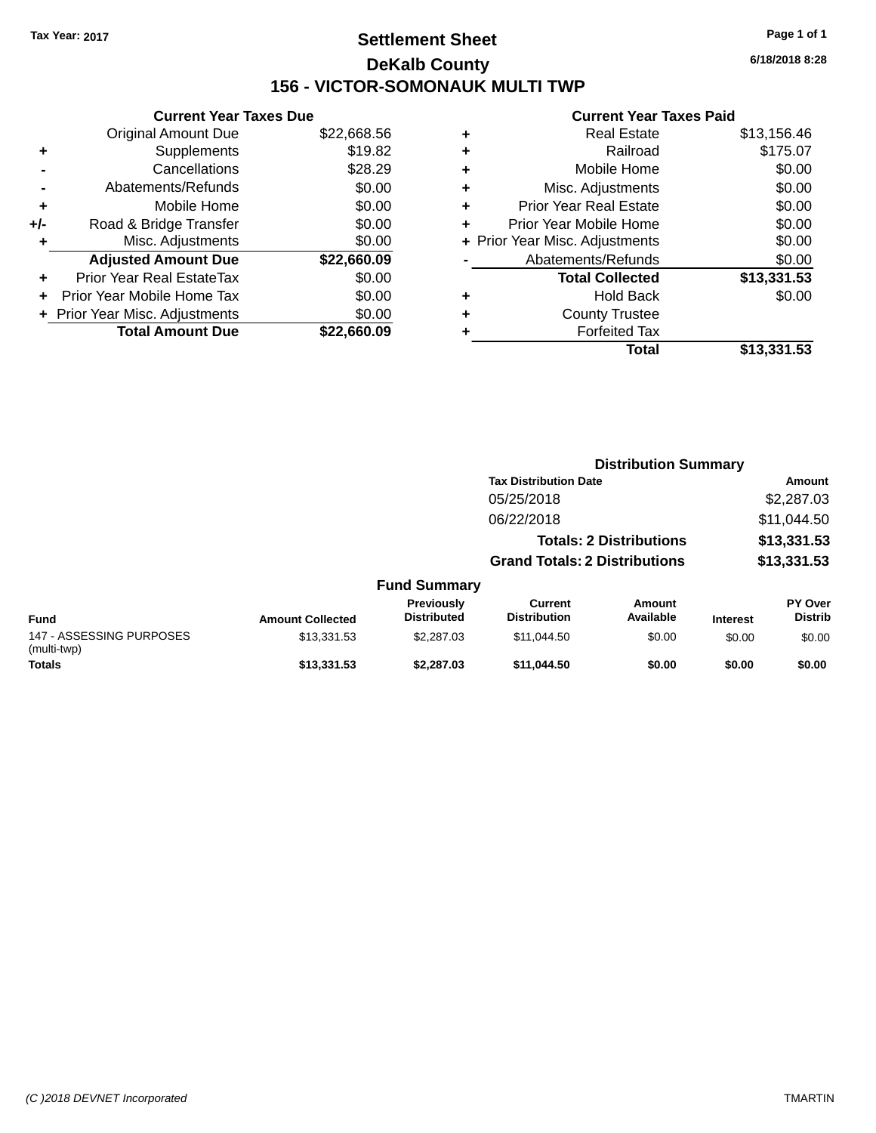# **Settlement Sheet Tax Year: 2017 Page 1 of 1 DeKalb County 156 - VICTOR-SOMONAUK MULTI TWP**

**6/18/2018 8:28**

|     | <b>Current Year Taxes Due</b>  |             |  |  |  |
|-----|--------------------------------|-------------|--|--|--|
|     | <b>Original Amount Due</b>     | \$22,668.56 |  |  |  |
| ÷   | Supplements                    | \$19.82     |  |  |  |
|     | Cancellations                  | \$28.29     |  |  |  |
|     | Abatements/Refunds             | \$0.00      |  |  |  |
| ٠   | Mobile Home                    | \$0.00      |  |  |  |
| +/- | Road & Bridge Transfer         | \$0.00      |  |  |  |
|     | Misc. Adjustments              | \$0.00      |  |  |  |
|     | <b>Adjusted Amount Due</b>     | \$22,660.09 |  |  |  |
| ÷   | Prior Year Real EstateTax      | \$0.00      |  |  |  |
|     | Prior Year Mobile Home Tax     | \$0.00      |  |  |  |
|     | + Prior Year Misc. Adjustments | \$0.00      |  |  |  |
|     | <b>Total Amount Due</b>        | \$22,660.09 |  |  |  |
|     |                                |             |  |  |  |

| ٠ | <b>Real Estate</b>             | \$13,156.46 |
|---|--------------------------------|-------------|
| ٠ | Railroad                       | \$175.07    |
| ٠ | Mobile Home                    | \$0.00      |
| ٠ | Misc. Adjustments              | \$0.00      |
| ٠ | <b>Prior Year Real Estate</b>  | \$0.00      |
| ٠ | Prior Year Mobile Home         | \$0.00      |
|   | + Prior Year Misc. Adjustments | \$0.00      |
|   | Abatements/Refunds             | \$0.00      |
|   | <b>Total Collected</b>         | \$13,331.53 |
| ٠ | Hold Back                      | \$0.00      |
| ٠ | <b>County Trustee</b>          |             |
| ٠ | <b>Forfeited Tax</b>           |             |
|   | Total                          | \$13,331.53 |
|   |                                |             |

|                                         |                         |                                  | <b>Distribution Summary</b>           |                                |                 |                                  |
|-----------------------------------------|-------------------------|----------------------------------|---------------------------------------|--------------------------------|-----------------|----------------------------------|
|                                         |                         |                                  | <b>Tax Distribution Date</b>          |                                |                 | Amount                           |
|                                         |                         |                                  | 05/25/2018                            |                                |                 | \$2,287.03                       |
|                                         |                         |                                  | 06/22/2018                            |                                |                 | \$11,044.50                      |
|                                         |                         |                                  |                                       | <b>Totals: 2 Distributions</b> |                 | \$13,331.53                      |
|                                         |                         |                                  | <b>Grand Totals: 2 Distributions</b>  |                                |                 | \$13,331.53                      |
|                                         |                         | <b>Fund Summary</b>              |                                       |                                |                 |                                  |
| <b>Fund</b>                             | <b>Amount Collected</b> | Previously<br><b>Distributed</b> | <b>Current</b><br><b>Distribution</b> | Amount<br>Available            | <b>Interest</b> | <b>PY Over</b><br><b>Distrib</b> |
| 147 - ASSESSING PURPOSES<br>(multi-twp) | \$13,331.53             | \$2,287.03                       | \$11,044.50                           | \$0.00                         | \$0.00          | \$0.00                           |
| <b>Totals</b>                           | \$13,331.53             | \$2,287.03                       | \$11,044.50                           | \$0.00                         | \$0.00          | \$0.00                           |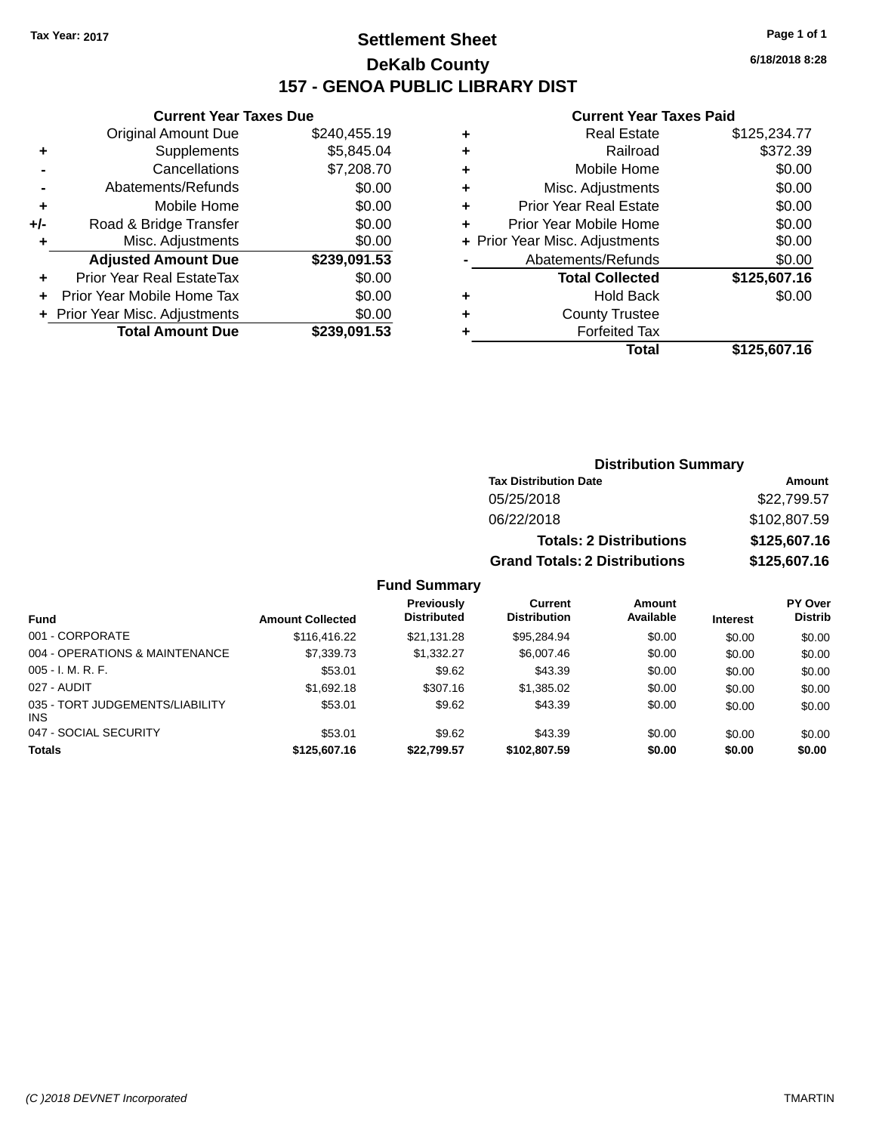# **Settlement Sheet Tax Year: 2017 Page 1 of 1 DeKalb County 157 - GENOA PUBLIC LIBRARY DIST**

**Current Year Taxes Due**

| <b>Original Amount Due</b> | \$240,455.19                   |
|----------------------------|--------------------------------|
| Supplements                | \$5,845.04                     |
| Cancellations              | \$7,208.70                     |
| Abatements/Refunds         | \$0.00                         |
| Mobile Home                | \$0.00                         |
| Road & Bridge Transfer     | \$0.00                         |
| Misc. Adjustments          | \$0.00                         |
| <b>Adjusted Amount Due</b> | \$239,091.53                   |
| Prior Year Real EstateTax  | \$0.00                         |
| Prior Year Mobile Home Tax | \$0.00                         |
|                            | \$0.00                         |
| <b>Total Amount Due</b>    | \$239,091.53                   |
|                            | + Prior Year Misc. Adjustments |

#### **Current Year Taxes Paid**

| ۰ | Real Estate                    | \$125,234.77 |
|---|--------------------------------|--------------|
| ٠ | Railroad                       | \$372.39     |
| ٠ | Mobile Home                    | \$0.00       |
| ٠ | Misc. Adjustments              | \$0.00       |
| ٠ | <b>Prior Year Real Estate</b>  | \$0.00       |
| ٠ | Prior Year Mobile Home         | \$0.00       |
|   | + Prior Year Misc. Adjustments | \$0.00       |
|   | Abatements/Refunds             | \$0.00       |
|   | <b>Total Collected</b>         | \$125,607.16 |
| ٠ | <b>Hold Back</b>               | \$0.00       |
|   | <b>County Trustee</b>          |              |
|   | <b>Forfeited Tax</b>           |              |
|   | Total                          | \$125,607.16 |
|   |                                |              |

| . | <b>**********</b> |  |  |
|---|-------------------|--|--|
|   |                   |  |  |
|   |                   |  |  |
|   |                   |  |  |
|   |                   |  |  |
|   |                   |  |  |
|   |                   |  |  |
|   |                   |  |  |
|   |                   |  |  |
|   |                   |  |  |

|      | <b>Distribution Summary</b>          |              |
|------|--------------------------------------|--------------|
|      | <b>Tax Distribution Date</b>         | Amount       |
|      | 05/25/2018                           | \$22,799.57  |
|      | 06/22/2018                           | \$102,807.59 |
|      | <b>Totals: 2 Distributions</b>       | \$125,607.16 |
|      | <b>Grand Totals: 2 Distributions</b> | \$125,607.16 |
| maru |                                      |              |

| <b>Fund</b>                             | <b>Amount Collected</b> | <b>Previously</b><br><b>Distributed</b> | Current<br><b>Distribution</b> | Amount<br>Available | <b>Interest</b> | <b>PY Over</b><br><b>Distrib</b> |
|-----------------------------------------|-------------------------|-----------------------------------------|--------------------------------|---------------------|-----------------|----------------------------------|
|                                         |                         |                                         |                                |                     |                 |                                  |
| 001 - CORPORATE                         | \$116,416.22            | \$21,131.28                             | \$95.284.94                    | \$0.00              | \$0.00          | \$0.00                           |
| 004 - OPERATIONS & MAINTENANCE          | \$7,339.73              | \$1.332.27                              | \$6,007.46                     | \$0.00              | \$0.00          | \$0.00                           |
| $005 - I. M. R. F.$                     | \$53.01                 | \$9.62                                  | \$43.39                        | \$0.00              | \$0.00          | \$0.00                           |
| 027 - AUDIT                             | \$1,692.18              | \$307.16                                | \$1,385.02                     | \$0.00              | \$0.00          | \$0.00                           |
| 035 - TORT JUDGEMENTS/LIABILITY<br>INS. | \$53.01                 | \$9.62                                  | \$43.39                        | \$0.00              | \$0.00          | \$0.00                           |
| 047 - SOCIAL SECURITY                   | \$53.01                 | \$9.62                                  | \$43.39                        | \$0.00              | \$0.00          | \$0.00                           |
| <b>Totals</b>                           | \$125,607.16            | \$22.799.57                             | \$102,807.59                   | \$0.00              | \$0.00          | \$0.00                           |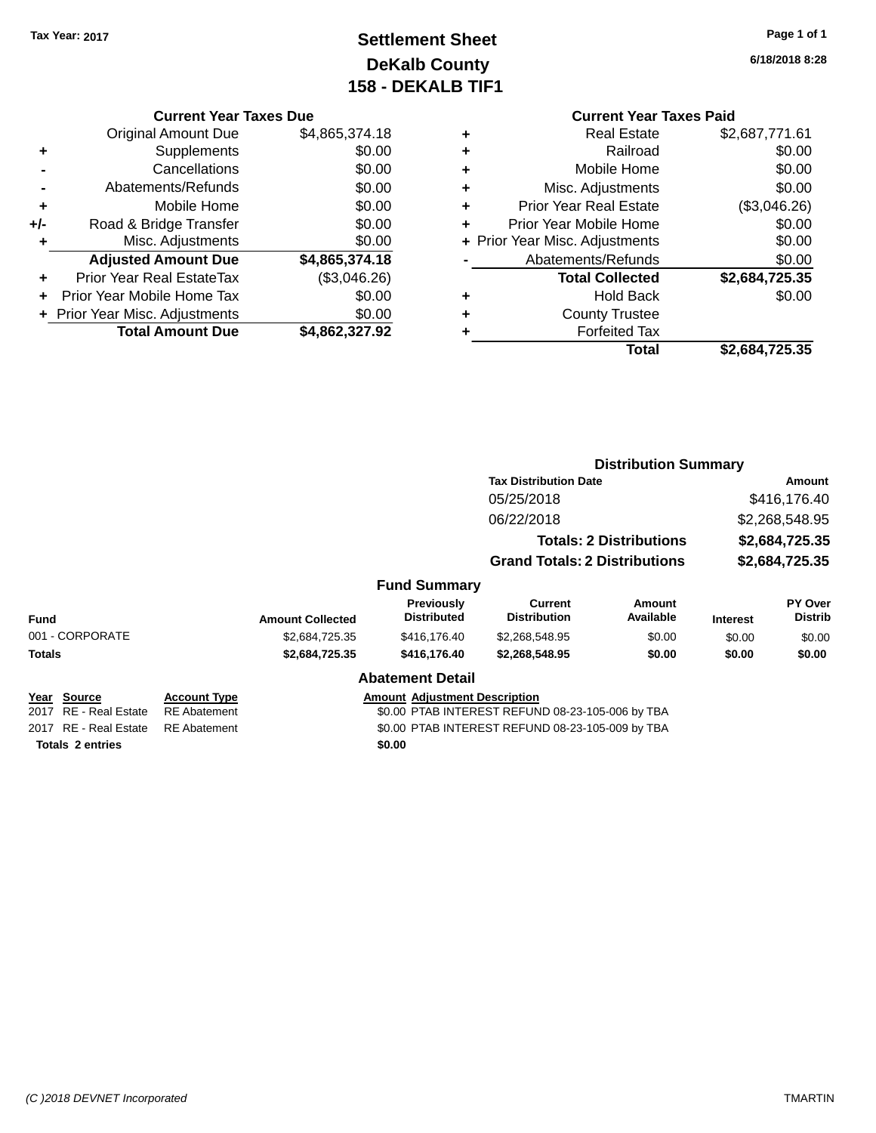# **Settlement Sheet Tax Year: 2017 Page 1 of 1 DeKalb County 158 - DEKALB TIF1**

**6/18/2018 8:28**

#### **Current Year Taxes Due**

|     | <b>Original Amount Due</b>     | \$4,865,374.18 |
|-----|--------------------------------|----------------|
| ٠   | Supplements                    | \$0.00         |
|     | Cancellations                  | \$0.00         |
|     | Abatements/Refunds             | \$0.00         |
| ٠   | Mobile Home                    | \$0.00         |
| +/- | Road & Bridge Transfer         | \$0.00         |
| ٠   | Misc. Adjustments              | \$0.00         |
|     | <b>Adjusted Amount Due</b>     | \$4,865,374.18 |
| ٠   | Prior Year Real EstateTax      | (\$3,046.26)   |
|     | Prior Year Mobile Home Tax     | \$0.00         |
|     | + Prior Year Misc. Adjustments | \$0.00         |
|     | <b>Total Amount Due</b>        | \$4,862,327.92 |

# **Current Year Taxes Paid**

| ٠ | <b>Real Estate</b>             | \$2,687,771.61 |
|---|--------------------------------|----------------|
| ٠ | Railroad                       | \$0.00         |
| ٠ | Mobile Home                    | \$0.00         |
| ٠ | Misc. Adjustments              | \$0.00         |
| ٠ | <b>Prior Year Real Estate</b>  | (\$3,046.26)   |
| ٠ | Prior Year Mobile Home         | \$0.00         |
|   | + Prior Year Misc. Adjustments | \$0.00         |
|   | Abatements/Refunds             | \$0.00         |
|   | <b>Total Collected</b>         | \$2,684,725.35 |
| ٠ | <b>Hold Back</b>               | \$0.00         |
| ٠ | <b>County Trustee</b>          |                |
| ٠ | <b>Forfeited Tax</b>           |                |
|   | Total                          | \$2,684,725.35 |
|   |                                |                |

#### **Distribution Summary Tax Distribution Date Amount** 05/25/2018 \$416,176.40 06/22/2018 \$2,268,548.95 **Totals: 2 Distributions \$2,684,725.35 Grand Totals: 2 Distributions \$2,684,725.35 Fund Summary Fund Interest Amount Collected Distributed PY Over Distrib Amount Available Current Distribution Previously** 001 - CORPORATE \$2,684,725.35 \$416,176.40 \$2,268,548.95 \$0.00 \$0.00 \$0.00 **Totals \$2,684,725.35 \$416,176.40 \$2,268,548.95 \$0.00 \$0.00 \$0.00 Abatement Detail Year Source Account Type Amount Adjustment Description** 2017 RE - Real Estate RE Abatement \$0.00 PTAB INTEREST REFUND 08-23-105-006 by TBA 2017 RE - Real Estate RE Abatement \$0.00 PTAB INTEREST REFUND 08-23-105-009 by TBA **Totals 2 entries \$0.00**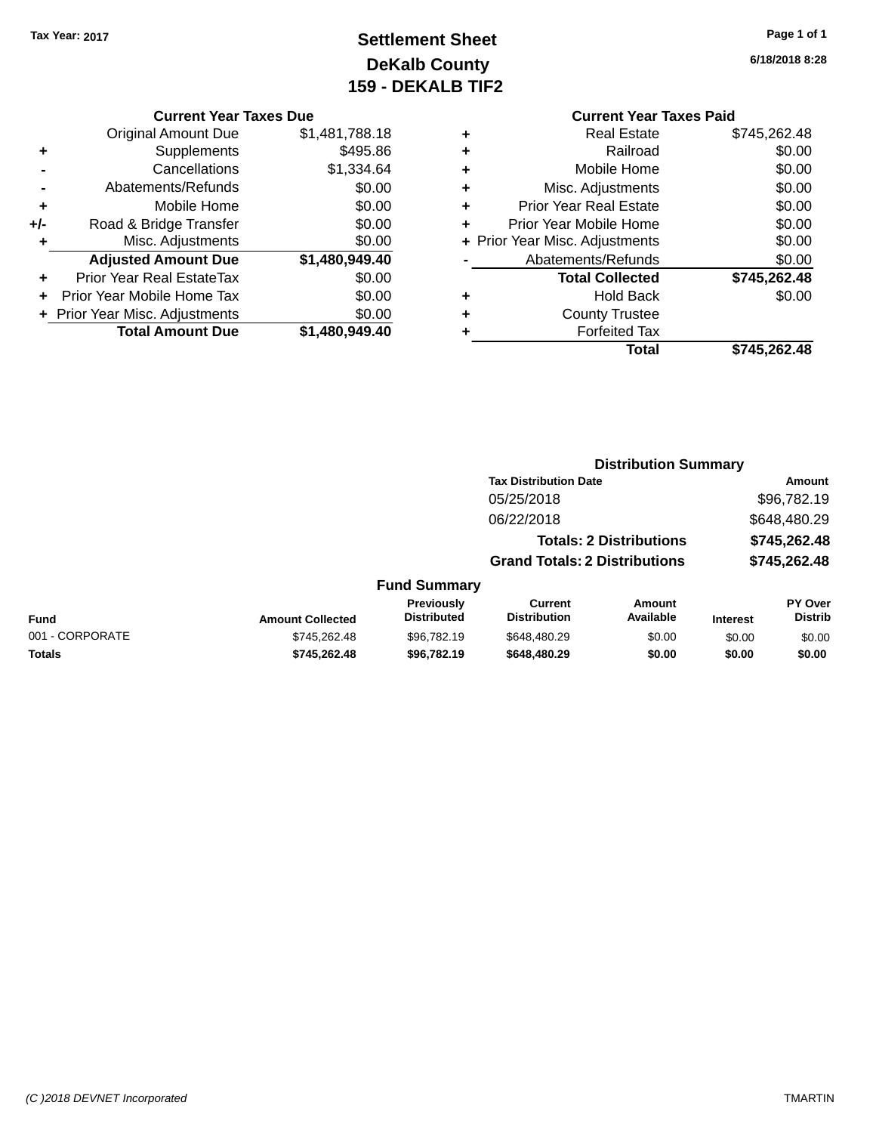# **Settlement Sheet Tax Year: 2017 Page 1 of 1 DeKalb County 159 - DEKALB TIF2**

#### **Current Year Taxes Due**

|     | <b>Original Amount Due</b>       | \$1,481,788.18 |
|-----|----------------------------------|----------------|
| ٠   | Supplements                      | \$495.86       |
|     | Cancellations                    | \$1,334.64     |
|     | Abatements/Refunds               | \$0.00         |
| ٠   | Mobile Home                      | \$0.00         |
| +/- | Road & Bridge Transfer           | \$0.00         |
| ٠   | Misc. Adjustments                | \$0.00         |
|     | <b>Adjusted Amount Due</b>       | \$1,480,949.40 |
| ٠   | <b>Prior Year Real EstateTax</b> | \$0.00         |
|     | Prior Year Mobile Home Tax       | \$0.00         |
|     | + Prior Year Misc. Adjustments   | \$0.00         |
|     | <b>Total Amount Due</b>          | \$1,480,949.40 |

|   | <b>Real Estate</b>             | \$745,262.48 |
|---|--------------------------------|--------------|
| ٠ | Railroad                       | \$0.00       |
| ٠ | Mobile Home                    | \$0.00       |
| ٠ | Misc. Adjustments              | \$0.00       |
| ٠ | <b>Prior Year Real Estate</b>  | \$0.00       |
|   | Prior Year Mobile Home         | \$0.00       |
|   | + Prior Year Misc. Adjustments | \$0.00       |
|   | Abatements/Refunds             | \$0.00       |
|   | <b>Total Collected</b>         | \$745,262.48 |
| ٠ | Hold Back                      | \$0.00       |
| ٠ | <b>County Trustee</b>          |              |
|   | <b>Forfeited Tax</b>           |              |
|   | Total                          | \$745,262.48 |
|   |                                |              |

|                 |                         |                                  | <b>Distribution Summary</b>          |                                |                 |                                  |
|-----------------|-------------------------|----------------------------------|--------------------------------------|--------------------------------|-----------------|----------------------------------|
|                 |                         |                                  | <b>Tax Distribution Date</b>         |                                |                 | Amount                           |
|                 |                         |                                  | 05/25/2018                           |                                |                 | \$96,782.19                      |
|                 |                         |                                  | 06/22/2018                           |                                |                 | \$648,480.29                     |
|                 |                         |                                  |                                      | <b>Totals: 2 Distributions</b> |                 | \$745,262.48                     |
|                 |                         |                                  | <b>Grand Totals: 2 Distributions</b> |                                |                 | \$745,262.48                     |
|                 |                         | <b>Fund Summary</b>              |                                      |                                |                 |                                  |
| <b>Fund</b>     | <b>Amount Collected</b> | Previously<br><b>Distributed</b> | Current<br><b>Distribution</b>       | Amount<br>Available            | <b>Interest</b> | <b>PY Over</b><br><b>Distrib</b> |
| 001 - CORPORATE | \$745.262.48            | \$96,782,19                      | \$648,480.29                         | \$0.00                         | \$0.00          | \$0.00                           |
| <b>Totals</b>   | \$745.262.48            | \$96.782.19                      | \$648,480.29                         | \$0.00                         | \$0.00          | \$0.00                           |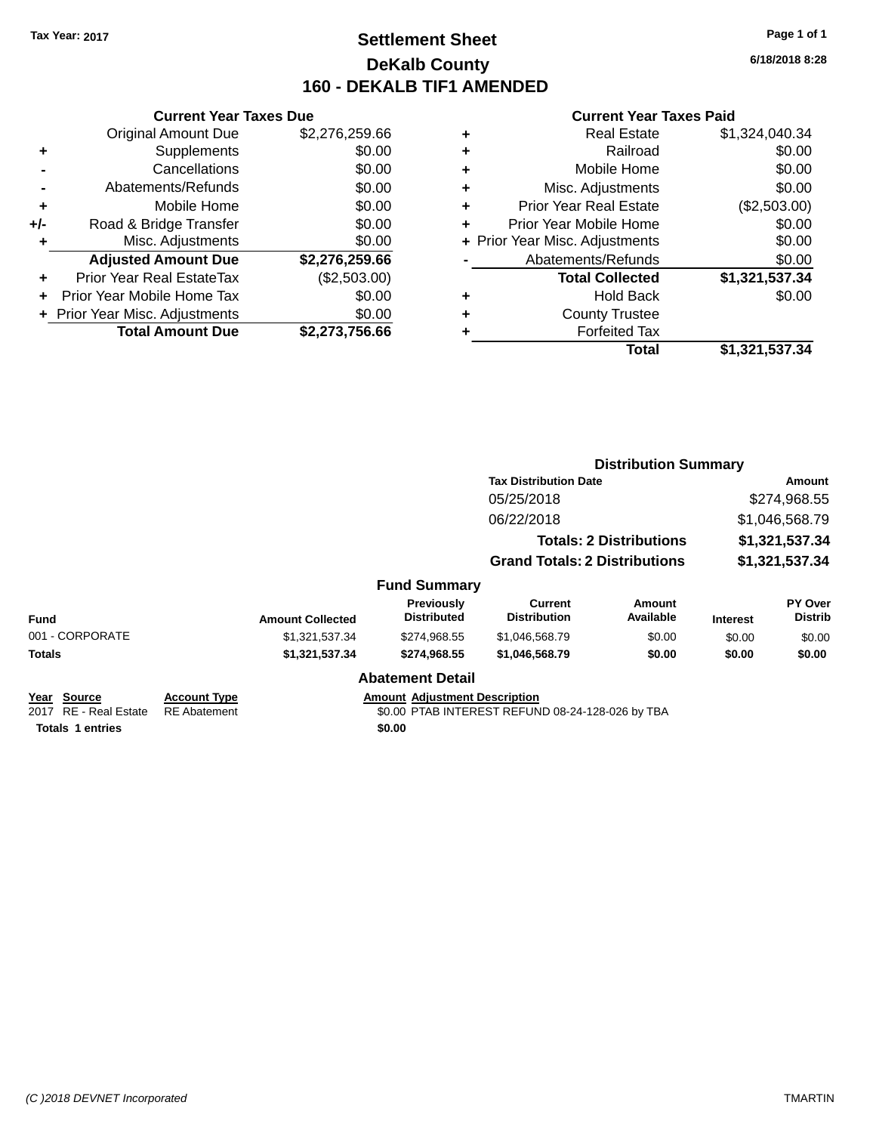# **Settlement Sheet Tax Year: 2017 Page 1 of 1 DeKalb County 160 - DEKALB TIF1 AMENDED**

**6/18/2018 8:28**

|     | <b>Current Year Taxes Due</b>  |                |  |  |
|-----|--------------------------------|----------------|--|--|
|     | <b>Original Amount Due</b>     | \$2,276,259.66 |  |  |
| ٠   | Supplements                    | \$0.00         |  |  |
|     | Cancellations                  | \$0.00         |  |  |
|     | Abatements/Refunds             | \$0.00         |  |  |
| ٠   | Mobile Home                    | \$0.00         |  |  |
| +/- | Road & Bridge Transfer         | \$0.00         |  |  |
| ٠   | Misc. Adjustments              | \$0.00         |  |  |
|     | <b>Adjusted Amount Due</b>     | \$2,276,259.66 |  |  |
| ÷   | Prior Year Real EstateTax      | (\$2,503.00)   |  |  |
|     | Prior Year Mobile Home Tax     | \$0.00         |  |  |
|     | + Prior Year Misc. Adjustments | \$0.00         |  |  |
|     | <b>Total Amount Due</b>        | \$2,273,756.66 |  |  |
|     |                                |                |  |  |

| ٠ | <b>Real Estate</b>             | \$1,324,040.34 |
|---|--------------------------------|----------------|
| ٠ | Railroad                       | \$0.00         |
| ٠ | Mobile Home                    | \$0.00         |
| ٠ | Misc. Adjustments              | \$0.00         |
| ٠ | <b>Prior Year Real Estate</b>  | (\$2,503.00)   |
| ٠ | Prior Year Mobile Home         | \$0.00         |
|   | + Prior Year Misc. Adjustments | \$0.00         |
|   | Abatements/Refunds             | \$0.00         |
|   | <b>Total Collected</b>         | \$1,321,537.34 |
| ٠ | <b>Hold Back</b>               | \$0.00         |
| ٠ | <b>County Trustee</b>          |                |
| ٠ | <b>Forfeited Tax</b>           |                |
|   | Total                          | \$1,321,537.34 |
|   |                                |                |

|                                      |                                            |                         |                                         |                                                  | <b>Distribution Summary</b>              |                 |                           |
|--------------------------------------|--------------------------------------------|-------------------------|-----------------------------------------|--------------------------------------------------|------------------------------------------|-----------------|---------------------------|
|                                      |                                            |                         |                                         | <b>Tax Distribution Date</b>                     | Amount<br>\$274,968.55<br>\$1,046,568.79 |                 |                           |
|                                      |                                            |                         |                                         | 05/25/2018<br>06/22/2018                         |                                          |                 |                           |
|                                      |                                            |                         |                                         |                                                  |                                          |                 |                           |
|                                      |                                            |                         |                                         |                                                  | <b>Totals: 2 Distributions</b>           | \$1,321,537.34  |                           |
|                                      |                                            |                         |                                         | <b>Grand Totals: 2 Distributions</b>             |                                          | \$1,321,537.34  |                           |
|                                      |                                            |                         | <b>Fund Summary</b>                     |                                                  |                                          |                 |                           |
| <b>Fund</b>                          |                                            | <b>Amount Collected</b> | <b>Previously</b><br><b>Distributed</b> | Current<br><b>Distribution</b>                   | Amount<br>Available                      | <b>Interest</b> | PY Over<br><b>Distrib</b> |
| 001 - CORPORATE                      |                                            | \$1,321,537.34          | \$274,968.55                            | \$1,046,568.79                                   | \$0.00                                   | \$0.00          | \$0.00                    |
| Totals                               |                                            | \$1,321,537.34          | \$274,968.55                            | \$1,046,568.79                                   | \$0.00                                   | \$0.00          | \$0.00                    |
|                                      |                                            |                         | <b>Abatement Detail</b>                 |                                                  |                                          |                 |                           |
| Year Source<br>2017 RE - Real Estate | <b>Account Type</b><br><b>RE</b> Abatement |                         | <b>Amount Adjustment Description</b>    | \$0.00 PTAB INTEREST REFUND 08-24-128-026 by TBA |                                          |                 |                           |
| <b>Totals 1 entries</b>              |                                            |                         | \$0.00                                  |                                                  |                                          |                 |                           |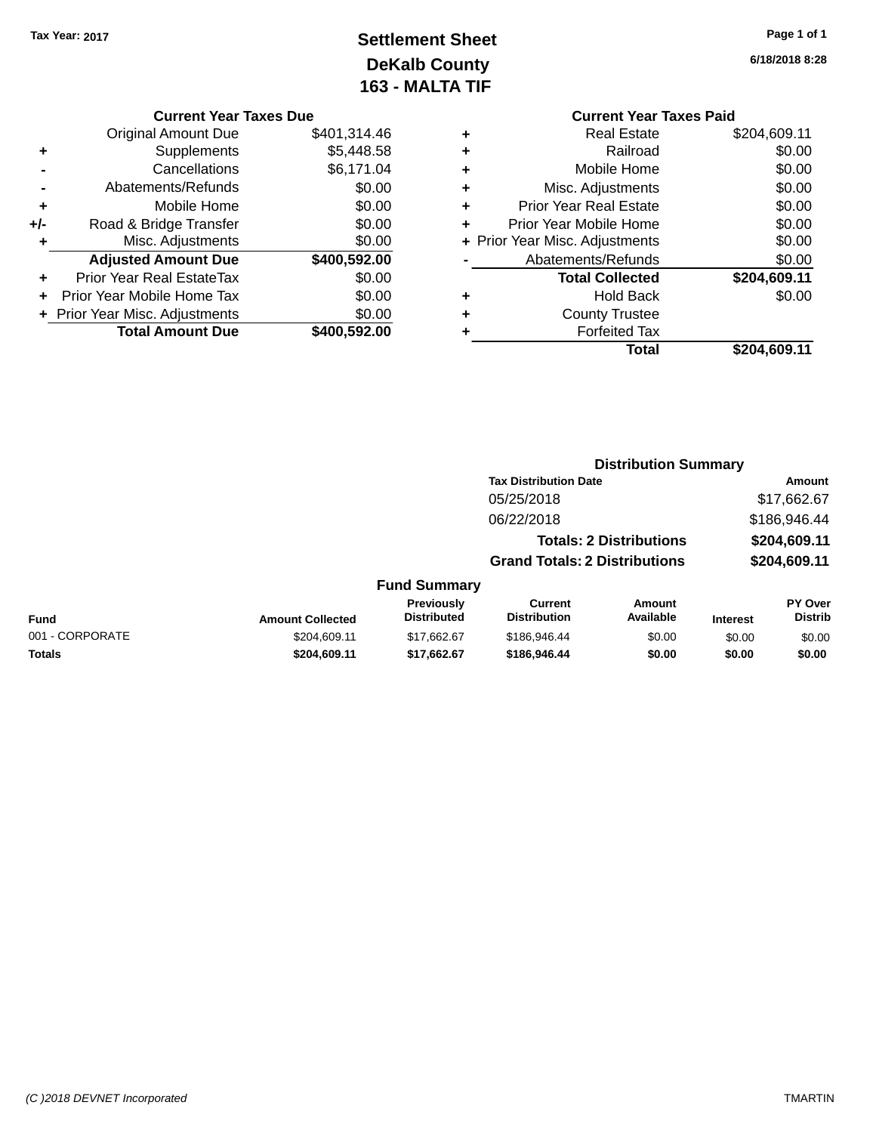# **Settlement Sheet Tax Year: 2017 Page 1 of 1 DeKalb County 163 - MALTA TIF**

#### **6/18/2018 8:28**

|     | <b>Original Amount Due</b>     | \$401,314.46 |
|-----|--------------------------------|--------------|
| ÷   | Supplements                    | \$5,448.58   |
|     | Cancellations                  | \$6,171.04   |
|     | Abatements/Refunds             | \$0.00       |
| ٠   | Mobile Home                    | \$0.00       |
| +/- | Road & Bridge Transfer         | \$0.00       |
| ÷   | Misc. Adjustments              | \$0.00       |
|     | <b>Adjusted Amount Due</b>     | \$400,592.00 |
| ÷   | Prior Year Real EstateTax      | \$0.00       |
| ٠   | Prior Year Mobile Home Tax     | \$0.00       |
|     | + Prior Year Misc. Adjustments | \$0.00       |
|     | <b>Total Amount Due</b>        | \$400,592,00 |

|   | <b>Current Year Taxes Paid</b> |              |
|---|--------------------------------|--------------|
| ٠ | <b>Real Estate</b>             | \$204,609.11 |
|   | Railroad                       | \$0.00       |
|   | Mobile Home                    | \$0.00       |
| ٠ | Misc. Adjustments              | \$0.00       |
| ٠ | <b>Prior Year Real Estate</b>  | \$0.00       |
| ÷ | Prior Year Mobile Home         | \$0.00       |
|   | + Prior Year Misc. Adjustments | \$0.00       |
|   | Abatements/Refunds             | \$0.00       |
|   | <b>Total Collected</b>         | \$204,609.11 |
|   | <b>Hold Back</b>               | \$0.00       |
|   | <b>County Trustee</b>          |              |
|   | <b>Forfeited Tax</b>           |              |
|   | Total                          | \$204,609.11 |
|   |                                |              |

|                 |                         |                                  |                                       | <b>Distribution Summary</b>    |                 |                           |
|-----------------|-------------------------|----------------------------------|---------------------------------------|--------------------------------|-----------------|---------------------------|
|                 |                         |                                  | <b>Tax Distribution Date</b>          |                                |                 | <b>Amount</b>             |
|                 |                         |                                  | 05/25/2018                            |                                |                 | \$17,662.67               |
|                 |                         |                                  | 06/22/2018                            |                                |                 | \$186,946.44              |
|                 |                         |                                  |                                       | <b>Totals: 2 Distributions</b> |                 | \$204,609.11              |
|                 |                         |                                  | <b>Grand Totals: 2 Distributions</b>  |                                |                 | \$204,609.11              |
|                 |                         | <b>Fund Summary</b>              |                                       |                                |                 |                           |
| <b>Fund</b>     | <b>Amount Collected</b> | Previously<br><b>Distributed</b> | <b>Current</b><br><b>Distribution</b> | Amount<br>Available            | <b>Interest</b> | PY Over<br><b>Distrib</b> |
| 001 - CORPORATE | \$204,609.11            | \$17,662.67                      | \$186,946.44                          | \$0.00                         | \$0.00          | \$0.00                    |

**Totals \$204,609.11 \$17,662.67 \$186,946.44 \$0.00 \$0.00 \$0.00**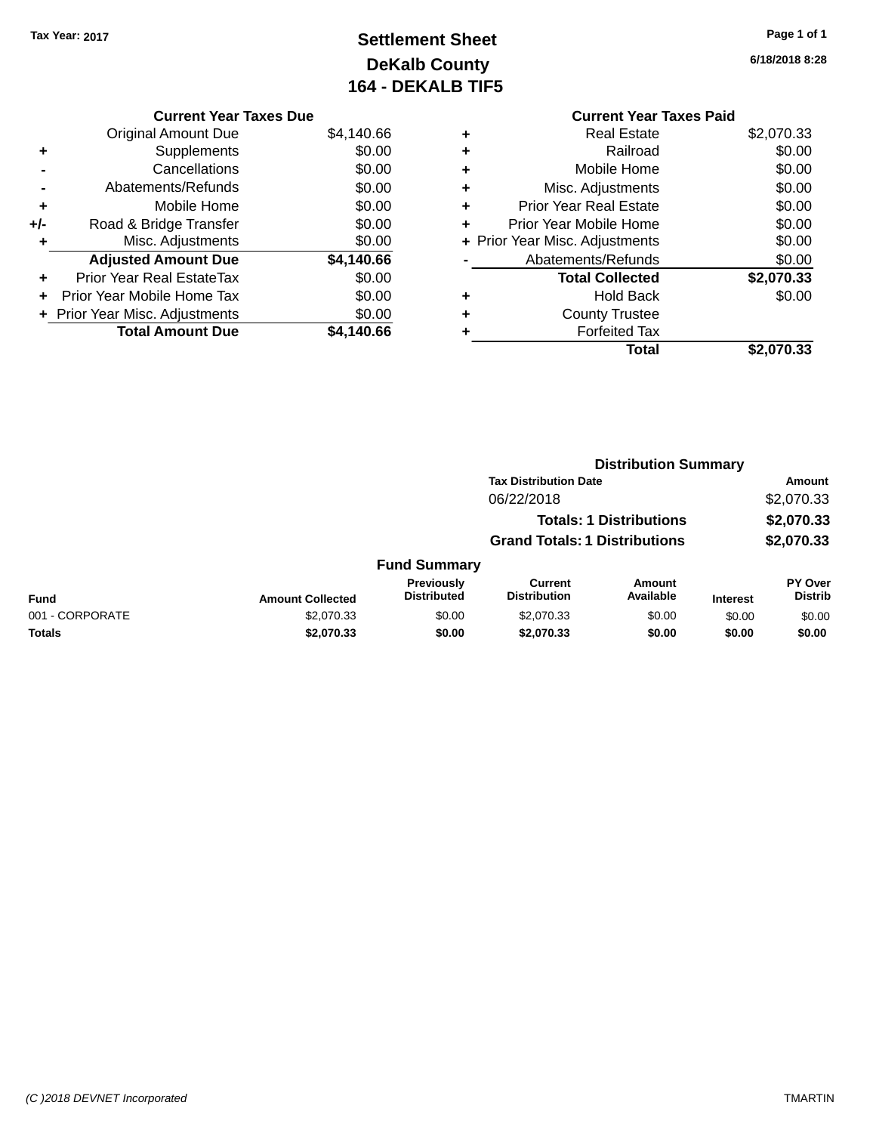# **Settlement Sheet Tax Year: 2017 Page 1 of 1 DeKalb County 164 - DEKALB TIF5**

**6/18/2018 8:28**

|   | <b>Current Year Taxes Paid</b> |            |
|---|--------------------------------|------------|
| ٠ | <b>Real Estate</b>             | \$2,070.33 |
| ٠ | Railroad                       | \$0.00     |
| ٠ | Mobile Home                    | \$0.00     |
| ٠ | Misc. Adjustments              | \$0.00     |
| ٠ | <b>Prior Year Real Estate</b>  | \$0.00     |
| ÷ | Prior Year Mobile Home         | \$0.00     |
|   | + Prior Year Misc. Adjustments | \$0.00     |
|   | Abatements/Refunds             | \$0.00     |
|   | <b>Total Collected</b>         | \$2,070.33 |
| ٠ | Hold Back                      | \$0.00     |
|   | <b>County Trustee</b>          |            |
| ٠ | <b>Forfeited Tax</b>           |            |
|   | Total                          | \$2,070.33 |
|   |                                |            |

| Original Amount Due              | \$4,140.66                    |
|----------------------------------|-------------------------------|
| Supplements                      | \$0.00                        |
| Cancellations                    | \$0.00                        |
| Abatements/Refunds               | \$0.00                        |
| Mobile Home                      | \$0.00                        |
| Road & Bridge Transfer           | \$0.00                        |
| Misc. Adjustments                | \$0.00                        |
| <b>Adjusted Amount Due</b>       | \$4,140.66                    |
| <b>Prior Year Real EstateTax</b> | \$0.00                        |
| Prior Year Mobile Home Tax       | \$0.00                        |
| + Prior Year Misc. Adjustments   | \$0.00                        |
| <b>Total Amount Due</b>          | \$4.140.66                    |
|                                  | <b>Current Year Taxes Due</b> |

|                 |                         |                                         | <b>Distribution Summary</b>           |                                |                 |                                  |
|-----------------|-------------------------|-----------------------------------------|---------------------------------------|--------------------------------|-----------------|----------------------------------|
|                 |                         |                                         | <b>Tax Distribution Date</b>          |                                |                 | <b>Amount</b>                    |
|                 |                         |                                         | 06/22/2018                            |                                |                 | \$2,070.33                       |
|                 |                         |                                         |                                       | <b>Totals: 1 Distributions</b> |                 | \$2,070.33                       |
|                 |                         |                                         | <b>Grand Totals: 1 Distributions</b>  |                                |                 | \$2,070.33                       |
|                 |                         | <b>Fund Summary</b>                     |                                       |                                |                 |                                  |
| <b>Fund</b>     | <b>Amount Collected</b> | <b>Previously</b><br><b>Distributed</b> | <b>Current</b><br><b>Distribution</b> | Amount<br>Available            | <b>Interest</b> | <b>PY Over</b><br><b>Distrib</b> |
| 001 - CORPORATE | \$2,070.33              | \$0.00                                  | \$2,070.33                            | \$0.00                         | \$0.00          | \$0.00                           |
| <b>Totals</b>   | \$2,070.33              | \$0.00                                  | \$2,070.33                            | \$0.00                         | \$0.00          | \$0.00                           |
|                 |                         |                                         |                                       |                                |                 |                                  |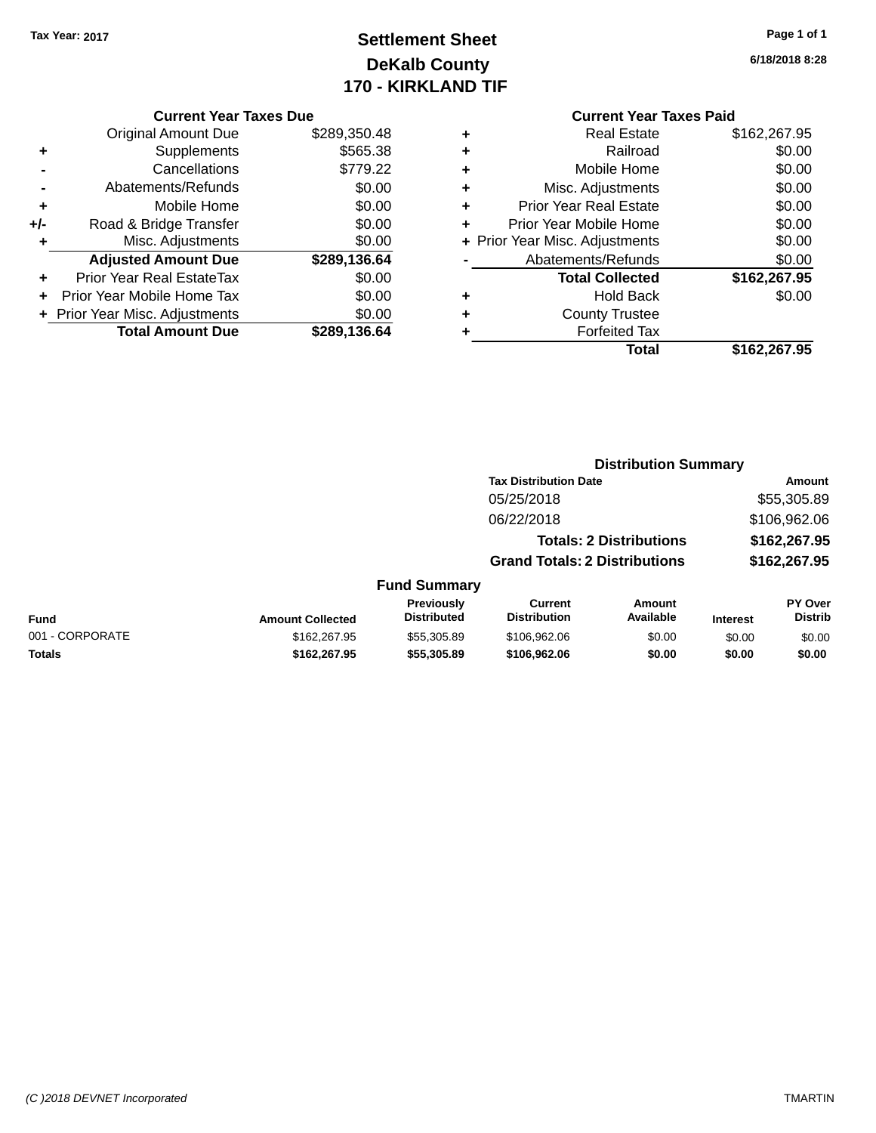# **Settlement Sheet Tax Year: 2017 Page 1 of 1 DeKalb County 170 - KIRKLAND TIF**

#### **Current Year Taxes Due**

|     | <b>Original Amount Due</b>       | \$289,350.48 |
|-----|----------------------------------|--------------|
| ٠   | Supplements                      | \$565.38     |
|     | Cancellations                    | \$779.22     |
|     | Abatements/Refunds               | \$0.00       |
| ٠   | Mobile Home                      | \$0.00       |
| +/- | Road & Bridge Transfer           | \$0.00       |
| ٠   | Misc. Adjustments                | \$0.00       |
|     | <b>Adjusted Amount Due</b>       | \$289,136.64 |
|     | <b>Prior Year Real EstateTax</b> | \$0.00       |
|     | Prior Year Mobile Home Tax       | \$0.00       |
|     | + Prior Year Misc. Adjustments   | \$0.00       |
|     | <b>Total Amount Due</b>          | \$289,136.64 |

**6/18/2018 8:28**

## **Current Year Taxes Paid**

|   | <b>Real Estate</b>             | \$162,267.95 |
|---|--------------------------------|--------------|
| ٠ | Railroad                       | \$0.00       |
| ٠ | Mobile Home                    | \$0.00       |
| ٠ | Misc. Adjustments              | \$0.00       |
| ٠ | <b>Prior Year Real Estate</b>  | \$0.00       |
|   | Prior Year Mobile Home         | \$0.00       |
|   | + Prior Year Misc. Adjustments | \$0.00       |
|   | Abatements/Refunds             | \$0.00       |
|   | <b>Total Collected</b>         | \$162,267.95 |
| ٠ | <b>Hold Back</b>               | \$0.00       |
|   | <b>County Trustee</b>          |              |
|   | <b>Forfeited Tax</b>           |              |
|   | Total                          | \$162,267.95 |
|   |                                |              |

#### **Distribution Summary Tax Distribution Date Amount** 05/25/2018 \$55,305.89 06/22/2018 \$106,962.06 **Totals: 2 Distributions \$162,267.95 Grand Totals: 2 Distributions \$162,267.95 Fund Summary Fund Interest Amount Collected Distributed PY Over Distrib Amount Available Current Distribution Previously** 001 - CORPORATE 6000 \$162,267.95 \$162,267.95 \$55,305.89 \$106,962.06 \$0.00 \$0.00 \$0.00 **Totals \$162,267.95 \$55,305.89 \$106,962.06 \$0.00 \$0.00 \$0.00**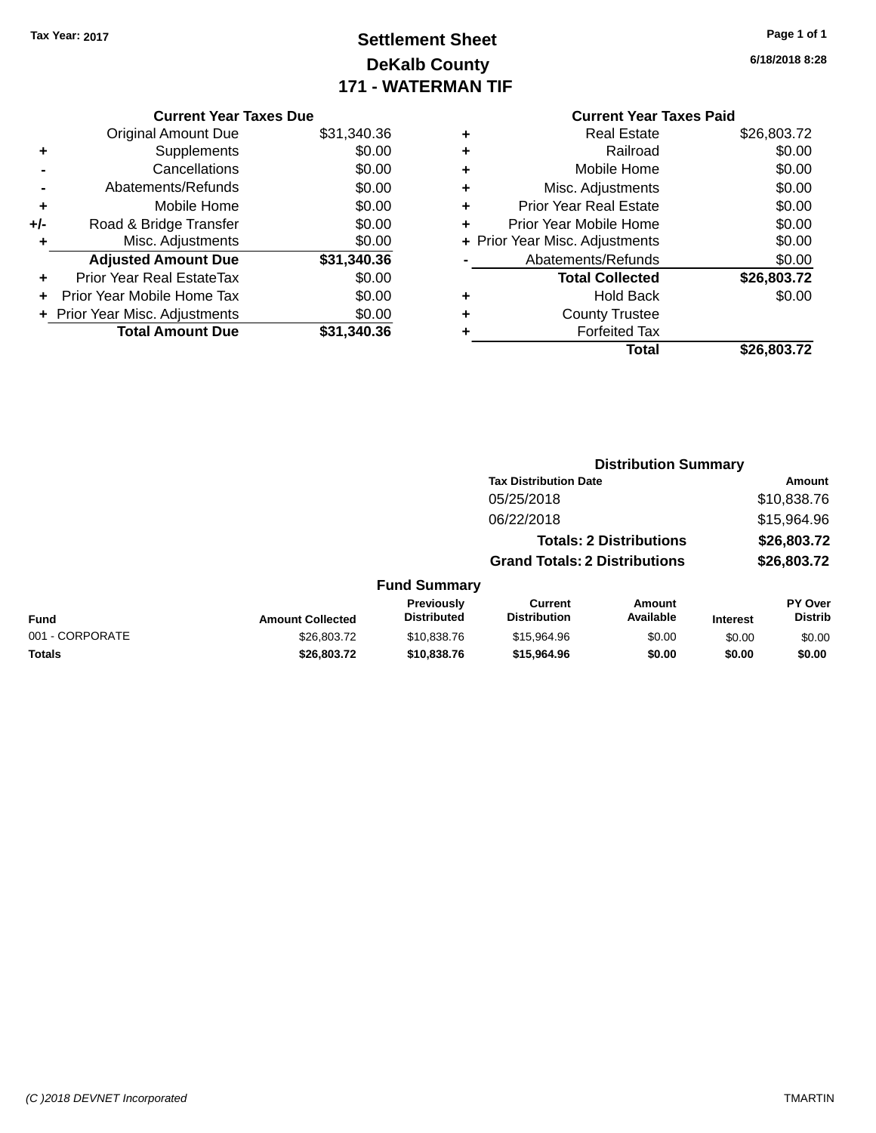# **Settlement Sheet Tax Year: 2017 Page 1 of 1 DeKalb County 171 - WATERMAN TIF**

| Page 1 of 1 |  |  |  |
|-------------|--|--|--|
|-------------|--|--|--|

**6/18/2018 8:28**

|     | <b>Current Year Taxes Due</b>  |             |            |
|-----|--------------------------------|-------------|------------|
|     | <b>Original Amount Due</b>     | \$31,340.36 |            |
|     | <b>Supplements</b>             | \$0.00      | ٠          |
|     | Cancellations                  | \$0.00      | ٠          |
|     | Abatements/Refunds             | \$0.00      | ٠          |
|     | Mobile Home                    | \$0.00      | Р<br>٠     |
| +/- | Road & Bridge Transfer         | \$0.00      | Pri        |
| ٠   | Misc. Adjustments              | \$0.00      | + Prior Ye |
|     | <b>Adjusted Amount Due</b>     | \$31,340.36 |            |
| ٠   | Prior Year Real EstateTax      | \$0.00      |            |
|     | Prior Year Mobile Home Tax     | \$0.00      | ٠          |
|     | + Prior Year Misc. Adjustments | \$0.00      |            |
|     | <b>Total Amount Due</b>        | \$31,340.36 |            |
|     |                                |             |            |

#### **Current Year Taxes Paid Pool Estate \$26,803.72**

|   | Total                          | \$26,803.72        |
|---|--------------------------------|--------------------|
|   | <b>Forfeited Tax</b>           |                    |
| ٠ | <b>County Trustee</b>          |                    |
| ٠ | <b>Hold Back</b>               | \$0.00             |
|   | <b>Total Collected</b>         | \$26,803.72        |
|   | Abatements/Refunds             | \$0.00             |
|   | + Prior Year Misc. Adjustments | \$0.00             |
|   | Prior Year Mobile Home         | \$0.00             |
| ÷ | <b>Prior Year Real Estate</b>  | \$0.00             |
| ÷ | Misc. Adjustments              | \$0.00             |
| ÷ | Mobile Home                    | \$0.00             |
|   | Railroad                       | \$0.00             |
| Ŧ | NGAI CSIAIG                    | <b>J</b> 40,000.12 |

|                 |                              |                                      | <b>Distribution Summary</b>           |                            |                 |                           |  |
|-----------------|------------------------------|--------------------------------------|---------------------------------------|----------------------------|-----------------|---------------------------|--|
|                 | <b>Tax Distribution Date</b> |                                      |                                       |                            |                 | Amount                    |  |
|                 |                              |                                      | 05/25/2018                            |                            | \$10,838.76     |                           |  |
|                 |                              |                                      | 06/22/2018                            | \$15,964.96<br>\$26,803.72 |                 |                           |  |
|                 |                              |                                      | <b>Totals: 2 Distributions</b>        |                            |                 |                           |  |
|                 |                              | <b>Grand Totals: 2 Distributions</b> |                                       | \$26,803.72                |                 |                           |  |
|                 |                              | <b>Fund Summary</b>                  |                                       |                            |                 |                           |  |
| <b>Fund</b>     | <b>Amount Collected</b>      | Previously<br><b>Distributed</b>     | <b>Current</b><br><b>Distribution</b> | Amount<br>Available        | <b>Interest</b> | PY Over<br><b>Distrib</b> |  |
| 001 - CORPORATE | \$26,803.72                  | \$10,838.76                          | \$15,964.96                           | \$0.00                     | \$0.00          | \$0.00                    |  |
| <b>Totals</b>   | \$26,803.72                  | \$10,838.76                          | \$15,964.96                           | \$0.00                     | \$0.00          | \$0.00                    |  |
|                 |                              |                                      |                                       |                            |                 |                           |  |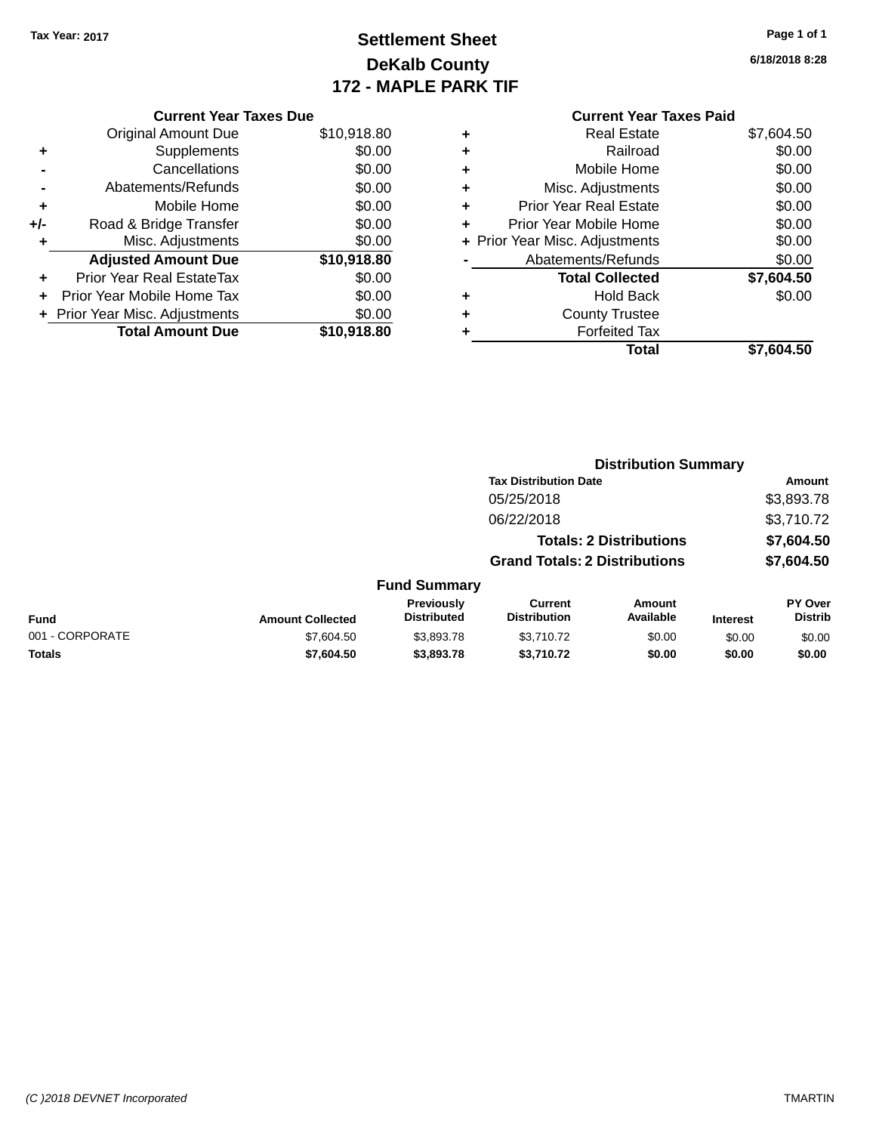**Original Amount Due** 

**Adjusted Amount Due** 

**Total Amount Due** 

**+** Supplements **-** Cancellations **-** Abatements/Refunds **+** Mobile Home **+/-** Road & Bridge Transfer **+** Misc. Adjustments

**+** Prior Year Real EstateTax \$0.00 **+** Prior Year Mobile Home Tax **+** Prior Year Misc. Adjustments

# **Settlement Sheet Tax Year: 2017 Page 1 of 1 DeKalb County 172 - MAPLE PARK TIF**

**6/18/2018 8:28**

| <b>Current Year Taxes Due</b> |             |   | <b>Current Year Taxes Paid</b> |            |
|-------------------------------|-------------|---|--------------------------------|------------|
| ่<br>เl Amount Due            | \$10,918.80 |   | <b>Real Estate</b>             | \$7,604.50 |
| Supplements                   | \$0.00      | ٠ | Railroad                       | \$0.00     |
| Cancellations                 | \$0.00      | ÷ | Mobile Home                    | \$0.00     |
| าents/Refunds                 | \$0.00      | ٠ | Misc. Adjustments              | \$0.00     |
| Mobile Home                   | \$0.00      | ٠ | <b>Prior Year Real Estate</b>  | \$0.00     |
| ridge Transfer                | \$0.00      | ÷ | Prior Year Mobile Home         | \$0.00     |
| :. Adjustments                | \$0.00      |   | + Prior Year Misc. Adjustments | \$0.00     |
| <b>Amount Due</b>             | \$10,918.80 |   | Abatements/Refunds             | \$0.00     |
| leal EstateTax≀               | \$0.00      |   | <b>Total Collected</b>         | \$7,604.50 |
| bile Home Tax                 | \$0.00      | ٠ | <b>Hold Back</b>               | \$0.00     |
| . Adjustments                 | \$0.00      | ÷ | <b>County Trustee</b>          |            |
| <b>Amount Due</b>             | \$10,918.80 |   | <b>Forfeited Tax</b>           |            |
|                               |             |   | <b>Total</b>                   | \$7,604.50 |

|                 |                                      |                                  | <b>Distribution Summary</b>                              |                            |                 |                                        |  |
|-----------------|--------------------------------------|----------------------------------|----------------------------------------------------------|----------------------------|-----------------|----------------------------------------|--|
|                 |                                      |                                  | <b>Tax Distribution Date</b><br>05/25/2018<br>06/22/2018 |                            |                 | <b>Amount</b>                          |  |
|                 |                                      |                                  |                                                          |                            |                 | \$3,893.78<br>\$3,710.72<br>\$7,604.50 |  |
|                 |                                      |                                  |                                                          |                            |                 |                                        |  |
|                 |                                      | <b>Totals: 2 Distributions</b>   |                                                          |                            |                 |                                        |  |
|                 | <b>Grand Totals: 2 Distributions</b> |                                  |                                                          | \$7,604.50                 |                 |                                        |  |
|                 |                                      | <b>Fund Summary</b>              |                                                          |                            |                 |                                        |  |
| <b>Fund</b>     | <b>Amount Collected</b>              | Previously<br><b>Distributed</b> | <b>Current</b><br><b>Distribution</b>                    | <b>Amount</b><br>Available | <b>Interest</b> | PY Over<br><b>Distrib</b>              |  |
| 001 - CORPORATE | \$7,604.50                           | \$3,893.78                       | \$3,710.72                                               | \$0.00                     | \$0.00          | \$0.00                                 |  |
| <b>Totals</b>   | \$7,604.50                           | \$3,893.78                       | \$3,710.72                                               | \$0.00                     | \$0.00          | \$0.00                                 |  |

#### *(C )2018 DEVNET Incorporated* TMARTIN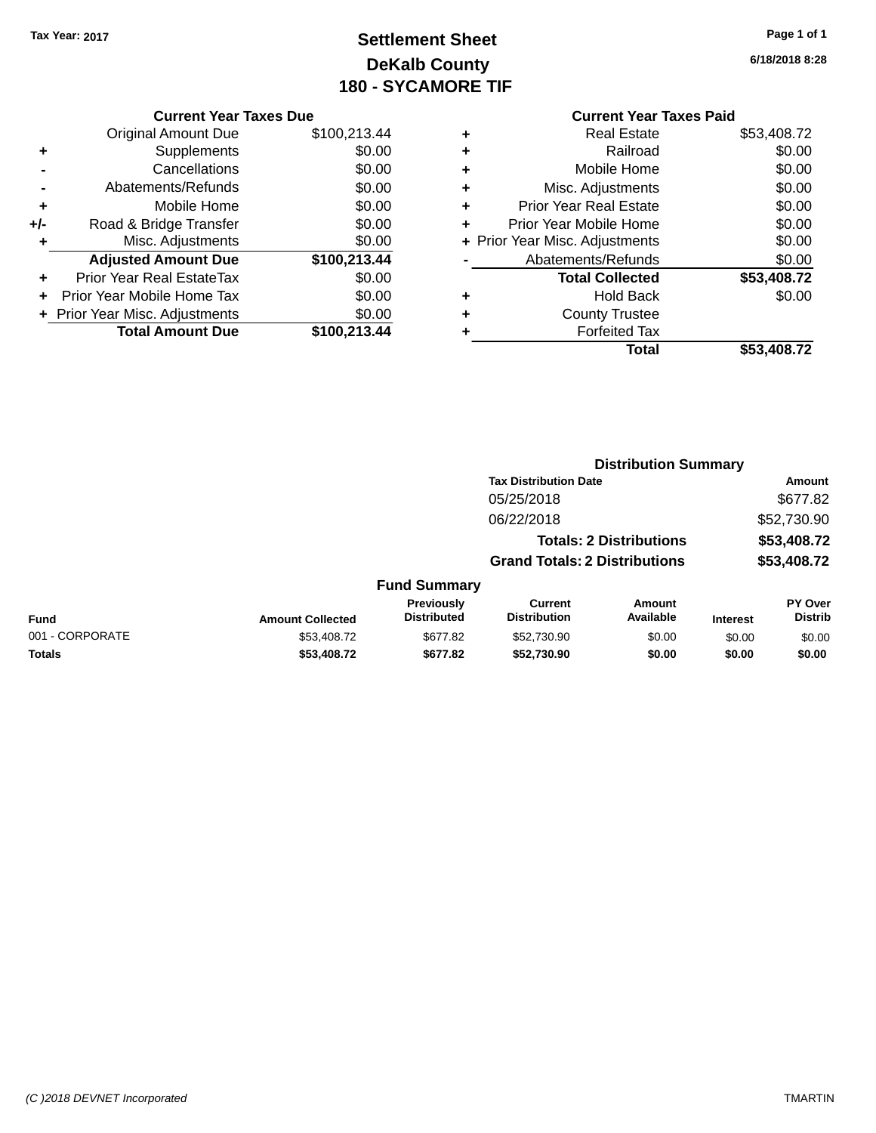# **Settlement Sheet Tax Year: 2017 Page 1 of 1 DeKalb County 180 - SYCAMORE TIF**

| Page 1 of 1 |  |  |  |
|-------------|--|--|--|
|-------------|--|--|--|

**6/18/2018 8:28**

| r Taxes Due |  |
|-------------|--|
|             |  |

|     | <b>Current Year Taxes Due</b>    |              |
|-----|----------------------------------|--------------|
|     | <b>Original Amount Due</b>       | \$100,213.44 |
| ٠   | Supplements                      | \$0.00       |
|     | Cancellations                    | \$0.00       |
|     | Abatements/Refunds               | \$0.00       |
| ٠   | Mobile Home                      | \$0.00       |
| +/- | Road & Bridge Transfer           | \$0.00       |
| ٠   | Misc. Adjustments                | \$0.00       |
|     | <b>Adjusted Amount Due</b>       | \$100,213.44 |
| ÷   | <b>Prior Year Real EstateTax</b> | \$0.00       |
|     | Prior Year Mobile Home Tax       | \$0.00       |
|     | + Prior Year Misc. Adjustments   | \$0.00       |
|     | <b>Total Amount Due</b>          | \$100.213.44 |

#### **Current Year Taxes Paid +** Real Estate \$53,408.72 **+** Railroad \$0.00

|   | Total                          | \$53,408.72 |
|---|--------------------------------|-------------|
|   | <b>Forfeited Tax</b>           |             |
| ٠ | <b>County Trustee</b>          |             |
| ٠ | <b>Hold Back</b>               | \$0.00      |
|   | <b>Total Collected</b>         | \$53,408.72 |
|   | Abatements/Refunds             | \$0.00      |
|   | + Prior Year Misc. Adjustments | \$0.00      |
| ÷ | Prior Year Mobile Home         | \$0.00      |
| ÷ | <b>Prior Year Real Estate</b>  | \$0.00      |
| ٠ | Misc. Adjustments              | \$0.00      |
| ÷ | Mobile Home                    | \$0.00      |
|   | Rallivau                       | JU.UU       |

|                 |                         |                                         | <b>Distribution Summary</b>           |                                |                 |                           |
|-----------------|-------------------------|-----------------------------------------|---------------------------------------|--------------------------------|-----------------|---------------------------|
|                 |                         |                                         | <b>Tax Distribution Date</b>          |                                |                 | Amount                    |
|                 |                         |                                         | 05/25/2018                            |                                |                 | \$677.82                  |
|                 |                         |                                         | 06/22/2018                            |                                |                 | \$52,730.90               |
|                 |                         |                                         |                                       | <b>Totals: 2 Distributions</b> |                 | \$53,408.72               |
|                 |                         |                                         | <b>Grand Totals: 2 Distributions</b>  |                                |                 | \$53,408.72               |
|                 |                         | <b>Fund Summary</b>                     |                                       |                                |                 |                           |
| <b>Fund</b>     | <b>Amount Collected</b> | <b>Previously</b><br><b>Distributed</b> | <b>Current</b><br><b>Distribution</b> | Amount<br>Available            | <b>Interest</b> | PY Over<br><b>Distrib</b> |
| 001 - CORPORATE | \$53,408.72             | \$677.82                                | \$52,730.90                           | \$0.00                         | \$0.00          | \$0.00                    |
| <b>Totals</b>   | \$53,408.72             | \$677.82                                | \$52,730.90                           | \$0.00                         | \$0.00          | \$0.00                    |
|                 |                         |                                         |                                       |                                |                 |                           |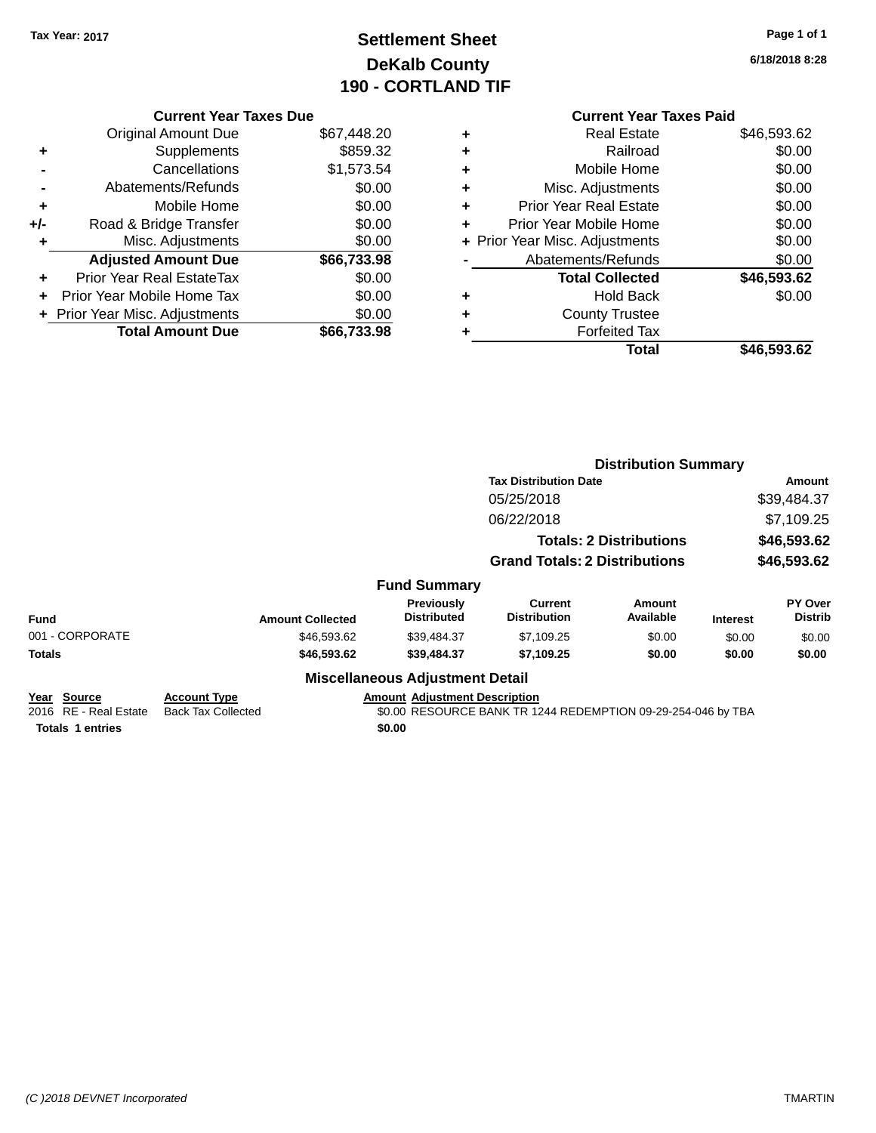# **Settlement Sheet Tax Year: 2017 Page 1 of 1 DeKalb County 190 - CORTLAND TIF**

**6/18/2018 8:28**

|     | <b>Current Year Taxes Due</b>  |             |           |   |
|-----|--------------------------------|-------------|-----------|---|
|     | <b>Original Amount Due</b>     | \$67,448.20 | ÷         |   |
|     | <b>Supplements</b>             | \$859.32    | ٠         |   |
|     | Cancellations                  | \$1,573.54  | ٠         |   |
|     | Abatements/Refunds             | \$0.00      | ٠         |   |
|     | Mobile Home                    | \$0.00      | ٠         |   |
| +/- | Road & Bridge Transfer         | \$0.00      |           | P |
|     | Misc. Adjustments              | \$0.00      | + Prior Y |   |
|     | <b>Adjusted Amount Due</b>     | \$66,733.98 |           |   |
| ÷   | Prior Year Real EstateTax      | \$0.00      |           |   |
|     | Prior Year Mobile Home Tax     | \$0.00      | ٠         |   |
|     | + Prior Year Misc. Adjustments | \$0.00      |           |   |
|     | <b>Total Amount Due</b>        | \$66,733.98 |           |   |
|     |                                |             |           |   |

#### **Current Year Taxes Paid Real Estate \$46,593.62 +** Railroad \$0.00 **+** Mobile Home \$0.00 **Misc. Adjustments** \$0.00 **Prior Year Real Estate \$0.00** Prior Year Mobile Home  $$0.00$ **Fraud Year Misc. Adjustments** \$0.00 Abatements/Refunds \$0.00 **Total Collected \$46,593.62 +** Hold Back \$0.00 **+** County Trustee **Forfeited Tax**<br>**Total Total \$46,593.62**

|                                                                 |                                                  |                                                | <b>Distribution Summary</b>                                  |                                |                 |                                  |
|-----------------------------------------------------------------|--------------------------------------------------|------------------------------------------------|--------------------------------------------------------------|--------------------------------|-----------------|----------------------------------|
|                                                                 |                                                  |                                                | <b>Tax Distribution Date</b>                                 |                                |                 | Amount                           |
|                                                                 |                                                  |                                                | 05/25/2018                                                   |                                |                 | \$39,484.37                      |
|                                                                 |                                                  |                                                | 06/22/2018                                                   |                                |                 | \$7,109.25                       |
|                                                                 |                                                  |                                                |                                                              | <b>Totals: 2 Distributions</b> |                 | \$46,593.62                      |
|                                                                 |                                                  |                                                | <b>Grand Totals: 2 Distributions</b>                         |                                |                 | \$46,593.62                      |
|                                                                 |                                                  | <b>Fund Summary</b>                            |                                                              |                                |                 |                                  |
| <b>Fund</b>                                                     | <b>Amount Collected</b>                          | <b>Previously</b><br><b>Distributed</b>        | <b>Current</b><br><b>Distribution</b>                        | Amount<br>Available            | <b>Interest</b> | <b>PY Over</b><br><b>Distrib</b> |
| 001 - CORPORATE                                                 | \$46,593.62                                      | \$39,484.37                                    | \$7,109.25                                                   | \$0.00                         | \$0.00          | \$0.00                           |
| <b>Totals</b>                                                   | \$46,593.62                                      | \$39,484.37                                    | \$7,109.25                                                   | \$0.00                         | \$0.00          | \$0.00                           |
|                                                                 |                                                  | <b>Miscellaneous Adjustment Detail</b>         |                                                              |                                |                 |                                  |
| Year Source<br>2016 RE - Real Estate<br><b>Totals 1 entries</b> | <b>Account Type</b><br><b>Back Tax Collected</b> | <b>Amount Adjustment Description</b><br>\$0.00 | \$0.00 RESOURCE BANK TR 1244 REDEMPTION 09-29-254-046 by TBA |                                |                 |                                  |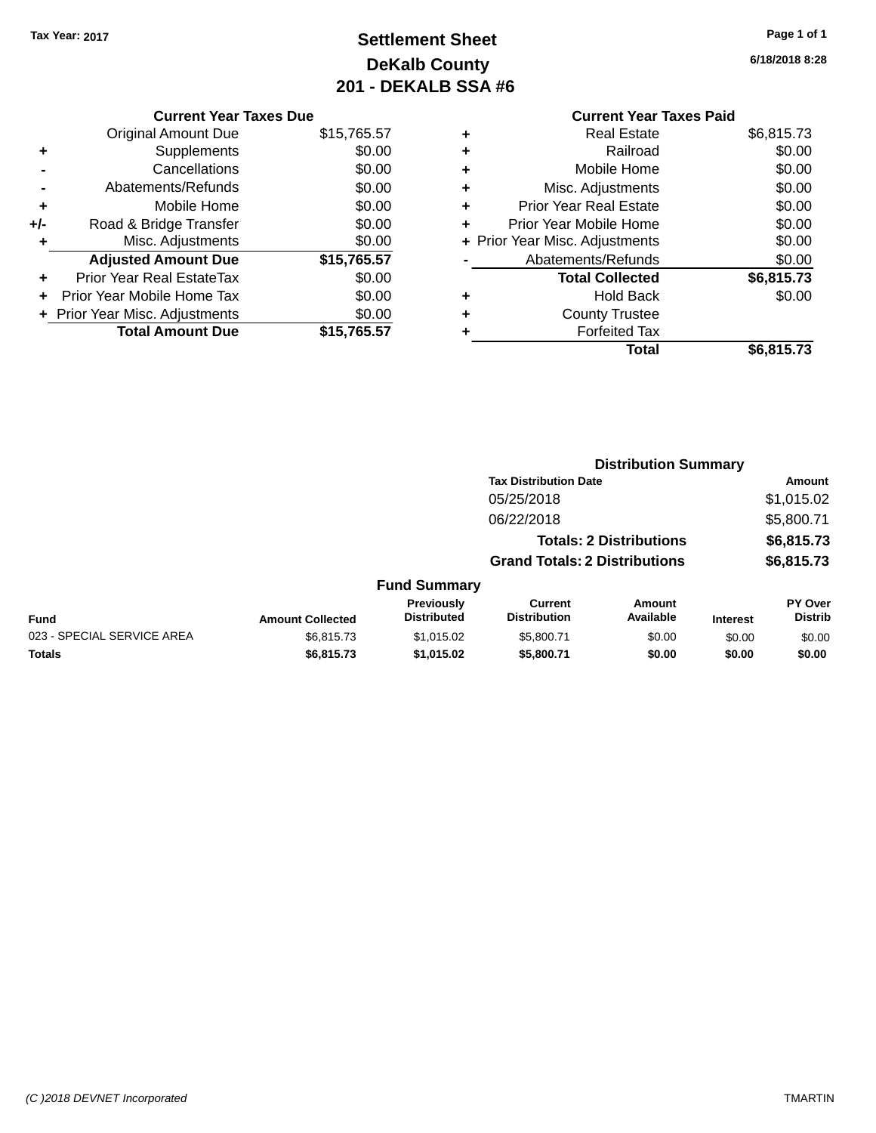# **Settlement Sheet Tax Year: 2017 Page 1 of 1 DeKalb County 201 - DEKALB SSA #6**

|     | <b>Current Year Taxes Due</b>    |             |
|-----|----------------------------------|-------------|
|     | <b>Original Amount Due</b>       | \$15,765.57 |
| ٠   | Supplements                      | \$0.00      |
|     | Cancellations                    | \$0.00      |
|     | Abatements/Refunds               | \$0.00      |
| ٠   | Mobile Home                      | \$0.00      |
| +/- | Road & Bridge Transfer           | \$0.00      |
| ٠   | Misc. Adjustments                | \$0.00      |
|     | <b>Adjusted Amount Due</b>       | \$15,765.57 |
| ÷   | <b>Prior Year Real EstateTax</b> | \$0.00      |
|     | Prior Year Mobile Home Tax       | \$0.00      |
|     | + Prior Year Misc. Adjustments   | \$0.00      |
|     | <b>Total Amount Due</b>          | \$15,765.57 |
|     |                                  |             |

# **6/18/2018 8:28**

|   | <b>Current Year Taxes Paid</b> |            |
|---|--------------------------------|------------|
| ٠ | <b>Real Estate</b>             | \$6,815.73 |
| ٠ | Railroad                       | \$0.00     |
| ٠ | Mobile Home                    | \$0.00     |
| ٠ | Misc. Adjustments              | \$0.00     |
| ٠ | Prior Year Real Estate         | \$0.00     |
| ٠ | Prior Year Mobile Home         | \$0.00     |
|   | + Prior Year Misc. Adjustments | \$0.00     |
|   | Abatements/Refunds             | \$0.00     |
|   | <b>Total Collected</b>         | \$6,815.73 |
| ٠ | <b>Hold Back</b>               | \$0.00     |
|   | <b>County Trustee</b>          |            |
|   | <b>Forfeited Tax</b>           |            |
|   | Total                          | \$6,815.73 |
|   |                                |            |

|                            |                         |                                  |                                       | <b>Distribution Summary</b>    |                 |                                  |
|----------------------------|-------------------------|----------------------------------|---------------------------------------|--------------------------------|-----------------|----------------------------------|
|                            |                         |                                  | <b>Tax Distribution Date</b>          |                                |                 | Amount                           |
|                            |                         |                                  | 05/25/2018                            |                                |                 | \$1,015.02                       |
|                            |                         |                                  | 06/22/2018                            |                                |                 | \$5,800.71                       |
|                            |                         |                                  |                                       | <b>Totals: 2 Distributions</b> |                 | \$6,815.73                       |
|                            |                         |                                  | <b>Grand Totals: 2 Distributions</b>  |                                |                 | \$6,815.73                       |
|                            |                         | <b>Fund Summary</b>              |                                       |                                |                 |                                  |
| Fund                       | <b>Amount Collected</b> | Previously<br><b>Distributed</b> | <b>Current</b><br><b>Distribution</b> | Amount<br>Available            | <b>Interest</b> | <b>PY Over</b><br><b>Distrib</b> |
| 023 - SPECIAL SERVICE AREA | \$6,815.73              | \$1,015.02                       | \$5,800.71                            | \$0.00                         | \$0.00          | \$0.00                           |
| Totals                     | \$6,815.73              | \$1,015.02                       | \$5,800.71                            | \$0.00                         | \$0.00          | \$0.00                           |
|                            |                         |                                  |                                       |                                |                 |                                  |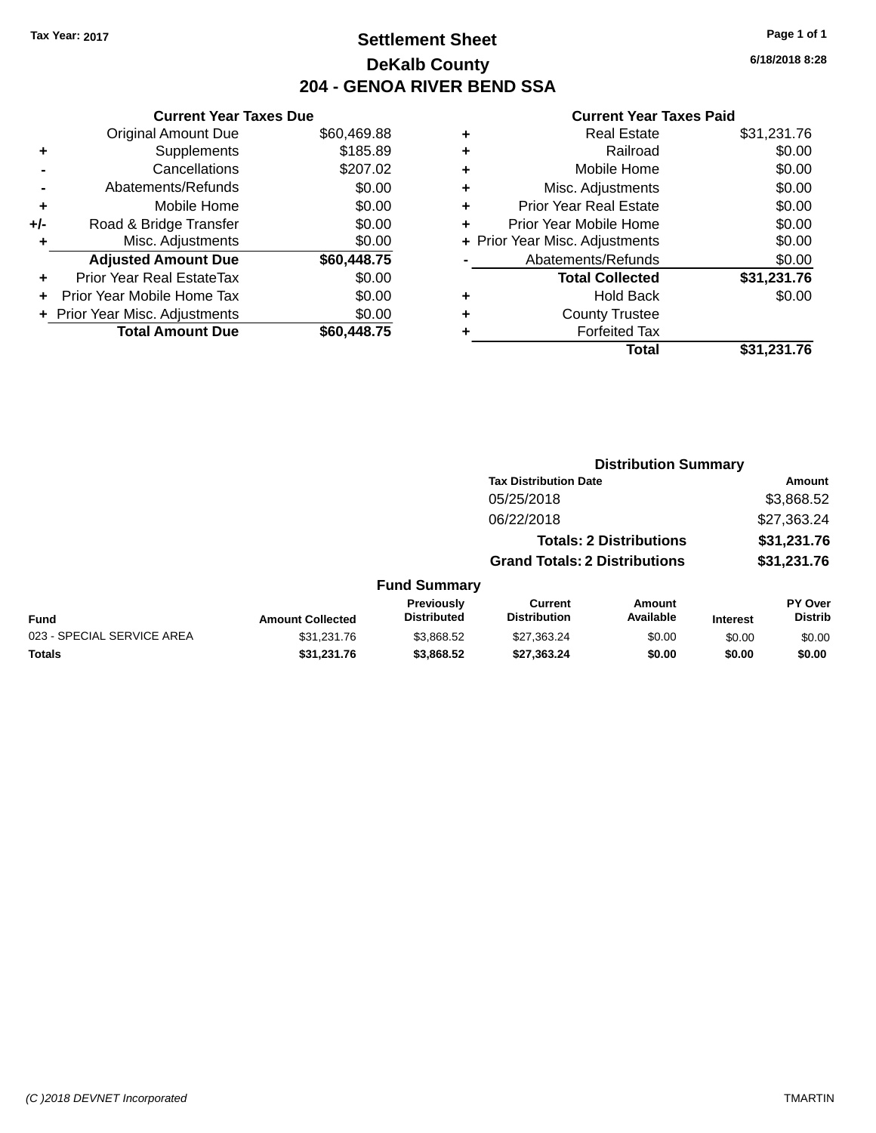# **Settlement Sheet Tax Year: 2017 Page 1 of 1 DeKalb County 204 - GENOA RIVER BEND SSA**

**6/18/2018 8:28**

| <b>Current Year Taxes Due</b> |             |
|-------------------------------|-------------|
| <b>Original Amount Due</b>    | \$60,469.88 |
| Supplements                   | \$185.89    |
| Cancellations                 | \$207.02    |
| Abatements/Refunds            | \$0.00      |
| Mobile Home                   | \$0.00      |
| Road & Bridge Transfer        | \$0.00      |
| Misc. Adjustments             | \$0.00      |
| <b>Adjusted Amount Due</b>    | \$60,448.75 |
| Prior Year Real EstateTax     | \$0.00      |
| Prior Year Mobile Home Tax    | \$0.00      |
| Prior Year Misc. Adjustments  | \$0.00      |
| <b>Total Amount Due</b>       | \$60.448.75 |
|                               |             |

| ٠ | <b>Real Estate</b>             | \$31,231.76 |
|---|--------------------------------|-------------|
| ٠ | Railroad                       | \$0.00      |
| ٠ | Mobile Home                    | \$0.00      |
| ٠ | Misc. Adjustments              | \$0.00      |
| ٠ | <b>Prior Year Real Estate</b>  | \$0.00      |
| ٠ | Prior Year Mobile Home         | \$0.00      |
|   | + Prior Year Misc. Adjustments | \$0.00      |
|   | Abatements/Refunds             | \$0.00      |
|   | <b>Total Collected</b>         | \$31,231.76 |
| ٠ | <b>Hold Back</b>               | \$0.00      |
| ٠ | <b>County Trustee</b>          |             |
| ٠ | <b>Forfeited Tax</b>           |             |
|   | Total                          | \$31,231.76 |
|   |                                |             |

|                            |                         |                                  | <b>Distribution Summary</b>           |                                |                 |                           |  |
|----------------------------|-------------------------|----------------------------------|---------------------------------------|--------------------------------|-----------------|---------------------------|--|
|                            |                         |                                  | <b>Tax Distribution Date</b>          |                                |                 | <b>Amount</b>             |  |
|                            |                         |                                  | 05/25/2018                            |                                |                 | \$3,868.52                |  |
|                            |                         |                                  | 06/22/2018                            |                                |                 | \$27,363.24               |  |
|                            |                         |                                  |                                       | <b>Totals: 2 Distributions</b> |                 | \$31,231.76               |  |
|                            |                         |                                  | <b>Grand Totals: 2 Distributions</b>  |                                |                 | \$31,231.76               |  |
|                            |                         | <b>Fund Summary</b>              |                                       |                                |                 |                           |  |
| <b>Fund</b>                | <b>Amount Collected</b> | Previously<br><b>Distributed</b> | <b>Current</b><br><b>Distribution</b> | Amount<br>Available            | <b>Interest</b> | PY Over<br><b>Distrib</b> |  |
| 023 - SPECIAL SERVICE AREA | \$31.231.76             | \$3.868.52                       | \$27.363.24                           | \$0.00                         | \$0.00          | \$0.00                    |  |
| <b>Totals</b>              | \$31,231.76             | \$3,868.52                       | \$27,363.24                           | \$0.00                         | \$0.00          | \$0.00                    |  |
|                            |                         |                                  |                                       |                                |                 |                           |  |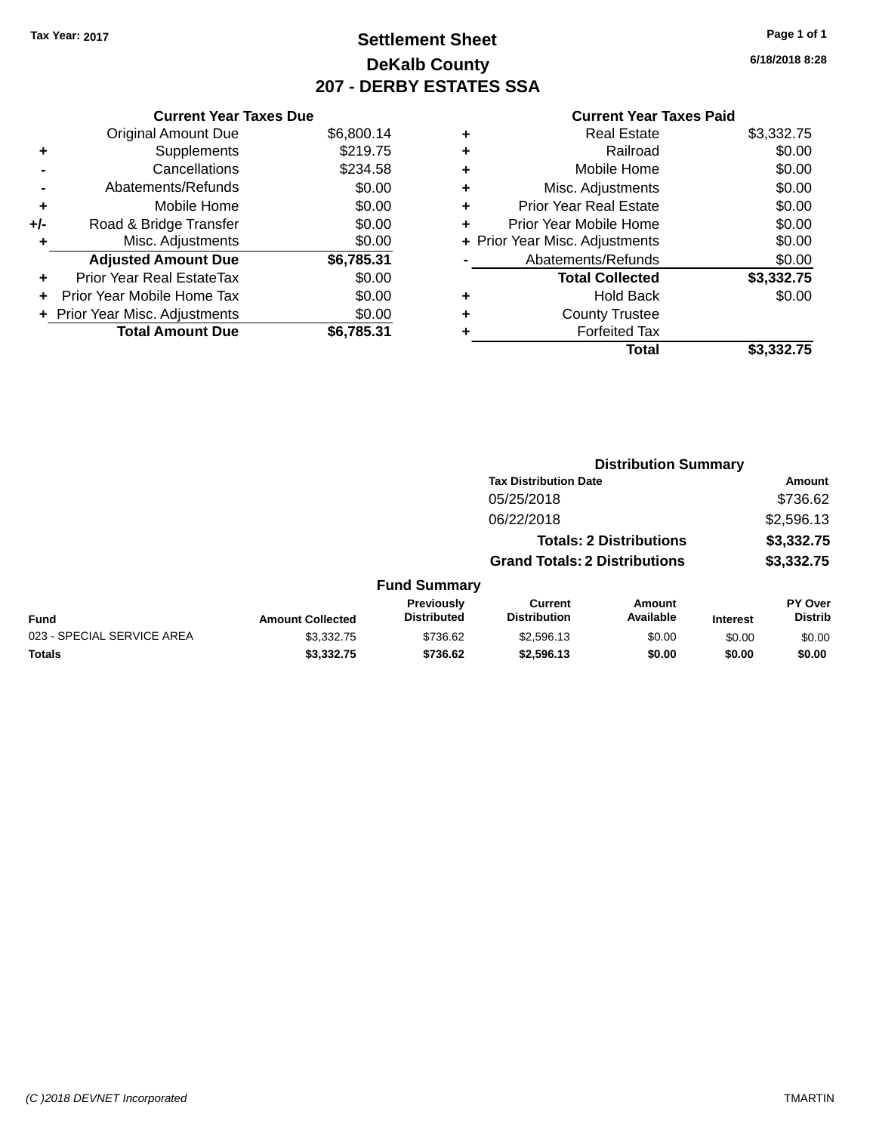# **Settlement Sheet Tax Year: 2017 Page 1 of 1 DeKalb County 207 - DERBY ESTATES SSA**

**6/18/2018 8:28**

|       | <b>Current Year Taxes Due</b>  |            |
|-------|--------------------------------|------------|
|       | <b>Original Amount Due</b>     | \$6,800.14 |
|       | Supplements                    | \$219.75   |
|       | Cancellations                  | \$234.58   |
|       | Abatements/Refunds             | \$0.00     |
| ٠     | Mobile Home                    | \$0.00     |
| $+/-$ | Road & Bridge Transfer         | \$0.00     |
| ٠     | Misc. Adjustments              | \$0.00     |
|       | <b>Adjusted Amount Due</b>     | \$6,785.31 |
| ÷     | Prior Year Real EstateTax      | \$0.00     |
|       | Prior Year Mobile Home Tax     | \$0.00     |
|       | + Prior Year Misc. Adjustments | \$0.00     |
|       | <b>Total Amount Due</b>        | \$6.785.31 |
|       |                                |            |

|   | Total                          | \$3,332.75 |
|---|--------------------------------|------------|
| ٠ | <b>Forfeited Tax</b>           |            |
| ٠ | <b>County Trustee</b>          |            |
| ٠ | <b>Hold Back</b>               | \$0.00     |
|   | <b>Total Collected</b>         | \$3,332.75 |
|   | Abatements/Refunds             | \$0.00     |
|   | + Prior Year Misc. Adjustments | \$0.00     |
| ٠ | Prior Year Mobile Home         | \$0.00     |
| ٠ | <b>Prior Year Real Estate</b>  | \$0.00     |
| ٠ | Misc. Adjustments              | \$0.00     |
| ٠ | Mobile Home                    | \$0.00     |
| ٠ | Railroad                       | \$0.00     |
|   | <b>Real Estate</b>             | \$3,332.75 |

|                            |                         |                                  | <b>Distribution Summary</b>           |                                |                 |                           |
|----------------------------|-------------------------|----------------------------------|---------------------------------------|--------------------------------|-----------------|---------------------------|
|                            |                         |                                  | <b>Tax Distribution Date</b>          |                                |                 | <b>Amount</b>             |
|                            |                         |                                  | 05/25/2018                            |                                |                 | \$736.62                  |
|                            |                         |                                  | 06/22/2018                            |                                |                 | \$2,596.13                |
|                            |                         |                                  |                                       | <b>Totals: 2 Distributions</b> |                 | \$3,332.75                |
|                            |                         |                                  | <b>Grand Totals: 2 Distributions</b>  |                                |                 | \$3,332.75                |
|                            |                         | <b>Fund Summary</b>              |                                       |                                |                 |                           |
| <b>Fund</b>                | <b>Amount Collected</b> | Previously<br><b>Distributed</b> | <b>Current</b><br><b>Distribution</b> | Amount<br>Available            | <b>Interest</b> | PY Over<br><b>Distrib</b> |
| 023 - SPECIAL SERVICE AREA | \$3,332.75              | \$736.62                         | \$2,596.13                            | \$0.00                         | \$0.00          | \$0.00                    |
| <b>Totals</b>              | \$3,332.75              | \$736.62                         | \$2,596.13                            | \$0.00                         | \$0.00          | \$0.00                    |
|                            |                         |                                  |                                       |                                |                 |                           |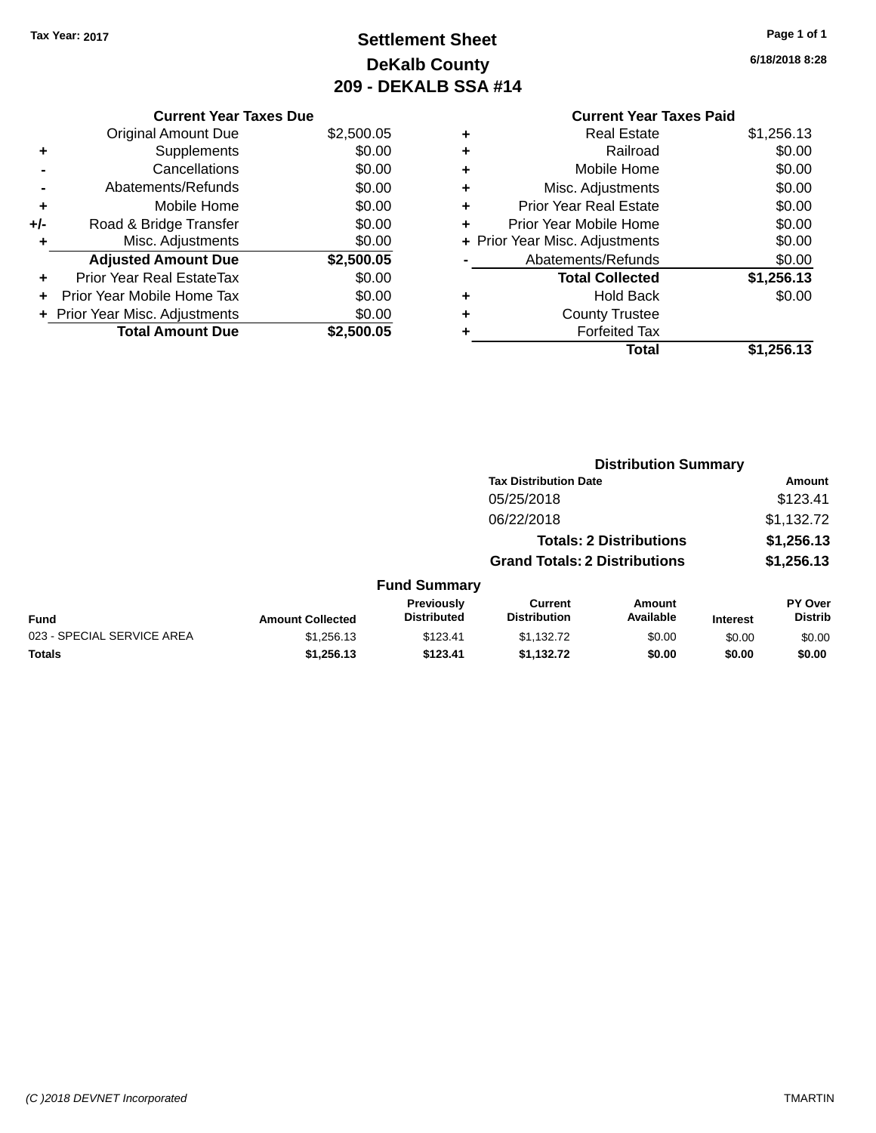# **Settlement Sheet Tax Year: 2017 Page 1 of 1 DeKalb County 209 - DEKALB SSA #14**

**6/18/2018 8:28**

|     | <b>Current Year Taxes Due</b>  |            |
|-----|--------------------------------|------------|
|     | Original Amount Due            | \$2,500.05 |
| ٠   | Supplements                    | \$0.00     |
|     | Cancellations                  | \$0.00     |
|     | Abatements/Refunds             | \$0.00     |
| ٠   | Mobile Home                    | \$0.00     |
| +/- | Road & Bridge Transfer         | \$0.00     |
| ٠   | Misc. Adjustments              | \$0.00     |
|     | <b>Adjusted Amount Due</b>     | \$2,500.05 |
|     | Prior Year Real EstateTax      | \$0.00     |
|     | Prior Year Mobile Home Tax     | \$0.00     |
|     | + Prior Year Misc. Adjustments | \$0.00     |
|     | <b>Total Amount Due</b>        | \$2,500.05 |
|     |                                |            |

|   | <b>Current Year Taxes Paid</b> |            |
|---|--------------------------------|------------|
| ÷ | <b>Real Estate</b>             | \$1,256.13 |
| ÷ | Railroad                       | \$0.00     |
| ÷ | Mobile Home                    | \$0.00     |
| ÷ | Misc. Adjustments              | \$0.00     |
| ÷ | <b>Prior Year Real Estate</b>  | \$0.00     |
| ÷ | Prior Year Mobile Home         | \$0.00     |
|   | + Prior Year Misc. Adjustments | \$0.00     |
|   | Abatements/Refunds             | \$0.00     |
|   | <b>Total Collected</b>         | \$1,256.13 |
| ÷ | <b>Hold Back</b>               | \$0.00     |
| ÷ | <b>County Trustee</b>          |            |
|   | <b>Forfeited Tax</b>           |            |

**Total \$1,256.13**

|                            |                         |                                         |                                       | <b>Distribution Summary</b>    |                 |                           |
|----------------------------|-------------------------|-----------------------------------------|---------------------------------------|--------------------------------|-----------------|---------------------------|
|                            |                         |                                         | <b>Tax Distribution Date</b>          |                                |                 | <b>Amount</b>             |
|                            |                         |                                         | 05/25/2018                            |                                |                 | \$123.41                  |
|                            |                         |                                         | 06/22/2018                            |                                |                 | \$1,132.72                |
|                            |                         |                                         |                                       | <b>Totals: 2 Distributions</b> |                 | \$1,256.13                |
|                            |                         |                                         | <b>Grand Totals: 2 Distributions</b>  |                                |                 | \$1,256.13                |
|                            |                         | <b>Fund Summary</b>                     |                                       |                                |                 |                           |
| <b>Fund</b>                | <b>Amount Collected</b> | <b>Previously</b><br><b>Distributed</b> | <b>Current</b><br><b>Distribution</b> | Amount<br>Available            | <b>Interest</b> | PY Over<br><b>Distrib</b> |
| 023 - SPECIAL SERVICE AREA | \$1,256.13              | \$123.41                                | \$1,132.72                            | \$0.00                         | \$0.00          | \$0.00                    |
| <b>Totals</b>              | \$1,256.13              | \$123.41                                | \$1,132.72                            | \$0.00                         | \$0.00          | \$0.00                    |
|                            |                         |                                         |                                       |                                |                 |                           |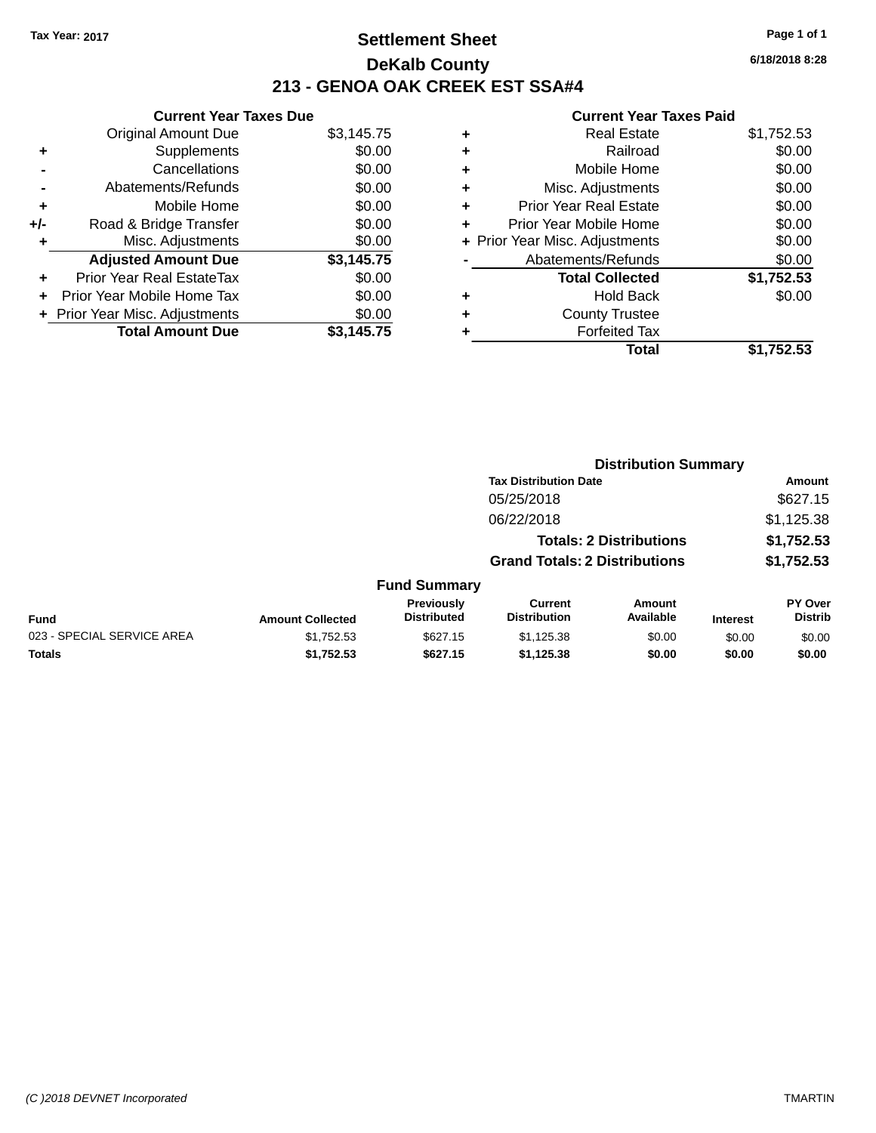# **Settlement Sheet Tax Year: 2017 Page 1 of 1 DeKalb County 213 - GENOA OAK CREEK EST SSA#4**

**6/18/2018 8:28**

|     | <b>Current Year Taxes Due</b>  |            |
|-----|--------------------------------|------------|
|     | <b>Original Amount Due</b>     | \$3,145.75 |
| ٠   | Supplements                    | \$0.00     |
|     | Cancellations                  | \$0.00     |
|     | Abatements/Refunds             | \$0.00     |
| ٠   | Mobile Home                    | \$0.00     |
| +/- | Road & Bridge Transfer         | \$0.00     |
|     | Misc. Adjustments              | \$0.00     |
|     | <b>Adjusted Amount Due</b>     | \$3,145.75 |
| ÷   | Prior Year Real EstateTax      | \$0.00     |
| ÷   | Prior Year Mobile Home Tax     | \$0.00     |
|     | + Prior Year Misc. Adjustments | \$0.00     |
|     | <b>Total Amount Due</b>        | \$3,145.75 |

| ٠ | <b>Real Estate</b>             | \$1,752.53 |
|---|--------------------------------|------------|
| ٠ | Railroad                       | \$0.00     |
| ٠ | Mobile Home                    | \$0.00     |
| ٠ | Misc. Adjustments              | \$0.00     |
| ٠ | <b>Prior Year Real Estate</b>  | \$0.00     |
|   | Prior Year Mobile Home         | \$0.00     |
|   | + Prior Year Misc. Adjustments | \$0.00     |
|   | Abatements/Refunds             | \$0.00     |
|   | <b>Total Collected</b>         | \$1,752.53 |
| ٠ | <b>Hold Back</b>               | \$0.00     |
|   | <b>County Trustee</b>          |            |
| ٠ | <b>Forfeited Tax</b>           |            |
|   | Total                          | \$1.752.53 |
|   |                                |            |

|                            |                         | <b>Distribution Summary</b>      |                                       |                                |                 |                                  |
|----------------------------|-------------------------|----------------------------------|---------------------------------------|--------------------------------|-----------------|----------------------------------|
|                            |                         |                                  | <b>Tax Distribution Date</b>          |                                |                 | Amount                           |
|                            |                         |                                  | 05/25/2018                            |                                |                 | \$627.15                         |
|                            |                         |                                  | 06/22/2018                            |                                |                 | \$1,125.38                       |
|                            |                         |                                  |                                       | <b>Totals: 2 Distributions</b> |                 | \$1,752.53                       |
|                            |                         |                                  | <b>Grand Totals: 2 Distributions</b>  |                                |                 | \$1,752.53                       |
|                            |                         | <b>Fund Summary</b>              |                                       |                                |                 |                                  |
| Fund                       | <b>Amount Collected</b> | Previously<br><b>Distributed</b> | <b>Current</b><br><b>Distribution</b> | Amount<br>Available            | <b>Interest</b> | <b>PY Over</b><br><b>Distrib</b> |
| 023 - SPECIAL SERVICE AREA | \$1,752.53              | \$627.15                         | \$1,125.38                            | \$0.00                         | \$0.00          | \$0.00                           |
| <b>Totals</b>              | \$1,752.53              | \$627.15                         | \$1,125.38                            | \$0.00                         | \$0.00          | \$0.00                           |
|                            |                         |                                  |                                       |                                |                 |                                  |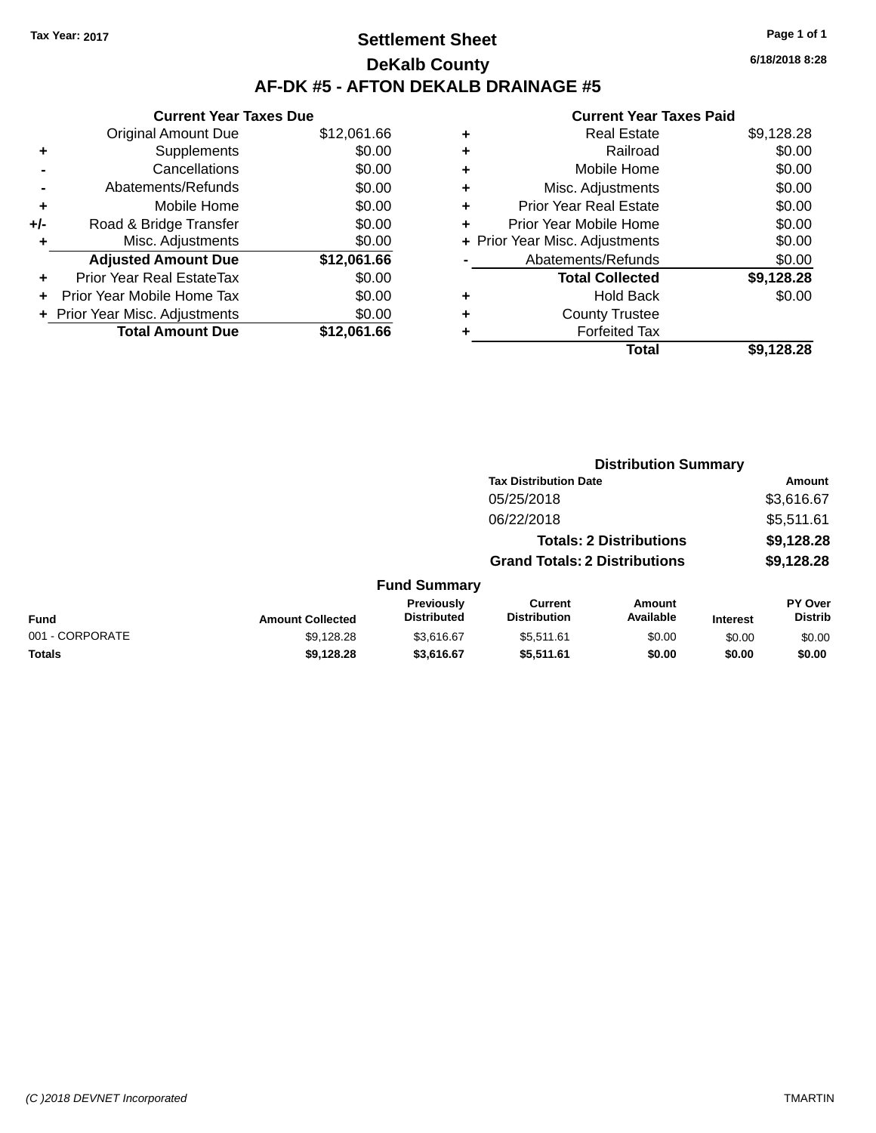# **Settlement Sheet Tax Year: 2017 Page 1 of 1 DeKalb County AF-DK #5 - AFTON DEKALB DRAINAGE #5**

|       | <b>Current Year Taxes Due</b>  |             |
|-------|--------------------------------|-------------|
|       | <b>Original Amount Due</b>     | \$12,061.66 |
|       | Supplements                    | \$0.00      |
|       | Cancellations                  | \$0.00      |
|       | Abatements/Refunds             | \$0.00      |
| ٠     | Mobile Home                    | \$0.00      |
| $+/-$ | Road & Bridge Transfer         | \$0.00      |
|       | Misc. Adjustments              | \$0.00      |
|       | <b>Adjusted Amount Due</b>     | \$12,061.66 |
|       | Prior Year Real EstateTax      | \$0.00      |
|       | Prior Year Mobile Home Tax     | \$0.00      |
|       | + Prior Year Misc. Adjustments | \$0.00      |
|       | <b>Total Amount Due</b>        | \$12.061.66 |

| ٠ | <b>Real Estate</b>             | \$9,128.28 |
|---|--------------------------------|------------|
| ٠ | Railroad                       | \$0.00     |
| ٠ | Mobile Home                    | \$0.00     |
| ٠ | Misc. Adjustments              | \$0.00     |
| ٠ | <b>Prior Year Real Estate</b>  | \$0.00     |
| ٠ | Prior Year Mobile Home         | \$0.00     |
|   | + Prior Year Misc. Adjustments | \$0.00     |
|   | Abatements/Refunds             | \$0.00     |
|   | <b>Total Collected</b>         | \$9,128.28 |
| ٠ | Hold Back                      | \$0.00     |
| ٠ | <b>County Trustee</b>          |            |
| ٠ | <b>Forfeited Tax</b>           |            |
|   | Total                          | \$9,128.28 |
|   |                                |            |

|                 |                         |                                  | <b>Distribution Summary</b>           |                                |                 |                           |
|-----------------|-------------------------|----------------------------------|---------------------------------------|--------------------------------|-----------------|---------------------------|
|                 |                         |                                  | <b>Tax Distribution Date</b>          |                                |                 | Amount                    |
|                 |                         |                                  | 05/25/2018                            |                                |                 | \$3,616.67                |
|                 |                         |                                  | 06/22/2018                            |                                |                 | \$5,511.61                |
|                 |                         |                                  |                                       | <b>Totals: 2 Distributions</b> |                 | \$9,128.28                |
|                 |                         |                                  | <b>Grand Totals: 2 Distributions</b>  |                                |                 | \$9,128.28                |
|                 |                         | <b>Fund Summary</b>              |                                       |                                |                 |                           |
| <b>Fund</b>     | <b>Amount Collected</b> | Previously<br><b>Distributed</b> | <b>Current</b><br><b>Distribution</b> | <b>Amount</b><br>Available     | <b>Interest</b> | PY Over<br><b>Distrib</b> |
| 001 - CORPORATE | \$9,128.28              | \$3.616.67                       | \$5,511.61                            | \$0.00                         | \$0.00          | \$0.00                    |
| <b>Totals</b>   | \$9,128.28              | \$3,616.67                       | \$5,511.61                            | \$0.00                         | \$0.00          | \$0.00                    |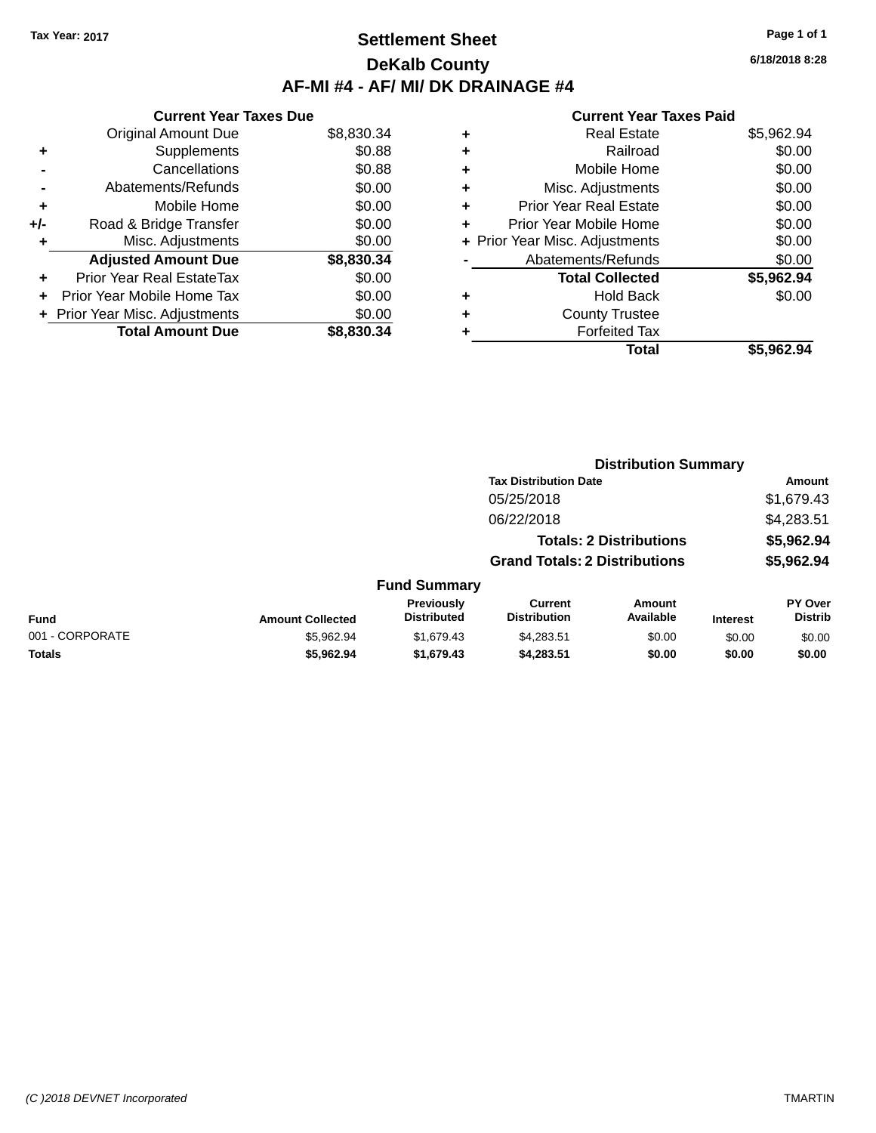### **Settlement Sheet Tax Year: 2017 Page 1 of 1 DeKalb County AF-MI #4 - AF/ MI/ DK DRAINAGE #4**

**6/18/2018 8:28**

| <b>Current Year Taxes Due</b>  |            |
|--------------------------------|------------|
| <b>Original Amount Due</b>     | \$8,830.34 |
| Supplements                    | \$0.88     |
| Cancellations                  | \$0.88     |
| Abatements/Refunds             | \$0.00     |
| Mobile Home                    | \$0.00     |
| Road & Bridge Transfer         | \$0.00     |
| Misc. Adjustments              | \$0.00     |
| <b>Adjusted Amount Due</b>     | \$8,830.34 |
| Prior Year Real EstateTax      | \$0.00     |
| Prior Year Mobile Home Tax     | \$0.00     |
| + Prior Year Misc. Adjustments | \$0.00     |
| <b>Total Amount Due</b>        | \$8,830.34 |
|                                |            |

| ٠ | <b>Real Estate</b>             | \$5,962.94 |
|---|--------------------------------|------------|
| ٠ | Railroad                       | \$0.00     |
| ٠ | Mobile Home                    | \$0.00     |
| ٠ | Misc. Adjustments              | \$0.00     |
| ٠ | <b>Prior Year Real Estate</b>  | \$0.00     |
| ٠ | Prior Year Mobile Home         | \$0.00     |
|   | + Prior Year Misc. Adjustments | \$0.00     |
|   | Abatements/Refunds             | \$0.00     |
|   | <b>Total Collected</b>         | \$5,962.94 |
| ٠ | <b>Hold Back</b>               | \$0.00     |
|   | <b>County Trustee</b>          |            |
| ٠ | <b>Forfeited Tax</b>           |            |
|   | Total                          | \$5.962.94 |
|   |                                |            |

|                 |                         |                                  | <b>Distribution Summary</b>           |                                |                 |                           |
|-----------------|-------------------------|----------------------------------|---------------------------------------|--------------------------------|-----------------|---------------------------|
|                 |                         |                                  | <b>Tax Distribution Date</b>          |                                |                 | Amount                    |
|                 |                         |                                  | 05/25/2018                            |                                |                 | \$1,679.43                |
|                 |                         |                                  | 06/22/2018                            |                                |                 | \$4,283.51                |
|                 |                         |                                  |                                       | <b>Totals: 2 Distributions</b> |                 | \$5,962.94                |
|                 |                         |                                  | <b>Grand Totals: 2 Distributions</b>  |                                |                 | \$5,962.94                |
|                 |                         | <b>Fund Summary</b>              |                                       |                                |                 |                           |
| <b>Fund</b>     | <b>Amount Collected</b> | Previously<br><b>Distributed</b> | <b>Current</b><br><b>Distribution</b> | <b>Amount</b><br>Available     | <b>Interest</b> | PY Over<br><b>Distrib</b> |
| 001 - CORPORATE | \$5.962.94              | \$1,679.43                       | \$4,283.51                            | \$0.00                         | \$0.00          | \$0.00                    |
| <b>Totals</b>   | \$5,962.94              | \$1,679.43                       | \$4,283.51                            | \$0.00                         | \$0.00          | \$0.00                    |
|                 |                         |                                  |                                       |                                |                 |                           |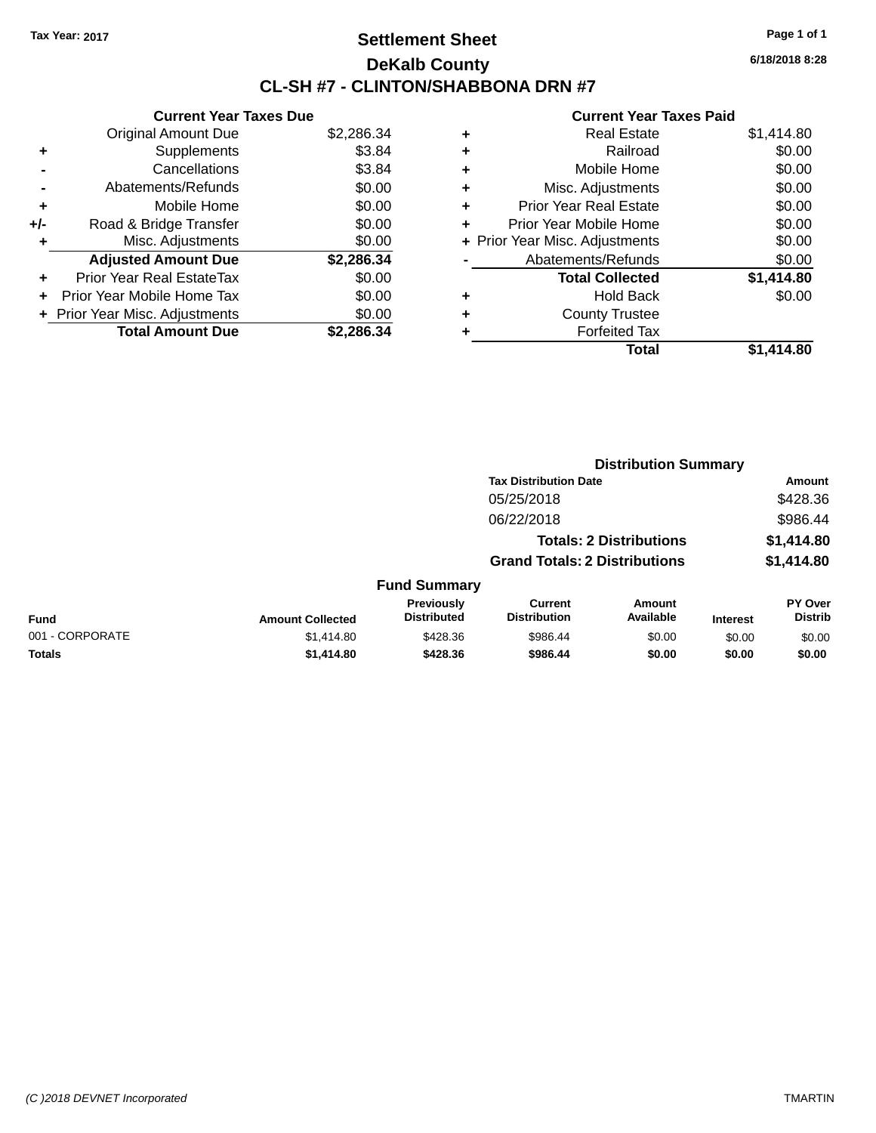# **Settlement Sheet Tax Year: 2017 Page 1 of 1 DeKalb County CL-SH #7 - CLINTON/SHABBONA DRN #7**

**6/18/2018 8:28**

|     | <b>Current Year Taxes Due</b>     |            |
|-----|-----------------------------------|------------|
|     | <b>Original Amount Due</b>        | \$2,286.34 |
| ٠   | Supplements                       | \$3.84     |
|     | Cancellations                     | \$3.84     |
|     | Abatements/Refunds                | \$0.00     |
| ٠   | Mobile Home                       | \$0.00     |
| +/- | Road & Bridge Transfer            | \$0.00     |
| ٠   | Misc. Adjustments                 | \$0.00     |
|     | <b>Adjusted Amount Due</b>        | \$2,286.34 |
| ÷   | Prior Year Real EstateTax         | \$0.00     |
| ÷   | <b>Prior Year Mobile Home Tax</b> | \$0.00     |
|     | + Prior Year Misc. Adjustments    | \$0.00     |
|     | <b>Total Amount Due</b>           | \$2.286.34 |

| ٠ | <b>Real Estate</b>             | \$1,414.80 |
|---|--------------------------------|------------|
| ٠ | Railroad                       | \$0.00     |
| ٠ | Mobile Home                    | \$0.00     |
| ٠ | Misc. Adjustments              | \$0.00     |
| ٠ | <b>Prior Year Real Estate</b>  | \$0.00     |
| ٠ | Prior Year Mobile Home         | \$0.00     |
|   | + Prior Year Misc. Adjustments | \$0.00     |
|   | Abatements/Refunds             | \$0.00     |
|   | <b>Total Collected</b>         | \$1,414.80 |
| ٠ | Hold Back                      | \$0.00     |
| ٠ | <b>County Trustee</b>          |            |
| ٠ | <b>Forfeited Tax</b>           |            |
|   | Total                          | \$1,414.80 |
|   |                                |            |

|                 |                         |                                  | <b>Distribution Summary</b>           |                                |                 |                                  |
|-----------------|-------------------------|----------------------------------|---------------------------------------|--------------------------------|-----------------|----------------------------------|
|                 |                         |                                  | <b>Tax Distribution Date</b>          |                                |                 | <b>Amount</b>                    |
|                 |                         |                                  | 05/25/2018                            |                                |                 | \$428.36                         |
|                 |                         |                                  | 06/22/2018                            |                                |                 | \$986.44                         |
|                 |                         |                                  |                                       | <b>Totals: 2 Distributions</b> |                 | \$1,414.80                       |
|                 |                         |                                  | <b>Grand Totals: 2 Distributions</b>  |                                |                 | \$1,414.80                       |
|                 |                         | <b>Fund Summary</b>              |                                       |                                |                 |                                  |
| <b>Fund</b>     | <b>Amount Collected</b> | Previously<br><b>Distributed</b> | <b>Current</b><br><b>Distribution</b> | Amount<br>Available            | <b>Interest</b> | <b>PY Over</b><br><b>Distrib</b> |
| 001 - CORPORATE | \$1,414.80              | \$428.36                         | \$986.44                              | \$0.00                         | \$0.00          | \$0.00                           |
| <b>Totals</b>   | \$1,414.80              | \$428.36                         | \$986.44                              | \$0.00                         | \$0.00          | \$0.00                           |
|                 |                         |                                  |                                       |                                |                 |                                  |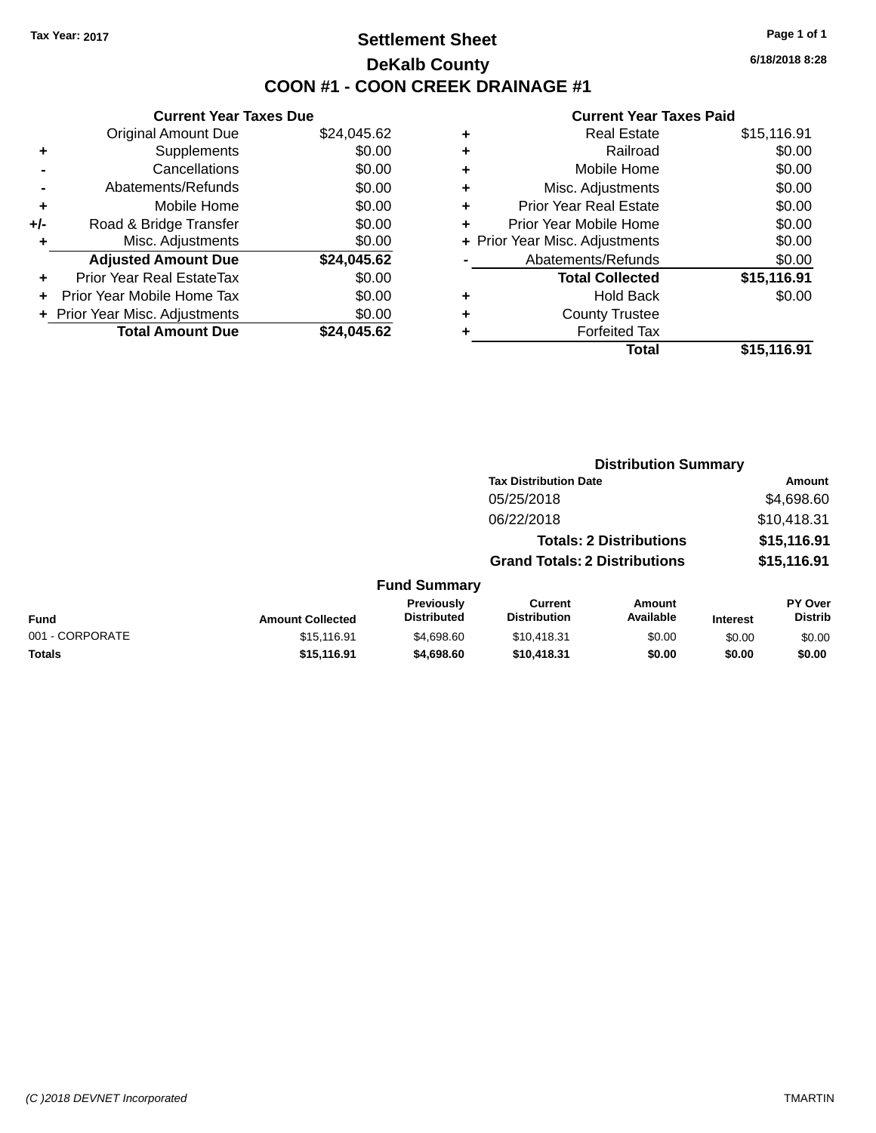# **Settlement Sheet Tax Year: 2017 Page 1 of 1 DeKalb County COON #1 - COON CREEK DRAINAGE #1**

**6/18/2018 8:28**

|     | <b>Current Year Taxes Due</b> |             |
|-----|-------------------------------|-------------|
|     | <b>Original Amount Due</b>    | \$24,045.62 |
| ٠   | Supplements                   | \$0.00      |
|     | Cancellations                 | \$0.00      |
|     | Abatements/Refunds            | \$0.00      |
| ÷   | Mobile Home                   | \$0.00      |
| +/- | Road & Bridge Transfer        | \$0.00      |
|     | Misc. Adjustments             | \$0.00      |
|     | <b>Adjusted Amount Due</b>    | \$24,045.62 |
| ÷   | Prior Year Real EstateTax     | \$0.00      |
|     | Prior Year Mobile Home Tax    | \$0.00      |
|     | Prior Year Misc. Adjustments  | \$0.00      |
|     | <b>Total Amount Due</b>       | \$24.045.62 |
|     |                               |             |

| ٠ | <b>Real Estate</b>             | \$15,116.91 |
|---|--------------------------------|-------------|
| ٠ | Railroad                       | \$0.00      |
| ٠ | Mobile Home                    | \$0.00      |
| ÷ | Misc. Adjustments              | \$0.00      |
| ٠ | <b>Prior Year Real Estate</b>  | \$0.00      |
| ٠ | Prior Year Mobile Home         | \$0.00      |
|   | + Prior Year Misc. Adjustments | \$0.00      |
|   | Abatements/Refunds             | \$0.00      |
|   | <b>Total Collected</b>         | \$15,116.91 |
| ٠ | Hold Back                      | \$0.00      |
| ٠ | <b>County Trustee</b>          |             |
| ٠ | <b>Forfeited Tax</b>           |             |
|   | Total                          | \$15,116.91 |
|   |                                |             |

|                 |                         |                                         | <b>Distribution Summary</b>           |                                |                 |                                  |
|-----------------|-------------------------|-----------------------------------------|---------------------------------------|--------------------------------|-----------------|----------------------------------|
|                 |                         |                                         | <b>Tax Distribution Date</b>          |                                |                 | <b>Amount</b>                    |
|                 |                         |                                         | 05/25/2018                            |                                |                 | \$4,698.60                       |
|                 |                         |                                         | 06/22/2018                            |                                |                 | \$10,418.31                      |
|                 |                         |                                         |                                       | <b>Totals: 2 Distributions</b> |                 | \$15,116.91                      |
|                 |                         |                                         | <b>Grand Totals: 2 Distributions</b>  |                                |                 | \$15,116.91                      |
|                 |                         | <b>Fund Summary</b>                     |                                       |                                |                 |                                  |
| Fund            | <b>Amount Collected</b> | <b>Previously</b><br><b>Distributed</b> | <b>Current</b><br><b>Distribution</b> | Amount<br>Available            | <b>Interest</b> | <b>PY Over</b><br><b>Distrib</b> |
| 001 - CORPORATE | \$15,116.91             | \$4,698.60                              | \$10,418.31                           | \$0.00                         | \$0.00          | \$0.00                           |
| <b>Totals</b>   | \$15,116.91             | \$4,698.60                              | \$10,418.31                           | \$0.00                         | \$0.00          | \$0.00                           |
|                 |                         |                                         |                                       |                                |                 |                                  |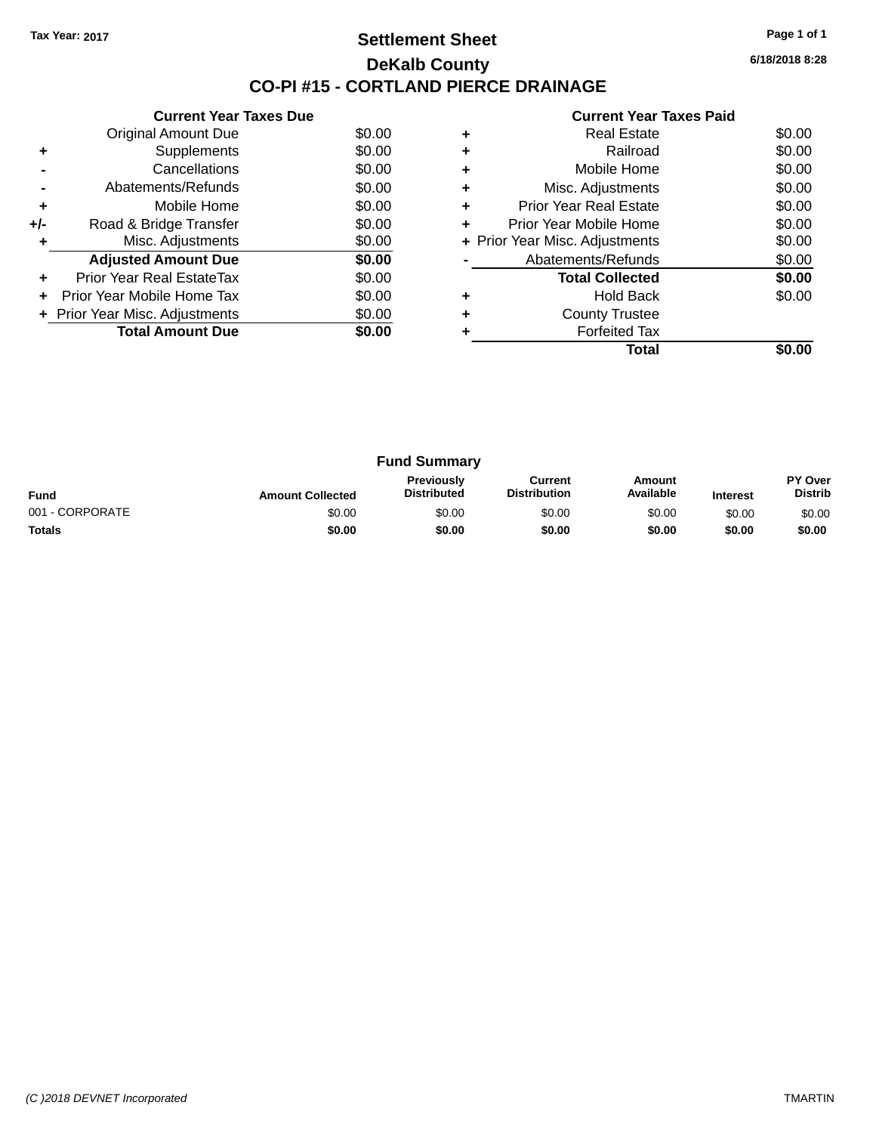### **Settlement Sheet Tax Year: 2017 Page 1 of 1 DeKalb County CO-PI #15 - CORTLAND PIERCE DRAINAGE**

**6/18/2018 8:28**

|     | <b>Current Year Taxes Due</b>  |        |
|-----|--------------------------------|--------|
|     | Original Amount Due            | \$0.00 |
| ٠   | Supplements                    | \$0.00 |
|     | Cancellations                  | \$0.00 |
|     | Abatements/Refunds             | \$0.00 |
| ٠   | Mobile Home                    | \$0.00 |
| +/- | Road & Bridge Transfer         | \$0.00 |
| ٠   | Misc. Adjustments              | \$0.00 |
|     | <b>Adjusted Amount Due</b>     | \$0.00 |
| ٠   | Prior Year Real EstateTax      | \$0.00 |
|     | Prior Year Mobile Home Tax     | \$0.00 |
|     | + Prior Year Misc. Adjustments | \$0.00 |
|     | <b>Total Amount Due</b>        | \$0.00 |
|     |                                |        |

|   | <b>Real Estate</b>             | \$0.00 |
|---|--------------------------------|--------|
|   | Railroad                       | \$0.00 |
| ٠ | Mobile Home                    | \$0.00 |
| ٠ | Misc. Adjustments              | \$0.00 |
| ٠ | Prior Year Real Estate         | \$0.00 |
|   | Prior Year Mobile Home         | \$0.00 |
|   | + Prior Year Misc. Adjustments | \$0.00 |
|   | Abatements/Refunds             | \$0.00 |
|   | <b>Total Collected</b>         | \$0.00 |
|   | <b>Hold Back</b>               | \$0.00 |
| ٠ | <b>County Trustee</b>          |        |
|   | <b>Forfeited Tax</b>           |        |
|   | Total                          |        |

|                 |                         | <b>Fund Summary</b>                     |                                |                     |                 |                           |
|-----------------|-------------------------|-----------------------------------------|--------------------------------|---------------------|-----------------|---------------------------|
| <b>Fund</b>     | <b>Amount Collected</b> | <b>Previously</b><br><b>Distributed</b> | Current<br><b>Distribution</b> | Amount<br>Available | <b>Interest</b> | PY Over<br><b>Distrib</b> |
| 001 - CORPORATE | \$0.00                  | \$0.00                                  | \$0.00                         | \$0.00              | \$0.00          | \$0.00                    |
| <b>Totals</b>   | \$0.00                  | \$0.00                                  | \$0.00                         | \$0.00              | \$0.00          | \$0.00                    |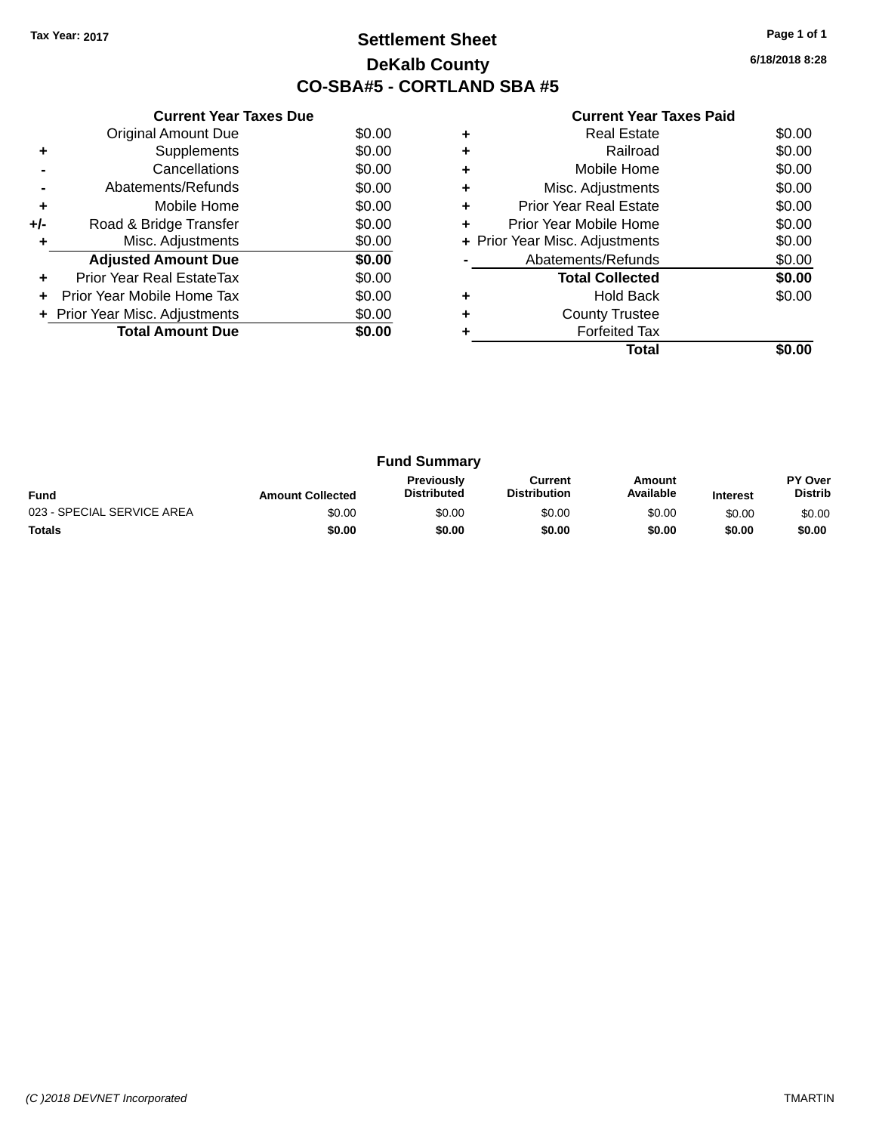# **Settlement Sheet Tax Year: 2017 Page 1 of 1 DeKalb County CO-SBA#5 - CORTLAND SBA #5**

**6/18/2018 8:28**

|     | <b>Current Year Taxes Due</b>  |        |
|-----|--------------------------------|--------|
|     | <b>Original Amount Due</b>     | \$0.00 |
| ٠   | Supplements                    | \$0.00 |
|     | Cancellations                  | \$0.00 |
|     | Abatements/Refunds             | \$0.00 |
| ٠   | Mobile Home                    | \$0.00 |
| +/- | Road & Bridge Transfer         | \$0.00 |
| ٠   | Misc. Adjustments              | \$0.00 |
|     | <b>Adjusted Amount Due</b>     | \$0.00 |
| ٠   | Prior Year Real EstateTax      | \$0.00 |
|     | Prior Year Mobile Home Tax     | \$0.00 |
|     | + Prior Year Misc. Adjustments | \$0.00 |
|     | <b>Total Amount Due</b>        | \$0.00 |
|     |                                |        |

|   | Real Estate                    | \$0.00 |
|---|--------------------------------|--------|
| ÷ | Railroad                       | \$0.00 |
| ٠ | Mobile Home                    | \$0.00 |
| ٠ | Misc. Adjustments              | \$0.00 |
| ٠ | <b>Prior Year Real Estate</b>  | \$0.00 |
| ٠ | Prior Year Mobile Home         | \$0.00 |
|   | + Prior Year Misc. Adjustments | \$0.00 |
|   | Abatements/Refunds             | \$0.00 |
|   | <b>Total Collected</b>         | \$0.00 |
| ٠ | Hold Back                      | \$0.00 |
| ٠ | <b>County Trustee</b>          |        |
|   | <b>Forfeited Tax</b>           |        |
|   | Total                          |        |

|                            |                         | <b>Fund Summary</b>                     |                                |                     |                 |                           |
|----------------------------|-------------------------|-----------------------------------------|--------------------------------|---------------------|-----------------|---------------------------|
| <b>Fund</b>                | <b>Amount Collected</b> | <b>Previously</b><br><b>Distributed</b> | Current<br><b>Distribution</b> | Amount<br>Available | <b>Interest</b> | PY Over<br><b>Distrib</b> |
| 023 - SPECIAL SERVICE AREA | \$0.00                  | \$0.00                                  | \$0.00                         | \$0.00              | \$0.00          | \$0.00                    |
| <b>Totals</b>              | \$0.00                  | \$0.00                                  | \$0.00                         | \$0.00              | \$0.00          | \$0.00                    |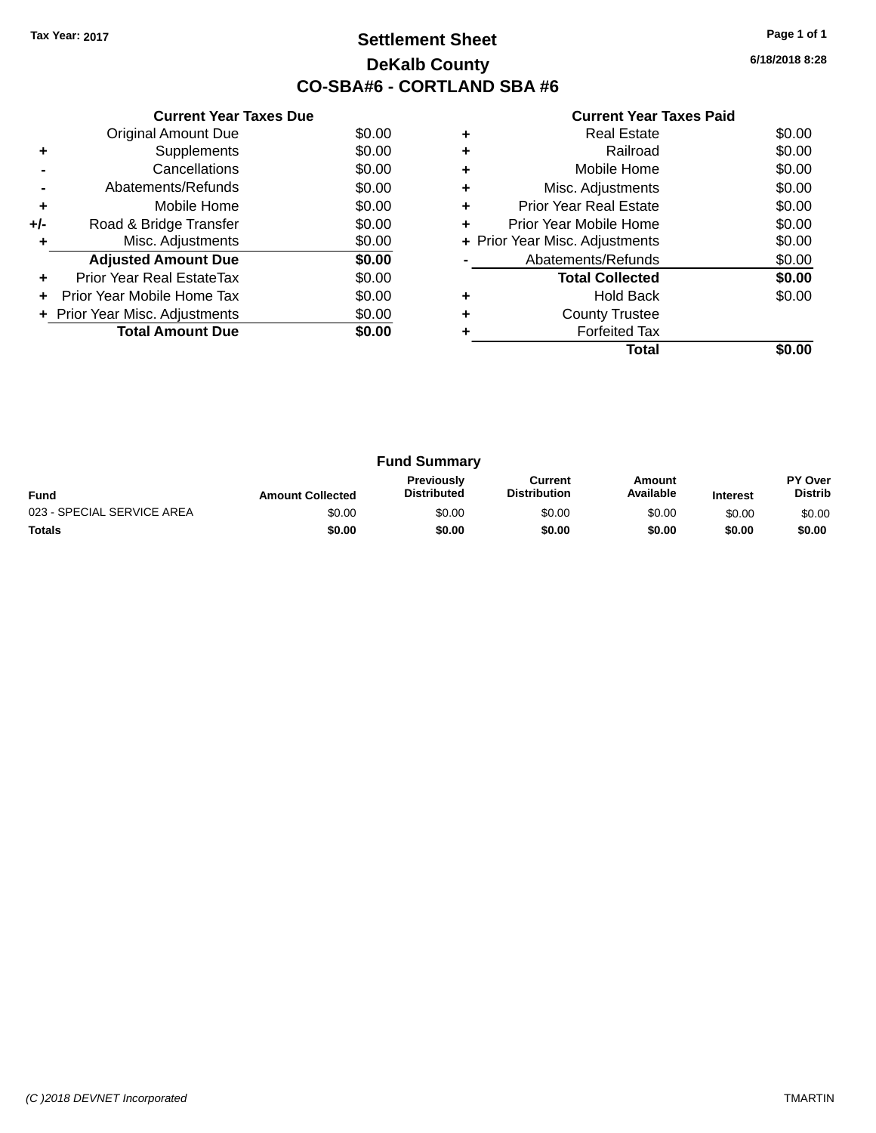# **Settlement Sheet Tax Year: 2017 Page 1 of 1 DeKalb County CO-SBA#6 - CORTLAND SBA #6**

**6/18/2018 8:28**

|     | <b>Current Year Taxes Due</b>  |        |
|-----|--------------------------------|--------|
|     | <b>Original Amount Due</b>     | \$0.00 |
| ٠   | Supplements                    | \$0.00 |
|     | Cancellations                  | \$0.00 |
|     | Abatements/Refunds             | \$0.00 |
| ٠   | Mobile Home                    | \$0.00 |
| +/- | Road & Bridge Transfer         | \$0.00 |
| ٠   | Misc. Adjustments              | \$0.00 |
|     | <b>Adjusted Amount Due</b>     | \$0.00 |
| ٠   | Prior Year Real EstateTax      | \$0.00 |
| ÷   | Prior Year Mobile Home Tax     | \$0.00 |
|     | + Prior Year Misc. Adjustments | \$0.00 |
|     | <b>Total Amount Due</b>        | \$0.00 |
|     |                                |        |

|   | <b>Real Estate</b>             | \$0.00 |
|---|--------------------------------|--------|
|   | Railroad                       | \$0.00 |
|   | Mobile Home                    | \$0.00 |
| ٠ | Misc. Adjustments              | \$0.00 |
| ٠ | Prior Year Real Estate         | \$0.00 |
| ٠ | Prior Year Mobile Home         | \$0.00 |
|   | + Prior Year Misc. Adjustments | \$0.00 |
|   | Abatements/Refunds             | \$0.00 |
|   | <b>Total Collected</b>         | \$0.00 |
|   | <b>Hold Back</b>               | \$0.00 |
|   | <b>County Trustee</b>          |        |
|   | <b>Forfeited Tax</b>           |        |
|   | Total                          |        |

|                            |                         | <b>Fund Summary</b>                     |                                |                     |                 |                           |
|----------------------------|-------------------------|-----------------------------------------|--------------------------------|---------------------|-----------------|---------------------------|
| <b>Fund</b>                | <b>Amount Collected</b> | <b>Previously</b><br><b>Distributed</b> | Current<br><b>Distribution</b> | Amount<br>Available | <b>Interest</b> | PY Over<br><b>Distrib</b> |
| 023 - SPECIAL SERVICE AREA | \$0.00                  | \$0.00                                  | \$0.00                         | \$0.00              | \$0.00          | \$0.00                    |
| <b>Totals</b>              | \$0.00                  | \$0.00                                  | \$0.00                         | \$0.00              | \$0.00          | \$0.00                    |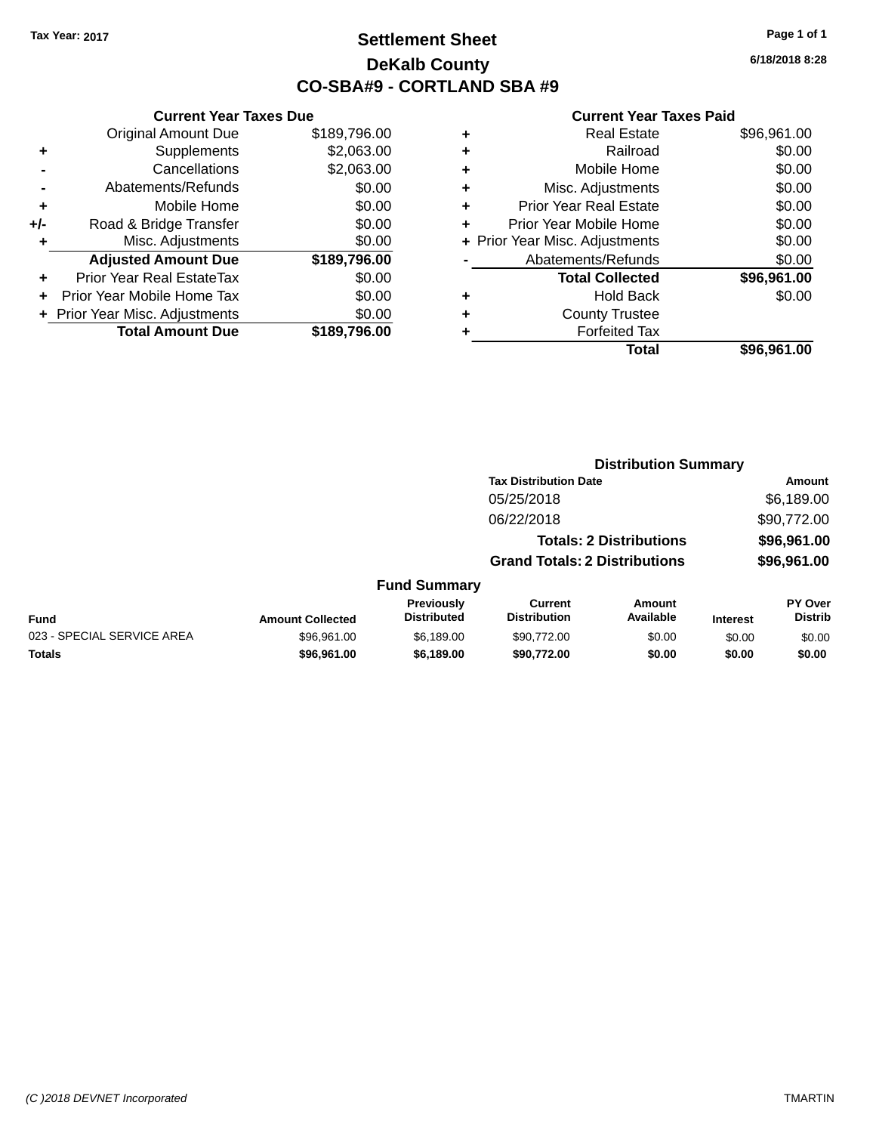# **Settlement Sheet Tax Year: 2017 Page 1 of 1 DeKalb County CO-SBA#9 - CORTLAND SBA #9**

**6/18/2018 8:28**

|     | <b>Current Year Taxes Due</b>  |              |  |  |  |  |
|-----|--------------------------------|--------------|--|--|--|--|
|     | <b>Original Amount Due</b>     | \$189,796.00 |  |  |  |  |
| ٠   | Supplements                    | \$2,063.00   |  |  |  |  |
|     | Cancellations                  | \$2,063.00   |  |  |  |  |
|     | Abatements/Refunds             | \$0.00       |  |  |  |  |
| ٠   | Mobile Home                    | \$0.00       |  |  |  |  |
| +/- | Road & Bridge Transfer         | \$0.00       |  |  |  |  |
| ٠   | Misc. Adjustments              | \$0.00       |  |  |  |  |
|     | <b>Adjusted Amount Due</b>     | \$189,796.00 |  |  |  |  |
| ٠   | Prior Year Real EstateTax      | \$0.00       |  |  |  |  |
| ٠   | Prior Year Mobile Home Tax     | \$0.00       |  |  |  |  |
|     | + Prior Year Misc. Adjustments | \$0.00       |  |  |  |  |
|     | <b>Total Amount Due</b>        | \$189.796.00 |  |  |  |  |
|     |                                |              |  |  |  |  |

|   | Real Estate                    | \$96,961.00 |
|---|--------------------------------|-------------|
| ٠ | Railroad                       | \$0.00      |
| ٠ | Mobile Home                    | \$0.00      |
| ٠ | Misc. Adjustments              | \$0.00      |
| ٠ | <b>Prior Year Real Estate</b>  | \$0.00      |
| ÷ | Prior Year Mobile Home         | \$0.00      |
|   | + Prior Year Misc. Adjustments | \$0.00      |
|   | Abatements/Refunds             | \$0.00      |
|   | <b>Total Collected</b>         | \$96,961.00 |
| ٠ | Hold Back                      | \$0.00      |
| ٠ | <b>County Trustee</b>          |             |
|   | <b>Forfeited Tax</b>           |             |
|   | Total                          | \$96,961.00 |
|   |                                |             |

|                         |                                  | <b>Distribution Summary</b>           |                     |                                                                                                        |                           |
|-------------------------|----------------------------------|---------------------------------------|---------------------|--------------------------------------------------------------------------------------------------------|---------------------------|
|                         |                                  |                                       |                     |                                                                                                        | <b>Amount</b>             |
|                         |                                  | 05/25/2018                            |                     |                                                                                                        | \$6,189.00                |
|                         |                                  | 06/22/2018                            |                     |                                                                                                        | \$90,772.00               |
|                         |                                  |                                       |                     |                                                                                                        | \$96,961.00               |
|                         |                                  |                                       |                     |                                                                                                        | \$96,961.00               |
|                         |                                  |                                       |                     |                                                                                                        |                           |
| <b>Amount Collected</b> | Previously<br><b>Distributed</b> | <b>Current</b><br><b>Distribution</b> | Amount<br>Available | <b>Interest</b>                                                                                        | PY Over<br><b>Distrib</b> |
| \$96,961.00             | \$6,189.00                       | \$90,772.00                           | \$0.00              | \$0.00                                                                                                 | \$0.00                    |
| \$96,961.00             | \$6,189.00                       | \$90,772.00                           | \$0.00              | \$0.00                                                                                                 | \$0.00                    |
|                         |                                  |                                       | <b>Fund Summary</b> | <b>Tax Distribution Date</b><br><b>Totals: 2 Distributions</b><br><b>Grand Totals: 2 Distributions</b> |                           |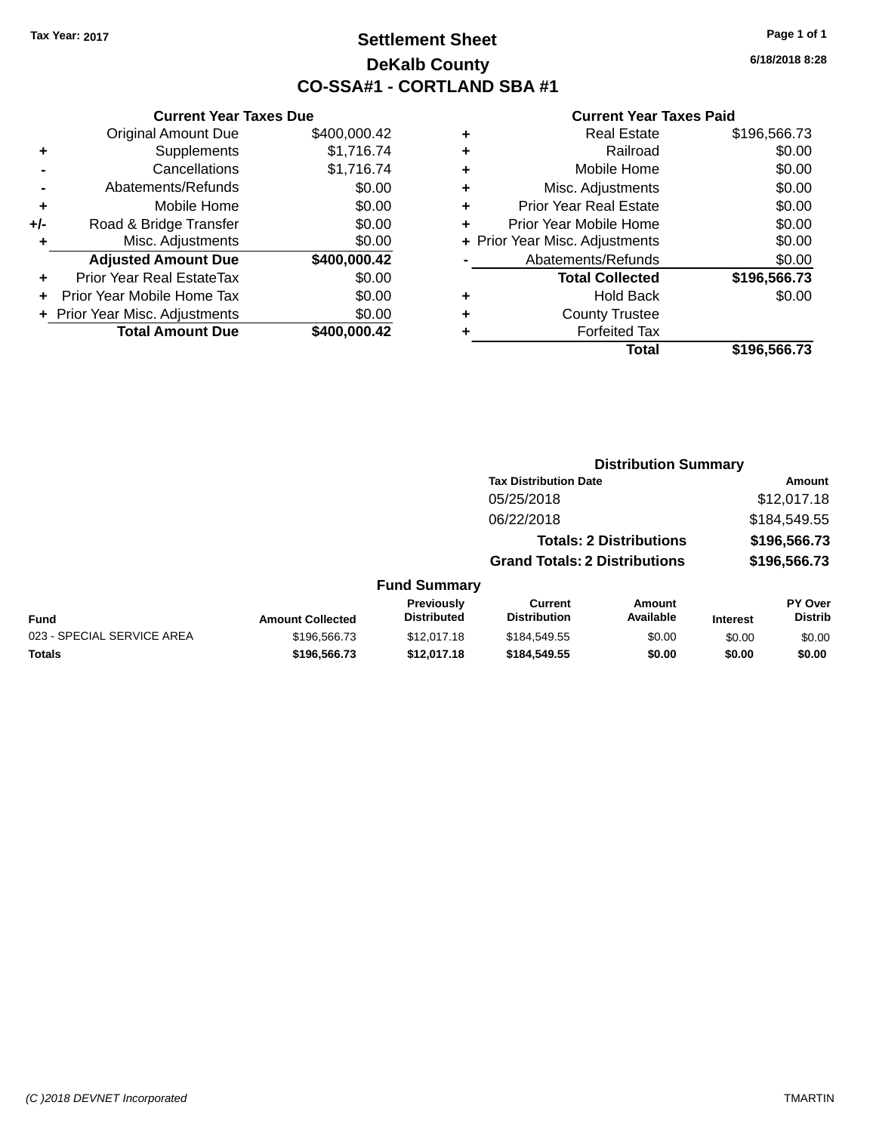# **Settlement Sheet Tax Year: 2017 Page 1 of 1 DeKalb County CO-SSA#1 - CORTLAND SBA #1**

**6/18/2018 8:28**

|       | <b>Current Year Taxes Due</b>  |              |  |  |  |
|-------|--------------------------------|--------------|--|--|--|
|       | <b>Original Amount Due</b>     | \$400,000.42 |  |  |  |
| ٠     | Supplements                    | \$1,716.74   |  |  |  |
|       | Cancellations                  | \$1,716.74   |  |  |  |
|       | Abatements/Refunds             | \$0.00       |  |  |  |
| ٠     | Mobile Home                    | \$0.00       |  |  |  |
| $+/-$ | Road & Bridge Transfer         | \$0.00       |  |  |  |
| ٠     | Misc. Adjustments              | \$0.00       |  |  |  |
|       | <b>Adjusted Amount Due</b>     | \$400,000.42 |  |  |  |
| ÷     | Prior Year Real EstateTax      | \$0.00       |  |  |  |
|       | Prior Year Mobile Home Tax     | \$0.00       |  |  |  |
|       | + Prior Year Misc. Adjustments | \$0.00       |  |  |  |
|       | <b>Total Amount Due</b>        | \$400.000.42 |  |  |  |
|       |                                |              |  |  |  |

#### **Current Year Taxes Paid +** Real Estate \$196,566.73 **+** Railroad \$0.00

|   | Total                          | \$196,566.73 |
|---|--------------------------------|--------------|
|   | <b>Forfeited Tax</b>           |              |
| ٠ | <b>County Trustee</b>          |              |
| ٠ | <b>Hold Back</b>               | \$0.00       |
|   | <b>Total Collected</b>         | \$196,566.73 |
|   | Abatements/Refunds             | \$0.00       |
|   | + Prior Year Misc. Adjustments | \$0.00       |
| ÷ | Prior Year Mobile Home         | \$0.00       |
| ٠ | Prior Year Real Estate         | \$0.00       |
| ٠ | Misc. Adjustments              | \$0.00       |
| ÷ | Mobile Home                    | \$0.00       |
| T | nailluau                       | vv.vv        |

|                            |                         |                                         |                                       | <b>Distribution Summary</b>    |                 |                                  |
|----------------------------|-------------------------|-----------------------------------------|---------------------------------------|--------------------------------|-----------------|----------------------------------|
|                            |                         |                                         | <b>Tax Distribution Date</b>          |                                |                 | <b>Amount</b>                    |
|                            |                         |                                         | 05/25/2018                            |                                |                 | \$12,017.18                      |
|                            |                         |                                         | 06/22/2018                            |                                |                 | \$184,549.55                     |
|                            |                         |                                         |                                       | <b>Totals: 2 Distributions</b> |                 | \$196,566.73                     |
|                            |                         |                                         | <b>Grand Totals: 2 Distributions</b>  |                                |                 | \$196,566.73                     |
|                            |                         | <b>Fund Summary</b>                     |                                       |                                |                 |                                  |
| <b>Fund</b>                | <b>Amount Collected</b> | <b>Previously</b><br><b>Distributed</b> | <b>Current</b><br><b>Distribution</b> | Amount<br>Available            | <b>Interest</b> | <b>PY Over</b><br><b>Distrib</b> |
| 023 - SPECIAL SERVICE AREA | \$196,566,73            | \$12,017.18                             | \$184.549.55                          | \$0.00                         | \$0.00          | \$0.00                           |
| <b>Totals</b>              | \$196,566.73            | \$12,017.18                             | \$184,549,55                          | \$0.00                         | \$0.00          | \$0.00                           |
|                            |                         |                                         |                                       |                                |                 |                                  |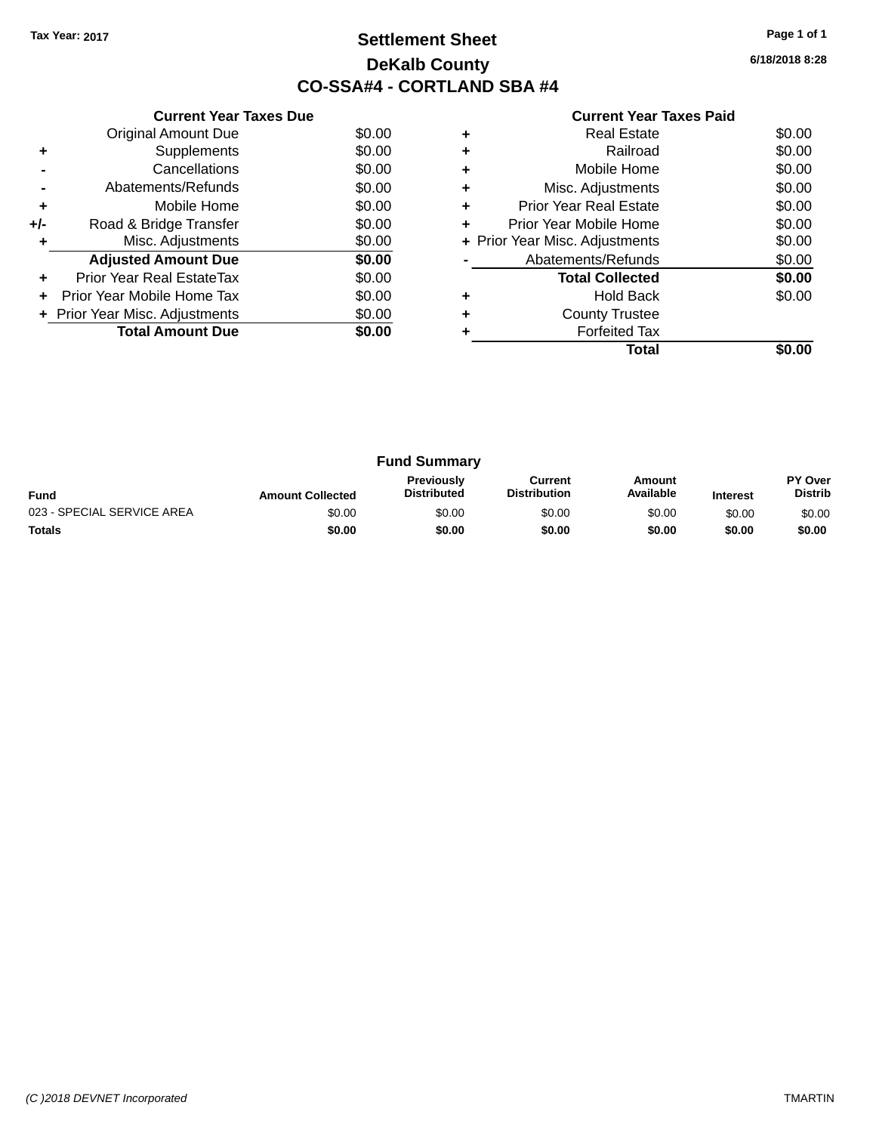# **Settlement Sheet Tax Year: 2017 Page 1 of 1 DeKalb County CO-SSA#4 - CORTLAND SBA #4**

**6/18/2018 8:28**

|     | <b>Current Year Taxes Due</b>  |        |
|-----|--------------------------------|--------|
|     | <b>Original Amount Due</b>     | \$0.00 |
| ٠   | Supplements                    | \$0.00 |
|     | Cancellations                  | \$0.00 |
|     | Abatements/Refunds             | \$0.00 |
| ٠   | Mobile Home                    | \$0.00 |
| +/- | Road & Bridge Transfer         | \$0.00 |
| ٠   | Misc. Adjustments              | \$0.00 |
|     | <b>Adjusted Amount Due</b>     | \$0.00 |
| ٠   | Prior Year Real EstateTax      | \$0.00 |
| ÷   | Prior Year Mobile Home Tax     | \$0.00 |
|     | + Prior Year Misc. Adjustments | \$0.00 |
|     | <b>Total Amount Due</b>        | \$0.00 |
|     |                                |        |

| ٠ | <b>Real Estate</b>             | \$0.00 |
|---|--------------------------------|--------|
| ٠ | Railroad                       | \$0.00 |
| ٠ | Mobile Home                    | \$0.00 |
| ٠ | Misc. Adjustments              | \$0.00 |
| ٠ | <b>Prior Year Real Estate</b>  | \$0.00 |
| ٠ | Prior Year Mobile Home         | \$0.00 |
|   | + Prior Year Misc. Adjustments | \$0.00 |
|   | Abatements/Refunds             | \$0.00 |
|   | <b>Total Collected</b>         | \$0.00 |
| ٠ | <b>Hold Back</b>               | \$0.00 |
|   | <b>County Trustee</b>          |        |
|   | <b>Forfeited Tax</b>           |        |
|   | Total                          |        |

|                            |                         | <b>Fund Summary</b>                     |                                |                     |                 |                                  |
|----------------------------|-------------------------|-----------------------------------------|--------------------------------|---------------------|-----------------|----------------------------------|
| <b>Fund</b>                | <b>Amount Collected</b> | <b>Previously</b><br><b>Distributed</b> | Current<br><b>Distribution</b> | Amount<br>Available | <b>Interest</b> | <b>PY Over</b><br><b>Distrib</b> |
| 023 - SPECIAL SERVICE AREA | \$0.00                  | \$0.00                                  | \$0.00                         | \$0.00              | \$0.00          | \$0.00                           |
| <b>Totals</b>              | \$0.00                  | \$0.00                                  | \$0.00                         | \$0.00              | \$0.00          | \$0.00                           |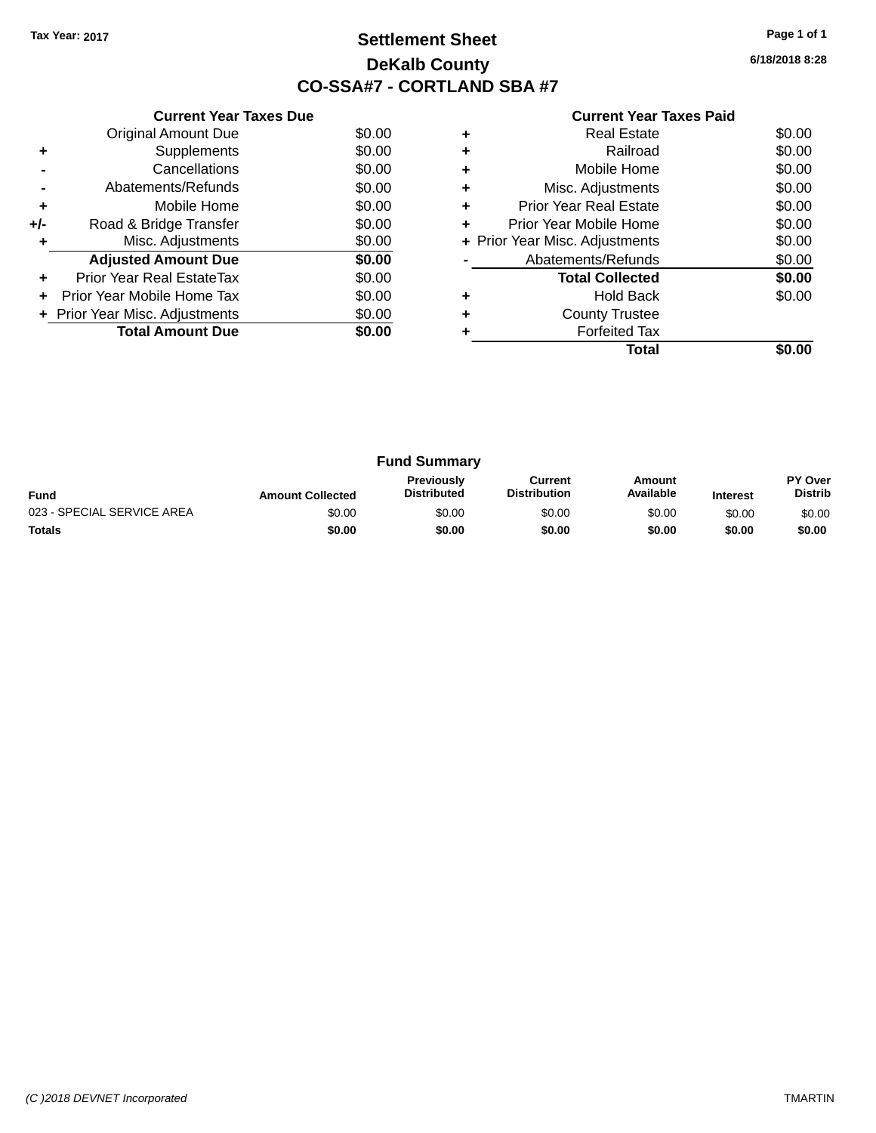# **Settlement Sheet Tax Year: 2017 Page 1 of 1 DeKalb County CO-SSA#7 - CORTLAND SBA #7**

**6/18/2018 8:28**

|       | <b>Current Year Taxes Due</b>  |        |
|-------|--------------------------------|--------|
|       | <b>Original Amount Due</b>     | \$0.00 |
| ٠     | Supplements                    | \$0.00 |
|       | Cancellations                  | \$0.00 |
|       | Abatements/Refunds             | \$0.00 |
| ٠     | Mobile Home                    | \$0.00 |
| $+/-$ | Road & Bridge Transfer         | \$0.00 |
|       | Misc. Adjustments              | \$0.00 |
|       | <b>Adjusted Amount Due</b>     | \$0.00 |
|       | Prior Year Real EstateTax      | \$0.00 |
|       | Prior Year Mobile Home Tax     | \$0.00 |
|       | + Prior Year Misc. Adjustments | \$0.00 |
|       | <b>Total Amount Due</b>        | \$0.00 |
|       |                                |        |

|   | Total                          |        |
|---|--------------------------------|--------|
|   | <b>Forfeited Tax</b>           |        |
| ٠ | <b>County Trustee</b>          |        |
|   | <b>Hold Back</b>               | \$0.00 |
|   | <b>Total Collected</b>         | \$0.00 |
|   | Abatements/Refunds             | \$0.00 |
|   | + Prior Year Misc. Adjustments | \$0.00 |
| ٠ | Prior Year Mobile Home         | \$0.00 |
| ٠ | <b>Prior Year Real Estate</b>  | \$0.00 |
| ٠ | Misc. Adjustments              | \$0.00 |
| ٠ | Mobile Home                    | \$0.00 |
| ٠ | Railroad                       | \$0.00 |
|   | <b>Real Estate</b>             | \$0.00 |

|                            |                         | <b>Fund Summary</b>              |                                |                     |                 |                                  |
|----------------------------|-------------------------|----------------------------------|--------------------------------|---------------------|-----------------|----------------------------------|
| <b>Fund</b>                | <b>Amount Collected</b> | Previously<br><b>Distributed</b> | Current<br><b>Distribution</b> | Amount<br>Available | <b>Interest</b> | <b>PY Over</b><br><b>Distrib</b> |
| 023 - SPECIAL SERVICE AREA | \$0.00                  | \$0.00                           | \$0.00                         | \$0.00              | \$0.00          | \$0.00                           |
| <b>Totals</b>              | \$0.00                  | \$0.00                           | \$0.00                         | \$0.00              | \$0.00          | \$0.00                           |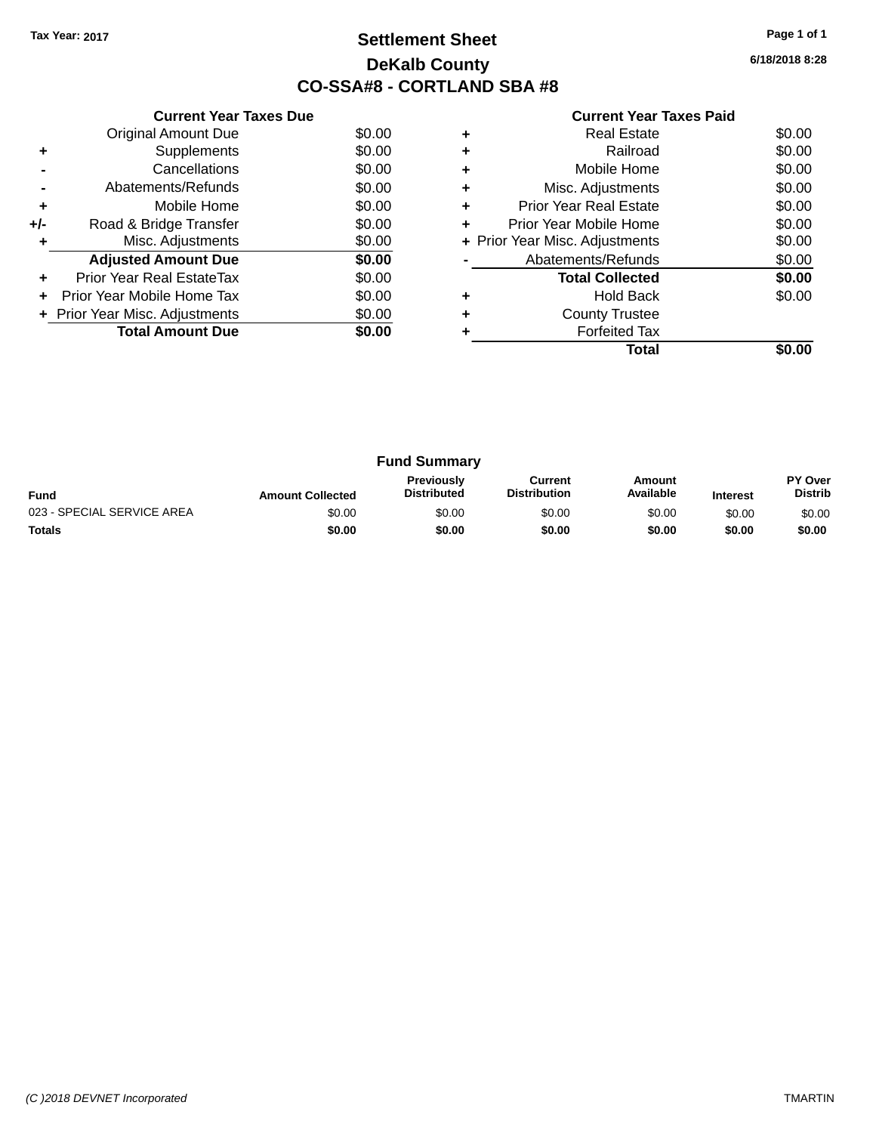# **Settlement Sheet Tax Year: 2017 Page 1 of 1 DeKalb County CO-SSA#8 - CORTLAND SBA #8**

**6/18/2018 8:28**

|     | <b>Current Year Taxes Due</b>  |        |
|-----|--------------------------------|--------|
|     | <b>Original Amount Due</b>     | \$0.00 |
| ٠   | Supplements                    | \$0.00 |
|     | Cancellations                  | \$0.00 |
|     | Abatements/Refunds             | \$0.00 |
| ٠   | Mobile Home                    | \$0.00 |
| +/- | Road & Bridge Transfer         | \$0.00 |
| ٠   | Misc. Adjustments              | \$0.00 |
|     | <b>Adjusted Amount Due</b>     | \$0.00 |
| ٠   | Prior Year Real EstateTax      | \$0.00 |
| ÷   | Prior Year Mobile Home Tax     | \$0.00 |
|     | + Prior Year Misc. Adjustments | \$0.00 |
|     | <b>Total Amount Due</b>        | \$0.00 |
|     |                                |        |

|   | <b>Real Estate</b>             | \$0.00 |
|---|--------------------------------|--------|
|   | Railroad                       | \$0.00 |
|   | Mobile Home                    | \$0.00 |
| ٠ | Misc. Adjustments              | \$0.00 |
| ٠ | Prior Year Real Estate         | \$0.00 |
| ٠ | Prior Year Mobile Home         | \$0.00 |
|   | + Prior Year Misc. Adjustments | \$0.00 |
|   | Abatements/Refunds             | \$0.00 |
|   | <b>Total Collected</b>         | \$0.00 |
|   | <b>Hold Back</b>               | \$0.00 |
|   | <b>County Trustee</b>          |        |
|   | <b>Forfeited Tax</b>           |        |
|   | Total                          |        |

|                            |                         | <b>Fund Summary</b>                     |                                |                     |                 |                           |
|----------------------------|-------------------------|-----------------------------------------|--------------------------------|---------------------|-----------------|---------------------------|
| <b>Fund</b>                | <b>Amount Collected</b> | <b>Previously</b><br><b>Distributed</b> | Current<br><b>Distribution</b> | Amount<br>Available | <b>Interest</b> | PY Over<br><b>Distrib</b> |
| 023 - SPECIAL SERVICE AREA | \$0.00                  | \$0.00                                  | \$0.00                         | \$0.00              | \$0.00          | \$0.00                    |
| <b>Totals</b>              | \$0.00                  | \$0.00                                  | \$0.00                         | \$0.00              | \$0.00          | \$0.00                    |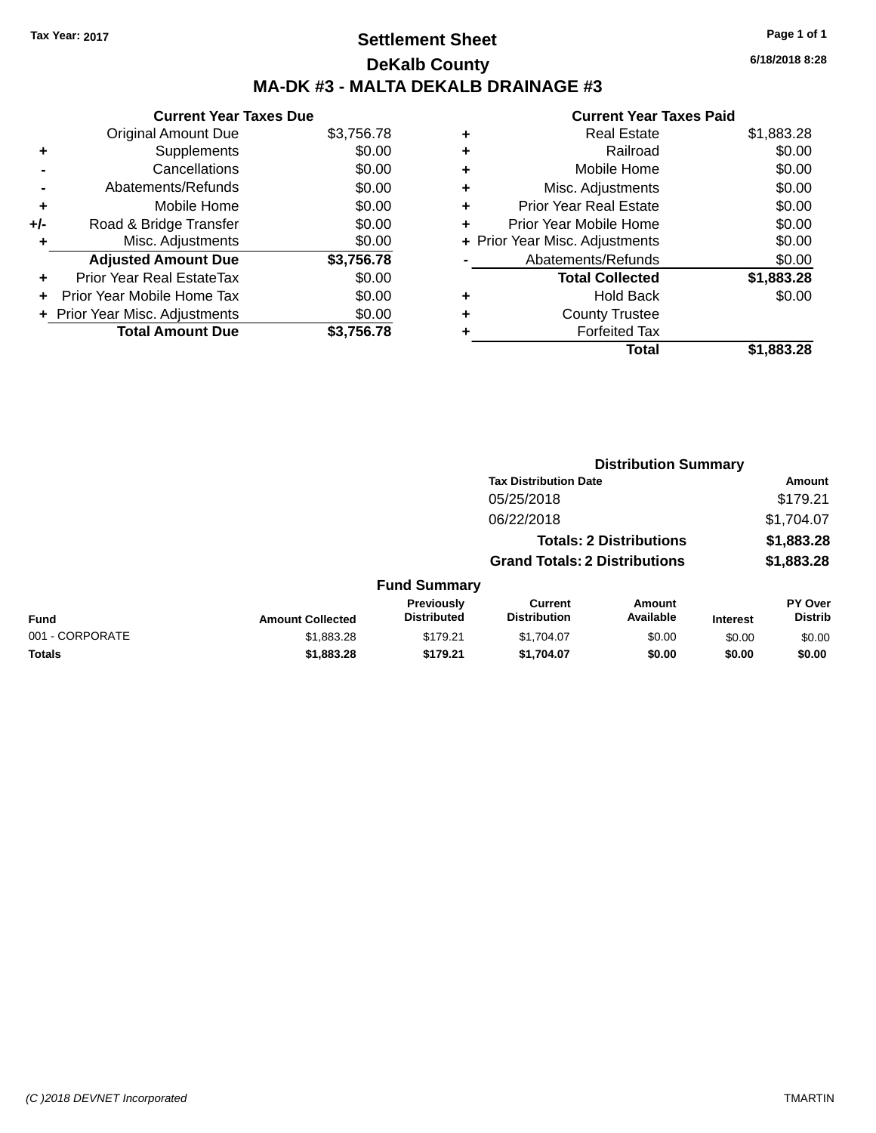# **Settlement Sheet Tax Year: 2017 Page 1 of 1 DeKalb County MA-DK #3 - MALTA DEKALB DRAINAGE #3**

#### **Current Year Taxes Due** Original Amount Due \$3,756.78 **+** Supplements \$0.00 **-** Cancellations \$0.00 **-** Abatements/Refunds \$0.00 **+** Mobile Home \$0.00 **+/-** Road & Bridge Transfer \$0.00 **+** Misc. Adjustments \$0.00 **Adjusted Amount Due \$3,756.78 +** Prior Year Real EstateTax \$0.00 **+** Prior Year Mobile Home Tax \$0.00 **+ Prior Year Misc. Adjustments**  $$0.00$ **Total Amount Due \$3,756.78**

# **Current Year Taxes Paid +** Real Estate \$1,883.28 **+** Railroad \$0.00

|   | Abatements/Refunds     | \$0.00     |
|---|------------------------|------------|
|   |                        | \$1,883.28 |
|   | <b>Total Collected</b> |            |
|   |                        |            |
|   | <b>Hold Back</b>       | \$0.00     |
| ÷ | <b>County Trustee</b>  |            |
|   | <b>Forfeited Tax</b>   |            |

|                 |                         |                                         | <b>Distribution Summary</b>           |                                |                 |                                  |
|-----------------|-------------------------|-----------------------------------------|---------------------------------------|--------------------------------|-----------------|----------------------------------|
|                 |                         |                                         | <b>Tax Distribution Date</b>          |                                |                 | Amount                           |
|                 |                         |                                         | 05/25/2018                            |                                |                 | \$179.21                         |
|                 |                         |                                         | 06/22/2018                            |                                |                 | \$1,704.07                       |
|                 |                         |                                         |                                       | <b>Totals: 2 Distributions</b> |                 | \$1,883.28                       |
|                 |                         |                                         | <b>Grand Totals: 2 Distributions</b>  |                                |                 | \$1,883.28                       |
|                 |                         | <b>Fund Summary</b>                     |                                       |                                |                 |                                  |
| Fund            | <b>Amount Collected</b> | <b>Previously</b><br><b>Distributed</b> | <b>Current</b><br><b>Distribution</b> | <b>Amount</b><br>Available     | <b>Interest</b> | <b>PY Over</b><br><b>Distrib</b> |
| 001 - CORPORATE | \$1,883.28              | \$179.21                                | \$1,704.07                            | \$0.00                         | \$0.00          | \$0.00                           |
| <b>Totals</b>   | \$1,883.28              | \$179.21                                | \$1,704.07                            | \$0.00                         | \$0.00          | \$0.00                           |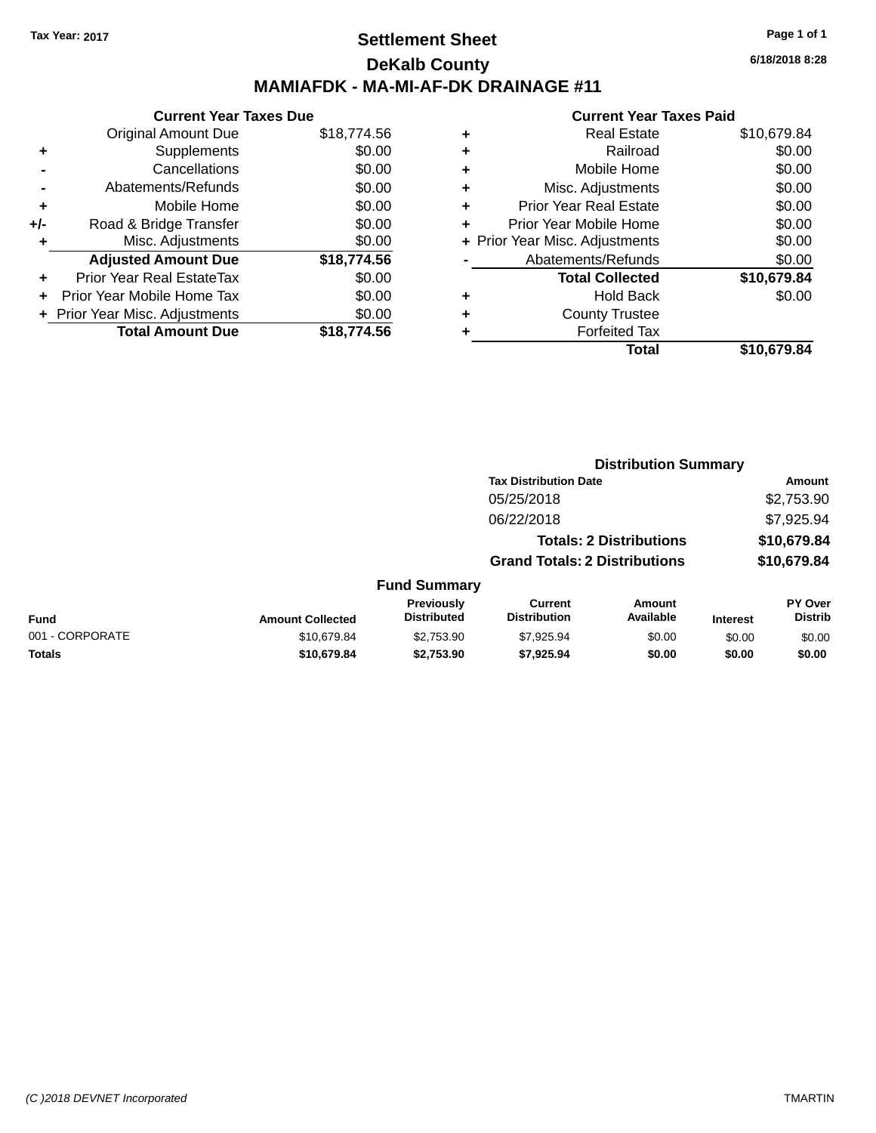### **Settlement Sheet Tax Year: 2017 Page 1 of 1 DeKalb County MAMIAFDK - MA-MI-AF-DK DRAINAGE #11**

**Current Year Taxes Due** Original Amount Due \$18,774.56 **+** Supplements \$0.00 **-** Cancellations \$0.00 **-** Abatements/Refunds \$0.00 **+** Mobile Home \$0.00 **+/-** Road & Bridge Transfer \$0.00 **+** Misc. Adjustments \$0.00 **Adjusted Amount Due \$18,774.56 +** Prior Year Real EstateTax \$0.00 **+** Prior Year Mobile Home Tax \$0.00 **+ Prior Year Misc. Adjustments**  $$0.00$ **Total Amount Due \$18,774.56**

#### **Current Year Taxes Paid +** Real Estate \$10,679.84 **+** Railroad \$0.00 **+** Mobile Home

|   | Total                          | \$10,679.84 |
|---|--------------------------------|-------------|
|   | <b>Forfeited Tax</b>           |             |
| ÷ | <b>County Trustee</b>          |             |
| ٠ | <b>Hold Back</b>               | \$0.00      |
|   | <b>Total Collected</b>         | \$10,679.84 |
|   | Abatements/Refunds             | \$0.00      |
|   | + Prior Year Misc. Adjustments | \$0.00      |
| ÷ | Prior Year Mobile Home         | \$0.00      |
| ÷ | <b>Prior Year Real Estate</b>  | \$0.00      |
| ÷ | Misc. Adjustments              | \$0.00      |
|   | <u></u>                        | vv.vv       |

**Distribution Summary**

|                 |                         |                                         | <b>Tax Distribution Date</b>          |                                |                 | <b>Amount</b>             |
|-----------------|-------------------------|-----------------------------------------|---------------------------------------|--------------------------------|-----------------|---------------------------|
|                 |                         |                                         | 05/25/2018                            |                                |                 | \$2,753.90                |
|                 |                         |                                         | 06/22/2018                            |                                |                 | \$7,925.94                |
|                 |                         |                                         |                                       | <b>Totals: 2 Distributions</b> |                 | \$10,679.84               |
|                 |                         |                                         | <b>Grand Totals: 2 Distributions</b>  |                                |                 | \$10,679.84               |
|                 |                         | <b>Fund Summary</b>                     |                                       |                                |                 |                           |
| Fund            | <b>Amount Collected</b> | <b>Previously</b><br><b>Distributed</b> | <b>Current</b><br><b>Distribution</b> | Amount<br>Available            | <b>Interest</b> | PY Over<br><b>Distrib</b> |
| 001 - CORPORATE | \$10,679.84             | \$2,753.90                              | \$7,925.94                            | \$0.00                         | \$0.00          | \$0.00                    |
| Totals          | \$10,679.84             | \$2,753.90                              | \$7.925.94                            | \$0.00                         | \$0.00          | \$0.00                    |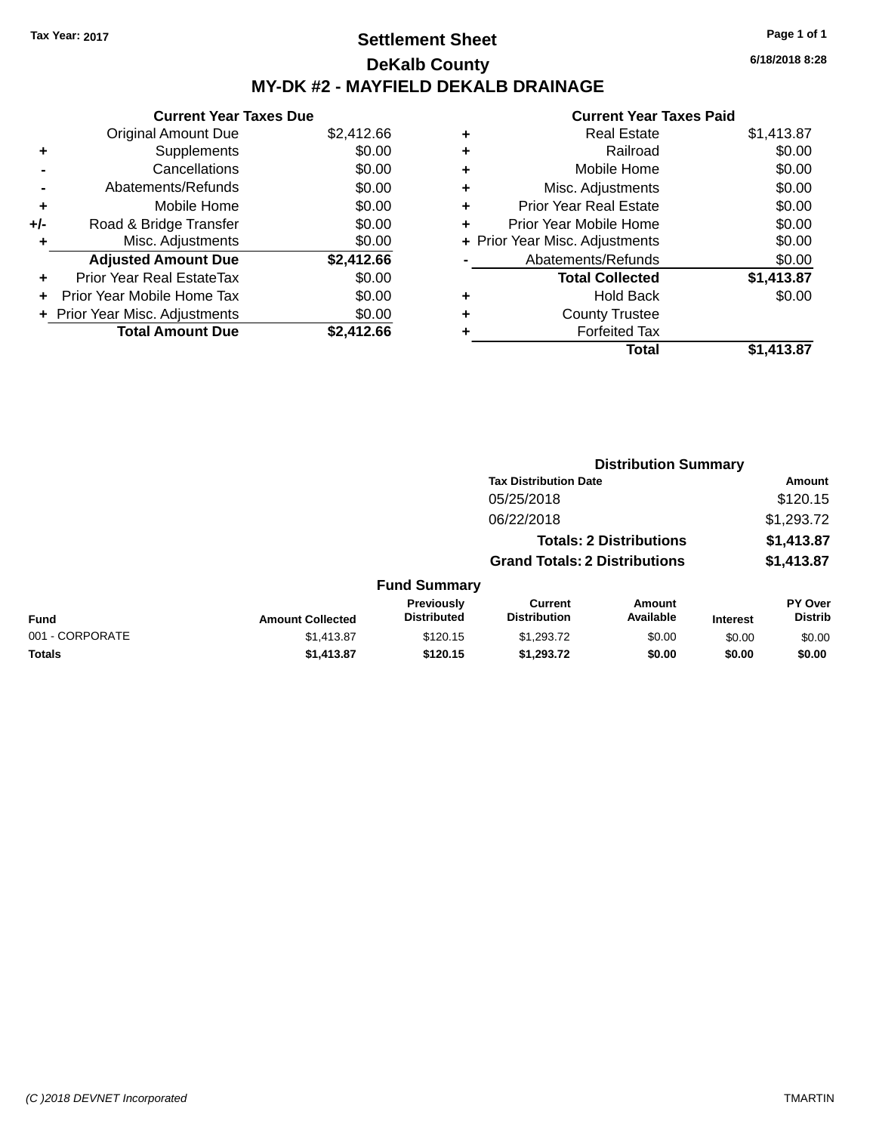# **Settlement Sheet Tax Year: 2017 Page 1 of 1 DeKalb County MY-DK #2 - MAYFIELD DEKALB DRAINAGE**

**6/18/2018 8:28**

|     | <b>Current Year Taxes Due</b>  |            |
|-----|--------------------------------|------------|
|     | <b>Original Amount Due</b>     | \$2,412.66 |
| ٠   | Supplements                    | \$0.00     |
|     | Cancellations                  | \$0.00     |
|     | Abatements/Refunds             | \$0.00     |
| ٠   | Mobile Home                    | \$0.00     |
| +/- | Road & Bridge Transfer         | \$0.00     |
| ٠   | Misc. Adjustments              | \$0.00     |
|     | <b>Adjusted Amount Due</b>     | \$2,412.66 |
| ٠   | Prior Year Real EstateTax      | \$0.00     |
| ÷   | Prior Year Mobile Home Tax     | \$0.00     |
|     | + Prior Year Misc. Adjustments | \$0.00     |
|     | <b>Total Amount Due</b>        | \$2.412.66 |

| ٠ | Real Estate                    | \$1,413.87 |
|---|--------------------------------|------------|
| ٠ | Railroad                       | \$0.00     |
| ٠ | Mobile Home                    | \$0.00     |
| ٠ | Misc. Adjustments              | \$0.00     |
| ٠ | <b>Prior Year Real Estate</b>  | \$0.00     |
| ٠ | Prior Year Mobile Home         | \$0.00     |
|   | + Prior Year Misc. Adjustments | \$0.00     |
|   | Abatements/Refunds             | \$0.00     |
|   | <b>Total Collected</b>         | \$1,413.87 |
| ٠ | Hold Back                      | \$0.00     |
| ٠ | <b>County Trustee</b>          |            |
| ٠ | <b>Forfeited Tax</b>           |            |
|   | Total                          | \$1,413.87 |
|   |                                |            |

|                 |                         |                                  |                                       | <b>Distribution Summary</b>    |                 |                           |
|-----------------|-------------------------|----------------------------------|---------------------------------------|--------------------------------|-----------------|---------------------------|
|                 |                         |                                  | <b>Tax Distribution Date</b>          |                                |                 | Amount                    |
|                 |                         |                                  | 05/25/2018                            |                                |                 | \$120.15                  |
|                 |                         |                                  | 06/22/2018                            |                                |                 | \$1,293.72                |
|                 |                         |                                  |                                       | <b>Totals: 2 Distributions</b> |                 | \$1,413.87                |
|                 |                         |                                  | <b>Grand Totals: 2 Distributions</b>  |                                |                 | \$1,413.87                |
|                 |                         | <b>Fund Summary</b>              |                                       |                                |                 |                           |
| <b>Fund</b>     | <b>Amount Collected</b> | Previously<br><b>Distributed</b> | <b>Current</b><br><b>Distribution</b> | <b>Amount</b><br>Available     | <b>Interest</b> | PY Over<br><b>Distrib</b> |
| 001 - CORPORATE | \$1,413.87              | \$120.15                         | \$1,293.72                            | \$0.00                         | \$0.00          | \$0.00                    |
| <b>Totals</b>   | \$1,413.87              | \$120.15                         | \$1,293.72                            | \$0.00                         | \$0.00          | \$0.00                    |
|                 |                         |                                  |                                       |                                |                 |                           |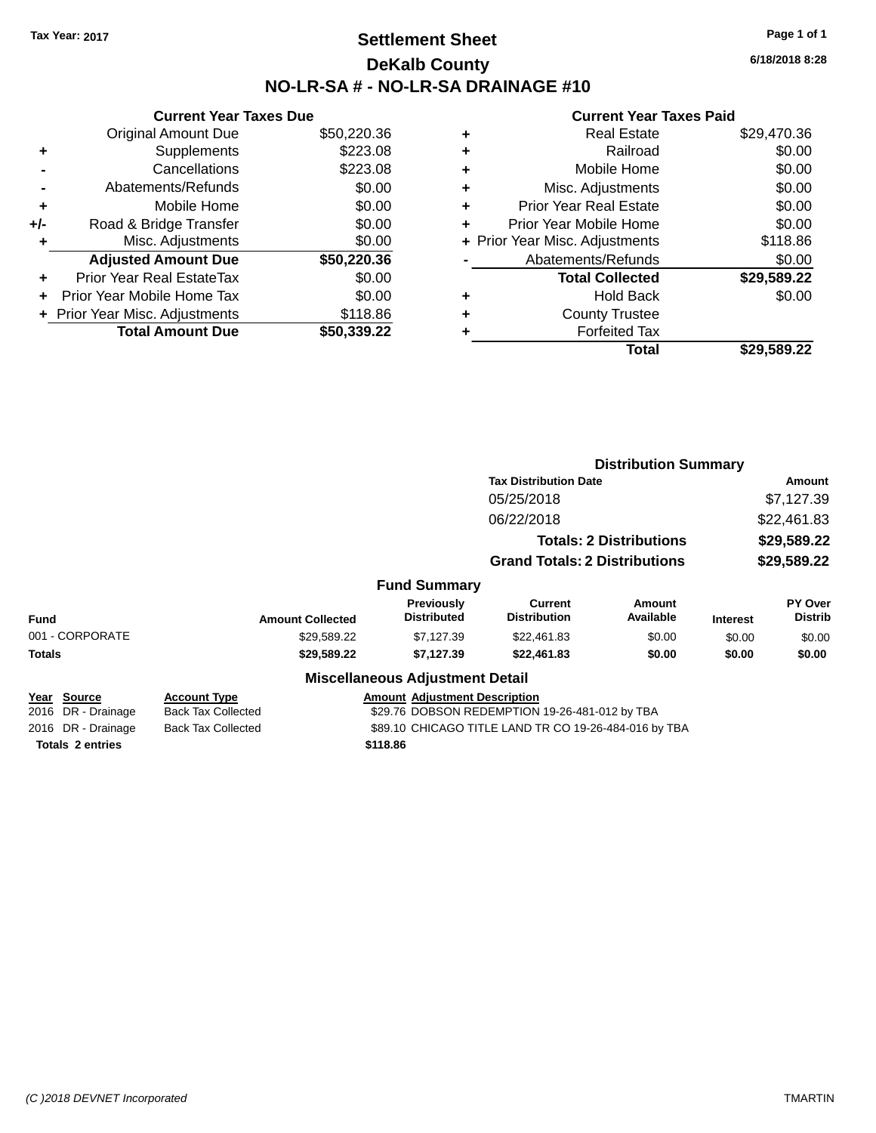# **Settlement Sheet Tax Year: 2017 Page 1 of 1 DeKalb County NO-LR-SA # - NO-LR-SA DRAINAGE #10**

**6/18/2018 8:28**

|     | <b>Current Year Taxes Due</b>    |             |
|-----|----------------------------------|-------------|
|     | <b>Original Amount Due</b>       | \$50,220.36 |
| ٠   | Supplements                      | \$223.08    |
|     | Cancellations                    | \$223.08    |
|     | Abatements/Refunds               | \$0.00      |
| ٠   | Mobile Home                      | \$0.00      |
| +/- | Road & Bridge Transfer           | \$0.00      |
| ٠   | Misc. Adjustments                | \$0.00      |
|     | <b>Adjusted Amount Due</b>       | \$50,220.36 |
| ÷   | <b>Prior Year Real EstateTax</b> | \$0.00      |
|     | Prior Year Mobile Home Tax       | \$0.00      |
|     | + Prior Year Misc. Adjustments   | \$118.86    |
|     | <b>Total Amount Due</b>          | \$50,339.22 |

| ٠ | <b>Real Estate</b>             | \$29,470.36 |
|---|--------------------------------|-------------|
| ٠ | Railroad                       | \$0.00      |
| ٠ | Mobile Home                    | \$0.00      |
| ٠ | Misc. Adjustments              | \$0.00      |
| ٠ | <b>Prior Year Real Estate</b>  | \$0.00      |
| ٠ | Prior Year Mobile Home         | \$0.00      |
|   | + Prior Year Misc. Adjustments | \$118.86    |
|   | Abatements/Refunds             | \$0.00      |
|   | <b>Total Collected</b>         | \$29,589.22 |
| ٠ | <b>Hold Back</b>               | \$0.00      |
| ٠ | <b>County Trustee</b>          |             |
| ٠ | <b>Forfeited Tax</b>           |             |
|   | Total                          | \$29,589.22 |
|   |                                |             |

|                         |                           |                                                       | <b>Distribution Summary</b>                    |                                |                 |                           |
|-------------------------|---------------------------|-------------------------------------------------------|------------------------------------------------|--------------------------------|-----------------|---------------------------|
|                         |                           |                                                       | <b>Tax Distribution Date</b>                   |                                | Amount          |                           |
|                         |                           |                                                       | 05/25/2018                                     |                                |                 | \$7,127.39                |
|                         |                           |                                                       | 06/22/2018                                     |                                | \$22,461.83     |                           |
|                         |                           |                                                       |                                                | <b>Totals: 2 Distributions</b> |                 | \$29,589.22               |
|                         |                           |                                                       | <b>Grand Totals: 2 Distributions</b>           |                                |                 | \$29,589.22               |
|                         |                           | <b>Fund Summary</b>                                   |                                                |                                |                 |                           |
| Fund                    | <b>Amount Collected</b>   | Previously<br><b>Distributed</b>                      | <b>Current</b><br><b>Distribution</b>          | Amount<br>Available            | <b>Interest</b> | PY Over<br><b>Distrib</b> |
| 001 - CORPORATE         | \$29,589.22               | \$7,127.39                                            | \$22,461.83                                    | \$0.00                         | \$0.00          | \$0.00                    |
| Totals                  | \$29,589.22               | \$7,127.39                                            | \$22,461.83                                    | \$0.00                         | \$0.00          | \$0.00                    |
|                         |                           | <b>Miscellaneous Adjustment Detail</b>                |                                                |                                |                 |                           |
| Year Source             | <b>Account Type</b>       | <b>Amount Adjustment Description</b>                  |                                                |                                |                 |                           |
| 2016 DR - Drainage      | <b>Back Tax Collected</b> |                                                       | \$29.76 DOBSON REDEMPTION 19-26-481-012 by TBA |                                |                 |                           |
| 2016 DR - Drainage      | <b>Back Tax Collected</b> | \$89.10 CHICAGO TITLE LAND TR CO 19-26-484-016 by TBA |                                                |                                |                 |                           |
| <b>Totals 2 entries</b> |                           | \$118.86                                              |                                                |                                |                 |                           |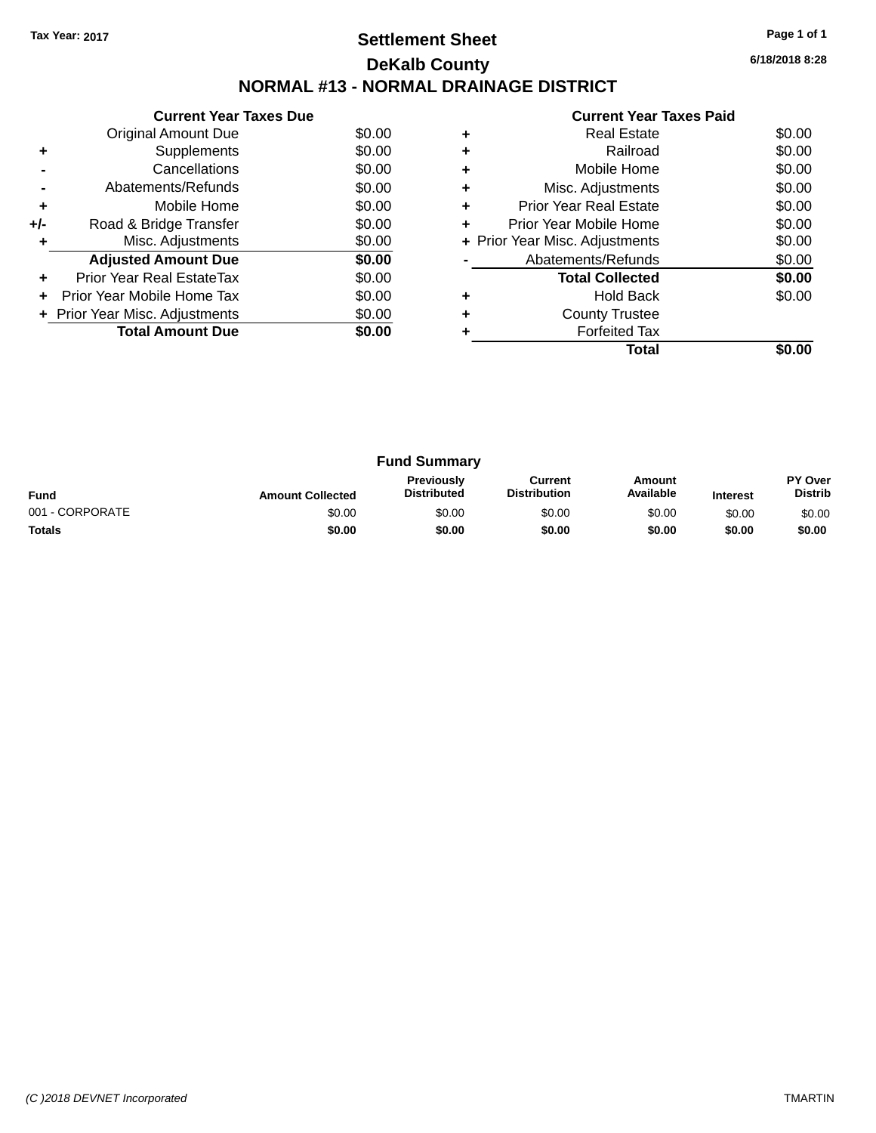# **Settlement Sheet Tax Year: 2017 Page 1 of 1 DeKalb County NORMAL #13 - NORMAL DRAINAGE DISTRICT**

**6/18/2018 8:28**

| <b>Current Year Taxes Paid</b> |  |  |
|--------------------------------|--|--|
|                                |  |  |

|     | <b>Current Year Taxes Due</b>  |        |
|-----|--------------------------------|--------|
|     | Original Amount Due            | \$0.00 |
| ٠   | Supplements                    | \$0.00 |
|     | Cancellations                  | \$0.00 |
|     | Abatements/Refunds             | \$0.00 |
| ÷   | Mobile Home                    | \$0.00 |
| +/- | Road & Bridge Transfer         | \$0.00 |
| ٠   | Misc. Adjustments              | \$0.00 |
|     | <b>Adjusted Amount Due</b>     | \$0.00 |
| ٠   | Prior Year Real EstateTax      | \$0.00 |
|     | Prior Year Mobile Home Tax     | \$0.00 |
|     | + Prior Year Misc. Adjustments | \$0.00 |
|     | <b>Total Amount Due</b>        | \$0.00 |
|     |                                |        |

|   | <b>Real Estate</b>             | \$0.00 |
|---|--------------------------------|--------|
|   | Railroad                       | \$0.00 |
| ٠ | Mobile Home                    | \$0.00 |
| ٠ | Misc. Adjustments              | \$0.00 |
| ٠ | <b>Prior Year Real Estate</b>  | \$0.00 |
| ٠ | Prior Year Mobile Home         | \$0.00 |
|   | + Prior Year Misc. Adjustments | \$0.00 |
|   | Abatements/Refunds             | \$0.00 |
|   | <b>Total Collected</b>         | \$0.00 |
|   | <b>Hold Back</b>               | \$0.00 |
|   | <b>County Trustee</b>          |        |
|   | <b>Forfeited Tax</b>           |        |
|   | Total                          |        |

|                 |                         | <b>Fund Summary</b>              |                                |                     |                 |                           |
|-----------------|-------------------------|----------------------------------|--------------------------------|---------------------|-----------------|---------------------------|
| <b>Fund</b>     | <b>Amount Collected</b> | Previously<br><b>Distributed</b> | Current<br><b>Distribution</b> | Amount<br>Available | <b>Interest</b> | PY Over<br><b>Distrib</b> |
| 001 - CORPORATE | \$0.00                  | \$0.00                           | \$0.00                         | \$0.00              | \$0.00          | \$0.00                    |
| <b>Totals</b>   | \$0.00                  | \$0.00                           | \$0.00                         | \$0.00              | \$0.00          | \$0.00                    |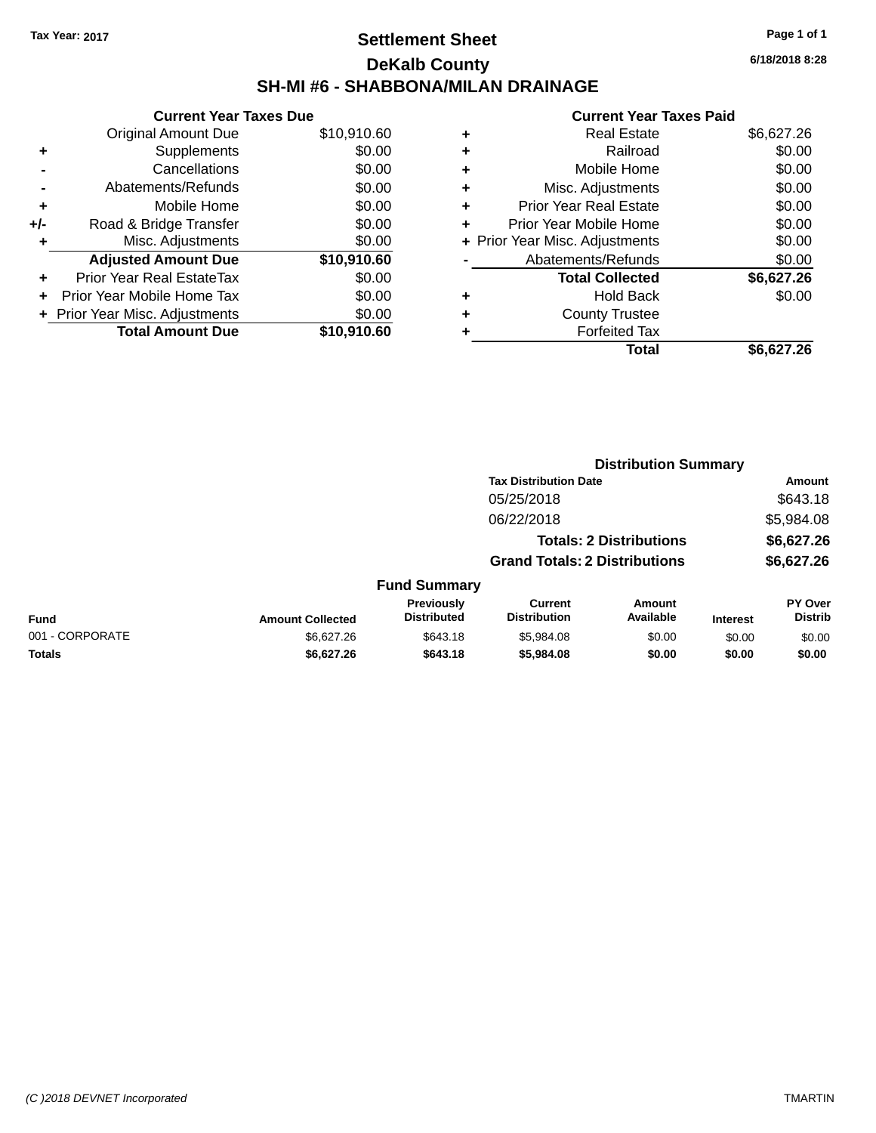# **Settlement Sheet Tax Year: 2017 Page 1 of 1 DeKalb County SH-MI #6 - SHABBONA/MILAN DRAINAGE**

**6/18/2018 8:28**

|     | <b>Current Year Taxes Due</b>  |             |
|-----|--------------------------------|-------------|
|     | <b>Original Amount Due</b>     | \$10,910.60 |
| ٠   | Supplements                    | \$0.00      |
|     | Cancellations                  | \$0.00      |
|     | Abatements/Refunds             | \$0.00      |
| ٠   | Mobile Home                    | \$0.00      |
| +/- | Road & Bridge Transfer         | \$0.00      |
|     | Misc. Adjustments              | \$0.00      |
|     | <b>Adjusted Amount Due</b>     | \$10,910.60 |
| ÷   | Prior Year Real EstateTax      | \$0.00      |
|     | Prior Year Mobile Home Tax     | \$0.00      |
|     | + Prior Year Misc. Adjustments | \$0.00      |
|     | <b>Total Amount Due</b>        | \$10,910.60 |

|   | <b>Real Estate</b>             | \$6,627.26 |
|---|--------------------------------|------------|
| ٠ | Railroad                       | \$0.00     |
| ٠ | Mobile Home                    | \$0.00     |
| ٠ | Misc. Adjustments              | \$0.00     |
| ٠ | <b>Prior Year Real Estate</b>  | \$0.00     |
| ٠ | Prior Year Mobile Home         | \$0.00     |
|   | + Prior Year Misc. Adjustments | \$0.00     |
|   | Abatements/Refunds             | \$0.00     |
|   | <b>Total Collected</b>         | \$6,627.26 |
|   | <b>Hold Back</b>               | \$0.00     |
| ٠ | <b>County Trustee</b>          |            |
|   | <b>Forfeited Tax</b>           |            |
|   | Total                          | \$6.627.26 |
|   |                                |            |

|                 |                         |                                  | <b>Distribution Summary</b>           |                                |                 |                                  |
|-----------------|-------------------------|----------------------------------|---------------------------------------|--------------------------------|-----------------|----------------------------------|
|                 |                         |                                  | <b>Tax Distribution Date</b>          |                                |                 | Amount                           |
|                 |                         |                                  | 05/25/2018                            |                                |                 | \$643.18                         |
|                 |                         |                                  | 06/22/2018                            |                                |                 | \$5,984.08                       |
|                 |                         |                                  |                                       | <b>Totals: 2 Distributions</b> |                 | \$6,627.26                       |
|                 |                         |                                  | <b>Grand Totals: 2 Distributions</b>  |                                |                 | \$6,627.26                       |
|                 |                         | <b>Fund Summary</b>              |                                       |                                |                 |                                  |
| <b>Fund</b>     | <b>Amount Collected</b> | Previously<br><b>Distributed</b> | <b>Current</b><br><b>Distribution</b> | Amount<br>Available            | <b>Interest</b> | <b>PY Over</b><br><b>Distrib</b> |
| 001 - CORPORATE | \$6,627.26              | \$643.18                         | \$5.984.08                            | \$0.00                         | \$0.00          | \$0.00                           |
| <b>Totals</b>   | \$6,627.26              | \$643.18                         | \$5,984.08                            | \$0.00                         | \$0.00          | \$0.00                           |
|                 |                         |                                  |                                       |                                |                 |                                  |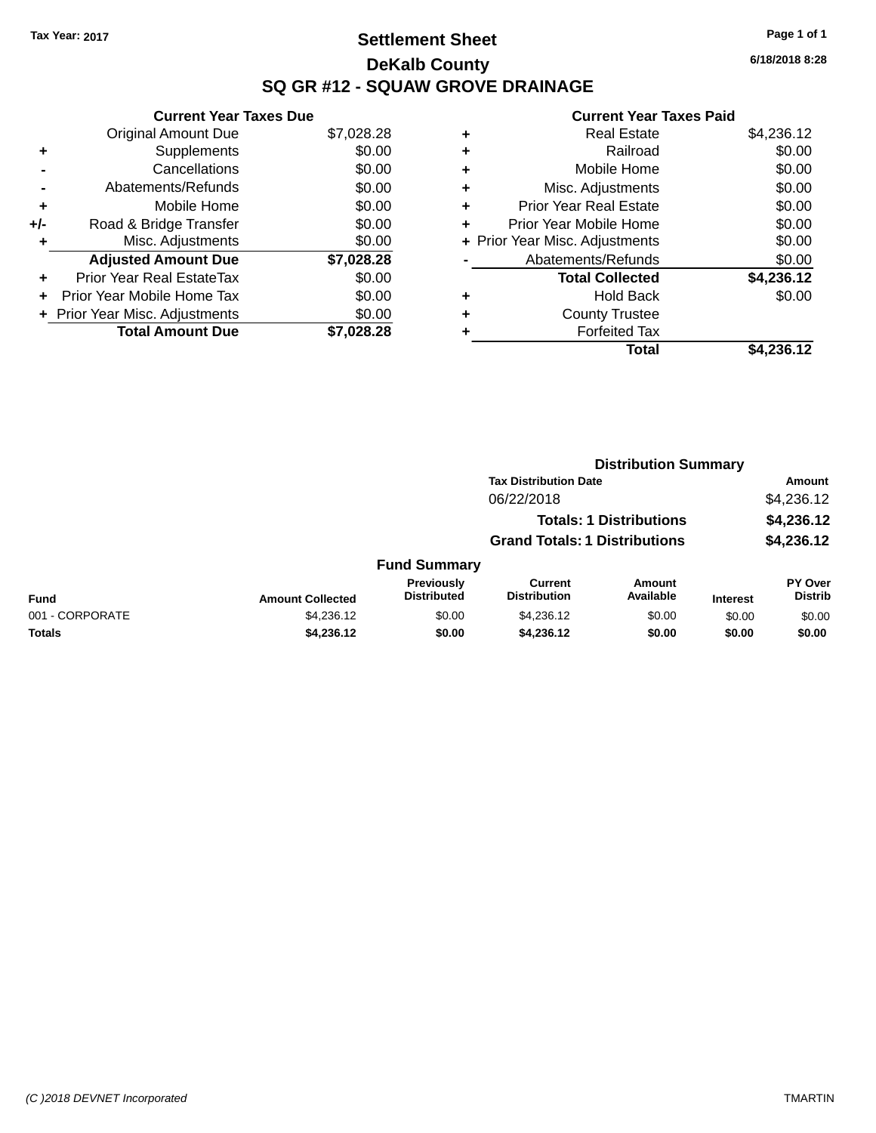# **Settlement Sheet Tax Year: 2017 Page 1 of 1 DeKalb County SQ GR #12 - SQUAW GROVE DRAINAGE**

**6/18/2018 8:28**

|     | <b>Current Year Taxes Due</b>  |            |
|-----|--------------------------------|------------|
|     | <b>Original Amount Due</b>     | \$7,028.28 |
| ٠   | Supplements                    | \$0.00     |
|     | Cancellations                  | \$0.00     |
|     | Abatements/Refunds             | \$0.00     |
| ٠   | Mobile Home                    | \$0.00     |
| +/- | Road & Bridge Transfer         | \$0.00     |
|     | Misc. Adjustments              | \$0.00     |
|     | <b>Adjusted Amount Due</b>     | \$7,028.28 |
| ÷   | Prior Year Real EstateTax      | \$0.00     |
|     | Prior Year Mobile Home Tax     | \$0.00     |
|     | + Prior Year Misc. Adjustments | \$0.00     |
|     | <b>Total Amount Due</b>        | \$7,028.28 |

|   | <b>Real Estate</b>             | \$4,236.12 |
|---|--------------------------------|------------|
| ٠ | Railroad                       | \$0.00     |
| ٠ | Mobile Home                    | \$0.00     |
| ٠ | Misc. Adjustments              | \$0.00     |
| ٠ | <b>Prior Year Real Estate</b>  | \$0.00     |
| ٠ | Prior Year Mobile Home         | \$0.00     |
|   | + Prior Year Misc. Adjustments | \$0.00     |
|   | Abatements/Refunds             | \$0.00     |
|   | <b>Total Collected</b>         | \$4,236.12 |
| ٠ | <b>Hold Back</b>               | \$0.00     |
| ٠ | <b>County Trustee</b>          |            |
| ٠ | <b>Forfeited Tax</b>           |            |
|   | Total                          | \$4,236.12 |
|   |                                |            |

|                 |                         |                                  | <b>Distribution Summary</b>           |                                |                 |                           |
|-----------------|-------------------------|----------------------------------|---------------------------------------|--------------------------------|-----------------|---------------------------|
|                 |                         |                                  | <b>Tax Distribution Date</b>          |                                |                 | <b>Amount</b>             |
|                 |                         |                                  | 06/22/2018                            |                                |                 | \$4,236.12                |
|                 |                         |                                  |                                       | <b>Totals: 1 Distributions</b> |                 | \$4,236.12                |
|                 |                         |                                  | <b>Grand Totals: 1 Distributions</b>  |                                |                 | \$4,236.12                |
|                 |                         | <b>Fund Summary</b>              |                                       |                                |                 |                           |
| <b>Fund</b>     | <b>Amount Collected</b> | Previously<br><b>Distributed</b> | <b>Current</b><br><b>Distribution</b> | Amount<br>Available            | <b>Interest</b> | PY Over<br><b>Distrib</b> |
| 001 - CORPORATE | \$4,236.12              | \$0.00                           | \$4,236.12                            | \$0.00                         | \$0.00          | \$0.00                    |
| Totals          | \$4,236.12              | \$0.00                           | \$4,236.12                            | \$0.00                         | \$0.00          | \$0.00                    |
|                 |                         |                                  |                                       |                                |                 |                           |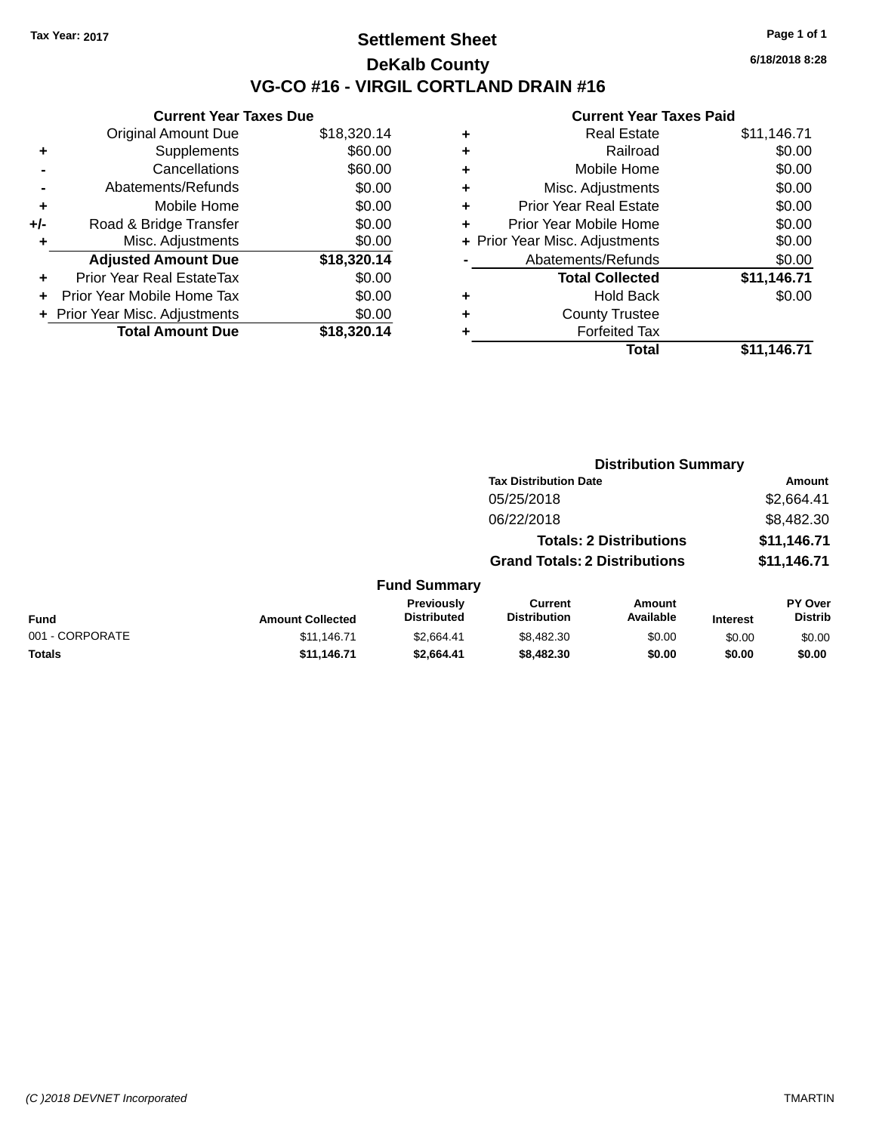### **Settlement Sheet Tax Year: 2017 Page 1 of 1 DeKalb County VG-CO #16 - VIRGIL CORTLAND DRAIN #16**

**6/18/2018 8:28**

|     | <b>Current Year Taxes Due</b>  |             |
|-----|--------------------------------|-------------|
|     | <b>Original Amount Due</b>     | \$18,320.14 |
| ٠   | Supplements                    | \$60.00     |
|     | Cancellations                  | \$60.00     |
|     | Abatements/Refunds             | \$0.00      |
| ÷   | Mobile Home                    | \$0.00      |
| +/- | Road & Bridge Transfer         | \$0.00      |
| ٠   | Misc. Adjustments              | \$0.00      |
|     | <b>Adjusted Amount Due</b>     | \$18,320.14 |
| ٠   | Prior Year Real EstateTax      | \$0.00      |
| ÷   | Prior Year Mobile Home Tax     | \$0.00      |
|     | + Prior Year Misc. Adjustments | \$0.00      |
|     | <b>Total Amount Due</b>        | \$18,320.14 |
|     |                                |             |

|   | <b>Real Estate</b>             | \$11,146.71 |
|---|--------------------------------|-------------|
| ٠ | Railroad                       | \$0.00      |
| ٠ | Mobile Home                    | \$0.00      |
| ٠ | Misc. Adjustments              | \$0.00      |
| ٠ | <b>Prior Year Real Estate</b>  | \$0.00      |
| ٠ | Prior Year Mobile Home         | \$0.00      |
|   | + Prior Year Misc. Adjustments | \$0.00      |
|   | Abatements/Refunds             | \$0.00      |
|   | <b>Total Collected</b>         | \$11,146.71 |
| ٠ | Hold Back                      | \$0.00      |
|   | <b>County Trustee</b>          |             |
| ٠ | <b>Forfeited Tax</b>           |             |
|   | Total                          | \$11,146.71 |
|   |                                |             |

|                 |                         |                                  | <b>Distribution Summary</b>           |                                |                 |                                  |
|-----------------|-------------------------|----------------------------------|---------------------------------------|--------------------------------|-----------------|----------------------------------|
|                 |                         |                                  | <b>Tax Distribution Date</b>          |                                |                 | Amount                           |
|                 |                         |                                  | 05/25/2018                            |                                |                 | \$2,664.41                       |
|                 |                         |                                  | 06/22/2018                            |                                |                 | \$8,482.30                       |
|                 |                         |                                  |                                       | <b>Totals: 2 Distributions</b> |                 | \$11,146.71                      |
|                 |                         |                                  | <b>Grand Totals: 2 Distributions</b>  |                                |                 | \$11,146.71                      |
|                 |                         | <b>Fund Summary</b>              |                                       |                                |                 |                                  |
| Fund            | <b>Amount Collected</b> | Previously<br><b>Distributed</b> | <b>Current</b><br><b>Distribution</b> | Amount<br>Available            | <b>Interest</b> | <b>PY Over</b><br><b>Distrib</b> |
| 001 - CORPORATE | \$11,146.71             | \$2,664.41                       | \$8,482.30                            | \$0.00                         | \$0.00          | \$0.00                           |
| Totals          | \$11,146.71             | \$2,664.41                       | \$8,482.30                            | \$0.00                         | \$0.00          | \$0.00                           |
|                 |                         |                                  |                                       |                                |                 |                                  |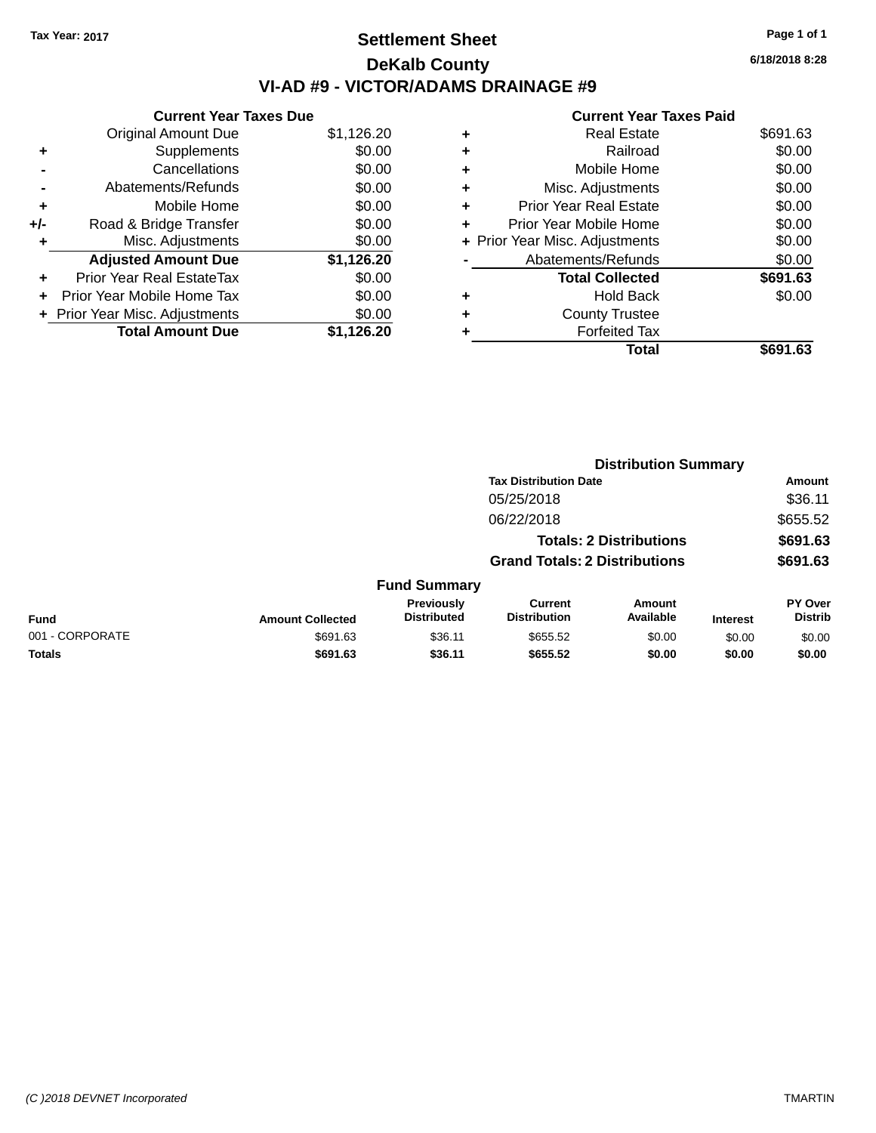# **Settlement Sheet Tax Year: 2017 Page 1 of 1 DeKalb County VI-AD #9 - VICTOR/ADAMS DRAINAGE #9**

| <b>Current Year Taxes Due</b>  |            |
|--------------------------------|------------|
| <b>Original Amount Due</b>     | \$1,126.20 |
| Supplements                    | \$0.00     |
| Cancellations                  | \$0.00     |
| Abatements/Refunds             | \$0.00     |
| Mobile Home                    | \$0.00     |
| Road & Bridge Transfer         | \$0.00     |
| Misc. Adjustments              | \$0.00     |
| <b>Adjusted Amount Due</b>     | \$1,126.20 |
| Prior Year Real EstateTax      | \$0.00     |
| Prior Year Mobile Home Tax     | \$0.00     |
| + Prior Year Misc. Adjustments | \$0.00     |
| <b>Total Amount Due</b>        | \$1,126.20 |
|                                |            |

|   | <b>Current Year Taxes Paid</b> |          |
|---|--------------------------------|----------|
| ٠ | <b>Real Estate</b>             | \$691.63 |
| ٠ | Railroad                       | \$0.00   |
| ٠ | Mobile Home                    | \$0.00   |
| ٠ | Misc. Adjustments              | \$0.00   |
| ٠ | Prior Year Real Estate         | \$0.00   |
| ÷ | Prior Year Mobile Home         | \$0.00   |
|   | + Prior Year Misc. Adjustments | \$0.00   |
|   | Abatements/Refunds             | \$0.00   |
|   | <b>Total Collected</b>         | \$691.63 |
|   | Hold Back                      | \$0.00   |
|   | <b>County Trustee</b>          |          |
|   | <b>Forfeited Tax</b>           |          |
|   | Total                          | \$691.63 |
|   |                                |          |

**6/18/2018 8:28**

|                 |                         |                                  | <b>Distribution Summary</b>                                                                |                            |                 |                                  |
|-----------------|-------------------------|----------------------------------|--------------------------------------------------------------------------------------------|----------------------------|-----------------|----------------------------------|
|                 |                         |                                  | <b>Tax Distribution Date</b><br>05/25/2018<br>06/22/2018<br><b>Totals: 2 Distributions</b> |                            |                 | Amount<br>\$36.11<br>\$655.52    |
|                 |                         |                                  |                                                                                            |                            |                 |                                  |
|                 |                         |                                  |                                                                                            |                            |                 |                                  |
|                 |                         |                                  |                                                                                            |                            |                 | \$691.63                         |
|                 |                         |                                  | <b>Grand Totals: 2 Distributions</b>                                                       |                            |                 | \$691.63                         |
|                 |                         | <b>Fund Summary</b>              |                                                                                            |                            |                 |                                  |
| <b>Fund</b>     | <b>Amount Collected</b> | Previously<br><b>Distributed</b> | <b>Current</b><br><b>Distribution</b>                                                      | <b>Amount</b><br>Available | <b>Interest</b> | <b>PY Over</b><br><b>Distrib</b> |
| 001 - CORPORATE | \$691.63                | \$36.11                          | \$655.52                                                                                   | \$0.00                     | \$0.00          | \$0.00                           |
| <b>Totals</b>   | \$691.63                | \$36.11                          | \$655.52                                                                                   | \$0.00                     | \$0.00          | \$0.00                           |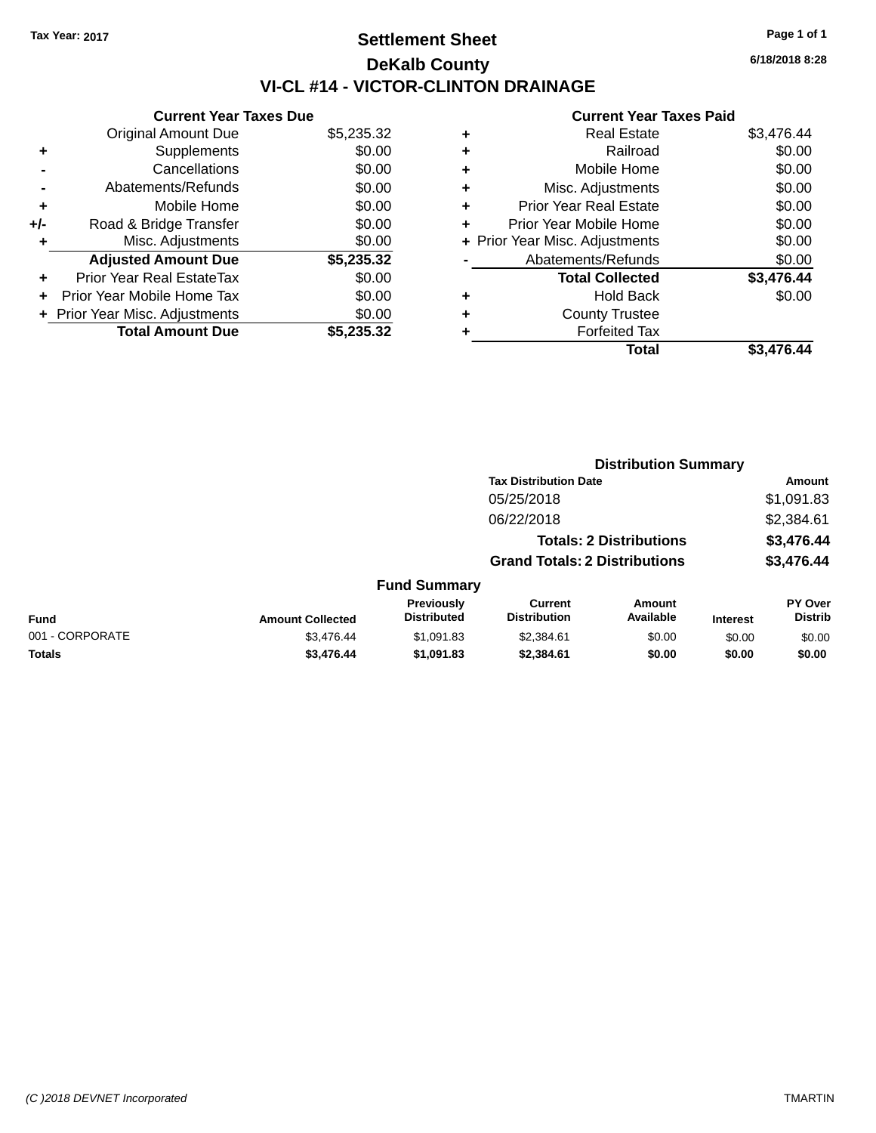# **Settlement Sheet Tax Year: 2017 Page 1 of 1 DeKalb County VI-CL #14 - VICTOR-CLINTON DRAINAGE**

|     | <b>Current Year Taxes Due</b>  |            |  |  |  |  |
|-----|--------------------------------|------------|--|--|--|--|
|     | <b>Original Amount Due</b>     | \$5,235.32 |  |  |  |  |
| ٠   | Supplements                    | \$0.00     |  |  |  |  |
|     | Cancellations                  | \$0.00     |  |  |  |  |
|     | Abatements/Refunds             | \$0.00     |  |  |  |  |
| ٠   | Mobile Home                    | \$0.00     |  |  |  |  |
| +/- | Road & Bridge Transfer         | \$0.00     |  |  |  |  |
| ۰   | Misc. Adjustments              | \$0.00     |  |  |  |  |
|     | <b>Adjusted Amount Due</b>     | \$5,235.32 |  |  |  |  |
| ÷   | Prior Year Real EstateTax      | \$0.00     |  |  |  |  |
|     | Prior Year Mobile Home Tax     | \$0.00     |  |  |  |  |
|     | + Prior Year Misc. Adjustments | \$0.00     |  |  |  |  |
|     | <b>Total Amount Due</b>        | \$5,235.32 |  |  |  |  |

| ٠ | <b>Real Estate</b>             | \$3,476.44 |
|---|--------------------------------|------------|
| ٠ | Railroad                       | \$0.00     |
| ٠ | Mobile Home                    | \$0.00     |
| ٠ | Misc. Adjustments              | \$0.00     |
| ٠ | <b>Prior Year Real Estate</b>  | \$0.00     |
| ٠ | Prior Year Mobile Home         | \$0.00     |
|   | + Prior Year Misc. Adjustments | \$0.00     |
|   | Abatements/Refunds             | \$0.00     |
|   | <b>Total Collected</b>         | \$3,476.44 |
| ٠ | <b>Hold Back</b>               | \$0.00     |
| ٠ | <b>County Trustee</b>          |            |
| ٠ | <b>Forfeited Tax</b>           |            |
|   | Total                          | \$3.476.44 |
|   |                                |            |

|                     | <b>Distribution Summary</b>          |                                |                       |
|---------------------|--------------------------------------|--------------------------------|-----------------------|
|                     | <b>Tax Distribution Date</b>         |                                | <b>Amount</b>         |
|                     | 05/25/2018                           |                                | \$1,091.83            |
|                     | 06/22/2018                           |                                | \$2,384.61            |
|                     |                                      | <b>Totals: 2 Distributions</b> | \$3,476.44            |
|                     | <b>Grand Totals: 2 Distributions</b> |                                | \$3,476.44            |
| <b>Fund Summary</b> |                                      |                                |                       |
| Previously<br>.     | Current<br>.                         | Amount<br>.                    | <b>PY Over</b><br>--- |

|                 |                         | <b>Previously</b>  | Current             | Amount    |                 | PY Over |
|-----------------|-------------------------|--------------------|---------------------|-----------|-----------------|---------|
| Fund            | <b>Amount Collected</b> | <b>Distributed</b> | <b>Distribution</b> | Available | <b>Interest</b> | Distrib |
| 001 - CORPORATE | \$3,476.44              | \$1.091.83         | \$2,384.61          | \$0.00    | \$0.00          | \$0.00  |
| <b>Totals</b>   | \$3,476.44              | \$1.091.83         | \$2.384.61          | \$0.00    | \$0.00          | \$0.00  |